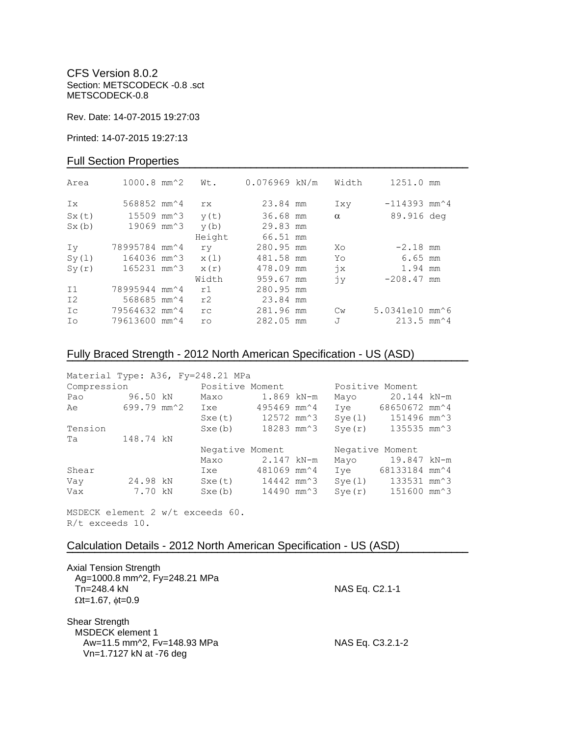CFS Version 8.0.2 Section: METSCODECK -0.8 .sct METSCODECK-0.8

Rev. Date: 14-07-2015 19:27:03

Printed: 14-07-2015 19:27:13

## Full Section Properties

| Area           | $1000.8$ mm <sup><math>2</math></sup>   | Wt.       | $0.076969$ kN/m | Width         | 1251.0 mm                                   |  |
|----------------|-----------------------------------------|-----------|-----------------|---------------|---------------------------------------------|--|
| Ix             | 568852 mm <sup><math>\sim</math>4</sup> | rx        | 23.84 mm        | Ixy           | $-114393$ mm <sup><math>\sim</math></sup> 4 |  |
| Sx(t)          | 15509 mm^3                              | y(t)      | 36.68 mm        | $\alpha$      | 89.916 deg                                  |  |
| Sx(b)          | 19069 mm^3                              | y(b)      | 29.83 mm        |               |                                             |  |
|                |                                         | Height    | 66.51 mm        |               |                                             |  |
| Iv             | 78995784 mm^4                           | ry        | 280.95 mm       | Xo            | $-2.18$ mm                                  |  |
| Sy(1)          | 164036 mm^3                             | x(1)      | 481.58 mm       | Yo            | 6.65 mm                                     |  |
| Sy(r)          | 165231 mm^3                             | x(r)      | 478.09 mm       | $\dot{7}x$    | 1.94 mm                                     |  |
|                |                                         | Width     | 959.67 mm       | jу            | $-208.47$ mm                                |  |
| I <sub>1</sub> | 78995944 mm <sup>2</sup> 4              | r1        | 280.95 mm       |               |                                             |  |
| I2             | 568685 mm <sup><math>4</math></sup>     | r2        | 23.84 mm        |               |                                             |  |
| Ic             | 79564632 mm <sup>2</sup> 4              | rc        | 281.96 mm       | $\mathbb{C}w$ | 5.0341e10 mm^6                              |  |
| Ιo             | 79613600 mm^4                           | <b>ro</b> | 282.05 mm       | J             | $213.5$ mm <sup><math>4</math></sup>        |  |

# Fully Braced Strength - 2012 North American Specification - US (ASD)

| Material Type: A36, Fy=248.21 MPa |             |                 |                                    |                 |                  |  |
|-----------------------------------|-------------|-----------------|------------------------------------|-----------------|------------------|--|
| Compression                       |             | Positive Moment |                                    | Positive Moment |                  |  |
| Pao                               | 96.50 kN    | Maxo            | 1.869 kN-m                         | Mayo            | 20.144 kN-m      |  |
| Ae                                | 699.79 mm^2 | Ixe             | 495469 mm^4                        | Ive             | 68650672 mm^4    |  |
|                                   |             | Sxe(t)          | 12572 mm <sup><math>3</math></sup> | Sye(1)          | 151496 mm^3      |  |
| Tension                           |             | Sxe(b)          | 18283 mm <sup>2</sup> 3            | Sye(r)          | 135535 mm^3      |  |
| Та                                | 148.74 kN   |                 |                                    |                 |                  |  |
|                                   |             | Negative Moment |                                    | Negative Moment |                  |  |
|                                   |             | Maxo            | 2.147 kN-m                         |                 | Mayo 19.847 kN-m |  |
| Shear                             |             | Ixe             | 481069 mm^4                        | Ive             | 68133184 mm^4    |  |
| Vay                               | 24.98 kN    | Sxe(t)          | 14442 mm^3                         | Sye(1)          | 133531 mm^3      |  |
| Vax                               | 7.70 kN     | Sxe(b)          | 14490 mm^3                         | Sye(r)          | 151600 mm^3      |  |

**¯¯¯¯¯¯¯¯¯¯¯¯¯¯¯¯¯¯¯¯¯¯¯¯¯¯¯¯¯¯¯¯¯¯¯¯¯¯¯¯¯¯¯¯¯¯¯¯¯¯¯¯¯¯¯¯¯¯¯¯¯¯¯¯¯¯¯¯¯¯¯¯**

MSDECK element 2 w/t exceeds 60. R/t exceeds 10.

## Calculation Details - 2012 North American Specification - US (ASD)

| <b>Axial Tension Strength</b><br>Ag=1000.8 mm^2, Fy=248.21 MPa<br>$Tn = 248.4$ kN<br>$\Omega$ t=1.67, $\phi$ t=0.9 | NAS Eq. C2.1-1   |
|--------------------------------------------------------------------------------------------------------------------|------------------|
| Shear Strength<br><b>MSDECK</b> element 1<br>Aw=11.5 mm^2, Fv=148.93 MPa<br>Vn=1.7127 kN at -76 deg                | NAS Eq. C3.2.1-2 |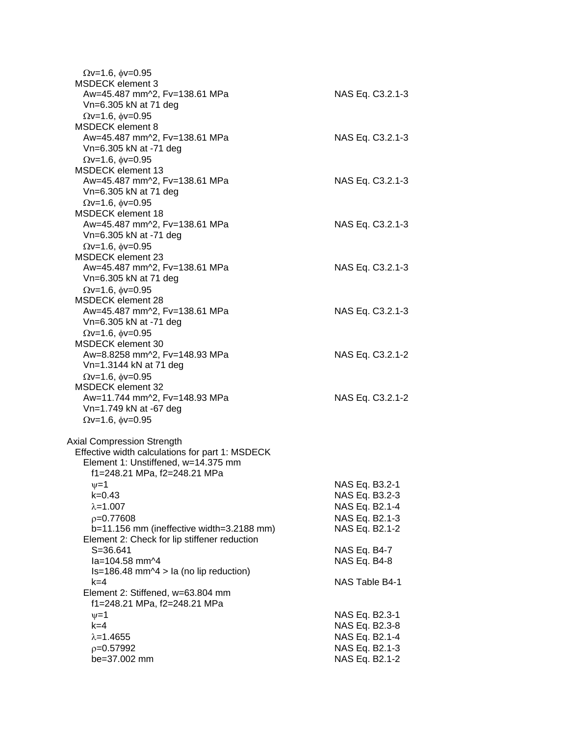| $\Omega v = 1.6$ , $\phi v = 0.95$<br>MSDECK element 3   |                  |
|----------------------------------------------------------|------------------|
| Aw=45.487 mm^2, Fv=138.61 MPa<br>Vn=6.305 kN at 71 deg   | NAS Eq. C3.2.1-3 |
| $\Omega$ v=1.6, $\phi$ v=0.95                            |                  |
| <b>MSDECK element 8</b><br>Aw=45.487 mm^2, Fv=138.61 MPa | NAS Eq. C3.2.1-3 |
| Vn=6.305 kN at -71 deg                                   |                  |
| $Qv=1.6$ , $\phi v=0.95$                                 |                  |
| <b>MSDECK</b> element 13                                 |                  |
| Aw=45.487 mm^2, Fv=138.61 MPa                            | NAS Eq. C3.2.1-3 |
| Vn=6.305 kN at 71 deg                                    |                  |
| $Qv=1.6$ , $\phi v=0.95$                                 |                  |
| MSDECK element 18                                        |                  |
| Aw=45.487 mm^2, Fv=138.61 MPa                            | NAS Eq. C3.2.1-3 |
| Vn=6.305 kN at -71 deg                                   |                  |
| $\Omega$ v=1.6, $\phi$ v=0.95                            |                  |
| <b>MSDECK element 23</b>                                 |                  |
| Aw=45.487 mm^2, Fv=138.61 MPa                            | NAS Eq. C3.2.1-3 |
| Vn=6.305 kN at 71 deg                                    |                  |
| $\Omega$ v=1.6, $\phi$ v=0.95                            |                  |
| <b>MSDECK</b> element 28                                 |                  |
| Aw=45.487 mm^2, Fv=138.61 MPa                            | NAS Eq. C3.2.1-3 |
| Vn=6.305 kN at -71 deg                                   |                  |
| $\Omega$ v=1.6, $\phi$ v=0.95                            |                  |
| <b>MSDECK</b> element 30                                 |                  |
| Aw=8.8258 mm^2, Fv=148.93 MPa                            | NAS Eq. C3.2.1-2 |
| Vn=1.3144 kN at 71 deg<br>$\Omega$ v=1.6, $\phi$ v=0.95  |                  |
| <b>MSDECK element 32</b>                                 |                  |
| Aw=11.744 mm^2, Fv=148.93 MPa                            | NAS Eq. C3.2.1-2 |
| Vn=1.749 kN at -67 deg                                   |                  |
| $\Omega$ v=1.6, $\phi$ v=0.95                            |                  |
|                                                          |                  |
| <b>Axial Compression Strength</b>                        |                  |
| Effective width calculations for part 1: MSDECK          |                  |
| Element 1: Unstiffened, w=14.375 mm                      |                  |
| f1=248.21 MPa, f2=248.21 MPa                             |                  |
| $\nu = 1$                                                | NAS Eq. B3.2-1   |
| $k = 0.43$                                               | NAS Eq. B3.2-3   |
| $\lambda = 1.007$                                        | NAS Eq. B2.1-4   |
| $p=0.77608$                                              | NAS Eq. B2.1-3   |
| b=11.156 mm (ineffective width=3.2188 mm)                | NAS Eq. B2.1-2   |
| Element 2: Check for lip stiffener reduction             |                  |
| S=36.641                                                 | NAS Eq. B4-7     |
| la=104.58 mm^4                                           | NAS Eq. B4-8     |
| $Is=186.48$ mm $\sim$ 4 > la (no lip reduction)<br>k=4   | NAS Table B4-1   |
| Element 2: Stiffened, w=63.804 mm                        |                  |
| f1=248.21 MPa, f2=248.21 MPa                             |                  |
| $\nu = 1$                                                | NAS Eq. B2.3-1   |
| $k=4$                                                    | NAS Eq. B2.3-8   |
| $\lambda = 1.4655$                                       | NAS Eq. B2.1-4   |
| $p=0.57992$                                              | NAS Eq. B2.1-3   |
| be=37.002 mm                                             | NAS Eq. B2.1-2   |
|                                                          |                  |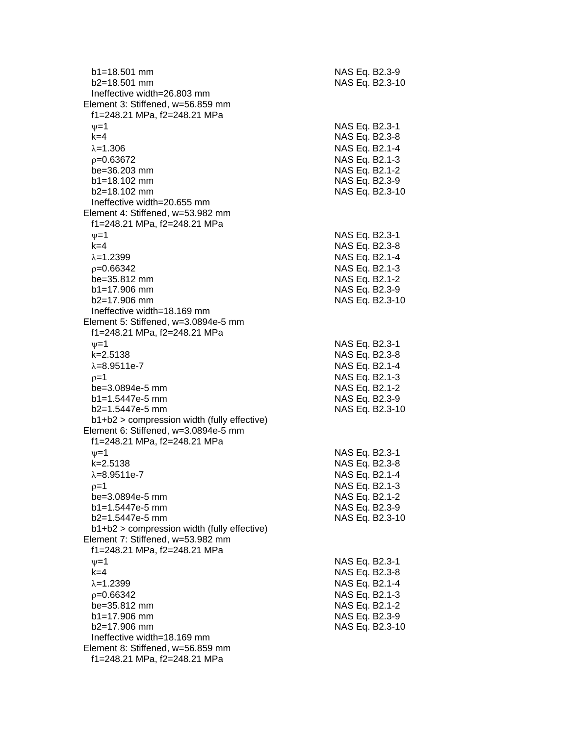| $b1 = 18.501$ mm<br>$b2 = 18.501$ mm                                                             | NAS Eq. B2.3-9<br>NAS Eq. B2.3-10 |
|--------------------------------------------------------------------------------------------------|-----------------------------------|
| Ineffective width=26.803 mm<br>Element 3: Stiffened, w=56.859 mm<br>f1=248.21 MPa, f2=248.21 MPa |                                   |
| $\nu = 1$                                                                                        | NAS Eq. B2.3-1                    |
| $k=4$                                                                                            | NAS Eq. B2.3-8                    |
| $\lambda = 1.306$                                                                                | NAS Eq. B2.1-4                    |
| $p=0.63672$                                                                                      | NAS Eq. B2.1-3                    |
| be=36.203 mm<br>$b1 = 18.102$ mm                                                                 | NAS Eq. B2.1-2<br>NAS Eq. B2.3-9  |
| b2=18.102 mm                                                                                     | NAS Eq. B2.3-10                   |
| Ineffective width=20.655 mm                                                                      |                                   |
| Element 4: Stiffened, w=53.982 mm                                                                |                                   |
| f1=248.21 MPa, f2=248.21 MPa                                                                     |                                   |
| $\nu = 1$                                                                                        | NAS Eq. B2.3-1                    |
| $k=4$                                                                                            | NAS Eq. B2.3-8                    |
| $\lambda = 1.2399$<br>$p=0.66342$                                                                | NAS Eq. B2.1-4<br>NAS Eq. B2.1-3  |
| be=35.812 mm                                                                                     | NAS Eq. B2.1-2                    |
| $b1 = 17.906$ mm                                                                                 | NAS Eq. B2.3-9                    |
| b2=17.906 mm                                                                                     | NAS Eq. B2.3-10                   |
| Ineffective width=18.169 mm                                                                      |                                   |
| Element 5: Stiffened, w=3.0894e-5 mm<br>f1=248.21 MPa, f2=248.21 MPa                             |                                   |
| $\nu = 1$                                                                                        | NAS Eq. B2.3-1                    |
| $k = 2.5138$<br>$\lambda = 8.9511e - 7$                                                          | NAS Eq. B2.3-8<br>NAS Eq. B2.1-4  |
| $p=1$                                                                                            | NAS Eq. B2.1-3                    |
| be=3.0894e-5 mm                                                                                  | NAS Eq. B2.1-2                    |
| b1=1.5447e-5 mm                                                                                  | NAS Eq. B2.3-9                    |
| b2=1.5447e-5 mm                                                                                  | NAS Eq. B2.3-10                   |
| b1+b2 > compression width (fully effective)                                                      |                                   |
| Element 6: Stiffened, w=3.0894e-5 mm<br>f1=248.21 MPa, f2=248.21 MPa                             |                                   |
| $v = 1$                                                                                          | NAS Eq. B2.3-1                    |
| k=2.5138                                                                                         | NAS Eq. B2.3-8                    |
| $\lambda = 8.9511e - 7$                                                                          | NAS Eq. B2.1-4                    |
| $p=1$                                                                                            | NAS Eq. B2.1-3                    |
| be=3.0894e-5 mm                                                                                  | NAS Eq. B2.1-2                    |
| $b1 = 1.5447e-5$ mm                                                                              | NAS Eq. B2.3-9                    |
| b2=1.5447e-5 mm<br>b1+b2 > compression width (fully effective)                                   | NAS Eq. B2.3-10                   |
| Element 7: Stiffened, w=53.982 mm                                                                |                                   |
| f1=248.21 MPa, f2=248.21 MPa                                                                     |                                   |
| $\nu = 1$                                                                                        | NAS Eq. B2.3-1                    |
| $k=4$                                                                                            | NAS Eq. B2.3-8                    |
| $\lambda = 1.2399$                                                                               | NAS Eq. B2.1-4                    |
| $p=0.66342$                                                                                      | NAS Eq. B2.1-3                    |
| be=35.812 mm<br>b1=17.906 mm                                                                     | NAS Eq. B2.1-2<br>NAS Eq. B2.3-9  |
| b2=17.906 mm                                                                                     | NAS Eq. B2.3-10                   |
| Ineffective width=18.169 mm                                                                      |                                   |
| Element 8: Stiffened, w=56.859 mm                                                                |                                   |
| f1=248.21 MPa, f2=248.21 MPa                                                                     |                                   |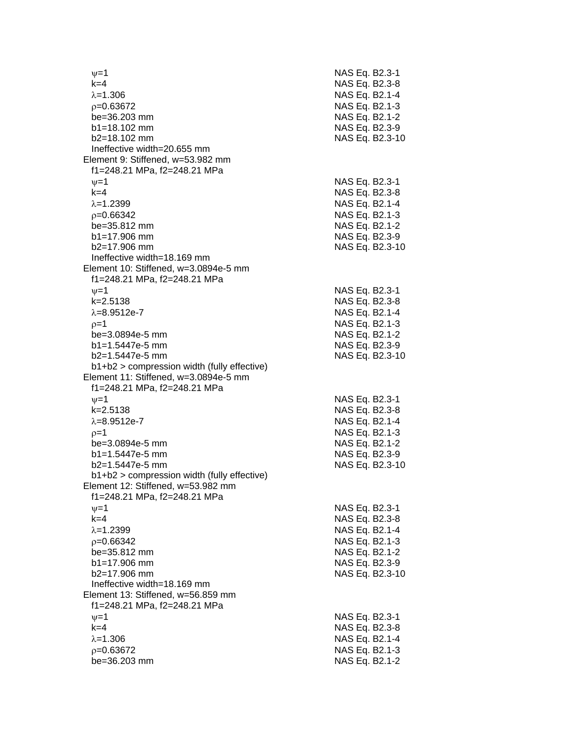$\nu$  =1 NAS Eq. B2.3-1 k=4 NAS Eq. B2.3 - 8 λ=1.306 NAS Eq. B2.1-4  $\rho$ =0.63672 NAS Eq. B2.1-3 be=36.203 mm b1=18.102 mm NAS Eq. B2.3-9 b2=18.102 mm NAS Eq. B2.3 -10 Ineffective width=20.655 mm Element 9: Stiffened, w=53.982 mm f1=248.21 MPa, f2=248.21 MPa  $\psi$ =1 NAS Eq. B2.3-1 k=4 NAS Eq. B2.3 - 8 λ=1.2399 NAS Eq. B2.1-4  $\rho$ =0.66342 NAS Eq. B2.1-3 be=35.812 mm  $b1=17.906$  mm  $b2=17.906$  mm NAS Eq. B2.3-10 Ineffective width=18.169 mm Element 10: Stiffened, w=3.0894e-5 mm f1=248.21 MPa, f2=248.21 MPa  $\psi$ =1 NAS Eq. B2.3-1 k=2.5138 NAS Eq. B2.3 - 8 λ=8.9512e-7 NAS Eq. B2.1 - 4  $\rho$ =1 NAS Eq. B2.1-3 be=3.0894e -5 mm NAS Eq. B2.1 - 2 b1=1.5447e-5 mm -5 mm NAS Eq. B2.3 - 9 b2=1.5447e -5 mm NAS Eq. B2.3 -10 b1+b2 > compression width (fully effective) Element 11: Stiffened, w=3.0894e-5 mm f1=248.21 MPa, f2=248.21 MPa  $\nu$  =1 NAS Eq. B2.3-1 k=2.5138 NAS Eq. B2.3 - 8 λ=8.9512e-7 NAS Eq. B2.1 - 4  $\rho=1$  NAS Eq. B2.1-3 be=3.0894e -5 mm NAS Eq. B2.1 - 2 b1=1.5447e-5 mm -5 mm NAS Eq. B2.3 - 9 b2=1.5447e-5 mm -5 mm NAS Eq. B2.3 -10 b1+b2 > compression width (fully effective) Element 12: Stiffened, w=53.982 mm f1=248.21 MPa, f2=248.21 MPa  $\psi$ =1 NAS Eq. B2.3-1 k=4 NAS Eq. B2.3 - 8 λ=1.2399 NAS Eq. B2.1-4  $\rho$ =0.66342 NAS Eq. B2.1-3 be=35.812 mm  $b1 = 17.906$  mm b2=17.906 mm NAS Eq. B2.3 -10 Ineffective width=18.169 mm Element 13: Stiffened, w=56.859 mm f1=248.21 MPa, f2=248.21 MPa  $\psi$ =1 NAS Eq. B2.3-1 k=4 NAS Eq. B2.3 - 8 λ=1.306 NAS Eq. B2.1-4  $\rho$ =0.63672 NAS Eq. B2.1-3 be=36.203 mm NAS Eq. B2.1-2

- 2

- 2

- 9

- 2

- 9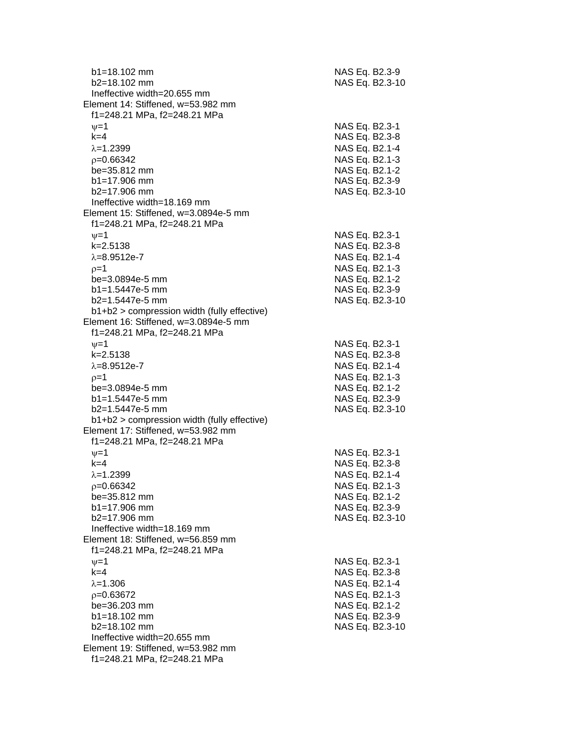| $b1 = 18.102$ mm<br>$b2=18.102$ mm                                | NAS Eq. B2.3-9<br>NAS Eq. B2.3-10 |
|-------------------------------------------------------------------|-----------------------------------|
| Ineffective width=20.655 mm<br>Element 14: Stiffened, w=53.982 mm |                                   |
| f1=248.21 MPa, f2=248.21 MPa                                      |                                   |
| $\nu=1$                                                           | NAS Eq. B2.3-1                    |
| $k=4$                                                             | NAS Eq. B2.3-8                    |
| $\lambda = 1.2399$                                                | NAS Eq. B2.1-4                    |
| $p=0.66342$                                                       | NAS Eq. B2.1-3                    |
| be=35.812 mm                                                      | NAS Eq. B2.1-2                    |
| $b1 = 17.906$ mm<br>b2=17.906 mm                                  | NAS Eq. B2.3-9                    |
| Ineffective width=18.169 mm                                       | NAS Eq. B2.3-10                   |
| Element 15: Stiffened, w=3.0894e-5 mm                             |                                   |
| f1=248.21 MPa, f2=248.21 MPa                                      |                                   |
| $\nu = 1$                                                         | NAS Eq. B2.3-1                    |
| $k = 2.5138$                                                      | NAS Eq. B2.3-8                    |
| $\lambda = 8.9512e - 7$                                           | NAS Eq. B2.1-4                    |
| $p=1$                                                             | NAS Eq. B2.1-3                    |
| be=3.0894e-5 mm                                                   | NAS Eq. B2.1-2                    |
| $b1 = 1.5447e-5$ mm                                               | NAS Eq. B2.3-9                    |
| $b2=1.5447e-5$ mm                                                 | NAS Eq. B2.3-10                   |
| $b1+b2$ > compression width (fully effective)                     |                                   |
| Element 16: Stiffened, w=3.0894e-5 mm                             |                                   |
| f1=248.21 MPa, f2=248.21 MPa                                      |                                   |
| $\nu=1$                                                           | NAS Eq. B2.3-1                    |
| $k = 2.5138$                                                      | NAS Eq. B2.3-8                    |
| $\lambda = 8.9512e - 7$                                           | NAS Eq. B2.1-4                    |
| $p=1$<br>be=3.0894e-5 mm                                          | NAS Eq. B2.1-3<br>NAS Eq. B2.1-2  |
| $b1 = 1.5447e-5$ mm                                               | NAS Eq. B2.3-9                    |
| b2=1.5447e-5 mm                                                   | NAS Eq. B2.3-10                   |
| $b1+b2$ > compression width (fully effective)                     |                                   |
| Element 17: Stiffened, w=53.982 mm                                |                                   |
| f1=248.21 MPa, f2=248.21 MPa                                      |                                   |
| $\nu = 1$                                                         | NAS Eq. B2.3-1                    |
| $k = 4$                                                           | NAS Eq. B2.3-8                    |
| $\lambda = 1.2399$                                                | NAS Eq. B2.1-4                    |
| $p=0.66342$                                                       | NAS Eq. B2.1-3                    |
| be=35.812 mm                                                      | NAS Eq. B2.1-2                    |
| $b1 = 17.906$ mm                                                  | NAS Eq. B2.3-9                    |
| $b2=17.906$ mm                                                    | NAS Eq. B2.3-10                   |
| Ineffective width=18.169 mm<br>Element 18: Stiffened, w=56.859 mm |                                   |
| f1=248.21 MPa, f2=248.21 MPa                                      |                                   |
| $\nu = 1$                                                         | NAS Eq. B2.3-1                    |
| $k=4$                                                             | NAS Eq. B2.3-8                    |
| $\lambda = 1.306$                                                 | NAS Eq. B2.1-4                    |
| $p=0.63672$                                                       | NAS Eq. B2.1-3                    |
| be=36.203 mm                                                      | NAS Eq. B2.1-2                    |
| $b1 = 18.102$ mm                                                  | NAS Eq. B2.3-9                    |
| b2=18.102 mm                                                      | NAS Eq. B2.3-10                   |
| Ineffective width=20.655 mm                                       |                                   |
| Element 19: Stiffened, w=53.982 mm                                |                                   |
| f1=248.21 MPa, f2=248.21 MPa                                      |                                   |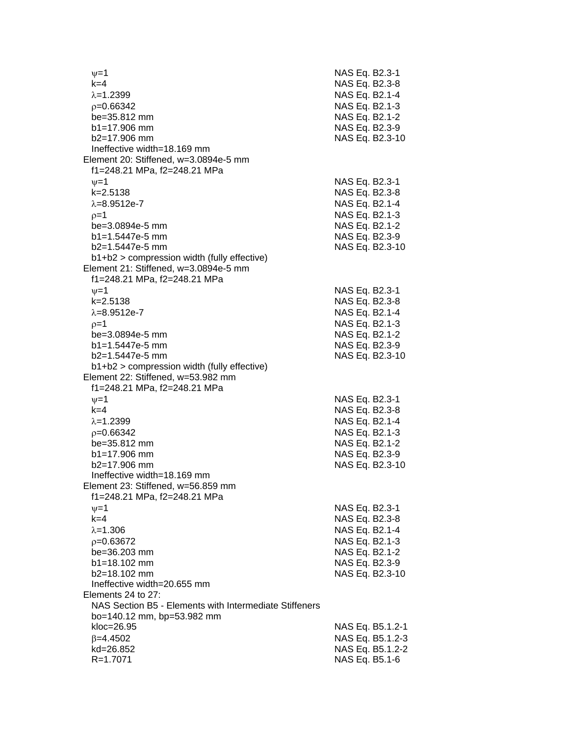$v=1$  NAS Eq. B2.3-1 k=4 NAS Eq. B2.3-8  $\lambda$ =1.2399 NAS Eq. B2.1-4 p=0.66342 NAS Eq. B2.1-3 be=35.812 mm NAS Eq. B2.1-2 b1=17.906 mm NAS Eq. B2.3-9 b2=17.906 mm NAS Eq. B2.3-10 Ineffective width=18.169 mm Element 20: Stiffened, w=3.0894e-5 mm f1=248.21 MPa, f2=248.21 MPa  $\nu$ =1 NAS Eq. B2.3-1 k=2.5138 NAS Eq. B2.3-8  $\lambda = 8.9512e - 7$  NAS Eq. B2.1-4  $p=1$  NAS Eq. B2.1-3 be=3.0894e-5 mm NAS Eq. B2.1-2 b1=1.5447e-5 mm NAS Eq. B2.3-9 b2=1.5447e-5 mm NAS Eq. B2.3-10 b1+b2 > compression width (fully effective) Element 21: Stiffened, w=3.0894e-5 mm f1=248.21 MPa, f2=248.21 MPa  $\nu=1$  NAS Eq. B2.3-1 k=2.5138 NAS Eq. B2.3-8  $\lambda = 8.9512e - 7$  NAS Eq. B2.1-4  $p=1$  NAS Eq. B2.1-3 be=3.0894e-5 mm NAS Eq. B2.1-2 b1=1.5447e-5 mm NAS Eq. B2.3-9 b2=1.5447e-5 mm NAS Eq. B2.3-10 b1+b2 > compression width (fully effective) Element 22: Stiffened, w=53.982 mm f1=248.21 MPa, f2=248.21 MPa  $v=1$  NAS Eq. B2.3-1 k=4 NAS Eq. B2.3-8  $\lambda$ =1.2399 NAS Eq. B2.1-4 =0.66342 NAS Eq. B2.1-3 be=35.812 mm NAS Eq. B2.1-2 b1=17.906 mm NAS Eq. B2.3-9 b2=17.906 mm NAS Eq. B2.3-10 Ineffective width=18.169 mm Element 23: Stiffened, w=56.859 mm f1=248.21 MPa, f2=248.21 MPa  $\nu = 1$  NAS Eq. B2.3-1 k=4 NAS Eq. B2.3-8  $\lambda = 1.306$  NAS Eq. B2.1-4 =0.63672 NAS Eq. B2.1-3 be=36.203 mm NAS Eq. B2.1-2 b1=18.102 mm NAS Eq. B2.3-9 b2=18.102 mm NAS Eq. B2.3-10 Ineffective width=20.655 mm Elements 24 to 27: NAS Section B5 - Elements with Intermediate Stiffeners bo=140.12 mm, bp=53.982 mm kloc=26.95 NAS Eq. B5.1.2-1  $\beta$ =4.4502 NAS Eq. B5.1.2-3 kd=26.852 NAS Eq. B5.1.2-2 R=1.7071 NAS Eq. B5.1-6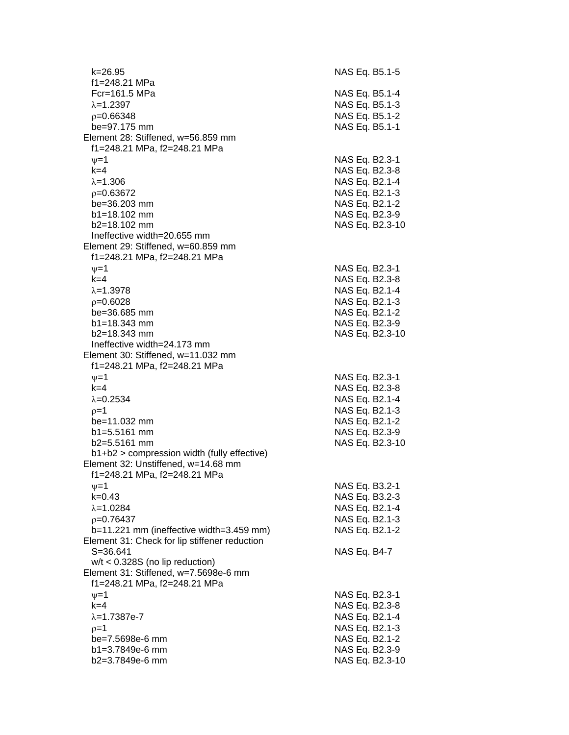k=26.95 NAS Eq. B5.1 - 5 f1=248.21 MPa  $Fcr=161.5 MPa$  $\lambda$ =1.2397 NAS Eq. B5.1-3  $\rho$ =0.66348 NAS Eq. B5.1-2 be=97.175 mm Element 28: Stiffened, w=56.859 mm f1=248.21 MPa, f2=248.21 MPa  $\psi$ =1 NAS Eq. B2.3-1 k=4 NAS Eq. B2.3 - 8 λ=1.306 NAS Eq. B2.1-4  $\rho$ =0.63672 NAS Eq. B2.1-3 be=36.203 mm NAS Eq. B2.1-2  $b1 = 18.102$  mm b2=18.102 mm NAS Eq. B2.3 -10 Ineffective width=20.655 mm Element 29: Stiffened, w=60.859 mm f1=248.21 MPa, f2=248.21 MPa  $\nu$  =1 NAS Eq. B2.3-1 k=4 NAS Eq. B2.3 - 8 =1.3978 NAS Eq. B2.1 - 4  $\rho$ =0.6028 NAS Eq. B2.1-3 be=36.685 mm  $b1 = 18.343$  mm b2=18.343 mm NAS Eq. B2.3 -10 Ineffective width=24.173 mm Element 30: Stiffened, w=11.032 mm f1=248.21 MPa, f2=248.21 MPa  $\psi$ =1 NAS Eq. B2.3-1 k=4 NAS Eq. B2.3 - 8  $\lambda$ =0.2534 NAS Eq. B2.1-4  $\rho$ =1 NAS Eq. B2.1-3 be=11.032 mm NAS Eq. B2.1-2 b1=5.5161 mm NAS Eq. B2.3-9  $b2=5.5161$  mm NAS Eq. B2.3-10 b1+b2 > compression width (fully effective) Element 32: Unstiffened, w=14.68 mm f1=248.21 MPa, f2=248.21 MPa  $\psi$ =1 NAS Eq. B3.2-1 k=0.43 NAS Eq. B3.2 - 3 λ=1.0284 NAS Eq. B2.1-4  $\rho$ =0.76437 NAS Eq. B2.1-3  $b=11.221$  mm (ineffective width=3.459 mm) Element 31: Check for lip stiffener reduction S=36.641 NAS Eq. B4 - 7 w/t < 0.328S (no lip reduction) Element 31: Stiffened, w=7.5698e -6 mm f1=248.21 MPa, f2=248.21 MPa  $\nu$  =1 NAS Eq. B2.3-1 k=4 NAS Eq. B2.3 - 8 λ=1.7387e-7 NAS Eq. B2.1 - 4  $\rho=1$  NAS Eq. B2.1-3 be=7.5698e -6 mm NAS Eq. B2.1 - 2 b1=3.7849e-6 mm -6 mm NAS Eq. B2.3 - 9 b2=3.7849e -6 mm NAS Eq. B2.3 -10

- 4

- 1

- 9

- 2

- 9

- 2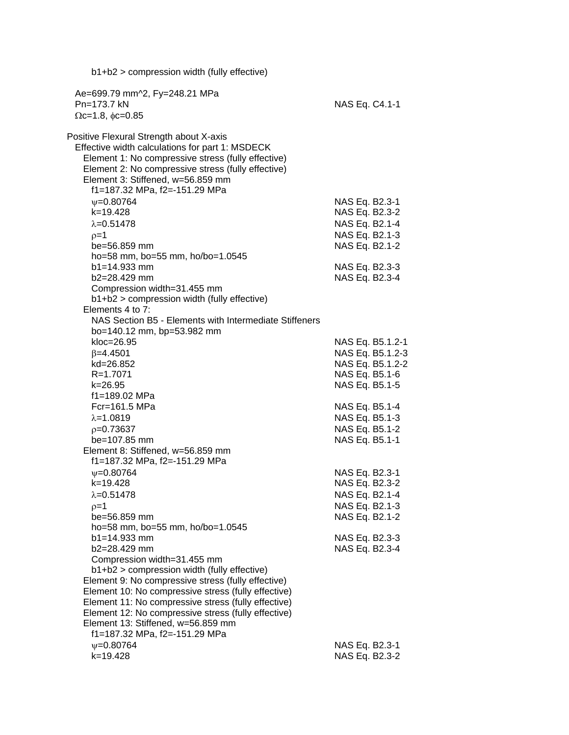| $b1+b2$ > compression width (fully effective)                                                                                                                                                                                                                                                                                                 |                                                                                        |                                      |
|-----------------------------------------------------------------------------------------------------------------------------------------------------------------------------------------------------------------------------------------------------------------------------------------------------------------------------------------------|----------------------------------------------------------------------------------------|--------------------------------------|
| Ae=699.79 mm^2, Fy=248.21 MPa<br>Pn=173.7 kN<br>$\Omega$ c=1.8, $\phi$ c=0.85                                                                                                                                                                                                                                                                 | NAS Eq. C4.1-1                                                                         |                                      |
| Positive Flexural Strength about X-axis<br>Effective width calculations for part 1: MSDECK<br>Element 1: No compressive stress (fully effective)<br>Element 2: No compressive stress (fully effective)<br>Element 3: Stiffened, w=56.859 mm<br>f1=187.32 MPa, f2=-151.29 MPa                                                                  |                                                                                        |                                      |
| $\psi = 0.80764$<br>$k = 19.428$<br>$\lambda = 0.51478$<br>$p=1$<br>be=56.859 mm                                                                                                                                                                                                                                                              | NAS Eq. B2.3-1<br>NAS Eq. B2.3-2<br>NAS Eq. B2.1-4<br>NAS Eq. B2.1-3<br>NAS Eq. B2.1-2 |                                      |
| ho=58 mm, bo=55 mm, ho/bo=1.0545<br>$b1 = 14.933$ mm<br>b2=28.429 mm<br>Compression width=31.455 mm                                                                                                                                                                                                                                           | NAS Eq. B2.3-3<br>NAS Eq. B2.3-4                                                       |                                      |
| b1+b2 > compression width (fully effective)<br>Elements 4 to 7:<br>NAS Section B5 - Elements with Intermediate Stiffeners<br>bo=140.12 mm, bp=53.982 mm<br>kloc=26.95                                                                                                                                                                         |                                                                                        | NAS Eq. B5.1.2-1                     |
| $\beta = 4.4501$<br>kd=26.852<br>R=1.7071<br>$k = 26.95$                                                                                                                                                                                                                                                                                      | NAS Eq. B5.1-6<br>NAS Eq. B5.1-5                                                       | NAS Eq. B5.1.2-3<br>NAS Eq. B5.1.2-2 |
| f1=189.02 MPa<br>Fcr=161.5 MPa<br>$\lambda = 1.0819$<br>$p=0.73637$<br>be=107.85 mm<br>Element 8: Stiffened, w=56.859 mm                                                                                                                                                                                                                      | NAS Eq. B5.1-4<br>NAS Eq. B5.1-3<br>NAS Eq. B5.1-2<br>NAS Eq. B5.1-1                   |                                      |
| f1=187.32 MPa, f2=-151.29 MPa<br>$\psi = 0.80764$<br>k=19.428<br>$\lambda = 0.51478$<br>$p=1$<br>be=56.859 mm                                                                                                                                                                                                                                 | NAS Eq. B2.3-1<br>NAS Eq. B2.3-2<br>NAS Eq. B2.1-4<br>NAS Eq. B2.1-3<br>NAS Eq. B2.1-2 |                                      |
| ho=58 mm, bo=55 mm, ho/bo=1.0545<br>$b1 = 14.933$ mm<br>b2=28.429 mm<br>Compression width=31.455 mm                                                                                                                                                                                                                                           | NAS Eq. B2.3-3<br>NAS Eq. B2.3-4                                                       |                                      |
| b1+b2 > compression width (fully effective)<br>Element 9: No compressive stress (fully effective)<br>Element 10: No compressive stress (fully effective)<br>Element 11: No compressive stress (fully effective)<br>Element 12: No compressive stress (fully effective)<br>Element 13: Stiffened, w=56.859 mm<br>f1=187.32 MPa, f2=-151.29 MPa |                                                                                        |                                      |
| $\psi = 0.80764$<br>k=19.428                                                                                                                                                                                                                                                                                                                  | NAS Eq. B2.3-1<br>NAS Eq. B2.3-2                                                       |                                      |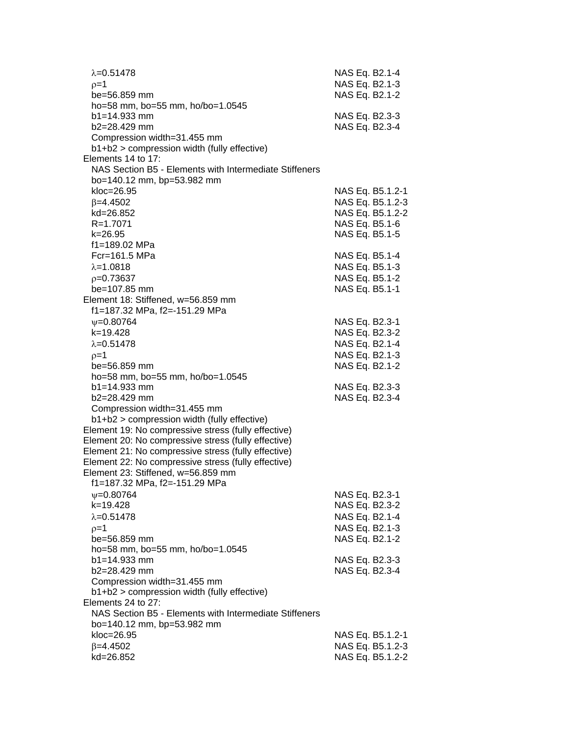| $\lambda = 0.51478$<br>$0=1$<br>be=56.859 mm                                                               | NAS Eq. B2.1-4<br>NAS Eq. B2.1-3<br>NAS Eq. B2.1-2 |
|------------------------------------------------------------------------------------------------------------|----------------------------------------------------|
| ho=58 mm, bo=55 mm, ho/bo=1.0545<br>$b1 = 14.933$ mm<br>b2=28.429 mm                                       | NAS Eq. B2.3-3<br>NAS Eq. B2.3-4                   |
| Compression width=31.455 mm<br>b1+b2 > compression width (fully effective)<br>Elements 14 to 17:           |                                                    |
| NAS Section B5 - Elements with Intermediate Stiffeners<br>bo=140.12 mm, bp=53.982 mm                       |                                                    |
| $kloc=26.95$                                                                                               | NAS Eq. B5.1.2-1                                   |
| $\beta = 4.4502$<br>kd=26.852                                                                              | NAS Eq. B5.1.2-3<br>NAS Eq. B5.1.2-2               |
| R=1.7071                                                                                                   | NAS Eq. B5.1-6                                     |
| k=26.95                                                                                                    | NAS Eq. B5.1-5                                     |
| f1=189.02 MPa<br>Fcr=161.5 MPa                                                                             | NAS Eq. B5.1-4                                     |
| $\lambda = 1.0818$                                                                                         | NAS Eq. B5.1-3                                     |
| $p=0.73637$                                                                                                | NAS Eq. B5.1-2                                     |
| be=107.85 mm                                                                                               | NAS Eq. B5.1-1                                     |
| Element 18: Stiffened, w=56.859 mm<br>f1=187.32 MPa, f2=-151.29 MPa                                        |                                                    |
| $\psi = 0.80764$                                                                                           | NAS Eq. B2.3-1                                     |
| $k = 19.428$                                                                                               | NAS Eq. B2.3-2                                     |
| $\lambda = 0.51478$                                                                                        | NAS Eq. B2.1-4                                     |
| $p=1$                                                                                                      | NAS Eq. B2.1-3                                     |
| be=56.859 mm                                                                                               | NAS Eq. B2.1-2                                     |
| ho=58 mm, bo=55 mm, ho/bo=1.0545<br>$b1 = 14.933$ mm                                                       | NAS Eq. B2.3-3                                     |
| $b2 = 28.429$ mm                                                                                           | NAS Eq. B2.3-4                                     |
| Compression width=31.455 mm                                                                                |                                                    |
| b1+b2 > compression width (fully effective)                                                                |                                                    |
| Element 19: No compressive stress (fully effective)                                                        |                                                    |
| Element 20: No compressive stress (fully effective)                                                        |                                                    |
| Element 21: No compressive stress (fully effective)<br>Element 22: No compressive stress (fully effective) |                                                    |
| Element 23: Stiffened, w=56.859 mm                                                                         |                                                    |
| f1=187.32 MPa, f2=-151.29 MPa                                                                              |                                                    |
| $\psi = 0.80764$                                                                                           | NAS Eq. B2.3-1                                     |
| $k = 19.428$                                                                                               | NAS Eq. B2.3-2                                     |
| $\lambda = 0.51478$                                                                                        | NAS Eq. B2.1-4                                     |
| $p=1$<br>be=56.859 mm                                                                                      | NAS Eq. B2.1-3<br>NAS Eq. B2.1-2                   |
| ho=58 mm, bo=55 mm, ho/bo=1.0545                                                                           |                                                    |
| $b1 = 14.933$ mm                                                                                           | NAS Eq. B2.3-3                                     |
| b2=28.429 mm                                                                                               | NAS Eq. B2.3-4                                     |
| Compression width=31.455 mm                                                                                |                                                    |
| b1+b2 > compression width (fully effective)                                                                |                                                    |
| Elements 24 to 27:<br>NAS Section B5 - Elements with Intermediate Stiffeners                               |                                                    |
| bo=140.12 mm, bp=53.982 mm                                                                                 |                                                    |
| kloc=26.95                                                                                                 | NAS Eq. B5.1.2-1                                   |
| $\beta = 4.4502$                                                                                           | NAS Eq. B5.1.2-3                                   |
| kd=26.852                                                                                                  | NAS Eq. B5.1.2-2                                   |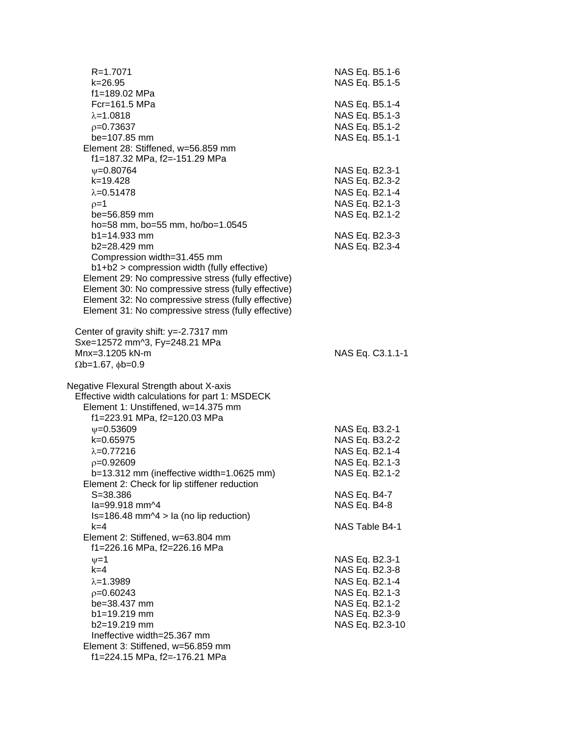| f1=189.02 MPa<br>Fcr=161.5 MPa<br>$\lambda = 1.0818$<br>$p=0.73637$<br>be=107.85 mm<br>Element 28: Stiffened, w=56.859 mm<br>f1=187.32 MPa, f2=-151.29 MPa<br>$\psi = 0.80764$<br>k=19.428<br>$\lambda = 0.51478$<br>$p=1$<br>be=56.859 mm<br>ho=58 mm, bo=55 mm, ho/bo=1.0545<br>$b1 = 14.933$ mm<br>b2=28.429 mm<br>Compression width=31.455 mm<br>b1+b2 > compression width (fully effective) | NAS Eq. B5.1-4<br>NAS Eq. B5.1-3<br>NAS Eq. B5.1-2<br>NAS Eq. B5.1-1<br>NAS Eq. B2.3-1<br>NAS Eq. B2.3-2<br>NAS Eq. B2.1-4<br>NAS Eq. B2.1-3<br>NAS Eq. B2.1-2<br>NAS Eq. B2.3-3<br>NAS Eq. B2.3-4 |
|--------------------------------------------------------------------------------------------------------------------------------------------------------------------------------------------------------------------------------------------------------------------------------------------------------------------------------------------------------------------------------------------------|----------------------------------------------------------------------------------------------------------------------------------------------------------------------------------------------------|
|                                                                                                                                                                                                                                                                                                                                                                                                  |                                                                                                                                                                                                    |
|                                                                                                                                                                                                                                                                                                                                                                                                  |                                                                                                                                                                                                    |
| Element 29: No compressive stress (fully effective)<br>Element 30: No compressive stress (fully effective)<br>Element 32: No compressive stress (fully effective)<br>Element 31: No compressive stress (fully effective)<br>Center of gravity shift: y=-2.7317 mm                                                                                                                                |                                                                                                                                                                                                    |
| Sxe=12572 mm^3, Fy=248.21 MPa<br>Mnx=3.1205 kN-m<br>$\Omega$ b=1.67, $\phi$ b=0.9                                                                                                                                                                                                                                                                                                                | NAS Eq. C3.1.1-1                                                                                                                                                                                   |
| Negative Flexural Strength about X-axis<br>Effective width calculations for part 1: MSDECK<br>Element 1: Unstiffened, w=14.375 mm<br>f1=223.91 MPa, f2=120.03 MPa                                                                                                                                                                                                                                |                                                                                                                                                                                                    |
| $\psi = 0.53609$<br>k=0.65975<br>$\lambda = 0.77216$<br>$p=0.92609$<br>b=13.312 mm (ineffective width=1.0625 mm)<br>Element 2: Check for lip stiffener reduction                                                                                                                                                                                                                                 | NAS Eq. B3.2-1<br>NAS Eq. B3.2-2<br>NAS Eq. B2.1-4<br>NAS Eq. B2.1-3<br>NAS Eq. B2.1-2                                                                                                             |
| $S = 38.386$<br>la=99.918 mm^4<br>$Is=186.48$ mm $\textdegree$ 4 > la (no lip reduction)                                                                                                                                                                                                                                                                                                         | NAS Eq. B4-7<br>NAS Eq. B4-8                                                                                                                                                                       |
| $k=4$<br>Element 2: Stiffened, w=63.804 mm<br>f1=226.16 MPa, f2=226.16 MPa                                                                                                                                                                                                                                                                                                                       | NAS Table B4-1                                                                                                                                                                                     |
| $\nu = 1$<br>$k=4$<br>$\lambda = 1.3989$<br>$p=0.60243$<br>be=38.437 mm<br>b1=19.219 mm<br>b2=19.219 mm<br>Ineffective width=25.367 mm<br>Element 3: Stiffened, w=56.859 mm<br>f1=224.15 MPa, f2=-176.21 MPa                                                                                                                                                                                     | NAS Eq. B2.3-1<br>NAS Eq. B2.3-8<br>NAS Eq. B2.1-4<br>NAS Eq. B2.1-3<br>NAS Eq. B2.1-2<br>NAS Eq. B2.3-9<br>NAS Eq. B2.3-10                                                                        |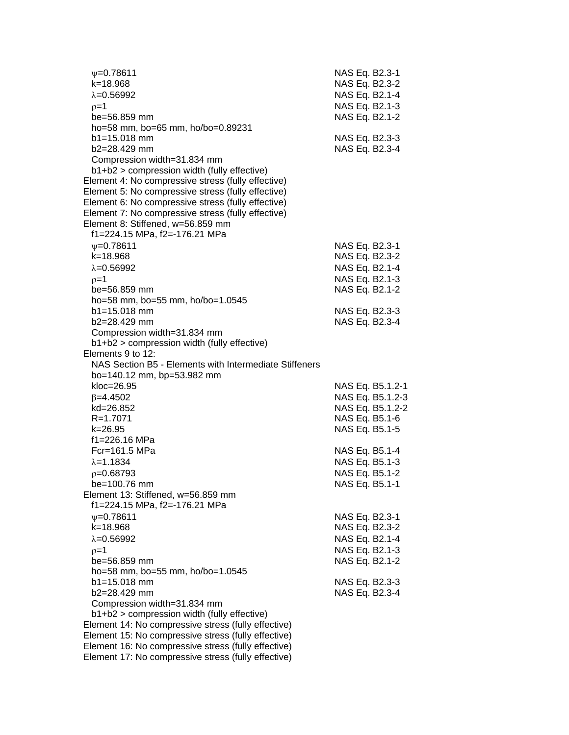| $\psi = 0.78611$<br>k=18.968                                        | NAS Eq. B2.3-1<br>NAS Eq. B2.3-2     |
|---------------------------------------------------------------------|--------------------------------------|
| $\lambda = 0.56992$                                                 | NAS Eq. B2.1-4                       |
| $p=1$                                                               | NAS Eq. B2.1-3                       |
| be=56.859 mm                                                        | NAS Eq. B2.1-2                       |
| ho=58 mm, bo=65 mm, ho/bo=0.89231                                   |                                      |
| $b1 = 15.018$ mm                                                    | NAS Eq. B2.3-3                       |
| b2=28.429 mm                                                        | NAS Eq. B2.3-4                       |
| Compression width=31.834 mm                                         |                                      |
| b1+b2 > compression width (fully effective)                         |                                      |
| Element 4: No compressive stress (fully effective)                  |                                      |
| Element 5: No compressive stress (fully effective)                  |                                      |
| Element 6: No compressive stress (fully effective)                  |                                      |
| Element 7: No compressive stress (fully effective)                  |                                      |
| Element 8: Stiffened, w=56.859 mm                                   |                                      |
| f1=224.15 MPa, f2=-176.21 MPa                                       |                                      |
| $\psi = 0.78611$                                                    | NAS Eq. B2.3-1                       |
| k=18.968                                                            | NAS Eq. B2.3-2                       |
| $\lambda = 0.56992$                                                 | NAS Eq. B2.1-4                       |
|                                                                     |                                      |
| $p=1$                                                               | NAS Eq. B2.1-3                       |
| be=56.859 mm                                                        | NAS Eq. B2.1-2                       |
| ho=58 mm, bo=55 mm, ho/bo=1.0545<br>$b1 = 15.018$ mm                |                                      |
| b2=28.429 mm                                                        | NAS Eq. B2.3-3                       |
|                                                                     | NAS Eq. B2.3-4                       |
| Compression width=31.834 mm                                         |                                      |
| $b1+b2$ > compression width (fully effective)<br>Elements 9 to 12:  |                                      |
| NAS Section B5 - Elements with Intermediate Stiffeners              |                                      |
| bo=140.12 mm, bp=53.982 mm                                          |                                      |
| $kloc=26.95$                                                        | NAS Eq. B5.1.2-1                     |
|                                                                     |                                      |
| $\beta = 4.4502$<br>kd=26.852                                       | NAS Eq. B5.1.2-3<br>NAS Eq. B5.1.2-2 |
| R=1.7071                                                            | NAS Eq. B5.1-6                       |
| k=26.95                                                             | NAS Eq. B5.1-5                       |
| f1=226.16 MPa                                                       |                                      |
| Fcr=161.5 MPa                                                       | NAS Eq. B5.1-4                       |
| $\lambda = 1.1834$                                                  |                                      |
|                                                                     | NAS Eq. B5.1-3                       |
| $p=0.68793$<br>be=100.76 mm                                         | NAS Eq. B5.1-2                       |
|                                                                     | NAS Eq. B5.1-1                       |
| Element 13: Stiffened, w=56.859 mm<br>f1=224.15 MPa, f2=-176.21 MPa |                                      |
|                                                                     |                                      |
| $V = 0.78611$                                                       | NAS Eq. B2.3-1                       |
| k=18.968                                                            | NAS Eq. B2.3-2                       |
| $\lambda = 0.56992$                                                 | NAS Eq. B2.1-4                       |
| $p=1$                                                               | NAS Eq. B2.1-3                       |
| be=56.859 mm                                                        | NAS Eq. B2.1-2                       |
| ho=58 mm, bo=55 mm, ho/bo=1.0545                                    |                                      |
| $b1 = 15.018$ mm                                                    | NAS Eq. B2.3-3                       |
| b2=28.429 mm                                                        | NAS Eq. B2.3-4                       |
| Compression width=31.834 mm                                         |                                      |
| b1+b2 > compression width (fully effective)                         |                                      |
| Element 14: No compressive stress (fully effective)                 |                                      |
| Element 15: No compressive stress (fully effective)                 |                                      |
| Element 16: No compressive stress (fully effective)                 |                                      |
| Element 17: No compressive stress (fully effective)                 |                                      |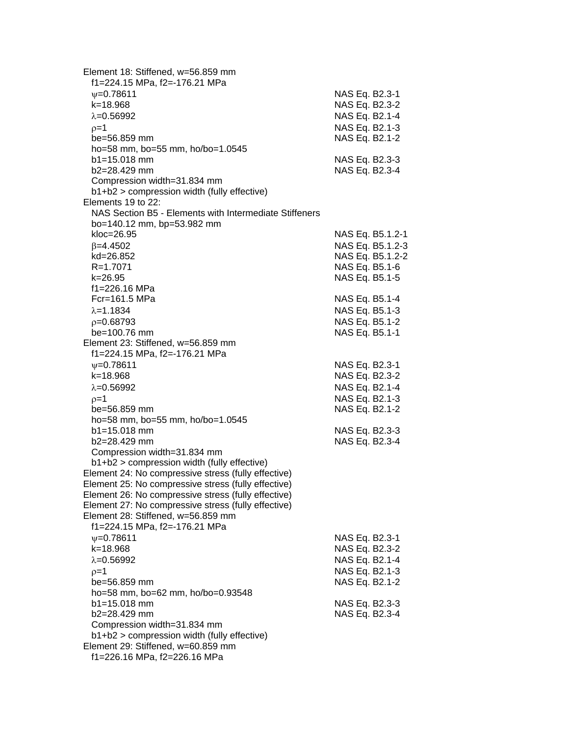| Element 18: Stiffened, w=56.859 mm<br>f1=224.15 MPa, f2=-176.21 MPa |                  |
|---------------------------------------------------------------------|------------------|
| $V = 0.78611$                                                       | NAS Eq. B2.3-1   |
| k=18.968                                                            | NAS Eq. B2.3-2   |
| $\lambda = 0.56992$                                                 | NAS Eq. B2.1-4   |
| $p=1$                                                               | NAS Eq. B2.1-3   |
| $be = 56.859$ mm                                                    | NAS Eq. B2.1-2   |
| ho=58 mm, bo=55 mm, ho/bo=1.0545                                    |                  |
| b1=15.018 mm                                                        | NAS Eq. B2.3-3   |
| b2=28.429 mm                                                        | NAS Eq. B2.3-4   |
| Compression width=31.834 mm                                         |                  |
| b1+b2 > compression width (fully effective)                         |                  |
| Elements 19 to 22:                                                  |                  |
| NAS Section B5 - Elements with Intermediate Stiffeners              |                  |
| bo=140.12 mm, bp=53.982 mm                                          |                  |
| $kloc=26.95$                                                        | NAS Eq. B5.1.2-1 |
| $\beta = 4.4502$                                                    | NAS Eq. B5.1.2-3 |
| kd=26.852                                                           | NAS Eq. B5.1.2-2 |
| R=1.7071                                                            | NAS Eq. B5.1-6   |
| k=26.95                                                             | NAS Eq. B5.1-5   |
| f1=226.16 MPa                                                       |                  |
| Fcr=161.5 MPa                                                       | NAS Eq. B5.1-4   |
| $\lambda = 1.1834$                                                  |                  |
|                                                                     | NAS Eq. B5.1-3   |
| $p=0.68793$                                                         | NAS Eq. B5.1-2   |
| be=100.76 mm                                                        | NAS Eq. B5.1-1   |
| Element 23: Stiffened, w=56.859 mm                                  |                  |
| f1=224.15 MPa, f2=-176.21 MPa                                       |                  |
| $\psi = 0.78611$                                                    | NAS Eq. B2.3-1   |
| k=18.968                                                            | NAS Eq. B2.3-2   |
| $\lambda = 0.56992$                                                 | NAS Eq. B2.1-4   |
| $p=1$                                                               | NAS Eq. B2.1-3   |
| be=56.859 mm                                                        | NAS Eq. B2.1-2   |
| ho=58 mm, bo=55 mm, ho/bo=1.0545                                    |                  |
| $b1 = 15.018$ mm                                                    | NAS Eq. B2.3-3   |
| $b2 = 28.429$ mm                                                    | NAS Eq. B2.3-4   |
| Compression width=31.834 mm                                         |                  |
| b1+b2 > compression width (fully effective)                         |                  |
| Element 24: No compressive stress (fully effective)                 |                  |
| Element 25: No compressive stress (fully effective)                 |                  |
| Element 26: No compressive stress (fully effective)                 |                  |
| Element 27: No compressive stress (fully effective)                 |                  |
| Element 28: Stiffened, w=56.859 mm                                  |                  |
| f1=224.15 MPa, f2=-176.21 MPa                                       |                  |
| $\psi = 0.78611$                                                    | NAS Eq. B2.3-1   |
| k=18.968                                                            | NAS Eq. B2.3-2   |
| $\lambda = 0.56992$                                                 | NAS Eq. B2.1-4   |
| $p=1$                                                               | NAS Eq. B2.1-3   |
| be=56.859 mm                                                        | NAS Eq. B2.1-2   |
| ho=58 mm, bo=62 mm, ho/bo=0.93548                                   |                  |
| $b1 = 15.018$ mm                                                    | NAS Eq. B2.3-3   |
| b2=28.429 mm                                                        | NAS Eq. B2.3-4   |
| Compression width=31.834 mm                                         |                  |
| b1+b2 > compression width (fully effective)                         |                  |
| Element 29: Stiffened, w=60.859 mm                                  |                  |
| f1=226.16 MPa, f2=226.16 MPa                                        |                  |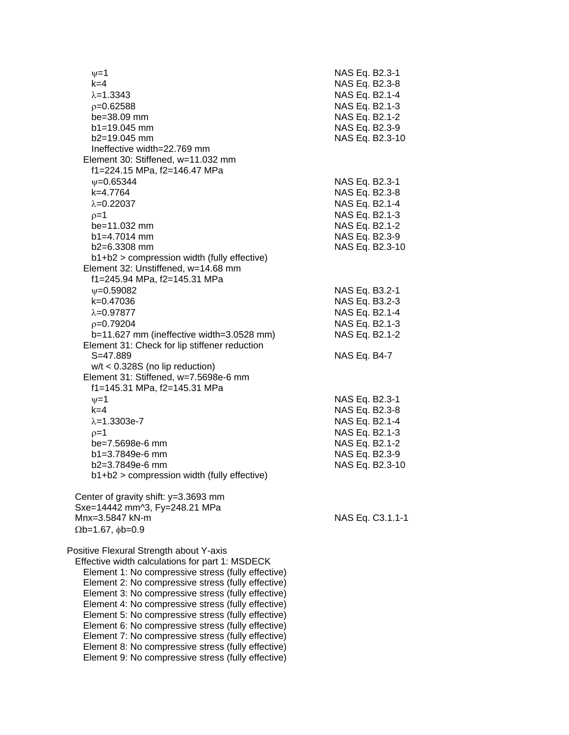| $\nu = 1$<br>$k=4$<br>$\lambda = 1.3343$                                                                                                                                                                                                                                                                           | NAS Eq. B2.3-1<br>NAS Eq. B2.3-8<br>NAS Eq. B2.1-4 |
|--------------------------------------------------------------------------------------------------------------------------------------------------------------------------------------------------------------------------------------------------------------------------------------------------------------------|----------------------------------------------------|
| $p=0.62588$<br>be=38.09 mm<br>$b1 = 19.045$ mm                                                                                                                                                                                                                                                                     | NAS Eq. B2.1-3<br>NAS Eq. B2.1-2<br>NAS Eq. B2.3-9 |
| $b2=19.045$ mm<br>Ineffective width=22.769 mm                                                                                                                                                                                                                                                                      | NAS Eq. B2.3-10                                    |
| Element 30: Stiffened, w=11.032 mm<br>f1=224.15 MPa, f2=146.47 MPa                                                                                                                                                                                                                                                 |                                                    |
| $\psi = 0.65344$<br>k=4.7764                                                                                                                                                                                                                                                                                       | NAS Eq. B2.3-1<br>NAS Eq. B2.3-8                   |
| $\lambda = 0.22037$<br>$p=1$                                                                                                                                                                                                                                                                                       | NAS Eq. B2.1-4<br>NAS Eq. B2.1-3                   |
| be=11.032 mm<br>$b1 = 4.7014$ mm                                                                                                                                                                                                                                                                                   | NAS Eq. B2.1-2<br>NAS Eq. B2.3-9                   |
| $b2=6.3308$ mm                                                                                                                                                                                                                                                                                                     | NAS Eq. B2.3-10                                    |
| b1+b2 > compression width (fully effective)<br>Element 32: Unstiffened, w=14.68 mm                                                                                                                                                                                                                                 |                                                    |
| f1=245.94 MPa, f2=145.31 MPa<br>$\psi = 0.59082$                                                                                                                                                                                                                                                                   | NAS Eq. B3.2-1                                     |
| k=0.47036                                                                                                                                                                                                                                                                                                          | NAS Eq. B3.2-3                                     |
| $\lambda = 0.97877$                                                                                                                                                                                                                                                                                                | NAS Eq. B2.1-4                                     |
| $p=0.79204$                                                                                                                                                                                                                                                                                                        | NAS Eq. B2.1-3                                     |
| b=11.627 mm (ineffective width=3.0528 mm)<br>Element 31: Check for lip stiffener reduction                                                                                                                                                                                                                         | NAS Eq. B2.1-2                                     |
| $S = 47.889$<br>$w/t < 0.328S$ (no lip reduction)<br>Element 31: Stiffened, w=7.5698e-6 mm<br>f1=145.31 MPa, f2=145.31 MPa                                                                                                                                                                                         | NAS Eq. B4-7                                       |
| $v = 1$                                                                                                                                                                                                                                                                                                            | NAS Eq. B2.3-1                                     |
| $k=4$                                                                                                                                                                                                                                                                                                              | NAS Eq. B2.3-8                                     |
| $\lambda = 1.3303e - 7$                                                                                                                                                                                                                                                                                            | NAS Eq. B2.1-4                                     |
| $p=1$                                                                                                                                                                                                                                                                                                              | NAS Eq. B2.1-3                                     |
| be=7.5698e-6 mm                                                                                                                                                                                                                                                                                                    | NAS Eq. B2.1-2                                     |
| b1=3.7849e-6 mm                                                                                                                                                                                                                                                                                                    | NAS Eq. B2.3-9                                     |
| $b2=3.7849e-6$ mm<br>b1+b2 > compression width (fully effective)                                                                                                                                                                                                                                                   | NAS Eq. B2.3-10                                    |
| Center of gravity shift: y=3.3693 mm<br>Sxe=14442 mm^3, Fy=248.21 MPa                                                                                                                                                                                                                                              |                                                    |
| Mnx=3.5847 kN-m<br>$\Omega$ b=1.67, $\phi$ b=0.9                                                                                                                                                                                                                                                                   | NAS Eq. C3.1.1-1                                   |
| Positive Flexural Strength about Y-axis<br>Effective width calculations for part 1: MSDECK<br>Element 1: No compressive stress (fully effective)<br>Element 2: No compressive stress (fully effective)<br>Element 3: No compressive stress (fully effective)<br>Element 4: No compressive stress (fully effective) |                                                    |
| Element 5: No compressive stress (fully effective)<br>Element 6: No compressive stress (fully effective)<br>Element 7: No compressive stress (fully effective)                                                                                                                                                     |                                                    |
| Element 8: No compressive stress (fully effective)<br>Element 9: No compressive stress (fully effective)                                                                                                                                                                                                           |                                                    |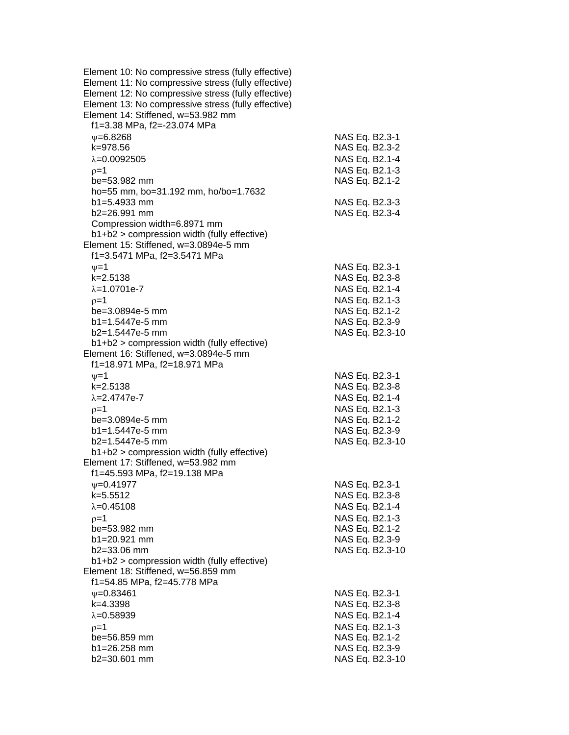| Element 10: No compressive stress (fully effective) |                 |
|-----------------------------------------------------|-----------------|
| Element 11: No compressive stress (fully effective) |                 |
| Element 12: No compressive stress (fully effective) |                 |
| Element 13: No compressive stress (fully effective) |                 |
| Element 14: Stiffened, w=53.982 mm                  |                 |
| f1=3.38 MPa, f2=-23.074 MPa                         |                 |
|                                                     |                 |
| $\psi = 6.8268$                                     | NAS Eq. B2.3-1  |
| k=978.56                                            | NAS Eq. B2.3-2  |
| $\lambda = 0.0092505$                               | NAS Eq. B2.1-4  |
| $p=1$                                               | NAS Eq. B2.1-3  |
| be=53.982 mm                                        | NAS Eq. B2.1-2  |
| ho=55 mm, bo=31.192 mm, ho/bo=1.7632                |                 |
| $b1 = 5.4933$ mm                                    | NAS Eq. B2.3-3  |
| b2=26.991 mm                                        | NAS Eq. B2.3-4  |
| Compression width=6.8971 mm                         |                 |
| $b1+b2$ > compression width (fully effective)       |                 |
|                                                     |                 |
| Element 15: Stiffened, w=3.0894e-5 mm               |                 |
| f1=3.5471 MPa, f2=3.5471 MPa                        |                 |
| $\nu = 1$                                           | NAS Eq. B2.3-1  |
| $k = 2.5138$                                        | NAS Eq. B2.3-8  |
| $\lambda = 1.0701e-7$                               | NAS Eq. B2.1-4  |
| $p=1$                                               | NAS Eq. B2.1-3  |
| be=3.0894e-5 mm                                     | NAS Eq. B2.1-2  |
| b1=1.5447e-5 mm                                     | NAS Eq. B2.3-9  |
| $b2=1.5447e-5$ mm                                   | NAS Eq. B2.3-10 |
| $b1+b2$ > compression width (fully effective)       |                 |
| Element 16: Stiffened, w=3.0894e-5 mm               |                 |
| f1=18.971 MPa, f2=18.971 MPa                        |                 |
| $\nu = 1$                                           |                 |
|                                                     | NAS Eq. B2.3-1  |
| k=2.5138                                            | NAS Eq. B2.3-8  |
| $\lambda = 2.4747e - 7$                             | NAS Eq. B2.1-4  |
| $p=1$                                               | NAS Eq. B2.1-3  |
| be=3.0894e-5 mm                                     | NAS Eq. B2.1-2  |
| $b1 = 1.5447e-5$ mm                                 | NAS Eq. B2.3-9  |
| b2=1.5447e-5 mm                                     | NAS Eq. B2.3-10 |
| b1+b2 > compression width (fully effective)         |                 |
| Element 17: Stiffened, w=53.982 mm                  |                 |
| f1=45.593 MPa, f2=19.138 MPa                        |                 |
| $\psi = 0.41977$                                    | NAS Eq. B2.3-1  |
| k=5.5512                                            | NAS Eq. B2.3-8  |
| $\lambda = 0.45108$                                 | NAS Eq. B2.1-4  |
|                                                     | NAS Eq. B2.1-3  |
| $p=1$                                               |                 |
| be=53.982 mm                                        | NAS Eq. B2.1-2  |
| b1=20.921 mm                                        | NAS Eq. B2.3-9  |
| b2=33.06 mm                                         | NAS Eq. B2.3-10 |
| $b1+b2$ > compression width (fully effective)       |                 |
| Element 18: Stiffened, w=56.859 mm                  |                 |
| f1=54.85 MPa, f2=45.778 MPa                         |                 |
| $\psi = 0.83461$                                    | NAS Eq. B2.3-1  |
| k=4.3398                                            | NAS Eq. B2.3-8  |
| $\lambda = 0.58939$                                 | NAS Eq. B2.1-4  |
| $p=1$                                               | NAS Eq. B2.1-3  |
| be=56.859 mm                                        | NAS Eq. B2.1-2  |
| b1=26.258 mm                                        | NAS Eq. B2.3-9  |
| b2=30.601 mm                                        | NAS Eq. B2.3-10 |
|                                                     |                 |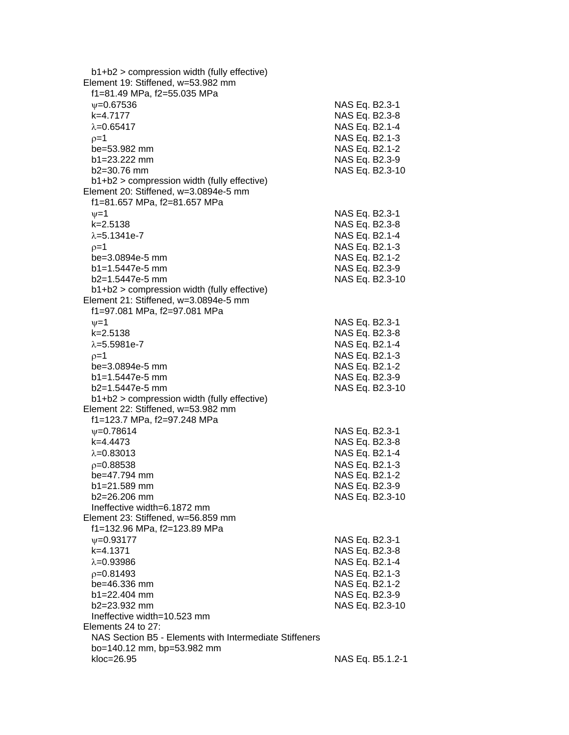| $b1+b2$ > compression width (fully effective)          |                  |
|--------------------------------------------------------|------------------|
| Element 19: Stiffened, w=53.982 mm                     |                  |
| f1=81.49 MPa, f2=55.035 MPa                            |                  |
| $\psi = 0.67536$                                       | NAS Eq. B2.3-1   |
| k=4.7177                                               | NAS Eq. B2.3-8   |
| $\lambda = 0.65417$                                    | NAS Eq. B2.1-4   |
| $p=1$                                                  | NAS Eq. B2.1-3   |
| be=53.982 mm                                           |                  |
|                                                        | NAS Eq. B2.1-2   |
| $b1 = 23.222$ mm                                       | NAS Eq. B2.3-9   |
| $b2 = 30.76$ mm                                        | NAS Eq. B2.3-10  |
| $b1+b2$ > compression width (fully effective)          |                  |
| Element 20: Stiffened, w=3.0894e-5 mm                  |                  |
| f1=81.657 MPa, f2=81.657 MPa                           |                  |
| $\nu = 1$                                              | NAS Eq. B2.3-1   |
| k=2.5138                                               | NAS Eq. B2.3-8   |
| $\lambda = 5.1341e - 7$                                | NAS Eq. B2.1-4   |
| $p=1$                                                  | NAS Eq. B2.1-3   |
| be=3.0894e-5 mm                                        | NAS Eq. B2.1-2   |
| $b1 = 1.5447e-5$ mm                                    | NAS Eq. B2.3-9   |
| b2=1.5447e-5 mm                                        | NAS Eq. B2.3-10  |
| $b1+b2$ > compression width (fully effective)          |                  |
| Element 21: Stiffened, w=3.0894e-5 mm                  |                  |
| f1=97.081 MPa, f2=97.081 MPa                           |                  |
| $\nu = 1$                                              | NAS Eq. B2.3-1   |
| $k = 2.5138$                                           | NAS Eq. B2.3-8   |
| $\lambda = 5.5981e - 7$                                | NAS Eq. B2.1-4   |
|                                                        |                  |
| $p=1$                                                  | NAS Eq. B2.1-3   |
| be=3.0894e-5 mm                                        | NAS Eq. B2.1-2   |
| b1=1.5447e-5 mm                                        | NAS Eq. B2.3-9   |
| $b2=1.5447e-5$ mm                                      | NAS Eq. B2.3-10  |
| $b1+b2$ > compression width (fully effective)          |                  |
| Element 22: Stiffened, w=53.982 mm                     |                  |
| f1=123.7 MPa, f2=97.248 MPa                            |                  |
| $\psi = 0.78614$                                       | NAS Eq. B2.3-1   |
| k=4.4473                                               | NAS Eq. B2.3-8   |
| $\lambda = 0.83013$                                    | NAS Eq. B2.1-4   |
| $p=0.88538$                                            | NAS Eq. B2.1-3   |
| be=47.794 mm                                           | NAS Eq. B2.1-2   |
| b1=21.589 mm                                           | NAS Eq. B2.3-9   |
| b2=26.206 mm                                           | NAS Eq. B2.3-10  |
| Ineffective width=6.1872 mm                            |                  |
| Element 23: Stiffened, w=56.859 mm                     |                  |
| f1=132.96 MPa, f2=123.89 MPa                           |                  |
| $V = 0.93177$                                          | NAS Eq. B2.3-1   |
| k=4.1371                                               | NAS Eq. B2.3-8   |
| $\lambda = 0.93986$                                    | NAS Eq. B2.1-4   |
| $p=0.81493$                                            | NAS Eq. B2.1-3   |
| be=46.336 mm                                           | NAS Eq. B2.1-2   |
| $b1 = 22.404$ mm                                       | NAS Eq. B2.3-9   |
| $b2 = 23.932$ mm                                       | NAS Eq. B2.3-10  |
| Ineffective width=10.523 mm                            |                  |
| Elements 24 to 27:                                     |                  |
| NAS Section B5 - Elements with Intermediate Stiffeners |                  |
|                                                        |                  |
| bo=140.12 mm, bp=53.982 mm                             |                  |
| kloc=26.95                                             | NAS Eq. B5.1.2-1 |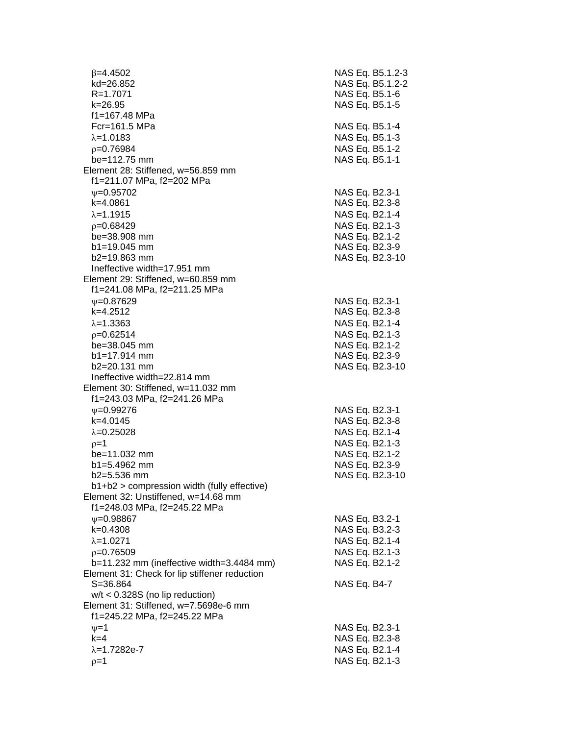$\beta$ =4.4502 NAS Eq. B5.1.2-3 kd=26.852 NAS Eq. B5.1.2-2 R=1.7071 NAS Eq. B5.1-6 k=26.95 NAS Eq. B5.1-5 f1=167.48 MPa Fcr=161.5 MPa NAS Eq. B5.1-4  $\lambda = 1.0183$  NAS Eq. B5.1-3  $p=0.76984$  NAS Eq. B5.1-2 be=112.75 mm NAS Eq. B5.1-1 Element 28: Stiffened, w=56.859 mm f1=211.07 MPa, f2=202 MPa  $\nu$ =0.95702 NAS Eq. B2.3-1 k=4.0861 NAS Eq. B2.3-8  $\lambda = 1.1915$  NAS Eq. B2.1-4 =0.68429 NAS Eq. B2.1-3 be=38.908 mm NAS Eq. B2.1-2 b1=19.045 mm NAS Eq. B2.3-9 b2=19.863 mm NAS Eq. B2.3-10 Ineffective width=17.951 mm Element 29: Stiffened, w=60.859 mm f1=241.08 MPa, f2=211.25 MPa w=0.87629 NAS Eq. B2.3-1 k=4.2512 NAS Eq. B2.3-8  $\lambda$ =1.3363 NAS Eq. B2.1-4 =0.62514 NAS Eq. B2.1-3 be=38.045 mm NAS Eq. B2.1-2 b1=17.914 mm NAS Eq. B2.3-9 b2=20.131 mm NAS Eq. B2.3-10 Ineffective width=22.814 mm Element 30: Stiffened, w=11.032 mm f1=243.03 MPa, f2=241.26 MPa  $\nu$ =0.99276 NAS Eq. B2.3-1 k=4.0145 NAS Eq. B2.3-8  $\lambda = 0.25028$  NAS Eq. B2.1-4  $p=1$  NAS Eq. B2.1-3 be=11.032 mm NAS Eq. B2.1-2 b1=5.4962 mm NAS Eq. B2.3-9 b2=5.536 mm NAS Eq. B2.3-10 b1+b2 > compression width (fully effective) Element 32: Unstiffened, w=14.68 mm f1=248.03 MPa, f2=245.22 MPa =0.98867 NAS Eq. B3.2-1 k=0.4308 NAS Eq. B3.2-3  $\lambda$ =1.0271 NAS Eq. B2.1-4  $p=0.76509$  NAS Eq. B2.1-3 b=11.232 mm (ineffective width=3.4484 mm) NAS Eq. B2.1-2 Element 31: Check for lip stiffener reduction S=36.864 NAS Eq. B4-7 w/t < 0.328S (no lip reduction) Element 31: Stiffened, w=7.5698e-6 mm f1=245.22 MPa, f2=245.22 MPa  $v=1$  NAS Eq. B2.3-1 k=4 NAS Eq. B2.3-8  $\lambda = 1.7282e - 7$  NAS Eq. B2.1-4  $\rho=1$  NAS Eq. B2.1-3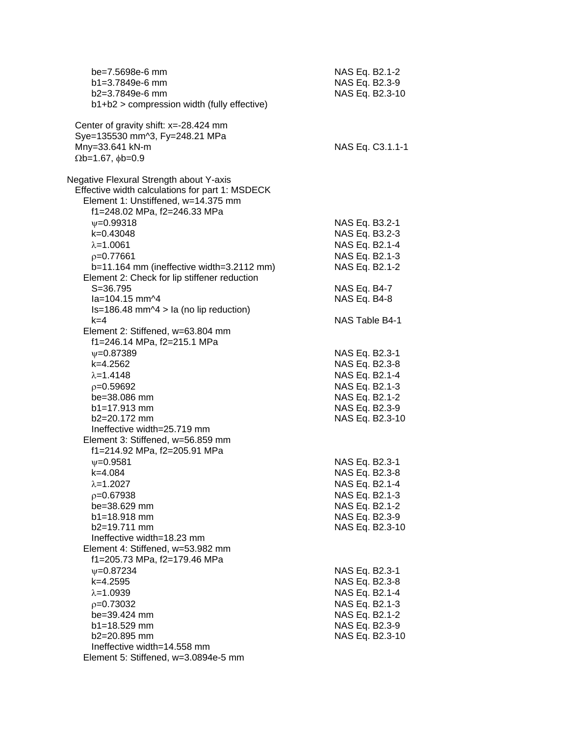| be=7.5698e-6 mm<br>$b1 = 3.7849e-6$ mm<br>b2=3.7849e-6 mm<br>b1+b2 > compression width (fully effective)                                                          | NAS Eq. B2.1-2<br>NAS Eq. B2.3-9<br>NAS Eq. B2.3-10 |
|-------------------------------------------------------------------------------------------------------------------------------------------------------------------|-----------------------------------------------------|
| Center of gravity shift: $x = -28.424$ mm<br>Sye=135530 mm^3, Fy=248.21 MPa<br>Mny=33.641 kN-m<br>$\Omega$ b=1.67, $\phi$ b=0.9                                   | NAS Eq. C3.1.1-1                                    |
| Negative Flexural Strength about Y-axis<br>Effective width calculations for part 1: MSDECK<br>Element 1: Unstiffened, w=14.375 mm<br>f1=248.02 MPa, f2=246.33 MPa |                                                     |
| $\psi = 0.99318$                                                                                                                                                  | NAS Eq. B3.2-1                                      |
| $k=0.43048$                                                                                                                                                       | NAS Eq. B3.2-3                                      |
| $\lambda = 1.0061$                                                                                                                                                | NAS Eq. B2.1-4                                      |
| $p=0.77661$                                                                                                                                                       | NAS Eq. B2.1-3                                      |
| b=11.164 mm (ineffective width=3.2112 mm)                                                                                                                         | NAS Eq. B2.1-2                                      |
| Element 2: Check for lip stiffener reduction                                                                                                                      |                                                     |
| $S = 36.795$                                                                                                                                                      | NAS Eq. B4-7                                        |
| la=104.15 mm^4                                                                                                                                                    | NAS Eq. B4-8                                        |
| $Is=186.48$ mm $\textdegree$ 4 > la (no lip reduction)                                                                                                            |                                                     |
| $k = 4$                                                                                                                                                           | NAS Table B4-1                                      |
| Element 2: Stiffened, w=63.804 mm                                                                                                                                 |                                                     |
| f1=246.14 MPa, f2=215.1 MPa                                                                                                                                       |                                                     |
| $\psi = 0.87389$                                                                                                                                                  | NAS Eq. B2.3-1                                      |
| k=4.2562                                                                                                                                                          | NAS Eq. B2.3-8                                      |
| $\lambda = 1.4148$                                                                                                                                                | NAS Eq. B2.1-4                                      |
| $p=0.59692$                                                                                                                                                       | NAS Eq. B2.1-3                                      |
| be=38.086 mm                                                                                                                                                      | NAS Eq. B2.1-2                                      |
| b1=17.913 mm                                                                                                                                                      | NAS Eq. B2.3-9                                      |
| b2=20.172 mm                                                                                                                                                      | NAS Eq. B2.3-10                                     |
| Ineffective width=25.719 mm                                                                                                                                       |                                                     |
| Element 3: Stiffened, w=56.859 mm                                                                                                                                 |                                                     |
| f1=214.92 MPa, f2=205.91 MPa                                                                                                                                      |                                                     |
| $V = 0.9581$                                                                                                                                                      | NAS Eq. B2.3-1                                      |
| $k = 4.084$                                                                                                                                                       | NAS Eq. B2.3-8                                      |
| $\lambda = 1.2027$                                                                                                                                                | NAS Eq. B2.1-4                                      |
| $p=0.67938$                                                                                                                                                       | NAS Eq. B2.1-3                                      |
| $be = 38.629$ mm                                                                                                                                                  | NAS Eq. B2.1-2                                      |
| $b1 = 18.918$ mm                                                                                                                                                  | NAS Eq. B2.3-9                                      |
| b2=19.711 mm                                                                                                                                                      | NAS Eq. B2.3-10                                     |
| Ineffective width=18.23 mm                                                                                                                                        |                                                     |
| Element 4: Stiffened, w=53.982 mm                                                                                                                                 |                                                     |
| f1=205.73 MPa, f2=179.46 MPa                                                                                                                                      |                                                     |
| $\psi = 0.87234$                                                                                                                                                  | NAS Eq. B2.3-1                                      |
| k=4.2595                                                                                                                                                          | NAS Eq. B2.3-8                                      |
| $\lambda = 1.0939$                                                                                                                                                | NAS Eq. B2.1-4                                      |
| $p=0.73032$                                                                                                                                                       | NAS Eq. B2.1-3                                      |
| be=39.424 mm                                                                                                                                                      | NAS Eq. B2.1-2                                      |
| $b1 = 18.529$ mm                                                                                                                                                  | NAS Eq. B2.3-9                                      |
| b2=20.895 mm                                                                                                                                                      | NAS Eq. B2.3-10                                     |
| Ineffective width=14.558 mm                                                                                                                                       |                                                     |
| Element 5: Stiffened, w=3.0894e-5 mm                                                                                                                              |                                                     |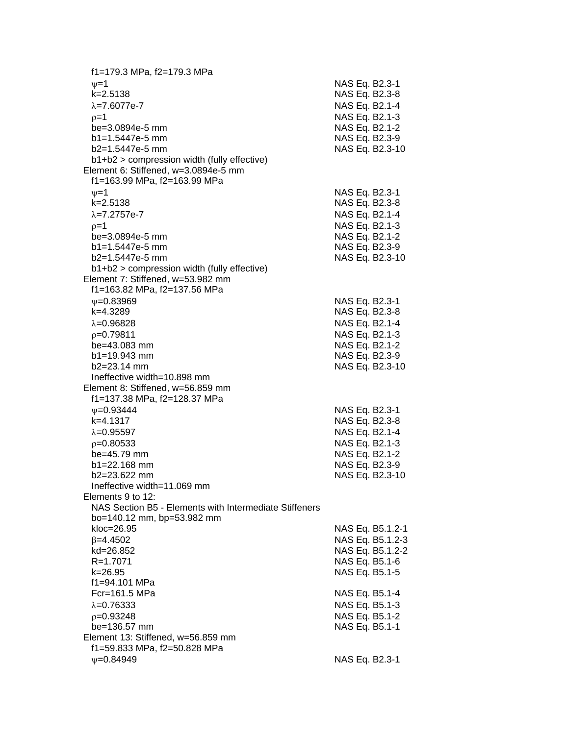f1=179.3 MPa, f2=179.3 MPa  $\nu=1$  NAS Eq. B2.3-1 k=2.5138 NAS Eq. B2.3-8  $\lambda$ =7.6077e-7  $\lambda$  MAS Eq. B2.1-4  $p=1$  NAS Eq. B2.1-3 be=3.0894e-5 mm NAS Eq. B2.1-2 b1=1.5447e-5 mm NAS Eq. B2.3-9 b2=1.5447e-5 mm NAS Eq. B2.3-10 b1+b2 > compression width (fully effective) Element 6: Stiffened, w=3.0894e-5 mm f1=163.99 MPa, f2=163.99 MPa  $v = 1$  NAS Eq. B2.3-1 k=2.5138 NAS Eq. B2.3-8  $\lambda$ =7.2757e-7 NAS Eq. B2.1-4  $p=1$  NAS Eq. B2.1-3 be=3.0894e-5 mm NAS Eq. B2.1-2 b1=1.5447e-5 mm NAS Eq. B2.3-9 b2=1.5447e-5 mm NAS Eq. B2.3-10 b1+b2 > compression width (fully effective) Element 7: Stiffened, w=53.982 mm f1=163.82 MPa, f2=137.56 MPa w=0.83969 NAS Eq. B2.3-1 k=4.3289 NAS Eq. B2.3-8  $\lambda$ =0.96828 NAS Eq. B2.1-4 =0.79811 NAS Eq. B2.1-3 be=43.083 mm NAS Eq. B2.1-2 b1=19.943 mm NAS Eq. B2.3-9 b2=23.14 mm NAS Eq. B2.3-10 Ineffective width=10.898 mm Element 8: Stiffened, w=56.859 mm f1=137.38 MPa, f2=128.37 MPa  $\nu$ =0.93444 NAS Eq. B2.3-1 k=4.1317 NAS Eq. B2.3-8  $\lambda = 0.95597$  NAS Eq. B2.1-4  $p=0.80533$  NAS Eq. B2.1-3 be=45.79 mm NAS Eq. B2.1-2 b1=22.168 mm NAS Eq. B2.3-9 b2=23.622 mm NAS Eq. B2.3-10 Ineffective width=11.069 mm Elements 9 to 12: NAS Section B5 - Elements with Intermediate Stiffeners bo=140.12 mm, bp=53.982 mm kloc=26.95 NAS Eq. B5.1.2-1  $\beta$ =4.4502 NAS Eq. B5.1.2-3 kd=26.852 NAS Eq. B5.1.2-2 R=1.7071 NAS Eq. B5.1-6 k=26.95 NAS Eq. B5.1-5 f1=94.101 MPa Fcr=161.5 MPa NAS Eq. B5.1-4  $\lambda$ =0.76333 NAS Eq. B5.1-3  $p=0.93248$  NAS Eq. B5.1-2 be=136.57 mm NAS Eq. B5.1-1 Element 13: Stiffened, w=56.859 mm f1=59.833 MPa, f2=50.828 MPa w=0.84949 NAS Eq. B2.3-1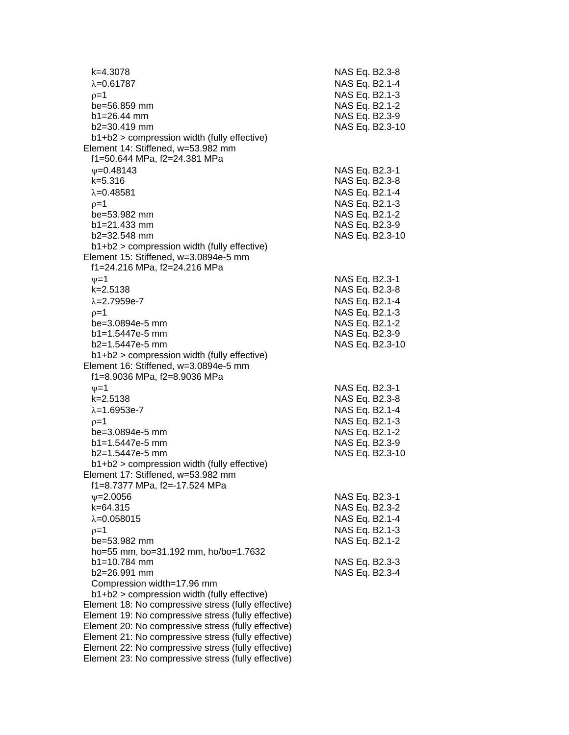| k=4.3078<br>$\lambda = 0.61787$                                                                            | NAS Eq. B2.3-8<br>NAS Eq. B2.1-4 |
|------------------------------------------------------------------------------------------------------------|----------------------------------|
| $p=1$                                                                                                      | NAS Eq. B2.1-3                   |
| be=56.859 mm                                                                                               | NAS Eq. B2.1-2                   |
| $b1 = 26.44$ mm                                                                                            | NAS Eq. B2.3-9                   |
| b2=30.419 mm                                                                                               | NAS Eq. B2.3-10                  |
| b1+b2 > compression width (fully effective)                                                                |                                  |
| Element 14: Stiffened, w=53.982 mm                                                                         |                                  |
| f1=50.644 MPa, f2=24.381 MPa                                                                               |                                  |
| $V = 0.48143$                                                                                              | NAS Eq. B2.3-1                   |
| $k = 5.316$                                                                                                | NAS Eq. B2.3-8                   |
| $\lambda = 0.48581$                                                                                        | NAS Eq. B2.1-4                   |
| $p=1$                                                                                                      | NAS Eq. B2.1-3                   |
| be=53.982 mm                                                                                               | NAS Eq. B2.1-2                   |
| $b1 = 21.433$ mm                                                                                           | NAS Eq. B2.3-9                   |
| b2=32.548 mm                                                                                               | NAS Eq. B2.3-10                  |
| b1+b2 > compression width (fully effective)                                                                |                                  |
| Element 15: Stiffened, w=3.0894e-5 mm                                                                      |                                  |
| f1=24.216 MPa, f2=24.216 MPa                                                                               |                                  |
| $\nu = 1$                                                                                                  | NAS Eq. B2.3-1                   |
| $k = 2.5138$                                                                                               | NAS Eq. B2.3-8                   |
| $\lambda = 2.7959e - 7$                                                                                    | NAS Eq. B2.1-4                   |
| $0=1$                                                                                                      | NAS Eq. B2.1-3                   |
| be=3.0894e-5 mm                                                                                            | NAS Eq. B2.1-2                   |
| b1=1.5447e-5 mm                                                                                            | NAS Eq. B2.3-9                   |
| b2=1.5447e-5 mm                                                                                            | NAS Eq. B2.3-10                  |
| $b1+b2$ > compression width (fully effective)<br>Element 16: Stiffened, w=3.0894e-5 mm                     |                                  |
| f1=8.9036 MPa, f2=8.9036 MPa                                                                               |                                  |
| $\nu = 1$                                                                                                  | NAS Eq. B2.3-1                   |
| $k = 2.5138$                                                                                               | NAS Eq. B2.3-8                   |
| $\lambda = 1.6953e-7$                                                                                      | NAS Eq. B2.1-4                   |
| $p=1$                                                                                                      | NAS Eq. B2.1-3                   |
| be=3.0894e-5 mm                                                                                            | NAS Eq. B2.1-2                   |
| b1=1.5447e-5 mm                                                                                            | NAS Eq. B2.3-9                   |
| b2=1.5447e-5 mm                                                                                            | NAS Eq. B2.3-10                  |
| b1+b2 > compression width (fully effective)                                                                |                                  |
| Element 17: Stiffened, w=53.982 mm                                                                         |                                  |
| f1=8.7377 MPa, f2=-17.524 MPa                                                                              |                                  |
| $\nu = 2.0056$                                                                                             | NAS Eq. B2.3-1                   |
| $k = 64.315$                                                                                               | NAS Eq. B2.3-2                   |
| $\lambda = 0.058015$                                                                                       | NAS Eq. B2.1-4                   |
| $p=1$                                                                                                      | NAS Eq. B2.1-3                   |
| be=53.982 mm                                                                                               | NAS Eq. B2.1-2                   |
| ho=55 mm, bo=31.192 mm, ho/bo=1.7632                                                                       |                                  |
| $b1 = 10.784$ mm                                                                                           | NAS Eq. B2.3-3                   |
| b2=26.991 mm                                                                                               | NAS Eq. B2.3-4                   |
| Compression width=17.96 mm                                                                                 |                                  |
| b1+b2 > compression width (fully effective)                                                                |                                  |
| Element 18: No compressive stress (fully effective)<br>Element 19: No compressive stress (fully effective) |                                  |
| Element 20: No compressive stress (fully effective)                                                        |                                  |
| Element 21: No compressive stress (fully effective)                                                        |                                  |
| Element 22: No compressive stress (fully effective)                                                        |                                  |
| Element 23: No compressive stress (fully effective)                                                        |                                  |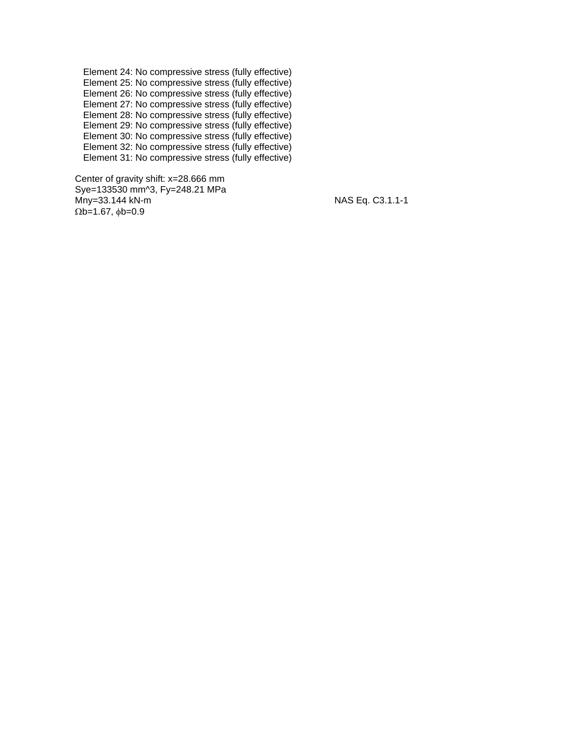Element 24: No compressive stress (fully effective) Element 25: No compressive stress (fully effective) Element 26: No compressive stress (fully effective) Element 27: No compressive stress (fully effective) Element 28: No compressive stress (fully effective) Element 29: No compressive stress (fully effective) Element 30: No compressive stress (fully effective) Element 32: No compressive stress (fully effective) Element 31: No compressive stress (fully effective)

 Center of gravity shift: x=28.666 mm Sye=133530 mm^3, Fy=248.21 MPa Mny=33.144 kN-m NAS Eq. C3.1.1-1  $\Omega$ b=1.67,  $\phi$ b=0.9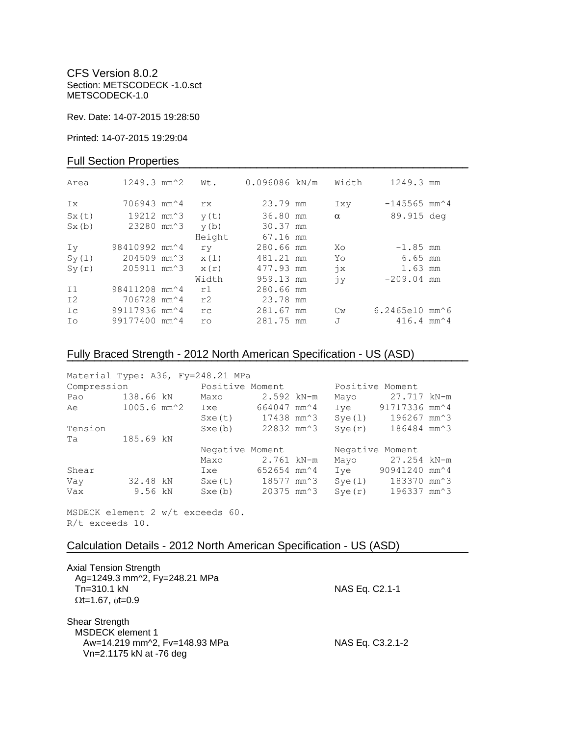CFS Version 8.0.2 Section: METSCODECK -1.0.sct METSCODECK-1.0

Rev. Date: 14-07-2015 19:28:50

Printed: 14-07-2015 19:29:04

## Full Section Properties

| Area           | $1249.3$ mm <sup><math>\textdegree</math>2</sup> | Wt.       | 0.096086 kN/m | Width         | 1249.3 mm                                   |  |
|----------------|--------------------------------------------------|-----------|---------------|---------------|---------------------------------------------|--|
| Ix             | 706943 mm <sup><math>\sim</math>4</sup>          | rx        | 23.79 mm      | Ixy           | $-145565$ mm <sup><math>\sim</math></sup> 4 |  |
| Sx(t)          | 19212 mm <sup><math>3</math></sup>               | y(t)      | 36.80 mm      | $\alpha$      | 89.915 deg                                  |  |
| Sx(b)          | 23280 mm <sup><math>3</math></sup>               | y(b)      | 30.37 mm      |               |                                             |  |
|                |                                                  | Height    | 67.16 mm      |               |                                             |  |
| Iv             | 98410992 mm <sup>2</sup> 4                       | ry        | 280.66 mm     | Xo            | $-1.85$ mm                                  |  |
| Sy(1)          | 204509 mm <sup>2</sup> 3                         | x(1)      | 481.21 mm     | Yo            | $6.65$ mm                                   |  |
| Sy(r)          | 205911 mm <sup>2</sup> 3                         | x(r)      | 477.93 mm     | $\dot{x}$     | 1.63 mm                                     |  |
|                |                                                  | Width     | 959.13 mm     | jу            | $-209.04$ mm                                |  |
| I <sub>1</sub> | 98411208 mm <sup>2</sup> 4                       | r1        | 280.66 mm     |               |                                             |  |
| I2             | 706728 mm <sup>2</sup> 4                         | r2        | 23.78 mm      |               |                                             |  |
| Ic             | 99117936 mm <sup>2</sup> 4                       | rc        | 281.67 mm     | $\mathbb{C}w$ | $6.2465e10$ mm $^6$                         |  |
| Ιo             | 99177400 mm <sup>2</sup> 4                       | <b>ro</b> | 281.75 mm     | J             | $416.4$ mm <sup><math>\sim</math></sup> 4   |  |

# Fully Braced Strength - 2012 North American Specification - US (ASD)

| Material Type: A36, Fy=248.21 MPa |                  |                 |                          |                 |                          |  |
|-----------------------------------|------------------|-----------------|--------------------------|-----------------|--------------------------|--|
| Compression                       |                  | Positive Moment |                          | Positive Moment |                          |  |
| Pao                               | 138.66 kN        | Maxo            | $2.592$ kN-m             | Mayo            | 27.717 kN-m              |  |
| Ae                                | $1005.6$ mm $^2$ | Ixe             | 664047 mm <sup>2</sup> 4 | Ive             | 91717336 mm^4            |  |
|                                   |                  | Sxe(t)          | 17438 mm^3               | Sye(1)          | 196267 mm^3              |  |
| Tension                           |                  | Sxe(b)          | 22832 mm^3               | Sye(r)          | 186484 mm^3              |  |
| Та                                | 185.69 kN        |                 |                          |                 |                          |  |
|                                   |                  | Negative Moment |                          | Negative Moment |                          |  |
|                                   |                  | Maxo            | 2.761 kN-m               |                 | Mayo 27.254 kN-m         |  |
| Shear                             |                  | Ixe             | 652654 mm^4              | Ive             | 90941240 mm^4            |  |
| Vay                               | 32.48 kN         | Sxe(t)          | 18577 mm^3               | Sye(1)          | 183370 mm <sup>2</sup> 3 |  |
| Vax                               | 9.56 kN          | Sxe(b)          | 20375 mm^3               | Sye(r)          | 196337 mm^3              |  |

**¯¯¯¯¯¯¯¯¯¯¯¯¯¯¯¯¯¯¯¯¯¯¯¯¯¯¯¯¯¯¯¯¯¯¯¯¯¯¯¯¯¯¯¯¯¯¯¯¯¯¯¯¯¯¯¯¯¯¯¯¯¯¯¯¯¯¯¯¯¯¯¯**

MSDECK element 2 w/t exceeds 60. R/t exceeds 10.

## Calculation Details - 2012 North American Specification - US (ASD)

| <b>Axial Tension Strength</b><br>Ag=1249.3 mm^2, Fy=248.21 MPa<br>Tn=310.1 kN                                                          | NAS Eq. C2.1-1   |
|----------------------------------------------------------------------------------------------------------------------------------------|------------------|
| $\Omega$ t=1.67, $\phi$ t=0.9<br>Shear Strength<br><b>MSDECK</b> element 1<br>Aw=14.219 mm^2, Fv=148.93 MPa<br>Vn=2.1175 kN at -76 deg | NAS Eq. C3.2.1-2 |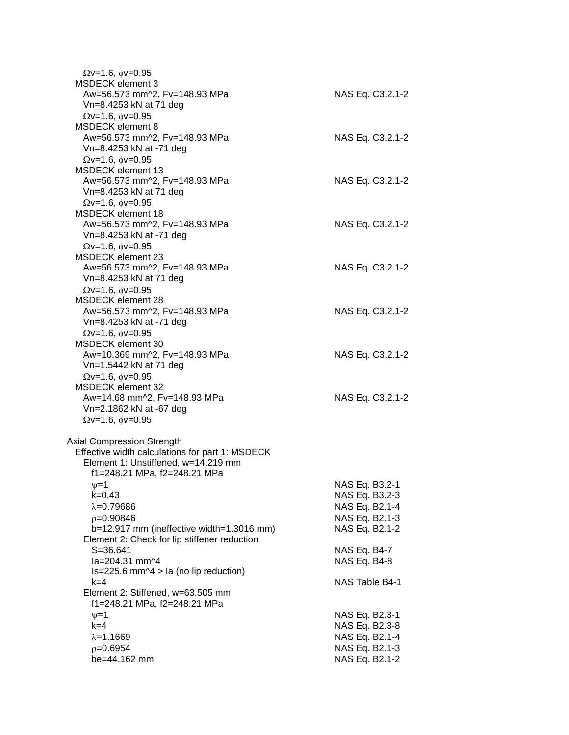| $\Omega v = 1.6$ , $\phi v = 0.95$<br><b>MSDECK</b> element 3 |                  |
|---------------------------------------------------------------|------------------|
| Aw=56.573 mm^2, Fv=148.93 MPa<br>Vn=8.4253 kN at 71 deg       | NAS Eq. C3.2.1-2 |
| $\Omega$ v=1.6, $\phi$ v=0.95                                 |                  |
| <b>MSDECK</b> element 8                                       |                  |
| Aw=56.573 mm^2, Fv=148.93 MPa                                 | NAS Eq. C3.2.1-2 |
| Vn=8.4253 kN at -71 deg                                       |                  |
| $Qv=1.6$ , $\phi v=0.95$                                      |                  |
| <b>MSDECK</b> element 13                                      |                  |
| Aw=56.573 mm^2, Fv=148.93 MPa                                 | NAS Eq. C3.2.1-2 |
| Vn=8.4253 kN at 71 deg                                        |                  |
| $Qv=1.6$ , $\phi v=0.95$                                      |                  |
| MSDECK element 18                                             |                  |
| Aw=56.573 mm^2, Fv=148.93 MPa                                 | NAS Eq. C3.2.1-2 |
| Vn=8.4253 kN at -71 deg                                       |                  |
| $\Omega$ v=1.6, $\phi$ v=0.95                                 |                  |
| <b>MSDECK element 23</b>                                      |                  |
| Aw=56.573 mm^2, Fv=148.93 MPa                                 | NAS Eq. C3.2.1-2 |
| Vn=8.4253 kN at 71 deg                                        |                  |
| $Qv=1.6$ , $\phi v=0.95$                                      |                  |
| <b>MSDECK</b> element 28                                      |                  |
| Aw=56.573 mm^2, Fv=148.93 MPa                                 | NAS Eq. C3.2.1-2 |
| Vn=8.4253 kN at -71 deg                                       |                  |
| $Qv=1.6$ , $\phi v=0.95$                                      |                  |
| <b>MSDECK</b> element 30                                      |                  |
| Aw=10.369 mm^2, Fv=148.93 MPa                                 | NAS Eq. C3.2.1-2 |
| Vn=1.5442 kN at 71 deg                                        |                  |
| $\Omega$ v=1.6, $\phi$ v=0.95                                 |                  |
| <b>MSDECK element 32</b><br>Aw=14.68 mm^2, Fv=148.93 MPa      | NAS Eq. C3.2.1-2 |
| Vn=2.1862 kN at -67 deg                                       |                  |
| $\Omega$ v=1.6, $\phi$ v=0.95                                 |                  |
|                                                               |                  |
| <b>Axial Compression Strength</b>                             |                  |
| Effective width calculations for part 1: MSDECK               |                  |
| Element 1: Unstiffened, w=14.219 mm                           |                  |
| f1=248.21 MPa, f2=248.21 MPa                                  |                  |
| $\nu = 1$                                                     | NAS Eq. B3.2-1   |
| k=0.43                                                        | NAS Eq. B3.2-3   |
| $\lambda = 0.79686$                                           | NAS Eq. B2.1-4   |
| $p=0.90846$                                                   | NAS Eq. B2.1-3   |
| b=12.917 mm (ineffective width=1.3016 mm)                     | NAS Eq. B2.1-2   |
| Element 2: Check for lip stiffener reduction                  |                  |
| $S = 36.641$                                                  | NAS Eq. B4-7     |
| la=204.31 mm^4                                                | NAS Eq. B4-8     |
| $Is = 225.6$ mm $\textdegree$ 4 > la (no lip reduction)       |                  |
| k=4                                                           | NAS Table B4-1   |
| Element 2: Stiffened, w=63.505 mm                             |                  |
| f1=248.21 MPa, f2=248.21 MPa                                  |                  |
| $\nu = 1$                                                     | NAS Eq. B2.3-1   |
| $k=4$                                                         | NAS Eq. B2.3-8   |
| $\lambda = 1.1669$                                            | NAS Eq. B2.1-4   |
| $p=0.6954$                                                    | NAS Eq. B2.1-3   |
| be=44.162 mm                                                  | NAS Eq. B2.1-2   |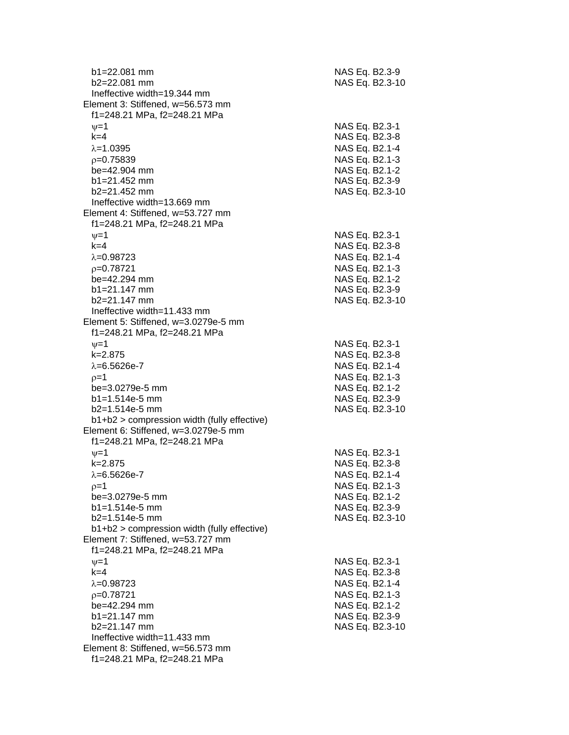b1=22.081 mm NAS Eq. B2.3-9  $b2=22.081$  mm NAS Eq. B2.3-10 Ineffective width=19.344 mm Element 3: Stiffened, w=56.573 mm f1=248.21 MPa, f2=248.21 MPa  $\psi$ =1 NAS Eq. B2.3-1 k=4 NAS Eq. B2.3 - 8 =1.0395 NAS Eq. B2.1 - 4  $\rho$ =0.75839 NAS Eq. B2.1-3  $be = 42.904$  mm - 2  $b1 = 21.452$  mm - 9 b2=21.452 mm NAS Eq. B2.3 -10 Ineffective width=13.669 mm Element 4: Stiffened, w=53.727 mm f1=248.21 MPa, f2=248.21 MPa  $\nu$  =1 NAS Eq. B2.3-1 k=4 NAS Eq. B2.3 - 8 =0.98723 NAS Eq. B2.1 - 4  $\rho$ =0.78721 NAS Eq. B2.1-3  $be = 42.294$  mm - 2 b1=21.147 mm NAS Eq. B2.3-9 b2=21.147 mm NAS Eq. B2.3 -10 Ineffective width=11.433 mm Element 5: Stiffened, w=3.0279e -5 mm f1=248.21 MPa, f2=248.21 MPa  $\psi$ =1 NAS Eq. B2.3-1 k=2.875 NAS Eq. B2.3 - 8 λ=6.5626e-7 NAS Eq. B2.1 - 4  $\rho$ =1 NAS Eq. B2.1-3 be=3.0279e -5 mm NAS Eq. B2.1 - 2 b1=1.514e-5 mm -5 mm NAS Eq. B2.3 - 9  $b2=1.514e-5$  mm -5 mm NAS Eq. B2.3 -10 b1+b2 > compression width (fully effective) Element 6: Stiffened, w=3.0279e -5 mm f1=248.21 MPa, f2=248.21 MPa  $\psi$ =1 NAS Eq. B2.3-1 k=2.875 NAS Eq. B2.3 - 8 λ=6.5626e-7 NAS Eq. B2.1 - 4  $\rho$ =1 NAS Eq. B2.1-3 be=3.0279e -5 mm NAS Eq. B2.1 - 2  $b1 = 1.514e-5$  mm -5 mm NAS Eq. B2.3 - 9 b2=1.514e -5 mm NAS Eq. B2.3 -10 b1+b2 > compression width (fully effective) Element 7: Stiffened, w=53.727 mm f1=248.21 MPa, f2=248.21 MPa  $\nu$  =1 NAS Eq. B2.3-1 k=4 NAS Eq. B2.3 - 8 =0.98723 NAS Eq. B2.1 - 4  $\rho$ =0.78721 NAS Eq. B2.1-3 be=42.294 mm NAS Eq. B2.1-2  $b1 = 21.147$  mm - 9 b2=21.147 mm NAS Eq. B2.3 -10 Ineffective width=11.433 mm Element 8: Stiffened, w=56.573 mm f1=248.21 MPa, f2=248.21 MPa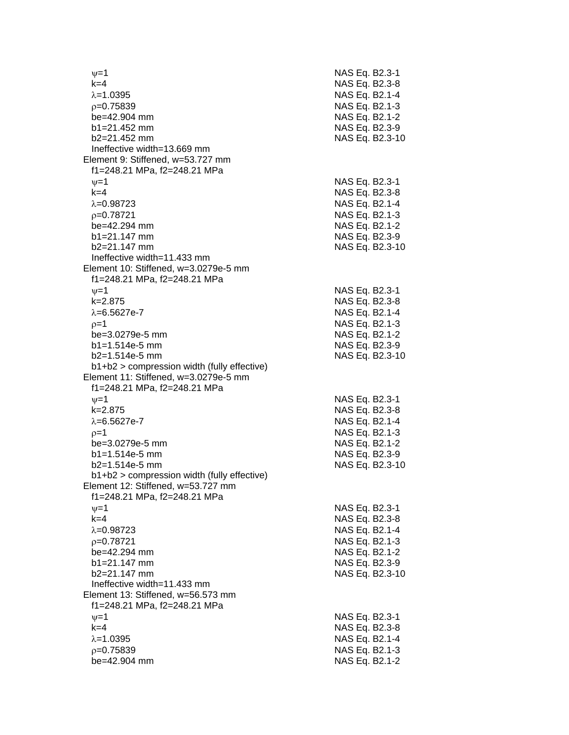$\nu$  =1 NAS Eq. B2.3-1 k=4 NAS Eq. B2.3 - 8 =1.0395 NAS Eq. B2.1 - 4  $\rho$ =0.75839 NAS Eq. B2.1-3 be=42.904 mm b1=21.452 mm NAS Eq. B2.3-9 b2=21.452 mm NAS Eq. B2.3 -10 Ineffective width=13.669 mm Element 9: Stiffened, w=53.727 mm f1=248.21 MPa, f2=248.21 MPa  $\psi$ =1 NAS Eq. B2.3-1 k=4 NAS Eq. B2.3 - 8 λ=0.98723 NAS Eq. B2.1-4  $\rho$ =0.78721 NAS Eq. B2.1-3 be=42.294 mm  $b1=21.147$  mm  $b2=21.147$  mm Ineffective width=11.433 mm Element 10: Stiffened, w=3.0279e -5 mm f1=248.21 MPa, f2=248.21 MPa  $\psi$ =1 NAS Eq. B2.3-1 k=2.875 NAS Eq. B2.3 - 8 λ=6.5627e-7 NAS Eq. B2.1 - 4  $\rho$ =1 NAS Eq. B2.1-3 be=3.0279e -5 mm NAS Eq. B2.1 - 2  $b1 = 1.514e-5$  mm -5 mm NAS Eq. B2.3 - 9 b2=1.514e -5 mm NAS Eq. B2.3 -10 b1+b2 > compression width (fully effective) Element 11: Stiffened, w=3.0279e -5 mm f1=248.21 MPa, f2=248.21 MPa  $\nu$  =1 NAS Eq. B2.3-1 k=2.875 NAS Eq. B2.3 - 8 λ=6.5627e-7 NAS Eq. B2.1 - 4  $\rho=1$  NAS Eq. B2.1-3 be=3.0279e -5 mm NAS Eq. B2.1 - 2  $b1 = 1.514e-5$  mm -5 mm NAS Eq. B2.3 - 9 b2=1.514e -5 mm NAS Eq. B2.3 -10 b1+b2 > compression width (fully effective) Element 12: Stiffened, w=53.727 mm f1=248.21 MPa, f2=248.21 MPa  $\psi$ =1 NAS Eq. B2.3-1 k=4 NAS Eq. B2.3 - 8 λ=0.98723 NAS Eq. B2.1-4  $p=0.78721$ =0.78721 NAS Eq. B2.1 - 3  $be = 42.294$  mm  $b1 = 21.147$  mm b2=21.147 mm NAS Eq. B2.3 -10 Ineffective width=11.433 mm Element 13: Stiffened, w=56.573 mm f1=248.21 MPa, f2=248.21 MPa  $\psi$ =1 NAS Eq. B2.3-1 k=4 NAS Eq. B2.3 - 8 =1.0395 NAS Eq. B2.1 - 4  $\rho$ =0.75839 NAS Eq. B2.1-3 be=42.904 mm NAS Eq. B2.1-2

- 2 - 2 - 9 NAS Eq. B2.3-10 - 2 - 9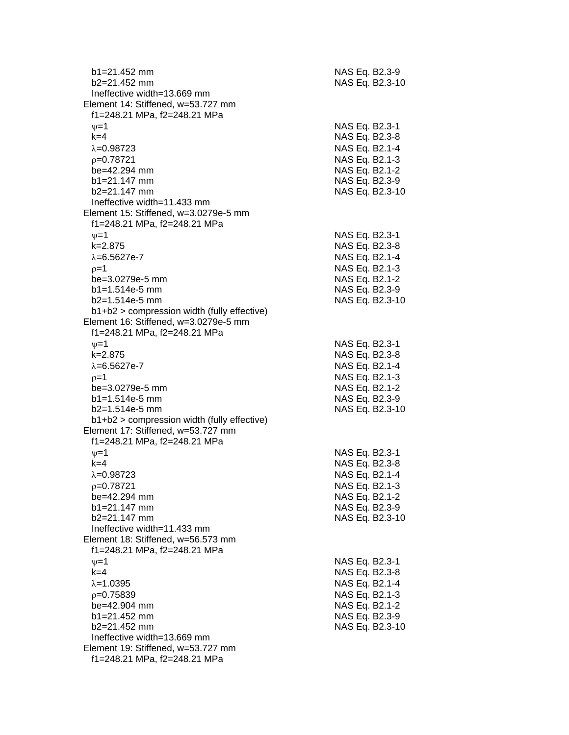| $b1 = 21.452$ mm<br>$b2=21.452$ mm                                                                | NAS Eq. B2.3-9<br>NAS Eq. B2.3-10 |
|---------------------------------------------------------------------------------------------------|-----------------------------------|
| Ineffective width=13.669 mm<br>Element 14: Stiffened, w=53.727 mm<br>f1=248.21 MPa, f2=248.21 MPa |                                   |
| $\nu = 1$                                                                                         | NAS Eq. B2.3-1                    |
| $k=4$                                                                                             | NAS Eq. B2.3-8                    |
| $\lambda = 0.98723$                                                                               | NAS Eq. B2.1-4                    |
| $p=0.78721$                                                                                       | NAS Eq. B2.1-3                    |
| be=42.294 mm                                                                                      | NAS Eq. B2.1-2                    |
| $b1 = 21.147$ mm                                                                                  | NAS Eq. B2.3-9                    |
| b2=21.147 mm                                                                                      | NAS Eq. B2.3-10                   |
| Ineffective width=11.433 mm                                                                       |                                   |
| Element 15: Stiffened, w=3.0279e-5 mm                                                             |                                   |
| f1=248.21 MPa, f2=248.21 MPa<br>$\nu = 1$                                                         | NAS Eq. B2.3-1                    |
| $k = 2.875$                                                                                       | NAS Eq. B2.3-8                    |
| $\lambda = 6.5627e - 7$                                                                           | NAS Eq. B2.1-4                    |
| $p=1$                                                                                             | NAS Eq. B2.1-3                    |
| be=3.0279e-5 mm                                                                                   | NAS Eq. B2.1-2                    |
| $b1 = 1.514e-5$ mm                                                                                | NAS Eq. B2.3-9                    |
| $b2=1.514e-5$ mm                                                                                  | NAS Eq. B2.3-10                   |
| $b1+b2$ > compression width (fully effective)                                                     |                                   |
| Element 16: Stiffened, w=3.0279e-5 mm                                                             |                                   |
| f1=248.21 MPa, f2=248.21 MPa                                                                      | NAS Eq. B2.3-1                    |
| $\nu = 1$<br>$k = 2.875$                                                                          | NAS Eq. B2.3-8                    |
| $\lambda = 6.5627e - 7$                                                                           | NAS Eq. B2.1-4                    |
| $p=1$                                                                                             | NAS Eq. B2.1-3                    |
| be=3.0279e-5 mm                                                                                   | NAS Eq. B2.1-2                    |
| $b1 = 1.514e-5$ mm                                                                                | NAS Eq. B2.3-9                    |
| $b2=1.514e-5$ mm                                                                                  | NAS Eq. B2.3-10                   |
| b1+b2 > compression width (fully effective)                                                       |                                   |
| Element 17: Stiffened, w=53.727 mm                                                                |                                   |
| f1=248.21 MPa, f2=248.21 MPa                                                                      |                                   |
| $\nu = 1$<br>$k = 4$                                                                              | NAS Eq. B2.3-1<br>NAS Eq. B2.3-8  |
| λ=0.98723                                                                                         | NAS Eq. B2.1-4                    |
| $p=0.78721$                                                                                       | NAS Eq. B2.1-3                    |
| be=42.294 mm                                                                                      | NAS Eq. B2.1-2                    |
| $b1 = 21.147$ mm                                                                                  | NAS Eq. B2.3-9                    |
| $b2 = 21.147$ mm                                                                                  | NAS Eq. B2.3-10                   |
| Ineffective width=11.433 mm                                                                       |                                   |
| Element 18: Stiffened, w=56.573 mm<br>f1=248.21 MPa, f2=248.21 MPa                                |                                   |
| $\nu = 1$                                                                                         | NAS Eq. B2.3-1                    |
| $k=4$                                                                                             | NAS Eq. B2.3-8                    |
| $\lambda = 1.0395$                                                                                | NAS Eq. B2.1-4                    |
| $p=0.75839$                                                                                       | NAS Eq. B2.1-3                    |
| be=42.904 mm                                                                                      | NAS Eq. B2.1-2                    |
| $b1 = 21.452$ mm                                                                                  | NAS Eq. B2.3-9                    |
| b2=21.452 mm                                                                                      | NAS Eq. B2.3-10                   |
| Ineffective width=13.669 mm                                                                       |                                   |
| Element 19: Stiffened, w=53.727 mm<br>f1=248.21 MPa, f2=248.21 MPa                                |                                   |
|                                                                                                   |                                   |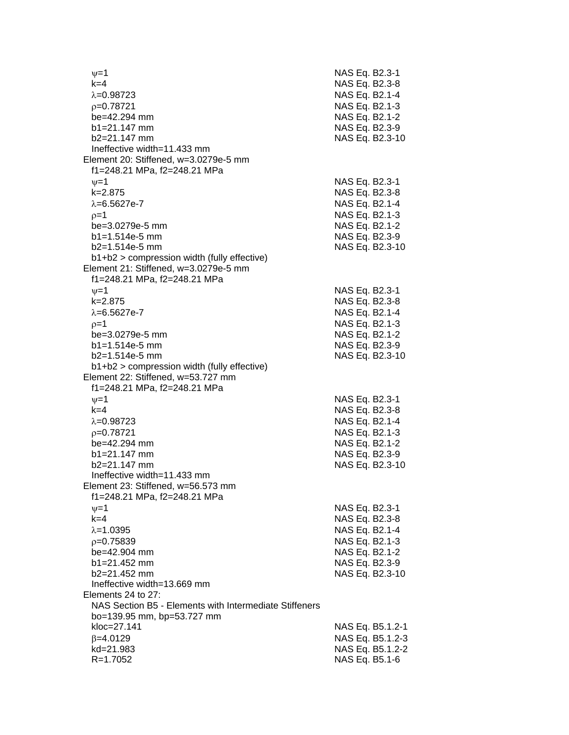$v=1$  NAS Eq. B2.3-1 k=4 NAS Eq. B2.3-8  $\lambda$ =0.98723 NAS Eq. B2.1-4 p=0.78721 NAS Eq. B2.1-3 be=42.294 mm NAS Eq. B2.1-2 b1=21.147 mm NAS Eq. B2.3-9 b2=21.147 mm NAS Eq. B2.3-10 Ineffective width=11.433 mm Element 20: Stiffened, w=3.0279e-5 mm f1=248.21 MPa, f2=248.21 MPa  $\nu$ =1 NAS Eq. B2.3-1 k=2.875 NAS Eq. B2.3-8  $λ=6.5627e-7$  NAS Eq. B2.1-4  $p=1$  NAS Eq. B2.1-3 be=3.0279e-5 mm NAS Eq. B2.1-2 b1=1.514e-5 mm NAS Eq. B2.3-9 b2=1.514e-5 mm NAS Eq. B2.3-10 b1+b2 > compression width (fully effective) Element 21: Stiffened, w=3.0279e-5 mm f1=248.21 MPa, f2=248.21 MPa  $\nu=1$  NAS Eq. B2.3-1 k=2.875 NAS Eq. B2.3-8  $\lambda = 6.5627e - 7$  NAS Eq. B2.1-4  $p=1$  NAS Eq. B2.1-3 be=3.0279e-5 mm NAS Eq. B2.1-2 b1=1.514e-5 mm NAS Eq. B2.3-9 b2=1.514e-5 mm NAS Eq. B2.3-10 b1+b2 > compression width (fully effective) Element 22: Stiffened, w=53.727 mm f1=248.21 MPa, f2=248.21 MPa  $v=1$  NAS Eq. B2.3-1 k=4 NAS Eq. B2.3-8  $\lambda$ =0.98723 NAS Eq. B2.1-4  $p=0.78721$  NAS Eq. B2.1-3 be=42.294 mm NAS Eq. B2.1-2 b1=21.147 mm NAS Eq. B2.3-9 b2=21.147 mm NAS Eq. B2.3-10 Ineffective width=11.433 mm Element 23: Stiffened, w=56.573 mm f1=248.21 MPa, f2=248.21 MPa  $\nu = 1$  NAS Eq. B2.3-1 k=4 NAS Eq. B2.3-8  $\lambda = 1.0395$  NAS Eq. B2.1-4 p=0.75839 NAS Eq. B2.1-3 be=42.904 mm NAS Eq. B2.1-2 b1=21.452 mm NAS Eq. B2.3-9 b2=21.452 mm NAS Eq. B2.3-10 Ineffective width=13.669 mm Elements 24 to 27: NAS Section B5 - Elements with Intermediate Stiffeners bo=139.95 mm, bp=53.727 mm kloc=27.141 NAS Eq. B5.1.2-1  $\beta$ =4.0129 NAS Eq. B5.1.2-3 kd=21.983 NAS Eq. B5.1.2-2 R=1.7052 NAS Eq. B5.1-6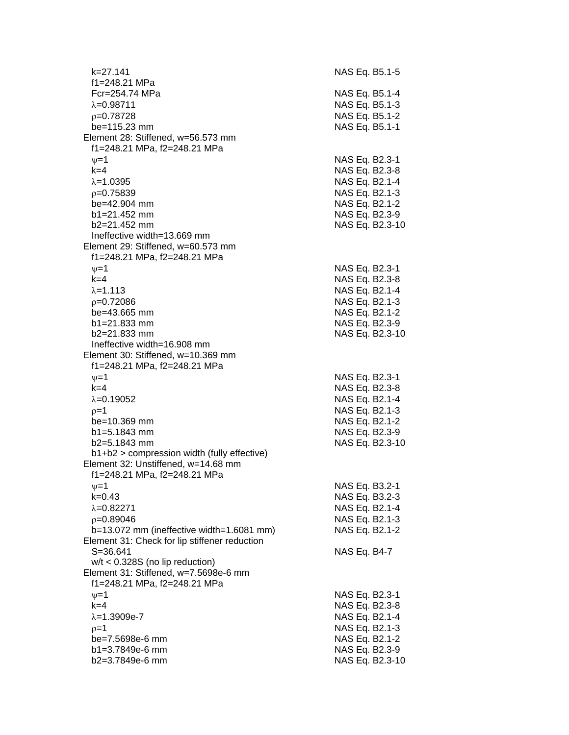k=27.141 NAS Eq. B5.1-5 f1=248.21 MPa Fcr=254.74 MPa NAS Eq. B5.1-4  $\lambda$ =0.98711  $\lambda$ =0.98711  $p=0.78728$  NAS Eq. B5.1-2 be=115.23 mm NAS Eq. B5.1-1 Element 28: Stiffened, w=56.573 mm f1=248.21 MPa, f2=248.21 MPa  $v=1$  NAS Eq. B2.3-1 k=4 NAS Eq. B2.3-8  $\lambda$ =1.0395 NAS Eq. B2.1-4  $p=0.75839$  NAS Eq. B2.1-3 be=42.904 mm NAS Eq. B2.1-2 b1=21.452 mm NAS Eq. B2.3-9 b2=21.452 mm NAS Eq. B2.3-10 Ineffective width=13.669 mm Element 29: Stiffened, w=60.573 mm f1=248.21 MPa, f2=248.21 MPa  $v=1$  NAS Eq. B2.3-1 k=4 NAS Eq. B2.3-8  $\lambda = 1.113$  NAS Eq. B2.1-4 =0.72086 NAS Eq. B2.1-3 be=43.665 mm NAS Eq. B2.1-2 b1=21.833 mm NAS Eq. B2.3-9 b2=21.833 mm NAS Eq. B2.3-10 Ineffective width=16.908 mm Element 30: Stiffened, w=10.369 mm f1=248.21 MPa, f2=248.21 MPa  $\nu=1$  NAS Eq. B2.3-1 k=4 NAS Eq. B2.3-8  $\lambda$ =0.19052  $\lambda$  =0.19052  $p=1$  NAS Eq. B2.1-3 be=10.369 mm NAS Eq. B2.1-2 b1=5.1843 mm NAS Eq. B2.3-9 b2=5.1843 mm NAS Eq. B2.3-10 b1+b2 > compression width (fully effective) Element 32: Unstiffened, w=14.68 mm f1=248.21 MPa, f2=248.21 MPa  $v=1$  NAS Eq. B3.2-1 k=0.43 NAS Eq. B3.2-3  $\lambda = 0.82271$  NAS Eq. B2.1-4 =0.89046 NAS Eq. B2.1-3 b=13.072 mm (ineffective width=1.6081 mm) NAS Eq. B2.1-2 Element 31: Check for lip stiffener reduction S=36.641 NAS Eq. B4-7 w/t < 0.328S (no lip reduction) Element 31: Stiffened, w=7.5698e-6 mm f1=248.21 MPa, f2=248.21 MPa  $v=1$  NAS Eq. B2.3-1 k=4 NAS Eq. B2.3-8  $\lambda = 1.3909e-7$  NAS Eq. B2.1-4  $p=1$  NAS Eq. B2.1-3 be=7.5698e-6 mm NAS Eq. B2.1-2 b1=3.7849e-6 mm NAS Eq. B2.3-9 b2=3.7849e-6 mm NAS Eq. B2.3-10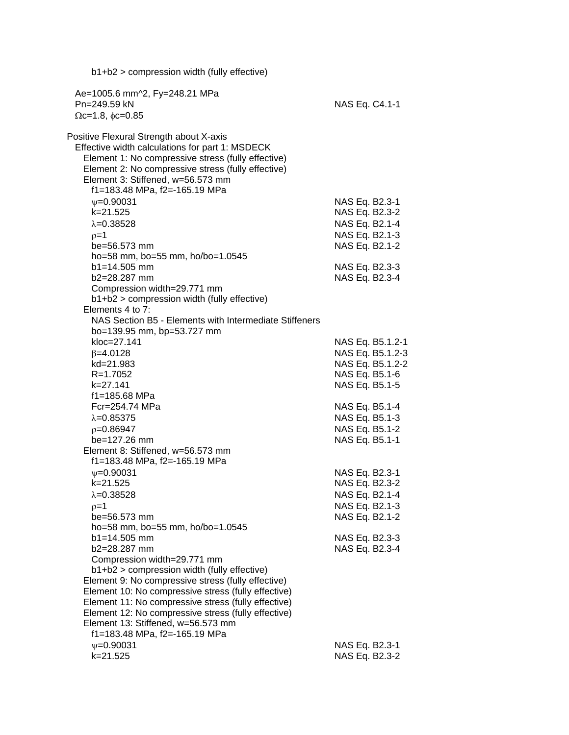| $b1+b2$ > compression width (fully effective)                                             |                |                                      |
|-------------------------------------------------------------------------------------------|----------------|--------------------------------------|
| Ae=1005.6 mm^2, Fy=248.21 MPa                                                             |                |                                      |
| Pn=249.59 kN                                                                              | NAS Eq. C4.1-1 |                                      |
| $\Omega$ c=1.8, $\phi$ c=0.85                                                             |                |                                      |
| Positive Flexural Strength about X-axis                                                   |                |                                      |
| Effective width calculations for part 1: MSDECK                                           |                |                                      |
| Element 1: No compressive stress (fully effective)                                        |                |                                      |
| Element 2: No compressive stress (fully effective)                                        |                |                                      |
| Element 3: Stiffened, w=56.573 mm                                                         |                |                                      |
| f1=183.48 MPa, f2=-165.19 MPa                                                             |                |                                      |
| $\psi = 0.90031$<br>k=21.525                                                              | NAS Eq. B2.3-1 | NAS Eq. B2.3-2                       |
| $\lambda = 0.38528$                                                                       |                | NAS Eq. B2.1-4                       |
| $p=1$                                                                                     |                | NAS Eq. B2.1-3                       |
| be=56.573 mm                                                                              |                | NAS Eq. B2.1-2                       |
| ho=58 mm, bo=55 mm, ho/bo=1.0545                                                          |                |                                      |
| $b1 = 14.505$ mm                                                                          |                | NAS Eq. B2.3-3                       |
| b2=28.287 mm                                                                              |                | NAS Eq. B2.3-4                       |
| Compression width=29.771 mm                                                               |                |                                      |
| $b1+b2$ > compression width (fully effective)                                             |                |                                      |
| Elements 4 to 7:                                                                          |                |                                      |
| NAS Section B5 - Elements with Intermediate Stiffeners                                    |                |                                      |
| bo=139.95 mm, bp=53.727 mm                                                                |                |                                      |
| kloc=27.141<br>$\beta = 4.0128$                                                           |                | NAS Eq. B5.1.2-1                     |
| kd=21.983                                                                                 |                | NAS Eq. B5.1.2-3<br>NAS Eq. B5.1.2-2 |
| R=1.7052                                                                                  |                | NAS Eq. B5.1-6                       |
| k=27.141                                                                                  |                | NAS Eq. B5.1-5                       |
| f1=185.68 MPa                                                                             |                |                                      |
| Fcr=254.74 MPa                                                                            |                | NAS Eq. B5.1-4                       |
| $\lambda = 0.85375$                                                                       |                | NAS Eq. B5.1-3                       |
| $p=0.86947$                                                                               |                | NAS Eq. B5.1-2                       |
| be=127.26 mm                                                                              | NAS Eq. B5.1-1 |                                      |
| Element 8: Stiffened, w=56.573 mm                                                         |                |                                      |
| f1=183.48 MPa, f2=-165.19 MPa                                                             |                |                                      |
| $\psi = 0.90031$<br>k=21.525                                                              | NAS Eq. B2.3-1 |                                      |
| $\lambda = 0.38528$                                                                       | NAS Eq. B2.3-2 | NAS Eq. B2.1-4                       |
| $p=1$                                                                                     |                | NAS Eq. B2.1-3                       |
| be=56.573 mm                                                                              |                | NAS Eq. B2.1-2                       |
| ho=58 mm, bo=55 mm, ho/bo=1.0545                                                          |                |                                      |
| $b1 = 14.505$ mm                                                                          |                | NAS Eq. B2.3-3                       |
| b2=28.287 mm                                                                              |                | NAS Eq. B2.3-4                       |
| Compression width=29.771 mm                                                               |                |                                      |
| b1+b2 > compression width (fully effective)                                               |                |                                      |
| Element 9: No compressive stress (fully effective)                                        |                |                                      |
| Element 10: No compressive stress (fully effective)                                       |                |                                      |
| Element 11: No compressive stress (fully effective)                                       |                |                                      |
| Element 12: No compressive stress (fully effective)<br>Element 13: Stiffened, w=56.573 mm |                |                                      |
| f1=183.48 MPa, f2=-165.19 MPa                                                             |                |                                      |
| $\psi = 0.90031$                                                                          | NAS Eq. B2.3-1 |                                      |
| k=21.525                                                                                  |                | NAS Eq. B2.3-2                       |
|                                                                                           |                |                                      |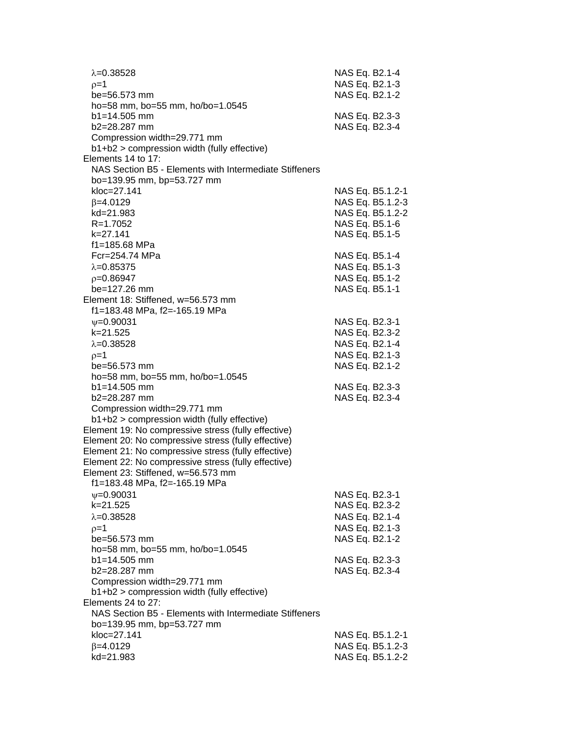| $\lambda = 0.38528$<br>$0=1$<br>be=56.573 mm           | NAS Eq. B2.1-4<br>NAS Eq. B2.1-3<br>NAS Eq. B2.1-2 |
|--------------------------------------------------------|----------------------------------------------------|
| ho=58 mm, bo=55 mm, ho/bo=1.0545                       |                                                    |
| $b1 = 14.505$ mm                                       | NAS Eq. B2.3-3                                     |
| b2=28.287 mm                                           | NAS Eq. B2.3-4                                     |
| Compression width=29.771 mm                            |                                                    |
| b1+b2 > compression width (fully effective)            |                                                    |
| Elements 14 to 17:                                     |                                                    |
| NAS Section B5 - Elements with Intermediate Stiffeners |                                                    |
| bo=139.95 mm, bp=53.727 mm                             |                                                    |
| kloc=27.141                                            | NAS Eq. B5.1.2-1                                   |
| $\beta = 4.0129$                                       | NAS Eq. B5.1.2-3                                   |
| kd=21.983                                              | NAS Eq. B5.1.2-2                                   |
| $R = 1.7052$                                           | NAS Eq. B5.1-6                                     |
| k=27.141                                               | NAS Eq. B5.1-5                                     |
| f1=185.68 MPa<br>Fcr=254.74 MPa                        |                                                    |
|                                                        | NAS Eq. B5.1-4<br>NAS Eq. B5.1-3                   |
| $\lambda = 0.85375$                                    |                                                    |
| $p=0.86947$<br>be=127.26 mm                            | NAS Eq. B5.1-2                                     |
| Element 18: Stiffened, w=56.573 mm                     | NAS Eq. B5.1-1                                     |
| f1=183.48 MPa, f2=-165.19 MPa                          |                                                    |
| $\psi = 0.90031$                                       | NAS Eq. B2.3-1                                     |
| $k = 21.525$                                           | NAS Eq. B2.3-2                                     |
| $\lambda = 0.38528$                                    | NAS Eq. B2.1-4                                     |
| $p=1$                                                  | NAS Eq. B2.1-3                                     |
| be=56.573 mm                                           | NAS Eq. B2.1-2                                     |
| ho=58 mm, bo=55 mm, ho/bo=1.0545                       |                                                    |
| $b1 = 14.505$ mm                                       | NAS Eq. B2.3-3                                     |
| $b2 = 28.287$ mm                                       | NAS Eq. B2.3-4                                     |
| Compression width=29.771 mm                            |                                                    |
| b1+b2 > compression width (fully effective)            |                                                    |
| Element 19: No compressive stress (fully effective)    |                                                    |
| Element 20: No compressive stress (fully effective)    |                                                    |
| Element 21: No compressive stress (fully effective)    |                                                    |
| Element 22: No compressive stress (fully effective)    |                                                    |
| Element 23: Stiffened, w=56.573 mm                     |                                                    |
| f1=183.48 MPa, f2=-165.19 MPa                          |                                                    |
| $\psi = 0.90031$                                       | NAS Eq. B2.3-1                                     |
| k=21.525                                               | NAS Eq. B2.3-2                                     |
| $\lambda = 0.38528$                                    | NAS Eq. B2.1-4                                     |
| $p=1$                                                  | NAS Eq. B2.1-3                                     |
| be=56.573 mm                                           | NAS Eq. B2.1-2                                     |
| ho=58 mm, bo=55 mm, ho/bo=1.0545                       |                                                    |
| $b1 = 14.505$ mm<br>b2=28.287 mm                       | NAS Eq. B2.3-3<br>NAS Eq. B2.3-4                   |
| Compression width=29.771 mm                            |                                                    |
| b1+b2 > compression width (fully effective)            |                                                    |
| Elements 24 to 27:                                     |                                                    |
| NAS Section B5 - Elements with Intermediate Stiffeners |                                                    |
| bo=139.95 mm, bp=53.727 mm                             |                                                    |
| kloc=27.141                                            | NAS Eq. B5.1.2-1                                   |
| $\beta = 4.0129$                                       | NAS Eq. B5.1.2-3                                   |
| kd=21.983                                              | NAS Eq. B5.1.2-2                                   |
|                                                        |                                                    |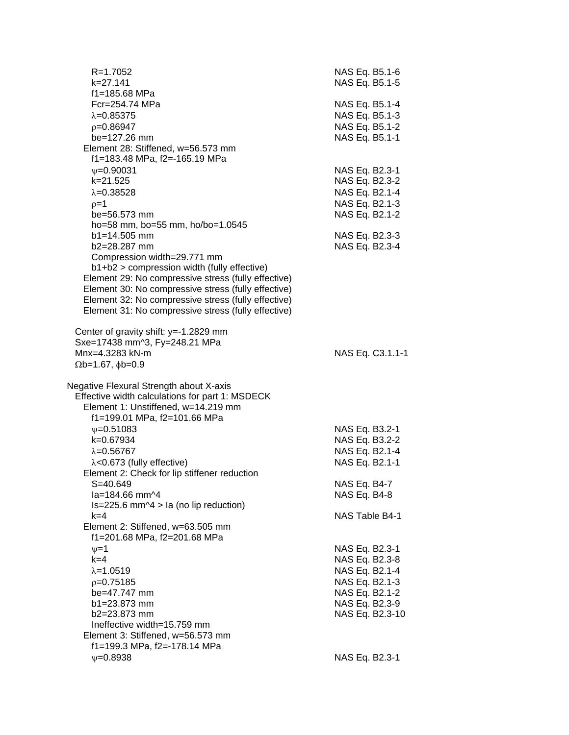| $R = 1.7052$<br>$k = 27.141$                                                           | NAS Eq. B5.1-6<br>NAS Eq. B5.1-5 |
|----------------------------------------------------------------------------------------|----------------------------------|
| f1=185.68 MPa                                                                          |                                  |
| Fcr=254.74 MPa                                                                         | NAS Eq. B5.1-4                   |
| $\lambda = 0.85375$                                                                    | NAS Eq. B5.1-3                   |
| $p=0.86947$                                                                            | NAS Eq. B5.1-2                   |
| be=127.26 mm                                                                           | NAS Eq. B5.1-1                   |
| Element 28: Stiffened, w=56.573 mm                                                     |                                  |
| f1=183.48 MPa, f2=-165.19 MPa                                                          |                                  |
| $\nu = 0.90031$                                                                        | NAS Eq. B2.3-1                   |
| k=21.525                                                                               | NAS Eq. B2.3-2                   |
| $\lambda = 0.38528$                                                                    | NAS Eq. B2.1-4                   |
| $p=1$                                                                                  | NAS Eq. B2.1-3                   |
| be=56.573 mm                                                                           | NAS Eq. B2.1-2                   |
| ho=58 mm, bo=55 mm, ho/bo=1.0545                                                       |                                  |
| $b1 = 14.505$ mm                                                                       | NAS Eq. B2.3-3                   |
| b2=28.287 mm                                                                           | NAS Eq. B2.3-4                   |
| Compression width=29.771 mm<br>b1+b2 > compression width (fully effective)             |                                  |
| Element 29: No compressive stress (fully effective)                                    |                                  |
| Element 30: No compressive stress (fully effective)                                    |                                  |
| Element 32: No compressive stress (fully effective)                                    |                                  |
| Element 31: No compressive stress (fully effective)                                    |                                  |
|                                                                                        |                                  |
| Center of gravity shift: y=-1.2829 mm                                                  |                                  |
| Sxe=17438 mm^3, Fy=248.21 MPa                                                          |                                  |
| Mnx=4.3283 kN-m                                                                        | NAS Eq. C3.1.1-1                 |
| $\Omega$ b=1.67, $\phi$ b=0.9                                                          |                                  |
|                                                                                        |                                  |
| Negative Flexural Strength about X-axis                                                |                                  |
| Effective width calculations for part 1: MSDECK<br>Element 1: Unstiffened, w=14.219 mm |                                  |
| f1=199.01 MPa, f2=101.66 MPa                                                           |                                  |
| $\psi = 0.51083$                                                                       | NAS Eq. B3.2-1                   |
| k=0.67934                                                                              | NAS Eq. B3.2-2                   |
| $\lambda = 0.56767$                                                                    | NAS Eq. B2.1-4                   |
| $\lambda$ <0.673 (fully effective)                                                     | NAS Eq. B2.1-1                   |
| Element 2: Check for lip stiffener reduction                                           |                                  |
| S=40.649                                                                               | NAS Eq. B4-7                     |
| la=184.66 mm^4                                                                         | NAS Eq. B4-8                     |
| $Is=225.6$ mm $\triangle 4$ > la (no lip reduction)                                    |                                  |
| k=4                                                                                    | NAS Table B4-1                   |
| Element 2: Stiffened, w=63.505 mm                                                      |                                  |
| f1=201.68 MPa, f2=201.68 MPa                                                           |                                  |
| $\nu = 1$                                                                              | NAS Eq. B2.3-1                   |
| $k=4$                                                                                  | NAS Eq. B2.3-8                   |
| $\lambda = 1.0519$                                                                     | NAS Eq. B2.1-4                   |
| $p=0.75185$                                                                            | NAS Eq. B2.1-3                   |
| be=47.747 mm<br>$b1 = 23.873$ mm                                                       | NAS Eq. B2.1-2<br>NAS Eq. B2.3-9 |
| b2=23.873 mm                                                                           | NAS Eq. B2.3-10                  |
| Ineffective width=15.759 mm                                                            |                                  |
| Element 3: Stiffened, w=56.573 mm                                                      |                                  |
| f1=199.3 MPa, f2=-178.14 MPa                                                           |                                  |
| $\psi = 0.8938$                                                                        | NAS Eq. B2.3-1                   |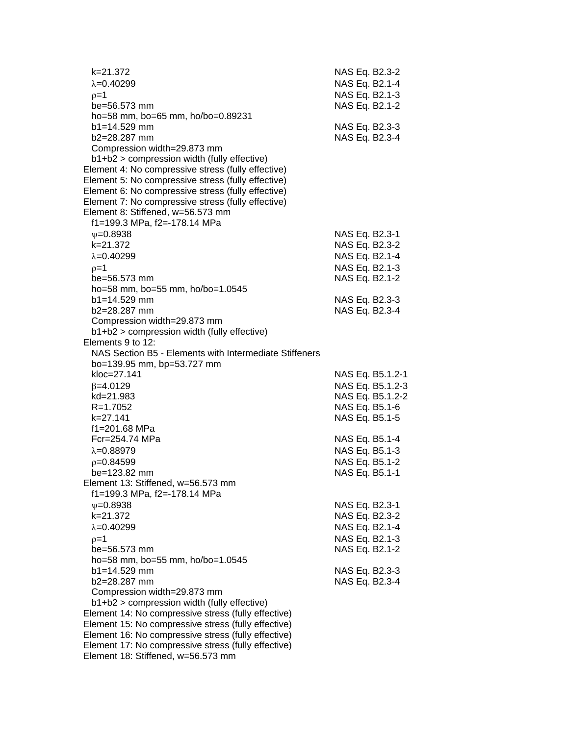| k=21.372<br>$\lambda = 0.40299$                        | NAS Eq. B2.3-2<br>NAS Eq. B2.1-4 |
|--------------------------------------------------------|----------------------------------|
| $p=1$                                                  | NAS Eq. B2.1-3                   |
| $be = 56.573$ mm                                       | NAS Eq. B2.1-2                   |
| ho=58 mm, bo=65 mm, ho/bo=0.89231                      |                                  |
| $b1 = 14.529$ mm                                       | NAS Eq. B2.3-3                   |
| $b2 = 28.287$ mm                                       | NAS Eq. B2.3-4                   |
| Compression width=29.873 mm                            |                                  |
| b1+b2 > compression width (fully effective)            |                                  |
| Element 4: No compressive stress (fully effective)     |                                  |
| Element 5: No compressive stress (fully effective)     |                                  |
| Element 6: No compressive stress (fully effective)     |                                  |
| Element 7: No compressive stress (fully effective)     |                                  |
| Element 8: Stiffened, w=56.573 mm                      |                                  |
| f1=199.3 MPa, f2=-178.14 MPa                           |                                  |
|                                                        |                                  |
| $V = 0.8938$                                           | NAS Eq. B2.3-1                   |
| k=21.372                                               | NAS Eq. B2.3-2                   |
| $\lambda = 0.40299$                                    | NAS Eq. B2.1-4                   |
| $p=1$                                                  | NAS Eq. B2.1-3                   |
| $be = 56.573$ mm                                       | NAS Eq. B2.1-2                   |
| ho=58 mm, bo=55 mm, ho/bo=1.0545                       |                                  |
| $b1 = 14.529$ mm                                       | NAS Eq. B2.3-3                   |
| b2=28.287 mm                                           | NAS Eq. B2.3-4                   |
| Compression width=29.873 mm                            |                                  |
| b1+b2 > compression width (fully effective)            |                                  |
| Elements 9 to 12:                                      |                                  |
| NAS Section B5 - Elements with Intermediate Stiffeners |                                  |
| bo=139.95 mm, bp=53.727 mm                             |                                  |
| kloc=27.141                                            | NAS Eq. B5.1.2-1                 |
| $\beta = 4.0129$                                       | NAS Eq. B5.1.2-3                 |
| kd=21.983                                              | NAS Eq. B5.1.2-2                 |
| R=1.7052                                               | NAS Eq. B5.1-6                   |
| k=27.141                                               | NAS Eq. B5.1-5                   |
| f1=201.68 MPa                                          |                                  |
| Fcr=254.74 MPa                                         | NAS Eq. B5.1-4                   |
| $\lambda = 0.88979$                                    | NAS Eq. B5.1-3                   |
| $p=0.84599$                                            | NAS Eq. B5.1-2                   |
| be=123.82 mm                                           | NAS Eq. B5.1-1                   |
| Element 13: Stiffened, w=56.573 mm                     |                                  |
| f1=199.3 MPa, f2=-178.14 MPa                           |                                  |
| $\psi = 0.8938$                                        | NAS Eq. B2.3-1                   |
| k=21.372                                               | NAS Eq. B2.3-2                   |
| $\lambda = 0.40299$                                    | NAS Eq. B2.1-4                   |
| $p=1$                                                  | NAS Eq. B2.1-3                   |
| be=56.573 mm                                           | NAS Eq. B2.1-2                   |
| ho=58 mm, bo=55 mm, ho/bo=1.0545                       |                                  |
| $b1 = 14.529$ mm                                       | NAS Eq. B2.3-3                   |
| b2=28.287 mm                                           | NAS Eq. B2.3-4                   |
| Compression width=29.873 mm                            |                                  |
| b1+b2 > compression width (fully effective)            |                                  |
| Element 14: No compressive stress (fully effective)    |                                  |
| Element 15: No compressive stress (fully effective)    |                                  |
| Element 16: No compressive stress (fully effective)    |                                  |
| Element 17: No compressive stress (fully effective)    |                                  |

Element 18: Stiffened, w=56.573 mm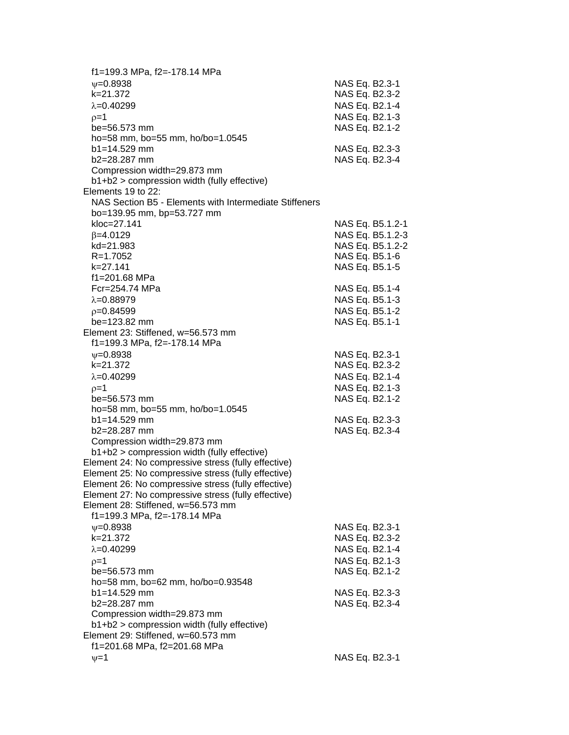| f1=199.3 MPa, f2=-178.14 MPa                           |                  |
|--------------------------------------------------------|------------------|
| $\psi = 0.8938$                                        | NAS Eq. B2.3-1   |
| k=21.372                                               | NAS Eq. B2.3-2   |
| $\lambda = 0.40299$                                    | NAS Eq. B2.1-4   |
| $p=1$                                                  | NAS Eq. B2.1-3   |
| be=56.573 mm                                           | NAS Eq. B2.1-2   |
| ho=58 mm, bo=55 mm, ho/bo=1.0545                       |                  |
| b1=14.529 mm                                           | NAS Eq. B2.3-3   |
| b2=28.287 mm                                           | NAS Eq. B2.3-4   |
| Compression width=29.873 mm                            |                  |
| b1+b2 > compression width (fully effective)            |                  |
| Elements 19 to 22:                                     |                  |
| NAS Section B5 - Elements with Intermediate Stiffeners |                  |
| bo=139.95 mm, bp=53.727 mm                             |                  |
| kloc=27.141                                            | NAS Eq. B5.1.2-1 |
| $\beta = 4.0129$                                       | NAS Eq. B5.1.2-3 |
| kd=21.983                                              | NAS Eq. B5.1.2-2 |
| R=1.7052                                               | NAS Eq. B5.1-6   |
| k=27.141                                               | NAS Eq. B5.1-5   |
| f1=201.68 MPa                                          |                  |
| Fcr=254.74 MPa                                         | NAS Eq. B5.1-4   |
| $\lambda = 0.88979$                                    | NAS Eq. B5.1-3   |
| $p=0.84599$                                            | NAS Eq. B5.1-2   |
| be=123.82 mm                                           | NAS Eq. B5.1-1   |
| Element 23: Stiffened, w=56.573 mm                     |                  |
| f1=199.3 MPa, f2=-178.14 MPa                           |                  |
| $\psi = 0.8938$                                        | NAS Eq. B2.3-1   |
| k=21.372                                               | NAS Eq. B2.3-2   |
| $\lambda = 0.40299$                                    | NAS Eq. B2.1-4   |
| $p=1$                                                  | NAS Eq. B2.1-3   |
| be=56.573 mm                                           | NAS Eq. B2.1-2   |
| ho=58 mm, bo=55 mm, ho/bo=1.0545                       |                  |
| $b1 = 14.529$ mm                                       | NAS Eq. B2.3-3   |
| b2=28.287 mm                                           | NAS Eq. B2.3-4   |
| Compression width=29.873 mm                            |                  |
| b1+b2 > compression width (fully effective)            |                  |
| Element 24: No compressive stress (fully effective)    |                  |
| Element 25: No compressive stress (fully effective)    |                  |
| Element 26: No compressive stress (fully effective)    |                  |
| Element 27: No compressive stress (fully effective)    |                  |
| Element 28: Stiffened, w=56.573 mm                     |                  |
| f1=199.3 MPa, f2=-178.14 MPa                           |                  |
| $\psi = 0.8938$                                        | NAS Eq. B2.3-1   |
| k=21.372                                               | NAS Eq. B2.3-2   |
| $\lambda = 0.40299$                                    | NAS Eq. B2.1-4   |
| $p=1$                                                  | NAS Eq. B2.1-3   |
| be=56.573 mm                                           | NAS Eq. B2.1-2   |
| ho=58 mm, bo=62 mm, ho/bo=0.93548                      |                  |
| $b1 = 14.529$ mm                                       | NAS Eq. B2.3-3   |
| b2=28.287 mm                                           | NAS Eq. B2.3-4   |
| Compression width=29.873 mm                            |                  |
| b1+b2 > compression width (fully effective)            |                  |
| Element 29: Stiffened, w=60.573 mm                     |                  |
| f1=201.68 MPa, f2=201.68 MPa                           |                  |
| $v = 1$                                                | NAS Eq. B2.3-1   |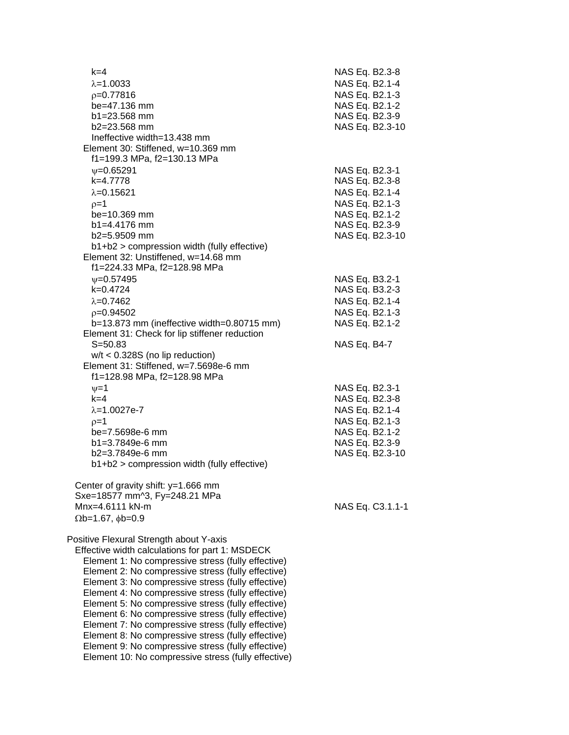| $k = 4$<br>$\lambda = 1.0033$<br>$p=0.77816$<br>be=47.136 mm<br>$b1 = 23.568$ mm<br>$b2 = 23.568$ mm<br>Ineffective width=13.438 mm                                                                                                                                                                                                                                                                                                                                                                                                                                                                                                                     | NAS Eq. B2.3-8<br>NAS Eq. B2.1-4<br>NAS Eq. B2.1-3<br>NAS Eq. B2.1-2<br>NAS Eq. B2.3-9<br>NAS Eq. B2.3-10                   |
|---------------------------------------------------------------------------------------------------------------------------------------------------------------------------------------------------------------------------------------------------------------------------------------------------------------------------------------------------------------------------------------------------------------------------------------------------------------------------------------------------------------------------------------------------------------------------------------------------------------------------------------------------------|-----------------------------------------------------------------------------------------------------------------------------|
| Element 30: Stiffened, w=10.369 mm<br>f1=199.3 MPa, f2=130.13 MPa<br>$V = 0.65291$<br>k=4.7778<br>$\lambda = 0.15621$<br>$p=1$<br>be=10.369 mm<br>$b1 = 4.4176$ mm<br>b2=5.9509 mm<br>b1+b2 > compression width (fully effective)<br>Element 32: Unstiffened, w=14.68 mm                                                                                                                                                                                                                                                                                                                                                                                | NAS Eq. B2.3-1<br>NAS Eq. B2.3-8<br>NAS Eq. B2.1-4<br>NAS Eq. B2.1-3<br>NAS Eq. B2.1-2<br>NAS Eq. B2.3-9<br>NAS Eq. B2.3-10 |
| f1=224.33 MPa, f2=128.98 MPa<br>$V = 0.57495$<br>$k=0.4724$<br>$\lambda = 0.7462$<br>$p=0.94502$<br>b=13.873 mm (ineffective width=0.80715 mm)<br>Element 31: Check for lip stiffener reduction<br>$S = 50.83$<br>$w/t < 0.328S$ (no lip reduction)<br>Element 31: Stiffened, w=7.5698e-6 mm                                                                                                                                                                                                                                                                                                                                                            | NAS Eq. B3.2-1<br>NAS Eq. B3.2-3<br>NAS Eq. B2.1-4<br>NAS Eq. B2.1-3<br>NAS Eq. B2.1-2<br>NAS Eq. B4-7                      |
| f1=128.98 MPa, f2=128.98 MPa<br>$\nu = 1$<br>$k = 4$<br>$\lambda = 1.0027e - 7$<br>$p=1$<br>be=7.5698e-6 mm<br>$b1 = 3.7849e-6$ mm<br>$b2=3.7849e-6$ mm<br>b1+b2 > compression width (fully effective)                                                                                                                                                                                                                                                                                                                                                                                                                                                  | NAS Eq. B2.3-1<br>NAS Eq. B2.3-8<br>NAS Eq. B2.1-4<br>NAS Eq. B2.1-3<br>NAS Eq. B2.1-2<br>NAS Eq. B2.3-9<br>NAS Eq. B2.3-10 |
| Center of gravity shift: y=1.666 mm<br>Sxe=18577 mm^3, Fy=248.21 MPa<br>$Mnx = 4.6111 kN-m$<br>$\Omega$ b=1.67, $\phi$ b=0.9                                                                                                                                                                                                                                                                                                                                                                                                                                                                                                                            | NAS Eq. C3.1.1-1                                                                                                            |
| Positive Flexural Strength about Y-axis<br>Effective width calculations for part 1: MSDECK<br>Element 1: No compressive stress (fully effective)<br>Element 2: No compressive stress (fully effective)<br>Element 3: No compressive stress (fully effective)<br>Element 4: No compressive stress (fully effective)<br>Element 5: No compressive stress (fully effective)<br>Element 6: No compressive stress (fully effective)<br>Element 7: No compressive stress (fully effective)<br>Element 8: No compressive stress (fully effective)<br>Element 9: No compressive stress (fully effective)<br>Element 10: No compressive stress (fully effective) |                                                                                                                             |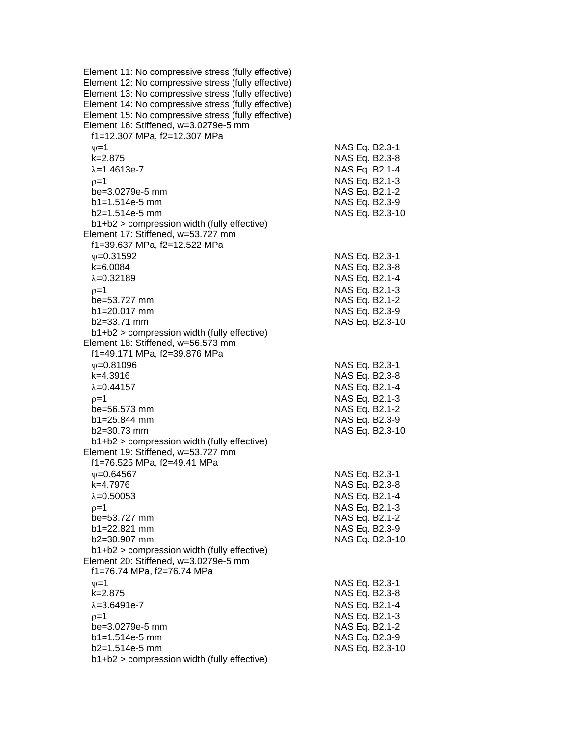Element 11: No compressive stress (fully effective) Element 12: No compressive stress (fully effective) Element 13: No compressive stress (fully effective) Element 14: No compressive stress (fully effective) Element 15: No compressive stress (fully effective) Element 16: Stiffened, w=3.0279e-5 mm f1=12.307 MPa, f2=12.307 MPa  $\nu=1$  NAS Eq. B2.3-1 k=2.875 NAS Eq. B2.3-8  $\lambda = 1.4613e - 7$  NAS Eq. B2.1-4  $\rho = 1$  NAS Eq. B2.1-3 be=3.0279e-5 mm NAS Eq. B2.1-2 b1=1.514e-5 mm NAS Eq. B2.3-9 b2=1.514e-5 mm NAS Eq. B2.3-10 b1+b2 > compression width (fully effective) Element 17: Stiffened, w=53.727 mm f1=39.637 MPa, f2=12.522 MPa  $v=0.31592$  NAS Eq. B2.3-1 k=6.0084 NAS Eq. B2.3-8  $\lambda$ =0.32189 NAS Eq. B2.1-4  $p=1$  NAS Eq. B2.1-3 be=53.727 mm NAS Eq. B2.1-2 b1=20.017 mm NAS Eq. B2.3-9 b2=33.71 mm NAS Eq. B2.3-10 b1+b2 > compression width (fully effective) Element 18: Stiffened, w=56.573 mm f1=49.171 MPa, f2=39.876 MPa =0.81096 NAS Eq. B2.3-1 k=4.3916 NAS Eq. B2.3-8  $\lambda = 0.44157$  NAS Eq. B2.1-4  $p=1$  NAS Eq. B2.1-3 be=56.573 mm NAS Eq. B2.1-2 b1=25.844 mm NAS Eq. B2.3-9 b2=30.73 mm NAS Eq. B2.3-10 b1+b2 > compression width (fully effective) Element 19: Stiffened, w=53.727 mm f1=76.525 MPa, f2=49.41 MPa  $\nu$ =0.64567 NAS Eq. B2.3-1 k=4.7976 NAS Eq. B2.3-8  $\lambda = 0.50053$  NAS Eq. B2.1-4  $p=1$  NAS Eq. B2.1-3 be=53.727 mm NAS Eq. B2.1-2 b1=22.821 mm NAS Eq. B2.3-9 b2=30.907 mm NAS Eq. B2.3-10 b1+b2 > compression width (fully effective) Element 20: Stiffened, w=3.0279e-5 mm f1=76.74 MPa, f2=76.74 MPa  $v=1$  NAS Eq. B2.3-1 k=2.875 NAS Eq. B2.3-8  $\lambda$ =3.6491e-7  $NAS$  Eq. B2.1-4  $p=1$  NAS Eq. B2.1-3 be=3.0279e-5 mm NAS Eq. B2.1-2 b1=1.514e-5 mm NAS Eq. B2.3-9 b2=1.514e-5 mm NAS Eq. B2.3-10 b1+b2 > compression width (fully effective)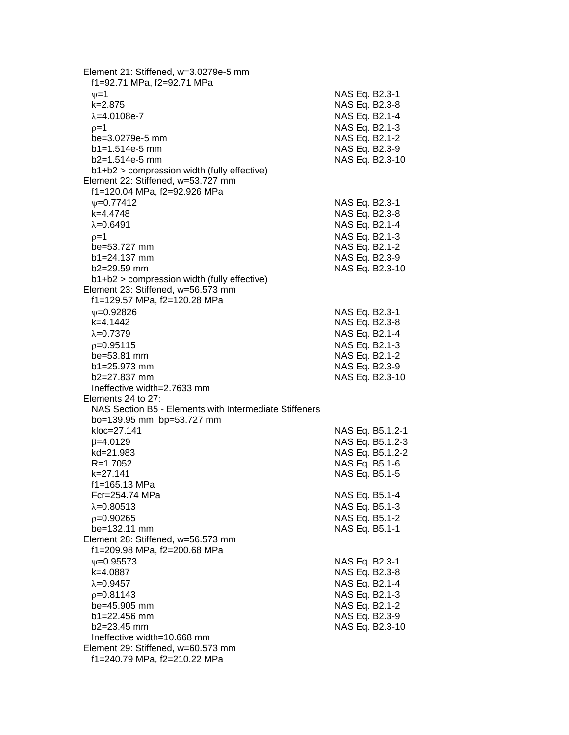| Element 21: Stiffened, w=3.0279e-5 mm<br>f1=92.71 MPa, f2=92.71 MPa |  |                                  |
|---------------------------------------------------------------------|--|----------------------------------|
| $\nu = 1$                                                           |  | NAS Eq. B2.3-1                   |
| $k = 2.875$                                                         |  | NAS Eq. B2.3-8                   |
| $\lambda = 4.0108e - 7$                                             |  | NAS Eq. B2.1-4                   |
| $p=1$                                                               |  | NAS Eq. B2.1-3                   |
| be=3.0279e-5 mm                                                     |  | NAS Eq. B2.1-2                   |
| $b1 = 1.514e-5$ mm                                                  |  | NAS Eq. B2.3-9                   |
| $b2=1.514e-5$ mm                                                    |  | NAS Eq. B2.3-10                  |
| $b1+b2$ > compression width (fully effective)                       |  |                                  |
| Element 22: Stiffened, w=53.727 mm                                  |  |                                  |
| f1=120.04 MPa, f2=92.926 MPa                                        |  |                                  |
| $\psi = 0.77412$                                                    |  | NAS Eq. B2.3-1                   |
| k=4.4748                                                            |  | NAS Eq. B2.3-8                   |
| $\lambda = 0.6491$                                                  |  | NAS Eq. B2.1-4                   |
| $p=1$                                                               |  | NAS Eq. B2.1-3                   |
| be=53.727 mm                                                        |  | NAS Eq. B2.1-2                   |
| $b1 = 24.137$ mm                                                    |  | NAS Eq. B2.3-9                   |
| b2=29.59 mm                                                         |  | NAS Eq. B2.3-10                  |
| b1+b2 > compression width (fully effective)                         |  |                                  |
| Element 23: Stiffened, w=56.573 mm<br>f1=129.57 MPa, f2=120.28 MPa  |  |                                  |
| $\psi = 0.92826$                                                    |  | NAS Eq. B2.3-1                   |
| k=4.1442                                                            |  | NAS Eq. B2.3-8                   |
| $\lambda = 0.7379$                                                  |  | NAS Eq. B2.1-4                   |
| $p=0.95115$                                                         |  | NAS Eq. B2.1-3                   |
| be=53.81 mm                                                         |  | NAS Eq. B2.1-2                   |
| $b1 = 25.973$ mm                                                    |  | NAS Eq. B2.3-9                   |
| $b2 = 27.837$ mm                                                    |  | NAS Eq. B2.3-10                  |
| Ineffective width=2.7633 mm                                         |  |                                  |
| Elements 24 to 27:                                                  |  |                                  |
| NAS Section B5 - Elements with Intermediate Stiffeners              |  |                                  |
| bo=139.95 mm, bp=53.727 mm                                          |  |                                  |
| kloc=27.141                                                         |  | NAS Eq. B5.1.2-1                 |
| $\beta = 4.0129$                                                    |  | NAS Eq. B5.1.2-3                 |
| kd=21.983                                                           |  | NAS Eq. B5.1.2-2                 |
| $R = 1.7052$                                                        |  | NAS Eq. B5.1-6                   |
| k=27.141                                                            |  | NAS Eq. B5.1-5                   |
| f1=165.13 MPa                                                       |  |                                  |
| Fcr=254.74 MPa                                                      |  | NAS Eq. B5.1-4                   |
| $\lambda = 0.80513$                                                 |  | NAS Eq. B5.1-3                   |
| $p=0.90265$                                                         |  | NAS Eq. B5.1-2                   |
| be=132.11 mm                                                        |  | NAS Eq. B5.1-1                   |
| Element 28: Stiffened, w=56.573 mm<br>f1=209.98 MPa, f2=200.68 MPa  |  |                                  |
| $\nu = 0.95573$                                                     |  |                                  |
| k=4.0887                                                            |  | NAS Eq. B2.3-1<br>NAS Eq. B2.3-8 |
| $\lambda = 0.9457$                                                  |  | NAS Eq. B2.1-4                   |
| $p=0.81143$                                                         |  | NAS Eq. B2.1-3                   |
| be=45.905 mm                                                        |  | NAS Eq. B2.1-2                   |
| $b1 = 22.456$ mm                                                    |  | NAS Eq. B2.3-9                   |
| $b2=23.45$ mm                                                       |  | NAS Eq. B2.3-10                  |
| Ineffective width=10.668 mm                                         |  |                                  |
| Element 29: Stiffened, w=60.573 mm                                  |  |                                  |
| f1=240.79 MPa, f2=210.22 MPa                                        |  |                                  |
|                                                                     |  |                                  |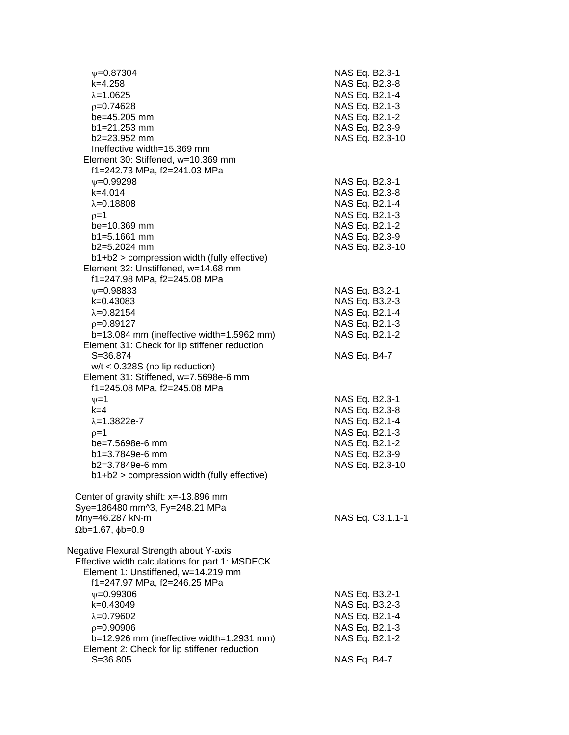| $\psi = 0.87304$<br>k=4.258<br>$\lambda = 1.0625$                   | NAS Eq. B2.3-1<br>NAS Eq. B2.3-8<br>NAS Eq. B2.1-4 |
|---------------------------------------------------------------------|----------------------------------------------------|
| $p=0.74628$<br>be=45.205 mm                                         | NAS Eq. B2.1-3<br>NAS Eq. B2.1-2                   |
| $b1 = 21.253$ mm<br>b2=23.952 mm<br>Ineffective width=15.369 mm     | NAS Eq. B2.3-9<br>NAS Eq. B2.3-10                  |
| Element 30: Stiffened, w=10.369 mm<br>f1=242.73 MPa, f2=241.03 MPa  |                                                    |
| $\psi = 0.99298$                                                    | NAS Eq. B2.3-1                                     |
| $k=4.014$<br>$\lambda = 0.18808$                                    | NAS Eq. B2.3-8<br>NAS Eq. B2.1-4                   |
| $p=1$                                                               | NAS Eq. B2.1-3                                     |
| be=10.369 mm                                                        | NAS Eq. B2.1-2                                     |
| $b1 = 5.1661$ mm                                                    | NAS Eq. B2.3-9                                     |
| b2=5.2024 mm                                                        | NAS Eq. B2.3-10                                    |
| b1+b2 > compression width (fully effective)                         |                                                    |
| Element 32: Unstiffened, w=14.68 mm<br>f1=247.98 MPa, f2=245.08 MPa |                                                    |
| $V = 0.98833$                                                       | NAS Eq. B3.2-1                                     |
| $k=0.43083$                                                         | NAS Eq. B3.2-3                                     |
| $\lambda = 0.82154$                                                 | NAS Eq. B2.1-4                                     |
| $p=0.89127$<br>b=13.084 mm (ineffective width=1.5962 mm)            | NAS Eq. B2.1-3<br>NAS Eq. B2.1-2                   |
| Element 31: Check for lip stiffener reduction                       |                                                    |
| $S = 36.874$                                                        | NAS Eq. B4-7                                       |
| $w/t < 0.328S$ (no lip reduction)                                   |                                                    |
| Element 31: Stiffened, w=7.5698e-6 mm                               |                                                    |
| f1=245.08 MPa, f2=245.08 MPa                                        |                                                    |
| $\nu=1$                                                             | NAS Eq. B2.3-1                                     |
| $k=4$                                                               | NAS Eq. B2.3-8                                     |
| $\lambda = 1.3822e - 7$                                             | NAS Eq. B2.1-4                                     |
| $p=1$                                                               | NAS Eq. B2.1-3                                     |
| be=7.5698e-6 mm                                                     | NAS Eq. B2.1-2                                     |
| b1=3.7849e-6 mm<br>$b2=3.7849e-6$ mm                                | NAS Eq. B2.3-9<br>NAS Eq. B2.3-10                  |
| $b1+b2$ > compression width (fully effective)                       |                                                    |
| Center of gravity shift: $x = -13.896$ mm                           |                                                    |
| Sye=186480 mm^3, Fy=248.21 MPa                                      |                                                    |
| Mny=46.287 kN-m<br>$\Omega$ b=1.67, $\phi$ b=0.9                    | NAS Eq. C3.1.1-1                                   |
| Negative Flexural Strength about Y-axis                             |                                                    |
| Effective width calculations for part 1: MSDECK                     |                                                    |
| Element 1: Unstiffened, w=14.219 mm<br>f1=247.97 MPa, f2=246.25 MPa |                                                    |
| $V = 0.99306$                                                       | NAS Eq. B3.2-1                                     |
| k=0.43049                                                           | NAS Eq. B3.2-3                                     |
| $\lambda = 0.79602$                                                 | NAS Eq. B2.1-4                                     |
| $p=0.90906$                                                         | NAS Eq. B2.1-3                                     |
| b=12.926 mm (ineffective width=1.2931 mm)                           | NAS Eq. B2.1-2                                     |
| Element 2: Check for lip stiffener reduction                        |                                                    |
| $S = 36.805$                                                        | NAS Eq. B4-7                                       |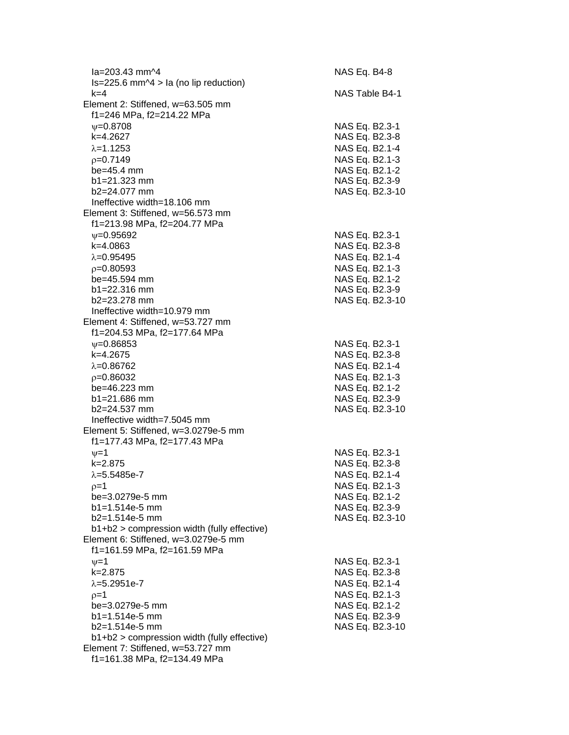| la=203.43 mm^4                                                 |  | NAS Eq. B4-8                     |
|----------------------------------------------------------------|--|----------------------------------|
| $Is = 225.6$ mm $\textdegree$ 4 > la (no lip reduction)<br>k=4 |  | NAS Table B4-1                   |
| Element 2: Stiffened, w=63.505 mm                              |  |                                  |
| f1=246 MPa, f2=214.22 MPa                                      |  |                                  |
| $\psi = 0.8708$                                                |  | NAS Eq. B2.3-1                   |
| k=4.2627                                                       |  | NAS Eq. B2.3-8                   |
| $\lambda = 1.1253$                                             |  | NAS Eq. B2.1-4                   |
| $p=0.7149$                                                     |  |                                  |
| be=45.4 mm                                                     |  | NAS Eq. B2.1-3                   |
| $b1 = 21.323$ mm                                               |  | NAS Eq. B2.1-2<br>NAS Eq. B2.3-9 |
| $b2 = 24.077$ mm                                               |  | NAS Eq. B2.3-10                  |
| Ineffective width=18.106 mm                                    |  |                                  |
| Element 3: Stiffened, w=56.573 mm                              |  |                                  |
| f1=213.98 MPa, f2=204.77 MPa                                   |  |                                  |
| $v = 0.95692$                                                  |  | NAS Eq. B2.3-1                   |
| k=4.0863                                                       |  | NAS Eq. B2.3-8                   |
| $\lambda = 0.95495$                                            |  | NAS Eq. B2.1-4                   |
| $p=0.80593$                                                    |  | NAS Eq. B2.1-3                   |
| be=45.594 mm                                                   |  | NAS Eq. B2.1-2                   |
| $b1 = 22.316$ mm                                               |  | NAS Eq. B2.3-9                   |
| $b2 = 23.278$ mm                                               |  | NAS Eq. B2.3-10                  |
| Ineffective width=10.979 mm                                    |  |                                  |
| Element 4: Stiffened, w=53.727 mm                              |  |                                  |
| f1=204.53 MPa, f2=177.64 MPa                                   |  |                                  |
| $\nu = 0.86853$                                                |  | NAS Eq. B2.3-1                   |
| k=4.2675                                                       |  | NAS Eq. B2.3-8                   |
| $\lambda = 0.86762$                                            |  | NAS Eq. B2.1-4                   |
| $p=0.86032$                                                    |  | NAS Eq. B2.1-3                   |
| be=46.223 mm                                                   |  | NAS Eq. B2.1-2                   |
| $b1 = 21.686$ mm                                               |  | NAS Eq. B2.3-9                   |
| $b2 = 24.537$ mm                                               |  | NAS Eq. B2.3-10                  |
| Ineffective width=7.5045 mm                                    |  |                                  |
| Element 5: Stiffened, w=3.0279e-5 mm                           |  |                                  |
| f1=177.43 MPa, f2=177.43 MPa                                   |  |                                  |
| $v = 1$                                                        |  | NAS Eq. B2.3-1                   |
| $k = 2.875$                                                    |  | NAS Eq. B2.3-8                   |
| $\lambda = 5.5485e - 7$                                        |  | NAS Eq. B2.1-4                   |
| $p=1$                                                          |  | NAS Eq. B2.1-3                   |
| be=3.0279e-5 mm                                                |  | NAS Eq. B2.1-2                   |
| b1=1.514e-5 mm                                                 |  | NAS Eq. B2.3-9                   |
| b2=1.514e-5 mm                                                 |  | NAS Eq. B2.3-10                  |
| b1+b2 > compression width (fully effective)                    |  |                                  |
| Element 6: Stiffened, w=3.0279e-5 mm                           |  |                                  |
| f1=161.59 MPa, f2=161.59 MPa                                   |  |                                  |
| $\nu = 1$                                                      |  | NAS Eq. B2.3-1                   |
| k=2.875                                                        |  | NAS Eq. B2.3-8                   |
| $\lambda = 5.2951e - 7$                                        |  | NAS Eq. B2.1-4                   |
| $p=1$                                                          |  | NAS Eq. B2.1-3                   |
| be=3.0279e-5 mm                                                |  | NAS Eq. B2.1-2                   |
| b1=1.514e-5 mm                                                 |  | NAS Eq. B2.3-9                   |
| b2=1.514e-5 mm                                                 |  | NAS Eq. B2.3-10                  |
| $b1+b2$ > compression width (fully effective)                  |  |                                  |
| Element 7: Stiffened, w=53.727 mm                              |  |                                  |
| f1=161.38 MPa, f2=134.49 MPa                                   |  |                                  |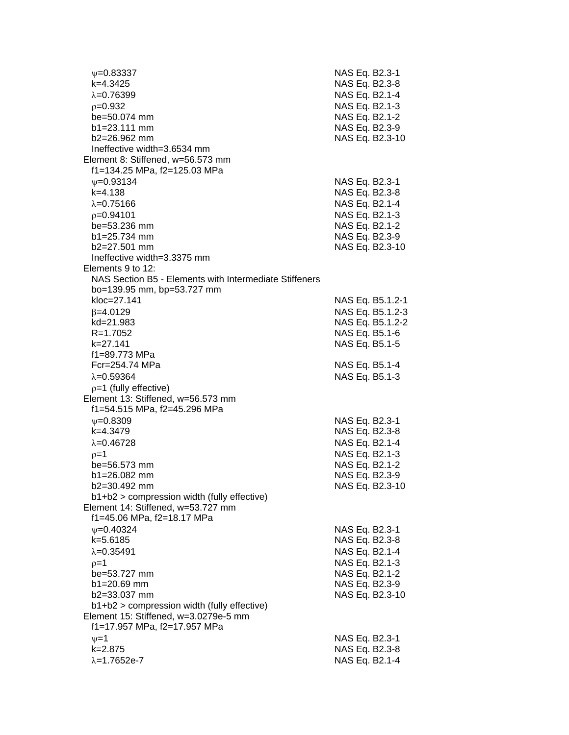=0.83337 NAS Eq. B2.3-1 k=4.3425 NAS Eq. B2.3-8  $\lambda$ =0.76399 NAS Eq. B2.1-4 =0.932 NAS Eq. B2.1-3 be=50.074 mm NAS Eq. B2.1-2 b1=23.111 mm NAS Eq. B2.3-9 b2=26.962 mm NAS Eq. B2.3-10 Ineffective width=3.6534 mm Element 8: Stiffened, w=56.573 mm f1=134.25 MPa, f2=125.03 MPa  $\psi$ =0.93134 NAS Eq. B2.3-1 k=4.138 NAS Eq. B2.3-8  $\lambda = 0.75166$  NAS Eq. B2.1-4  $p=0.94101$  NAS Eq. B2.1-3 be=53.236 mm NAS Eq. B2.1-2 b1=25.734 mm NAS Eq. B2.3-9 b2=27.501 mm NAS Eq. B2.3-10 Ineffective width=3.3375 mm Elements 9 to 12: NAS Section B5 - Elements with Intermediate Stiffeners bo=139.95 mm, bp=53.727 mm kloc=27.141 NAS Eq. B5.1.2-1  $\beta$ =4.0129 NAS Eq. B5.1.2-3 kd=21.983 NAS Eq. B5.1.2-2 R=1.7052 NAS Eq. B5.1-6 k=27.141 NAS Eq. B5.1-5 f1=89.773 MPa Fcr=254.74 MPa NAS Eq. B5.1-4  $\lambda = 0.59364$  NAS Eq. B5.1-3  $p=1$  (fully effective) Element 13: Stiffened, w=56.573 mm f1=54.515 MPa, f2=45.296 MPa  $\nu$ =0.8309 NAS Eq. B2.3-1 k=4.3479 NAS Eq. B2.3-8  $\lambda = 0.46728$  NAS Eq. B2.1-4  $p=1$  NAS Eq. B2.1-3 be=56.573 mm NAS Eq. B2.1-2 b1=26.082 mm NAS Eq. B2.3-9 b2=30.492 mm NAS Eq. B2.3-10 b1+b2 > compression width (fully effective) Element 14: Stiffened, w=53.727 mm f1=45.06 MPa, f2=18.17 MPa  $\nu$ =0.40324 NAS Eq. B2.3-1 k=5.6185 NAS Eq. B2.3-8  $\lambda = 0.35491$  NAS Eq. B2.1-4  $\rho = 1$  NAS Eq. B2.1-3 be=53.727 mm NAS Eq. B2.1-2 b1=20.69 mm NAS Eq. B2.3-9 b2=33.037 mm NAS Eq. B2.3-10 b1+b2 > compression width (fully effective) Element 15: Stiffened, w=3.0279e-5 mm f1=17.957 MPa, f2=17.957 MPa  $v = 1$  NAS Eq. B2.3-1 k=2.875 NAS Eq. B2.3-8  $\lambda = 1.7652e - 7$  NAS Eq. B2.1-4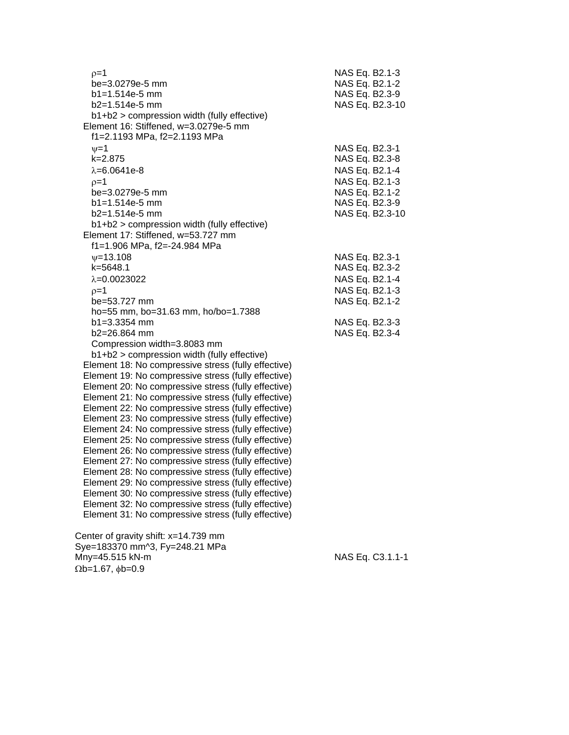| $p=1$<br>be=3.0279e-5 mm<br>b1=1.514e-5 mm                                                                 | NAS Eq. B2.1-3<br>NAS Eq. B2.1-2<br>NAS Eq. B2.3-9 |
|------------------------------------------------------------------------------------------------------------|----------------------------------------------------|
| b2=1.514e-5 mm<br>b1+b2 > compression width (fully effective)                                              | NAS Eq. B2.3-10                                    |
| Element 16: Stiffened, w=3.0279e-5 mm                                                                      |                                                    |
| f1=2.1193 MPa, f2=2.1193 MPa                                                                               |                                                    |
| $v = 1$                                                                                                    | NAS Eq. B2.3-1                                     |
| $k = 2.875$<br>$\lambda = 6.0641e-8$                                                                       | NAS Eq. B2.3-8<br>NAS Eq. B2.1-4                   |
| $p=1$                                                                                                      | NAS Eq. B2.1-3                                     |
| be=3.0279e-5 mm                                                                                            | NAS Eq. B2.1-2                                     |
| $b1 = 1.514e-5$ mm                                                                                         | NAS Eq. B2.3-9                                     |
| b2=1.514e-5 mm                                                                                             | NAS Eq. B2.3-10                                    |
| b1+b2 > compression width (fully effective)                                                                |                                                    |
| Element 17: Stiffened, w=53.727 mm                                                                         |                                                    |
| f1=1.906 MPa, f2=-24.984 MPa<br>$\psi = 13.108$                                                            | NAS Eq. B2.3-1                                     |
| $k = 5648.1$                                                                                               | NAS Eq. B2.3-2                                     |
| $\lambda = 0.0023022$                                                                                      | NAS Eq. B2.1-4                                     |
| $p=1$                                                                                                      | NAS Eq. B2.1-3                                     |
| be=53.727 mm                                                                                               | NAS Eq. B2.1-2                                     |
| ho=55 mm, bo=31.63 mm, ho/bo=1.7388                                                                        |                                                    |
| $b1 = 3.3354$ mm                                                                                           | NAS Eq. B2.3-3                                     |
| b2=26.864 mm                                                                                               | NAS Eq. B2.3-4                                     |
| Compression width=3.8083 mm<br>b1+b2 > compression width (fully effective)                                 |                                                    |
| Element 18: No compressive stress (fully effective)                                                        |                                                    |
| Element 19: No compressive stress (fully effective)                                                        |                                                    |
| Element 20: No compressive stress (fully effective)                                                        |                                                    |
| Element 21: No compressive stress (fully effective)                                                        |                                                    |
| Element 22: No compressive stress (fully effective)                                                        |                                                    |
| Element 23: No compressive stress (fully effective)                                                        |                                                    |
| Element 24: No compressive stress (fully effective)<br>Element 25: No compressive stress (fully effective) |                                                    |
| Element 26: No compressive stress (fully effective)                                                        |                                                    |
| Element 27: No compressive stress (fully effective)                                                        |                                                    |
| Element 28: No compressive stress (fully effective)                                                        |                                                    |
| Element 29: No compressive stress (fully effective)                                                        |                                                    |
| Element 30: No compressive stress (fully effective)                                                        |                                                    |
| Element 32: No compressive stress (fully effective)<br>Element 31: No compressive stress (fully effective) |                                                    |
|                                                                                                            |                                                    |
| Cantar of aravity shift: y-14 730 mm                                                                       |                                                    |

 Center of gravity shift: x=14.739 mm Sye=183370 mm^3, Fy=248.21 MPa Mny=45.515 kN-m NAS Eq. C3.1.1-1  $\Omega$ b=1.67,  $\phi$ b=0.9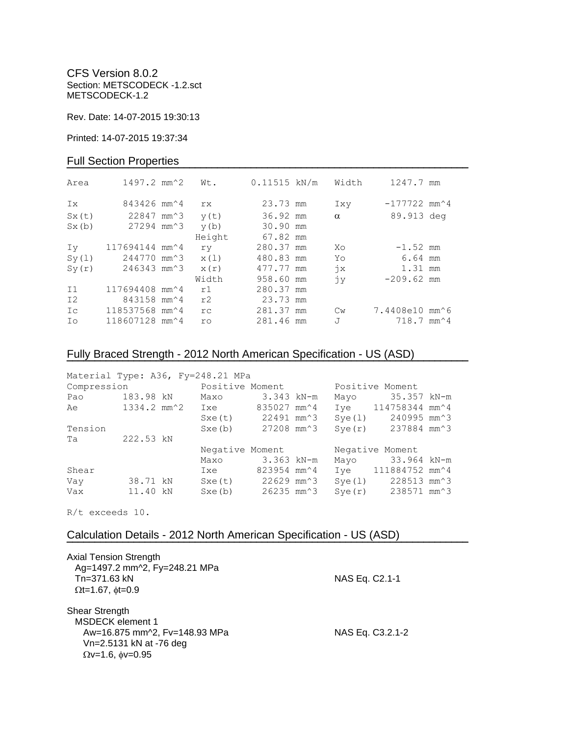CFS Version 8.0.2 Section: METSCODECK -1.2.sct METSCODECK-1.2

Rev. Date: 14-07-2015 19:30:13

Printed: 14-07-2015 19:37:34

### Full Section Properties

| Area           | $1497.2$ mm <sup><math>~2</math></sup>   | Wt.    | $0.11515$ kN/m | Width         | 1247.7 mm                                |  |
|----------------|------------------------------------------|--------|----------------|---------------|------------------------------------------|--|
| Ix             | 843426 mm <sup><math>\sim</math></sup> 4 | rx.    | 23.73 mm       | Ixy           | $-177722$ mm <sup><math>4</math></sup>   |  |
| Sx(t)          | 22847 mm <sup>2</sup> 3                  | y(t)   | 36.92 mm       | $\alpha$      | 89.913 deg                               |  |
| Sx(b)          | 27294 mm <sup>2</sup> 3                  | y(b)   | 30.90 mm       |               |                                          |  |
|                |                                          | Height | 67.82 mm       |               |                                          |  |
| Iv             | 117694144 mm^4                           | ry     | 280.37 mm      | Xo            | $-1.52$ mm                               |  |
| Sy(1)          | 244770 mm <sup>2</sup> 3                 | x(1)   | 480.83 mm      | Yo            | 6.64 mm                                  |  |
| Sy(r)          | 246343 mm^3                              | x(r)   | 477.77 mm      | $\dot{7}x$    | 1.31 mm                                  |  |
|                |                                          | Width  | 958.60 mm      | jу            | $-209.62$ mm                             |  |
| I <sub>1</sub> | 117694408 mm <sup>2</sup> 4              | r1     | 280.37 mm      |               |                                          |  |
| I <sub>2</sub> | 843158 mm <sup><math>4</math></sup>      | r2     | 23.73 mm       |               |                                          |  |
| Ic             | 118537568 mm^4                           | rc     | 281.37 mm      | $\mathbb{C}w$ | 7.4408e10 mm^6                           |  |
| Ιo             | 118607128 mm^4                           | ro     | 281.46 mm      | J             | $718.7$ mm <sup><math>\sim</math>4</sup> |  |

# Fully Braced Strength - 2012 North American Specification - US (ASD)

| Material Type: A36, Fy=248.21 MPa |                 |                                             |              |        |                                              |  |
|-----------------------------------|-----------------|---------------------------------------------|--------------|--------|----------------------------------------------|--|
| Compression                       |                 | Positive Moment                             |              |        | Positive Moment                              |  |
| Pao                               | 183.98 kN       | Maxo                                        | $3.343$ kN-m | Mayo   | 35.357 kN-m                                  |  |
| Ae                                | 1334.2 mm^2 Ixe |                                             | 835027 mm^4  |        | Iye 114758344 mm <sup>2</sup> 4              |  |
|                                   |                 | $Sxe(t)$ 22491 mm <sup><math>3</math></sup> |              | Sye(1) | 240995 mm^3                                  |  |
| Tension                           |                 | Sxe(b)                                      | 27208 mm^3   |        | $Sye(r)$ 237884 mm <sup><math>3</math></sup> |  |
| Ta                                | 222.53 kN       |                                             |              |        |                                              |  |
|                                   |                 | Negative Moment                             |              |        | Negative Moment                              |  |
|                                   |                 | Maxo                                        | 3.363 kN-m   | Mayo   | 33.964 kN-m                                  |  |
| Shear                             |                 | Ixe                                         | 823954 mm^4  |        | Iye 111884752 mm^4                           |  |
| Vay                               | 38.71 kN        | $Sxe(t)$ 22629 mm <sup><math>3</math></sup> |              | Sye(1) | 228513 mm^3                                  |  |
| Vax                               | 11.40 kN        | Sxe(b)                                      | 26235 mm^3   |        | $Sve(r)$ 238571 mm <sup><math>3</math></sup> |  |

**¯¯¯¯¯¯¯¯¯¯¯¯¯¯¯¯¯¯¯¯¯¯¯¯¯¯¯¯¯¯¯¯¯¯¯¯¯¯¯¯¯¯¯¯¯¯¯¯¯¯¯¯¯¯¯¯¯¯¯¯¯¯¯¯¯¯¯¯¯¯¯¯**

R/t exceeds 10.

## Calculation Details - 2012 North American Specification - US (ASD)

| <b>Axial Tension Strength</b><br>Ag=1497.2 mm^2, Fy=248.21 MPa<br>Tn=371.63 kN<br>$\Omega t = 1.67$ , $\phi t = 0.9$                     | NAS Eq. C2.1-1   |  |
|------------------------------------------------------------------------------------------------------------------------------------------|------------------|--|
| <b>Shear Strength</b><br><b>MSDECK</b> element 1<br>Aw=16.875 mm^2, Fv=148.93 MPa<br>Vn=2.5131 kN at -76 deg<br>$Qv=1.6$ , $\phi v=0.95$ | NAS Eq. C3.2.1-2 |  |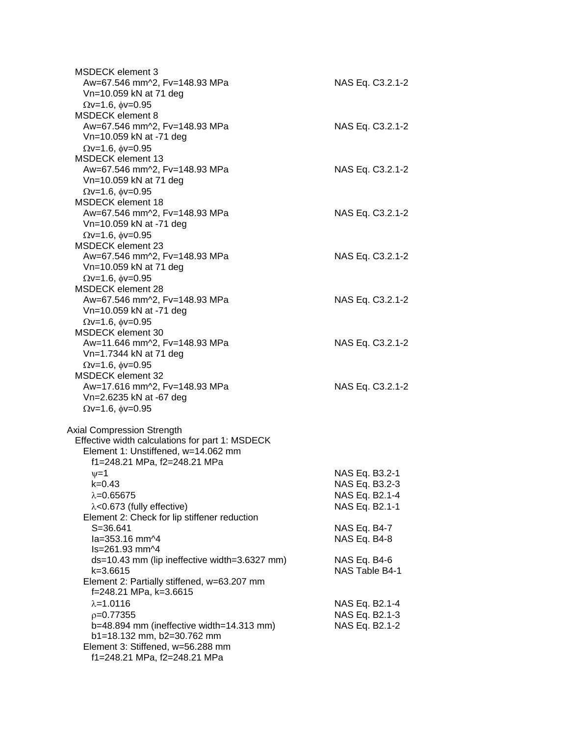| MSDECK element 3<br>Aw=67.546 mm^2, Fv=148.93 MPa<br>Vn=10.059 kN at 71 deg          | NAS Eq. C3.2.1-2                 |
|--------------------------------------------------------------------------------------|----------------------------------|
| $Qv=1.6$ , $\phi v=0.95$                                                             |                                  |
| MSDECK element 8                                                                     |                                  |
| Aw=67.546 mm^2, Fv=148.93 MPa<br>Vn=10.059 kN at -71 deg                             | NAS Eq. C3.2.1-2                 |
| $\Omega$ v=1.6, $\phi$ v=0.95                                                        |                                  |
| <b>MSDECK</b> element 13                                                             |                                  |
| Aw=67.546 mm^2, Fv=148.93 MPa<br>Vn=10.059 kN at 71 deg                              | NAS Eq. C3.2.1-2                 |
| $\Omega$ v=1.6, $\phi$ v=0.95                                                        |                                  |
| <b>MSDECK element 18</b>                                                             |                                  |
| Aw=67.546 mm^2, Fv=148.93 MPa                                                        | NAS Eq. C3.2.1-2                 |
| Vn=10.059 kN at -71 deg                                                              |                                  |
| $Qv=1.6$ , $\phi v=0.95$                                                             |                                  |
| <b>MSDECK element 23</b>                                                             |                                  |
| Aw=67.546 mm^2, Fv=148.93 MPa<br>Vn=10.059 kN at 71 deg                              | NAS Eq. C3.2.1-2                 |
| $Qv=1.6$ , $\phi v=0.95$                                                             |                                  |
| MSDECK element 28                                                                    |                                  |
| Aw=67.546 mm^2, Fv=148.93 MPa                                                        | NAS Eq. C3.2.1-2                 |
| Vn=10.059 kN at -71 deg                                                              |                                  |
| $Qv=1.6$ , $\phi v=0.95$                                                             |                                  |
| MSDECK element 30                                                                    |                                  |
| Aw=11.646 mm^2, Fv=148.93 MPa<br>Vn=1.7344 kN at 71 deg                              | NAS Eq. C3.2.1-2                 |
| $Qv=1.6$ , $\phi v=0.95$                                                             |                                  |
| <b>MSDECK element 32</b>                                                             |                                  |
| Aw=17.616 mm^2, Fv=148.93 MPa                                                        | NAS Eq. C3.2.1-2                 |
| Vn=2.6235 kN at -67 deg                                                              |                                  |
| $\Omega$ v=1.6, $\phi$ v=0.95                                                        |                                  |
|                                                                                      |                                  |
| <b>Axial Compression Strength</b><br>Effective width calculations for part 1: MSDECK |                                  |
| Element 1: Unstiffened, w=14.062 mm                                                  |                                  |
| f1=248.21 MPa, f2=248.21 MPa                                                         |                                  |
| $\nu = 1$                                                                            | NAS Eq. B3.2-1                   |
| k=0.43                                                                               | NAS Eq. B3.2-3                   |
| $\lambda = 0.65675$                                                                  | NAS Eq. B2.1-4                   |
| $\lambda$ <0.673 (fully effective)                                                   | NAS Eq. B2.1-1                   |
| Element 2: Check for lip stiffener reduction<br>$S = 36.641$                         | NAS Eq. B4-7                     |
| la=353.16 mm^4                                                                       | NAS Eq. B4-8                     |
| ls=261.93 mm^4                                                                       |                                  |
| ds=10.43 mm (lip ineffective width=3.6327 mm)                                        | NAS Eq. B4-6                     |
| k=3.6615                                                                             | NAS Table B4-1                   |
| Element 2: Partially stiffened, w=63.207 mm                                          |                                  |
| f=248.21 MPa, k=3.6615                                                               |                                  |
| $\lambda = 1.0116$<br>$p=0.77355$                                                    | NAS Eq. B2.1-4                   |
| b=48.894 mm (ineffective width=14.313 mm)                                            | NAS Eq. B2.1-3<br>NAS Eq. B2.1-2 |
| b1=18.132 mm, b2=30.762 mm                                                           |                                  |
| Element 3: Stiffened, w=56.288 mm                                                    |                                  |
| f1=248.21 MPa, f2=248.21 MPa                                                         |                                  |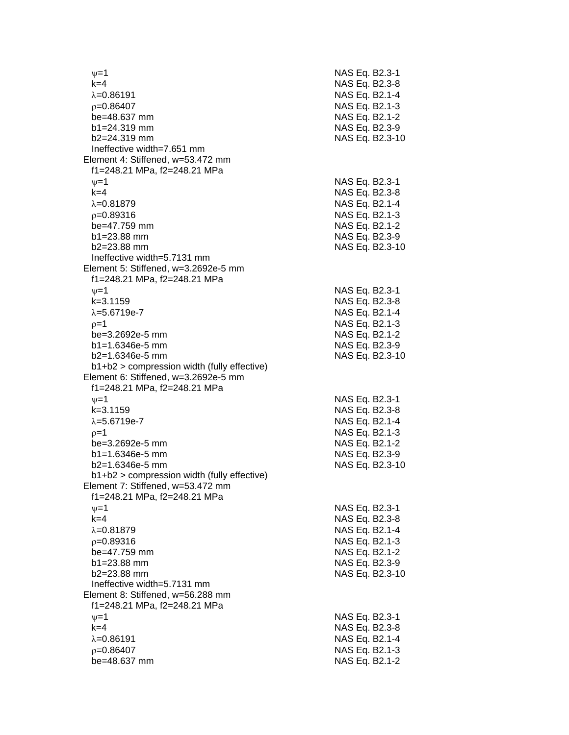$\nu$  =1 NAS Eq. B2.3-1 k=4 NAS Eq. B2.3 - 8 =0.86191 NAS Eq. B2.1 - 4  $\rho$ =0.86407 NAS Eq. B2.1-3 be=48.637 mm b1=24.319 mm NAS Eq. B2.3-9 b2=24.319 mm NAS Eq. B2.3 -10 Ineffective width=7.651 mm Element 4: Stiffened, w=53.472 mm f1=248.21 MPa, f2=248.21 MPa  $\psi$ =1 NAS Eq. B2.3-1 k=4 NAS Eq. B2.3 - 8 λ=0.81879 NAS Eq. B2.1-4  $\rho$ =0.89316 NAS Eq. B2.1-3 be=47.759 mm b1=23.88 mm NAS Eq. B2.3-9 b2=23.88 mm NAS Eq. B2.3 -10 Ineffective width=5.7131 mm Element 5: Stiffened, w=3.2692e -5 mm f1=248.21 MPa, f2=248.21 MPa  $\psi$ =1 NAS Eq. B2.3-1 k=3.1159 NAS Eq. B2. 3 - 8 λ=5.6719e-7 NAS Eq. B2.1 - 4  $\rho$ =1 NAS Eq. B2.1-3 be=3.2692e -5 mm NAS Eq. B2.1 - 2 b1=1.6346e-5 mm -5 mm NAS Eq. B2.3 - 9 b2=1.6346e -5 mm NAS Eq. B2.3 -10 b1+b2 > compression width (fully effective) Element 6: Stiffened, w=3.2692e -5 mm f1=248.21 MPa, f2=248.21 MPa  $\nu$  =1 NAS Eq. B2.3-1 k=3.1159 NAS Eq. B2.3 - 8 λ=5.6719e-7 NAS Eq. B2.1 - 4  $\rho=1$  NAS Eq. B2.1-3 be=3.2692e -5 mm NAS Eq. B2.1 - 2 b1=1.6346e-5 mm -5 mm NAS Eq. B2.3 - 9 b2=1.6346e -5 mm NAS Eq. B2.3 -10 b1+b2 > compression width (fully effective) Element 7: Stiffened, w=53.472 mm f1=248.21 MPa, f2=248.21 MPa  $\psi$ =1 NAS Eq. B2.3-1 k=4 NAS Eq. B2.3 - 8 λ=0.81879 NAS Eq. B2.1-4  $\rho$ =0.89316 NAS Eq. B2.1-3 be=47.759 mm  $b1 = 23.88$  mm b2=23.88 mm NAS Eq. B2.3 -10 Ineffective width=5.7131 mm Element 8: Stiffened, w=56.288 mm f1=248.21 MPa, f2=248.21 MPa  $\psi$ =1 NAS Eq. B2.3-1 k=4 NAS Eq. B2.3 - 8 =0.86191 NAS Eq. B2.1 - 4  $\rho$ =0.86407 NAS Eq. B2.1-3 be=48.637 mm NAS Eq. B2.1-2

- 2

- 2

- 2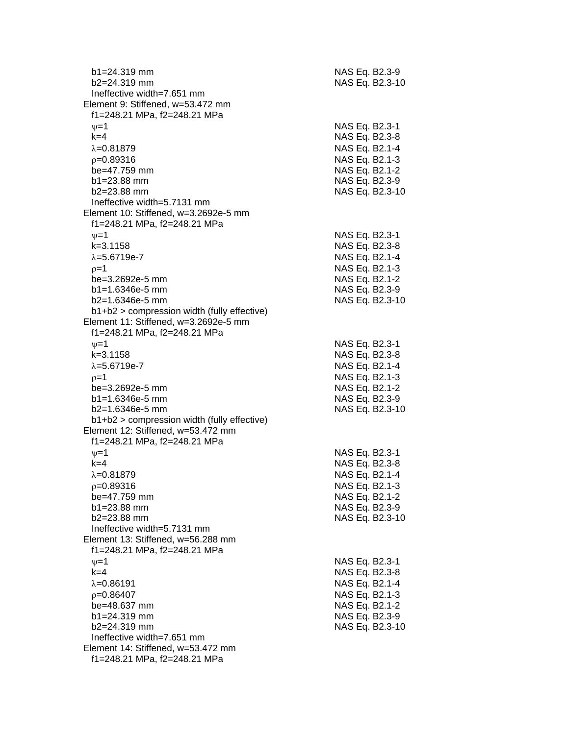| $b1 = 24.319$ mm<br>b2=24.319 mm              | NAS Eq. B2.3-9<br>NAS Eq. B2.3-10 |
|-----------------------------------------------|-----------------------------------|
| Ineffective width=7.651 mm                    |                                   |
| Element 9: Stiffened, w=53.472 mm             |                                   |
| f1=248.21 MPa, f2=248.21 MPa                  |                                   |
| $\nu = 1$                                     | NAS Eq. B2.3-1                    |
| $k=4$                                         | NAS Eq. B2.3-8                    |
| $\lambda = 0.81879$                           | NAS Eq. B2.1-4                    |
| $p=0.89316$                                   | NAS Eq. B2.1-3                    |
| be=47.759 mm                                  | NAS Eq. B2.1-2                    |
| $b1 = 23.88$ mm                               | NAS Eq. B2.3-9                    |
| $b2 = 23.88$ mm                               | NAS Eq. B2.3-10                   |
| Ineffective width=5.7131 mm                   |                                   |
| Element 10: Stiffened, w=3.2692e-5 mm         |                                   |
| f1=248.21 MPa, f2=248.21 MPa                  |                                   |
| $\nu = 1$                                     | NAS Eq. B2.3-1                    |
| $k = 3.1158$                                  | NAS Eq. B2.3-8                    |
| $\lambda = 5.6719e - 7$                       | NAS Eq. B2.1-4                    |
| $p=1$                                         | NAS Eq. B2.1-3                    |
| be=3.2692e-5 mm                               | NAS Eq. B2.1-2                    |
| $b1 = 1.6346e-5$ mm                           | NAS Eq. B2.3-9                    |
| $b2=1.6346e-5$ mm                             | NAS Eq. B2.3-10                   |
| $b1+b2$ > compression width (fully effective) |                                   |
| Element 11: Stiffened, w=3.2692e-5 mm         |                                   |
| f1=248.21 MPa, f2=248.21 MPa                  |                                   |
| $\nu = 1$                                     | NAS Eq. B2.3-1                    |
| $k = 3.1158$                                  | NAS Eq. B2.3-8                    |
| $\lambda = 5.6719e - 7$                       | NAS Eq. B2.1-4                    |
| $p=1$                                         | NAS Eq. B2.1-3                    |
| be=3.2692e-5 mm                               | NAS Eq. B2.1-2                    |
| $b1 = 1.6346e-5$ mm                           | NAS Eq. B2.3-9                    |
| $b2=1.6346e-5$ mm                             | NAS Eq. B2.3-10                   |
| b1+b2 > compression width (fully effective)   |                                   |
| Element 12: Stiffened, w=53.472 mm            |                                   |
| f1=248.21 MPa, f2=248.21 MPa                  |                                   |
| $\nu = 1$                                     | NAS Eq. B2.3-1                    |
| $k = 4$                                       | NAS Eq. B2.3-8                    |
| $\lambda = 0.81879$                           | NAS Eq. B2.1-4                    |
| $p=0.89316$                                   | NAS Eq. B2.1-3                    |
| be=47.759 mm                                  | NAS Eq. B2.1-2                    |
| $b1 = 23.88$ mm                               | NAS Eq. B2.3-9                    |
| $b2 = 23.88$ mm                               | NAS Eq. B2.3-10                   |
| Ineffective width=5.7131 mm                   |                                   |
| Element 13: Stiffened, w=56.288 mm            |                                   |
| f1=248.21 MPa, f2=248.21 MPa                  |                                   |
| $\nu = 1$                                     | NAS Eq. B2.3-1                    |
| $k=4$                                         | NAS Eq. B2.3-8                    |
| $\lambda = 0.86191$                           | NAS Eq. B2.1-4                    |
| $p=0.86407$                                   | NAS Eq. B2.1-3                    |
| be=48.637 mm                                  | NAS Eq. B2.1-2                    |
| $b1 = 24.319$ mm                              | NAS Eq. B2.3-9                    |
| b2=24.319 mm                                  | NAS Eq. B2.3-10                   |
| Ineffective width=7.651 mm                    |                                   |
| Element 14: Stiffened, w=53.472 mm            |                                   |
| f1=248.21 MPa, f2=248.21 MPa                  |                                   |
|                                               |                                   |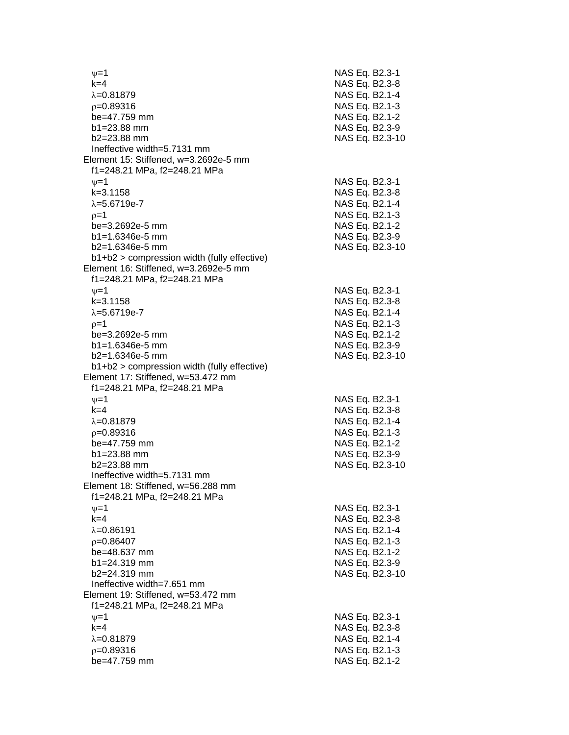$\nu$  =1 NAS Eq. B2.3-1 k=4 NAS Eq. B2.3 - 8 =0.81879 NAS Eq. B2.1 - 4  $\rho$ =0.89316 NAS Eq. B2.1-3 be=47.759 mm b1=23.88 mm NAS Eq. B2.3-9 b2=23.88 mm NAS Eq. B2.3 -10 Ineffective width=5.7131 mm Element 15: Stiffened, w=3.2692e -5 mm f1=248.21 MPa, f2=248.21 MPa  $\psi$ =1 NAS Eq. B2.3-1 k=3.1158 NAS Eq. B2.3 - 8 =5.6719e - 7 NAS Eq. B2.1 - 4  $\rho$ =1 NAS Eq. B2.1-3 be=3.2692e-5 mm -5 mm NAS Eq. B2.1 - 2  $b1=1.6346e-5$  mm -5 mm NAS Eq. B2.3 - 9 b2=1.6346e -5 mm NAS Eq. B2.3 - 1 0 b1+b2 > compression width (fully effective) Element 16: Stiffened, w=3.2692e -5 mm f1=248.21 MPa, f2=248.21 MPa  $\psi$ =1 NAS Eq. B2.3-1 k=3.1158 NAS Eq. B2.3 - 8 λ=5.6719e-7 NAS Eq. B2.1 - 4  $\rho$ =1 NAS Eq. B2.1-3 be=3.2692e -5 mm NAS Eq. B2.1 - 2 b1=1.6346e-5 mm -5 mm NAS Eq. B2.3 - 9 b2=1.6346e -5 mm NAS Eq. B2.3 -10 b1+b2 > compression width (fully effective) Element 17: Stiffened, w=53.472 mm f1=248.21 MPa, f2=248.21 MPa  $\nu$  =1 NAS Eq. B2.3-1 k=4 NAS Eq. B2.3 - 8 =0.81879 NAS Eq. B2.1 - 4  $\rho$ =0.89316 NAS Eq. B2.1-3 be=47.759 mm b1=23.88 mm NAS Eq. B2.3-9 b2=23.88 mm NAS Eq. B2.3 -10 Ineffective width=5.7131 mm Element 18: Stiffened, w=56.288 mm f1=248.21 MPa, f2=248.21 MPa  $\psi$ =1 NAS Eq. B2.3-1 k=4 NAS Eq. B2.3 - 8 λ=0.86191 NAS Eq. B2.1-4  $\rho$ =0.86407 NAS Eq. B2.1-3 be=48.637 mm  $b1 = 24.319$  mm b2=24.319 mm NAS Eq. B2.3 -10 Ineffective width=7.651 mm Element 19: Stiffened, w=53.472 mm f1=248.21 MPa, f2=248.21 MPa  $\psi$ =1 NAS Eq. B2.3-1 k=4 NAS Eq. B2.3 - 8 =0.81879 NAS Eq. B2.1 - 4  $\rho$ =0.89316 NAS Eq. B2.1-3 be=47.759 mm NAS Eq. B2.1-2

- 2

- 2

- 2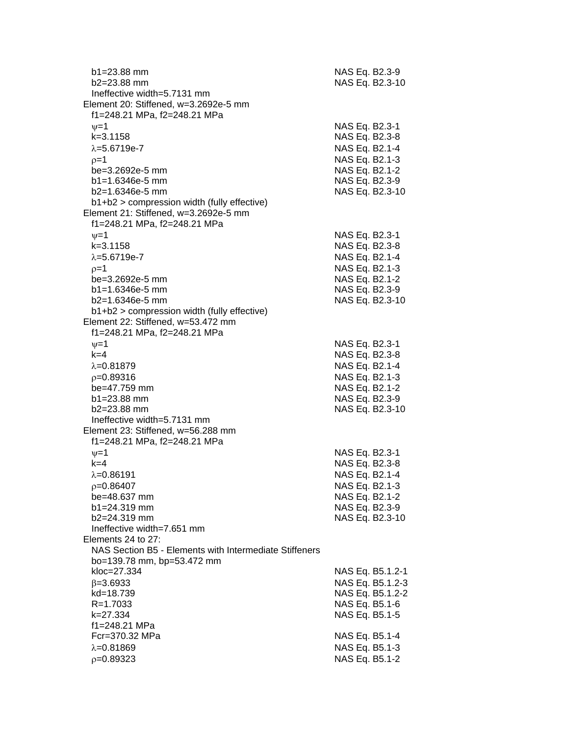| $b1 = 23.88$ mm<br>$b2 = 23.88$ mm<br>Ineffective width=5.7131 mm<br>Element 20: Stiffened, w=3.2692e-5 mm | NAS Eq. B2.3-9<br>NAS Eq. B2.3-10 |
|------------------------------------------------------------------------------------------------------------|-----------------------------------|
| f1=248.21 MPa, f2=248.21 MPa                                                                               |                                   |
| $v = 1$<br>$k = 3.1158$                                                                                    | NAS Eq. B2.3-1<br>NAS Eq. B2.3-8  |
| $\lambda = 5.6719e - 7$                                                                                    | NAS Eq. B2.1-4                    |
| $p=1$<br>be=3.2692e-5 mm                                                                                   | NAS Eq. B2.1-3<br>NAS Eq. B2.1-2  |
| $b1 = 1.6346e-5$ mm                                                                                        | NAS Eq. B2.3-9                    |
| $b2=1.6346e-5$ mm                                                                                          | NAS Eq. B2.3-10                   |
| b1+b2 > compression width (fully effective)                                                                |                                   |
| Element 21: Stiffened, w=3.2692e-5 mm                                                                      |                                   |
| f1=248.21 MPa, f2=248.21 MPa                                                                               |                                   |
| $\nu = 1$                                                                                                  | NAS Eq. B2.3-1                    |
| $k = 3.1158$                                                                                               | NAS Eq. B2.3-8                    |
| $\lambda = 5.6719e - 7$                                                                                    | NAS Eq. B2.1-4                    |
| $p=1$<br>be=3.2692e-5 mm                                                                                   | NAS Eq. B2.1-3<br>NAS Eq. B2.1-2  |
| $b1 = 1.6346e-5$ mm                                                                                        | NAS Eq. B2.3-9                    |
| $b2=1.6346e-5$ mm                                                                                          | NAS Eq. B2.3-10                   |
| $b1+b2$ > compression width (fully effective)                                                              |                                   |
| Element 22: Stiffened, w=53.472 mm<br>f1=248.21 MPa, f2=248.21 MPa                                         |                                   |
| $\nu = 1$                                                                                                  | NAS Eq. B2.3-1                    |
| $k=4$                                                                                                      | NAS Eq. B2.3-8                    |
| $\lambda = 0.81879$                                                                                        | NAS Eq. B2.1-4                    |
| $p=0.89316$                                                                                                | NAS Eq. B2.1-3                    |
| be=47.759 mm<br>$b1 = 23.88$ mm                                                                            | NAS Eq. B2.1-2<br>NAS Eq. B2.3-9  |
| $b2 = 23.88$ mm                                                                                            | NAS Eq. B2.3-10                   |
| Ineffective width=5.7131 mm                                                                                |                                   |
| Element 23: Stiffened, w=56.288 mm                                                                         |                                   |
| f1=248.21 MPa, f2=248.21 MPa                                                                               |                                   |
| $\nu = 1$                                                                                                  | NAS Eq. B2.3-1                    |
| $k=4$                                                                                                      | NAS Eq. B2.3-8                    |
| λ=0.86191                                                                                                  | NAS Eq. B2.1-4                    |
| $p=0.86407$                                                                                                | NAS Eq. B2.1-3                    |
| be=48.637 mm<br>$b1 = 24.319$ mm                                                                           | NAS Eq. B2.1-2                    |
| b2=24.319 mm                                                                                               | NAS Eq. B2.3-9<br>NAS Eq. B2.3-10 |
| Ineffective width=7.651 mm                                                                                 |                                   |
| Elements 24 to 27:                                                                                         |                                   |
| NAS Section B5 - Elements with Intermediate Stiffeners                                                     |                                   |
| bo=139.78 mm, bp=53.472 mm                                                                                 |                                   |
| kloc=27.334                                                                                                | NAS Eq. B5.1.2-1                  |
| $\beta = 3.6933$                                                                                           | NAS Eq. B5.1.2-3                  |
| kd=18.739                                                                                                  | NAS Eq. B5.1.2-2                  |
| $R = 1.7033$                                                                                               | NAS Eq. B5.1-6                    |
| k=27.334<br>f1=248.21 MPa                                                                                  | NAS Eq. B5.1-5                    |
| Fcr=370.32 MPa                                                                                             | NAS Eq. B5.1-4                    |
| $\lambda = 0.81869$                                                                                        | NAS Eq. B5.1-3                    |
| $p=0.89323$                                                                                                | NAS Eq. B5.1-2                    |
|                                                                                                            |                                   |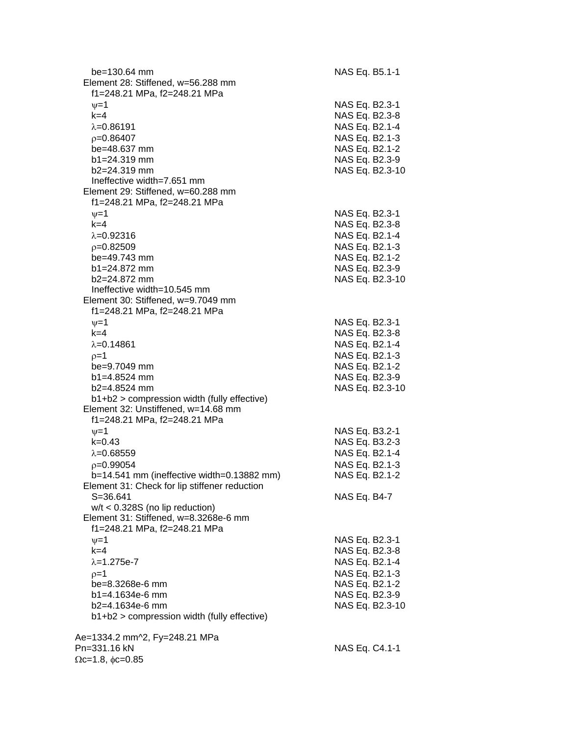| $be = 130.64$ mm<br>Element 28: Stiffened, w=56.288 mm<br>f1=248.21 MPa, f2=248.21 MPa | NAS Eq. B5.1-1                   |
|----------------------------------------------------------------------------------------|----------------------------------|
| $\nu = 1$<br>$k = 4$                                                                   | NAS Eq. B2.3-1<br>NAS Eq. B2.3-8 |
| $\lambda = 0.86191$                                                                    | NAS Eq. B2.1-4                   |
| $p=0.86407$                                                                            | NAS Eq. B2.1-3                   |
| be=48.637 mm                                                                           | NAS Eq. B2.1-2                   |
| $b1 = 24.319$ mm                                                                       | NAS Eq. B2.3-9                   |
| $b2 = 24.319$ mm<br>Ineffective width=7.651 mm                                         | NAS Eq. B2.3-10                  |
| Element 29: Stiffened, w=60.288 mm                                                     |                                  |
| f1=248.21 MPa, f2=248.21 MPa                                                           |                                  |
| $\nu = 1$                                                                              | NAS Eq. B2.3-1                   |
| $k=4$                                                                                  | NAS Eq. B2.3-8                   |
| $\lambda = 0.92316$                                                                    | NAS Eq. B2.1-4                   |
| $p=0.82509$                                                                            | NAS Eq. B2.1-3                   |
| be=49.743 mm                                                                           | NAS Eq. B2.1-2                   |
| $b1 = 24.872$ mm                                                                       | NAS Eq. B2.3-9                   |
| $b2=24.872$ mm                                                                         | NAS Eq. B2.3-10                  |
| Ineffective width=10.545 mm                                                            |                                  |
| Element 30: Stiffened, w=9.7049 mm                                                     |                                  |
| f1=248.21 MPa, f2=248.21 MPa                                                           |                                  |
| $\nu = 1$                                                                              | NAS Eq. B2.3-1                   |
| $k = 4$                                                                                | NAS Eq. B2.3-8                   |
| $\lambda = 0.14861$                                                                    | NAS Eq. B2.1-4                   |
| $p=1$                                                                                  | NAS Eq. B2.1-3                   |
| be=9.7049 mm<br>$b1 = 4.8524$ mm                                                       | NAS Eq. B2.1-2<br>NAS Eq. B2.3-9 |
| b2=4.8524 mm                                                                           | NAS Eq. B2.3-10                  |
| b1+b2 > compression width (fully effective)                                            |                                  |
| Element 32: Unstiffened, w=14.68 mm                                                    |                                  |
| f1=248.21 MPa, f2=248.21 MPa                                                           |                                  |
| $\nu=1$                                                                                | NAS Eq. B3.2-1                   |
| $k = 0.43$                                                                             | NAS Eq. B3.2-3                   |
| $\lambda = 0.68559$                                                                    | NAS Eq. B2.1-4                   |
| $p=0.99054$                                                                            | NAS Eq. B2.1-3                   |
| b=14.541 mm (ineffective width=0.13882 mm)                                             | NAS Eq. B2.1-2                   |
| Element 31: Check for lip stiffener reduction                                          |                                  |
| $S = 36.641$                                                                           | NAS Eq. B4-7                     |
| $w/t < 0.328S$ (no lip reduction)                                                      |                                  |
| Element 31: Stiffened, w=8.3268e-6 mm<br>f1=248.21 MPa, f2=248.21 MPa                  |                                  |
| $\nu = 1$                                                                              | NAS Eq. B2.3-1                   |
| $k=4$                                                                                  | NAS Eq. B2.3-8                   |
| $\lambda = 1.275e - 7$                                                                 | NAS Eq. B2.1-4                   |
| $p=1$                                                                                  | NAS Eq. B2.1-3                   |
| be=8.3268e-6 mm                                                                        | NAS Eq. B2.1-2                   |
| $b1 = 4.1634e-6$ mm                                                                    | NAS Eq. B2.3-9                   |
| b2=4.1634e-6 mm                                                                        | NAS Eq. B2.3-10                  |
| b1+b2 > compression width (fully effective)                                            |                                  |
|                                                                                        |                                  |
| Ae=1334.2 mm^2, Fy=248.21 MPa                                                          |                                  |
| Pn=331.16 kN<br>$\Omega$ c=1.8, $\phi$ c=0.85                                          | NAS Eq. C4.1-1                   |
|                                                                                        |                                  |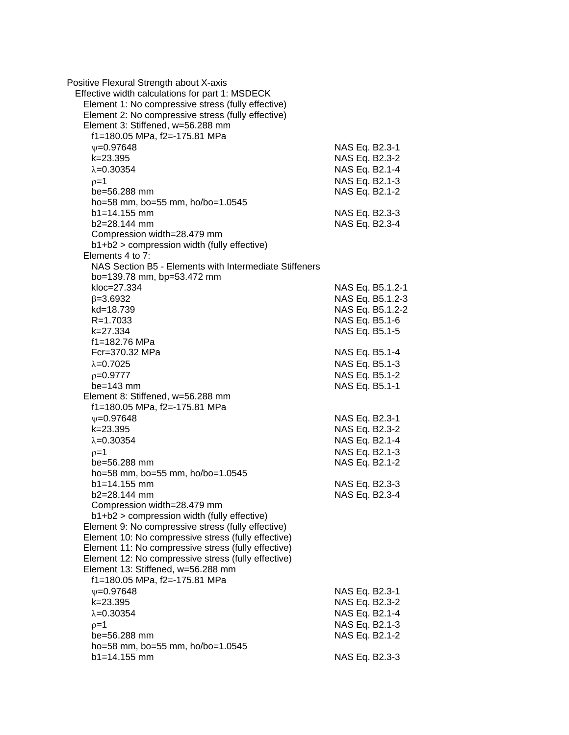| Positive Flexural Strength about X-axis                |                |                  |
|--------------------------------------------------------|----------------|------------------|
| Effective width calculations for part 1: MSDECK        |                |                  |
| Element 1: No compressive stress (fully effective)     |                |                  |
| Element 2: No compressive stress (fully effective)     |                |                  |
| Element 3: Stiffened, w=56.288 mm                      |                |                  |
| f1=180.05 MPa, f2=-175.81 MPa                          |                |                  |
| $V = 0.97648$                                          | NAS Eq. B2.3-1 |                  |
| k=23.395                                               | NAS Eq. B2.3-2 |                  |
| $\lambda = 0.30354$                                    | NAS Eq. B2.1-4 |                  |
| $p=1$                                                  | NAS Eq. B2.1-3 |                  |
| be=56.288 mm                                           | NAS Eq. B2.1-2 |                  |
| ho=58 mm, bo=55 mm, ho/bo=1.0545                       |                |                  |
| $b1 = 14.155$ mm                                       | NAS Eq. B2.3-3 |                  |
| $b2 = 28.144$ mm                                       | NAS Eq. B2.3-4 |                  |
| Compression width=28.479 mm                            |                |                  |
| $b1+b2$ > compression width (fully effective)          |                |                  |
| Elements 4 to 7:                                       |                |                  |
| NAS Section B5 - Elements with Intermediate Stiffeners |                |                  |
| bo=139.78 mm, bp=53.472 mm                             |                |                  |
| kloc=27.334                                            |                | NAS Eq. B5.1.2-1 |
| $\beta = 3.6932$                                       |                | NAS Eq. B5.1.2-3 |
| kd=18.739                                              |                | NAS Eq. B5.1.2-2 |
| R=1.7033                                               |                | NAS Eq. B5.1-6   |
| k=27.334                                               | NAS Eq. B5.1-5 |                  |
| f1=182.76 MPa                                          |                |                  |
| Fcr=370.32 MPa                                         | NAS Eq. B5.1-4 |                  |
| $\lambda = 0.7025$                                     | NAS Eq. B5.1-3 |                  |
| $p=0.9777$                                             | NAS Eq. B5.1-2 |                  |
| $be = 143$ mm                                          | NAS Eq. B5.1-1 |                  |
| Element 8: Stiffened, w=56.288 mm                      |                |                  |
| f1=180.05 MPa, f2=-175.81 MPa                          |                |                  |
| $\psi = 0.97648$                                       | NAS Eq. B2.3-1 |                  |
| k=23.395                                               | NAS Eq. B2.3-2 |                  |
| $\lambda = 0.30354$                                    | NAS Eq. B2.1-4 |                  |
| $p=1$                                                  | NAS Eq. B2.1-3 |                  |
| be=56.288 mm                                           | NAS Eq. B2.1-2 |                  |
| ho=58 mm, bo=55 mm, ho/bo=1.0545                       |                |                  |
| $b1 = 14.155$ mm                                       | NAS Eq. B2.3-3 |                  |
| b2=28.144 mm                                           | NAS Eq. B2.3-4 |                  |
| Compression width=28.479 mm                            |                |                  |
| b1+b2 > compression width (fully effective)            |                |                  |
| Element 9: No compressive stress (fully effective)     |                |                  |
| Element 10: No compressive stress (fully effective)    |                |                  |
| Element 11: No compressive stress (fully effective)    |                |                  |
| Element 12: No compressive stress (fully effective)    |                |                  |
| Element 13: Stiffened, w=56.288 mm                     |                |                  |
| f1=180.05 MPa, f2=-175.81 MPa                          |                |                  |
| $\nu = 0.97648$                                        | NAS Eq. B2.3-1 |                  |
| k=23.395                                               | NAS Eq. B2.3-2 |                  |
| $\lambda = 0.30354$                                    | NAS Eq. B2.1-4 |                  |
| $p=1$                                                  | NAS Eq. B2.1-3 |                  |
| be=56.288 mm                                           | NAS Eq. B2.1-2 |                  |
| ho=58 mm, bo=55 mm, ho/bo=1.0545                       |                |                  |
| $b1 = 14.155$ mm                                       | NAS Eq. B2.3-3 |                  |
|                                                        |                |                  |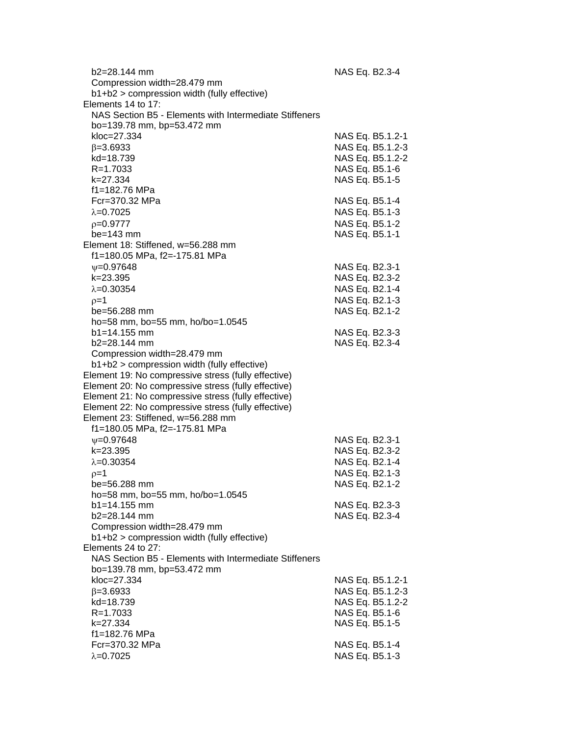| b2=28.144 mm<br>Compression width=28.479 mm            | NAS Eq. B2.3-4   |
|--------------------------------------------------------|------------------|
| b1+b2 > compression width (fully effective)            |                  |
| Elements 14 to 17:                                     |                  |
|                                                        |                  |
| NAS Section B5 - Elements with Intermediate Stiffeners |                  |
| bo=139.78 mm, bp=53.472 mm                             |                  |
| kloc=27.334                                            | NAS Eq. B5.1.2-1 |
| $\beta = 3.6933$                                       | NAS Eq. B5.1.2-3 |
| kd=18.739                                              | NAS Eq. B5.1.2-2 |
| R=1.7033                                               | NAS Eq. B5.1-6   |
| k=27.334                                               | NAS Eq. B5.1-5   |
| f1=182.76 MPa                                          |                  |
| Fcr=370.32 MPa                                         |                  |
|                                                        | NAS Eq. B5.1-4   |
| $\lambda = 0.7025$                                     | NAS Eq. B5.1-3   |
| $p=0.9777$                                             | NAS Eq. B5.1-2   |
| $be = 143$ mm                                          | NAS Eq. B5.1-1   |
| Element 18: Stiffened, w=56.288 mm                     |                  |
| f1=180.05 MPa, f2=-175.81 MPa                          |                  |
| $V = 0.97648$                                          | NAS Eq. B2.3-1   |
| k=23.395                                               | NAS Eq. B2.3-2   |
| $\lambda = 0.30354$                                    | NAS Eq. B2.1-4   |
|                                                        |                  |
| $p=1$                                                  | NAS Eq. B2.1-3   |
| be=56.288 mm                                           | NAS Eq. B2.1-2   |
| ho=58 mm, bo=55 mm, ho/bo=1.0545                       |                  |
| $b1 = 14.155$ mm                                       | NAS Eq. B2.3-3   |
| b2=28.144 mm                                           | NAS Eq. B2.3-4   |
| Compression width=28.479 mm                            |                  |
| b1+b2 > compression width (fully effective)            |                  |
| Element 19: No compressive stress (fully effective)    |                  |
| Element 20: No compressive stress (fully effective)    |                  |
| Element 21: No compressive stress (fully effective)    |                  |
|                                                        |                  |
| Element 22: No compressive stress (fully effective)    |                  |
| Element 23: Stiffened, w=56.288 mm                     |                  |
| f1=180.05 MPa, f2=-175.81 MPa                          |                  |
| $\psi = 0.97648$                                       | NAS Eq. B2.3-1   |
| k=23.395                                               | NAS Eq. B2.3-2   |
| $\lambda = 0.30354$                                    | NAS Eq. B2.1-4   |
| $p=1$                                                  | NAS Eq. B2.1-3   |
| be=56.288 mm                                           | NAS Eq. B2.1-2   |
| ho=58 mm, bo=55 mm, ho/bo=1.0545                       |                  |
| $b1 = 14.155$ mm                                       | NAS Eq. B2.3-3   |
|                                                        |                  |
| b2=28.144 mm                                           | NAS Eq. B2.3-4   |
| Compression width=28.479 mm                            |                  |
| b1+b2 > compression width (fully effective)            |                  |
| Elements 24 to 27:                                     |                  |
| NAS Section B5 - Elements with Intermediate Stiffeners |                  |
| bo=139.78 mm, bp=53.472 mm                             |                  |
| kloc=27.334                                            | NAS Eq. B5.1.2-1 |
| $\beta = 3.6933$                                       | NAS Eq. B5.1.2-3 |
| kd=18.739                                              | NAS Eq. B5.1.2-2 |
| R=1.7033                                               | NAS Eq. B5.1-6   |
| k=27.334                                               | NAS Eq. B5.1-5   |
| f1=182.76 MPa                                          |                  |
|                                                        |                  |
| Fcr=370.32 MPa                                         | NAS Eq. B5.1-4   |
| $\lambda = 0.7025$                                     | NAS Eq. B5.1-3   |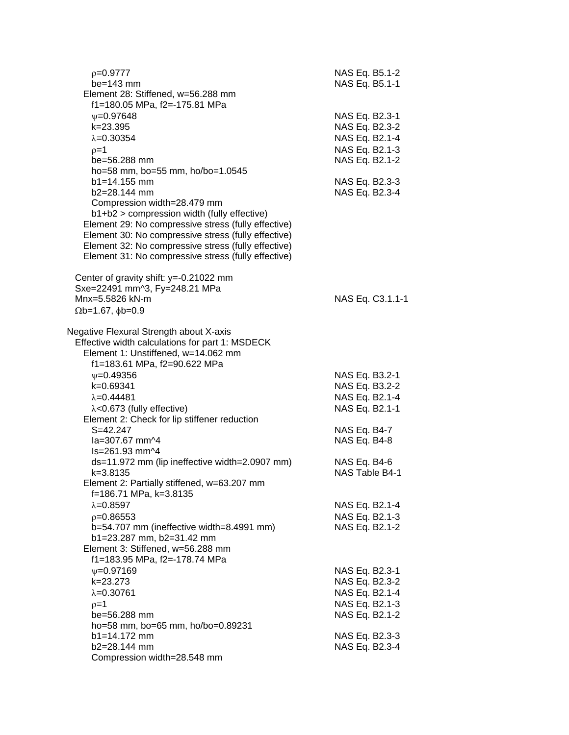| $p=0.9777$                                                                                                 | NAS Eq. B5.1-2                   |
|------------------------------------------------------------------------------------------------------------|----------------------------------|
| $be = 143$ mm                                                                                              | NAS Eq. B5.1-1                   |
| Element 28: Stiffened, w=56.288 mm<br>f1=180.05 MPa, f2=-175.81 MPa                                        |                                  |
| $V = 0.97648$                                                                                              | NAS Eq. B2.3-1                   |
| k=23.395                                                                                                   | NAS Eq. B2.3-2                   |
| $\lambda = 0.30354$                                                                                        | NAS Eq. B2.1-4                   |
| $p=1$                                                                                                      | NAS Eq. B2.1-3                   |
| be=56.288 mm                                                                                               | NAS Eq. B2.1-2                   |
| ho=58 mm, bo=55 mm, ho/bo=1.0545                                                                           |                                  |
| $b1 = 14.155$ mm                                                                                           | NAS Eq. B2.3-3                   |
| b2=28.144 mm                                                                                               | NAS Eq. B2.3-4                   |
| Compression width=28.479 mm                                                                                |                                  |
| b1+b2 > compression width (fully effective)                                                                |                                  |
| Element 29: No compressive stress (fully effective)                                                        |                                  |
| Element 30: No compressive stress (fully effective)                                                        |                                  |
| Element 32: No compressive stress (fully effective)<br>Element 31: No compressive stress (fully effective) |                                  |
|                                                                                                            |                                  |
| Center of gravity shift: y=-0.21022 mm                                                                     |                                  |
| Sxe=22491 mm^3, Fy=248.21 MPa                                                                              |                                  |
| Mnx=5.5826 kN-m                                                                                            | NAS Eq. C3.1.1-1                 |
| $\Omega$ b=1.67, $\phi$ b=0.9                                                                              |                                  |
|                                                                                                            |                                  |
| Negative Flexural Strength about X-axis                                                                    |                                  |
| Effective width calculations for part 1: MSDECK<br>Element 1: Unstiffened, w=14.062 mm                     |                                  |
| f1=183.61 MPa, f2=90.622 MPa                                                                               |                                  |
| $\psi = 0.49356$                                                                                           | NAS Eq. B3.2-1                   |
| k=0.69341                                                                                                  | NAS Eq. B3.2-2                   |
| $\lambda = 0.44481$                                                                                        | NAS Eq. B2.1-4                   |
| $\lambda$ <0.673 (fully effective)                                                                         | NAS Eq. B2.1-1                   |
| Element 2: Check for lip stiffener reduction                                                               |                                  |
| $S = 42.247$                                                                                               | NAS Eq. B4-7                     |
| la=307.67 mm^4                                                                                             | NAS Eq. B4-8                     |
| Is=261.93 mm^4                                                                                             |                                  |
| ds=11.972 mm (lip ineffective width=2.0907 mm)                                                             | NAS Eq. B4-6                     |
| $k = 3.8135$                                                                                               | NAS Table B4-1                   |
| Element 2: Partially stiffened, w=63.207 mm                                                                |                                  |
| f=186.71 MPa, k=3.8135                                                                                     |                                  |
| $\lambda = 0.8597$                                                                                         | NAS Eq. B2.1-4                   |
| $p=0.86553$                                                                                                | NAS Eq. B2.1-3                   |
| b=54.707 mm (ineffective width=8.4991 mm)                                                                  | NAS Eq. B2.1-2                   |
| b1=23.287 mm, b2=31.42 mm                                                                                  |                                  |
| Element 3: Stiffened, w=56.288 mm                                                                          |                                  |
| f1=183.95 MPa, f2=-178.74 MPa                                                                              |                                  |
| $\psi = 0.97169$<br>k=23.273                                                                               | NAS Eq. B2.3-1<br>NAS Eq. B2.3-2 |
| $\lambda = 0.30761$                                                                                        | NAS Eq. B2.1-4                   |
| $p=1$                                                                                                      | NAS Eq. B2.1-3                   |
| be=56.288 mm                                                                                               | NAS Eq. B2.1-2                   |
| ho=58 mm, bo=65 mm, ho/bo=0.89231                                                                          |                                  |
| $b1 = 14.172$ mm                                                                                           | NAS Eq. B2.3-3                   |
| b2=28.144 mm                                                                                               | NAS Eq. B2.3-4                   |
| Compression width=28.548 mm                                                                                |                                  |
|                                                                                                            |                                  |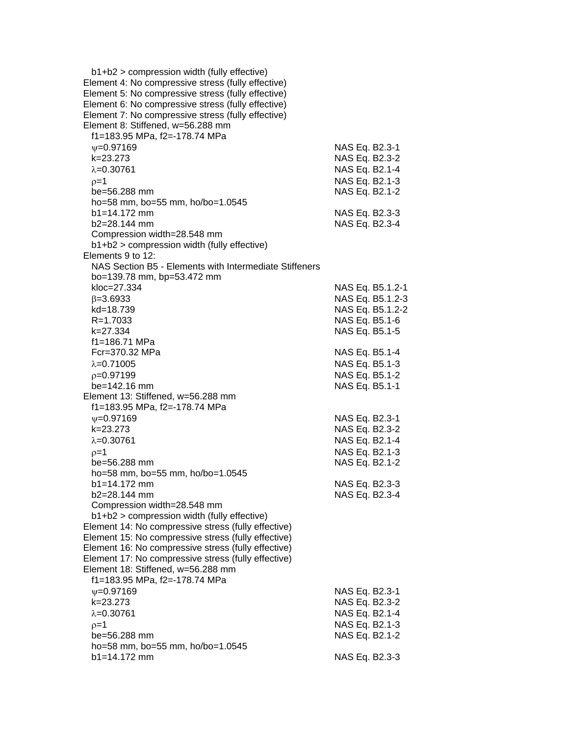| b1+b2 > compression width (fully effective)            |                  |
|--------------------------------------------------------|------------------|
| Element 4: No compressive stress (fully effective)     |                  |
| Element 5: No compressive stress (fully effective)     |                  |
| Element 6: No compressive stress (fully effective)     |                  |
| Element 7: No compressive stress (fully effective)     |                  |
| Element 8: Stiffened, w=56.288 mm                      |                  |
| f1=183.95 MPa, f2=-178.74 MPa                          |                  |
|                                                        |                  |
| $\psi = 0.97169$                                       | NAS Eq. B2.3-1   |
| k=23.273                                               | NAS Eq. B2.3-2   |
| $\lambda = 0.30761$                                    | NAS Eq. B2.1-4   |
| $p=1$                                                  | NAS Eq. B2.1-3   |
| be=56.288 mm                                           | NAS Eq. B2.1-2   |
| ho=58 mm, bo=55 mm, ho/bo=1.0545                       |                  |
| $b1 = 14.172$ mm                                       | NAS Eq. B2.3-3   |
| $b2 = 28.144$ mm                                       | NAS Eq. B2.3-4   |
| Compression width=28.548 mm                            |                  |
| b1+b2 > compression width (fully effective)            |                  |
| Elements 9 to 12:                                      |                  |
| NAS Section B5 - Elements with Intermediate Stiffeners |                  |
| bo=139.78 mm, bp=53.472 mm                             |                  |
| kloc=27.334                                            | NAS Eq. B5.1.2-1 |
|                                                        |                  |
| $\beta = 3.6933$                                       | NAS Eq. B5.1.2-3 |
| kd=18.739                                              | NAS Eq. B5.1.2-2 |
| R=1.7033                                               | NAS Eq. B5.1-6   |
| k=27.334                                               | NAS Eq. B5.1-5   |
| f1=186.71 MPa                                          |                  |
| Fcr=370.32 MPa                                         | NAS Eq. B5.1-4   |
| $\lambda = 0.71005$                                    | NAS Eq. B5.1-3   |
| $p=0.97199$                                            | NAS Eq. B5.1-2   |
| be=142.16 mm                                           | NAS Eq. B5.1-1   |
| Element 13: Stiffened, w=56.288 mm                     |                  |
| f1=183.95 MPa, f2=-178.74 MPa                          |                  |
| $\psi = 0.97169$                                       | NAS Eq. B2.3-1   |
| k=23.273                                               | NAS Eq. B2.3-2   |
| $\lambda = 0.30761$                                    |                  |
|                                                        | NAS Eq. B2.1-4   |
| $p=1$                                                  | NAS Eq. B2.1-3   |
| be=56.288 mm                                           | NAS Eq. B2.1-2   |
| ho=58 mm, bo=55 mm, ho/bo=1.0545                       |                  |
| b1=14.172 mm                                           | NAS Eq. B2.3-3   |
| $b2 = 28.144$ mm                                       | NAS Eq. B2.3-4   |
| Compression width=28.548 mm                            |                  |
| b1+b2 > compression width (fully effective)            |                  |
| Element 14: No compressive stress (fully effective)    |                  |
| Element 15: No compressive stress (fully effective)    |                  |
| Element 16: No compressive stress (fully effective)    |                  |
| Element 17: No compressive stress (fully effective)    |                  |
| Element 18: Stiffened, w=56.288 mm                     |                  |
| f1=183.95 MPa, f2=-178.74 MPa                          |                  |
| $\psi = 0.97169$                                       | NAS Eq. B2.3-1   |
| k=23.273                                               | NAS Eq. B2.3-2   |
|                                                        |                  |
| $\lambda = 0.30761$                                    | NAS Eq. B2.1-4   |
| $p=1$                                                  | NAS Eq. B2.1-3   |
| be=56.288 mm                                           | NAS Eq. B2.1-2   |
| ho=58 mm, bo=55 mm, ho/bo=1.0545                       |                  |
| b1=14.172 mm                                           | NAS Eq. B2.3-3   |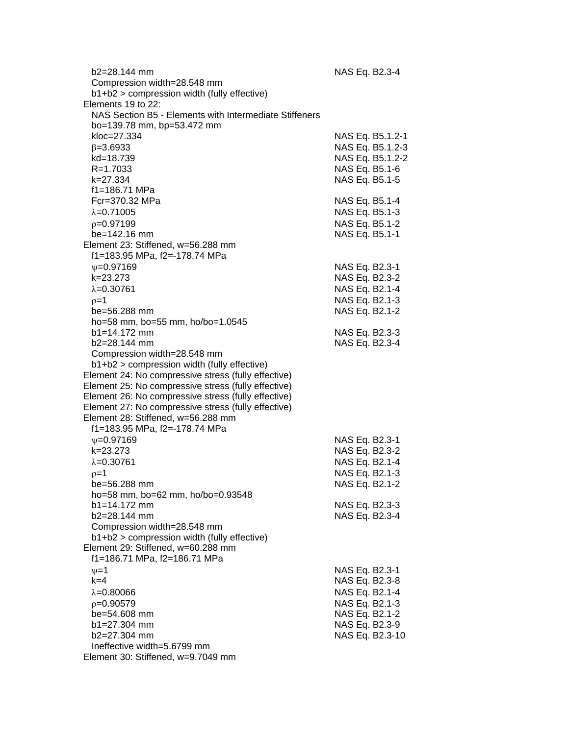| b2=28.144 mm                                           | NAS Eq. B2.3-4   |
|--------------------------------------------------------|------------------|
| Compression width=28.548 mm                            |                  |
| b1+b2 > compression width (fully effective)            |                  |
| Elements 19 to 22:                                     |                  |
| NAS Section B5 - Elements with Intermediate Stiffeners |                  |
| bo=139.78 mm, bp=53.472 mm                             |                  |
| kloc=27.334                                            | NAS Eq. B5.1.2-1 |
| $\beta = 3.6933$                                       | NAS Eq. B5.1.2-3 |
| kd=18.739                                              | NAS Eq. B5.1.2-2 |
| R=1.7033                                               | NAS Eq. B5.1-6   |
| k=27.334                                               | NAS Eq. B5.1-5   |
| f1=186.71 MPa                                          |                  |
| Fcr=370.32 MPa                                         | NAS Eq. B5.1-4   |
| $\lambda = 0.71005$                                    | NAS Eq. B5.1-3   |
| $p=0.97199$                                            | NAS Eq. B5.1-2   |
| be=142.16 mm                                           | NAS Eq. B5.1-1   |
| Element 23: Stiffened, w=56.288 mm                     |                  |
| f1=183.95 MPa, f2=-178.74 MPa                          |                  |
|                                                        |                  |
| $\psi = 0.97169$                                       | NAS Eq. B2.3-1   |
| k=23.273                                               | NAS Eq. B2.3-2   |
| $\lambda = 0.30761$                                    | NAS Eq. B2.1-4   |
| $p=1$                                                  | NAS Eq. B2.1-3   |
| be=56.288 mm                                           | NAS Eq. B2.1-2   |
| ho=58 mm, bo=55 mm, ho/bo=1.0545                       |                  |
| $b1 = 14.172$ mm                                       | NAS Eq. B2.3-3   |
| b2=28.144 mm                                           | NAS Eq. B2.3-4   |
| Compression width=28.548 mm                            |                  |
| b1+b2 > compression width (fully effective)            |                  |
| Element 24: No compressive stress (fully effective)    |                  |
| Element 25: No compressive stress (fully effective)    |                  |
| Element 26: No compressive stress (fully effective)    |                  |
| Element 27: No compressive stress (fully effective)    |                  |
| Element 28: Stiffened, w=56.288 mm                     |                  |
| f1=183.95 MPa, f2=-178.74 MPa                          |                  |
| $V = 0.97169$                                          | NAS Eq. B2.3-1   |
| k=23.273                                               | NAS Eq. B2.3-2   |
| $\lambda = 0.30761$                                    | NAS Eq. B2.1-4   |
| $p=1$                                                  | NAS Eq. B2.1-3   |
| be=56.288 mm                                           | NAS Eq. B2.1-2   |
| ho=58 mm, bo=62 mm, ho/bo=0.93548                      |                  |
| $b1 = 14.172$ mm                                       | NAS Eq. B2.3-3   |
| b2=28.144 mm                                           | NAS Eq. B2.3-4   |
| Compression width=28.548 mm                            |                  |
| b1+b2 > compression width (fully effective)            |                  |
| Element 29: Stiffened, w=60.288 mm                     |                  |
| f1=186.71 MPa, f2=186.71 MPa                           |                  |
| $\nu = 1$                                              | NAS Eq. B2.3-1   |
| $k=4$                                                  | NAS Eq. B2.3-8   |
| $\lambda = 0.80066$                                    | NAS Eq. B2.1-4   |
| $p=0.90579$                                            | NAS Eq. B2.1-3   |
| be=54.608 mm                                           | NAS Eq. B2.1-2   |
| b1=27.304 mm                                           | NAS Eq. B2.3-9   |
| b2=27.304 mm                                           | NAS Eq. B2.3-10  |
| Ineffective width=5.6799 mm                            |                  |
| Element 30: Stiffened, w=9.7049 mm                     |                  |
|                                                        |                  |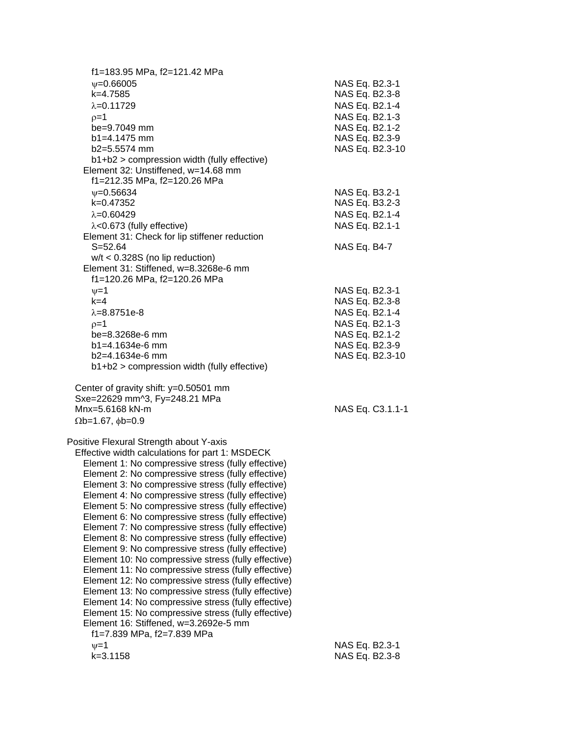| f1=183.95 MPa, f2=121.42 MPa                        |                  |
|-----------------------------------------------------|------------------|
| $\psi = 0.66005$                                    | NAS Eq. B2.3-1   |
| k=4.7585                                            | NAS Eq. B2.3-8   |
| $\lambda = 0.11729$                                 | NAS Eq. B2.1-4   |
| $p=1$                                               | NAS Eq. B2.1-3   |
| be=9.7049 mm                                        | NAS Eq. B2.1-2   |
| $b1 = 4.1475$ mm                                    | NAS Eq. B2.3-9   |
| $b2=5.5574$ mm                                      | NAS Eq. B2.3-10  |
| b1+b2 > compression width (fully effective)         |                  |
| Element 32: Unstiffened, w=14.68 mm                 |                  |
| f1=212.35 MPa, f2=120.26 MPa                        |                  |
| $\psi = 0.56634$                                    | NAS Eq. B3.2-1   |
| k=0.47352                                           | NAS Eq. B3.2-3   |
| $\lambda = 0.60429$                                 | NAS Eq. B2.1-4   |
| $\lambda$ <0.673 (fully effective)                  | NAS Eq. B2.1-1   |
| Element 31: Check for lip stiffener reduction       |                  |
| $S = 52.64$                                         | NAS Eq. B4-7     |
|                                                     |                  |
| $w/t < 0.328S$ (no lip reduction)                   |                  |
| Element 31: Stiffened, w=8.3268e-6 mm               |                  |
| f1=120.26 MPa, f2=120.26 MPa                        |                  |
| $v=1$                                               | NAS Eq. B2.3-1   |
| $k=4$                                               | NAS Eq. B2.3-8   |
| $\lambda = 8.8751e-8$                               | NAS Eq. B2.1-4   |
| $p=1$                                               | NAS Eq. B2.1-3   |
| be=8.3268e-6 mm                                     | NAS Eq. B2.1-2   |
| $b1 = 4.1634e-6$ mm                                 | NAS Eq. B2.3-9   |
| b2=4.1634e-6 mm                                     | NAS Eq. B2.3-10  |
| b1+b2 > compression width (fully effective)         |                  |
|                                                     |                  |
| Center of gravity shift: y=0.50501 mm               |                  |
| Sxe=22629 mm^3, Fy=248.21 MPa                       |                  |
| Mnx=5.6168 kN-m                                     | NAS Eq. C3.1.1-1 |
| $\Omega$ b=1.67, $\phi$ b=0.9                       |                  |
|                                                     |                  |
| Positive Flexural Strength about Y-axis             |                  |
| Effective width calculations for part 1: MSDECK     |                  |
| Element 1: No compressive stress (fully effective)  |                  |
| Element 2: No compressive stress (fully effective)  |                  |
| Element 3: No compressive stress (fully effective)  |                  |
| Element 4: No compressive stress (fully effective)  |                  |
| Element 5: No compressive stress (fully effective)  |                  |
| Element 6: No compressive stress (fully effective)  |                  |
| Element 7: No compressive stress (fully effective)  |                  |
| Element 8: No compressive stress (fully effective)  |                  |
| Element 9: No compressive stress (fully effective)  |                  |
| Element 10: No compressive stress (fully effective) |                  |
| Element 11: No compressive stress (fully effective) |                  |
| Element 12: No compressive stress (fully effective) |                  |
| Element 13: No compressive stress (fully effective) |                  |
| Element 14: No compressive stress (fully effective) |                  |
| Element 15: No compressive stress (fully effective) |                  |
| Element 16: Stiffened, w=3.2692e-5 mm               |                  |
| f1=7.839 MPa, f2=7.839 MPa                          |                  |
| $v = 1$                                             |                  |
|                                                     | NAS Eq. B2.3-1   |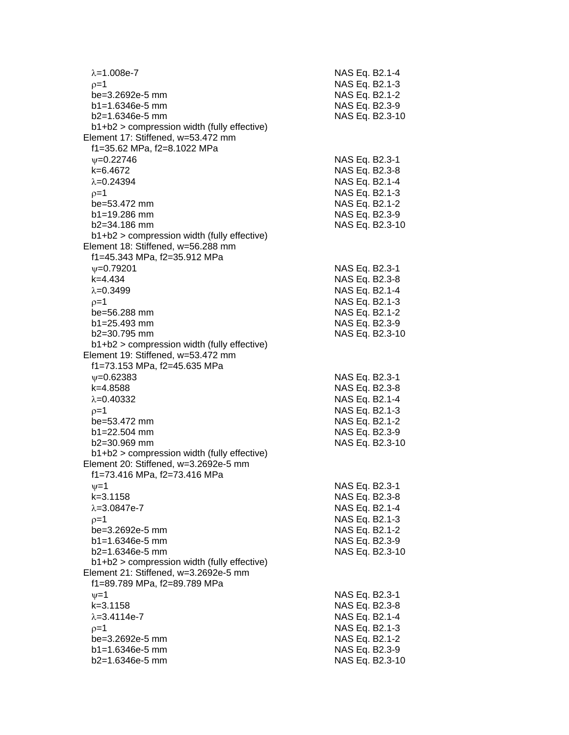| $\lambda = 1.008e-7$                                                                 | NAS Eq. B2.1-4  |
|--------------------------------------------------------------------------------------|-----------------|
| $0=1$                                                                                | NAS Eq. B2.1-3  |
| be=3.2692e-5 mm                                                                      | NAS Eq. B2.1-2  |
| $b1 = 1.6346e-5$ mm                                                                  | NAS Eq. B2.3-9  |
| b2=1.6346e-5 mm                                                                      | NAS Eq. B2.3-10 |
| b1+b2 > compression width (fully effective)                                          |                 |
| Element 17: Stiffened, w=53.472 mm                                                   |                 |
| f1=35.62 MPa, f2=8.1022 MPa                                                          |                 |
| $V = 0.22746$                                                                        | NAS Eq. B2.3-1  |
| k=6.4672                                                                             | NAS Eq. B2.3-8  |
| $\lambda = 0.24394$                                                                  | NAS Eq. B2.1-4  |
| $p=1$                                                                                | NAS Eq. B2.1-3  |
| be=53.472 mm                                                                         | NAS Eq. B2.1-2  |
| $b1 = 19.286$ mm                                                                     | NAS Eq. B2.3-9  |
| $b2 = 34.186$ mm                                                                     | NAS Eq. B2.3-10 |
| $b1+b2$ > compression width (fully effective)                                        |                 |
| Element 18: Stiffened, w=56.288 mm                                                   |                 |
| f1=45.343 MPa, f2=35.912 MPa                                                         |                 |
| $V = 0.79201$                                                                        | NAS Eq. B2.3-1  |
| $k = 4.434$                                                                          | NAS Eq. B2.3-8  |
| $\lambda = 0.3499$                                                                   | NAS Eq. B2.1-4  |
| $p=1$                                                                                | NAS Eq. B2.1-3  |
| be=56.288 mm                                                                         | NAS Eq. B2.1-2  |
| $b1 = 25.493$ mm                                                                     | NAS Eq. B2.3-9  |
| b2=30.795 mm                                                                         | NAS Eq. B2.3-10 |
| b1+b2 > compression width (fully effective)                                          |                 |
| Element 19: Stiffened, w=53.472 mm                                                   |                 |
| f1=73.153 MPa, f2=45.635 MPa                                                         |                 |
| $\psi = 0.62383$                                                                     | NAS Eq. B2.3-1  |
| k=4.8588                                                                             | NAS Eq. B2.3-8  |
| $\lambda = 0.40332$                                                                  | NAS Eq. B2.1-4  |
|                                                                                      |                 |
| $p=1$<br>be=53.472 mm                                                                | NAS Eq. B2.1-3  |
| $b1 = 22.504$ mm                                                                     | NAS Eq. B2.1-2  |
| b2=30.969 mm                                                                         | NAS Eq. B2.3-9  |
| b1+b2 > compression width (fully effective)                                          | NAS Eq. B2.3-10 |
| Element 20: Stiffened, w=3.2692e-5 mm                                                |                 |
| f1=73.416 MPa, f2=73.416 MPa                                                         |                 |
| $v = 1$                                                                              |                 |
|                                                                                      | NAS Eq. B2.3-1  |
| k=3.1158<br>$\lambda = 3.0847e - 7$                                                  | NAS Eq. B2.3-8  |
|                                                                                      | NAS Eq. B2.1-4  |
| $p=1$                                                                                | NAS Eq. B2.1-3  |
| be=3.2692e-5 mm                                                                      | NAS Eq. B2.1-2  |
| $b1 = 1.6346e-5$ mm                                                                  | NAS Eq. B2.3-9  |
| $b2=1.6346e-5$ mm                                                                    | NAS Eq. B2.3-10 |
| b1+b2 > compression width (fully effective)<br>Element 21: Stiffened, w=3.2692e-5 mm |                 |
| f1=89.789 MPa, f2=89.789 MPa                                                         |                 |
|                                                                                      |                 |
| $\nu=1$                                                                              | NAS Eq. B2.3-1  |
| $k = 3.1158$                                                                         | NAS Eq. B2.3-8  |
| $\lambda = 3.4114e - 7$                                                              | NAS Eq. B2.1-4  |
| $p=1$                                                                                | NAS Eq. B2.1-3  |
| be=3.2692e-5 mm                                                                      | NAS Eq. B2.1-2  |
| $b1 = 1.6346e-5$ mm                                                                  | NAS Eq. B2.3-9  |
| b2=1.6346e-5 mm                                                                      | NAS Eq. B2.3-10 |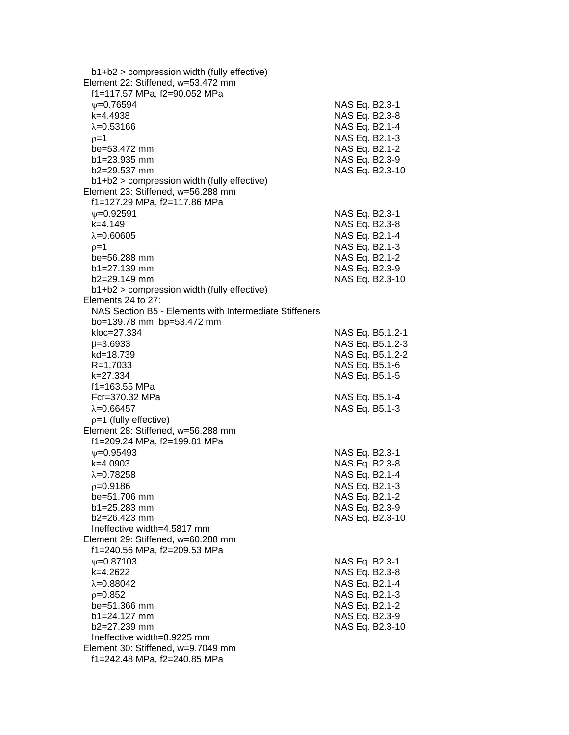b1+b2 > compression width (fully effective) Element 22: Stiffened, w=53.472 mm f1=117.57 MPa, f2=90.052 MPa =0.76594 NAS Eq. B2.3-1 k=4.4938 NAS Eq. B2.3-8  $\lambda = 0.53166$  NAS Eq. B2.1-4  $p=1$  NAS Eq. B2.1-3 be=53.472 mm NAS Eq. B2.1-2 b1=23.935 mm NAS Eq. B2.3-9 b2=29.537 mm NAS Eq. B2.3-10 b1+b2 > compression width (fully effective) Element 23: Stiffened, w=56.288 mm f1=127.29 MPa, f2=117.86 MPa  $\nu$ =0.92591 NAS Eq. B2.3-1 k=4.149 NAS Eq. B2.3-8  $\lambda = 0.60605$  NAS Eq. B2.1-4  $\rho = 1$  NAS Eq. B2.1-3 be=56.288 mm NAS Eq. B2.1-2 b1=27.139 mm NAS Eq. B2.3-9 b2=29.149 mm NAS Eq. B2.3-10 b1+b2 > compression width (fully effective) Elements 24 to 27: NAS Section B5 - Elements with Intermediate Stiffeners bo=139.78 mm, bp=53.472 mm kloc=27.334 NAS Eq. B5.1.2-1  $\beta$ =3.6933 NAS Eq. B5.1.2-3 kd=18.739 NAS Eq. B5.1.2-2 R=1.7033 NAS Eq. B5.1-6 k=27.334 NAS Eq. B5.1-5 f1=163.55 MPa Fcr=370.32 MPa NAS Eq. B5.1-4  $\lambda = 0.66457$  NAS Eq. B5.1-3  $p=1$  (fully effective) Element 28: Stiffened, w=56.288 mm f1=209.24 MPa, f2=199.81 MPa =0.95493 NAS Eq. B2.3-1 k=4.0903 NAS Eq. B2.3-8  $\lambda = 0.78258$  NAS Eq. B2.1-4 p=0.9186 NAS Eq. B2.1-3 be=51.706 mm NAS Eq. B2.1-2 b1=25.283 mm NAS Eq. B2.3-9 b2=26.423 mm NAS Eq. B2.3-10 Ineffective width=4.5817 mm Element 29: Stiffened, w=60.288 mm f1=240.56 MPa, f2=209.53 MPa  $v=0.87103$  NAS Eq. B2.3-1 k=4.2622 NAS Eq. B2.3-8  $\lambda = 0.88042$  NAS Eq. B2.1-4  $p=0.852$  NAS Eq. B2.1-3 be=51.366 mm NAS Eq. B2.1-2 b1=24.127 mm NAS Eq. B2.3-9 b2=27.239 mm NAS Eq. B2.3-10 Ineffective width=8.9225 mm Element 30: Stiffened, w=9.7049 mm f1=242.48 MPa, f2=240.85 MPa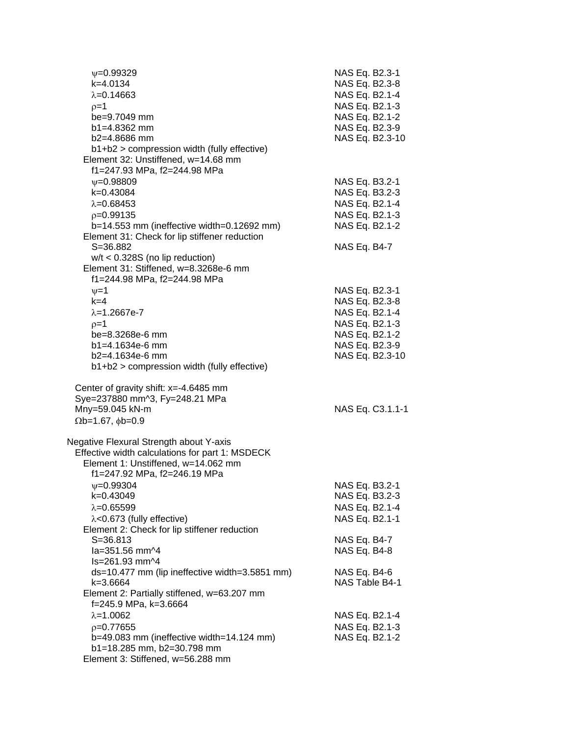| $V = 0.99329$<br>k=4.0134<br>$\lambda = 0.14663$<br>$p=1$<br>be=9.7049 mm<br>$b1 = 4.8362$ mm<br>$b2=4.8686$ mm<br>b1+b2 > compression width (fully effective)<br>Element 32: Unstiffened, w=14.68 mm                                                  | NAS Eq. B2.3-1<br>NAS Eq. B2.3-8<br>NAS Eq. B2.1-4<br>NAS Eq. B2.1-3<br>NAS Eq. B2.1-2<br>NAS Eq. B2.3-9<br>NAS Eq. B2.3-10 |
|--------------------------------------------------------------------------------------------------------------------------------------------------------------------------------------------------------------------------------------------------------|-----------------------------------------------------------------------------------------------------------------------------|
| f1=247.93 MPa, f2=244.98 MPa<br>$V = 0.98809$<br>k=0.43084<br>$\lambda = 0.68453$<br>$p=0.99135$<br>$b=14.553$ mm (ineffective width=0.12692 mm)<br>Element 31: Check for lip stiffener reduction<br>$S = 36.882$<br>$w/t < 0.328S$ (no lip reduction) | NAS Eq. B3.2-1<br>NAS Eq. B3.2-3<br>NAS Eq. B2.1-4<br>NAS Eq. B2.1-3<br>NAS Eq. B2.1-2<br>NAS Eq. B4-7                      |
| Element 31: Stiffened, w=8.3268e-6 mm<br>f1=244.98 MPa, f2=244.98 MPa<br>$v = 1$<br>$k=4$<br>$\lambda = 1.2667e - 7$<br>$p=1$<br>be=8.3268e-6 mm<br>b1=4.1634e-6 mm<br>b2=4.1634e-6 mm<br>b1+b2 > compression width (fully effective)                  | NAS Eq. B2.3-1<br>NAS Eq. B2.3-8<br>NAS Eq. B2.1-4<br>NAS Eq. B2.1-3<br>NAS Eq. B2.1-2<br>NAS Eq. B2.3-9<br>NAS Eq. B2.3-10 |
| Center of gravity shift: x=-4.6485 mm<br>Sye=237880 mm^3, Fy=248.21 MPa<br>Mny=59.045 kN-m<br>$\Omega$ b=1.67, $\phi$ b=0.9                                                                                                                            | NAS Eq. C3.1.1-1                                                                                                            |
| Negative Flexural Strength about Y-axis<br>Effective width calculations for part 1: MSDECK<br>Element 1: Unstiffened, w=14.062 mm<br>f1=247.92 MPa, f2=246.19 MPa                                                                                      |                                                                                                                             |
| $\psi = 0.99304$<br>k=0.43049<br>$\lambda = 0.65599$<br>$\lambda$ <0.673 (fully effective)<br>Element 2: Check for lip stiffener reduction                                                                                                             | NAS Eq. B3.2-1<br>NAS Eq. B3.2-3<br>NAS Eq. B2.1-4<br>NAS Eq. B2.1-1                                                        |
| $S = 36.813$<br>la=351.56 mm^4<br>ls=261.93 mm^4                                                                                                                                                                                                       | NAS Eq. B4-7<br><b>NAS Eq. B4-8</b>                                                                                         |
| ds=10.477 mm (lip ineffective width=3.5851 mm)<br>k=3.6664<br>Element 2: Partially stiffened, w=63.207 mm                                                                                                                                              | NAS Eq. B4-6<br>NAS Table B4-1                                                                                              |
| f=245.9 MPa, k=3.6664<br>$\lambda = 1.0062$<br>$p=0.77655$<br>b=49.083 mm (ineffective width=14.124 mm)<br>b1=18.285 mm, b2=30.798 mm<br>Element 3: Stiffened, w=56.288 mm                                                                             | NAS Eq. B2.1-4<br>NAS Eq. B2.1-3<br>NAS Eq. B2.1-2                                                                          |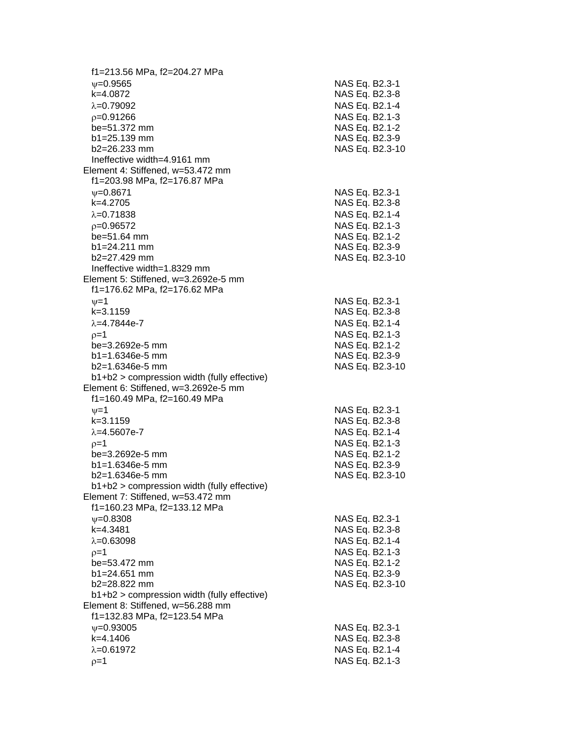f1=213.56 MPa, f2=204.27 MPa  $\psi$ =0.9565 NAS Eq. B2.3-1 k=4.0872 NAS Eq. B2.3 - 8 λ=0.79092 NAS Eq. B2.1-4  $\rho$ =0.91266 NAS Eq. B2.1-3 be=51.372 mm  $b1 = 25.139$  mm  $b2=26.233$  mm NAS Eq. B2.3-10 Ineffective width=4.9161 mm Element 4: Stiffened, w=53.472 mm f1=203.98 MPa, f2=176.87 MPa ψ=0.8671 NAS Eq. B2.3-1 k=4.2705 NAS Eq. B2.3 - 8 =0.71838 NAS Eq. B2.1 - 4  $\rho$ =0.96572 NAS Eq. B2.1-3 be=51.64 mm NAS Eq. B2.1-2  $b1 = 24.211$  mm b2=27.429 mm NAS Eq. B2.3 -10 Ineffective width=1.8329 mm Element 5: Stiffened, w=3.2692e -5 mm f1=176.62 MPa, f2=176.62 MP a  $\nu$  =1 NAS Eq. B2.3-1 k=3.1159 NAS Eq. B2.3 - 8 λ=4.7844e-7 NAS Eq. B2.1 - 4  $\rho=1$  NAS Eq. B2.1-3 be=3.2692e -5 mm NAS Eq. B2.1 - 2  $b1 = 1.6346e-5$  mm -5 mm NAS Eq. B2.3 - 9 b2=1.6346e -5 mm NAS Eq. B2.3 -10 b1+b2 > compression width (fully effective) Element 6: Stiffened, w=3.2692e -5 mm f1=160.49 MPa, f2=160.49 MPa  $\psi$ =1 NAS Eq. B2.3-1 k=3.1159 NAS Eq. B2.3 - 8 λ=4.5607e-7 NAS Eq. B2.1 - 4  $\rho$ =1 NAS Eq. B2.1-3 be=3.2692e -5 mm NAS Eq. B2.1 - 2 b1=1.6346e-5 mm -5 mm NAS Eq. B2.3 - 9 b2=1.6346e -5 mm NAS Eq. B2.3 -10 b1+b2 > compression width (fully effective) Element 7: Stiffened, w=53.472 mm f1=160.23 MPa, f2=133.12 MPa  $\psi$ =0.8308 NAS Eq. B2.3-1 k=4.3481 NAS Eq. B2.3 - 8 λ=0.63098 NAS Eq. B2.1-4  $\rho$ =1 NAS Eq. B2.1-3 be=53.472 mm b1=24.651 mm NAS Eq. B2.3-9 b2=28.822 mm NAS Eq. B2.3-10 b1+b2 > compression width (fully effective) Element 8: Stiffened, w=56.288 mm f1=132.83 MPa, f2=123.54 MPa  $\psi$ =0.93005 NAS Eq. B2.3-1 k=4.1406 NAS Eq. B2.3 - 8 =0.61972 NAS Eq. B2.1 - 4  $\rho=1$  NAS Eq. B2.1-3

- 2

- 9

- 9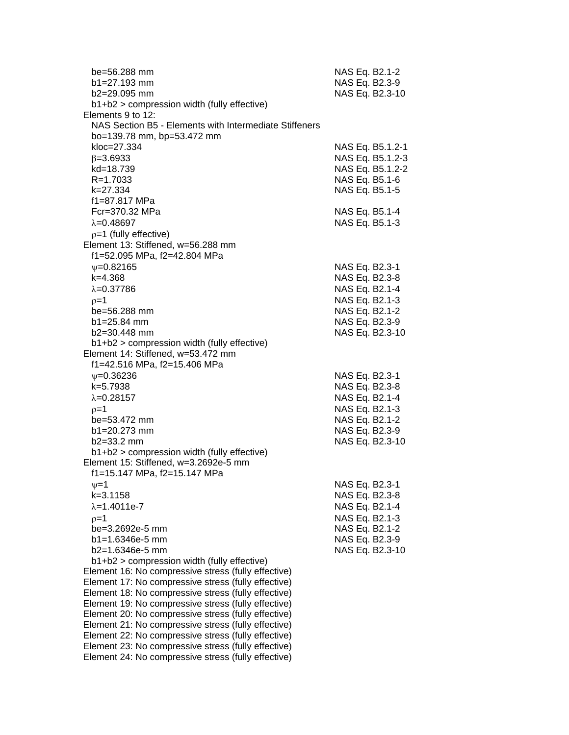| be=56.288 mm<br>$b1 = 27.193$ mm<br>b2=29.095 mm<br>b1+b2 > compression width (fully effective)                                                                                                                                                                                                                                                                                                                                                                                                                                                            | NAS Eq. B2.1-2<br>NAS Eq. B2.3-9<br>NAS Eq. B2.3-10                                                                         |
|------------------------------------------------------------------------------------------------------------------------------------------------------------------------------------------------------------------------------------------------------------------------------------------------------------------------------------------------------------------------------------------------------------------------------------------------------------------------------------------------------------------------------------------------------------|-----------------------------------------------------------------------------------------------------------------------------|
| Elements 9 to 12:<br>NAS Section B5 - Elements with Intermediate Stiffeners<br>bo=139.78 mm, bp=53.472 mm                                                                                                                                                                                                                                                                                                                                                                                                                                                  |                                                                                                                             |
| kloc=27.334<br>$\beta = 3.6933$<br>kd=18.739<br>R=1.7033<br>k=27.334<br>f1=87.817 MPa                                                                                                                                                                                                                                                                                                                                                                                                                                                                      | NAS Eq. B5.1.2-1<br>NAS Eq. B5.1.2-3<br>NAS Eq. B5.1.2-2<br>NAS Eq. B5.1-6<br>NAS Eq. B5.1-5                                |
| Fcr=370.32 MPa<br>$\lambda = 0.48697$<br>$p=1$ (fully effective)                                                                                                                                                                                                                                                                                                                                                                                                                                                                                           | NAS Eq. B5.1-4<br>NAS Eq. B5.1-3                                                                                            |
| Element 13: Stiffened, w=56.288 mm<br>f1=52.095 MPa, f2=42.804 MPa                                                                                                                                                                                                                                                                                                                                                                                                                                                                                         |                                                                                                                             |
| $\nu = 0.82165$<br>$k = 4.368$<br>$\lambda = 0.37786$<br>$p=1$<br>be=56.288 mm<br>$b1 = 25.84$ mm<br>b2=30.448 mm<br>b1+b2 > compression width (fully effective)                                                                                                                                                                                                                                                                                                                                                                                           | NAS Eq. B2.3-1<br>NAS Eq. B2.3-8<br>NAS Eq. B2.1-4<br>NAS Eq. B2.1-3<br>NAS Eq. B2.1-2<br>NAS Eq. B2.3-9<br>NAS Eq. B2.3-10 |
| Element 14: Stiffened, w=53.472 mm<br>f1=42.516 MPa, f2=15.406 MPa                                                                                                                                                                                                                                                                                                                                                                                                                                                                                         |                                                                                                                             |
| $\psi = 0.36236$<br>k=5.7938<br>$\lambda = 0.28157$<br>$p=1$<br>be=53.472 mm<br>b1=20.273 mm<br>$b2 = 33.2$ mm<br>b1+b2 > compression width (fully effective)                                                                                                                                                                                                                                                                                                                                                                                              | NAS Eq. B2.3-1<br>NAS Eq. B2.3-8<br>NAS Eq. B2.1-4<br>NAS Eq. B2.1-3<br>NAS Eq. B2.1-2<br>NAS Eq. B2.3-9<br>NAS Eq. B2.3-10 |
| Element 15: Stiffened, w=3.2692e-5 mm<br>f1=15.147 MPa, f2=15.147 MPa                                                                                                                                                                                                                                                                                                                                                                                                                                                                                      |                                                                                                                             |
| $\nu = 1$<br>$k = 3.1158$<br>$\lambda = 1.4011e-7$<br>$p=1$<br>be=3.2692e-5 mm<br>$b1 = 1.6346e-5$ mm<br>b2=1.6346e-5 mm                                                                                                                                                                                                                                                                                                                                                                                                                                   | NAS Eq. B2.3-1<br>NAS Eq. B2.3-8<br>NAS Eq. B2.1-4<br>NAS Eq. B2.1-3<br>NAS Eq. B2.1-2<br>NAS Eq. B2.3-9<br>NAS Eq. B2.3-10 |
| b1+b2 > compression width (fully effective)<br>Element 16: No compressive stress (fully effective)<br>Element 17: No compressive stress (fully effective)<br>Element 18: No compressive stress (fully effective)<br>Element 19: No compressive stress (fully effective)<br>Element 20: No compressive stress (fully effective)<br>Element 21: No compressive stress (fully effective)<br>Element 22: No compressive stress (fully effective)<br>Element 23: No compressive stress (fully effective)<br>Element 24: No compressive stress (fully effective) |                                                                                                                             |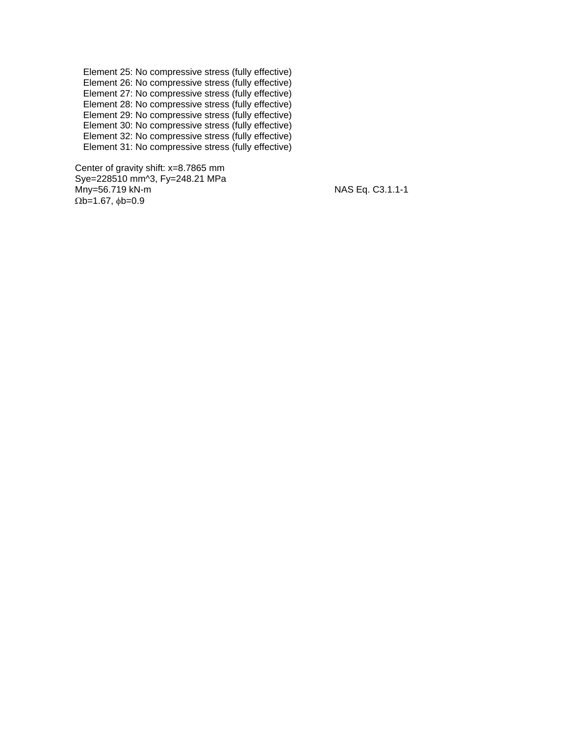Element 25: No compressive stress (fully effective) Element 26: No compressive stress (fully effective) Element 27: No compressive stress (fully effective) Element 28: No compressive stress (fully effective) Element 29: No compressive stress (fully effective) Element 30: No compressive stress (fully effective) Element 32: No compressive stress (fully effective) Element 31: No compressive stress (fully effective)

 Center of gravity shift: x=8.7865 mm Sye=228510 mm^3, Fy=248.21 MPa Mny=56.719 kN-m NAS Eq. C3.1.1-1  $\Omega$ b=1.67,  $\phi$ b=0.9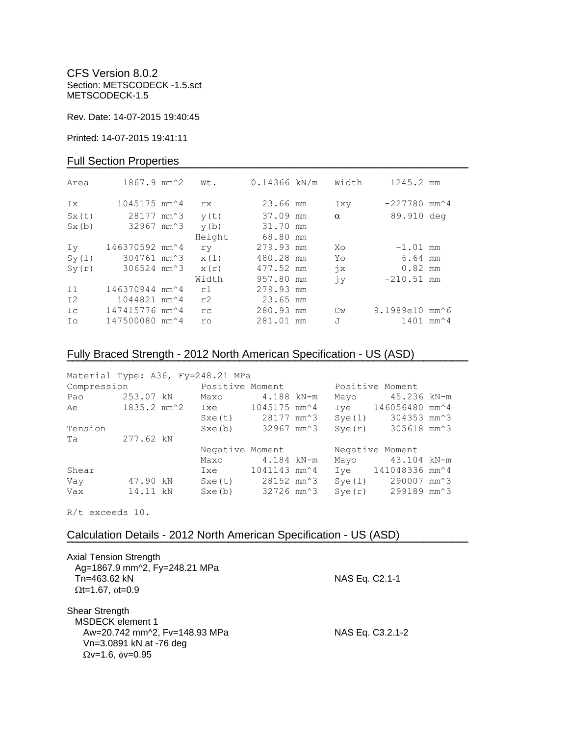CFS Version 8.0.2 Section: METSCODECK -1.5.sct METSCODECK-1.5

Rev. Date: 14-07-2015 19:40:45

Printed: 14-07-2015 19:41:11

### Full Section Properties

| Area  | $1867.9$ mm <sup><math>\textdegree</math>2</sup> | Wt.       | $0.14366$ kN/m | Width         | 1245.2 mm                                   |  |
|-------|--------------------------------------------------|-----------|----------------|---------------|---------------------------------------------|--|
| Ix    | $1045175$ mm <sup><math>\sim</math></sup> 4      | rx.       | 23.66 mm       | Ixy           | $-227780$ mm <sup><math>\sim</math></sup> 4 |  |
| Sx(t) | 28177 mm <sup>2</sup> 3                          | y(t)      | 37.09 mm       | $\alpha$      | 89.910 deg                                  |  |
| Sx(b) | 32967 mm^3                                       | y(b)      | 31.70 mm       |               |                                             |  |
|       |                                                  | Height    | 68.80 mm       |               |                                             |  |
| Iv    | 146370592 mm^4                                   | ry        | 279.93 mm      | Xo            | $-1.01$ mm                                  |  |
| Sy(1) | 304761 mm^3                                      | x(1)      | 480.28 mm      | Yo            | 6.64 mm                                     |  |
| Sy(r) | 306524 mm^3                                      | x(r)      | 477.52 mm      | $\dot{7}x$    | $0.82$ mm                                   |  |
|       |                                                  | Width     | 957.80 mm      | jу            | $-210.51$ mm                                |  |
| I1    | 146370944 mm^4                                   | r1        | 279.93 mm      |               |                                             |  |
| I2    | 1044821 mm <sup><math>4</math></sup>             | r2        | 23.65 mm       |               |                                             |  |
| Ic    | 147415776 mm^4                                   | rc.       | 280.93 mm      | $\mathbb{C}w$ | 9.1989e10 mm^6                              |  |
| Ιo    | 147500080 mm <sup>2</sup> 4                      | <b>ro</b> | 281.01 mm      | J             | $1401$ mm <sup><math>4</math></sup>         |  |
|       |                                                  |           |                |               |                                             |  |

# Fully Braced Strength - 2012 North American Specification - US (ASD)

| Material Type: A36, Fy=248.21 MPa |           |                                |              |        |                                 |  |
|-----------------------------------|-----------|--------------------------------|--------------|--------|---------------------------------|--|
| Compression Positive Moment       |           |                                |              |        | Positive Moment                 |  |
| Pao                               | 253.07 kN | Maxo                           | $4.188$ kN-m | Mayo   | 45.236 kN-m                     |  |
| Ae                                |           | 1835.2 mm^2 Ixe 1045175 mm^4   |              |        | Iye 146056480 mm^4              |  |
|                                   |           | Sxe(t) 28177 mm <sup>2</sup> 3 |              | Sye(l) | 304353 mm <sup>2</sup> 3        |  |
| Tension                           |           | Sxe(b)                         | 32967 mm^3   | Sye(r) | 305618 mm^3                     |  |
| Ta                                | 277.62 kN |                                |              |        |                                 |  |
|                                   |           | Negative Moment                |              |        | Negative Moment                 |  |
|                                   |           | Maxo 4.184 kN-m                |              | Mayo   | 43.104 kN-m                     |  |
| Shear                             |           | Ixe                            | 1041143 mm^4 |        | Iye 141048336 mm <sup>2</sup> 4 |  |
| Vay                               | 47.90 kN  | Sxe(t) 28152 mm <sup>2</sup> 3 |              | Sye(1) | 290007 mm^3                     |  |
| Vax                               | 14.11 kN  | Sxe(b)                         | 32726 mm^3   | Sye(r) | 299189 mm^3                     |  |

**¯¯¯¯¯¯¯¯¯¯¯¯¯¯¯¯¯¯¯¯¯¯¯¯¯¯¯¯¯¯¯¯¯¯¯¯¯¯¯¯¯¯¯¯¯¯¯¯¯¯¯¯¯¯¯¯¯¯¯¯¯¯¯¯¯¯¯¯¯¯¯¯**

R/t exceeds 10.

## Calculation Details - 2012 North American Specification - US (ASD)

| <b>Axial Tension Strength</b><br>Ag=1867.9 mm^2, Fy=248.21 MPa                       |                  |
|--------------------------------------------------------------------------------------|------------------|
| Tn=463.62 kN<br>$\Omega t = 1.67$ , $\phi t = 0.9$                                   | NAS Eq. C2.1-1   |
| Shear Strength<br><b>MSDECK</b> element 1                                            |                  |
| Aw=20.742 mm^2, Fv=148.93 MPa<br>Vn=3.0891 kN at -76 deg<br>$Qv=1.6$ , $\phi v=0.95$ | NAS Eq. C3.2.1-2 |
|                                                                                      |                  |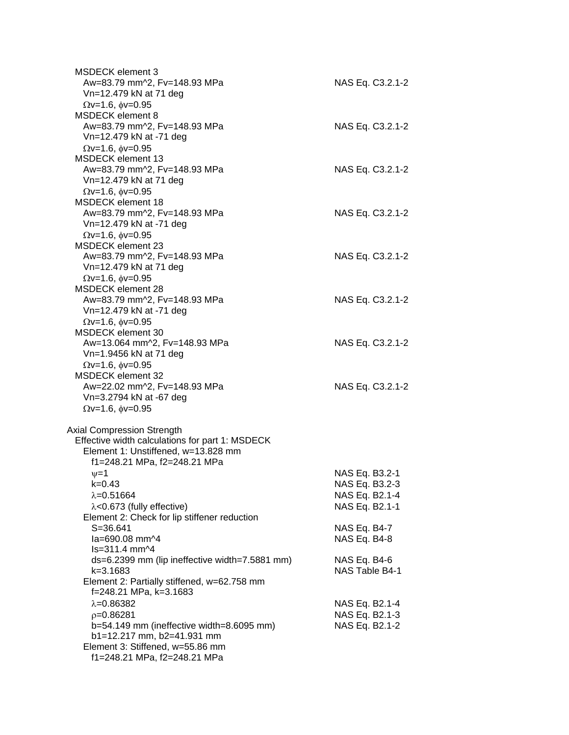| <b>MSDECK</b> element 3<br>Aw=83.79 mm^2, Fv=148.93 MPa<br>Vn=12.479 kN at 71 deg                                                                                           | NAS Eq. C3.2.1-2                                                     |
|-----------------------------------------------------------------------------------------------------------------------------------------------------------------------------|----------------------------------------------------------------------|
| $\Omega$ v=1.6, $\phi$ v=0.95<br><b>MSDECK</b> element 8                                                                                                                    |                                                                      |
| Aw=83.79 mm^2, Fv=148.93 MPa<br>Vn=12.479 kN at -71 deg<br>$\Omega$ v=1.6, $\phi$ v=0.95                                                                                    | NAS Eq. C3.2.1-2                                                     |
| <b>MSDECK</b> element 13<br>Aw=83.79 mm^2, Fv=148.93 MPa<br>Vn=12.479 kN at 71 deg                                                                                          | NAS Eq. C3.2.1-2                                                     |
| $Qv=1.6$ , $\phi v=0.95$<br><b>MSDECK</b> element 18<br>Aw=83.79 mm^2, Fv=148.93 MPa<br>Vn=12.479 kN at -71 deg                                                             | NAS Eq. C3.2.1-2                                                     |
| $\Omega$ v=1.6, $\phi$ v=0.95<br><b>MSDECK element 23</b><br>Aw=83.79 mm^2, Fv=148.93 MPa<br>Vn=12.479 kN at 71 deg                                                         | NAS Eq. C3.2.1-2                                                     |
| $\Omega$ v=1.6, $\phi$ v=0.95<br>MSDECK element 28<br>Aw=83.79 mm^2, Fv=148.93 MPa<br>Vn=12.479 kN at -71 deg                                                               | NAS Eq. C3.2.1-2                                                     |
| $\Omega$ v=1.6, $\phi$ v=0.95<br><b>MSDECK</b> element 30<br>Aw=13.064 mm^2, Fv=148.93 MPa<br>Vn=1.9456 kN at 71 deg                                                        | NAS Eq. C3.2.1-2                                                     |
| $\Omega$ v=1.6, $\phi$ v=0.95<br><b>MSDECK element 32</b><br>Aw=22.02 mm^2, Fv=148.93 MPa<br>Vn=3.2794 kN at -67 deg                                                        | NAS Eq. C3.2.1-2                                                     |
| $\Omega$ v=1.6, $\phi$ v=0.95<br><b>Axial Compression Strength</b><br>Effective width calculations for part 1: MSDECK<br>Element 1: Unstiffened, w=13.828 mm                |                                                                      |
| f1=248.21 MPa, f2=248.21 MPa<br>$\nu = 1$<br>k=0.43<br>$\lambda = 0.51664$<br>$\lambda$ <0.673 (fully effective)                                                            | NAS Eq. B3.2-1<br>NAS Eq. B3.2-3<br>NAS Eq. B2.1-4<br>NAS Eq. B2.1-1 |
| Element 2: Check for lip stiffener reduction<br>$S = 36.641$<br>la=690.08 mm^4                                                                                              | NAS Eq. B4-7<br>NAS Eq. B4-8                                         |
| ls=311.4 mm^4<br>ds=6.2399 mm (lip ineffective width=7.5881 mm)<br>k=3.1683<br>Element 2: Partially stiffened, w=62.758 mm                                                  | NAS Eq. B4-6<br>NAS Table B4-1                                       |
| f=248.21 MPa, k=3.1683<br>$\lambda = 0.86382$<br>$p=0.86281$<br>b=54.149 mm (ineffective width=8.6095 mm)<br>b1=12.217 mm, b2=41.931 mm<br>Element 3: Stiffened, w=55.86 mm | NAS Eq. B2.1-4<br>NAS Eq. B2.1-3<br>NAS Eq. B2.1-2                   |
| f1=248.21 MPa, f2=248.21 MPa                                                                                                                                                |                                                                      |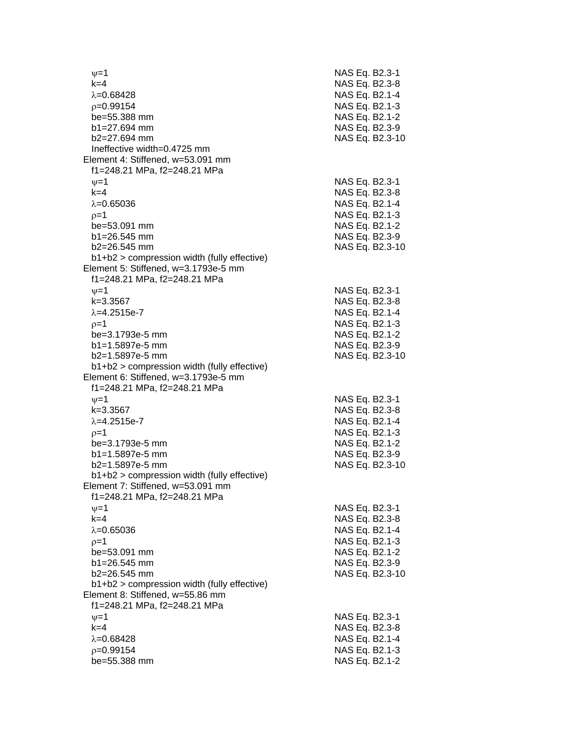$\nu$  =1 NAS Eq. B2.3-1 k=4 NAS Eq. B2.3 - 8 λ=0.68428 NAS Eq. B2.1-4  $\rho$ =0.99154 NAS Eq. B2.1-3 be=55.388 mm b1=27.694 mm NAS Eq. B2.3-9 b2=27.694 mm NAS Eq. B2.3 -10 Ineffective width=0.4725 mm Element 4: Stiffened, w=53.091 mm f1=248.21 MPa, f2=248.21 MPa  $\psi$ =1 NAS Eq. B2.3-1 k=4 NAS Eq. B2.3 - 8 λ=0.65036 NAS Eq. B2.1-4  $\rho$ =1 NAS Eq. B2.1-3 be=53.091 mm  $b1=26.545$  mm  $b2=26.545$  mm NAS Eq. B2.3-10 b1+b2 > compression width (fully effective) Element 5: Stiffened, w=3.1793e -5 mm f1=248.21 MPa, f2=248.21 MPa  $\psi$ =1 NAS Eq. B2.3-1 k=3.3567 NAS Eq. B2.3 - 8 λ=4.2515e-7 NAS Eq. B2.1 - 4  $\rho$ =1 NAS Eq. B2.1-3 be=3.1793e -5 mm NAS Eq. B2.1 - 2 b1=1.5897e-5 mm -5 mm NAS Eq. B2.3 - 9 b2=1.5897e -5 mm NAS Eq. B2.3 -10 b1+b2 > compression width (fully effective) Element 6: Stiffened, w=3.1793e -5 mm f1=248.21 MPa, f2=248.21 MPa  $\nu$  =1 NAS Eq. B2.3-1 k=3.3567 NAS Eq. B2.3 - 8 λ=4.2515e-7 NAS Eq. B2.1 - 4  $\rho=1$  NAS Eq. B2.1-3 be=3.1793e -5 mm NAS Eq. B2.1 - 2 b1=1.5897e-5 mm -5 mm NAS Eq. B2.3 - 9 b2=1.5897e -5 mm NAS Eq. B2.3 -10 b1+b2 > compression width (fully effective) Element 7: Stiffened, w=53.091 mm f1=248.21 MPa, f2=248.21 MPa  $\psi$ =1 NAS Eq. B2.3-1 k=4 NAS Eq. B2.3 - 8 λ=0.65036 NAS Eq. B2.1-4  $\rho$ =1 NAS Eq. B2.1-3  $be = 53.091$  mm  $b1 = 26.545$  mm b2=26.545 mm NAS Eq. B2.3 -10 b1+b2 > compression width (fully effective) Element 8: Stiffened, w=55.86 mm f1=248.21 MPa, f2=248.21 MPa  $\psi$ =1 NAS Eq. B2.3-1 k=4 NAS Eq. B2.3 - 8 λ=0.68428 NAS Eq. B2.1-4  $\rho$ =0.99154 NAS Eq. B2.1-3 be=55.388 mm NAS Eq. B2.1-2

- 2

- 2

- 9

- 2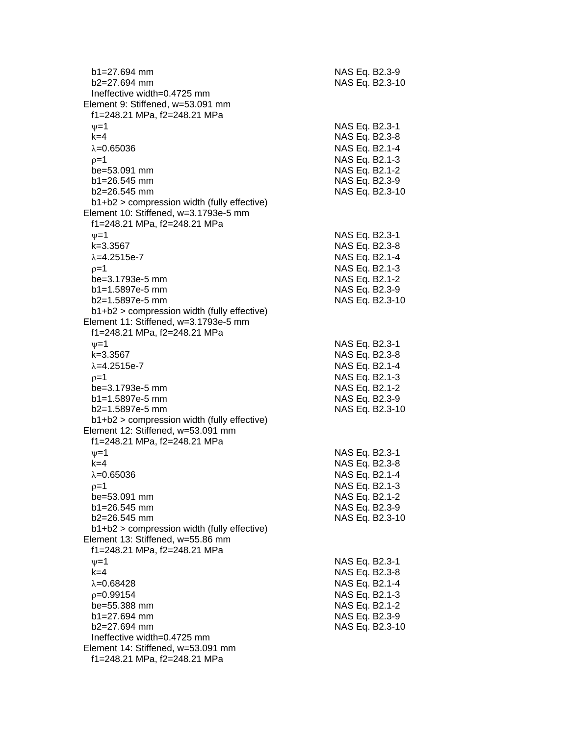| b1=27.694 mm<br>$b2=27.694$ mm                                                                                         | NAS Eq. B2.3-9 | NAS Eq. B2.3-10 |
|------------------------------------------------------------------------------------------------------------------------|----------------|-----------------|
| Ineffective width=0.4725 mm<br>Element 9: Stiffened, w=53.091 mm<br>f1=248.21 MPa, f2=248.21 MPa                       |                |                 |
| $\nu = 1$                                                                                                              | NAS Eq. B2.3-1 |                 |
| $k=4$                                                                                                                  | NAS Eq. B2.3-8 |                 |
| $\lambda = 0.65036$                                                                                                    | NAS Eq. B2.1-4 |                 |
| $p=1$                                                                                                                  | NAS Eq. B2.1-3 |                 |
| be=53.091 mm                                                                                                           | NAS Eq. B2.1-2 |                 |
| $b1 = 26.545$ mm                                                                                                       | NAS Eq. B2.3-9 |                 |
| $b2 = 26.545$ mm                                                                                                       |                | NAS Eq. B2.3-10 |
| b1+b2 > compression width (fully effective)<br>Element 10: Stiffened, w=3.1793e-5 mm<br>f1=248.21 MPa, f2=248.21 MPa   |                |                 |
| $\nu=1$                                                                                                                | NAS Eq. B2.3-1 |                 |
| $k = 3.3567$                                                                                                           | NAS Eq. B2.3-8 |                 |
| $\lambda = 4.2515e - 7$                                                                                                | NAS Eq. B2.1-4 |                 |
| $p=1$                                                                                                                  | NAS Eq. B2.1-3 |                 |
| be=3.1793e-5 mm                                                                                                        | NAS Eq. B2.1-2 |                 |
| b1=1.5897e-5 mm                                                                                                        | NAS Eq. B2.3-9 |                 |
| $b2=1.5897e-5$ mm                                                                                                      |                | NAS Eq. B2.3-10 |
| $b1+b2$ > compression width (fully effective)<br>Element 11: Stiffened, w=3.1793e-5 mm<br>f1=248.21 MPa, f2=248.21 MPa |                |                 |
| $\nu = 1$                                                                                                              | NAS Eq. B2.3-1 |                 |
| $k = 3.3567$                                                                                                           | NAS Eq. B2.3-8 |                 |
| $\lambda = 4.2515e - 7$                                                                                                | NAS Eq. B2.1-4 |                 |
| $p=1$                                                                                                                  | NAS Eq. B2.1-3 |                 |
| be=3.1793e-5 mm                                                                                                        | NAS Eq. B2.1-2 |                 |
| $b1 = 1.5897e-5$ mm                                                                                                    | NAS Eq. B2.3-9 |                 |
| b2=1.5897e-5 mm                                                                                                        |                | NAS Eq. B2.3-10 |
| b1+b2 > compression width (fully effective)<br>Element 12: Stiffened, w=53.091 mm<br>f1=248.21 MPa, f2=248.21 MPa      |                |                 |
| $\nu = 1$                                                                                                              | NAS Eq. B2.3-1 |                 |
| $k=4$                                                                                                                  | NAS Eq. B2.3-8 |                 |
| $\lambda = 0.65036$                                                                                                    | NAS Eq. B2.1-4 |                 |
| $p=1$                                                                                                                  | NAS Eq. B2.1-3 |                 |
| be=53.091 mm                                                                                                           | NAS Eq. B2.1-2 |                 |
| $b1 = 26.545$ mm<br>$b2 = 26.545$ mm                                                                                   | NAS Eq. B2.3-9 |                 |
| $b1+b2$ > compression width (fully effective)                                                                          |                | NAS Eq. B2.3-10 |
| Element 13: Stiffened, w=55.86 mm                                                                                      |                |                 |
| f1=248.21 MPa, f2=248.21 MPa                                                                                           |                |                 |
| $\nu = 1$                                                                                                              | NAS Eq. B2.3-1 |                 |
| $k=4$                                                                                                                  | NAS Eq. B2.3-8 |                 |
| $\lambda = 0.68428$                                                                                                    | NAS Eq. B2.1-4 |                 |
| $p=0.99154$                                                                                                            | NAS Eq. B2.1-3 |                 |
| be=55.388 mm                                                                                                           | NAS Eq. B2.1-2 |                 |
| b1=27.694 mm                                                                                                           | NAS Eq. B2.3-9 |                 |
| b2=27.694 mm                                                                                                           |                | NAS Eq. B2.3-10 |
| Ineffective width=0.4725 mm<br>Element 14: Stiffened, w=53.091 mm                                                      |                |                 |
| f1=248.21 MPa, f2=248.21 MPa                                                                                           |                |                 |
|                                                                                                                        |                |                 |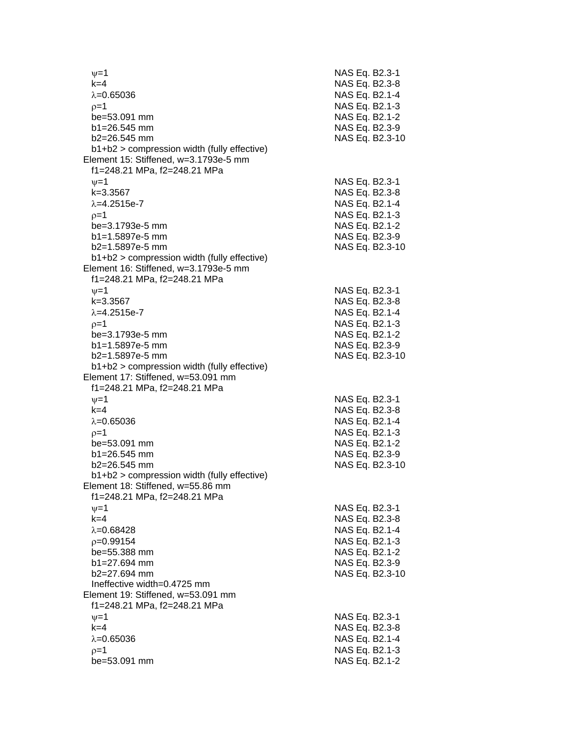| $\nu = 1$<br>$k=4$                                                                                                   | NAS Eq. B2.3<br>NAS Eq. B2.3                        |
|----------------------------------------------------------------------------------------------------------------------|-----------------------------------------------------|
| $\lambda = 0.65036$<br>$p=1$<br>be=53.091 mm                                                                         | NAS Eq. B2.1<br><b>NAS Eq. B2.1</b><br>NAS Eq. B2.1 |
| $b1 = 26.545$ mm<br>b2=26.545 mm                                                                                     | NAS Eq. B2.3<br>NAS Eq. B2.3                        |
| b1+b2 > compression width (fully effective)<br>Element 15: Stiffened, w=3.1793e-5 mm<br>f1=248.21 MPa, f2=248.21 MPa |                                                     |
| $\nu = 1$<br>k=3.3567                                                                                                | NAS Eq. B2.3<br>NAS Eq. B2.3                        |
| $\lambda = 4.2515e - 7$<br>$p=1$                                                                                     | NAS Eq. B2.1<br>NAS Eq. B2.1                        |
| be=3.1793e-5 mm<br>b1=1.5897e-5 mm<br>b2=1.5897e-5 mm                                                                | NAS Eq. B2.1<br>NAS Eq. B2.3<br>NAS Eq. B2.3        |
| b1+b2 > compression width (fully effective)<br>Element 16: Stiffened, w=3.1793e-5 mm<br>f1=248.21 MPa, f2=248.21 MPa |                                                     |
| $\nu = 1$                                                                                                            | NAS Eq. B2.3                                        |
| $k = 3.3567$<br>$\lambda = 4.2515e - 7$                                                                              | NAS Eq. B2.3<br><b>NAS Eq. B2.1</b>                 |
| $p=1$                                                                                                                | NAS Eq. B2.1                                        |
| be=3.1793e-5 mm                                                                                                      | <b>NAS Eq. B2.1</b>                                 |
| b1=1.5897e-5 mm<br>b2=1.5897e-5 mm                                                                                   | NAS Eq. B2.3<br>NAS Eq. B2.3                        |
| b1+b2 > compression width (fully effective)                                                                          |                                                     |
| Element 17: Stiffened, w=53.091 mm<br>f1=248.21 MPa, f2=248.21 MPa                                                   |                                                     |
| $\nu = 1$<br>$k=4$                                                                                                   | NAS Eq. B2.3<br>NAS Eq. B2.3                        |
| $\lambda = 0.65036$                                                                                                  | NAS Eq. B2.1                                        |
| $p=1$                                                                                                                | NAS Eq. B2.1                                        |
| be=53.091 mm                                                                                                         | NAS Eq. B2.1                                        |
| b1=26.545 mm                                                                                                         | NAS Eq. B2.3                                        |
| $b2 = 26.545$ mm<br>$b1+b2$ > compression width (fully effective)                                                    | NAS Eq. B2.3                                        |
| Element 18: Stiffened, w=55.86 mm<br>f1=248.21 MPa, f2=248.21 MPa                                                    |                                                     |
| $\nu = 1$                                                                                                            | NAS Eq. B2.3                                        |
| $k=4$                                                                                                                | NAS Eq. B2.3                                        |
| $\lambda = 0.68428$                                                                                                  | NAS Eq. B2.1                                        |
| $p=0.99154$<br>be=55.388 mm                                                                                          | <b>NAS Eq. B2.1</b><br>NAS Eq. B2.1                 |
| $b1 = 27.694$ mm                                                                                                     | NAS Eq. B2.3                                        |
| b2=27.694 mm                                                                                                         | NAS Eq. B2.3                                        |
| Ineffective width=0.4725 mm                                                                                          |                                                     |
| Element 19: Stiffened, w=53.091 mm                                                                                   |                                                     |
| f1=248.21 MPa, f2=248.21 MPa                                                                                         |                                                     |
| $\nu=1$<br>$k=4$                                                                                                     | NAS Eq. B2.3<br>NAS Eq. B2.3                        |
| $\lambda = 0.65036$                                                                                                  | NAS Eq. B2.1                                        |
| $p=1$                                                                                                                | NAS Eq. B2.1                                        |
| be=53.091 mm                                                                                                         | NAS Eq. B2.1                                        |

- 1

- 8

- 4

- 3

- 2

- 9

- 1

- 8

- 4

- 3

- 2

- 9

- 1

- 8

- 4

- 3

- 2

- 9

- 1

- 8

- 4

- 3

- 2

- 9

- 1

- 8

- 4

- 3

- 2

- 9

- 1

- 8

- 4

- 3

- 2

-10

-10

-10

-10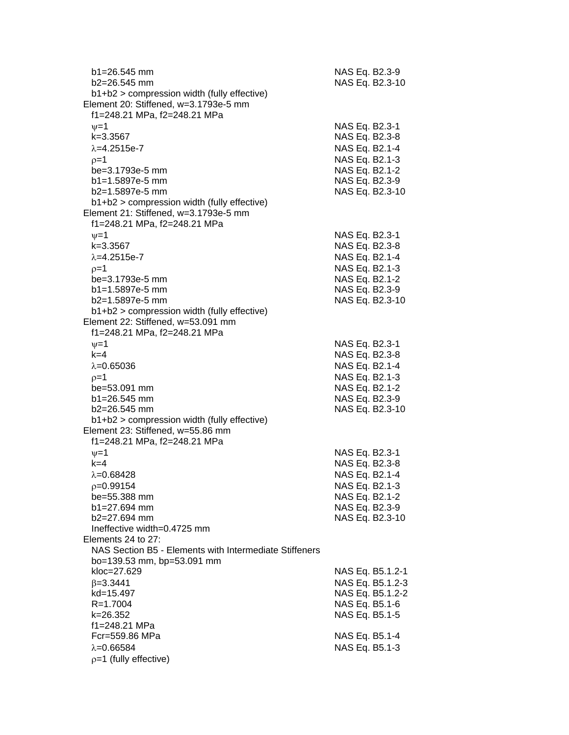| $b1 = 26.545$ mm<br>$b2 = 26.545$ mm<br>b1+b2 > compression width (fully effective) | NAS Eq. B2.3-9<br>NAS Eq. B2.3-10 |
|-------------------------------------------------------------------------------------|-----------------------------------|
| Element 20: Stiffened, w=3.1793e-5 mm<br>f1=248.21 MPa, f2=248.21 MPa               |                                   |
| $v=1$                                                                               | NAS Eq. B2.3-1                    |
| k=3.3567                                                                            | NAS Eq. B2.3-8                    |
| $\lambda = 4.2515e - 7$                                                             | NAS Eq. B2.1-4                    |
| $p=1$                                                                               | NAS Eq. B2.1-3                    |
| be=3.1793e-5 mm<br>$b1 = 1.5897e-5$ mm                                              | NAS Eq. B2.1-2                    |
| b2=1.5897e-5 mm                                                                     | NAS Eq. B2.3-9<br>NAS Eq. B2.3-10 |
| b1+b2 > compression width (fully effective)                                         |                                   |
| Element 21: Stiffened, w=3.1793e-5 mm                                               |                                   |
| f1=248.21 MPa, f2=248.21 MPa                                                        |                                   |
| $v = 1$                                                                             | NAS Eq. B2.3-1                    |
| $k = 3.3567$                                                                        | NAS Eq. B2.3-8                    |
| $\lambda = 4.2515e - 7$                                                             | NAS Eq. B2.1-4<br>NAS Eq. B2.1-3  |
| $p=1$<br>be=3.1793e-5 mm                                                            | NAS Eq. B2.1-2                    |
| b1=1.5897e-5 mm                                                                     | NAS Eq. B2.3-9                    |
| b2=1.5897e-5 mm                                                                     | NAS Eq. B2.3-10                   |
| b1+b2 > compression width (fully effective)                                         |                                   |
| Element 22: Stiffened, w=53.091 mm                                                  |                                   |
| f1=248.21 MPa, f2=248.21 MPa                                                        |                                   |
| $v = 1$<br>$k=4$                                                                    | NAS Eq. B2.3-1                    |
| $\lambda = 0.65036$                                                                 | NAS Eq. B2.3-8<br>NAS Eq. B2.1-4  |
| $p=1$                                                                               | NAS Eq. B2.1-3                    |
| be=53.091 mm                                                                        | NAS Eq. B2.1-2                    |
| $b1 = 26.545$ mm                                                                    | NAS Eq. B2.3-9                    |
| b2=26.545 mm                                                                        | NAS Eq. B2.3-10                   |
| b1+b2 > compression width (fully effective)                                         |                                   |
| Element 23: Stiffened, w=55.86 mm                                                   |                                   |
| f1=248.21 MPa, f2=248.21 MPa<br>$\nu = 1$                                           | NAS Eq. B2.3-1                    |
| $k=4$                                                                               | NAS Eq. B2.3-8                    |
| $\lambda = 0.68428$                                                                 | NAS Eq. B2.1-4                    |
| $p=0.99154$                                                                         | NAS Eq. B2.1-3                    |
| be=55.388 mm                                                                        | NAS Eq. B2.1-2                    |
| $b1 = 27.694$ mm                                                                    | NAS Eq. B2.3-9                    |
| b2=27.694 mm                                                                        | NAS Eq. B2.3-10                   |
| Ineffective width=0.4725 mm<br>Elements 24 to 27:                                   |                                   |
| NAS Section B5 - Elements with Intermediate Stiffeners                              |                                   |
| bo=139.53 mm, bp=53.091 mm                                                          |                                   |
| kloc=27.629                                                                         | NAS Eq. B5.1.2-1                  |
| $\beta = 3.3441$                                                                    | NAS Eq. B5.1.2-3                  |
| kd=15.497                                                                           | NAS Eq. B5.1.2-2                  |
| R=1.7004                                                                            | NAS Eq. B5.1-6                    |
| k=26.352<br>f1=248.21 MPa                                                           | NAS Eq. B5.1-5                    |
| Fcr=559.86 MPa                                                                      | NAS Eq. B5.1-4                    |
| $\lambda = 0.66584$                                                                 | NAS Eq. B5.1-3                    |
| $p=1$ (fully effective)                                                             |                                   |
|                                                                                     |                                   |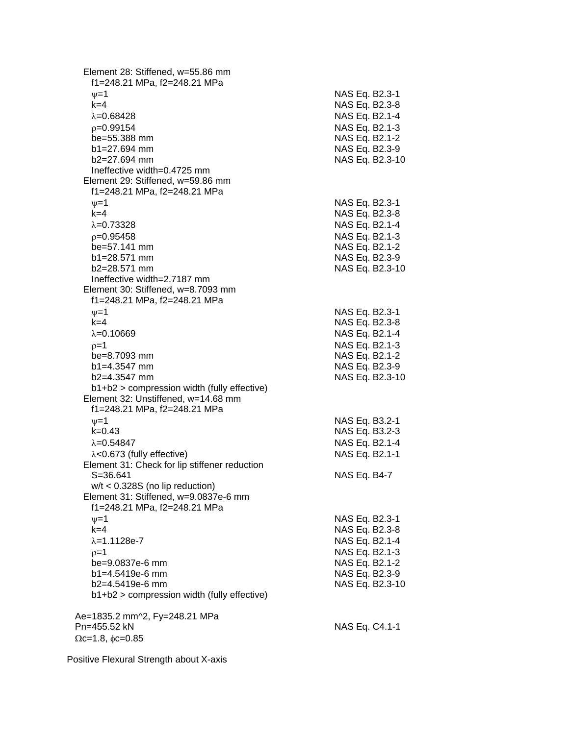Element 28: Stiffened, w=55.86 mm f1=248.21 MPa, f2=248.21 MPa  $v=1$  NAS Eq. B2.3-1 k=4 NAS Eq. B2.3-8  $\lambda = 0.68428$  NAS Eq. B2.1-4  $p=0.99154$  NAS Eq. B2.1-3 be=55.388 mm NAS Eq. B2.1-2 b1=27.694 mm NAS Eq. B2.3-9 b2=27.694 mm NAS Eq. B2.3-10 Ineffective width=0.4725 mm Element 29: Stiffened, w=59.86 mm f1=248.21 MPa, f2=248.21 MPa  $v=1$  NAS Eq. B2.3-1 k=4 NAS Eq. B2.3-8  $\lambda = 0.73328$  NAS Eq. B2.1-4 =0.95458 NAS Eq. B2.1-3 be=57.141 mm NAS Eq. B2.1-2 b1=28.571 mm NAS Eq. B2.3-9 b2=28.571 mm NAS Eq. B2.3-10 Ineffective width=2.7187 mm Element 30: Stiffened, w=8.7093 mm f1=248.21 MPa, f2=248.21 MPa  $\nu=1$  NAS Eq. B2.3-1 k=4 NAS Eq. B2.3-8  $\lambda = 0.10669$  NAS Eq. B2.1-4  $\rho = 1$  NAS Eq. B2.1-3 be=8.7093 mm NAS Eq. B2.1-2 b1=4.3547 mm NAS Eq. B2.3-9 b2=4.3547 mm NAS Eq. B2.3-10 b1+b2 > compression width (fully effective) Element 32: Unstiffened, w=14.68 mm f1=248.21 MPa, f2=248.21 MPa  $v=1$  NAS Eq. B3.2-1 k=0.43 NAS Eq. B3.2-3  $\lambda = 0.54847$  NAS Eq. B2.1-4  $\lambda$ <0.673 (fully effective) NAS Eq. B2.1-1 Element 31: Check for lip stiffener reduction S=36.641 NAS Eq. B4-7 w/t < 0.328S (no lip reduction) Element 31: Stiffened, w=9.0837e-6 mm f1=248.21 MPa, f2=248.21 MPa  $v = 1$  NAS Eq. B2.3-1 k=4 NAS Eq. B2.3-8  $\lambda$ =1.1128e-7 NAS Eq. B2.1-4  $p=1$  NAS Eq. B2.1-3 be=9.0837e-6 mm NAS Eq. B2.1-2 b1=4.5419e-6 mm NAS Eq. B2.3-9 b2=4.5419e-6 mm NAS Eq. B2.3-10 b1+b2 > compression width (fully effective) Ae=1835.2 mm^2, Fy=248.21 MPa Pn=455.52 kN NAS Eq. C4.1-1  $\Omega$ c=1.8,  $\phi$ c=0.85

Positive Flexural Strength about X-axis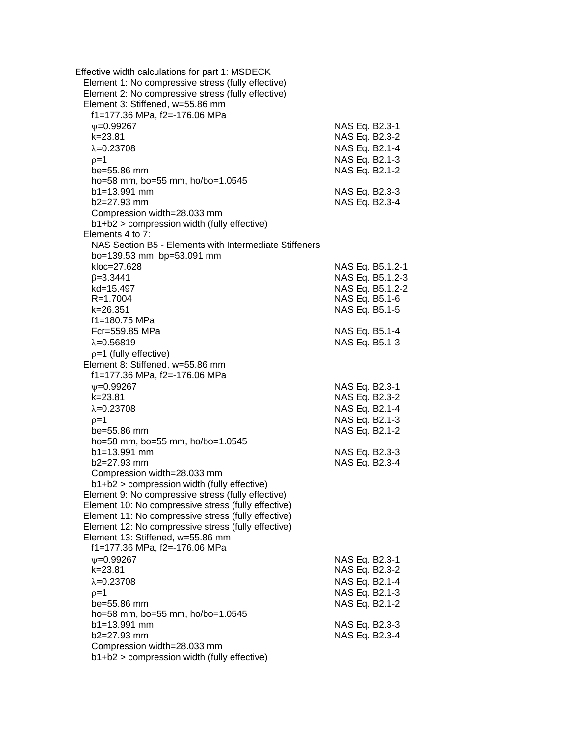| Effective width calculations for part 1: MSDECK<br>Element 1: No compressive stress (fully effective)<br>Element 2: No compressive stress (fully effective)<br>Element 3: Stiffened, w=55.86 mm<br>f1=177.36 MPa, f2=-176.06 MPa |                                  |                  |
|----------------------------------------------------------------------------------------------------------------------------------------------------------------------------------------------------------------------------------|----------------------------------|------------------|
| $\nu = 0.99267$                                                                                                                                                                                                                  | NAS Eq. B2.3-1                   |                  |
| $k = 23.81$                                                                                                                                                                                                                      | NAS Eq. B2.3-2                   |                  |
| $\lambda = 0.23708$                                                                                                                                                                                                              | NAS Eq. B2.1-4                   |                  |
| $0=1$                                                                                                                                                                                                                            | NAS Eq. B2.1-3                   |                  |
| $be = 55.86$ mm                                                                                                                                                                                                                  | NAS Eq. B2.1-2                   |                  |
| ho=58 mm, bo=55 mm, ho/bo=1.0545                                                                                                                                                                                                 |                                  |                  |
| $b1 = 13.991$ mm                                                                                                                                                                                                                 | NAS Eq. B2.3-3                   |                  |
| b2=27.93 mm                                                                                                                                                                                                                      | NAS Eq. B2.3-4                   |                  |
| Compression width=28.033 mm                                                                                                                                                                                                      |                                  |                  |
| b1+b2 > compression width (fully effective)                                                                                                                                                                                      |                                  |                  |
| Elements 4 to 7:                                                                                                                                                                                                                 |                                  |                  |
| NAS Section B5 - Elements with Intermediate Stiffeners                                                                                                                                                                           |                                  |                  |
| bo=139.53 mm, bp=53.091 mm                                                                                                                                                                                                       |                                  |                  |
| kloc=27.628                                                                                                                                                                                                                      |                                  | NAS Eq. B5.1.2-1 |
| $\beta = 3.3441$                                                                                                                                                                                                                 |                                  | NAS Eq. B5.1.2-3 |
| kd=15.497                                                                                                                                                                                                                        |                                  | NAS Eq. B5.1.2-2 |
| R=1.7004                                                                                                                                                                                                                         |                                  | NAS Eq. B5.1-6   |
| $k = 26.351$                                                                                                                                                                                                                     | NAS Eq. B5.1-5                   |                  |
| f1=180.75 MPa                                                                                                                                                                                                                    |                                  |                  |
| Fcr=559.85 MPa                                                                                                                                                                                                                   | NAS Eq. B5.1-4                   |                  |
| $\lambda = 0.56819$                                                                                                                                                                                                              | NAS Eq. B5.1-3                   |                  |
| $p=1$ (fully effective)                                                                                                                                                                                                          |                                  |                  |
| Element 8: Stiffened, w=55.86 mm                                                                                                                                                                                                 |                                  |                  |
| f1=177.36 MPa, f2=-176.06 MPa                                                                                                                                                                                                    |                                  |                  |
| $\nu = 0.99267$                                                                                                                                                                                                                  | NAS Eq. B2.3-1                   |                  |
| $k = 23.81$                                                                                                                                                                                                                      | NAS Eq. B2.3-2                   |                  |
| $\lambda = 0.23708$                                                                                                                                                                                                              | NAS Eq. B2.1-4                   |                  |
| $p=1$                                                                                                                                                                                                                            | NAS Eq. B2.1-3                   |                  |
| be=55.86 mm                                                                                                                                                                                                                      | NAS Eq. B2.1-2                   |                  |
| ho=58 mm, bo=55 mm, ho/bo=1.0545<br>$b1 = 13.991$ mm                                                                                                                                                                             |                                  |                  |
| b2=27.93 mm                                                                                                                                                                                                                      | NAS Eq. B2.3-3<br>NAS Eq. B2.3-4 |                  |
| Compression width=28.033 mm                                                                                                                                                                                                      |                                  |                  |
| b1+b2 > compression width (fully effective)                                                                                                                                                                                      |                                  |                  |
| Element 9: No compressive stress (fully effective)                                                                                                                                                                               |                                  |                  |
| Element 10: No compressive stress (fully effective)                                                                                                                                                                              |                                  |                  |
| Element 11: No compressive stress (fully effective)                                                                                                                                                                              |                                  |                  |
| Element 12: No compressive stress (fully effective)                                                                                                                                                                              |                                  |                  |
| Element 13: Stiffened, w=55.86 mm                                                                                                                                                                                                |                                  |                  |
| f1=177.36 MPa, f2=-176.06 MPa                                                                                                                                                                                                    |                                  |                  |
| $\nu = 0.99267$                                                                                                                                                                                                                  | NAS Eq. B2.3-1                   |                  |
| k=23.81                                                                                                                                                                                                                          | NAS Eq. B2.3-2                   |                  |
| $\lambda = 0.23708$                                                                                                                                                                                                              | NAS Eq. B2.1-4                   |                  |
| ρ=1                                                                                                                                                                                                                              | NAS Eq. B2.1-3                   |                  |
| be=55.86 mm                                                                                                                                                                                                                      | NAS Eq. B2.1-2                   |                  |
| ho=58 mm, bo=55 mm, ho/bo=1.0545                                                                                                                                                                                                 |                                  |                  |
| $b1 = 13.991$ mm                                                                                                                                                                                                                 | NAS Eq. B2.3-3                   |                  |
| b2=27.93 mm                                                                                                                                                                                                                      | NAS Eq. B2.3-4                   |                  |
| Compression width=28.033 mm                                                                                                                                                                                                      |                                  |                  |
| b1+b2 > compression width (fully effective)                                                                                                                                                                                      |                                  |                  |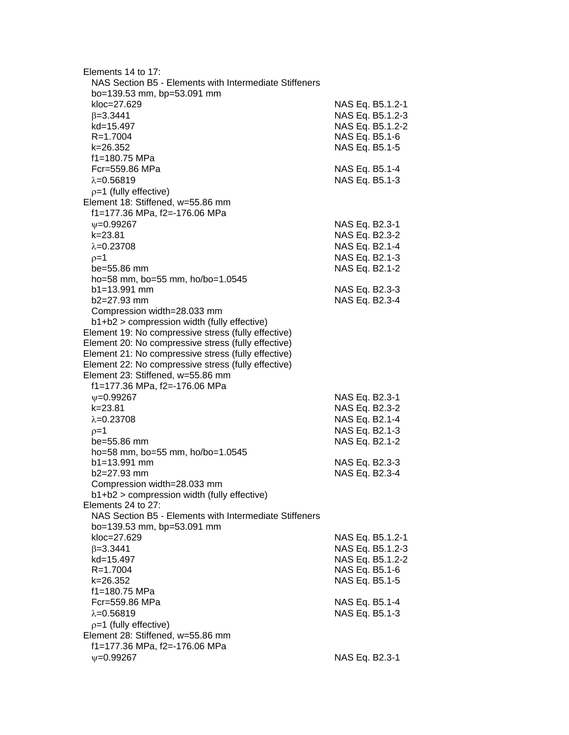| Elements 14 to 17:                                     |                  |
|--------------------------------------------------------|------------------|
| NAS Section B5 - Elements with Intermediate Stiffeners |                  |
| bo=139.53 mm, bp=53.091 mm                             |                  |
| kloc=27.629                                            | NAS Eq. B5.1.2-1 |
| $\beta = 3.3441$                                       | NAS Eq. B5.1.2-3 |
| kd=15.497                                              | NAS Eq. B5.1.2-2 |
| $R = 1.7004$                                           | NAS Eq. B5.1-6   |
| k=26.352                                               |                  |
|                                                        | NAS Eq. B5.1-5   |
| f1=180.75 MPa                                          |                  |
| Fcr=559.86 MPa                                         | NAS Eq. B5.1-4   |
| $\lambda = 0.56819$                                    | NAS Eq. B5.1-3   |
| $p=1$ (fully effective)                                |                  |
| Element 18: Stiffened, w=55.86 mm                      |                  |
| f1=177.36 MPa, f2=-176.06 MPa                          |                  |
| $\nu = 0.99267$                                        | NAS Eq. B2.3-1   |
| $k = 23.81$                                            | NAS Eq. B2.3-2   |
| $\lambda = 0.23708$                                    | NAS Eq. B2.1-4   |
| $p=1$                                                  | NAS Eq. B2.1-3   |
| be=55.86 mm                                            | NAS Eq. B2.1-2   |
| ho=58 mm, bo=55 mm, ho/bo=1.0545                       |                  |
| $b1 = 13.991$ mm                                       | NAS Eq. B2.3-3   |
| b2=27.93 mm                                            | NAS Eq. B2.3-4   |
| Compression width=28.033 mm                            |                  |
| b1+b2 > compression width (fully effective)            |                  |
| Element 19: No compressive stress (fully effective)    |                  |
| Element 20: No compressive stress (fully effective)    |                  |
|                                                        |                  |
| Element 21: No compressive stress (fully effective)    |                  |
| Element 22: No compressive stress (fully effective)    |                  |
| Element 23: Stiffened, w=55.86 mm                      |                  |
| f1=177.36 MPa, f2=-176.06 MPa                          |                  |
| $\nu = 0.99267$                                        | NAS Eq. B2.3-1   |
| $k = 23.81$                                            | NAS Eq. B2.3-2   |
| $\lambda = 0.23708$                                    | NAS Eq. B2.1-4   |
| $p=1$                                                  | NAS Eq. B2.1-3   |
| be=55.86 mm                                            | NAS Eq. B2.1-2   |
| ho=58 mm, bo=55 mm, ho/bo=1.0545                       |                  |
| $b1 = 13.991$ mm                                       | NAS Eq. B2.3-3   |
| b2=27.93 mm                                            | NAS Eq. B2.3-4   |
| Compression width=28.033 mm                            |                  |
| b1+b2 > compression width (fully effective)            |                  |
| Elements 24 to 27:                                     |                  |
| NAS Section B5 - Elements with Intermediate Stiffeners |                  |
| bo=139.53 mm, bp=53.091 mm                             |                  |
| kloc=27.629                                            | NAS Eq. B5.1.2-1 |
| $\beta = 3.3441$                                       | NAS Eq. B5.1.2-3 |
| kd=15.497                                              | NAS Eq. B5.1.2-2 |
| R=1.7004                                               | NAS Eq. B5.1-6   |
| k=26.352                                               | NAS Eq. B5.1-5   |
|                                                        |                  |
| f1=180.75 MPa                                          |                  |
| Fcr=559.86 MPa                                         | NAS Eq. B5.1-4   |
| $\lambda = 0.56819$                                    | NAS Eq. B5.1-3   |
| $p=1$ (fully effective)                                |                  |
| Element 28: Stiffened, w=55.86 mm                      |                  |
| f1=177.36 MPa, f2=-176.06 MPa                          |                  |
| $\nu = 0.99267$                                        | NAS Eq. B2.3-1   |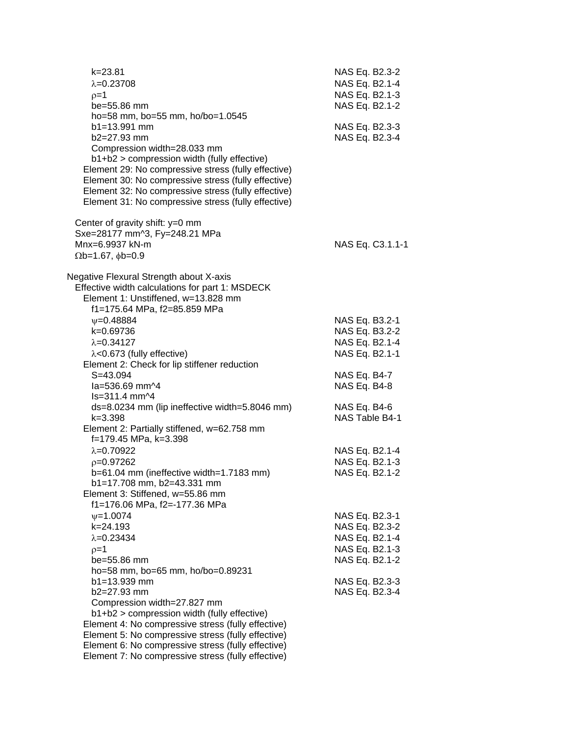| $k = 23.81$<br>$\lambda = 0.23708$<br>$p=1$<br>be=55.86 mm<br>ho=58 mm, bo=55 mm, ho/bo=1.0545                                                                                                                                                                                                                                        | NAS Eq. B2.3-2<br>NAS Eq. B2.1-4<br>NAS Eq. B2.1-3<br>NAS Eq. B2.1-2 |
|---------------------------------------------------------------------------------------------------------------------------------------------------------------------------------------------------------------------------------------------------------------------------------------------------------------------------------------|----------------------------------------------------------------------|
| b1=13.991 mm<br>b2=27.93 mm<br>Compression width=28.033 mm<br>b1+b2 > compression width (fully effective)<br>Element 29: No compressive stress (fully effective)<br>Element 30: No compressive stress (fully effective)<br>Element 32: No compressive stress (fully effective)<br>Element 31: No compressive stress (fully effective) | NAS Eq. B2.3-3<br>NAS Eq. B2.3-4                                     |
| Center of gravity shift: $y=0$ mm<br>Sxe=28177 mm^3, Fy=248.21 MPa<br>Mnx=6.9937 kN-m<br>$\Omega$ b=1.67, $\phi$ b=0.9                                                                                                                                                                                                                | NAS Eq. C3.1.1-1                                                     |
| Negative Flexural Strength about X-axis<br>Effective width calculations for part 1: MSDECK<br>Element 1: Unstiffened, w=13.828 mm<br>f1=175.64 MPa, f2=85.859 MPa                                                                                                                                                                     |                                                                      |
| $V = 0.48884$                                                                                                                                                                                                                                                                                                                         | NAS Eq. B3.2-1                                                       |
| k=0.69736                                                                                                                                                                                                                                                                                                                             | NAS Eq. B3.2-2                                                       |
| $\lambda = 0.34127$                                                                                                                                                                                                                                                                                                                   | NAS Eq. B2.1-4                                                       |
| λ<0.673 (fully effective)                                                                                                                                                                                                                                                                                                             | NAS Eq. B2.1-1                                                       |
| Element 2: Check for lip stiffener reduction<br>$S = 43.094$                                                                                                                                                                                                                                                                          |                                                                      |
| la=536.69 mm^4                                                                                                                                                                                                                                                                                                                        | NAS Eq. B4-7<br>NAS Eq. B4-8                                         |
| ls=311.4 mm^4                                                                                                                                                                                                                                                                                                                         |                                                                      |
| ds=8.0234 mm (lip ineffective width=5.8046 mm)                                                                                                                                                                                                                                                                                        | NAS Eq. B4-6                                                         |
| $k = 3.398$                                                                                                                                                                                                                                                                                                                           | NAS Table B4-1                                                       |
| Element 2: Partially stiffened, w=62.758 mm<br>f=179.45 MPa, k=3.398                                                                                                                                                                                                                                                                  |                                                                      |
| $\lambda = 0.70922$                                                                                                                                                                                                                                                                                                                   | NAS Eq. B2.1-4                                                       |
| $p=0.97262$                                                                                                                                                                                                                                                                                                                           | NAS Eq. B2.1-3                                                       |
| b=61.04 mm (ineffective width=1.7183 mm)                                                                                                                                                                                                                                                                                              | NAS Eq. B2.1-2                                                       |
| b1=17.708 mm, b2=43.331 mm<br>Element 3: Stiffened, w=55.86 mm<br>f1=176.06 MPa, f2=-177.36 MPa                                                                                                                                                                                                                                       |                                                                      |
| $\psi = 1.0074$                                                                                                                                                                                                                                                                                                                       | NAS Eq. B2.3-1                                                       |
| k=24.193                                                                                                                                                                                                                                                                                                                              | NAS Eq. B2.3-2                                                       |
| $\lambda = 0.23434$                                                                                                                                                                                                                                                                                                                   | NAS Eq. B2.1-4                                                       |
| $p=1$                                                                                                                                                                                                                                                                                                                                 | NAS Eq. B2.1-3                                                       |
| be=55.86 mm                                                                                                                                                                                                                                                                                                                           | NAS Eq. B2.1-2                                                       |
| ho=58 mm, bo=65 mm, ho/bo=0.89231                                                                                                                                                                                                                                                                                                     |                                                                      |
| b1=13.939 mm                                                                                                                                                                                                                                                                                                                          | NAS Eq. B2.3-3                                                       |
| b2=27.93 mm                                                                                                                                                                                                                                                                                                                           | NAS Eq. B2.3-4                                                       |
| Compression width=27.827 mm<br>b1+b2 > compression width (fully effective)                                                                                                                                                                                                                                                            |                                                                      |
| Element 4: No compressive stress (fully effective)                                                                                                                                                                                                                                                                                    |                                                                      |
| Element 5: No compressive stress (fully effective)                                                                                                                                                                                                                                                                                    |                                                                      |
| Element 6: No compressive stress (fully effective)                                                                                                                                                                                                                                                                                    |                                                                      |
| Element 7: No compressive stress (fully effective)                                                                                                                                                                                                                                                                                    |                                                                      |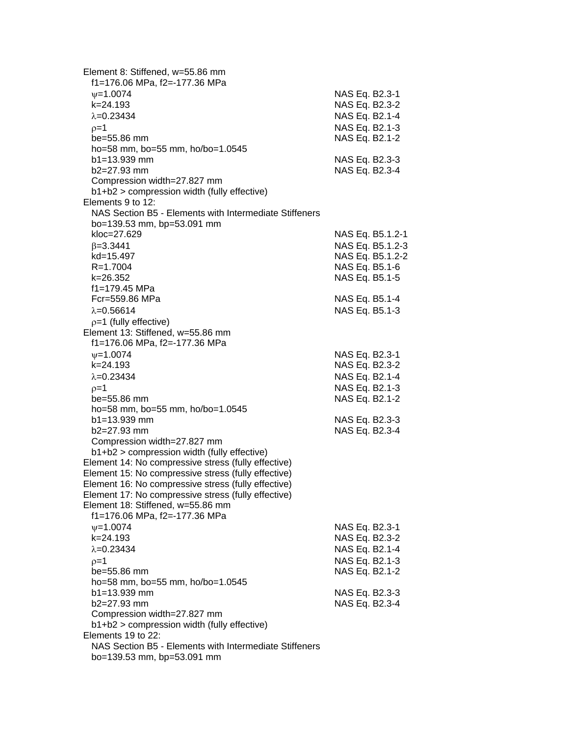| Element 8: Stiffened, w=55.86 mm<br>f1=176.06 MPa, f2=-177.36 MPa |                  |  |
|-------------------------------------------------------------------|------------------|--|
| $\nu = 1.0074$                                                    | NAS Eq. B2.3-1   |  |
| k=24.193                                                          | NAS Eq. B2.3-2   |  |
| $\lambda = 0.23434$                                               | NAS Eq. B2.1-4   |  |
| $p=1$                                                             | NAS Eq. B2.1-3   |  |
| be=55.86 mm                                                       | NAS Eq. B2.1-2   |  |
| ho=58 mm, bo=55 mm, ho/bo=1.0545                                  |                  |  |
| b1=13.939 mm                                                      | NAS Eq. B2.3-3   |  |
| b2=27.93 mm                                                       | NAS Eq. B2.3-4   |  |
| Compression width=27.827 mm                                       |                  |  |
| b1+b2 > compression width (fully effective)                       |                  |  |
| Elements 9 to 12:                                                 |                  |  |
| NAS Section B5 - Elements with Intermediate Stiffeners            |                  |  |
| bo=139.53 mm, bp=53.091 mm                                        |                  |  |
| kloc=27.629                                                       | NAS Eq. B5.1.2-1 |  |
| $\beta = 3.3441$                                                  | NAS Eq. B5.1.2-3 |  |
| kd=15.497                                                         | NAS Eq. B5.1.2-2 |  |
| $R = 1.7004$                                                      | NAS Eq. B5.1-6   |  |
| k=26.352                                                          | NAS Eq. B5.1-5   |  |
| f1=179.45 MPa                                                     |                  |  |
| Fcr=559.86 MPa                                                    | NAS Eq. B5.1-4   |  |
| $\lambda = 0.56614$                                               | NAS Eq. B5.1-3   |  |
| $p=1$ (fully effective)                                           |                  |  |
| Element 13: Stiffened, w=55.86 mm                                 |                  |  |
| f1=176.06 MPa, f2=-177.36 MPa                                     |                  |  |
| $\psi = 1.0074$                                                   | NAS Eq. B2.3-1   |  |
| k=24.193                                                          | NAS Eq. B2.3-2   |  |
| $\lambda = 0.23434$                                               | NAS Eq. B2.1-4   |  |
| $p=1$                                                             | NAS Eq. B2.1-3   |  |
| be=55.86 mm                                                       | NAS Eq. B2.1-2   |  |
| ho=58 mm, bo=55 mm, ho/bo=1.0545                                  |                  |  |
| b1=13.939 mm                                                      | NAS Eq. B2.3-3   |  |
| b2=27.93 mm                                                       | NAS Eq. B2.3-4   |  |
| Compression width=27.827 mm                                       |                  |  |
| b1+b2 > compression width (fully effective)                       |                  |  |
| Element 14: No compressive stress (fully effective)               |                  |  |
| Element 15: No compressive stress (fully effective)               |                  |  |
| Element 16: No compressive stress (fully effective)               |                  |  |
| Element 17: No compressive stress (fully effective)               |                  |  |
| Element 18: Stiffened, w=55.86 mm                                 |                  |  |
| f1=176.06 MPa, f2=-177.36 MPa                                     |                  |  |
| $\psi = 1.0074$                                                   | NAS Eq. B2.3-1   |  |
| k=24.193                                                          | NAS Eq. B2.3-2   |  |
| $\lambda = 0.23434$                                               | NAS Eq. B2.1-4   |  |
| $p=1$                                                             | NAS Eq. B2.1-3   |  |
| be=55.86 mm                                                       | NAS Eq. B2.1-2   |  |
| ho=58 mm, bo=55 mm, ho/bo=1.0545                                  |                  |  |
| $b1 = 13.939$ mm                                                  | NAS Eq. B2.3-3   |  |
| b2=27.93 mm                                                       | NAS Eq. B2.3-4   |  |
| Compression width=27.827 mm                                       |                  |  |
| b1+b2 > compression width (fully effective)                       |                  |  |
| Elements 19 to 22:                                                |                  |  |
| NAS Section B5 - Elements with Intermediate Stiffeners            |                  |  |
| bo=139.53 mm, bp=53.091 mm                                        |                  |  |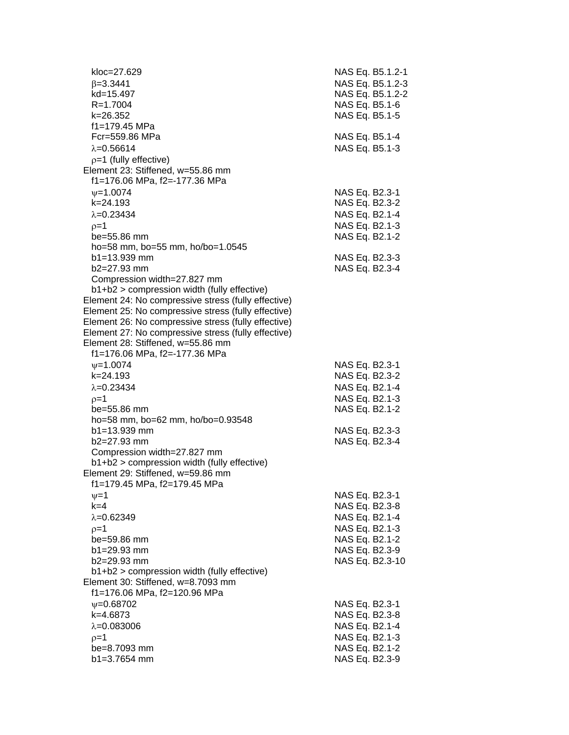| kloc=27.629                                                                | NAS Eq. B5.1.2-1 |
|----------------------------------------------------------------------------|------------------|
| $\beta = 3.3441$                                                           | NAS Eq. B5.1.2-3 |
| kd=15.497                                                                  | NAS Eq. B5.1.2-2 |
| $R = 1.7004$                                                               | NAS Eq. B5.1-6   |
| k=26.352                                                                   | NAS Eq. B5.1-5   |
| f1=179.45 MPa                                                              |                  |
| Fcr=559.86 MPa                                                             | NAS Eq. B5.1-4   |
| $\lambda = 0.56614$                                                        | NAS Eq. B5.1-3   |
| $p=1$ (fully effective)                                                    |                  |
| Element 23: Stiffened, w=55.86 mm                                          |                  |
| f1=176.06 MPa, f2=-177.36 MPa                                              |                  |
| $\psi = 1.0074$                                                            | NAS Eq. B2.3-1   |
| k=24.193                                                                   | NAS Eq. B2.3-2   |
| $\lambda = 0.23434$                                                        | NAS Eq. B2.1-4   |
| $p=1$                                                                      | NAS Eq. B2.1-3   |
| be=55.86 mm                                                                | NAS Eq. B2.1-2   |
| ho=58 mm, bo=55 mm, ho/bo=1.0545                                           |                  |
| $b1 = 13.939$ mm                                                           | NAS Eq. B2.3-3   |
| $b2=27.93$ mm                                                              | NAS Eq. B2.3-4   |
| Compression width=27.827 mm<br>b1+b2 > compression width (fully effective) |                  |
| Element 24: No compressive stress (fully effective)                        |                  |
| Element 25: No compressive stress (fully effective)                        |                  |
| Element 26: No compressive stress (fully effective)                        |                  |
| Element 27: No compressive stress (fully effective)                        |                  |
| Element 28: Stiffened, w=55.86 mm                                          |                  |
| f1=176.06 MPa, f2=-177.36 MPa                                              |                  |
| $\psi = 1.0074$                                                            | NAS Eq. B2.3-1   |
| k=24.193                                                                   | NAS Eq. B2.3-2   |
| $\lambda = 0.23434$                                                        | NAS Eq. B2.1-4   |
| $p=1$                                                                      | NAS Eq. B2.1-3   |
| be=55.86 mm                                                                | NAS Eq. B2.1-2   |
| ho=58 mm, bo=62 mm, ho/bo=0.93548                                          |                  |
| $b1 = 13.939$ mm                                                           | NAS Eq. B2.3-3   |
| $b2=27.93$ mm                                                              | NAS Eq. B2.3-4   |
| Compression width=27.827 mm                                                |                  |
| b1+b2 > compression width (fully effective)                                |                  |
| Element 29: Stiffened, w=59.86 mm                                          |                  |
| f1=179.45 MPa, f2=179.45 MPa                                               |                  |
| $\nu = 1$                                                                  | NAS Eq. B2.3-1   |
| $k=4$                                                                      | NAS Eq. B2.3-8   |
| $\lambda = 0.62349$                                                        | NAS Eq. B2.1-4   |
| $p=1$                                                                      | NAS Eq. B2.1-3   |
| be=59.86 mm                                                                | NAS Eq. B2.1-2   |
| b1=29.93 mm                                                                | NAS Eq. B2.3-9   |
| b2=29.93 mm                                                                | NAS Eq. B2.3-10  |
| b1+b2 > compression width (fully effective)                                |                  |
| Element 30: Stiffened, w=8.7093 mm                                         |                  |
| f1=176.06 MPa, f2=120.96 MPa                                               |                  |
| $\psi = 0.68702$                                                           | NAS Eq. B2.3-1   |
| k=4.6873                                                                   | NAS Eq. B2.3-8   |
| $\lambda = 0.083006$                                                       | NAS Eq. B2.1-4   |
| $p=1$                                                                      | NAS Eq. B2.1-3   |
| be=8.7093 mm                                                               | NAS Eq. B2.1-2   |
| $b1 = 3.7654$ mm                                                           | NAS Eq. B2.3-9   |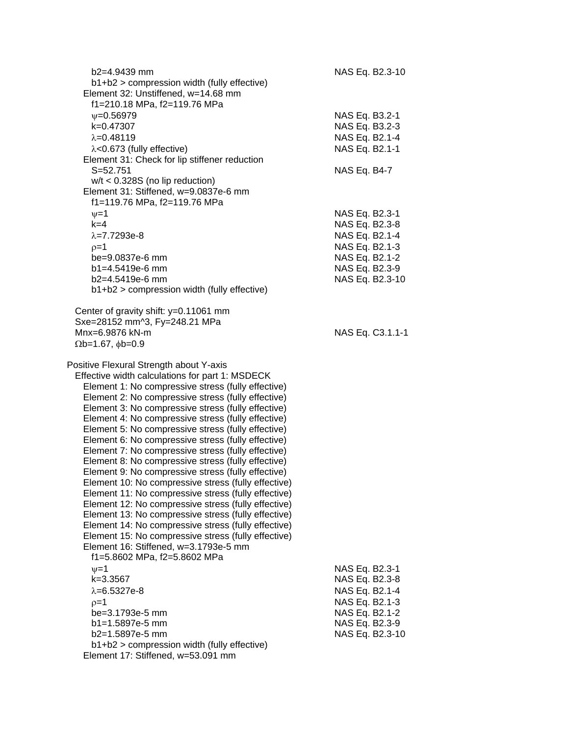| $b2=4.9439$ mm                                                                                             | NAS Eq. B2.3-10  |
|------------------------------------------------------------------------------------------------------------|------------------|
| b1+b2 > compression width (fully effective)                                                                |                  |
| Element 32: Unstiffened, w=14.68 mm                                                                        |                  |
| f1=210.18 MPa, f2=119.76 MPa                                                                               |                  |
| $\psi = 0.56979$                                                                                           | NAS Eq. B3.2-1   |
| k=0.47307                                                                                                  | NAS Eq. B3.2-3   |
| $\lambda = 0.48119$                                                                                        | NAS Eq. B2.1-4   |
| $\lambda$ <0.673 (fully effective)                                                                         | NAS Eq. B2.1-1   |
| Element 31: Check for lip stiffener reduction                                                              |                  |
| $S = 52.751$                                                                                               | NAS Eq. B4-7     |
| $w/t < 0.328S$ (no lip reduction)                                                                          |                  |
| Element 31: Stiffened, w=9.0837e-6 mm                                                                      |                  |
| f1=119.76 MPa, f2=119.76 MPa                                                                               |                  |
|                                                                                                            |                  |
| $v = 1$                                                                                                    | NAS Eq. B2.3-1   |
| $k=4$                                                                                                      | NAS Eq. B2.3-8   |
| $\lambda = 7.7293e-8$                                                                                      | NAS Eq. B2.1-4   |
| $p=1$                                                                                                      | NAS Eq. B2.1-3   |
| be=9.0837e-6 mm                                                                                            | NAS Eq. B2.1-2   |
| $b1 = 4.5419e-6$ mm                                                                                        | NAS Eq. B2.3-9   |
| $b2=4.5419e-6$ mm                                                                                          | NAS Eq. B2.3-10  |
| b1+b2 > compression width (fully effective)                                                                |                  |
|                                                                                                            |                  |
| Center of gravity shift: y=0.11061 mm                                                                      |                  |
| Sxe=28152 mm^3, Fy=248.21 MPa                                                                              |                  |
| Mnx=6.9876 kN-m                                                                                            | NAS Eq. C3.1.1-1 |
| $\Omega$ b=1.67, $\phi$ b=0.9                                                                              |                  |
|                                                                                                            |                  |
| Positive Flexural Strength about Y-axis                                                                    |                  |
| Effective width calculations for part 1: MSDECK                                                            |                  |
| Element 1: No compressive stress (fully effective)                                                         |                  |
| Element 2: No compressive stress (fully effective)                                                         |                  |
| Element 3: No compressive stress (fully effective)                                                         |                  |
| Element 4: No compressive stress (fully effective)                                                         |                  |
| Element 5: No compressive stress (fully effective)                                                         |                  |
| Element 6: No compressive stress (fully effective)                                                         |                  |
| Element 7: No compressive stress (fully effective)                                                         |                  |
| Element 8: No compressive stress (fully effective)                                                         |                  |
| Element 9: No compressive stress (fully effective)                                                         |                  |
| Element 10: No compressive stress (fully effective)                                                        |                  |
|                                                                                                            |                  |
| Element 11: No compressive stress (fully effective)<br>Element 12: No compressive stress (fully effective) |                  |
|                                                                                                            |                  |
| Element 13: No compressive stress (fully effective)                                                        |                  |
| Element 14: No compressive stress (fully effective)                                                        |                  |
| Element 15: No compressive stress (fully effective)                                                        |                  |
| Element 16: Stiffened, w=3.1793e-5 mm                                                                      |                  |
| f1=5.8602 MPa, f2=5.8602 MPa                                                                               |                  |
| $\nu = 1$                                                                                                  | NAS Eq. B2.3-1   |
| k=3.3567                                                                                                   | NAS Eq. B2.3-8   |
| $\lambda = 6.5327e-8$                                                                                      | NAS Eq. B2.1-4   |
| $p=1$                                                                                                      | NAS Eq. B2.1-3   |
| be=3.1793e-5 mm                                                                                            | NAS Eq. B2.1-2   |
| b1=1.5897e-5 mm                                                                                            | NAS Eq. B2.3-9   |
| b2=1.5897e-5 mm                                                                                            | NAS Eq. B2.3-10  |
| b1+b2 > compression width (fully effective)                                                                |                  |
| Element 17: Stiffened, w=53.091 mm                                                                         |                  |
|                                                                                                            |                  |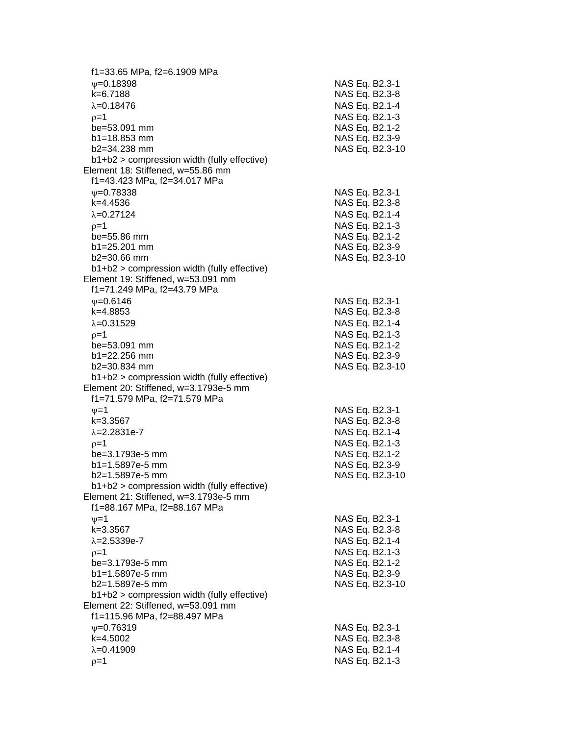f1=33.65 MPa, f2=6.1909 MPa  $\psi$ =0.18398 NAS Eq. B2.3-1 k=6.7188 NAS Eq. B2.3 - 8 =0.18476 NAS Eq. B2.1 - 4  $\rho$ =1 NAS Eq. B2.1-3 be=53.091 mm  $b1 = 18.853$  mm  $b2 = 34.238$  mm NAS Eq. B2.3-10 b1+b2 > compression width (fully effective) Element 18: Stiffened, w=55.86 mm f1=43.423 MPa, f2=34.017 MPa  $\psi$ =0.78338 NAS Eq. B2.3-1 k=4.4536 NAS Eq. B2.3 - 8 λ=0.27124 NAS Eq. B2.1-4  $\rho$ =1 NAS Eq. B2.1-3 be=55.86 mm NAS Eq. B2.1-2  $b1 = 25.201$  mm b2=30.66 mm NAS Eq. B2.3-10 b1+b2 > compression width (fully effective) Element 19: Stiffened, w=53.091 mm f1=71.249 MPa, f2=43.79 MPa  $\psi$ =0.6146 NAS Eq. B2.3-1 k=4.8853 NAS Eq. B2.3 - 8 λ=0.31529 NAS Eq. B2.1-4  $\rho=1$  NAS Eq. B2.1-3 be=53.091 mm b1=22.256 mm NAS Eq. B2.3-9  $b2 = 30.834$  mm NAS Eq. B2.3-10 b1+b2 > compression width (fully effective) Element 20: Stiffened, w=3.1793e -5 mm f1=71.579 MPa, f2=71.579 MPa  $\psi$ =1 NAS Eq. B2.3-1 k=3.3567 NAS Eq. B2.3 - 8 λ=2.2831e-7 NAS Eq. B2.1 - 4  $\rho$ =1 NAS Eq. B2.1-3 be=3.1793e -5 mm NAS Eq. B2.1 - 2 b1=1.5897e-5 mm -5 mm NAS Eq. B2.3 - 9 b2=1.5897e -5 mm NAS Eq. B2.3 -10 b1+b2 > compression width (fully effective) Element 21: Stiffened, w=3.1793e -5 mm f1=88.167 MPa, f2=88.167 MPa  $\psi$ =1 NAS Eq. B2.3-1 k=3.3567 NAS Eq. B2.3 - 8 λ=2.5339e-7 NAS Eq. B2.1 - 4  $\rho$ =1 NAS Eq. B2.1-3 be=3.1793e -5 mm NAS Eq. B2.1 - 2  $b1=1.5897e-5$  mm -5 mm NAS Eq. B2.3 - 9 b2=1.5897e -5 mm NAS Eq. B2.3 -10 b1+b2 > compression width (fully effective) Element 22: Stiffened, w=53.091 mm f1=115.96 MPa, f2=88.497 MPa  $\psi$ =0.76319 NAS Eq. B2.3-1 k=4.5002 NAS Eq. B2.3 - 8 =0.41909 NAS Eq. B2.1 - 4  $\rho=1$  NAS Eq. B2.1-3

- 2

- 9

- 9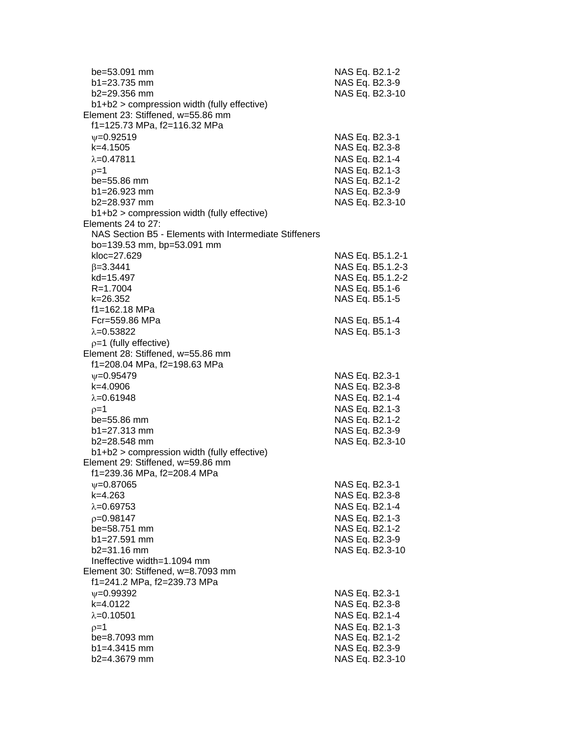| be=53.091 mm<br>b1=23.735 mm                                                         | NAS Eq. B2.1-2<br>NAS Eq. B2.3-9 |
|--------------------------------------------------------------------------------------|----------------------------------|
| b2=29.356 mm                                                                         | NAS Eq. B2.3-10                  |
| b1+b2 > compression width (fully effective)                                          |                                  |
| Element 23: Stiffened, w=55.86 mm                                                    |                                  |
| f1=125.73 MPa, f2=116.32 MPa                                                         |                                  |
| $\nu = 0.92519$                                                                      | NAS Eq. B2.3-1                   |
| k=4.1505                                                                             | NAS Eq. B2.3-8                   |
| $\lambda = 0.47811$                                                                  | NAS Eq. B2.1-4                   |
| $p=1$                                                                                | NAS Eq. B2.1-3                   |
| be=55.86 mm                                                                          | NAS Eq. B2.1-2                   |
| $b1 = 26.923$ mm                                                                     | NAS Eq. B2.3-9                   |
| $b2 = 28.937$ mm                                                                     | NAS Eq. B2.3-10                  |
| $b1+b2$ > compression width (fully effective)                                        |                                  |
| Elements 24 to 27:                                                                   |                                  |
| NAS Section B5 - Elements with Intermediate Stiffeners<br>bo=139.53 mm, bp=53.091 mm |                                  |
| kloc=27.629                                                                          | NAS Eq. B5.1.2-1                 |
| $\beta = 3.3441$                                                                     | NAS Eq. B5.1.2-3                 |
| kd=15.497                                                                            | NAS Eq. B5.1.2-2                 |
| $R = 1.7004$                                                                         | NAS Eq. B5.1-6                   |
| k=26.352                                                                             | NAS Eq. B5.1-5                   |
| f1=162.18 MPa                                                                        |                                  |
| Fcr=559.86 MPa                                                                       | NAS Eq. B5.1-4                   |
| $\lambda = 0.53822$                                                                  | NAS Eq. B5.1-3                   |
| $p=1$ (fully effective)                                                              |                                  |
| Element 28: Stiffened, w=55.86 mm                                                    |                                  |
| f1=208.04 MPa, f2=198.63 MPa                                                         |                                  |
| $V = 0.95479$                                                                        | NAS Eq. B2.3-1                   |
| k=4.0906                                                                             | NAS Eq. B2.3-8                   |
| $\lambda = 0.61948$                                                                  | NAS Eq. B2.1-4                   |
| $p=1$                                                                                | NAS Eq. B2.1-3                   |
| $be = 55.86$ mm                                                                      | NAS Eq. B2.1-2                   |
| $b1 = 27.313$ mm                                                                     | NAS Eq. B2.3-9                   |
| $b2 = 28.548$ mm                                                                     | NAS Eq. B2.3-10                  |
| b1+b2 > compression width (fully effective)                                          |                                  |
| Element 29: Stiffened, w=59.86 mm                                                    |                                  |
| f1=239.36 MPa, f2=208.4 MPa                                                          |                                  |
| $\psi = 0.87065$                                                                     | NAS Eq. B2.3-1                   |
| k=4.263                                                                              | NAS Eq. B2.3-8                   |
| $\lambda = 0.69753$                                                                  | NAS Eq. B2.1-4                   |
| $p=0.98147$                                                                          | NAS Eq. B2.1-3                   |
| be=58.751 mm                                                                         | NAS Eq. B2.1-2                   |
| b1=27.591 mm                                                                         | NAS Eq. B2.3-9                   |
| b2=31.16 mm                                                                          | NAS Eq. B2.3-10                  |
| Ineffective width=1.1094 mm                                                          |                                  |
| Element 30: Stiffened, w=8.7093 mm                                                   |                                  |
| f1=241.2 MPa, f2=239.73 MPa                                                          |                                  |
| $\nu = 0.99392$                                                                      | NAS Eq. B2.3-1                   |
| k=4.0122                                                                             | NAS Eq. B2.3-8                   |
| $\lambda = 0.10501$                                                                  | NAS Eq. B2.1-4                   |
| $p=1$                                                                                | NAS Eq. B2.1-3                   |
| be=8.7093 mm                                                                         | NAS Eq. B2.1-2                   |
| b1=4.3415 mm                                                                         | NAS Eq. B2.3-9                   |
| b2=4.3679 mm                                                                         | NAS Eq. B2.3-10                  |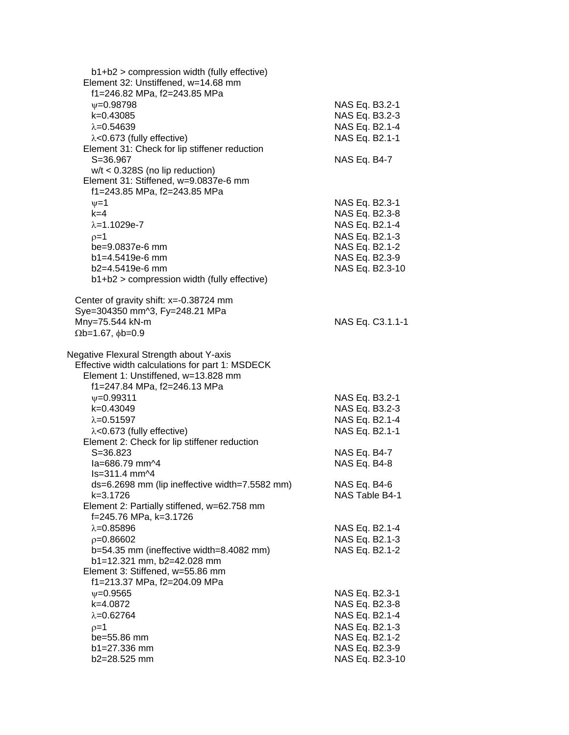| $b1+b2$ > compression width (fully effective)<br>Element 32: Unstiffened, w=14.68 mm                                                                              |                                                                      |
|-------------------------------------------------------------------------------------------------------------------------------------------------------------------|----------------------------------------------------------------------|
| f1=246.82 MPa, f2=243.85 MPa<br>$\psi = 0.98798$<br>k=0.43085<br>$\lambda = 0.54639$                                                                              | NAS Eq. B3.2-1<br>NAS Eq. B3.2-3<br>NAS Eq. B2.1-4                   |
| $\lambda$ <0.673 (fully effective)<br>Element 31: Check for lip stiffener reduction<br>$S = 36.967$                                                               | NAS Eq. B2.1-1<br>NAS Eq. B4-7                                       |
| $w/t < 0.328S$ (no lip reduction)<br>Element 31: Stiffened, w=9.0837e-6 mm<br>f1=243.85 MPa, f2=243.85 MPa                                                        |                                                                      |
| $\nu = 1$<br>$k=4$<br>$\lambda = 1.1029e - 7$                                                                                                                     | NAS Eq. B2.3-1<br>NAS Eq. B2.3-8<br>NAS Eq. B2.1-4                   |
| $p=1$<br>be=9.0837e-6 mm                                                                                                                                          | NAS Eq. B2.1-3<br>NAS Eq. B2.1-2                                     |
| b1=4.5419e-6 mm<br>$b2=4.5419e-6$ mm                                                                                                                              | NAS Eq. B2.3-9<br>NAS Eq. B2.3-10                                    |
| $b1+b2$ > compression width (fully effective)<br>Center of gravity shift: x=-0.38724 mm                                                                           |                                                                      |
| Sye=304350 mm^3, Fy=248.21 MPa<br>Mny=75.544 kN-m<br>$\Omega$ b=1.67, $\phi$ b=0.9                                                                                | NAS Eq. C3.1.1-1                                                     |
| Negative Flexural Strength about Y-axis<br>Effective width calculations for part 1: MSDECK<br>Element 1: Unstiffened, w=13.828 mm<br>f1=247.84 MPa, f2=246.13 MPa |                                                                      |
| $\psi = 0.99311$<br>k=0.43049<br>$\lambda = 0.51597$<br>$\lambda$ <0.673 (fully effective)<br>Element 2: Check for lip stiffener reduction                        | NAS Eq. B3.2-1<br>NAS Eq. B3.2-3<br>NAS Eq. B2.1-4<br>NAS Eq. B2.1-1 |
| $S = 36.823$<br>la=686.79 mm^4<br>$ls = 311.4$ mm $\frac{1}{4}$                                                                                                   | NAS Eq. B4-7<br>NAS Eq. B4-8                                         |
| ds=6.2698 mm (lip ineffective width=7.5582 mm)<br>k=3.1726<br>Element 2: Partially stiffened, w=62.758 mm<br>f=245.76 MPa, k=3.1726                               | NAS Eq. B4-6<br>NAS Table B4-1                                       |
| $\lambda = 0.85896$<br>$p=0.86602$<br>b=54.35 mm (ineffective width=8.4082 mm)<br>b1=12.321 mm, b2=42.028 mm                                                      | NAS Eq. B2.1-4<br>NAS Eq. B2.1-3<br>NAS Eq. B2.1-2                   |
| Element 3: Stiffened, w=55.86 mm<br>f1=213.37 MPa, f2=204.09 MPa                                                                                                  |                                                                      |
| $v = 0.9565$<br>k=4.0872<br>$\lambda = 0.62764$<br>$p=1$                                                                                                          | NAS Eq. B2.3-1<br>NAS Eq. B2.3-8<br>NAS Eq. B2.1-4<br>NAS Eq. B2.1-3 |
| be=55.86 mm<br>$b1 = 27.336$ mm<br>b2=28.525 mm                                                                                                                   | NAS Eq. B2.1-2<br>NAS Eq. B2.3-9<br>NAS Eq. B2.3-10                  |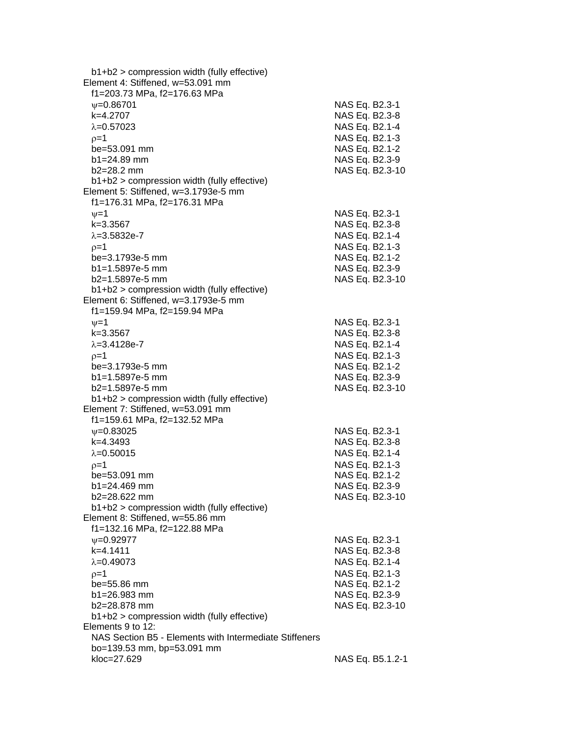| $b1+b2$ > compression width (fully effective)          |                  |
|--------------------------------------------------------|------------------|
| Element 4: Stiffened, w=53.091 mm                      |                  |
| f1=203.73 MPa, f2=176.63 MPa                           |                  |
| $\psi = 0.86701$                                       | NAS Eq. B2.3-1   |
| k=4.2707                                               | NAS Eq. B2.3-8   |
| $\lambda = 0.57023$                                    | NAS Eq. B2.1-4   |
| $p=1$                                                  | NAS Eq. B2.1-3   |
| be=53.091 mm                                           | NAS Eq. B2.1-2   |
| $b1 = 24.89$ mm                                        | NAS Eq. B2.3-9   |
| $b2 = 28.2$ mm                                         | NAS Eq. B2.3-10  |
| $b1+b2$ > compression width (fully effective)          |                  |
| Element 5: Stiffened, w=3.1793e-5 mm                   |                  |
| f1=176.31 MPa, f2=176.31 MPa                           |                  |
| $\nu = 1$                                              | NAS Eq. B2.3-1   |
| k=3.3567                                               | NAS Eq. B2.3-8   |
| $\lambda = 3.5832e - 7$                                | NAS Eq. B2.1-4   |
| $p=1$                                                  | NAS Eq. B2.1-3   |
| be=3.1793e-5 mm                                        | NAS Eq. B2.1-2   |
| b1=1.5897e-5 mm                                        | NAS Eq. B2.3-9   |
| b2=1.5897e-5 mm                                        | NAS Eq. B2.3-10  |
| b1+b2 > compression width (fully effective)            |                  |
| Element 6: Stiffened, w=3.1793e-5 mm                   |                  |
| f1=159.94 MPa, f2=159.94 MPa                           |                  |
|                                                        | NAS Eq. B2.3-1   |
| $\nu = 1$<br>$k = 3.3567$                              | NAS Eq. B2.3-8   |
| $\lambda = 3.4128e - 7$                                |                  |
|                                                        | NAS Eq. B2.1-4   |
| $p=1$                                                  | NAS Eq. B2.1-3   |
| be=3.1793e-5 mm                                        | NAS Eq. B2.1-2   |
| b1=1.5897e-5 mm                                        | NAS Eq. B2.3-9   |
| b2=1.5897e-5 mm                                        | NAS Eq. B2.3-10  |
| $b1+b2$ > compression width (fully effective)          |                  |
| Element 7: Stiffened, w=53.091 mm                      |                  |
| f1=159.61 MPa, f2=132.52 MPa                           |                  |
| $\psi = 0.83025$                                       | NAS Eq. B2.3-1   |
| k=4.3493                                               | NAS Eq. B2.3-8   |
| $\lambda = 0.50015$                                    | NAS Eq. B2.1-4   |
| $p=1$                                                  | NAS Eq. B2.1-3   |
| be=53.091 mm                                           | NAS Eq. B2.1-2   |
| b1=24.469 mm                                           | NAS Eq. B2.3-9   |
| b2=28.622 mm                                           | NAS Eq. B2.3-10  |
| b1+b2 > compression width (fully effective)            |                  |
| Element 8: Stiffened, w=55.86 mm                       |                  |
| f1=132.16 MPa, f2=122.88 MPa                           |                  |
| $\nu = 0.92977$                                        | NAS Eq. B2.3-1   |
| k=4.1411                                               | NAS Eq. B2.3-8   |
| $\lambda = 0.49073$                                    | NAS Eq. B2.1-4   |
| $p=1$                                                  | NAS Eq. B2.1-3   |
| be=55.86 mm                                            | NAS Eq. B2.1-2   |
| b1=26.983 mm                                           | NAS Eq. B2.3-9   |
| b2=28.878 mm                                           | NAS Eq. B2.3-10  |
| $b1+b2$ > compression width (fully effective)          |                  |
| Elements 9 to 12:                                      |                  |
| NAS Section B5 - Elements with Intermediate Stiffeners |                  |
| bo=139.53 mm, bp=53.091 mm                             |                  |
| kloc=27.629                                            | NAS Eq. B5.1.2-1 |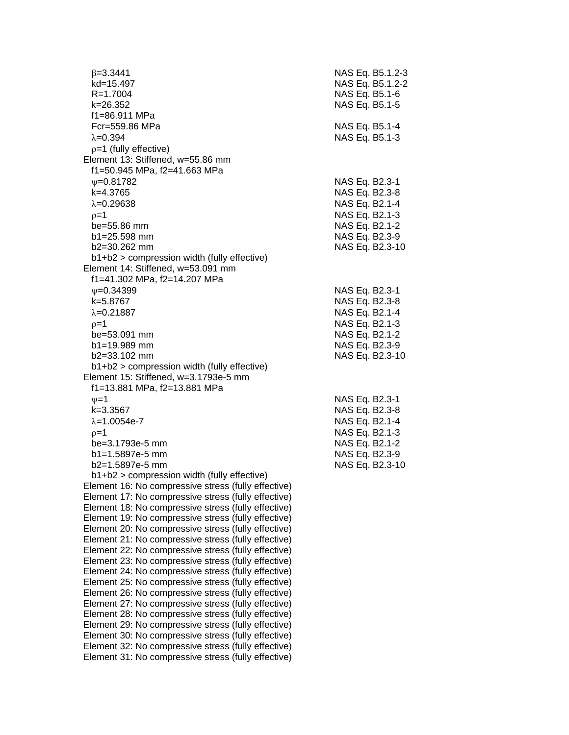$\beta = 3.3441$  $kd = 15.497$  $R = 1.7004$  k=26.352 NAS Eq. B5.1-5 f1=86.911 MPa Fcr=559.86 MPa  $\lambda$ =0.394  $\lambda$  $p=1$  (fully effective) Element 13: Stiffened, w=55.86 mm f1=50.945 MPa, f2=41.663 MPa  $V = 0.81782$  $k=4.3765$  $\lambda = 0.29638$  $p=1$  NAS Eq. B2.1-3  $be = 55.86$  mm  $b1 = 25.598$  mm  $b2=30.262$  mm b1+b2 > compression width (fully effective) Element 14: Stiffened, w=53.091 mm f1=41.302 MPa, f2=14.207 MPa  $V = 0.34399$ k=5.8767  $\lambda = 0.21887$  $p=1$  NAS Eq. B2.1-3  $be = 53.091$  mm  $b1 = 19.989$  mm  $b2=33.102$  mm b1+b2 > compression width (fully effective) Element 15: Stiffened, w=3.1793e-5 mm f1=13.881 MPa, f2=13.881 MPa  $v=1$  NAS Eq. B2.3-1  $k=3.3567$  $\lambda = 1.0054e - 7$  $p=1$  NAS Eq. B2.1-3 be=3.1793e-5 mm  $b1=1.5897e-5$  mm b2=1.5897e-5 mm b1+b2 > compression width (fully effective) Element 16: No compressive stress (fully effective) Element 17: No compressive stress (fully effective) Element 18: No compressive stress (fully effective) Element 19: No compressive stress (fully effective) Element 20: No compressive stress (fully effective) Element 21: No compressive stress (fully effective) Element 22: No compressive stress (fully effective) Element 23: No compressive stress (fully effective) Element 24: No compressive stress (fully effective) Element 25: No compressive stress (fully effective) Element 26: No compressive stress (fully effective) Element 27: No compressive stress (fully effective) Element 28: No compressive stress (fully effective) Element 29: No compressive stress (fully effective) Element 30: No compressive stress (fully effective) Element 32: No compressive stress (fully effective) Element 31: No compressive stress (fully effective)

| NAS.<br>Eq.<br>NAS<br>Eq.<br>Eq.<br>NAS<br>Eq.<br>Eq.<br>NAS<br>NAS<br>Eq.<br>Eq.<br>Eq.<br>Eq.<br>NAS<br>Eq.<br>NAS<br>Eq.<br>Eq.<br>Eq.<br>Eq.<br>Eq. | B5.1.2-3<br>B5.1.2-2<br>B5.1-6<br>B5.1-5<br>B5.1-3<br>B2.3-1<br>B2.3-8<br>B2.1-4<br>B2.1-3<br>B2.1-2<br>B2.3-9<br>B2.3-10<br>B2.3-1<br>B2.3-8<br>B2.1-4 |                |
|---------------------------------------------------------------------------------------------------------------------------------------------------------|---------------------------------------------------------------------------------------------------------------------------------------------------------|----------------|
|                                                                                                                                                         |                                                                                                                                                         |                |
| Eq.<br>Eq.<br>Eq.<br>Eq.                                                                                                                                | $B2.1 - 3$<br>$B2.1 - 2$<br>B2.3-9<br>B2.3-10                                                                                                           |                |
| Eq.<br>Eq.<br>Eq.<br>Eq.<br>Eq.<br>Eq.<br>Eq.                                                                                                           | B2.3-1<br>B2.3-8<br>B2.1-4<br>B2.1-3<br>B2.1-2<br>B2.3-9<br>B2.3-10                                                                                     |                |
|                                                                                                                                                         |                                                                                                                                                         | NAS Eq. B5.1-4 |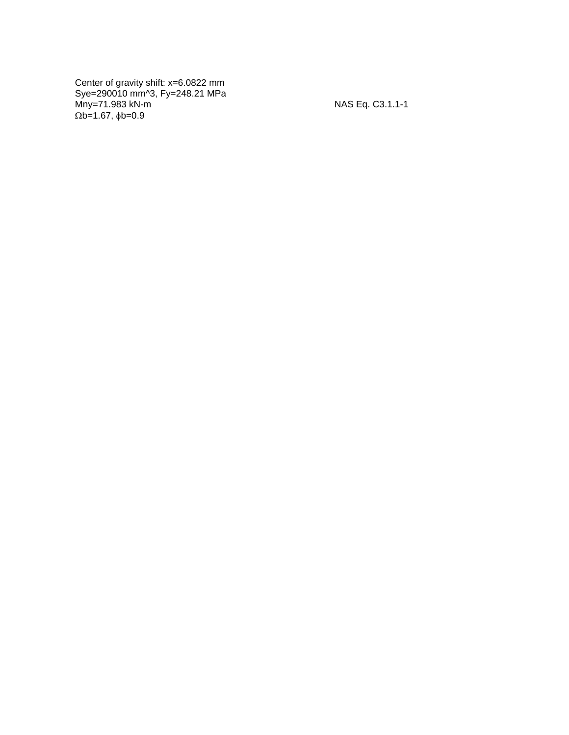Center of gravity shift: x=6.0822 mm Sye=290010 mm^3, Fy=248.21 MPa Mny=71.983 kN - m NAS Eq. C3.1.1  $\Omega$ b=1.67,  $\phi$ b=0.9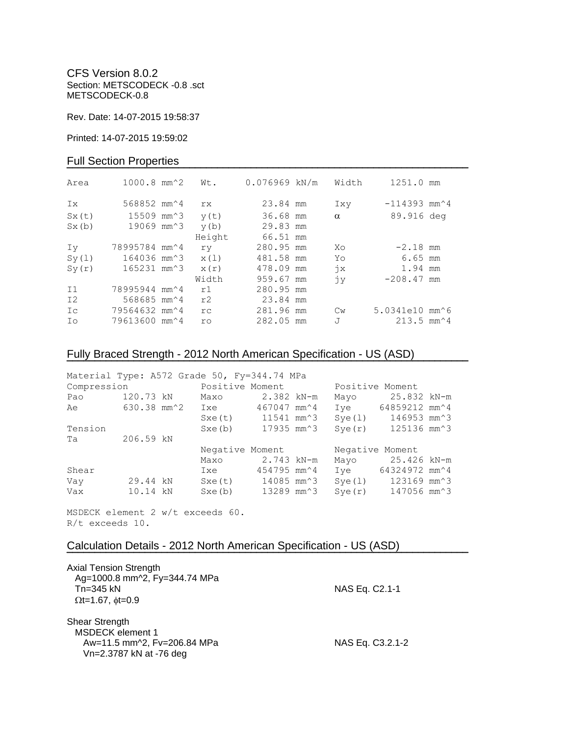CFS Version 8.0.2 Section: METSCODECK -0.8 .sct METSCODECK-0.8

Rev. Date: 14-07-2015 19:58:37

Printed: 14-07-2015 19:59:02

## Full Section Properties

| Area           | $1000.8$ mm <sup><math>\textdegree</math>2</sup> | Wt.    | $0.076969$ kN/m | Width         | 1251.0 mm                                       |  |
|----------------|--------------------------------------------------|--------|-----------------|---------------|-------------------------------------------------|--|
| Ix             | 568852 mm <sup><math>\textdegree</math>4</sup>   | rx.    | 23.84 mm        | Ixy           | $-114393$ mm <sup><math>\sim</math></sup> 4     |  |
| Sx(t)          | 15509 mm^3                                       | y(t)   | 36.68 mm        | $\alpha$      | 89.916 deg                                      |  |
| Sx(b)          | 19069 mm^3                                       | y(b)   | 29.83 mm        |               |                                                 |  |
|                |                                                  | Height | 66.51 mm        |               |                                                 |  |
| Iv             | 78995784 mm <sup>2</sup> 4                       | ry     | 280.95 mm       | Xo            | $-2.18$ mm                                      |  |
| Sy(1)          | 164036 mm <sup>2</sup> 3                         | x(1)   | 481.58 mm       | Yo            | $6.65$ mm                                       |  |
| Sy(r)          | 165231 mm^3                                      | x(r)   | 478.09 mm       | $\dot{7}x$    | 1.94 mm                                         |  |
|                |                                                  | Width  | 959.67 mm       | jу            | $-208.47$ mm                                    |  |
| I <sub>1</sub> | 78995944 mm <sup>2</sup> 4                       | r1     | 280.95 mm       |               |                                                 |  |
| I2             | 568685 mm <sup><math>4</math></sup>              | r2     | 23.84 mm        |               |                                                 |  |
| Ic             | 79564632 mm^4                                    | rc     | 281.96 mm       | $\mathbb{C}w$ | 5.0341e10 mm^6                                  |  |
| Ιo             | 79613600 mm^4                                    | ro     | 282.05 mm       | J             | $213.5$ mm <sup><math>\textdegree</math>4</sup> |  |

# Fully Braced Strength - 2012 North American Specification - US (ASD)

| Material Type: A572 Grade 50, Fy=344.74 MPa |             |  |                                |             |  |                 |                  |  |
|---------------------------------------------|-------------|--|--------------------------------|-------------|--|-----------------|------------------|--|
| Compression                                 |             |  | Positive Moment                |             |  | Positive Moment |                  |  |
| Pao                                         | 120.73 kN   |  | Maxo                           | 2.382 kN-m  |  | Mayo            | 25.832 kN-m      |  |
| Ae                                          | 630.38 mm^2 |  | Ixe                            | 467047 mm^4 |  | Ive             | 64859212 mm^4    |  |
|                                             |             |  | Sxe(t) 11541 mm <sup>2</sup> 3 |             |  | Sye(1)          | 146953 mm^3      |  |
| Tension                                     |             |  | Sxe(b)                         | 17935 mm^3  |  | Sye(r)          | 125136 mm^3      |  |
| Ta                                          | 206.59 kN   |  |                                |             |  |                 |                  |  |
|                                             |             |  | Negative Moment                |             |  | Negative Moment |                  |  |
|                                             |             |  | Maxo                           | 2.743 kN-m  |  |                 | Mayo 25.426 kN-m |  |
| Shear                                       |             |  | Ixe                            | 454795 mm^4 |  | Ive             | 64324972 mm^4    |  |
| Vay                                         | 29.44 kN    |  | Sxe(t) 14085 mm <sup>2</sup> 3 |             |  | Sye(1)          | 123169 mm^3      |  |
| Vax                                         | 10.14 kN    |  | Sxe(b)                         | 13289 mm^3  |  | Sye(r)          | 147056 mm^3      |  |

**¯¯¯¯¯¯¯¯¯¯¯¯¯¯¯¯¯¯¯¯¯¯¯¯¯¯¯¯¯¯¯¯¯¯¯¯¯¯¯¯¯¯¯¯¯¯¯¯¯¯¯¯¯¯¯¯¯¯¯¯¯¯¯¯¯¯¯¯¯¯¯¯**

**¯¯¯¯¯¯¯¯¯¯¯¯¯¯¯¯¯¯¯¯¯¯¯¯¯¯¯¯¯¯¯¯¯¯¯¯¯¯¯¯¯¯¯¯¯¯¯¯¯¯¯¯¯¯¯¯¯¯¯¯¯¯¯¯¯¯¯¯¯¯¯¯**

MSDECK element 2 w/t exceeds 60. R/t exceeds 10.

## Calculation Details - 2012 North American Specification - US (ASD)

| <b>Axial Tension Strength</b><br>Ag=1000.8 mm^2, Fy=344.74 MPa<br>$Tn=345$ kN<br>$\Omega t = 1.67$ , $\phi t = 0.9$ | NAS Eq. C2.1-1   |
|---------------------------------------------------------------------------------------------------------------------|------------------|
| Shear Strength<br><b>MSDECK</b> element 1<br>Aw=11.5 mm^2, Fv=206.84 MPa<br>Vn=2.3787 kN at -76 deg                 | NAS Eq. C3.2.1-2 |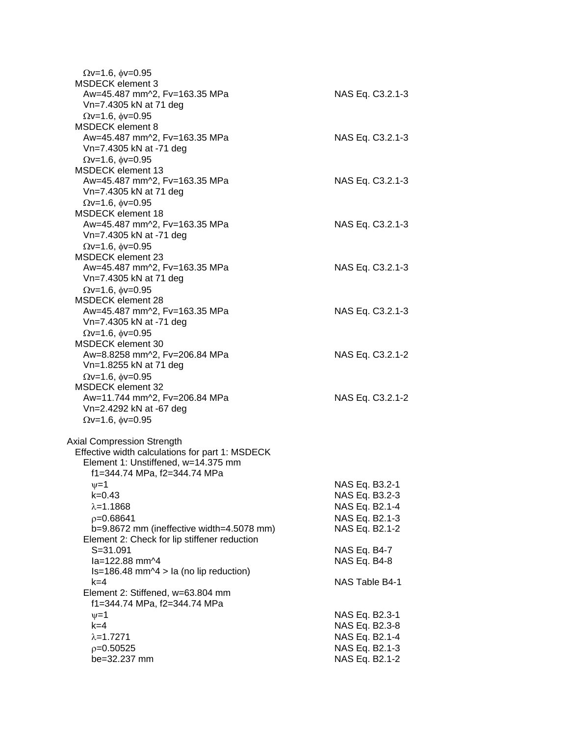| $\Omega v = 1.6$ , $\phi v = 0.95$<br><b>MSDECK</b> element 3 |                  |
|---------------------------------------------------------------|------------------|
| Aw=45.487 mm^2, Fv=163.35 MPa                                 | NAS Eq. C3.2.1-3 |
| Vn=7.4305 kN at 71 deg                                        |                  |
| $\Omega$ v=1.6, $\phi$ v=0.95                                 |                  |
| <b>MSDECK</b> element 8                                       |                  |
| Aw=45.487 mm^2, Fv=163.35 MPa                                 | NAS Eq. C3.2.1-3 |
| Vn=7.4305 kN at -71 deg                                       |                  |
| $Qv=1.6$ , $\phi v=0.95$                                      |                  |
| <b>MSDECK</b> element 13                                      |                  |
| Aw=45.487 mm^2, Fv=163.35 MPa                                 | NAS Eq. C3.2.1-3 |
| Vn=7.4305 kN at 71 deg                                        |                  |
| $Qv=1.6$ , $\phi v=0.95$<br>MSDECK element 18                 |                  |
| Aw=45.487 mm^2, Fv=163.35 MPa                                 | NAS Eq. C3.2.1-3 |
| Vn=7.4305 kN at -71 deg                                       |                  |
| $\Omega$ v=1.6, $\phi$ v=0.95                                 |                  |
| MSDECK element 23                                             |                  |
| Aw=45.487 mm^2, Fv=163.35 MPa                                 | NAS Eq. C3.2.1-3 |
| Vn=7.4305 kN at 71 deg                                        |                  |
| $Qv=1.6$ , $\phi v=0.95$                                      |                  |
| <b>MSDECK</b> element 28                                      |                  |
| Aw=45.487 mm^2, Fv=163.35 MPa                                 | NAS Eq. C3.2.1-3 |
| Vn=7.4305 kN at -71 deg                                       |                  |
| $Qv=1.6$ , $\phi v=0.95$                                      |                  |
| <b>MSDECK</b> element 30                                      |                  |
| Aw=8.8258 mm^2, Fv=206.84 MPa                                 | NAS Eq. C3.2.1-2 |
| Vn=1.8255 kN at 71 deg                                        |                  |
| $\Omega$ v=1.6, $\phi$ v=0.95                                 |                  |
| <b>MSDECK element 32</b>                                      |                  |
| Aw=11.744 mm^2, Fv=206.84 MPa<br>Vn=2.4292 kN at -67 deg      | NAS Eq. C3.2.1-2 |
| $\Omega$ v=1.6, $\phi$ v=0.95                                 |                  |
|                                                               |                  |
| Axial Compression Strength                                    |                  |
| Effective width calculations for part 1: MSDECK               |                  |
| Element 1: Unstiffened, w=14.375 mm                           |                  |
| f1=344.74 MPa, f2=344.74 MPa                                  |                  |
| $\nu = 1$                                                     | NAS Eq. B3.2-1   |
| k=0.43                                                        | NAS Eq. B3.2-3   |
| $\lambda = 1.1868$                                            | NAS Eq. B2.1-4   |
| $p=0.68641$                                                   | NAS Eq. B2.1-3   |
| b=9.8672 mm (ineffective width=4.5078 mm)                     | NAS Eq. B2.1-2   |
| Element 2: Check for lip stiffener reduction                  |                  |
| $S = 31.091$                                                  | NAS Eq. B4-7     |
| la=122.88 mm^4                                                | NAS Eq. B4-8     |
| $Is=186.48$ mm $\textdegree$ 4 > la (no lip reduction)        |                  |
| k=4<br>Element 2: Stiffened, w=63.804 mm                      | NAS Table B4-1   |
| f1=344.74 MPa, f2=344.74 MPa                                  |                  |
| $\nu = 1$                                                     | NAS Eq. B2.3-1   |
| $k=4$                                                         | NAS Eq. B2.3-8   |
| $\lambda = 1.7271$                                            | NAS Eq. B2.1-4   |
| $p=0.50525$                                                   | NAS Eq. B2.1-3   |
| be=32.237 mm                                                  | NAS Eq. B2.1-2   |
|                                                               |                  |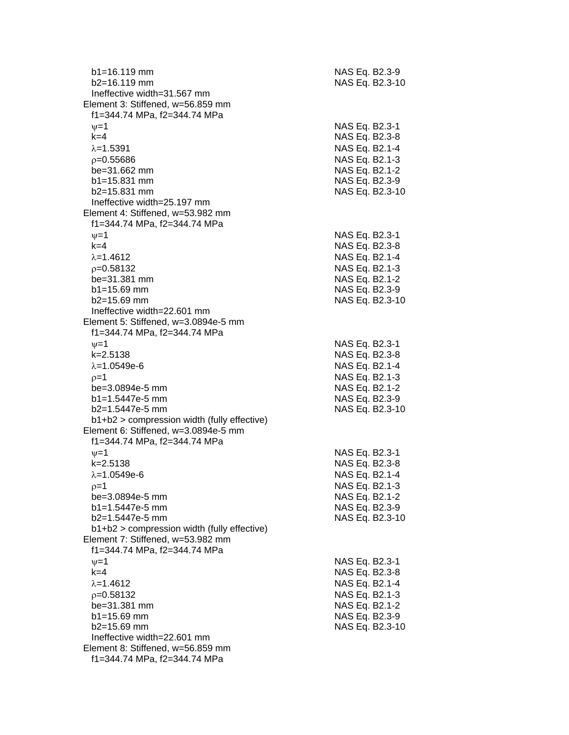| $b1 = 16.119$ mm<br>b2=16.119 mm                                                                 | NAS Eq. B2.3-9<br>NAS Eq. B2.3-10 |
|--------------------------------------------------------------------------------------------------|-----------------------------------|
| Ineffective width=31.567 mm<br>Element 3: Stiffened, w=56.859 mm<br>f1=344.74 MPa, f2=344.74 MPa |                                   |
| $\nu = 1$<br>$k=4$                                                                               | NAS Eq. B2.3-1<br>NAS Eq. B2.3-8  |
| $\lambda = 1.5391$                                                                               | NAS Eq. B2.1-4                    |
| $p = 0.55686$                                                                                    | NAS Eq. B2.1-3                    |
| be=31.662 mm                                                                                     | NAS Eq. B2.1-2                    |
| $b1 = 15.831$ mm                                                                                 | NAS Eq. B2.3-9                    |
| $b2 = 15.831$ mm                                                                                 | NAS Eq. B2.3-10                   |
| Ineffective width=25.197 mm                                                                      |                                   |
| Element 4: Stiffened, w=53.982 mm                                                                |                                   |
| f1=344.74 MPa, f2=344.74 MPa                                                                     |                                   |
| $\nu = 1$<br>$k=4$                                                                               | NAS Eq. B2.3-1<br>NAS Eq. B2.3-8  |
| $\lambda = 1.4612$                                                                               | NAS Eq. B2.1-4                    |
| $p = 0.58132$                                                                                    | NAS Eq. B2.1-3                    |
| be=31.381 mm                                                                                     | NAS Eq. B2.1-2                    |
| $b1 = 15.69$ mm                                                                                  | NAS Eq. B2.3-9                    |
| $b2 = 15.69$ mm                                                                                  | NAS Eq. B2.3-10                   |
| Ineffective width=22.601 mm                                                                      |                                   |
| Element 5: Stiffened, w=3.0894e-5 mm<br>f1=344.74 MPa, f2=344.74 MPa                             |                                   |
| $\nu = 1$                                                                                        | NAS Eq. B2.3-1                    |
| $k = 2.5138$                                                                                     | NAS Eq. B2.3-8                    |
| $\lambda = 1.0549e-6$                                                                            | NAS Eq. B2.1-4                    |
| $p=1$<br>be=3.0894e-5 mm                                                                         | NAS Eq. B2.1-3<br>NAS Eq. B2.1-2  |
| b1=1.5447e-5 mm                                                                                  | NAS Eq. B2.3-9                    |
| b2=1.5447e-5 mm                                                                                  | NAS Eq. B2.3-10                   |
| b1+b2 > compression width (fully effective)                                                      |                                   |
| Element 6: Stiffened, w=3.0894e-5 mm<br>f1=344.74 MPa, f2=344.74 MPa                             |                                   |
| $v = 1$                                                                                          | NAS Eq. B2.3-1                    |
| k=2.5138                                                                                         | NAS Eq. B2.3-8                    |
| $\lambda = 1.0549e-6$                                                                            | NAS Eq. B2.1-4                    |
| $p=1$<br>be=3.0894e-5 mm                                                                         | NAS Eq. B2.1-3                    |
| $b1 = 1.5447e-5$ mm                                                                              | NAS Eq. B2.1-2<br>NAS Eq. B2.3-9  |
| b2=1.5447e-5 mm                                                                                  | NAS Eq. B2.3-10                   |
| b1+b2 > compression width (fully effective)                                                      |                                   |
| Element 7: Stiffened, w=53.982 mm                                                                |                                   |
| f1=344.74 MPa, f2=344.74 MPa                                                                     |                                   |
| $\nu = 1$                                                                                        | NAS Eq. B2.3-1                    |
| $k=4$                                                                                            | NAS Eq. B2.3-8                    |
| $\lambda = 1.4612$                                                                               | NAS Eq. B2.1-4                    |
| $p=0.58132$                                                                                      | NAS Eq. B2.1-3                    |
| be=31.381 mm<br>$b1 = 15.69$ mm                                                                  | NAS Eq. B2.1-2<br>NAS Eq. B2.3-9  |
| $b2 = 15.69$ mm                                                                                  | NAS Eq. B2.3-10                   |
| Ineffective width=22.601 mm                                                                      |                                   |
| Element 8: Stiffened, w=56.859 mm                                                                |                                   |
| f1=344.74 MPa, f2=344.74 MPa                                                                     |                                   |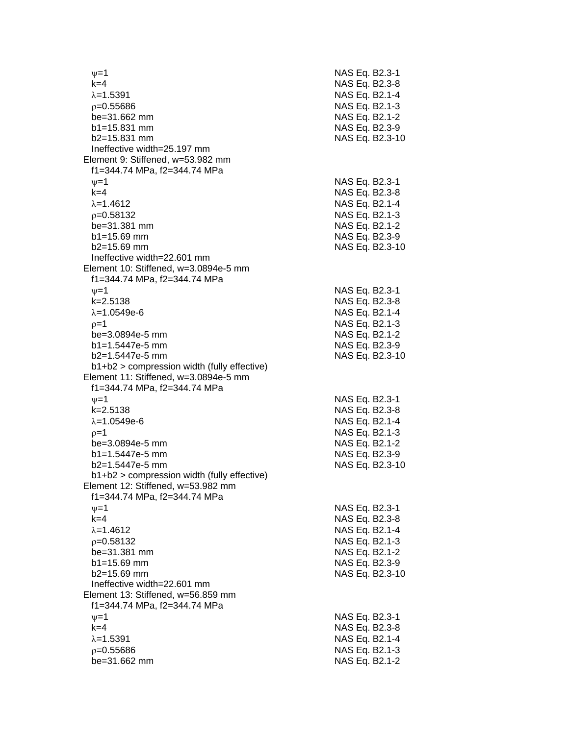$\nu$  =1 NAS Eq. B2.3-1 k=4 NAS Eq. B2.3 - 8 =1.5391 NAS Eq. B2.1 - 4  $\rho$ =0.55686 NAS Eq. B2.1-3 be=31.662 mm b1=15.831 mm NAS Eq. B2.3-9  $b2=15.831$  mm NAS Eq. B2.3-10 Ineffective width=25.197 mm Element 9: Stiffened, w=53.982 mm f1=344.74 MPa, f2=344.74 MPa  $\psi$ =1 NAS Eq. B2.3-1 k=4 NAS Eq. B2.3 - 8 λ=1.4612 NAS Eq. B2.1-4  $\rho$ =0.58132 NAS Eq. B2.1-3 be=31.381 mm b1=15.69 mm NAS Eq. B2.3-9 b2=15.69 mm NAS Eq. B2.3 -10 Ineffective width=22.601 mm Element 10: Stiffened, w=3.0894e-5 mm f1=344.74 MPa, f2=344.74 MPa  $\psi$ =1 NAS Eq. B2.3-1 k=2.5138 NAS Eq. B2. 3 - 8 =1.0549e - 6 NAS Eq. B2.1 - 4  $\rho$ =1 NAS Eq. B2.1-3 be=3.0894e -5 mm NAS Eq. B2.1 - 2 b1=1.5447e-5 mm -5 mm NAS Eq. B2.3 - 9 b2=1.5447e -5 mm NAS Eq. B2.3 -10 b1+b2 > compression width (fully effective) Element 11: Stiffened, w=3.0894e-5 mm f1=344.74 MPa, f2=344.74 MPa  $\nu$  =1 NAS Eq. B2.3-1 k=2.5138 NAS Eq. B2.3 - 8 =1.0549e - 6 NAS Eq. B2.1 - 4  $\rho=1$  NAS Eq. B2.1-3 be=3.0894e -5 mm NAS Eq. B2.1 - 2 b1=1.5447e-5 mm -5 mm NAS Eq. B2.3 - 9 b2=1.5447e-5 mm -5 mm NAS Eq. B2.3 -10 b1+b2 > compression width (fully effective) Element 12: Stiffened, w=53.982 mm f1=344.74 MPa, f2=344.74 MPa  $\psi$ =1 NAS Eq. B2.3-1 k=4 NAS Eq. B2.3 - 8 λ=1.4612 NAS Eq. B2.1-4  $\rho$ =0.58132 NAS Eq. B2.1-3 be=31.381 mm  $b1 = 15.69$  mm b2=15.69 mm NAS Eq. B2.3 -10 Ineffective width=22.601 mm Element 13: Stiffened, w=56.859 mm f1=344.74 MPa, f2=344.74 MPa  $\psi$ =1 NAS Eq. B2.3-1 k=4 NAS Eq. B2.3 - 8 =1.5391 NAS Eq. B2.1 - 4  $\rho$ =0.55686 NAS Eq. B2.1-3 be=31.662 mm NAS Eq. B2.1-2

- 2

- 2

- 2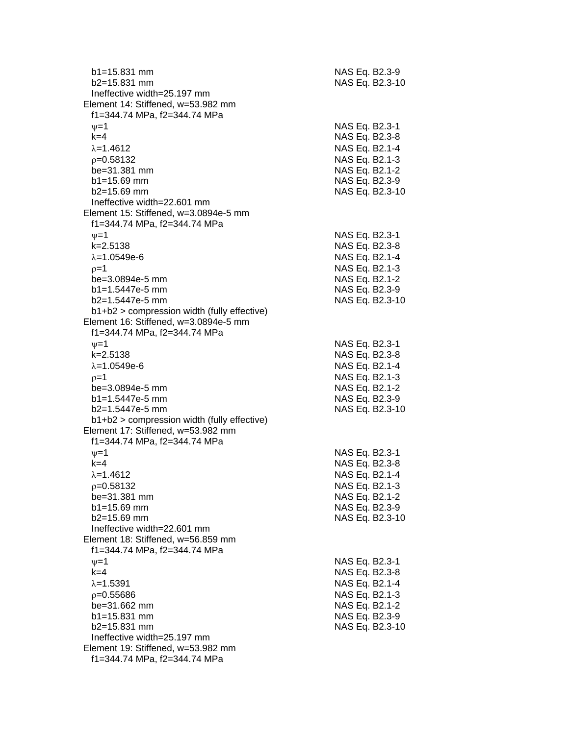| $b1 = 15.831$ mm<br>$b2 = 15.831$ mm          | NAS Eq. B2.3-9 | NAS Eq. B2.3-10 |
|-----------------------------------------------|----------------|-----------------|
| Ineffective width=25.197 mm                   |                |                 |
| Element 14: Stiffened, w=53.982 mm            |                |                 |
| f1=344.74 MPa, f2=344.74 MPa                  |                |                 |
| $\nu = 1$                                     | NAS Eq. B2.3-1 |                 |
| $k=4$                                         | NAS Eq. B2.3-8 |                 |
| $\lambda = 1.4612$                            | NAS Eq. B2.1-4 |                 |
| $p=0.58132$                                   | NAS Eq. B2.1-3 |                 |
| be=31.381 mm                                  | NAS Eq. B2.1-2 |                 |
| $b1 = 15.69$ mm                               | NAS Eq. B2.3-9 |                 |
| $b2 = 15.69$ mm                               |                | NAS Eq. B2.3-10 |
| Ineffective width=22.601 mm                   |                |                 |
| Element 15: Stiffened, w=3.0894e-5 mm         |                |                 |
| f1=344.74 MPa, f2=344.74 MPa                  |                |                 |
| $\nu = 1$                                     | NAS Eq. B2.3-1 |                 |
| $k = 2.5138$                                  | NAS Eq. B2.3-8 |                 |
|                                               |                |                 |
| $\lambda = 1.0549e-6$                         | NAS Eq. B2.1-4 |                 |
| $p=1$                                         | NAS Eq. B2.1-3 |                 |
| be=3.0894e-5 mm                               | NAS Eq. B2.1-2 |                 |
| $b1 = 1.5447e-5$ mm                           | NAS Eq. B2.3-9 |                 |
| $b2=1.5447e-5$ mm                             |                | NAS Eq. B2.3-10 |
| $b1+b2$ > compression width (fully effective) |                |                 |
| Element 16: Stiffened, w=3.0894e-5 mm         |                |                 |
| f1=344.74 MPa, f2=344.74 MPa                  |                |                 |
| $\nu = 1$                                     | NAS Eq. B2.3-1 |                 |
| $k = 2.5138$                                  | NAS Eq. B2.3-8 |                 |
| $\lambda = 1.0549e-6$                         | NAS Eq. B2.1-4 |                 |
| $p=1$                                         | NAS Eq. B2.1-3 |                 |
| be=3.0894e-5 mm                               | NAS Eq. B2.1-2 |                 |
| $b1 = 1.5447e-5$ mm                           | NAS Eq. B2.3-9 |                 |
| $b2=1.5447e-5$ mm                             |                | NAS Eq. B2.3-10 |
| b1+b2 > compression width (fully effective)   |                |                 |
| Element 17: Stiffened, w=53.982 mm            |                |                 |
| f1=344.74 MPa, f2=344.74 MPa                  |                |                 |
| $\nu = 1$                                     | NAS Eq. B2.3-1 |                 |
| $k = 4$                                       | NAS Eq. B2.3-8 |                 |
| $\lambda = 1.4612$                            | NAS Eq. B2.1-4 |                 |
| $p=0.58132$                                   | NAS Eq. B2.1-3 |                 |
| be=31.381 mm                                  | NAS Eq. B2.1-2 |                 |
| $b1 = 15.69$ mm                               | NAS Eq. B2.3-9 |                 |
| $b2=15.69$ mm                                 |                | NAS Eq. B2.3-10 |
| Ineffective width=22.601 mm                   |                |                 |
| Element 18: Stiffened, w=56.859 mm            |                |                 |
| f1=344.74 MPa, f2=344.74 MPa                  |                |                 |
| $\nu = 1$                                     | NAS Eq. B2.3-1 |                 |
| $k=4$                                         | NAS Eq. B2.3-8 |                 |
| $\lambda = 1.5391$                            | NAS Eq. B2.1-4 |                 |
| $p=0.55686$                                   | NAS Eq. B2.1-3 |                 |
| be=31.662 mm                                  | NAS Eq. B2.1-2 |                 |
| $b1 = 15.831$ mm                              | NAS Eq. B2.3-9 |                 |
| b2=15.831 mm                                  |                | NAS Eq. B2.3-10 |
| Ineffective width=25.197 mm                   |                |                 |
| Element 19: Stiffened, w=53.982 mm            |                |                 |
| f1=344.74 MPa, f2=344.74 MPa                  |                |                 |
|                                               |                |                 |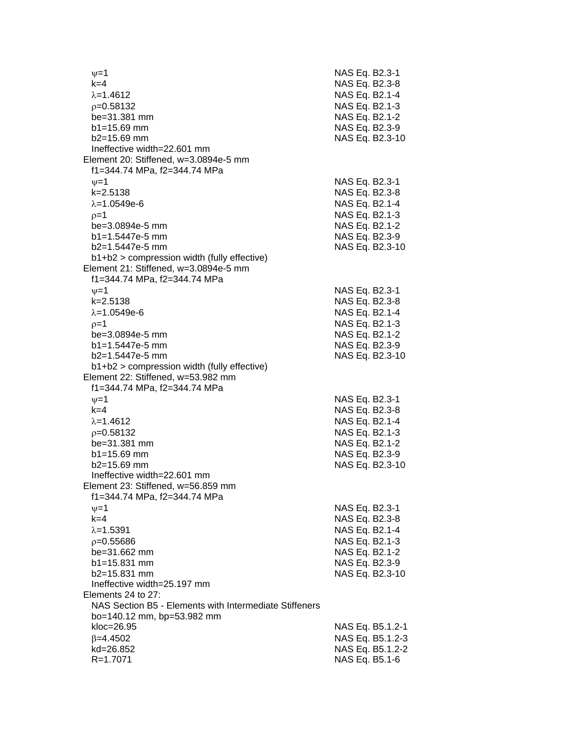$v=1$  NAS Eq. B2.3-1 k=4 NAS Eq. B2.3-8  $\lambda = 1.4612$  NAS Eq. B2.1-4 p=0.58132 NAS Eq. B2.1-3 be=31.381 mm NAS Eq. B2.1-2 b1=15.69 mm NAS Eq. B2.3-9 b2=15.69 mm NAS Eq. B2.3-10 Ineffective width=22.601 mm Element 20: Stiffened, w=3.0894e-5 mm f1=344.74 MPa, f2=344.74 MPa  $\nu$ =1 NAS Eq. B2.3-1 k=2.5138 NAS Eq. B2.3-8  $\lambda = 1.0549e-6$  NAS Eq. B2.1-4  $p=1$  NAS Eq. B2.1-3 be=3.0894e-5 mm NAS Eq. B2.1-2 b1=1.5447e-5 mm NAS Eq. B2.3-9 b2=1.5447e-5 mm NAS Eq. B2.3-10 b1+b2 > compression width (fully effective) Element 21: Stiffened, w=3.0894e-5 mm f1=344.74 MPa, f2=344.74 MPa  $\nu=1$  NAS Eq. B2.3-1 k=2.5138 NAS Eq. B2.3-8  $\lambda = 1.0549e-6$  NAS Eq. B2.1-4  $p=1$  NAS Eq. B2.1-3 be=3.0894e-5 mm NAS Eq. B2.1-2 b1=1.5447e-5 mm NAS Eq. B2.3-9 b2=1.5447e-5 mm NAS Eq. B2.3-10 b1+b2 > compression width (fully effective) Element 22: Stiffened, w=53.982 mm f1=344.74 MPa, f2=344.74 MPa  $v=1$  NAS Eq. B2.3-1 k=4 NAS Eq. B2.3-8  $\lambda$ =1.4612 NAS Eq. B2.1-4 =0.58132 NAS Eq. B2.1-3 be=31.381 mm NAS Eq. B2.1-2 b1=15.69 mm NAS Eq. B2.3-9 b2=15.69 mm NAS Eq. B2.3-10 Ineffective width=22.601 mm Element 23: Stiffened, w=56.859 mm f1=344.74 MPa, f2=344.74 MPa  $\nu = 1$  NAS Eq. B2.3-1 k=4 NAS Eq. B2.3-8  $\lambda = 1.5391$  NAS Eq. B2.1-4  $p=0.55686$  NAS Eq. B2.1-3 be=31.662 mm NAS Eq. B2.1-2 b1=15.831 mm NAS Eq. B2.3-9 b2=15.831 mm NAS Eq. B2.3-10 Ineffective width=25.197 mm Elements 24 to 27: NAS Section B5 - Elements with Intermediate Stiffeners bo=140.12 mm, bp=53.982 mm kloc=26.95 NAS Eq. B5.1.2-1  $\beta$ =4.4502 NAS Eq. B5.1.2-3 kd=26.852 NAS Eq. B5.1.2-2 R=1.7071 NAS Eq. B5.1-6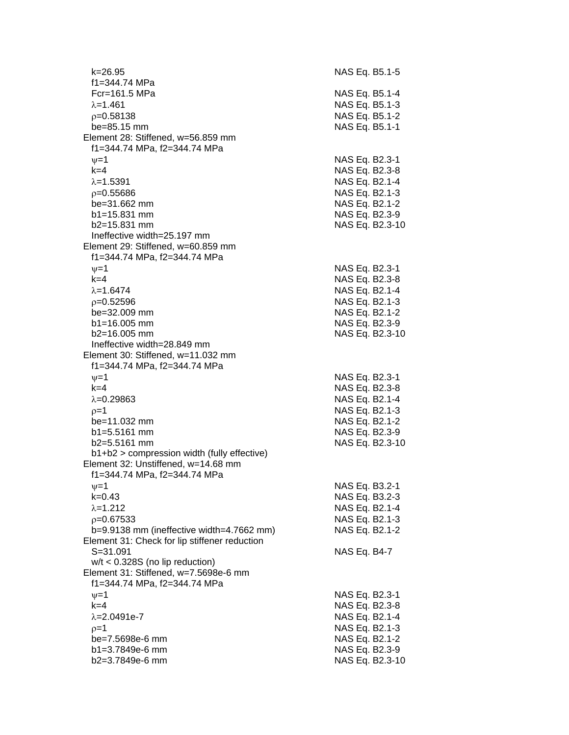k=26.95 NAS Eq. B5.1-5 f1=344.74 MPa Fcr=161.5 MPa NAS Eq. B5.1-4  $\lambda$ =1.461 NAS Eq. B5.1-3  $p=0.58138$  NAS Eq. B5.1-2 be=85.15 mm NAS Eq. B5.1-1 Element 28: Stiffened, w=56.859 mm f1=344.74 MPa, f2=344.74 MPa  $v=1$  NAS Eq. B2.3-1 k=4 NAS Eq. B2.3-8  $\lambda$ =1.5391 NAS Eq. B2.1-4  $p=0.55686$  NAS Eq. B2.1-3 be=31.662 mm NAS Eq. B2.1-2 b1=15.831 mm NAS Eq. B2.3-9 b2=15.831 mm NAS Eq. B2.3-10 Ineffective width=25.197 mm Element 29: Stiffened, w=60.859 mm f1=344.74 MPa, f2=344.74 MPa  $v=1$  NAS Eq. B2.3-1 k=4 NAS Eq. B2.3-8  $\lambda = 1.6474$  NAS Eq. B2.1-4 =0.52596 NAS Eq. B2.1-3 be=32.009 mm NAS Eq. B2.1-2 b1=16.005 mm NAS Eq. B2.3-9 b2=16.005 mm NAS Eq. B2.3-10 Ineffective width=28.849 mm Element 30: Stiffened, w=11.032 mm f1=344.74 MPa, f2=344.74 MPa  $\nu=1$  NAS Eq. B2.3-1 k=4 NAS Eq. B2.3-8  $\lambda$ =0.29863 NAS Eq. B2.1-4  $p=1$  NAS Eq. B2.1-3 be=11.032 mm NAS Eq. B2.1-2 b1=5.5161 mm NAS Eq. B2.3-9 b2=5.5161 mm NAS Eq. B2.3-10 b1+b2 > compression width (fully effective) Element 32: Unstiffened, w=14.68 mm f1=344.74 MPa, f2=344.74 MPa  $v=1$  NAS Eq. B3.2-1 k=0.43 NAS Eq. B3.2-3  $\lambda = 1.212$  NAS Eq. B2.1-4 =0.67533 NAS Eq. B2.1-3 b=9.9138 mm (ineffective width=4.7662 mm) NAS Eq. B2.1-2 Element 31: Check for lip stiffener reduction S=31.091 NAS Eq. B4-7 w/t < 0.328S (no lip reduction) Element 31: Stiffened, w=7.5698e-6 mm f1=344.74 MPa, f2=344.74 MPa  $v=1$  NAS Eq. B2.3-1 k=4 NAS Eq. B2.3-8  $\lambda$ =2.0491e-7 NAS Eq. B2.1-4  $p=1$  NAS Eq. B2.1-3 be=7.5698e-6 mm NAS Eq. B2.1-2 b1=3.7849e-6 mm NAS Eq. B2.3-9 b2=3.7849e-6 mm NAS Eq. B2.3-10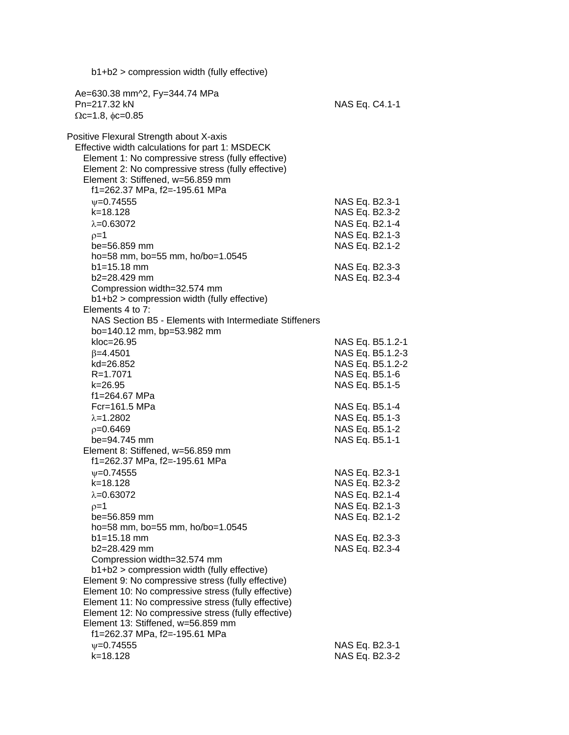| $b1+b2$ > compression width (fully effective)                                                                                                                                                                                                                                                                                                 |                                                                                        |
|-----------------------------------------------------------------------------------------------------------------------------------------------------------------------------------------------------------------------------------------------------------------------------------------------------------------------------------------------|----------------------------------------------------------------------------------------|
| Ae=630.38 mm^2, Fy=344.74 MPa<br>Pn=217.32 kN<br>$\Omega$ c=1.8, $\phi$ c=0.85                                                                                                                                                                                                                                                                | NAS Eq. C4.1-1                                                                         |
| Positive Flexural Strength about X-axis<br>Effective width calculations for part 1: MSDECK<br>Element 1: No compressive stress (fully effective)<br>Element 2: No compressive stress (fully effective)<br>Element 3: Stiffened, w=56.859 mm<br>f1=262.37 MPa, f2=-195.61 MPa                                                                  |                                                                                        |
| $\nu = 0.74555$<br>k=18.128<br>$\lambda = 0.63072$<br>$p=1$<br>be=56.859 mm                                                                                                                                                                                                                                                                   | NAS Eq. B2.3-1<br>NAS Eq. B2.3-2<br>NAS Eq. B2.1-4<br>NAS Eq. B2.1-3<br>NAS Eq. B2.1-2 |
| ho=58 mm, bo=55 mm, ho/bo=1.0545<br>$b1 = 15.18$ mm<br>b2=28.429 mm<br>Compression width=32.574 mm<br>b1+b2 > compression width (fully effective)                                                                                                                                                                                             | NAS Eq. B2.3-3<br>NAS Eq. B2.3-4                                                       |
| Elements 4 to 7:<br>NAS Section B5 - Elements with Intermediate Stiffeners<br>bo=140.12 mm, bp=53.982 mm<br>kloc=26.95                                                                                                                                                                                                                        | NAS Eq. B5.1.2-1                                                                       |
| $\beta = 4.4501$<br>kd=26.852<br>R=1.7071<br>$k = 26.95$                                                                                                                                                                                                                                                                                      | NAS Eq. B5.1.2-3<br>NAS Eq. B5.1.2-2<br>NAS Eq. B5.1-6<br>NAS Eq. B5.1-5               |
| f1=264.67 MPa<br>Fcr=161.5 MPa<br>$\lambda = 1.2802$<br>$p=0.6469$<br>be=94.745 mm<br>Element 8: Stiffened, w=56.859 mm                                                                                                                                                                                                                       | NAS Eq. B5.1-4<br>NAS Eq. B5.1-3<br>NAS Eq. B5.1-2<br>NAS Eq. B5.1-1                   |
| f1=262.37 MPa, f2=-195.61 MPa<br>$\nu = 0.74555$<br>k=18.128<br>$\lambda = 0.63072$<br>$p=1$<br>be=56.859 mm                                                                                                                                                                                                                                  | NAS Eq. B2.3-1<br>NAS Eq. B2.3-2<br>NAS Eq. B2.1-4<br>NAS Eq. B2.1-3<br>NAS Eq. B2.1-2 |
| ho=58 mm, bo=55 mm, ho/bo=1.0545<br>$b1 = 15.18$ mm<br>b2=28.429 mm<br>Compression width=32.574 mm                                                                                                                                                                                                                                            | NAS Eq. B2.3-3<br>NAS Eq. B2.3-4                                                       |
| b1+b2 > compression width (fully effective)<br>Element 9: No compressive stress (fully effective)<br>Element 10: No compressive stress (fully effective)<br>Element 11: No compressive stress (fully effective)<br>Element 12: No compressive stress (fully effective)<br>Element 13: Stiffened, w=56.859 mm<br>f1=262.37 MPa, f2=-195.61 MPa |                                                                                        |
| $\psi = 0.74555$<br>k=18.128                                                                                                                                                                                                                                                                                                                  | NAS Eq. B2.3-1<br>NAS Eq. B2.3-2                                                       |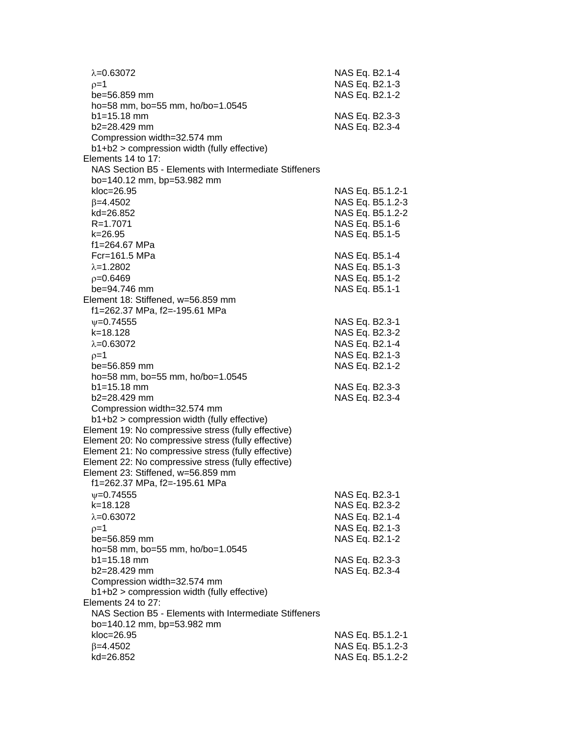| $\lambda = 0.63072$<br>$0=1$<br>be=56.859 mm           | NAS Eq. B2.1-4<br>NAS Eq. B2.1-3<br>NAS Eq. B2.1-2 |
|--------------------------------------------------------|----------------------------------------------------|
| ho=58 mm, bo=55 mm, ho/bo=1.0545                       |                                                    |
| $b1 = 15.18$ mm                                        | NAS Eq. B2.3-3                                     |
| b2=28.429 mm                                           | NAS Eq. B2.3-4                                     |
| Compression width=32.574 mm                            |                                                    |
| b1+b2 > compression width (fully effective)            |                                                    |
| Elements 14 to 17:                                     |                                                    |
| NAS Section B5 - Elements with Intermediate Stiffeners |                                                    |
| bo=140.12 mm, bp=53.982 mm                             |                                                    |
| $kloc=26.95$                                           | NAS Eq. B5.1.2-1                                   |
| $\beta = 4.4502$                                       | NAS Eq. B5.1.2-3                                   |
| kd=26.852                                              | NAS Eq. B5.1.2-2                                   |
| R=1.7071                                               | NAS Eq. B5.1-6                                     |
| k=26.95                                                | NAS Eq. B5.1-5                                     |
| f1=264.67 MPa<br>Fcr=161.5 MPa                         | NAS Eq. B5.1-4                                     |
| $\lambda = 1.2802$                                     | NAS Eq. B5.1-3                                     |
| $p=0.6469$                                             | NAS Eq. B5.1-2                                     |
| be=94.746 mm                                           | NAS Eq. B5.1-1                                     |
| Element 18: Stiffened, w=56.859 mm                     |                                                    |
| f1=262.37 MPa, f2=-195.61 MPa                          |                                                    |
| $\nu = 0.74555$                                        | NAS Eq. B2.3-1                                     |
| $k = 18.128$                                           | NAS Eq. B2.3-2                                     |
| $\lambda = 0.63072$                                    | NAS Eq. B2.1-4                                     |
| $p=1$                                                  | NAS Eq. B2.1-3                                     |
| be=56.859 mm                                           | NAS Eq. B2.1-2                                     |
| ho=58 mm, bo=55 mm, ho/bo=1.0545                       |                                                    |
| $b1 = 15.18$ mm                                        | NAS Eq. B2.3-3                                     |
| b2=28.429 mm                                           | NAS Eq. B2.3-4                                     |
| Compression width=32.574 mm                            |                                                    |
| b1+b2 > compression width (fully effective)            |                                                    |
| Element 19: No compressive stress (fully effective)    |                                                    |
| Element 20: No compressive stress (fully effective)    |                                                    |
| Element 21: No compressive stress (fully effective)    |                                                    |
| Element 22: No compressive stress (fully effective)    |                                                    |
| Element 23: Stiffened, w=56.859 mm                     |                                                    |
| f1=262.37 MPa, f2=-195.61 MPa                          |                                                    |
| $\nu = 0.74555$                                        | NAS Eq. B2.3-1                                     |
| k=18.128                                               | NAS Eq. B2.3-2                                     |
| $\lambda = 0.63072$                                    | NAS Eq. B2.1-4                                     |
| $p=1$                                                  | NAS Eq. B2.1-3                                     |
| be=56.859 mm                                           | NAS Eq. B2.1-2                                     |
| ho=58 mm, bo=55 mm, ho/bo=1.0545                       |                                                    |
| $b1 = 15.18$ mm<br>b2=28.429 mm                        | NAS Eq. B2.3-3<br>NAS Eq. B2.3-4                   |
| Compression width=32.574 mm                            |                                                    |
| b1+b2 > compression width (fully effective)            |                                                    |
| Elements 24 to 27:                                     |                                                    |
| NAS Section B5 - Elements with Intermediate Stiffeners |                                                    |
| bo=140.12 mm, bp=53.982 mm                             |                                                    |
| kloc=26.95                                             | NAS Eq. B5.1.2-1                                   |
| $\beta = 4.4502$                                       | NAS Eq. B5.1.2-3                                   |
| kd=26.852                                              | NAS Eq. B5.1.2-2                                   |
|                                                        |                                                    |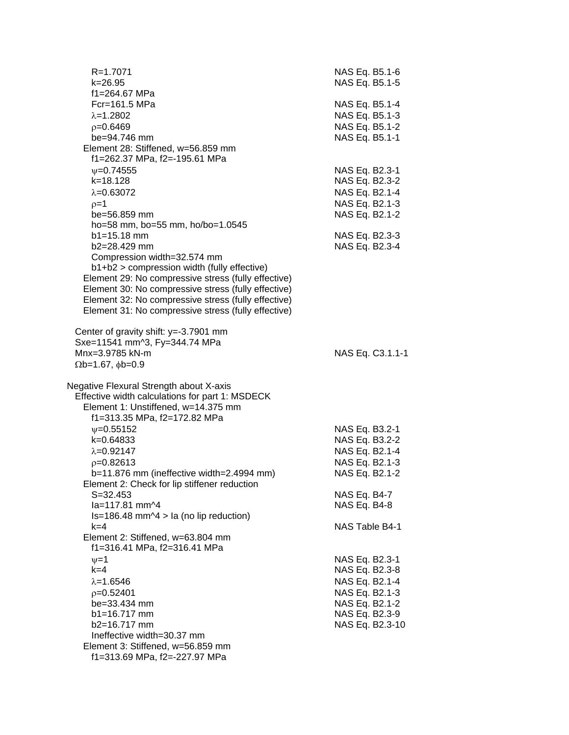| R=1.7071<br>$k = 26.95$<br>f1=264.67 MPa                                                                                                                                                                                                                                                                                                  | NAS Eq. B5.1-6<br>NAS Eq. B5.1-5                                                                                            |
|-------------------------------------------------------------------------------------------------------------------------------------------------------------------------------------------------------------------------------------------------------------------------------------------------------------------------------------------|-----------------------------------------------------------------------------------------------------------------------------|
| $Fc = 161.5 MPa$<br>$\lambda = 1.2802$<br>$p=0.6469$<br>be=94.746 mm<br>Element 28: Stiffened, w=56.859 mm                                                                                                                                                                                                                                | NAS Eq. B5.1-4<br>NAS Eq. B5.1-3<br>NAS Eq. B5.1-2<br>NAS Eq. B5.1-1                                                        |
| f1=262.37 MPa, f2=-195.61 MPa<br>$\nu = 0.74555$<br>$k = 18.128$<br>$\lambda = 0.63072$<br>$p=1$<br>be=56.859 mm<br>ho=58 mm, bo=55 mm, ho/bo=1.0545                                                                                                                                                                                      | NAS Eq. B2.3-1<br>NAS Eq. B2.3-2<br>NAS Eq. B2.1-4<br>NAS Eq. B2.1-3<br>NAS Eq. B2.1-2                                      |
| $b1 = 15.18$ mm<br>b2=28.429 mm<br>Compression width=32.574 mm<br>b1+b2 > compression width (fully effective)<br>Element 29: No compressive stress (fully effective)<br>Element 30: No compressive stress (fully effective)<br>Element 32: No compressive stress (fully effective)<br>Element 31: No compressive stress (fully effective) | NAS Eq. B2.3-3<br>NAS Eq. B2.3-4                                                                                            |
| Center of gravity shift: y=-3.7901 mm<br>Sxe=11541 mm^3, Fy=344.74 MPa<br>Mnx=3.9785 kN-m<br>$\Omega$ b=1.67, $\phi$ b=0.9                                                                                                                                                                                                                | NAS Eq. C3.1.1-1                                                                                                            |
| Negative Flexural Strength about X-axis<br>Effective width calculations for part 1: MSDECK<br>Element 1: Unstiffened, w=14.375 mm<br>f1=313.35 MPa, f2=172.82 MPa                                                                                                                                                                         |                                                                                                                             |
| $\nu = 0.55152$<br>$k = 0.64833$<br>$\lambda = 0.92147$<br>$p=0.82613$<br>b=11.876 mm (ineffective width=2.4994 mm)                                                                                                                                                                                                                       | NAS Eq. B3.2-1<br>NAS Eq. B3.2-2<br>NAS Eq. B2.1-4<br>NAS Eq. B2.1-3<br>NAS Eq. B2.1-2                                      |
| Element 2: Check for lip stiffener reduction<br>$S = 32.453$<br>la=117.81 mm^4<br>$Is=186.48$ mm $\textdegree$ 4 > la (no lip reduction)                                                                                                                                                                                                  | NAS Eq. B4-7<br>NAS Eq. B4-8                                                                                                |
| $k=4$<br>Element 2: Stiffened, w=63.804 mm<br>f1=316.41 MPa, f2=316.41 MPa                                                                                                                                                                                                                                                                | NAS Table B4-1                                                                                                              |
| $v = 1$<br>$k=4$<br>$\lambda = 1.6546$<br>$p=0.52401$<br>be=33.434 mm<br>b1=16.717 mm<br>b2=16.717 mm<br>Ineffective width=30.37 mm<br>Element 3: Stiffened, w=56.859 mm<br>f1=313.69 MPa, f2=-227.97 MPa                                                                                                                                 | NAS Eq. B2.3-1<br>NAS Eq. B2.3-8<br>NAS Eq. B2.1-4<br>NAS Eq. B2.1-3<br>NAS Eq. B2.1-2<br>NAS Eq. B2.3-9<br>NAS Eq. B2.3-10 |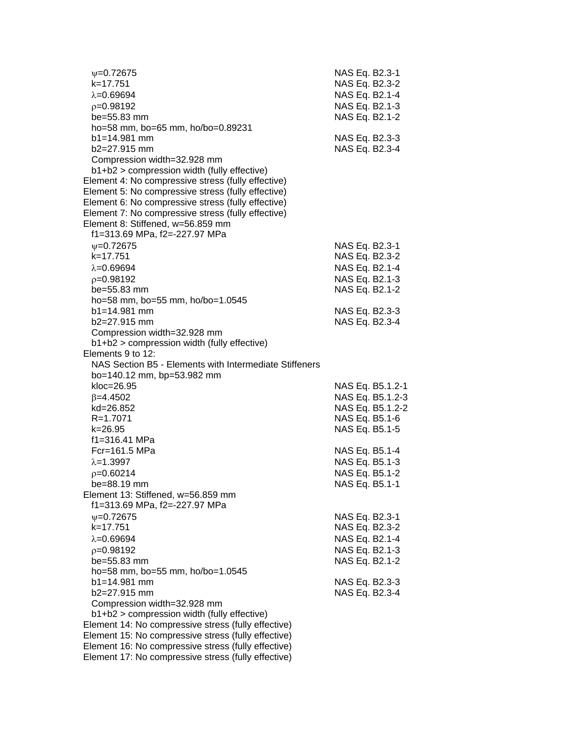| $\psi = 0.72675$                                                           | NAS Eq. B2.3-1   |  |
|----------------------------------------------------------------------------|------------------|--|
| k=17.751                                                                   | NAS Eq. B2.3-2   |  |
| $\lambda = 0.69694$                                                        | NAS Eq. B2.1-4   |  |
| $p=0.98192$                                                                | NAS Eq. B2.1-3   |  |
| be=55.83 mm                                                                | NAS Eq. B2.1-2   |  |
| ho=58 mm, bo=65 mm, ho/bo=0.89231                                          |                  |  |
| b1=14.981 mm                                                               | NAS Eq. B2.3-3   |  |
| $b2=27.915$ mm                                                             | NAS Eq. B2.3-4   |  |
| Compression width=32.928 mm                                                |                  |  |
| b1+b2 > compression width (fully effective)                                |                  |  |
| Element 4: No compressive stress (fully effective)                         |                  |  |
| Element 5: No compressive stress (fully effective)                         |                  |  |
| Element 6: No compressive stress (fully effective)                         |                  |  |
| Element 7: No compressive stress (fully effective)                         |                  |  |
| Element 8: Stiffened, w=56.859 mm                                          |                  |  |
| f1=313.69 MPa, f2=-227.97 MPa                                              |                  |  |
| $\psi = 0.72675$                                                           | NAS Eq. B2.3-1   |  |
| k=17.751                                                                   | NAS Eq. B2.3-2   |  |
| $\lambda = 0.69694$                                                        | NAS Eq. B2.1-4   |  |
| $p=0.98192$                                                                | NAS Eq. B2.1-3   |  |
| be=55.83 mm                                                                | NAS Eq. B2.1-2   |  |
| ho=58 mm, bo=55 mm, ho/bo=1.0545                                           |                  |  |
| $b1 = 14.981$ mm                                                           | NAS Eq. B2.3-3   |  |
| b2=27.915 mm                                                               | NAS Eq. B2.3-4   |  |
| Compression width=32.928 mm                                                |                  |  |
| b1+b2 > compression width (fully effective)                                |                  |  |
| Elements 9 to 12:                                                          |                  |  |
| NAS Section B5 - Elements with Intermediate Stiffeners                     |                  |  |
| bo=140.12 mm, bp=53.982 mm                                                 |                  |  |
| kloc=26.95                                                                 | NAS Eq. B5.1.2-1 |  |
| $\beta = 4.4502$                                                           | NAS Eq. B5.1.2-3 |  |
| kd=26.852                                                                  | NAS Eq. B5.1.2-2 |  |
| R=1.7071                                                                   | NAS Eq. B5.1-6   |  |
| k=26.95                                                                    | NAS Eq. B5.1-5   |  |
| f1=316.41 MPa                                                              |                  |  |
| Fcr=161.5 MPa                                                              | NAS Eq. B5.1-4   |  |
| $\lambda = 1.3997$                                                         | NAS Eq. B5.1-3   |  |
| $p=0.60214$                                                                | NAS Eq. B5.1-2   |  |
| be=88.19 mm                                                                | NAS Eq. B5.1-1   |  |
| Element 13: Stiffened, w=56.859 mm<br>f1=313.69 MPa, f2=-227.97 MPa        |                  |  |
|                                                                            |                  |  |
| $\psi = 0.72675$<br>k=17.751                                               | NAS Eq. B2.3-1   |  |
|                                                                            | NAS Eq. B2.3-2   |  |
| $\lambda = 0.69694$                                                        | NAS Eq. B2.1-4   |  |
| $p=0.98192$                                                                | NAS Eq. B2.1-3   |  |
| be=55.83 mm                                                                | NAS Eq. B2.1-2   |  |
| ho=58 mm, bo=55 mm, ho/bo=1.0545<br>$b1 = 14.981$ mm                       |                  |  |
| b2=27.915 mm                                                               | NAS Eq. B2.3-3   |  |
|                                                                            | NAS Eq. B2.3-4   |  |
| Compression width=32.928 mm<br>b1+b2 > compression width (fully effective) |                  |  |
| Element 14: No compressive stress (fully effective)                        |                  |  |
| Element 15: No compressive stress (fully effective)                        |                  |  |
| Element 16: No compressive stress (fully effective)                        |                  |  |
| Element 17: No compressive stress (fully effective)                        |                  |  |
|                                                                            |                  |  |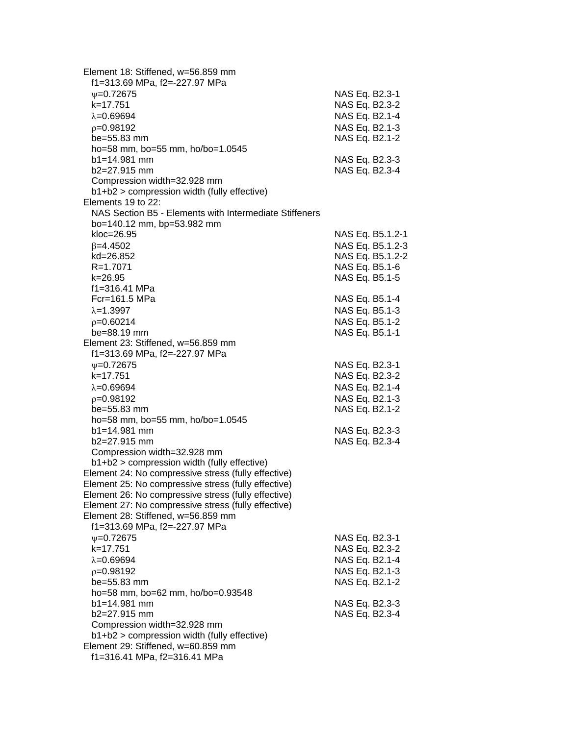| Element 18: Stiffened, w=56.859 mm<br>f1=313.69 MPa, f2=-227.97 MPa |                |                  |
|---------------------------------------------------------------------|----------------|------------------|
| $V = 0.72675$                                                       | NAS Eq. B2.3-1 |                  |
| k=17.751                                                            | NAS Eq. B2.3-2 |                  |
| $\lambda = 0.69694$                                                 | NAS Eq. B2.1-4 |                  |
| $p=0.98192$                                                         | NAS Eq. B2.1-3 |                  |
| be=55.83 mm                                                         | NAS Eq. B2.1-2 |                  |
| ho=58 mm, bo=55 mm, ho/bo=1.0545                                    |                |                  |
| b1=14.981 mm                                                        | NAS Eq. B2.3-3 |                  |
| b2=27.915 mm                                                        | NAS Eq. B2.3-4 |                  |
| Compression width=32.928 mm                                         |                |                  |
| b1+b2 > compression width (fully effective)                         |                |                  |
| Elements 19 to 22:                                                  |                |                  |
| NAS Section B5 - Elements with Intermediate Stiffeners              |                |                  |
| bo=140.12 mm, bp=53.982 mm                                          |                |                  |
| $kloc=26.95$                                                        |                | NAS Eq. B5.1.2-1 |
| $\beta = 4.4502$                                                    |                | NAS Eq. B5.1.2-3 |
| kd=26.852                                                           |                | NAS Eq. B5.1.2-2 |
| R=1.7071                                                            |                | NAS Eq. B5.1-6   |
| k=26.95                                                             | NAS Eq. B5.1-5 |                  |
| f1=316.41 MPa                                                       |                |                  |
| Fcr=161.5 MPa                                                       | NAS Eq. B5.1-4 |                  |
| $\lambda = 1.3997$                                                  | NAS Eq. B5.1-3 |                  |
| $p=0.60214$                                                         | NAS Eq. B5.1-2 |                  |
| be=88.19 mm                                                         |                |                  |
| Element 23: Stiffened, w=56.859 mm                                  | NAS Eq. B5.1-1 |                  |
| f1=313.69 MPa, f2=-227.97 MPa                                       |                |                  |
|                                                                     |                |                  |
| $\nu = 0.72675$                                                     | NAS Eq. B2.3-1 |                  |
| k=17.751                                                            | NAS Eq. B2.3-2 |                  |
| $\lambda = 0.69694$                                                 | NAS Eq. B2.1-4 |                  |
| $p=0.98192$                                                         | NAS Eq. B2.1-3 |                  |
| be=55.83 mm                                                         | NAS Eq. B2.1-2 |                  |
| ho=58 mm, bo=55 mm, ho/bo=1.0545                                    |                |                  |
| $b1 = 14.981$ mm                                                    | NAS Eq. B2.3-3 |                  |
| b2=27.915 mm                                                        | NAS Eq. B2.3-4 |                  |
| Compression width=32.928 mm                                         |                |                  |
| b1+b2 > compression width (fully effective)                         |                |                  |
| Element 24: No compressive stress (fully effective)                 |                |                  |
| Element 25: No compressive stress (fully effective)                 |                |                  |
| Element 26: No compressive stress (fully effective)                 |                |                  |
| Element 27: No compressive stress (fully effective)                 |                |                  |
| Element 28: Stiffened, w=56.859 mm                                  |                |                  |
| f1=313.69 MPa, f2=-227.97 MPa                                       |                |                  |
| $V = 0.72675$                                                       | NAS Eq. B2.3-1 |                  |
| k=17.751                                                            | NAS Eq. B2.3-2 |                  |
| $\lambda = 0.69694$                                                 | NAS Eq. B2.1-4 |                  |
| $p=0.98192$                                                         | NAS Eq. B2.1-3 |                  |
| be=55.83 mm                                                         | NAS Eq. B2.1-2 |                  |
| ho=58 mm, bo=62 mm, ho/bo=0.93548                                   |                |                  |
| $b1 = 14.981$ mm                                                    | NAS Eq. B2.3-3 |                  |
| b2=27.915 mm                                                        | NAS Eq. B2.3-4 |                  |
| Compression width=32.928 mm                                         |                |                  |
| b1+b2 > compression width (fully effective)                         |                |                  |
| Element 29: Stiffened, w=60.859 mm                                  |                |                  |
| f1=316.41 MPa, f2=316.41 MPa                                        |                |                  |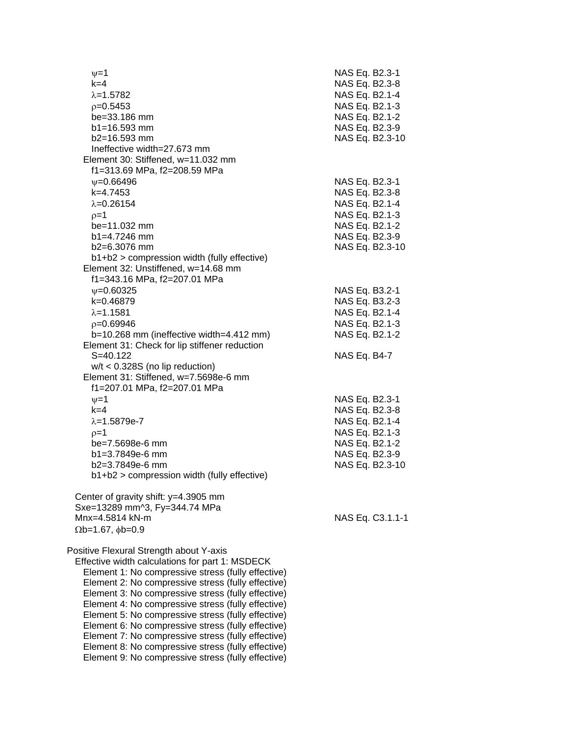| $\nu = 1$<br>$k=4$                                 | NAS Eq. B2.3-1<br>NAS Eq. B2.3-8 |
|----------------------------------------------------|----------------------------------|
| $\lambda = 1.5782$                                 | NAS Eq. B2.1-4                   |
| $p=0.5453$                                         | NAS Eq. B2.1-3                   |
| be=33.186 mm                                       | NAS Eq. B2.1-2                   |
| $b1 = 16.593$ mm                                   | NAS Eq. B2.3-9                   |
| $b2 = 16.593$ mm                                   | NAS Eq. B2.3-10                  |
| Ineffective width=27.673 mm                        |                                  |
| Element 30: Stiffened, w=11.032 mm                 |                                  |
| f1=313.69 MPa, f2=208.59 MPa                       |                                  |
| $\psi = 0.66496$                                   | NAS Eq. B2.3-1                   |
| $k=4.7453$                                         | NAS Eq. B2.3-8                   |
| $\lambda = 0.26154$                                | NAS Eq. B2.1-4                   |
| $p=1$                                              | NAS Eq. B2.1-3                   |
| be=11.032 mm                                       | NAS Eq. B2.1-2                   |
| $b1=4.7246$ mm                                     | NAS Eq. B2.3-9                   |
| $b2=6.3076$ mm                                     | NAS Eq. B2.3-10                  |
| $b1+b2$ > compression width (fully effective)      |                                  |
| Element 32: Unstiffened, w=14.68 mm                |                                  |
| f1=343.16 MPa, f2=207.01 MPa                       |                                  |
| $\nu = 0.60325$                                    | NAS Eq. B3.2-1                   |
| k=0.46879                                          | NAS Eq. B3.2-3                   |
| $\lambda = 1.1581$                                 | NAS Eq. B2.1-4                   |
| $p=0.69946$                                        | NAS Eq. B2.1-3                   |
| b=10.268 mm (ineffective width=4.412 mm)           | NAS Eq. B2.1-2                   |
| Element 31: Check for lip stiffener reduction      |                                  |
| $S = 40.122$                                       | NAS Eq. B4-7                     |
| $w/t < 0.328S$ (no lip reduction)                  |                                  |
| Element 31: Stiffened, w=7.5698e-6 mm              |                                  |
| f1=207.01 MPa, f2=207.01 MPa                       |                                  |
| $v = 1$                                            | NAS Eq. B2.3-1                   |
| $k=4$                                              | NAS Eq. B2.3-8                   |
| $\lambda = 1.5879e - 7$                            | NAS Eq. B2.1-4                   |
| $p=1$                                              | NAS Eq. B2.1-3                   |
| be=7.5698e-6 mm                                    | NAS Eq. B2.1-2                   |
| $b1 = 3.7849e-6$ mm                                | NAS Eq. B2.3-9                   |
| $b2=3.7849e-6$ mm                                  | NAS Eq. B2.3-10                  |
| b1+b2 > compression width (fully effective)        |                                  |
| Center of gravity shift: y=4.3905 mm               |                                  |
| Sxe=13289 mm^3, Fy=344.74 MPa                      |                                  |
| Mnx=4.5814 kN-m                                    | NAS Eq. C3.1.1-1                 |
| $\Omega$ b=1.67, $\phi$ b=0.9                      |                                  |
| Positive Flexural Strength about Y-axis            |                                  |
| Effective width calculations for part 1: MSDECK    |                                  |
| Element 1: No compressive stress (fully effective) |                                  |
| Element 2: No compressive stress (fully effective) |                                  |
| Element 3: No compressive stress (fully effective) |                                  |
| Element 4: No compressive stress (fully effective) |                                  |
| Element 5: No compressive stress (fully effective) |                                  |
| Element 6: No compressive stress (fully effective) |                                  |
| Element 7: No compressive stress (fully effective) |                                  |
| Element 8: No compressive stress (fully effective) |                                  |
| Element 9: No compressive stress (fully effective) |                                  |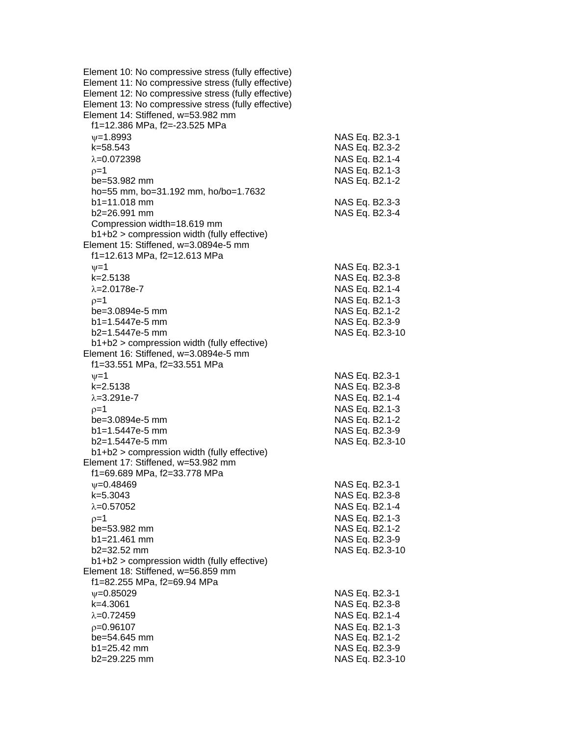| Element 10: No compressive stress (fully effective)<br>Element 11: No compressive stress (fully effective)                                       |                                  |
|--------------------------------------------------------------------------------------------------------------------------------------------------|----------------------------------|
| Element 12: No compressive stress (fully effective)<br>Element 13: No compressive stress (fully effective)<br>Element 14: Stiffened, w=53.982 mm |                                  |
| f1=12.386 MPa, f2=-23.525 MPa                                                                                                                    |                                  |
| $\nu = 1.8993$                                                                                                                                   | NAS Eq. B2.3-1                   |
| k=58.543                                                                                                                                         | NAS Eq. B2.3-2                   |
| $\lambda = 0.072398$                                                                                                                             | NAS Eq. B2.1-4                   |
| $p=1$                                                                                                                                            | NAS Eq. B2.1-3                   |
| be=53.982 mm                                                                                                                                     | NAS Eq. B2.1-2                   |
| ho=55 mm, bo=31.192 mm, ho/bo=1.7632<br>$b1 = 11.018$ mm                                                                                         |                                  |
| b2=26.991 mm                                                                                                                                     | NAS Eq. B2.3-3<br>NAS Eq. B2.3-4 |
| Compression width=18.619 mm                                                                                                                      |                                  |
| b1+b2 > compression width (fully effective)                                                                                                      |                                  |
| Element 15: Stiffened, w=3.0894e-5 mm                                                                                                            |                                  |
| f1=12.613 MPa, f2=12.613 MPa                                                                                                                     |                                  |
| $\nu = 1$                                                                                                                                        | NAS Eq. B2.3-1                   |
| k=2.5138                                                                                                                                         | NAS Eq. B2.3-8                   |
| $\lambda = 2.0178e - 7$                                                                                                                          | NAS Eq. B2.1-4                   |
| $p=1$<br>be=3.0894e-5 mm                                                                                                                         | NAS Eq. B2.1-3<br>NAS Eq. B2.1-2 |
| $b1 = 1.5447e-5$ mm                                                                                                                              | NAS Eq. B2.3-9                   |
| b2=1.5447e-5 mm                                                                                                                                  | NAS Eq. B2.3-10                  |
| b1+b2 > compression width (fully effective)                                                                                                      |                                  |
| Element 16: Stiffened, w=3.0894e-5 mm                                                                                                            |                                  |
| f1=33.551 MPa, f2=33.551 MPa                                                                                                                     |                                  |
| $\nu = 1$                                                                                                                                        | NAS Eq. B2.3-1                   |
| k=2.5138                                                                                                                                         | NAS Eq. B2.3-8                   |
| $\lambda = 3.291e - 7$                                                                                                                           | NAS Eq. B2.1-4<br>NAS Eq. B2.1-3 |
| $p=1$<br>be=3.0894e-5 mm                                                                                                                         | NAS Eq. B2.1-2                   |
| $b1 = 1.5447e-5$ mm                                                                                                                              | NAS Eq. B2.3-9                   |
| b2=1.5447e-5 mm                                                                                                                                  | NAS Eq. B2.3-10                  |
| $b1+b2$ > compression width (fully effective)                                                                                                    |                                  |
| Element 17: Stiffened, w=53.982 mm                                                                                                               |                                  |
| f1=69.689 MPa, f2=33.778 MPa                                                                                                                     |                                  |
| $\psi = 0.48469$<br>k=5.3043                                                                                                                     | NAS Eq. B2.3-1<br>NAS Eq. B2.3-8 |
| $\lambda = 0.57052$                                                                                                                              | NAS Eq. B2.1-4                   |
| $p=1$                                                                                                                                            | NAS Eq. B2.1-3                   |
| be=53.982 mm                                                                                                                                     | NAS Eq. B2.1-2                   |
| b1=21.461 mm                                                                                                                                     | NAS Eq. B2.3-9                   |
| b2=32.52 mm                                                                                                                                      | NAS Eq. B2.3-10                  |
| $b1+b2$ > compression width (fully effective)                                                                                                    |                                  |
| Element 18: Stiffened, w=56.859 mm                                                                                                               |                                  |
| f1=82.255 MPa, f2=69.94 MPa<br>$\psi = 0.85029$                                                                                                  | NAS Eq. B2.3-1                   |
| k=4.3061                                                                                                                                         | NAS Eq. B2.3-8                   |
| $\lambda = 0.72459$                                                                                                                              | NAS Eq. B2.1-4                   |
| $p=0.96107$                                                                                                                                      | NAS Eq. B2.1-3                   |
| be=54.645 mm                                                                                                                                     | NAS Eq. B2.1-2                   |
| b1=25.42 mm                                                                                                                                      | NAS Eq. B2.3-9                   |
| b2=29.225 mm                                                                                                                                     | NAS Eq. B2.3-10                  |
|                                                                                                                                                  |                                  |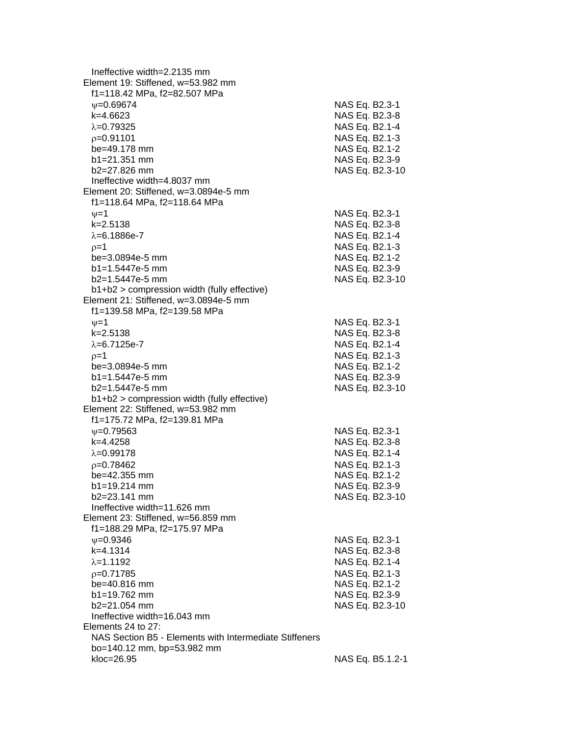Ineffective width=2.2135 mm Element 19: Stiffened, w=53.982 mm f1=118.42 MPa, f2=82.507 MPa =0.69674 NAS Eq. B2.3-1 k=4.6623 NAS Eq. B2.3-8  $\lambda = 0.79325$  NAS Eq. B2.1-4 p=0.91101 NAS Eq. B2.1-3 be=49.178 mm NAS Eq. B2.1-2 b1=21.351 mm NAS Eq. B2.3-9 b2=27.826 mm NAS Eq. B2.3-10 Ineffective width=4.8037 mm Element 20: Stiffened, w=3.0894e-5 mm f1=118.64 MPa, f2=118.64 MPa  $\psi$ =1  $\kappa$ =2.5138  $\kappa$ =2.5138  $\kappa$ =2.5138  $\kappa$ =2.5138  $\kappa$ =2.5138  $\kappa$ =2.5138  $\kappa$ NAS Eq. B2.3-8  $\lambda = 6.1886e - 7$  NAS Eq. B2.1-4  $\rho = 1$  NAS Eq. B2.1-3 be=3.0894e-5 mm NAS Eq. B2.1-2 b1=1.5447e-5 mm NAS Eq. B2.3-9 b2=1.5447e-5 mm NAS Eq. B2.3-10 b1+b2 > compression width (fully effective) Element 21: Stiffened, w=3.0894e-5 mm f1=139.58 MPa, f2=139.58 MPa  $v=1$  NAS Eq. B2.3-1 k=2.5138 NAS Eq. B2.3-8  $\lambda$ =6.7125e-7  $\lambda$  MAS Eq. B2.1-4  $p=1$  NAS Eq. B2.1-3 be=3.0894e-5 mm NAS Eq. B2.1-2 b1=1.5447e-5 mm NAS Eq. B2.3-9 b2=1.5447e-5 mm NAS Eq. B2.3-10 b1+b2 > compression width (fully effective) Element 22: Stiffened, w=53.982 mm f1=175.72 MPa, f2=139.81 MPa =0.79563 NAS Eq. B2.3-1 k=4.4258 NAS Eq. B2.3-8  $\lambda = 0.99178$  NAS Eq. B2.1-4 p=0.78462 NAS Eq. B2.1-3 be=42.355 mm NAS Eq. B2.1-2 b1=19.214 mm NAS Eq. B2.3-9 b2=23.141 mm NAS Eq. B2.3-10 Ineffective width=11.626 mm Element 23: Stiffened, w=56.859 mm f1=188.29 MPa, f2=175.97 MPa  $\nu$ =0.9346 NAS Eq. B2.3-1 k=4.1314 NAS Eq. B2.3-8  $\lambda = 1.1192$  NAS Eq. B2.1-4 p=0.71785 NAS Eq. B2.1-3 be=40.816 mm NAS Eq. B2.1-2 b1=19.762 mm NAS Eq. B2.3-9 b2=21.054 mm NAS Eq. B2.3-10 Ineffective width=16.043 mm Elements 24 to 27: NAS Section B5 - Elements with Intermediate Stiffeners bo=140.12 mm, bp=53.982 mm kloc=26.95 NAS Eq. B5.1.2-1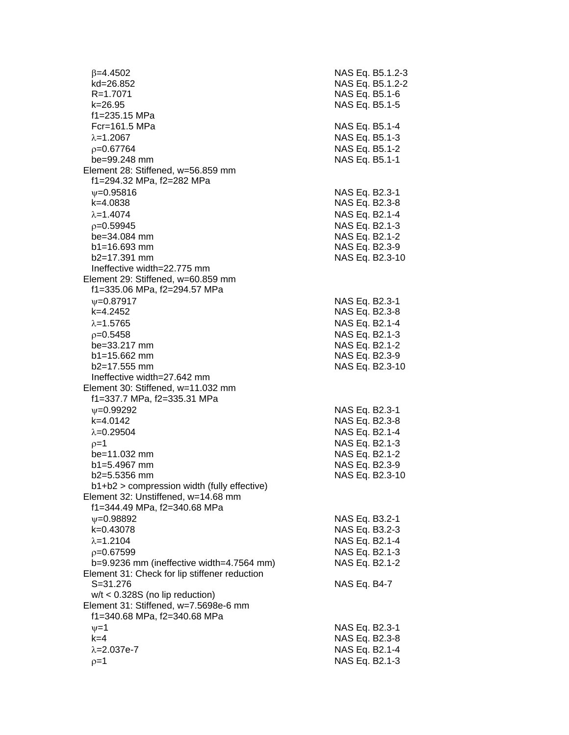$\beta$ =4.4502 NAS Eq. B5.1.2-3 kd=26.852 NAS Eq. B5.1.2-2 R=1.7071 NAS Eq. B5.1-6 k=26.95 NAS Eq. B5.1-5 f1=235.15 MPa Fcr=161.5 MPa NAS Eq. B5.1-4  $\lambda = 1.2067$  NAS Eq. B5.1-3 =0.67764 NAS Eq. B5.1-2 be=99.248 mm NAS Eq. B5.1-1 Element 28: Stiffened, w=56.859 mm f1=294.32 MPa, f2=282 MPa  $\nu$ =0.95816 NAS Eq. B2.3-1 k=4.0838 NAS Eq. B2.3-8  $\lambda = 1.4074$  NAS Eq. B2.1-4 =0.59945 NAS Eq. B2.1-3 be=34.084 mm NAS Eq. B2.1-2 b1=16.693 mm NAS Eq. B2.3-9 b2=17.391 mm NAS Eq. B2.3-10 Ineffective width=22.775 mm Element 29: Stiffened, w=60.859 mm f1=335.06 MPa, f2=294.57 MPa w=0.87917 NAS Eq. B2.3-1 k=4.2452 NAS Eq. B2.3-8  $\lambda$ =1.5765 NAS Eq. B2.1-4  $p=0.5458$  NAS Eq. B2.1-3 be=33.217 mm NAS Eq. B2.1-2 b1=15.662 mm NAS Eq. B2.3-9 b2=17.555 mm NAS Eq. B2.3-10 Ineffective width=27.642 mm Element 30: Stiffened, w=11.032 mm f1=337.7 MPa, f2=335.31 MPa  $\nu$ =0.99292 NAS Eq. B2.3-1 k=4.0142 NAS Eq. B2.3-8  $\lambda = 0.29504$  NAS Eq. B2.1-4  $p=1$  NAS Eq. B2.1-3 be=11.032 mm NAS Eq. B2.1-2 b1=5.4967 mm NAS Eq. B2.3-9 b2=5.5356 mm NAS Eq. B2.3-10 b1+b2 > compression width (fully effective) Element 32: Unstiffened, w=14.68 mm f1=344.49 MPa, f2=340.68 MPa =0.98892 NAS Eq. B3.2-1 k=0.43078 NAS Eq. B3.2-3  $\lambda$ =1.2104  $\lambda$  NAS Eq. B2.1-4 =0.67599 NAS Eq. B2.1-3 b=9.9236 mm (ineffective width=4.7564 mm) NAS Eq. B2.1-2 Element 31: Check for lip stiffener reduction S=31.276 NAS Eq. B4-7 w/t < 0.328S (no lip reduction) Element 31: Stiffened, w=7.5698e-6 mm f1=340.68 MPa, f2=340.68 MPa  $v=1$  NAS Eq. B2.3-1 k=4 NAS Eq. B2.3-8  $\lambda = 2.037e-7$  NAS Eq. B2.1-4  $\rho=1$  NAS Eq. B2.1-3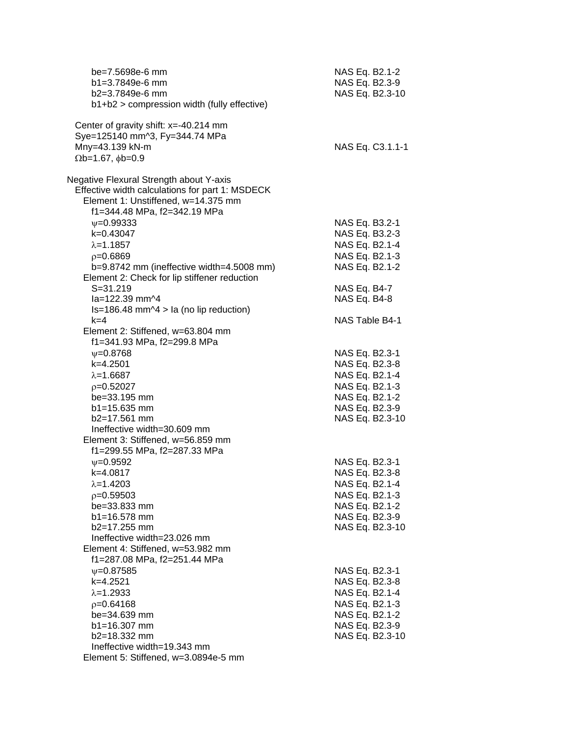| be=7.5698e-6 mm<br>$b1 = 3.7849e-6$ mm<br>b2=3.7849e-6 mm<br>b1+b2 > compression width (fully effective)                    | NAS Eq. B2.1-2<br>NAS Eq. B2.3-9<br>NAS Eq. B2.3-10 |
|-----------------------------------------------------------------------------------------------------------------------------|-----------------------------------------------------|
| Center of gravity shift: x=-40.214 mm<br>Sye=125140 mm^3, Fy=344.74 MPa<br>Mny=43.139 kN-m<br>$\Omega$ b=1.67, $\phi$ b=0.9 | NAS Eq. C3.1.1-1                                    |
| Negative Flexural Strength about Y-axis                                                                                     |                                                     |
| Effective width calculations for part 1: MSDECK<br>Element 1: Unstiffened, w=14.375 mm<br>f1=344.48 MPa, f2=342.19 MPa      |                                                     |
| $\psi = 0.99333$                                                                                                            | NAS Eq. B3.2-1                                      |
| k=0.43047                                                                                                                   | NAS Eq. B3.2-3                                      |
| $\lambda = 1.1857$                                                                                                          | NAS Eq. B2.1-4                                      |
| $p=0.6869$                                                                                                                  | NAS Eq. B2.1-3                                      |
| b=9.8742 mm (ineffective width=4.5008 mm)                                                                                   | NAS Eq. B2.1-2                                      |
| Element 2: Check for lip stiffener reduction                                                                                |                                                     |
| $S = 31.219$                                                                                                                | NAS Eq. B4-7                                        |
| la=122.39 mm^4                                                                                                              | NAS Eq. B4-8                                        |
| $Is=186.48$ mm $\textdegree$ 4 > la (no lip reduction)                                                                      |                                                     |
| $k=4$                                                                                                                       | NAS Table B4-1                                      |
| Element 2: Stiffened, w=63.804 mm                                                                                           |                                                     |
| f1=341.93 MPa, f2=299.8 MPa                                                                                                 |                                                     |
| $\psi = 0.8768$                                                                                                             | NAS Eq. B2.3-1                                      |
| $k=4.2501$                                                                                                                  | NAS Eq. B2.3-8                                      |
| $\lambda = 1.6687$                                                                                                          | NAS Eq. B2.1-4                                      |
| $p=0.52027$                                                                                                                 | NAS Eq. B2.1-3                                      |
| be=33.195 mm                                                                                                                | NAS Eq. B2.1-2                                      |
| $b1 = 15.635$ mm                                                                                                            | NAS Eq. B2.3-9                                      |
| b2=17.561 mm                                                                                                                | NAS Eq. B2.3-10                                     |
| Ineffective width=30.609 mm                                                                                                 |                                                     |
| Element 3: Stiffened, w=56.859 mm                                                                                           |                                                     |
| f1=299.55 MPa, f2=287.33 MPa                                                                                                |                                                     |
| $V = 0.9592$                                                                                                                | NAS Eq. B2.3-1                                      |
| k=4.0817                                                                                                                    | NAS Eq. B2.3-8                                      |
| $\lambda = 1.4203$                                                                                                          | NAS Eq. B2.1-4                                      |
| $p=0.59503$                                                                                                                 | NAS Eq. B2.1-3                                      |
| be=33.833 mm                                                                                                                | NAS Eq. B2.1-2                                      |
| $b1 = 16.578$ mm                                                                                                            | NAS Eq. B2.3-9                                      |
| b2=17.255 mm<br>Ineffective width=23.026 mm                                                                                 | NAS Eq. B2.3-10                                     |
| Element 4: Stiffened, w=53.982 mm                                                                                           |                                                     |
| f1=287.08 MPa, f2=251.44 MPa                                                                                                |                                                     |
| $\psi = 0.87585$                                                                                                            | NAS Eq. B2.3-1                                      |
| k=4.2521                                                                                                                    | NAS Eq. B2.3-8                                      |
| $\lambda = 1.2933$                                                                                                          | NAS Eq. B2.1-4                                      |
| $p=0.64168$                                                                                                                 | NAS Eq. B2.1-3                                      |
| be=34.639 mm                                                                                                                | NAS Eq. B2.1-2                                      |
| b1=16.307 mm                                                                                                                | NAS Eq. B2.3-9                                      |
| b2=18.332 mm                                                                                                                | NAS Eq. B2.3-10                                     |
| Ineffective width=19.343 mm                                                                                                 |                                                     |
| Element 5: Stiffened, w=3.0894e-5 mm                                                                                        |                                                     |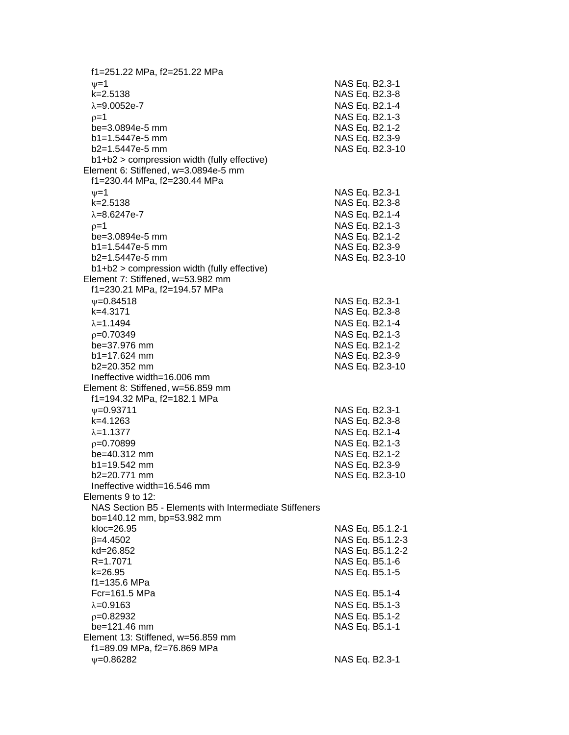f1=251.22 MPa, f2=251.22 MPa  $\nu=1$  NAS Eq. B2.3-1 k=2.5138 NAS Eq. B2.3-8  $\lambda$ =9.0052e-7  $\lambda$  MAS Eq. B2.1-4  $p=1$  NAS Eq. B2.1-3 be=3.0894e-5 mm NAS Eq. B2.1-2 b1=1.5447e-5 mm NAS Eq. B2.3-9 b2=1.5447e-5 mm NAS Eq. B2.3-10 b1+b2 > compression width (fully effective) Element 6: Stiffened, w=3.0894e-5 mm f1=230.44 MPa, f2=230.44 MPa  $v=1$  NAS Eq. B2.3-1 k=2.5138 NAS Eq. B2.3-8  $λ=8.6247e-7$  NAS Eq. B2.1-4  $p=1$  NAS Eq. B2.1-3 be=3.0894e-5 mm NAS Eq. B2.1-2 b1=1.5447e-5 mm NAS Eq. B2.3-9 b2=1.5447e-5 mm NAS Eq. B2.3-10 b1+b2 > compression width (fully effective) Element 7: Stiffened, w=53.982 mm f1=230.21 MPa, f2=194.57 MPa w=0.84518 NAS Eq. B2.3-1 k=4.3171 NAS Eq. B2.3-8  $\lambda$ =1.1494  $\lambda$  =0.70349 NAS Eq. B2.1-3 be=37.976 mm NAS Eq. B2.1-2 b1=17.624 mm NAS Eq. B2.3-9<br>b2=20.352 mm NAS Eq. B2.3-1 NAS Eq. B2.3-10 Ineffective width=16.006 mm Element 8: Stiffened, w=56.859 mm f1=194.32 MPa, f2=182.1 MPa  $\nu$ =0.93711 NAS Eq. B2.3-1 k=4.1263 NAS Eq. B2.3-8  $\lambda$ =1.1377 NAS Eq. B2.1-4  $p=0.70899$  NAS Eq. B2.1-3 be=40.312 mm NAS Eq. B2.1-2 b1=19.542 mm NAS Eq. B2.3-9 b2=20.771 mm NAS Eq. B2.3-10 Ineffective width=16.546 mm Elements 9 to 12: NAS Section B5 - Elements with Intermediate Stiffeners bo=140.12 mm, bp=53.982 mm kloc=26.95 NAS Eq. B5.1.2-1  $\beta$ =4.4502 NAS Eq. B5.1.2-3 kd=26.852 NAS Eq. B5.1.2-2 R=1.7071 NAS Eq. B5.1-6 k=26.95 NAS Eq. B5.1-5 f1=135.6 MPa Fcr=161.5 MPa NAS Eq. B5.1-4  $\lambda$ =0.9163 NAS Eq. B5.1-3  $p=0.82932$  NAS Eq. B5.1-2 be=121.46 mm NAS Eq. B5.1-1 Element 13: Stiffened, w=56.859 mm f1=89.09 MPa, f2=76.869 MPa w=0.86282 NAS Eq. B2.3-1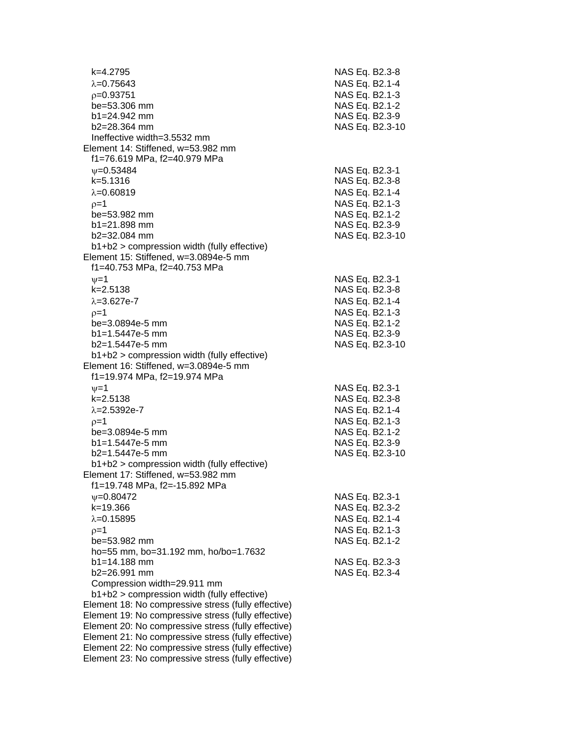k=4.2795 NAS Eq. B2.3-8  $\lambda$ =0.75643 NAS Eq. B2.1-4  $p=0.93751$  NAS Eq. B2.1-3 be=53.306 mm NAS Eq. B2.1-2 b1=24.942 mm NAS Eq. B2.3-9 b2=28.364 mm NAS Eq. B2.3-10 Ineffective width=3.5532 mm Element 14: Stiffened, w=53.982 mm f1=76.619 MPa, f2=40.979 MPa  $v=0.53484$  NAS Eq. B2.3-1 k=5.1316 NAS Eq. B2.3-8  $\lambda$ =0.60819  $\lambda$  NAS Eq. B2.1-4  $p=1$  NAS Eq. B2.1-3 be=53.982 mm NAS Eq. B2.1-2 b1=21.898 mm NAS Eq. B2.3-9 b2=32.084 mm NAS Eq. B2.3-10 b1+b2 > compression width (fully effective) Element 15: Stiffened, w=3.0894e-5 mm f1=40.753 MPa, f2=40.753 MPa  $v = 1$  NAS Eq. B2.3-1 k=2.5138 NAS Eq. B2.3-8  $\lambda = 3.627e-7$  NAS Eq. B2.1-4  $\rho = 1$  NAS Eq. B2.1-3 be=3.0894e-5 mm NAS Eq. B2.1-2 b1=1.5447e-5 mm NAS Eq. B2.3-9 b2=1.5447e-5 mm NAS Eq. B2.3-10 b1+b2 > compression width (fully effective) Element 16: Stiffened, w=3.0894e-5 mm f1=19.974 MPa, f2=19.974 MPa  $\nu = 1$  NAS Eq. B2.3-1 k=2.5138 NAS Eq. B2.3-8  $\lambda = 2.5392e-7$  NAS Eq. B2.1-4  $\rho = 1$  NAS Eq. B2.1-3 be=3.0894e-5 mm NAS Eq. B2.1-2 b1=1.5447e-5 mm NAS Eq. B2.3-9 b2=1.5447e-5 mm NAS Eq. B2.3-10 b1+b2 > compression width (fully effective) Element 17: Stiffened, w=53.982 mm f1=19.748 MPa, f2=-15.892 MPa =0.80472 NAS Eq. B2.3-1 k=19.366 NAS Eq. B2.3-2  $\lambda$ =0.15895 NAS Eq. B2.1-4  $p=1$  NAS Eq. B2.1-3 be=53.982 mm NAS Eq. B2.1-2 ho=55 mm, bo=31.192 mm, ho/bo=1.7632 b1=14.188 mm NAS Eq. B2.3-3 b2=26.991 mm NAS Eq. B2.3-4 Compression width=29.911 mm b1+b2 > compression width (fully effective) Element 18: No compressive stress (fully effective) Element 19: No compressive stress (fully effective) Element 20: No compressive stress (fully effective) Element 21: No compressive stress (fully effective) Element 22: No compressive stress (fully effective) Element 23: No compressive stress (fully effective)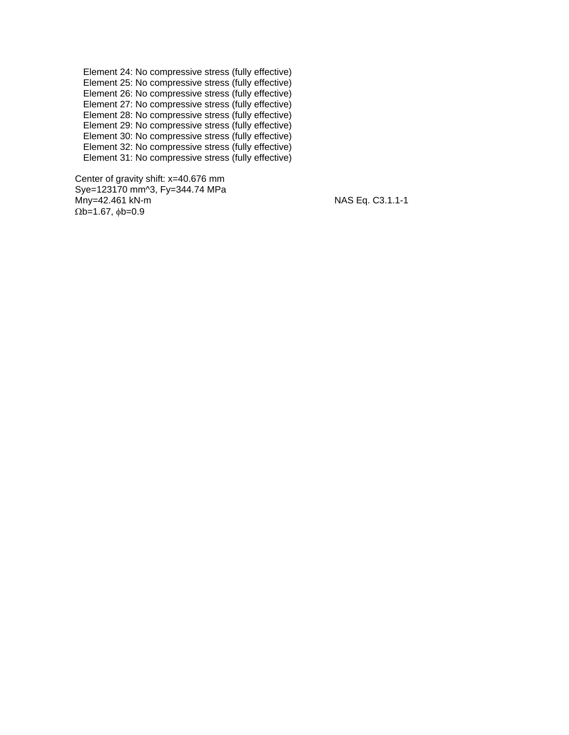Element 24: No compressive stress (fully effective) Element 25: No compressive stress (fully effective) Element 26: No compressive stress (fully effective) Element 27: No compressive stress (fully effective) Element 28: No compressive stress (fully effective) Element 29: No compressive stress (fully effective) Element 30: No compressive stress (fully effective) Element 32: No compressive stress (fully effective) Element 31: No compressive stress (fully effective)

 Center of gravity shift: x=40.676 mm Sye=123170 mm^3, Fy=344.74 MPa Mny=42.461 kN-m  $\overline{M}$  MAS Eq. C3.1.1-1  $\Omega$ b=1.67,  $\phi$ b=0.9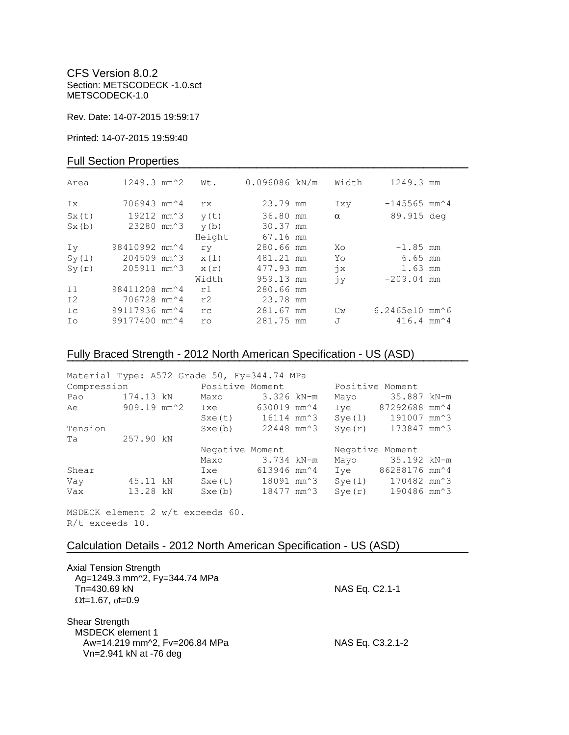CFS Version 8.0.2 Section: METSCODECK -1.0.sct METSCODECK-1.0

Rev. Date: 14-07-2015 19:59:17

Printed: 14-07-2015 19:59:40

## Full Section Properties

| Area           | $1249.3$ mm <sup><math>\textdegree</math>2</sup> | Wt.    | 0.096086 kN/m | Width         | 1249.3 mm                                   |  |
|----------------|--------------------------------------------------|--------|---------------|---------------|---------------------------------------------|--|
| Ix             | 706943 mm <sup><math>\sim</math>4</sup>          | rx     | 23.79 mm      | Ixy           | $-145565$ mm <sup><math>\sim</math></sup> 4 |  |
| Sx(t)          | 19212 mm <sup><math>3</math></sup>               | y(t)   | 36.80 mm      | $\alpha$      | 89.915 deg                                  |  |
| Sx(b)          | 23280 mm <sup><math>3</math></sup>               | y(b)   | 30.37 mm      |               |                                             |  |
|                |                                                  | Height | 67.16 mm      |               |                                             |  |
| Iv             | 98410992 mm <sup>2</sup> 4                       | ry     | 280.66 mm     | Xo            | $-1.85$ mm                                  |  |
| Sy(1)          | 204509 mm <sup>2</sup> 3                         | x(1)   | 481.21 mm     | Yo            | $6.65$ mm                                   |  |
| Sy(r)          | 205911 mm <sup>2</sup> 3                         | x(r)   | 477.93 mm     | $\dot{x}$     | 1.63 mm                                     |  |
|                |                                                  | Width  | 959.13 mm     | jу            | $-209.04$ mm                                |  |
| I <sub>1</sub> | 98411208 mm <sup>2</sup> 4                       | r1     | 280.66 mm     |               |                                             |  |
| I2             | 706728 mm <sup>2</sup> 4                         | r2     | 23.78 mm      |               |                                             |  |
| Ic             | 99117936 mm <sup>2</sup> 4                       | rc     | 281.67 mm     | $\mathbb{C}w$ | $6.2465e10$ mm $^6$                         |  |
| Ιo             | 99177400 mm <sup>2</sup> 4                       | ro     | 281.75 mm     | J             | $416.4$ mm <sup><math>\sim</math></sup> 4   |  |

# Fully Braced Strength - 2012 North American Specification - US (ASD)

| Material Type: A572 Grade 50, Fy=344.74 MPa |             |                                             |             |                 |                  |  |
|---------------------------------------------|-------------|---------------------------------------------|-------------|-----------------|------------------|--|
| Compression                                 |             | Positive Moment                             |             | Positive Moment |                  |  |
| Pao                                         | 174.13 kN   | Maxo                                        | 3.326 kN-m  | Mayo            | 35.887 kN-m      |  |
| Ae                                          | 909.19 mm^2 | Ixe                                         | 630019 mm^4 | Ive             | 87292688 mm^4    |  |
|                                             |             | $Sxe(t)$ 16114 mm <sup><math>3</math></sup> |             | Sye(1)          | 191007 mm^3      |  |
| Tension                                     |             | Sxe(b)                                      | 22448 mm^3  | Sye(r)          | 173847 mm^3      |  |
| Ta                                          | 257.90 kN   |                                             |             |                 |                  |  |
|                                             |             | Negative Moment                             |             | Negative Moment |                  |  |
|                                             |             | Maxo                                        | 3.734 kN-m  |                 | Mayo 35.192 kN-m |  |
| Shear                                       |             | Ixe                                         | 613946 mm^4 | Ive             | 86288176 mm^4    |  |
| Vay                                         | 45.11 kN    | Sxe(t) 18091 mm <sup>2</sup> 3              |             | Sye(1)          | 170482 mm^3      |  |
| Vax                                         | 13.28 kN    | Sxe(b)                                      | 18477 mm^3  | Sye(r)          | 190486 mm^3      |  |

**¯¯¯¯¯¯¯¯¯¯¯¯¯¯¯¯¯¯¯¯¯¯¯¯¯¯¯¯¯¯¯¯¯¯¯¯¯¯¯¯¯¯¯¯¯¯¯¯¯¯¯¯¯¯¯¯¯¯¯¯¯¯¯¯¯¯¯¯¯¯¯¯**

MSDECK element 2 w/t exceeds 60. R/t exceeds 10.

## Calculation Details - 2012 North American Specification - US (ASD)

| <b>Axial Tension Strength</b><br>Ag=1249.3 mm^2, Fy=344.74 MPa<br>Tn=430.69 kN<br>$\Omega$ t=1.67, $\phi$ t=0.9 | NAS Eq. C2.1-1   |
|-----------------------------------------------------------------------------------------------------------------|------------------|
| Shear Strength<br>MSDECK element 1<br>Aw=14.219 mm^2, Fv=206.84 MPa<br>Vn=2.941 kN at -76 deg                   | NAS Eq. C3.2.1-2 |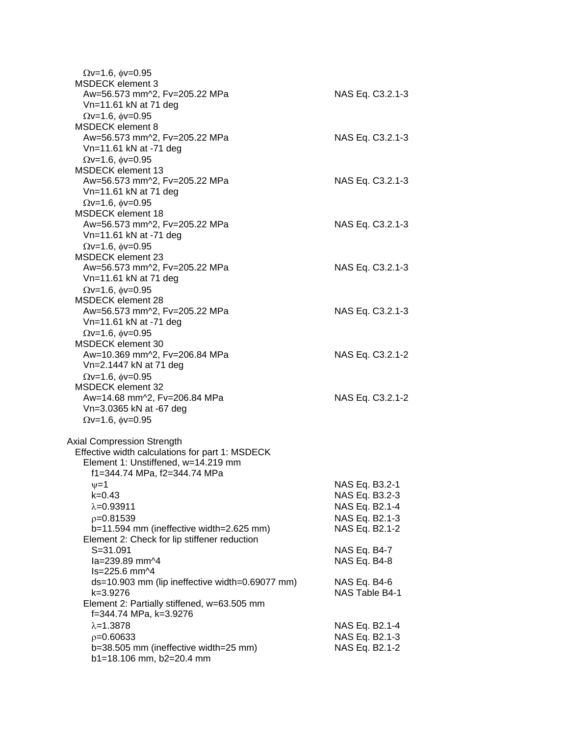| $Qv=1.6$ , $\phi v=0.95$<br><b>MSDECK</b> element 3 |                  |
|-----------------------------------------------------|------------------|
| Aw=56.573 mm^2, Fv=205.22 MPa                       | NAS Eq. C3.2.1-3 |
| Vn=11.61 kN at 71 deg                               |                  |
| $Qv=1.6$ , $\phi v=0.95$                            |                  |
| <b>MSDECK</b> element 8                             |                  |
| Aw=56.573 mm^2, Fv=205.22 MPa                       | NAS Eq. C3.2.1-3 |
| Vn=11.61 kN at -71 deg                              |                  |
| $\Omega$ v=1.6, $\phi$ v=0.95                       |                  |
| <b>MSDECK</b> element 13                            |                  |
| Aw=56.573 mm^2, Fv=205.22 MPa                       | NAS Eq. C3.2.1-3 |
| Vn=11.61 kN at 71 deg                               |                  |
| $Qv=1.6$ , $\phi v=0.95$                            |                  |
| <b>MSDECK</b> element 18                            |                  |
| Aw=56.573 mm^2, Fv=205.22 MPa                       | NAS Eq. C3.2.1-3 |
| Vn=11.61 kN at -71 deg                              |                  |
| $Qv=1.6$ , $\phi v=0.95$                            |                  |
| <b>MSDECK element 23</b>                            |                  |
| Aw=56.573 mm^2, Fv=205.22 MPa                       | NAS Eq. C3.2.1-3 |
| Vn=11.61 kN at 71 deg                               |                  |
| $Qv=1.6$ , $\phi v=0.95$                            |                  |
| <b>MSDECK element 28</b>                            |                  |
| Aw=56.573 mm^2, Fv=205.22 MPa                       | NAS Eq. C3.2.1-3 |
| Vn=11.61 kN at -71 deg                              |                  |
| $Qv=1.6$ , $\phi v=0.95$                            |                  |
| <b>MSDECK</b> element 30                            |                  |
| Aw=10.369 mm^2, Fv=206.84 MPa                       | NAS Eq. C3.2.1-2 |
| Vn=2.1447 kN at 71 deg                              |                  |
| $\Omega$ v=1.6, $\phi$ v=0.95                       |                  |
| MSDECK element 32                                   |                  |
| Aw=14.68 mm^2, Fv=206.84 MPa                        | NAS Eq. C3.2.1-2 |
| Vn=3.0365 kN at -67 deg                             |                  |
| $Qv=1.6$ , $\phi v=0.95$                            |                  |
| <b>Axial Compression Strength</b>                   |                  |
| Effective width calculations for part 1: MSDECK     |                  |
| Element 1: Unstiffened, w=14.219 mm                 |                  |
| f1=344.74 MPa, f2=344.74 MPa                        |                  |
| $\nu = 1$                                           | NAS Eq. B3.2-1   |
| k=0.43                                              | NAS Eq. B3.2-3   |
| $\lambda = 0.93911$                                 | NAS Eq. B2.1-4   |
| $p=0.81539$                                         | NAS Eq. B2.1-3   |
| b=11.594 mm (ineffective width=2.625 mm)            | NAS Eq. B2.1-2   |
| Element 2: Check for lip stiffener reduction        |                  |
| $S = 31.091$                                        | NAS Eq. B4-7     |
| la=239.89 mm^4                                      | NAS Eq. B4-8     |
| ls=225.6 mm^4                                       |                  |
| ds=10.903 mm (lip ineffective width=0.69077 mm)     | NAS Eq. B4-6     |
| k=3.9276                                            | NAS Table B4-1   |
| Element 2: Partially stiffened, w=63.505 mm         |                  |
| f=344.74 MPa, k=3.9276                              |                  |
| $\lambda = 1.3878$                                  | NAS Eq. B2.1-4   |
| $p=0.60633$                                         | NAS Eq. B2.1-3   |
| b=38.505 mm (ineffective width=25 mm)               | NAS Eq. B2.1-2   |
| b1=18.106 mm, b2=20.4 mm                            |                  |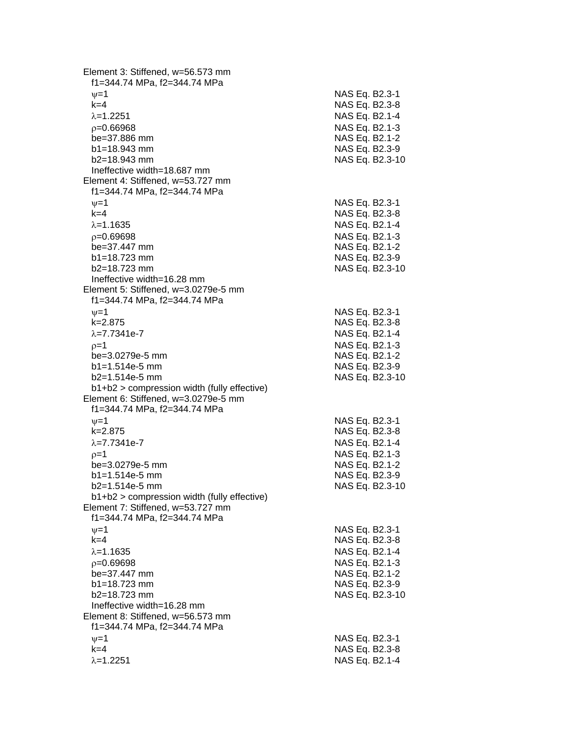Element 3: Stiffened, w=56.573 mm f1=344.74 MPa, f2=344.74 MPa  $\psi$ =1 NAS Eq. B2.3-1 k=4 NAS Eq. B2.3 - 8 =1.2251 NAS Eq. B2.1 - 4  $\rho$ =0.66968 NAS Eq. B2.1-3 be=37.886 mm  $b1 = 18.943$  mm  $b2=18.943$  mm NAS Eq. B2.3-10 Ineffective width=18.687 mm Element 4: Stiffened, w=53.727 mm f1=344.74 MPa, f2=344.74 MPa  $\nu$  =1 NAS Eq. B2.3-1 k=4 NAS Eq. B2.3 - 8 =1.1635 NAS Eq. B2.1 - 4  $\rho$ =0.69698 NAS Eq. B2.1-3 be=37.447 mm b1=18.723 mm NAS Eq. B2.3-9 b2=18.723 mm NAS Eq. B2.3 -10 Ineffective width=16.28 mm Element 5: Stiffened, w=3.0279e - 5 mm f1=344.74 MPa, f2=344.74 MPa  $\psi$ =1 NAS Eq. B2.3-1 k=2.875 NAS Eq. B2.3 - 8 λ=7.7341e-7 NAS Eq. B2.1 - 4  $\rho$ =1 NAS Eq. B2.1-3 be=3.0279e -5 mm NAS Eq. B2.1 - 2 b1=1.514e-5 mm -5 mm NAS Eq. B2.3 - 9 b2=1.514e -5 mm NAS Eq. B2.3 -10 b1+b2 > compression width (fully effective) Element 6: Stiffened, w=3.0279e -5 mm f1=344.74 MPa, f2=344.74 MPa  $\psi$ =1 NAS Eq. B2.3-1 k=2.875 NAS Eq. B2.3 - 8 λ=7.7341e-7 NAS Eq. B2.1 - 4  $\rho$ =1 NAS Eq. B2.1-3 be=3.0279e -5 mm NAS Eq. B2.1 - 2 b1=1.514e-5 mm -5 mm NAS Eq. B2.3 - 9 b2=1.514e -5 mm NAS Eq. B2.3 -10 b1+b2 > compression width (fully effective) Element 7: Stiffened, w=53.727 mm f1=344.74 MPa, f2=344.74 MPa  $\nu$  =1 NAS Eq. B2.3-1 k=4 NAS Eq. B2.3 - 8 =1.1635 NAS Eq. B2.1 - 4  $\rho$ =0.69698 NAS Eq. B2.1-3 be=37.447 mm NAS Eq. B2.1-2  $b1 = 18.723$  mm  $b2=18.723$  mm NAS Eq. B2.3-10 Ineffective width=16.28 mm Element 8: Stiffened, w=56.573 mm f1=344.74 MPa, f2=344.74 MPa  $\psi$ =1 NAS Eq. B2.3-1 k=4 NAS Eq. B2.3 - 8 λ=1.2251 NAS Eq. B2.1-4

- 2

- 9

- 2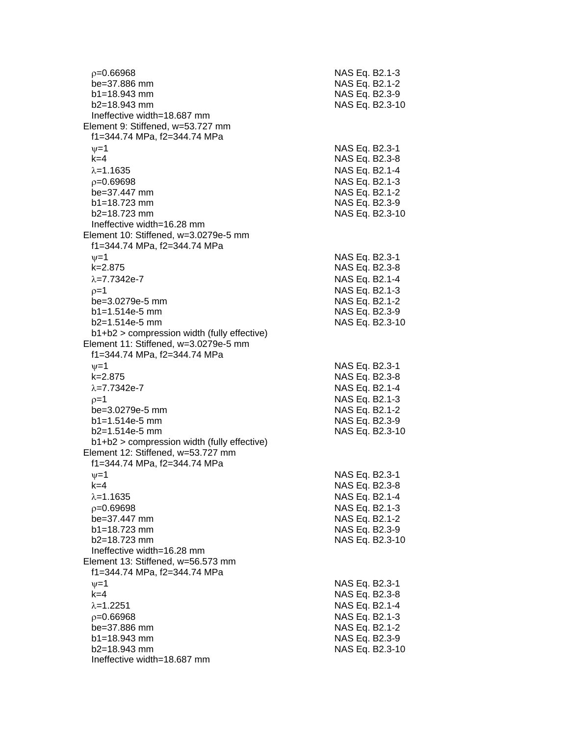| $p=0.66968$                                                                          | NAS Eq. B2.1-3  |  |  |
|--------------------------------------------------------------------------------------|-----------------|--|--|
| be=37.886 mm                                                                         | NAS Eq. B2.1-2  |  |  |
| $b1 = 18.943$ mm                                                                     | NAS Eq. B2.3-9  |  |  |
| b2=18.943 mm                                                                         | NAS Eq. B2.3-10 |  |  |
| Ineffective width=18.687 mm                                                          |                 |  |  |
| Element 9: Stiffened, w=53.727 mm                                                    |                 |  |  |
| f1=344.74 MPa, f2=344.74 MPa                                                         |                 |  |  |
| $\nu = 1$                                                                            | NAS Eq. B2.3-1  |  |  |
| $k=4$                                                                                | NAS Eq. B2.3-8  |  |  |
| $\lambda = 1.1635$                                                                   | NAS Eq. B2.1-4  |  |  |
| $p=0.69698$                                                                          | NAS Eq. B2.1-3  |  |  |
| be=37.447 mm                                                                         | NAS Eq. B2.1-2  |  |  |
| $b1 = 18.723$ mm                                                                     | NAS Eq. B2.3-9  |  |  |
| $b2 = 18.723$ mm                                                                     | NAS Eq. B2.3-10 |  |  |
| Ineffective width=16.28 mm                                                           |                 |  |  |
| Element 10: Stiffened, w=3.0279e-5 mm                                                |                 |  |  |
| f1=344.74 MPa, f2=344.74 MPa                                                         |                 |  |  |
| $\nu = 1$                                                                            | NAS Eq. B2.3-1  |  |  |
| $k = 2.875$                                                                          | NAS Eq. B2.3-8  |  |  |
| $\lambda = 7.7342e - 7$                                                              | NAS Eq. B2.1-4  |  |  |
| $p=1$                                                                                | NAS Eq. B2.1-3  |  |  |
| be=3.0279e-5 mm                                                                      | NAS Eq. B2.1-2  |  |  |
| $b1 = 1.514e-5$ mm                                                                   | NAS Eq. B2.3-9  |  |  |
| $b2=1.514e-5$ mm                                                                     | NAS Eq. B2.3-10 |  |  |
| b1+b2 > compression width (fully effective)<br>Element 11: Stiffened, w=3.0279e-5 mm |                 |  |  |
| f1=344.74 MPa, f2=344.74 MPa                                                         |                 |  |  |
| $\nu = 1$                                                                            | NAS Eq. B2.3-1  |  |  |
| k=2.875                                                                              | NAS Eq. B2.3-8  |  |  |
| $\lambda = 7.7342e - 7$                                                              | NAS Eq. B2.1-4  |  |  |
| $p=1$                                                                                | NAS Eq. B2.1-3  |  |  |
| be=3.0279e-5 mm                                                                      | NAS Eq. B2.1-2  |  |  |
| $b1 = 1.514e-5$ mm                                                                   | NAS Eq. B2.3-9  |  |  |
| $b2=1.514e-5$ mm                                                                     | NAS Eq. B2.3-10 |  |  |
| $b1+b2$ > compression width (fully effective)                                        |                 |  |  |
| Element 12: Stiffened, w=53.727 mm                                                   |                 |  |  |
| f1=344.74 MPa, f2=344.74 MPa                                                         |                 |  |  |
| $\nu = 1$                                                                            | NAS Eq. B2.3-1  |  |  |
| $k=4$                                                                                | NAS Eq. B2.3-8  |  |  |
| $\lambda = 1.1635$                                                                   | NAS Eq. B2.1-4  |  |  |
| $p=0.69698$                                                                          | NAS Eq. B2.1-3  |  |  |
| be=37.447 mm                                                                         | NAS Eq. B2.1-2  |  |  |
| $b1 = 18.723$ mm                                                                     | NAS Eq. B2.3-9  |  |  |
| b2=18.723 mm                                                                         | NAS Eq. B2.3-10 |  |  |
| Ineffective width=16.28 mm                                                           |                 |  |  |
| Element 13: Stiffened, w=56.573 mm                                                   |                 |  |  |
| f1=344.74 MPa, f2=344.74 MPa                                                         |                 |  |  |
| $\nu=1$                                                                              | NAS Eq. B2.3-1  |  |  |
| $k=4$                                                                                | NAS Eq. B2.3-8  |  |  |
| $\lambda = 1.2251$                                                                   | NAS Eq. B2.1-4  |  |  |
| $p = 0.66968$                                                                        | NAS Eq. B2.1-3  |  |  |
| be=37.886 mm                                                                         | NAS Eq. B2.1-2  |  |  |
| $b1 = 18.943$ mm<br>$b2 = 18.943$ mm                                                 | NAS Eq. B2.3-9  |  |  |
| Ineffective width=18.687 mm                                                          | NAS Eq. B2.3-10 |  |  |
|                                                                                      |                 |  |  |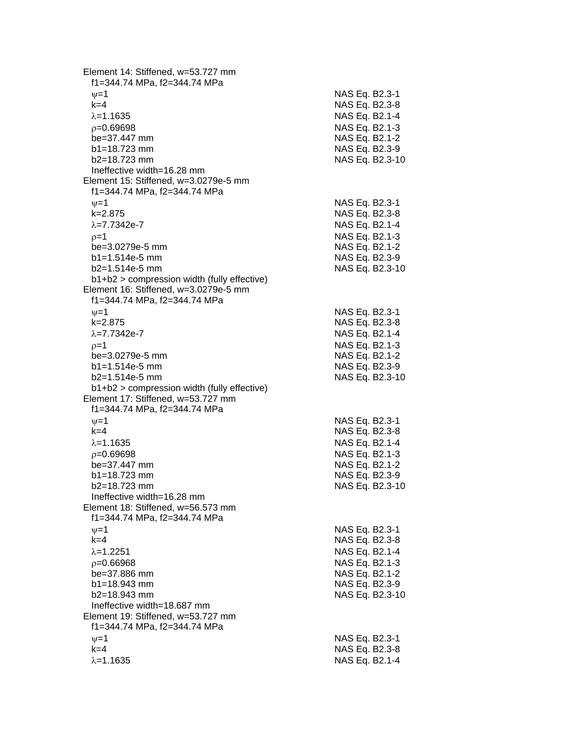Element 14: Stiffened, w=53.727 mm f1=344.74 MPa, f2=344.74 MPa  $\psi$ =1 NAS Eq. B2.3-1 k=4 NAS Eq. B2.3 - 8 =1.1635 NAS Eq. B2.1 - 4  $\rho$ =0.69698 NAS Eq. B2.1-3 be=37.447 mm  $b1 = 18.723$  mm  $b2=18.723$  mm NAS Eq. B2.3-10 Ineffective width=16.28 mm Element 15: Stiffened, w=3.0279e -5 mm f1=344.74 MPa, f2=344.74 MPa  $\nu$  =1 NAS Eq. B2.3-1 k=2.875 NAS Eq. B2.3 - 8 λ=7.7342e-7 NAS Eq. B2.1 - 4  $\rho=1$  NAS Eq. B2.1-3 be=3.0279e -5 mm NAS Eq. B2.1 - 2  $b1=1.514e-5$  mm -5 mm NAS Eq. B2.3 - 9 b2=1.514e -5 mm NAS Eq. B2.3 -10 b1+b2 > compression width (fully effective) Element 16: Stiffened, w=3.0279e -5 mm f1=344.74 MPa, f2=344.74 MPa  $\psi$ =1 NAS Eq. B2.3-1 k=2.875 NAS Eq. B2.3 - 8 λ=7.7342e-7 NAS Eq. B2.1 - 4  $\rho$ =1 NAS Eq. B2.1-3 be=3.0279e -5 mm NAS Eq. B2.1 - 2 b1=1.514e-5 mm -5 mm NAS Eq. B2.3 - 9 b2=1.514e -5 mm NAS Eq. B2.3 -10 b1+b2 > compression width (fully effective) Element 17: Stiffened, w=53.727 mm f1=344.74 MPa, f2=344.74 MPa  $\psi$ =1 NAS Eq. B2.3-1 k=4 NAS Eq. B2.3 - 8 =1.1635 NAS Eq. B2.1 - 4  $\rho$ =0.69698 NAS Eq. B2.1-3 be=37.447 mm  $b1 = 18.723$  mm  $b2=18.723$  mm NAS Eq. B2.3-10 Ineffective width=16.28 mm Element 18: Stiffened, w=56.573 mm f1=344.74 MPa, f2=344.74 MPa  $\nu$  =1 NAS Eq. B2.3-1 k=4 NAS Eq. B2.3 - 8 =1.2251 NAS Eq. B2.1 - 4  $\rho$ =0.66968 NAS Eq. B2.1-3 be=37.886 mm NAS Eq. B2.1-2  $b1 = 18.943$  mm  $b2=18.943$  mm NAS Eq. B2.3-10 Ineffective width=18.687 mm Element 19: Stiffened, w=53.727 mm f1=344.74 MPa, f2=344.74 MPa  $\psi$ =1 NAS Eq. B2.3-1 k=4 NAS Eq. B2.3 - 8 λ=1.1635 NAS Eq. B2.1-4

- 2

- 9

- 2

- 9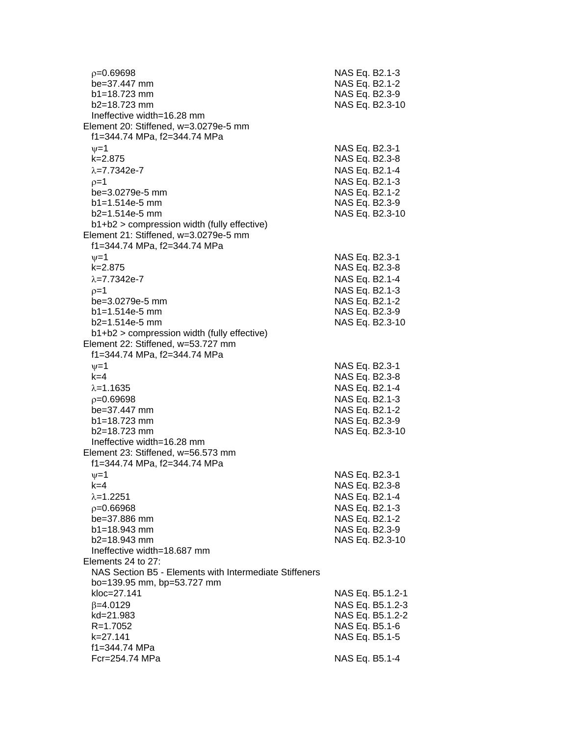| $p = 0.69698$<br>be=37.447 mm<br>$b1 = 18.723$ mm<br>$b2 = 18.723$ mm                                                                                                         | NAS Eq. B2.1-3<br>NAS Eq. B2.1-2<br>NAS Eq. B2.3-9<br>NAS Eq. B2.3-10                                                       |
|-------------------------------------------------------------------------------------------------------------------------------------------------------------------------------|-----------------------------------------------------------------------------------------------------------------------------|
| Ineffective width=16.28 mm<br>Element 20: Stiffened, w=3.0279e-5 mm<br>f1=344.74 MPa, f2=344.74 MPa                                                                           |                                                                                                                             |
| $\nu = 1$<br>$k = 2.875$<br>$\lambda = 7.7342e - 7$<br>$p=1$<br>be=3.0279e-5 mm<br>$b1 = 1.514e-5$ mm<br>$b2=1.514e-5$ mm<br>b1+b2 > compression width (fully effective)      | NAS Eq. B2.3-1<br>NAS Eq. B2.3-8<br>NAS Eq. B2.1-4<br>NAS Eq. B2.1-3<br>NAS Eq. B2.1-2<br>NAS Eq. B2.3-9<br>NAS Eq. B2.3-10 |
| Element 21: Stiffened, w=3.0279e-5 mm<br>f1=344.74 MPa, f2=344.74 MPa                                                                                                         |                                                                                                                             |
| $\nu = 1$<br>k=2.875<br>$\lambda = 7.7342e - 7$<br>$p=1$<br>be=3.0279e-5 mm<br>$b1 = 1.514e-5$ mm<br>$b2=1.514e-5$ mm<br>b1+b2 > compression width (fully effective)          | NAS Eq. B2.3-1<br>NAS Eq. B2.3-8<br>NAS Eq. B2.1-4<br>NAS Eq. B2.1-3<br>NAS Eq. B2.1-2<br>NAS Eq. B2.3-9<br>NAS Eq. B2.3-10 |
| Element 22: Stiffened, w=53.727 mm<br>f1=344.74 MPa, f2=344.74 MPa                                                                                                            |                                                                                                                             |
| $\nu = 1$<br>$k=4$<br>$\lambda = 1.1635$<br>$p=0.69698$<br>be=37.447 mm<br>$b1 = 18.723$ mm<br>$b2 = 18.723$ mm<br>Ineffective width=16.28 mm                                 | NAS Eq. B2.3-1<br>NAS Eq. B2.3-8<br>NAS Eq. B2.1-4<br>NAS Eq. B2.1-3<br>NAS Eq. B2.1-2<br>NAS Eq. B2.3-9<br>NAS Eq. B2.3-10 |
| Element 23: Stiffened, w=56.573 mm<br>f1=344.74 MPa, f2=344.74 MPa                                                                                                            |                                                                                                                             |
| $\nu = 1$<br>k=4<br>$\lambda = 1.2251$<br>$p=0.66968$<br>be=37.886 mm<br>b1=18.943 mm<br>b2=18.943 mm<br>Ineffective width=18.687 mm                                          | NAS Eq. B2.3-1<br>NAS Eq. B2.3-8<br>NAS Eq. B2.1-4<br>NAS Eq. B2.1-3<br>NAS Eq. B2.1-2<br>NAS Eq. B2.3-9<br>NAS Eq. B2.3-10 |
| Elements 24 to 27:                                                                                                                                                            |                                                                                                                             |
| NAS Section B5 - Elements with Intermediate Stiffeners<br>bo=139.95 mm, bp=53.727 mm<br>kloc=27.141<br>$\beta = 4.0129$<br>kd=21.983<br>R=1.7052<br>k=27.141<br>f1=344.74 MPa | NAS Eq. B5.1.2-1<br>NAS Eq. B5.1.2-3<br>NAS Eq. B5.1.2-2<br>NAS Eq. B5.1-6<br>NAS Eq. B5.1-5                                |
| Fcr=254.74 MPa                                                                                                                                                                | NAS Eq. B5.1-4                                                                                                              |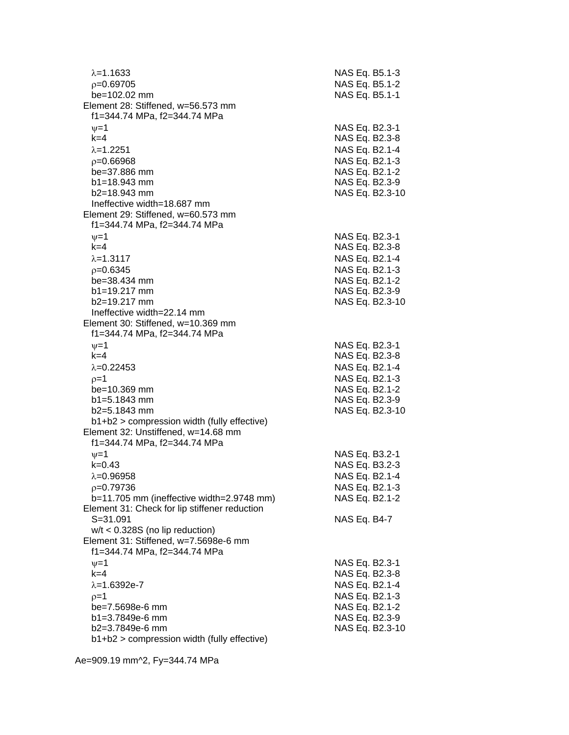| $\lambda = 1.1633$                                                         | NAS Eq. B5.1-3  |
|----------------------------------------------------------------------------|-----------------|
| p=0.69705                                                                  | NAS Eq. B5.1-2  |
| be=102.02 mm                                                               | NAS Eq. B5.1-1  |
| Element 28: Stiffened, w=56.573 mm<br>f1=344.74 MPa, f2=344.74 MPa         |                 |
| $\nu = 1$                                                                  | NAS Eq. B2.3-1  |
| $k=4$                                                                      | NAS Eq. B2.3-8  |
| $\lambda = 1.2251$                                                         | NAS Eq. B2.1-4  |
| $p = 0.66968$                                                              | NAS Eq. B2.1-3  |
| be=37.886 mm                                                               | NAS Eq. B2.1-2  |
| $b1 = 18.943$ mm                                                           | NAS Eq. B2.3-9  |
| b2=18.943 mm                                                               | NAS Eq. B2.3-10 |
| Ineffective width=18.687 mm                                                |                 |
| Element 29: Stiffened, w=60.573 mm                                         |                 |
| f1=344.74 MPa, f2=344.74 MPa                                               |                 |
| $\nu = 1$                                                                  | NAS Eq. B2.3-1  |
| $k=4$                                                                      | NAS Eq. B2.3-8  |
| $\lambda = 1.3117$                                                         | NAS Eq. B2.1-4  |
| $p=0.6345$                                                                 | NAS Eq. B2.1-3  |
| $be = 38.434$ mm                                                           | NAS Eq. B2.1-2  |
| $b1 = 19.217$ mm                                                           | NAS Eq. B2.3-9  |
| b2=19.217 mm                                                               | NAS Eq. B2.3-10 |
| Ineffective width=22.14 mm                                                 |                 |
| Element 30: Stiffened, w=10.369 mm                                         |                 |
| f1=344.74 MPa, f2=344.74 MPa                                               |                 |
| $\nu = 1$                                                                  | NAS Eq. B2.3-1  |
| $k=4$                                                                      | NAS Eq. B2.3-8  |
| $\lambda = 0.22453$                                                        | NAS Eq. B2.1-4  |
| $p=1$                                                                      | NAS Eq. B2.1-3  |
| be=10.369 mm                                                               | NAS Eq. B2.1-2  |
| b1=5.1843 mm                                                               | NAS Eq. B2.3-9  |
| $b2=5.1843$ mm                                                             | NAS Eq. B2.3-10 |
| b1+b2 > compression width (fully effective)                                |                 |
| Element 32: Unstiffened, w=14.68 mm                                        |                 |
| f1=344.74 MPa, f2=344.74 MPa                                               |                 |
| $\nu = 1$                                                                  | NAS Eq. B3.2-1  |
| $k = 0.43$                                                                 | NAS Eq. B3.2-3  |
| $\lambda = 0.96958$                                                        | NAS Eq. B2.1-4  |
|                                                                            |                 |
| $p=0.79736$                                                                | NAS Eq. B2.1-3  |
| b=11.705 mm (ineffective width=2.9748 mm)                                  | NAS Eq. B2.1-2  |
| Element 31: Check for lip stiffener reduction<br>$S = 31.091$              |                 |
|                                                                            | NAS Eq. B4-7    |
| $w/t < 0.328S$ (no lip reduction)<br>Element 31: Stiffened, w=7.5698e-6 mm |                 |
| f1=344.74 MPa, f2=344.74 MPa                                               |                 |
|                                                                            |                 |
| $\nu = 1$<br>$k=4$                                                         | NAS Eq. B2.3-1  |
|                                                                            | NAS Eq. B2.3-8  |
| $\lambda = 1.6392e - 7$                                                    | NAS Eq. B2.1-4  |
| $p=1$                                                                      | NAS Eq. B2.1-3  |
| be=7.5698e-6 mm                                                            | NAS Eq. B2.1-2  |
| b1=3.7849e-6 mm                                                            | NAS Eq. B2.3-9  |
| b2=3.7849e-6 mm                                                            | NAS Eq. B2.3-10 |
| b1+b2 > compression width (fully effective)                                |                 |

Ae=909.19 mm^2, Fy=344.74 MPa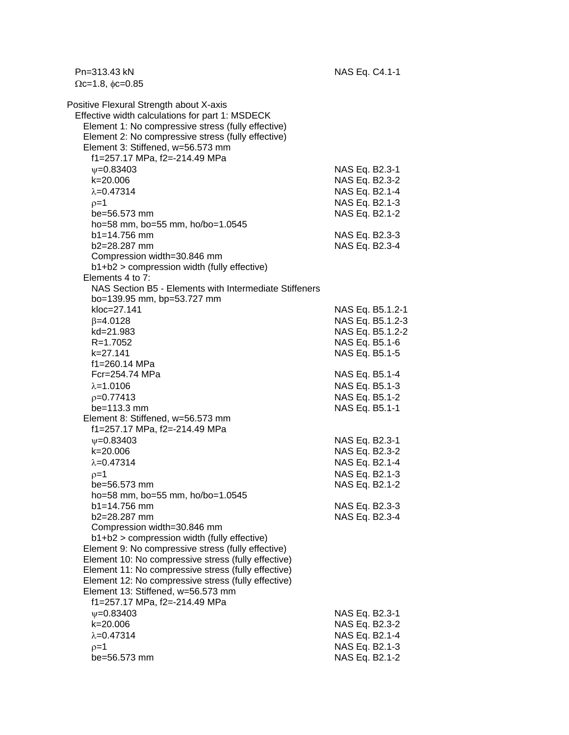Pn=313.43 kN NAS Eq. C4.1-1  $\Omega$ c=1.8,  $\phi$ c=0.85 Positive Flexural Strength about X-axis Effective width calculations for part 1: MSDECK Element 1: No compressive stress (fully effective) Element 2: No compressive stress (fully effective) Element 3: Stiffened, w=56.573 mm f1=257.17 MPa, f2=-214.49 MPa w=0.83403 NAS Eq. B2.3-1 k=20.006 NAS Eq. B2.3-2  $\lambda = 0.47314$  NAS Eq. B2.1-4  $\rho = 1$  NAS Eq. B2.1-3 be=56.573 mm NAS Eq. B2.1-2 ho=58 mm, bo=55 mm, ho/bo=1.0545 b1=14.756 mm NAS Eq. B2.3-3 b2=28.287 mm NAS Eq. B2.3-4 Compression width=30.846 mm b1+b2 > compression width (fully effective) Elements 4 to 7: NAS Section B5 - Elements with Intermediate Stiffeners bo=139.95 mm, bp=53.727 mm kloc=27.141 NAS Eq. B5.1.2-1  $\beta$ =4.0128 NAS Eq. B5.1.2-3 kd=21.983 NAS Eq. B5.1.2-2 R=1.7052 NAS Eq. B5.1-6 k=27.141 NAS Eq. B5.1-5 f1=260.14 MPa Fcr=254.74 MPa NAS Eq. B5.1-4  $\lambda$ =1.0106 NAS Eq. B5.1-3  $p=0.77413$  NAS Eq. B5.1-2 be=113.3 mm NAS Eq. B5.1-1 Element 8: Stiffened, w=56.573 mm f1=257.17 MPa, f2=-214.49 MPa  $\nu = 0.83403$  NAS Eq. B2.3-1 k=20.006 NAS Eq. B2.3-2  $\lambda$ =0.47314 NAS Eq. B2.1-4  $p=1$  NAS Eq. B2.1-3 be=56.573 mm NAS Eq. B2.1-2 ho=58 mm, bo=55 mm, ho/bo=1.0545 b1=14.756 mm NAS Eq. B2.3-3 b2=28.287 mm NAS Eq. B2.3-4 Compression width=30.846 mm b1+b2 > compression width (fully effective) Element 9: No compressive stress (fully effective) Element 10: No compressive stress (fully effective) Element 11: No compressive stress (fully effective) Element 12: No compressive stress (fully effective) Element 13: Stiffened, w=56.573 mm f1=257.17 MPa, f2=-214.49 MPa  $\nu$ =0.83403 NAS Eq. B2.3-1 k=20.006 NAS Eq. B2.3-2  $\lambda = 0.47314$  NAS Eq. B2.1-4  $\rho = 1$  NAS Eq. B2.1-3 be=56.573 mm NAS Eq. B2.1-2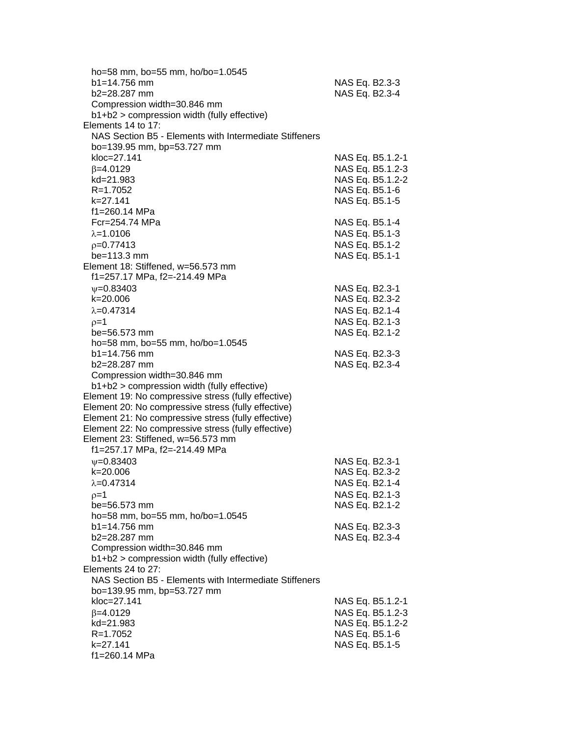| ho=58 mm, bo=55 mm, ho/bo=1.0545                                  |                  |
|-------------------------------------------------------------------|------------------|
| b1=14.756 mm                                                      | NAS Eq. B2.3-3   |
| b2=28.287 mm                                                      | NAS Eq. B2.3-4   |
| Compression width=30.846 mm                                       |                  |
| b1+b2 > compression width (fully effective)                       |                  |
| Elements 14 to 17:                                                |                  |
| NAS Section B5 - Elements with Intermediate Stiffeners            |                  |
| bo=139.95 mm, bp=53.727 mm                                        |                  |
| kloc=27.141                                                       | NAS Eq. B5.1.2-1 |
| $\beta = 4.0129$                                                  | NAS Eq. B5.1.2-3 |
| kd=21.983                                                         | NAS Eq. B5.1.2-2 |
| $R = 1.7052$                                                      | NAS Eq. B5.1-6   |
| k=27.141                                                          | NAS Eq. B5.1-5   |
| f1=260.14 MPa                                                     |                  |
| Fcr=254.74 MPa                                                    | NAS Eq. B5.1-4   |
| $\lambda = 1.0106$                                                | NAS Eq. B5.1-3   |
| $p=0.77413$                                                       | NAS Eq. B5.1-2   |
| $be = 113.3$ mm                                                   | NAS Eq. B5.1-1   |
| Element 18: Stiffened, w=56.573 mm                                |                  |
| f1=257.17 MPa, f2=-214.49 MPa                                     |                  |
| $\psi = 0.83403$                                                  | NAS Eq. B2.3-1   |
| k=20.006                                                          | NAS Eq. B2.3-2   |
| $\lambda = 0.47314$                                               | NAS Eq. B2.1-4   |
| $p=1$                                                             | NAS Eq. B2.1-3   |
| be=56.573 mm                                                      | NAS Eq. B2.1-2   |
| ho=58 mm, bo=55 mm, ho/bo=1.0545                                  |                  |
| $b1 = 14.756$ mm                                                  | NAS Eq. B2.3-3   |
| b2=28.287 mm                                                      | NAS Eq. B2.3-4   |
| Compression width=30.846 mm                                       |                  |
| b1+b2 > compression width (fully effective)                       |                  |
| Element 19: No compressive stress (fully effective)               |                  |
| Element 20: No compressive stress (fully effective)               |                  |
| Element 21: No compressive stress (fully effective)               |                  |
| Element 22: No compressive stress (fully effective)               |                  |
| Element 23: Stiffened, w=56.573 mm                                |                  |
| f1=257.17 MPa, f2=-214.49 MPa                                     |                  |
| $V = 0.83403$                                                     | NAS Eq. B2.3-1   |
| k=20.006                                                          | NAS Eq. B2.3-2   |
| $\lambda = 0.47314$                                               | NAS Eq. B2.1-4   |
| $p=1$                                                             | NAS Eq. B2.1-3   |
| be=56.573 mm                                                      | NAS Eq. B2.1-2   |
| ho=58 mm, bo=55 mm, ho/bo=1.0545                                  |                  |
| $b1 = 14.756$ mm                                                  | NAS Eq. B2.3-3   |
| b2=28.287 mm                                                      | NAS Eq. B2.3-4   |
| Compression width=30.846 mm                                       |                  |
| b1+b2 > compression width (fully effective)<br>Elements 24 to 27: |                  |
| NAS Section B5 - Elements with Intermediate Stiffeners            |                  |
| bo=139.95 mm, bp=53.727 mm                                        |                  |
| kloc=27.141                                                       | NAS Eq. B5.1.2-1 |
| $\beta = 4.0129$                                                  | NAS Eq. B5.1.2-3 |
| kd=21.983                                                         | NAS Eq. B5.1.2-2 |
| R=1.7052                                                          | NAS Eq. B5.1-6   |
| k=27.141                                                          | NAS Eq. B5.1-5   |
| f1=260.14 MPa                                                     |                  |
|                                                                   |                  |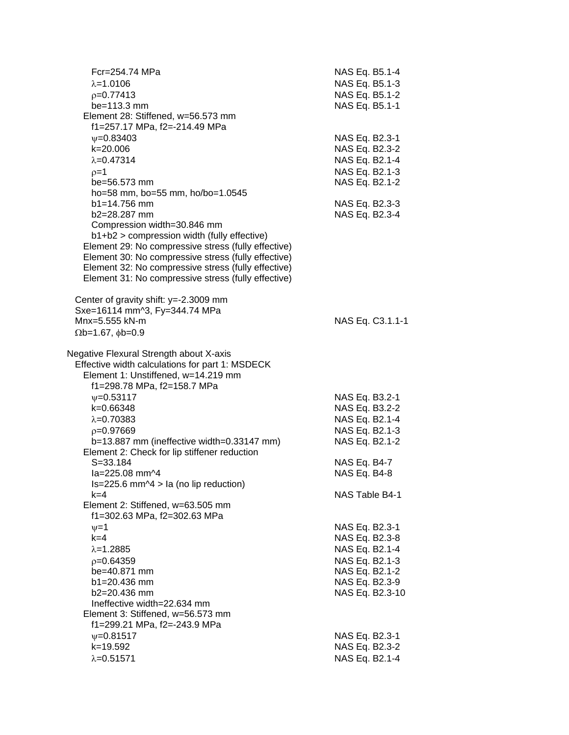| Fcr=254.74 MPa                                      | NAS Eq. B5.1-4   |
|-----------------------------------------------------|------------------|
| $\lambda = 1.0106$                                  | NAS Eq. B5.1-3   |
| $p=0.77413$                                         | NAS Eq. B5.1-2   |
| be=113.3 mm                                         | NAS Eq. B5.1-1   |
| Element 28: Stiffened, w=56.573 mm                  |                  |
| f1=257.17 MPa, f2=-214.49 MPa                       |                  |
| $V = 0.83403$                                       | NAS Eq. B2.3-1   |
| k=20.006                                            | NAS Eq. B2.3-2   |
| $\lambda = 0.47314$                                 | NAS Eq. B2.1-4   |
| $p=1$                                               | NAS Eq. B2.1-3   |
| be=56.573 mm                                        | NAS Eq. B2.1-2   |
| ho=58 mm, bo=55 mm, ho/bo=1.0545                    |                  |
| $b1 = 14.756$ mm                                    | NAS Eq. B2.3-3   |
| b2=28.287 mm                                        | NAS Eq. B2.3-4   |
| Compression width=30.846 mm                         |                  |
| b1+b2 > compression width (fully effective)         |                  |
| Element 29: No compressive stress (fully effective) |                  |
| Element 30: No compressive stress (fully effective) |                  |
| Element 32: No compressive stress (fully effective) |                  |
| Element 31: No compressive stress (fully effective) |                  |
| Center of gravity shift: y=-2.3009 mm               |                  |
| Sxe=16114 mm^3, Fy=344.74 MPa                       |                  |
| Mnx=5.555 kN-m                                      | NAS Eq. C3.1.1-1 |
| $\Omega$ b=1.67, $\phi$ b=0.9                       |                  |
| Negative Flexural Strength about X-axis             |                  |
| Effective width calculations for part 1: MSDECK     |                  |
| Element 1: Unstiffened, w=14.219 mm                 |                  |
| f1=298.78 MPa, f2=158.7 MPa                         |                  |
| $\psi = 0.53117$                                    | NAS Eq. B3.2-1   |
| k=0.66348                                           | NAS Eq. B3.2-2   |
| $\lambda = 0.70383$                                 | NAS Eq. B2.1-4   |
| $p=0.97669$                                         | NAS Eq. B2.1-3   |
| $b=13.887$ mm (ineffective width=0.33147 mm)        | NAS Eq. B2.1-2   |
| Element 2: Check for lip stiffener reduction        |                  |
| $S = 33.184$                                        | NAS Eq. B4-7     |
| la=225.08 mm^4                                      | NAS Eq. B4-8     |
| Is=225.6 mm^4 > la (no lip reduction)               |                  |
| k=4                                                 | NAS Table B4-1   |
| Element 2: Stiffened, w=63.505 mm                   |                  |
| f1=302.63 MPa, f2=302.63 MPa                        |                  |
| $\nu = 1$                                           | NAS Eq. B2.3-1   |
| $k=4$                                               | NAS Eq. B2.3-8   |
| $\lambda = 1.2885$                                  | NAS Eq. B2.1-4   |
| $p=0.64359$                                         | NAS Eq. B2.1-3   |
| be=40.871 mm                                        | NAS Eq. B2.1-2   |
| $b1 = 20.436$ mm                                    | NAS Eq. B2.3-9   |
| b2=20.436 mm                                        | NAS Eq. B2.3-10  |
| Ineffective width=22.634 mm                         |                  |
| Element 3: Stiffened, w=56.573 mm                   |                  |
| f1=299.21 MPa, f2=-243.9 MPa                        |                  |
| $\psi = 0.81517$                                    | NAS Eq. B2.3-1   |
| k=19.592                                            | NAS Eq. B2.3-2   |
| $\lambda = 0.51571$                                 | NAS Eq. B2.1-4   |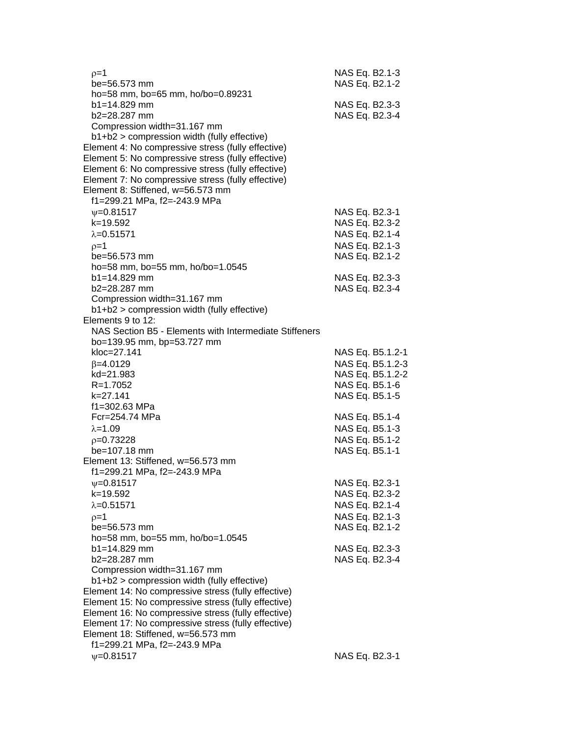| $p=1$<br>be=56.573 mm                                                                                      |  | NAS Eq. B2.1-3<br>NAS Eq. B2.1-2 |  |
|------------------------------------------------------------------------------------------------------------|--|----------------------------------|--|
| ho=58 mm, bo=65 mm, ho/bo=0.89231<br>b1=14.829 mm<br>b2=28.287 mm                                          |  | NAS Eq. B2.3-3<br>NAS Eq. B2.3-4 |  |
| Compression width=31.167 mm                                                                                |  |                                  |  |
| b1+b2 > compression width (fully effective)                                                                |  |                                  |  |
| Element 4: No compressive stress (fully effective)                                                         |  |                                  |  |
| Element 5: No compressive stress (fully effective)                                                         |  |                                  |  |
| Element 6: No compressive stress (fully effective)<br>Element 7: No compressive stress (fully effective)   |  |                                  |  |
| Element 8: Stiffened, w=56.573 mm                                                                          |  |                                  |  |
| f1=299.21 MPa, f2=-243.9 MPa                                                                               |  |                                  |  |
| $\psi = 0.81517$                                                                                           |  | NAS Eq. B2.3-1                   |  |
| k=19.592                                                                                                   |  | NAS Eq. B2.3-2                   |  |
| $\lambda = 0.51571$                                                                                        |  | NAS Eq. B2.1-4                   |  |
| $p=1$                                                                                                      |  | NAS Eq. B2.1-3                   |  |
| be=56.573 mm                                                                                               |  | NAS Eq. B2.1-2                   |  |
| ho=58 mm, bo=55 mm, ho/bo=1.0545                                                                           |  |                                  |  |
| $b1 = 14.829$ mm                                                                                           |  | NAS Eq. B2.3-3                   |  |
| b2=28.287 mm                                                                                               |  | NAS Eq. B2.3-4                   |  |
| Compression width=31.167 mm                                                                                |  |                                  |  |
| b1+b2 > compression width (fully effective)                                                                |  |                                  |  |
| Elements 9 to 12:                                                                                          |  |                                  |  |
| NAS Section B5 - Elements with Intermediate Stiffeners                                                     |  |                                  |  |
| bo=139.95 mm, bp=53.727 mm                                                                                 |  |                                  |  |
| kloc=27.141                                                                                                |  | NAS Eq. B5.1.2-1                 |  |
| $\beta = 4.0129$                                                                                           |  | NAS Eq. B5.1.2-3                 |  |
| kd=21.983                                                                                                  |  | NAS Eq. B5.1.2-2                 |  |
| R=1.7052                                                                                                   |  | NAS Eq. B5.1-6                   |  |
| k=27.141<br>f1=302.63 MPa                                                                                  |  | NAS Eq. B5.1-5                   |  |
| Fcr=254.74 MPa                                                                                             |  | NAS Eq. B5.1-4                   |  |
| $\lambda = 1.09$                                                                                           |  | NAS Eq. B5.1-3                   |  |
| $p=0.73228$                                                                                                |  | NAS Eq. B5.1-2                   |  |
| be=107.18 mm                                                                                               |  | NAS Eq. B5.1-1                   |  |
| Element 13: Stiffened, w=56.573 mm                                                                         |  |                                  |  |
| f1=299.21 MPa, f2=-243.9 MPa                                                                               |  |                                  |  |
| $V = 0.81517$                                                                                              |  | NAS Eq. B2.3-1                   |  |
| k=19.592                                                                                                   |  | NAS Eq. B2.3-2                   |  |
| $\lambda = 0.51571$                                                                                        |  | NAS Eq. B2.1-4                   |  |
| $p=1$                                                                                                      |  | NAS Eq. B2.1-3                   |  |
| be=56.573 mm                                                                                               |  | NAS Eq. B2.1-2                   |  |
| ho=58 mm, bo=55 mm, ho/bo=1.0545                                                                           |  |                                  |  |
| $b1 = 14.829$ mm                                                                                           |  | NAS Eq. B2.3-3                   |  |
| b2=28.287 mm                                                                                               |  | NAS Eq. B2.3-4                   |  |
| Compression width=31.167 mm                                                                                |  |                                  |  |
| b1+b2 > compression width (fully effective)                                                                |  |                                  |  |
| Element 14: No compressive stress (fully effective)<br>Element 15: No compressive stress (fully effective) |  |                                  |  |
| Element 16: No compressive stress (fully effective)                                                        |  |                                  |  |
| Element 17: No compressive stress (fully effective)                                                        |  |                                  |  |
| Element 18: Stiffened, w=56.573 mm                                                                         |  |                                  |  |
| f1=299.21 MPa, f2=-243.9 MPa                                                                               |  |                                  |  |
| $\nu = 0.81517$                                                                                            |  | NAS Eq. B2.3-1                   |  |
|                                                                                                            |  |                                  |  |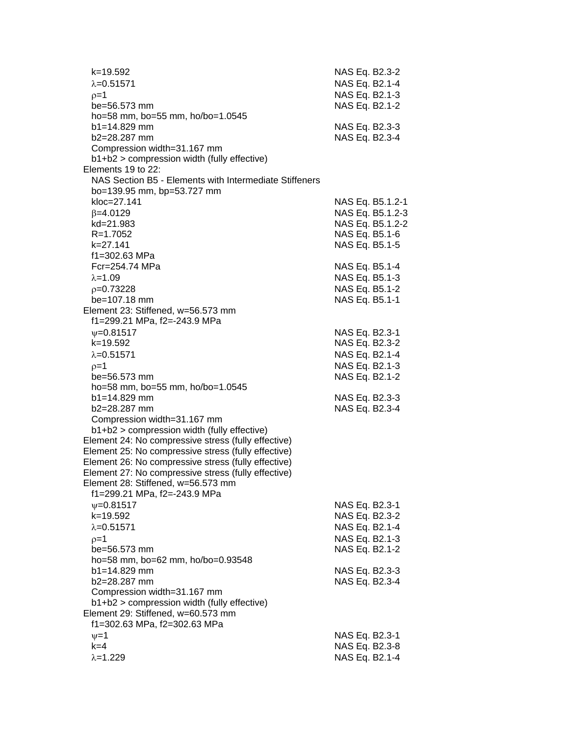| k=19.592<br>$\lambda = 0.51571$                                                           | NAS Eq. B2.3-2<br>NAS Eq. B2.1-4 |
|-------------------------------------------------------------------------------------------|----------------------------------|
| $p=1$<br>$be = 56.573$ mm                                                                 | NAS Eq. B2.1-3<br>NAS Eq. B2.1-2 |
| ho=58 mm, bo=55 mm, ho/bo=1.0545                                                          |                                  |
| b1=14.829 mm                                                                              | NAS Eq. B2.3-3                   |
| $b2 = 28.287$ mm                                                                          | NAS Eq. B2.3-4                   |
| Compression width=31.167 mm                                                               |                                  |
| b1+b2 > compression width (fully effective)<br>Elements 19 to 22:                         |                                  |
| NAS Section B5 - Elements with Intermediate Stiffeners                                    |                                  |
| bo=139.95 mm, bp=53.727 mm                                                                |                                  |
| kloc=27.141                                                                               | NAS Eq. B5.1.2-1                 |
| $\beta = 4.0129$                                                                          | NAS Eq. B5.1.2-3                 |
| kd=21.983                                                                                 | NAS Eq. B5.1.2-2                 |
| $R = 1.7052$                                                                              | NAS Eq. B5.1-6                   |
| k=27.141                                                                                  | NAS Eq. B5.1-5                   |
| f1=302.63 MPa                                                                             |                                  |
| Fcr=254.74 MPa<br>$\lambda = 1.09$                                                        | NAS Eq. B5.1-4                   |
| $p=0.73228$                                                                               | NAS Eq. B5.1-3<br>NAS Eq. B5.1-2 |
| be=107.18 mm                                                                              | NAS Eq. B5.1-1                   |
| Element 23: Stiffened, w=56.573 mm                                                        |                                  |
| f1=299.21 MPa, f2=-243.9 MPa                                                              |                                  |
| $V = 0.81517$                                                                             | NAS Eq. B2.3-1                   |
| k=19.592                                                                                  | NAS Eq. B2.3-2                   |
| $\lambda = 0.51571$                                                                       | NAS Eq. B2.1-4                   |
| $p=1$                                                                                     | NAS Eq. B2.1-3                   |
| be=56.573 mm                                                                              | NAS Eq. B2.1-2                   |
| ho=58 mm, bo=55 mm, ho/bo=1.0545<br>$b1 = 14.829$ mm                                      | NAS Eq. B2.3-3                   |
| b2=28.287 mm                                                                              | NAS Eq. B2.3-4                   |
| Compression width=31.167 mm                                                               |                                  |
| b1+b2 > compression width (fully effective)                                               |                                  |
| Element 24: No compressive stress (fully effective)                                       |                                  |
| Element 25: No compressive stress (fully effective)                                       |                                  |
| Element 26: No compressive stress (fully effective)                                       |                                  |
| Element 27: No compressive stress (fully effective)<br>Element 28: Stiffened, w=56.573 mm |                                  |
| f1=299.21 MPa, f2=-243.9 MPa                                                              |                                  |
| $\psi = 0.81517$                                                                          | NAS Eq. B2.3-1                   |
| k=19.592                                                                                  | NAS Eq. B2.3-2                   |
| $\lambda = 0.51571$                                                                       | NAS Eq. B2.1-4                   |
| $p=1$                                                                                     | NAS Eq. B2.1-3                   |
| be=56.573 mm                                                                              | NAS Eq. B2.1-2                   |
| ho=58 mm, bo=62 mm, ho/bo=0.93548                                                         |                                  |
| b1=14.829 mm                                                                              | NAS Eq. B2.3-3                   |
| b2=28.287 mm<br>Compression width=31.167 mm                                               | NAS Eq. B2.3-4                   |
| b1+b2 > compression width (fully effective)                                               |                                  |
| Element 29: Stiffened, w=60.573 mm                                                        |                                  |
| f1=302.63 MPa, f2=302.63 MPa                                                              |                                  |
| $\nu = 1$                                                                                 | NAS Eq. B2.3-1                   |
| $k = 4$                                                                                   | NAS Eq. B2.3-8                   |
| $\lambda = 1.229$                                                                         | NAS Eq. B2.1-4                   |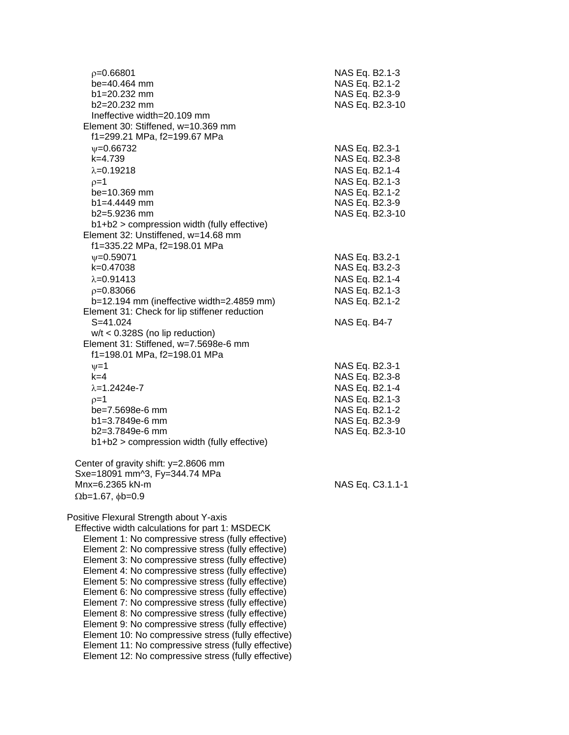| $p = 0.66801$<br>be=40.464 mm<br>$b1 = 20.232$ mm<br>$b2 = 20.232$ mm<br>Ineffective width=20.109 mm       | NAS Eq. B2.1-3<br>NAS Eq. B2.1-2<br>NAS Eq. B2.3-9<br>NAS Eq. B2.3-10 |
|------------------------------------------------------------------------------------------------------------|-----------------------------------------------------------------------|
| Element 30: Stiffened, w=10.369 mm<br>f1=299.21 MPa, f2=199.67 MPa                                         |                                                                       |
| $\nu = 0.66732$                                                                                            | NAS Eq. B2.3-1                                                        |
| $k=4.739$<br>$\lambda = 0.19218$                                                                           | NAS Eq. B2.3-8                                                        |
| $p=1$                                                                                                      | NAS Eq. B2.1-4<br>NAS Eq. B2.1-3                                      |
| be=10.369 mm                                                                                               | NAS Eq. B2.1-2                                                        |
| $b1 = 4.4449$ mm                                                                                           | NAS Eq. B2.3-9                                                        |
| b2=5.9236 mm                                                                                               | NAS Eq. B2.3-10                                                       |
| b1+b2 > compression width (fully effective)                                                                |                                                                       |
| Element 32: Unstiffened, w=14.68 mm                                                                        |                                                                       |
| f1=335.22 MPa, f2=198.01 MPa<br>$\nu = 0.59071$                                                            | NAS Eq. B3.2-1                                                        |
| k=0.47038                                                                                                  | NAS Eq. B3.2-3                                                        |
| $\lambda = 0.91413$                                                                                        | NAS Eq. B2.1-4                                                        |
| $p=0.83066$                                                                                                | NAS Eq. B2.1-3                                                        |
| b=12.194 mm (ineffective width=2.4859 mm)                                                                  | NAS Eq. B2.1-2                                                        |
| Element 31: Check for lip stiffener reduction                                                              |                                                                       |
| $S = 41.024$                                                                                               | NAS Eq. B4-7                                                          |
| $w/t < 0.328S$ (no lip reduction)<br>Element 31: Stiffened, w=7.5698e-6 mm<br>f1=198.01 MPa, f2=198.01 MPa |                                                                       |
| $v = 1$                                                                                                    | NAS Eq. B2.3-1                                                        |
| $k=4$                                                                                                      | NAS Eq. B2.3-8                                                        |
| $\lambda = 1.2424e - 7$                                                                                    | NAS Eq. B2.1-4                                                        |
| $p=1$                                                                                                      | NAS Eq. B2.1-3                                                        |
| be=7.5698e-6 mm<br>b1=3.7849e-6 mm                                                                         | NAS Eq. B2.1-2                                                        |
| $b2=3.7849e-6$ mm                                                                                          | NAS Eq. B2.3-9<br>NAS Eq. B2.3-10                                     |
| b1+b2 > compression width (fully effective)                                                                |                                                                       |
| Center of gravity shift: y=2.8606 mm                                                                       |                                                                       |
| Sxe=18091 mm^3, Fy=344.74 MPa                                                                              |                                                                       |
| Mnx=6.2365 kN-m                                                                                            | NAS Eq. C3.1.1-1                                                      |
| $\Omega$ b=1.67, $\phi$ b=0.9                                                                              |                                                                       |
| Positive Flexural Strength about Y-axis<br>Effective width calculations for part 1: MSDECK                 |                                                                       |
| Element 1: No compressive stress (fully effective)                                                         |                                                                       |
| Element 2: No compressive stress (fully effective)                                                         |                                                                       |
| Element 3: No compressive stress (fully effective)                                                         |                                                                       |
| Element 4: No compressive stress (fully effective)                                                         |                                                                       |
| Element 5: No compressive stress (fully effective)<br>Element 6: No compressive stress (fully effective)   |                                                                       |
| Element 7: No compressive stress (fully effective)                                                         |                                                                       |
| Element 8: No compressive stress (fully effective)                                                         |                                                                       |
| Element 9: No compressive stress (fully effective)                                                         |                                                                       |
| Element 10: No compressive stress (fully effective)                                                        |                                                                       |
| Element 11: No compressive stress (fully effective)                                                        |                                                                       |
| Element 12: No compressive stress (fully effective)                                                        |                                                                       |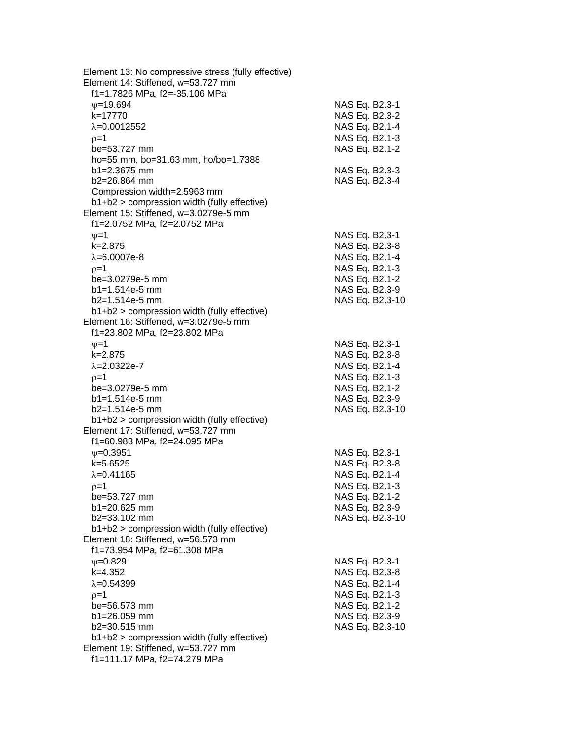|                         | Element 13: No compressive stress (fully effective)<br>Element 14: Stiffened, w=53.727 mm<br>f1=1.7826 MPa, f2=-35.106 MPa |                 |
|-------------------------|----------------------------------------------------------------------------------------------------------------------------|-----------------|
| $\nu = 19.694$          |                                                                                                                            | NAS Eq. B2.3-1  |
| k=17770                 |                                                                                                                            | NAS Eq. B2.3-2  |
| $\lambda = 0.0012552$   |                                                                                                                            | NAS Eq. B2.1-4  |
| $p=1$                   |                                                                                                                            | NAS Eq. B2.1-3  |
| be=53.727 mm            |                                                                                                                            | NAS Eq. B2.1-2  |
|                         | ho=55 mm, bo=31.63 mm, ho/bo=1.7388                                                                                        |                 |
| $b1 = 2.3675$ mm        |                                                                                                                            | NAS Eq. B2.3-3  |
| $b2 = 26.864$ mm        |                                                                                                                            | NAS Eq. B2.3-4  |
|                         | Compression width=2.5963 mm                                                                                                |                 |
|                         | b1+b2 > compression width (fully effective)                                                                                |                 |
|                         | Element 15: Stiffened, w=3.0279e-5 mm                                                                                      |                 |
|                         | f1=2.0752 MPa, f2=2.0752 MPa                                                                                               |                 |
| $\nu = 1$               |                                                                                                                            | NAS Eq. B2.3-1  |
| $k = 2.875$             |                                                                                                                            | NAS Eq. B2.3-8  |
| $\lambda = 6.0007e-8$   |                                                                                                                            | NAS Eq. B2.1-4  |
| $p=1$                   |                                                                                                                            | NAS Eq. B2.1-3  |
| be=3.0279e-5 mm         |                                                                                                                            | NAS Eq. B2.1-2  |
| $b1 = 1.514e-5$ mm      |                                                                                                                            | NAS Eq. B2.3-9  |
| $b2=1.514e-5$ mm        |                                                                                                                            | NAS Eq. B2.3-10 |
|                         | b1+b2 > compression width (fully effective)<br>Element 16: Stiffened, w=3.0279e-5 mm<br>f1=23.802 MPa, f2=23.802 MPa       |                 |
| $\nu = 1$               |                                                                                                                            | NAS Eq. B2.3-1  |
| $k = 2.875$             |                                                                                                                            | NAS Eq. B2.3-8  |
| $\lambda = 2.0322e - 7$ |                                                                                                                            | NAS Eq. B2.1-4  |
| $p=1$                   |                                                                                                                            | NAS Eq. B2.1-3  |
| be=3.0279e-5 mm         |                                                                                                                            | NAS Eq. B2.1-2  |
| $b1 = 1.514e-5$ mm      |                                                                                                                            | NAS Eq. B2.3-9  |
| $b2=1.514e-5$ mm        |                                                                                                                            | NAS Eq. B2.3-10 |
|                         | b1+b2 > compression width (fully effective)                                                                                |                 |
|                         | Element 17: Stiffened, w=53.727 mm                                                                                         |                 |
|                         | f1=60.983 MPa, f2=24.095 MPa                                                                                               |                 |
| $V = 0.3951$            |                                                                                                                            | NAS Eq. B2.3-1  |
| $k = 5.6525$            |                                                                                                                            | NAS Eq. B2.3-8  |
| $\lambda = 0.41165$     |                                                                                                                            | NAS Eq. B2.1-4  |
| $p=1$                   |                                                                                                                            | NAS Eq. B2.1-3  |
| be=53.727 mm            |                                                                                                                            | NAS Eq. B2.1-2  |
| $b1 = 20.625$ mm        |                                                                                                                            | NAS Eq. B2.3-9  |
| b2=33.102 mm            |                                                                                                                            | NAS Eq. B2.3-10 |
|                         | b1+b2 > compression width (fully effective)                                                                                |                 |
|                         | Element 18: Stiffened, w=56.573 mm                                                                                         |                 |
|                         | f1=73.954 MPa, f2=61.308 MPa                                                                                               |                 |
| $V = 0.829$             |                                                                                                                            | NAS Eq. B2.3-1  |
| $k=4.352$               |                                                                                                                            | NAS Eq. B2.3-8  |
| $\lambda = 0.54399$     |                                                                                                                            | NAS Eq. B2.1-4  |
| $p=1$                   |                                                                                                                            | NAS Eq. B2.1-3  |
| be=56.573 mm            |                                                                                                                            | NAS Eq. B2.1-2  |
| $b1 = 26.059$ mm        |                                                                                                                            | NAS Eq. B2.3-9  |
| $b2 = 30.515$ mm        | b1+b2 > compression width (fully effective)                                                                                | NAS Eq. B2.3-10 |
|                         | Element 19: Stiffened, w=53.727 mm                                                                                         |                 |
|                         | f1=111.17 MPa, f2=74.279 MPa                                                                                               |                 |
|                         |                                                                                                                            |                 |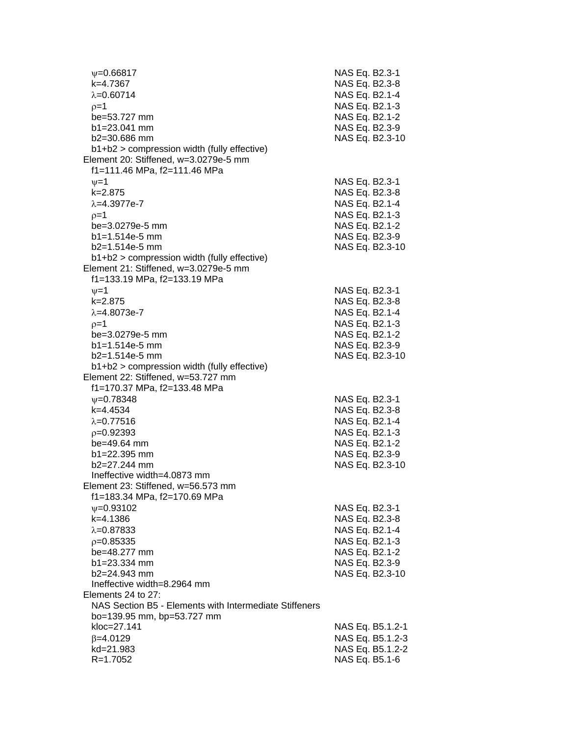| $\psi = 0.66817$<br>k=4.7367                           | NAS Eq. B2.3-1<br>NAS Eq. B2.3-8 |                  |
|--------------------------------------------------------|----------------------------------|------------------|
| $\lambda = 0.60714$                                    | NAS Eq. B2.1-4                   |                  |
| $p=1$                                                  | NAS Eq. B2.1-3                   |                  |
| be=53.727 mm                                           | NAS Eq. B2.1-2                   |                  |
| $b1 = 23.041$ mm                                       | NAS Eq. B2.3-9                   |                  |
| b2=30.686 mm                                           |                                  | NAS Eq. B2.3-10  |
| b1+b2 > compression width (fully effective)            |                                  |                  |
| Element 20: Stiffened, w=3.0279e-5 mm                  |                                  |                  |
| f1=111.46 MPa, f2=111.46 MPa                           |                                  |                  |
| $\nu = 1$                                              | NAS Eq. B2.3-1                   |                  |
| $k = 2.875$                                            | NAS Eq. B2.3-8                   |                  |
| $\lambda = 4.3977e - 7$                                | NAS Eq. B2.1-4                   |                  |
| $p=1$                                                  | NAS Eq. B2.1-3                   |                  |
| be=3.0279e-5 mm                                        | NAS Eq. B2.1-2                   |                  |
| $b1 = 1.514e-5$ mm                                     | NAS Eq. B2.3-9                   |                  |
| b2=1.514e-5 mm                                         |                                  | NAS Eq. B2.3-10  |
| b1+b2 > compression width (fully effective)            |                                  |                  |
| Element 21: Stiffened, w=3.0279e-5 mm                  |                                  |                  |
| f1=133.19 MPa, f2=133.19 MPa                           |                                  |                  |
| $\nu = 1$                                              | NAS Eq. B2.3-1                   |                  |
| $k = 2.875$                                            | NAS Eq. B2.3-8                   |                  |
| $\lambda = 4.8073e-7$                                  | NAS Eq. B2.1-4                   |                  |
|                                                        | NAS Eq. B2.1-3                   |                  |
| $p=1$<br>be=3.0279e-5 mm                               | NAS Eq. B2.1-2                   |                  |
| $b1 = 1.514e-5$ mm                                     | NAS Eq. B2.3-9                   |                  |
| $b2=1.514e-5$ mm                                       |                                  | NAS Eq. B2.3-10  |
| b1+b2 > compression width (fully effective)            |                                  |                  |
| Element 22: Stiffened, w=53.727 mm                     |                                  |                  |
| f1=170.37 MPa, f2=133.48 MPa                           |                                  |                  |
| $\psi = 0.78348$                                       | NAS Eq. B2.3-1                   |                  |
| k=4.4534                                               | NAS Eq. B2.3-8                   |                  |
| $\lambda = 0.77516$                                    | NAS Eq. B2.1-4                   |                  |
| $p=0.92393$                                            | NAS Eq. B2.1-3                   |                  |
| be=49.64 mm                                            | NAS Eq. B2.1-2                   |                  |
| b1=22.395 mm                                           | NAS Eq. B2.3-9                   |                  |
| b2=27.244 mm                                           |                                  | NAS Eq. B2.3-10  |
| Ineffective width=4.0873 mm                            |                                  |                  |
| Element 23: Stiffened, w=56.573 mm                     |                                  |                  |
| f1=183.34 MPa, f2=170.69 MPa                           |                                  |                  |
| $\psi = 0.93102$                                       | NAS Eq. B2.3-1                   |                  |
| k=4.1386                                               | NAS Eq. B2.3-8                   |                  |
| $\lambda = 0.87833$                                    | NAS Eq. B2.1-4                   |                  |
| $p=0.85335$                                            | NAS Eq. B2.1-3                   |                  |
| be=48.277 mm                                           | NAS Eq. B2.1-2                   |                  |
| $b1 = 23.334$ mm                                       | NAS Eq. B2.3-9                   |                  |
| b2=24.943 mm                                           |                                  | NAS Eq. B2.3-10  |
| Ineffective width=8.2964 mm                            |                                  |                  |
| Elements 24 to 27:                                     |                                  |                  |
| NAS Section B5 - Elements with Intermediate Stiffeners |                                  |                  |
| bo=139.95 mm, bp=53.727 mm                             |                                  |                  |
| kloc=27.141                                            |                                  | NAS Eq. B5.1.2-1 |
| $\beta = 4.0129$                                       |                                  | NAS Eq. B5.1.2-3 |
| kd=21.983                                              |                                  | NAS Eq. B5.1.2-2 |
| R=1.7052                                               | NAS Eq. B5.1-6                   |                  |
|                                                        |                                  |                  |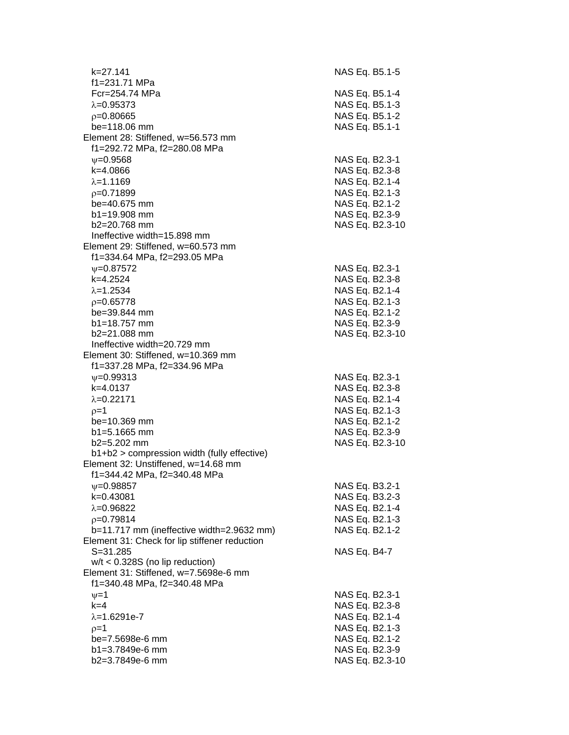| k=27.141                                      | NAS Eq. B5.1-5  |
|-----------------------------------------------|-----------------|
| f1=231.71 MPa                                 |                 |
| Fcr=254.74 MPa                                | NAS Eq. B5.1-4  |
|                                               |                 |
| $\lambda = 0.95373$                           | NAS Eq. B5.1-3  |
| $p=0.80665$                                   | NAS Eq. B5.1-2  |
| be=118.06 mm                                  | NAS Eq. B5.1-1  |
| Element 28: Stiffened, w=56.573 mm            |                 |
| f1=292.72 MPa, f2=280.08 MPa                  |                 |
|                                               |                 |
| $\nu = 0.9568$                                | NAS Eq. B2.3-1  |
| k=4.0866                                      | NAS Eq. B2.3-8  |
| $\lambda = 1.1169$                            | NAS Eq. B2.1-4  |
| $p=0.71899$                                   | NAS Eq. B2.1-3  |
| be=40.675 mm                                  | NAS Eq. B2.1-2  |
| $b1 = 19.908$ mm                              |                 |
|                                               | NAS Eq. B2.3-9  |
| b2=20.768 mm                                  | NAS Eq. B2.3-10 |
| Ineffective width=15.898 mm                   |                 |
| Element 29: Stiffened, w=60.573 mm            |                 |
| f1=334.64 MPa, f2=293.05 MPa                  |                 |
| $\psi = 0.87572$                              | NAS Eq. B2.3-1  |
| k=4.2524                                      |                 |
|                                               | NAS Eq. B2.3-8  |
| $\lambda = 1.2534$                            | NAS Eq. B2.1-4  |
| $p=0.65778$                                   | NAS Eq. B2.1-3  |
| $be = 39.844$ mm                              | NAS Eq. B2.1-2  |
| $b1 = 18.757$ mm                              | NAS Eq. B2.3-9  |
| $b2 = 21.088$ mm                              | NAS Eq. B2.3-10 |
|                                               |                 |
| Ineffective width=20.729 mm                   |                 |
| Element 30: Stiffened, w=10.369 mm            |                 |
| f1=337.28 MPa, f2=334.96 MPa                  |                 |
| $\psi = 0.99313$                              | NAS Eq. B2.3-1  |
| k=4.0137                                      | NAS Eq. B2.3-8  |
|                                               |                 |
| $\lambda = 0.22171$                           | NAS Eq. B2.1-4  |
| $p=1$                                         | NAS Eq. B2.1-3  |
| be=10.369 mm                                  | NAS Eq. B2.1-2  |
| $b1 = 5.1665$ mm                              | NAS Eq. B2.3-9  |
| b2=5.202 mm                                   | NAS Eq. B2.3-10 |
| b1+b2 > compression width (fully effective)   |                 |
| Element 32: Unstiffened, w=14.68 mm           |                 |
|                                               |                 |
| f1=344.42 MPa, f2=340.48 MPa                  |                 |
| $\psi = 0.98857$                              | NAS Eq. B3.2-1  |
| k=0.43081                                     | NAS Eq. B3.2-3  |
| $\lambda = 0.96822$                           | NAS Eq. B2.1-4  |
| $p=0.79814$                                   | NAS Eq. B2.1-3  |
| b=11.717 mm (ineffective width=2.9632 mm)     | NAS Eq. B2.1-2  |
|                                               |                 |
| Element 31: Check for lip stiffener reduction |                 |
| $S = 31.285$                                  | NAS Eq. B4-7    |
| $w/t < 0.328S$ (no lip reduction)             |                 |
| Element 31: Stiffened, w=7.5698e-6 mm         |                 |
| f1=340.48 MPa, f2=340.48 MPa                  |                 |
|                                               | NAS Eq. B2.3-1  |
| $\nu = 1$                                     |                 |
| $k=4$                                         | NAS Eq. B2.3-8  |
| $\lambda = 1.6291e - 7$                       | NAS Eq. B2.1-4  |
| $p=1$                                         | NAS Eq. B2.1-3  |
| be=7.5698e-6 mm                               | NAS Eq. B2.1-2  |
| b1=3.7849e-6 mm                               | NAS Eq. B2.3-9  |
| b2=3.7849e-6 mm                               | NAS Eq. B2.3-10 |
|                                               |                 |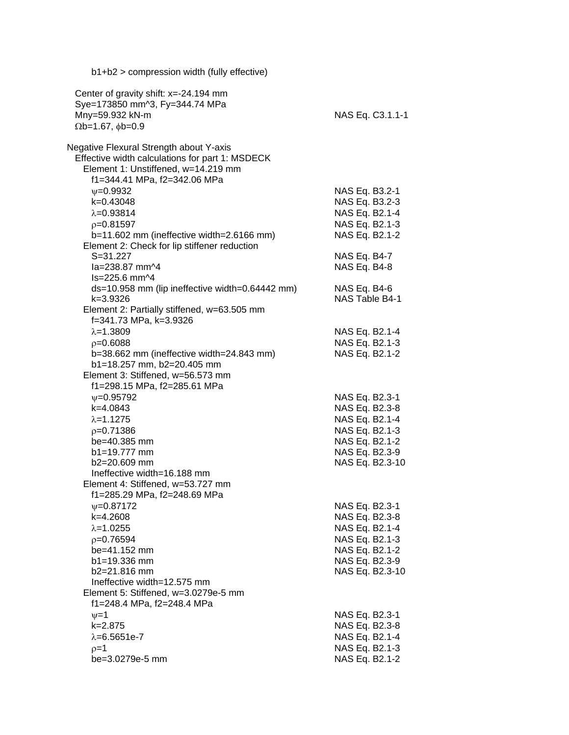| Center of gravity shift: $x=-24.194$ mm<br>Sye=173850 mm^3, Fy=344.74 MPa<br>Mny=59.932 kN-m<br>NAS Eq. C3.1.1-1<br>$\Omega$ b=1.67, $\phi$ b=0.9<br>Effective width calculations for part 1: MSDECK<br>Element 1: Unstiffened, w=14.219 mm<br>f1=344.41 MPa, f2=342.06 MPa<br>NAS Eq. B3.2-1<br>$V = 0.9932$<br>k=0.43048<br>NAS Eq. B3.2-3<br>$\lambda = 0.93814$<br>NAS Eq. B2.1-4<br>NAS Eq. B2.1-3<br>$p=0.81597$<br>b=11.602 mm (ineffective width=2.6166 mm)<br>NAS Eq. B2.1-2<br>Element 2: Check for lip stiffener reduction<br>$S = 31.227$<br>NAS Eq. B4-7<br>la=238.87 mm^4<br>NAS Eq. B4-8<br>ls=225.6 mm^4<br>ds=10.958 mm (lip ineffective width=0.64442 mm)<br>NAS Eq. B4-6<br>NAS Table B4-1<br>k=3.9326<br>Element 2: Partially stiffened, w=63.505 mm<br>f=341.73 MPa, k=3.9326<br>$\lambda = 1.3809$<br>NAS Eq. B2.1-4<br>$p=0.6088$<br>NAS Eq. B2.1-3<br>b=38.662 mm (ineffective width=24.843 mm)<br>NAS Eq. B2.1-2<br>b1=18.257 mm, b2=20.405 mm<br>Element 3: Stiffened, w=56.573 mm<br>f1=298.15 MPa, f2=285.61 MPa<br>$\nu = 0.95792$<br>NAS Eq. B2.3-1<br>k=4.0843<br>NAS Eq. B2.3-8<br>$\lambda = 1.1275$<br>NAS Eq. B2.1-4<br>NAS Eq. B2.1-3<br>$p=0.71386$<br>NAS Eq. B2.1-2<br>be=40.385 mm<br>NAS Eq. B2.3-9<br>$b1 = 19.777$ mm<br>NAS Eq. B2.3-10<br>$b2 = 20.609$ mm<br>Ineffective width=16.188 mm<br>Element 4: Stiffened, w=53.727 mm<br>f1=285.29 MPa, f2=248.69 MPa<br>$\psi = 0.87172$<br>NAS Eq. B2.3-1<br>k=4.2608<br>NAS Eq. B2.3-8<br>NAS Eq. B2.1-4<br>$\lambda = 1.0255$<br>NAS Eq. B2.1-3<br>$p=0.76594$<br>NAS Eq. B2.1-2<br>be=41.152 mm<br>NAS Eq. B2.3-9<br>$b1 = 19.336$ mm<br>b2=21.816 mm<br>NAS Eq. B2.3-10<br>Ineffective width=12.575 mm<br>Element 5: Stiffened, w=3.0279e-5 mm<br>f1=248.4 MPa, f2=248.4 MPa<br>$\nu = 1$<br>NAS Eq. B2.3-1<br>$k = 2.875$<br>NAS Eq. B2.3-8<br>NAS Eq. B2.1-4<br>$\lambda = 6.5651e - 7$<br>NAS Eq. B2.1-3<br>$p=1$ | b1+b2 > compression width (fully effective) |                |
|------------------------------------------------------------------------------------------------------------------------------------------------------------------------------------------------------------------------------------------------------------------------------------------------------------------------------------------------------------------------------------------------------------------------------------------------------------------------------------------------------------------------------------------------------------------------------------------------------------------------------------------------------------------------------------------------------------------------------------------------------------------------------------------------------------------------------------------------------------------------------------------------------------------------------------------------------------------------------------------------------------------------------------------------------------------------------------------------------------------------------------------------------------------------------------------------------------------------------------------------------------------------------------------------------------------------------------------------------------------------------------------------------------------------------------------------------------------------------------------------------------------------------------------------------------------------------------------------------------------------------------------------------------------------------------------------------------------------------------------------------------------------------------------------------------------------------------------------------------------------------------------------------------------|---------------------------------------------|----------------|
|                                                                                                                                                                                                                                                                                                                                                                                                                                                                                                                                                                                                                                                                                                                                                                                                                                                                                                                                                                                                                                                                                                                                                                                                                                                                                                                                                                                                                                                                                                                                                                                                                                                                                                                                                                                                                                                                                                                  |                                             |                |
|                                                                                                                                                                                                                                                                                                                                                                                                                                                                                                                                                                                                                                                                                                                                                                                                                                                                                                                                                                                                                                                                                                                                                                                                                                                                                                                                                                                                                                                                                                                                                                                                                                                                                                                                                                                                                                                                                                                  |                                             |                |
|                                                                                                                                                                                                                                                                                                                                                                                                                                                                                                                                                                                                                                                                                                                                                                                                                                                                                                                                                                                                                                                                                                                                                                                                                                                                                                                                                                                                                                                                                                                                                                                                                                                                                                                                                                                                                                                                                                                  |                                             |                |
|                                                                                                                                                                                                                                                                                                                                                                                                                                                                                                                                                                                                                                                                                                                                                                                                                                                                                                                                                                                                                                                                                                                                                                                                                                                                                                                                                                                                                                                                                                                                                                                                                                                                                                                                                                                                                                                                                                                  |                                             |                |
|                                                                                                                                                                                                                                                                                                                                                                                                                                                                                                                                                                                                                                                                                                                                                                                                                                                                                                                                                                                                                                                                                                                                                                                                                                                                                                                                                                                                                                                                                                                                                                                                                                                                                                                                                                                                                                                                                                                  | Negative Flexural Strength about Y-axis     |                |
|                                                                                                                                                                                                                                                                                                                                                                                                                                                                                                                                                                                                                                                                                                                                                                                                                                                                                                                                                                                                                                                                                                                                                                                                                                                                                                                                                                                                                                                                                                                                                                                                                                                                                                                                                                                                                                                                                                                  |                                             |                |
|                                                                                                                                                                                                                                                                                                                                                                                                                                                                                                                                                                                                                                                                                                                                                                                                                                                                                                                                                                                                                                                                                                                                                                                                                                                                                                                                                                                                                                                                                                                                                                                                                                                                                                                                                                                                                                                                                                                  |                                             |                |
|                                                                                                                                                                                                                                                                                                                                                                                                                                                                                                                                                                                                                                                                                                                                                                                                                                                                                                                                                                                                                                                                                                                                                                                                                                                                                                                                                                                                                                                                                                                                                                                                                                                                                                                                                                                                                                                                                                                  |                                             |                |
|                                                                                                                                                                                                                                                                                                                                                                                                                                                                                                                                                                                                                                                                                                                                                                                                                                                                                                                                                                                                                                                                                                                                                                                                                                                                                                                                                                                                                                                                                                                                                                                                                                                                                                                                                                                                                                                                                                                  |                                             |                |
|                                                                                                                                                                                                                                                                                                                                                                                                                                                                                                                                                                                                                                                                                                                                                                                                                                                                                                                                                                                                                                                                                                                                                                                                                                                                                                                                                                                                                                                                                                                                                                                                                                                                                                                                                                                                                                                                                                                  |                                             |                |
|                                                                                                                                                                                                                                                                                                                                                                                                                                                                                                                                                                                                                                                                                                                                                                                                                                                                                                                                                                                                                                                                                                                                                                                                                                                                                                                                                                                                                                                                                                                                                                                                                                                                                                                                                                                                                                                                                                                  |                                             |                |
|                                                                                                                                                                                                                                                                                                                                                                                                                                                                                                                                                                                                                                                                                                                                                                                                                                                                                                                                                                                                                                                                                                                                                                                                                                                                                                                                                                                                                                                                                                                                                                                                                                                                                                                                                                                                                                                                                                                  |                                             |                |
|                                                                                                                                                                                                                                                                                                                                                                                                                                                                                                                                                                                                                                                                                                                                                                                                                                                                                                                                                                                                                                                                                                                                                                                                                                                                                                                                                                                                                                                                                                                                                                                                                                                                                                                                                                                                                                                                                                                  |                                             |                |
|                                                                                                                                                                                                                                                                                                                                                                                                                                                                                                                                                                                                                                                                                                                                                                                                                                                                                                                                                                                                                                                                                                                                                                                                                                                                                                                                                                                                                                                                                                                                                                                                                                                                                                                                                                                                                                                                                                                  |                                             |                |
|                                                                                                                                                                                                                                                                                                                                                                                                                                                                                                                                                                                                                                                                                                                                                                                                                                                                                                                                                                                                                                                                                                                                                                                                                                                                                                                                                                                                                                                                                                                                                                                                                                                                                                                                                                                                                                                                                                                  |                                             |                |
|                                                                                                                                                                                                                                                                                                                                                                                                                                                                                                                                                                                                                                                                                                                                                                                                                                                                                                                                                                                                                                                                                                                                                                                                                                                                                                                                                                                                                                                                                                                                                                                                                                                                                                                                                                                                                                                                                                                  |                                             |                |
|                                                                                                                                                                                                                                                                                                                                                                                                                                                                                                                                                                                                                                                                                                                                                                                                                                                                                                                                                                                                                                                                                                                                                                                                                                                                                                                                                                                                                                                                                                                                                                                                                                                                                                                                                                                                                                                                                                                  |                                             |                |
|                                                                                                                                                                                                                                                                                                                                                                                                                                                                                                                                                                                                                                                                                                                                                                                                                                                                                                                                                                                                                                                                                                                                                                                                                                                                                                                                                                                                                                                                                                                                                                                                                                                                                                                                                                                                                                                                                                                  |                                             |                |
|                                                                                                                                                                                                                                                                                                                                                                                                                                                                                                                                                                                                                                                                                                                                                                                                                                                                                                                                                                                                                                                                                                                                                                                                                                                                                                                                                                                                                                                                                                                                                                                                                                                                                                                                                                                                                                                                                                                  |                                             |                |
|                                                                                                                                                                                                                                                                                                                                                                                                                                                                                                                                                                                                                                                                                                                                                                                                                                                                                                                                                                                                                                                                                                                                                                                                                                                                                                                                                                                                                                                                                                                                                                                                                                                                                                                                                                                                                                                                                                                  |                                             |                |
|                                                                                                                                                                                                                                                                                                                                                                                                                                                                                                                                                                                                                                                                                                                                                                                                                                                                                                                                                                                                                                                                                                                                                                                                                                                                                                                                                                                                                                                                                                                                                                                                                                                                                                                                                                                                                                                                                                                  |                                             |                |
|                                                                                                                                                                                                                                                                                                                                                                                                                                                                                                                                                                                                                                                                                                                                                                                                                                                                                                                                                                                                                                                                                                                                                                                                                                                                                                                                                                                                                                                                                                                                                                                                                                                                                                                                                                                                                                                                                                                  |                                             |                |
|                                                                                                                                                                                                                                                                                                                                                                                                                                                                                                                                                                                                                                                                                                                                                                                                                                                                                                                                                                                                                                                                                                                                                                                                                                                                                                                                                                                                                                                                                                                                                                                                                                                                                                                                                                                                                                                                                                                  |                                             |                |
|                                                                                                                                                                                                                                                                                                                                                                                                                                                                                                                                                                                                                                                                                                                                                                                                                                                                                                                                                                                                                                                                                                                                                                                                                                                                                                                                                                                                                                                                                                                                                                                                                                                                                                                                                                                                                                                                                                                  |                                             |                |
|                                                                                                                                                                                                                                                                                                                                                                                                                                                                                                                                                                                                                                                                                                                                                                                                                                                                                                                                                                                                                                                                                                                                                                                                                                                                                                                                                                                                                                                                                                                                                                                                                                                                                                                                                                                                                                                                                                                  |                                             |                |
|                                                                                                                                                                                                                                                                                                                                                                                                                                                                                                                                                                                                                                                                                                                                                                                                                                                                                                                                                                                                                                                                                                                                                                                                                                                                                                                                                                                                                                                                                                                                                                                                                                                                                                                                                                                                                                                                                                                  |                                             |                |
|                                                                                                                                                                                                                                                                                                                                                                                                                                                                                                                                                                                                                                                                                                                                                                                                                                                                                                                                                                                                                                                                                                                                                                                                                                                                                                                                                                                                                                                                                                                                                                                                                                                                                                                                                                                                                                                                                                                  |                                             |                |
|                                                                                                                                                                                                                                                                                                                                                                                                                                                                                                                                                                                                                                                                                                                                                                                                                                                                                                                                                                                                                                                                                                                                                                                                                                                                                                                                                                                                                                                                                                                                                                                                                                                                                                                                                                                                                                                                                                                  |                                             |                |
|                                                                                                                                                                                                                                                                                                                                                                                                                                                                                                                                                                                                                                                                                                                                                                                                                                                                                                                                                                                                                                                                                                                                                                                                                                                                                                                                                                                                                                                                                                                                                                                                                                                                                                                                                                                                                                                                                                                  |                                             |                |
|                                                                                                                                                                                                                                                                                                                                                                                                                                                                                                                                                                                                                                                                                                                                                                                                                                                                                                                                                                                                                                                                                                                                                                                                                                                                                                                                                                                                                                                                                                                                                                                                                                                                                                                                                                                                                                                                                                                  |                                             |                |
|                                                                                                                                                                                                                                                                                                                                                                                                                                                                                                                                                                                                                                                                                                                                                                                                                                                                                                                                                                                                                                                                                                                                                                                                                                                                                                                                                                                                                                                                                                                                                                                                                                                                                                                                                                                                                                                                                                                  |                                             |                |
|                                                                                                                                                                                                                                                                                                                                                                                                                                                                                                                                                                                                                                                                                                                                                                                                                                                                                                                                                                                                                                                                                                                                                                                                                                                                                                                                                                                                                                                                                                                                                                                                                                                                                                                                                                                                                                                                                                                  |                                             |                |
|                                                                                                                                                                                                                                                                                                                                                                                                                                                                                                                                                                                                                                                                                                                                                                                                                                                                                                                                                                                                                                                                                                                                                                                                                                                                                                                                                                                                                                                                                                                                                                                                                                                                                                                                                                                                                                                                                                                  |                                             |                |
|                                                                                                                                                                                                                                                                                                                                                                                                                                                                                                                                                                                                                                                                                                                                                                                                                                                                                                                                                                                                                                                                                                                                                                                                                                                                                                                                                                                                                                                                                                                                                                                                                                                                                                                                                                                                                                                                                                                  |                                             |                |
|                                                                                                                                                                                                                                                                                                                                                                                                                                                                                                                                                                                                                                                                                                                                                                                                                                                                                                                                                                                                                                                                                                                                                                                                                                                                                                                                                                                                                                                                                                                                                                                                                                                                                                                                                                                                                                                                                                                  |                                             |                |
|                                                                                                                                                                                                                                                                                                                                                                                                                                                                                                                                                                                                                                                                                                                                                                                                                                                                                                                                                                                                                                                                                                                                                                                                                                                                                                                                                                                                                                                                                                                                                                                                                                                                                                                                                                                                                                                                                                                  |                                             |                |
|                                                                                                                                                                                                                                                                                                                                                                                                                                                                                                                                                                                                                                                                                                                                                                                                                                                                                                                                                                                                                                                                                                                                                                                                                                                                                                                                                                                                                                                                                                                                                                                                                                                                                                                                                                                                                                                                                                                  |                                             |                |
|                                                                                                                                                                                                                                                                                                                                                                                                                                                                                                                                                                                                                                                                                                                                                                                                                                                                                                                                                                                                                                                                                                                                                                                                                                                                                                                                                                                                                                                                                                                                                                                                                                                                                                                                                                                                                                                                                                                  |                                             |                |
|                                                                                                                                                                                                                                                                                                                                                                                                                                                                                                                                                                                                                                                                                                                                                                                                                                                                                                                                                                                                                                                                                                                                                                                                                                                                                                                                                                                                                                                                                                                                                                                                                                                                                                                                                                                                                                                                                                                  |                                             |                |
|                                                                                                                                                                                                                                                                                                                                                                                                                                                                                                                                                                                                                                                                                                                                                                                                                                                                                                                                                                                                                                                                                                                                                                                                                                                                                                                                                                                                                                                                                                                                                                                                                                                                                                                                                                                                                                                                                                                  |                                             |                |
|                                                                                                                                                                                                                                                                                                                                                                                                                                                                                                                                                                                                                                                                                                                                                                                                                                                                                                                                                                                                                                                                                                                                                                                                                                                                                                                                                                                                                                                                                                                                                                                                                                                                                                                                                                                                                                                                                                                  |                                             |                |
|                                                                                                                                                                                                                                                                                                                                                                                                                                                                                                                                                                                                                                                                                                                                                                                                                                                                                                                                                                                                                                                                                                                                                                                                                                                                                                                                                                                                                                                                                                                                                                                                                                                                                                                                                                                                                                                                                                                  |                                             |                |
|                                                                                                                                                                                                                                                                                                                                                                                                                                                                                                                                                                                                                                                                                                                                                                                                                                                                                                                                                                                                                                                                                                                                                                                                                                                                                                                                                                                                                                                                                                                                                                                                                                                                                                                                                                                                                                                                                                                  |                                             |                |
|                                                                                                                                                                                                                                                                                                                                                                                                                                                                                                                                                                                                                                                                                                                                                                                                                                                                                                                                                                                                                                                                                                                                                                                                                                                                                                                                                                                                                                                                                                                                                                                                                                                                                                                                                                                                                                                                                                                  |                                             |                |
|                                                                                                                                                                                                                                                                                                                                                                                                                                                                                                                                                                                                                                                                                                                                                                                                                                                                                                                                                                                                                                                                                                                                                                                                                                                                                                                                                                                                                                                                                                                                                                                                                                                                                                                                                                                                                                                                                                                  |                                             |                |
|                                                                                                                                                                                                                                                                                                                                                                                                                                                                                                                                                                                                                                                                                                                                                                                                                                                                                                                                                                                                                                                                                                                                                                                                                                                                                                                                                                                                                                                                                                                                                                                                                                                                                                                                                                                                                                                                                                                  |                                             |                |
|                                                                                                                                                                                                                                                                                                                                                                                                                                                                                                                                                                                                                                                                                                                                                                                                                                                                                                                                                                                                                                                                                                                                                                                                                                                                                                                                                                                                                                                                                                                                                                                                                                                                                                                                                                                                                                                                                                                  |                                             |                |
|                                                                                                                                                                                                                                                                                                                                                                                                                                                                                                                                                                                                                                                                                                                                                                                                                                                                                                                                                                                                                                                                                                                                                                                                                                                                                                                                                                                                                                                                                                                                                                                                                                                                                                                                                                                                                                                                                                                  | be=3.0279e-5 mm                             | NAS Eq. B2.1-2 |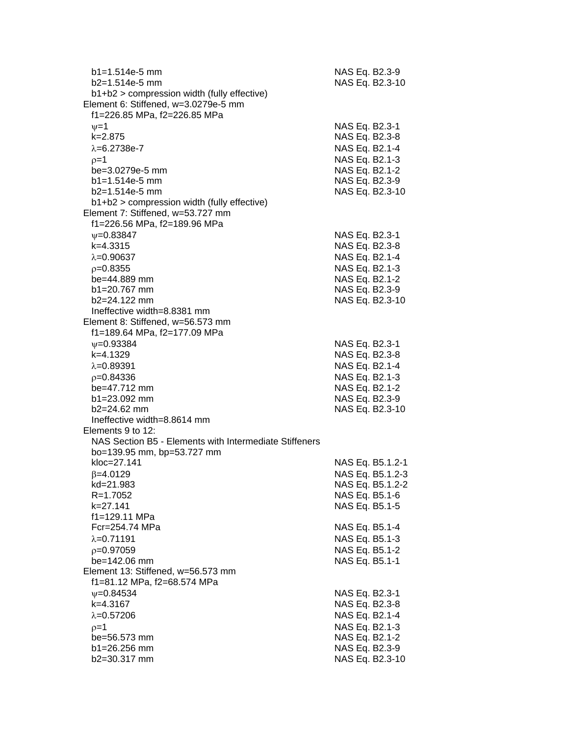| $b1 = 1.514e-5$ mm<br>$b2=1.514e-5$ mm<br>b1+b2 > compression width (fully effective) | NAS Eq. B2.3-9<br>NAS Eq. B2.3-10  |
|---------------------------------------------------------------------------------------|------------------------------------|
| Element 6: Stiffened, w=3.0279e-5 mm                                                  |                                    |
| f1=226.85 MPa, f2=226.85 MPa                                                          |                                    |
| $v=1$                                                                                 | NAS Eq. B2.3-1                     |
| $k = 2.875$                                                                           | NAS Eq. B2.3-8                     |
| $\lambda = 6.2738e - 7$                                                               | NAS Eq. B2.1-4                     |
| $p=1$                                                                                 | NAS Eq. B2.1-3                     |
| be=3.0279e-5 mm                                                                       | NAS Eq. B2.1-2                     |
| $b1 = 1.514e-5$ mm                                                                    | NAS Eq. B2.3-9                     |
| $b2=1.514e-5$ mm<br>b1+b2 > compression width (fully effective)                       | NAS Eq. B2.3-10                    |
| Element 7: Stiffened, w=53.727 mm                                                     |                                    |
| f1=226.56 MPa, f2=189.96 MPa                                                          |                                    |
| $\psi = 0.83847$                                                                      | NAS Eq. B2.3-1                     |
| $k=4.3315$                                                                            | NAS Eq. B2.3-8                     |
| $\lambda = 0.90637$                                                                   | NAS Eq. B2.1-4                     |
| $p=0.8355$                                                                            | NAS Eq. B2.1-3                     |
| be=44.889 mm                                                                          | NAS Eq. B2.1-2                     |
| $b1 = 20.767$ mm                                                                      | NAS Eq. B2.3-9                     |
| b2=24.122 mm                                                                          | NAS Eq. B2.3-10                    |
| Ineffective width=8.8381 mm                                                           |                                    |
| Element 8: Stiffened, w=56.573 mm                                                     |                                    |
| f1=189.64 MPa, f2=177.09 MPa                                                          |                                    |
| $\nu = 0.93384$                                                                       | NAS Eq. B2.3-1                     |
| k=4.1329                                                                              | NAS Eq. B2.3-8                     |
| $\lambda = 0.89391$                                                                   | NAS Eq. B2.1-4                     |
| $p=0.84336$                                                                           | NAS Eq. B2.1-3                     |
| be=47.712 mm                                                                          | NAS Eq. B2.1-2                     |
| b1=23.092 mm                                                                          | NAS Eq. B2.3-9                     |
| $b2=24.62$ mm                                                                         | NAS Eq. B2.3-10                    |
| Ineffective width=8.8614 mm                                                           |                                    |
| Elements 9 to 12:                                                                     |                                    |
| NAS Section B5 - Elements with Intermediate Stiffeners                                |                                    |
| bo=139.95 mm, bp=53.727 mm                                                            |                                    |
| kloc=27.141                                                                           | NAS Eq. B5.1.2-1                   |
| $\beta = 4.0129$<br>kd=21.983                                                         | NAS Eq. B5.1.2-3                   |
| R=1.7052                                                                              | NAS Eq. B5.1.2-2<br>NAS Eq. B5.1-6 |
| k=27.141                                                                              | NAS Eq. B5.1-5                     |
| f1=129.11 MPa                                                                         |                                    |
| Fcr=254.74 MPa                                                                        | NAS Eq. B5.1-4                     |
| $\lambda = 0.71191$                                                                   | NAS Eq. B5.1-3                     |
| $p=0.97059$                                                                           | NAS Eq. B5.1-2                     |
| be=142.06 mm                                                                          | NAS Eq. B5.1-1                     |
| Element 13: Stiffened, w=56.573 mm                                                    |                                    |
| f1=81.12 MPa, f2=68.574 MPa                                                           |                                    |
| $V = 0.84534$                                                                         | NAS Eq. B2.3-1                     |
| k=4.3167                                                                              | NAS Eq. B2.3-8                     |
| $\lambda = 0.57206$                                                                   | NAS Eq. B2.1-4                     |
| $p=1$                                                                                 | NAS Eq. B2.1-3                     |
| be=56.573 mm                                                                          | NAS Eq. B2.1-2                     |
| b1=26.256 mm                                                                          | NAS Eq. B2.3-9                     |
| b2=30.317 mm                                                                          | NAS Eq. B2.3-10                    |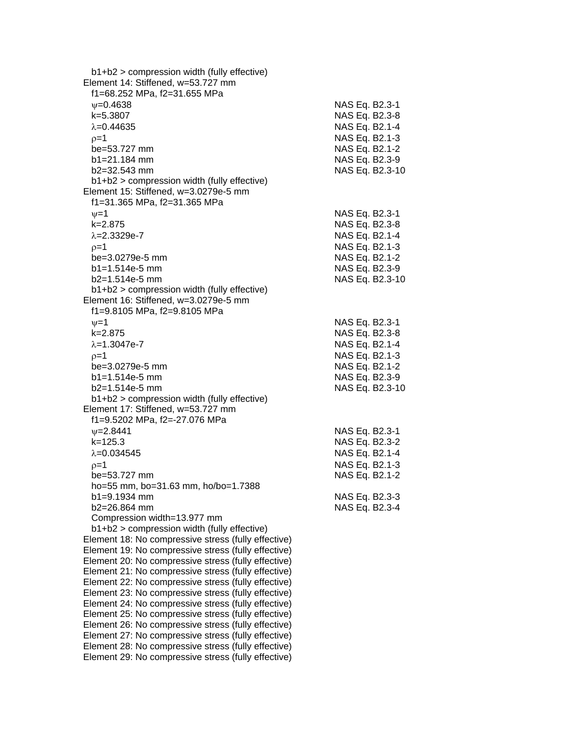| b1+b2 > compression width (fully effective)                                                                |                 |  |
|------------------------------------------------------------------------------------------------------------|-----------------|--|
| Element 14: Stiffened, w=53.727 mm                                                                         |                 |  |
| f1=68.252 MPa, f2=31.655 MPa                                                                               |                 |  |
| $V = 0.4638$                                                                                               | NAS Eq. B2.3-1  |  |
| k=5.3807                                                                                                   | NAS Eq. B2.3-8  |  |
| $\lambda = 0.44635$                                                                                        | NAS Eq. B2.1-4  |  |
| $p=1$                                                                                                      | NAS Eq. B2.1-3  |  |
| be=53.727 mm                                                                                               | NAS Eq. B2.1-2  |  |
| $b1 = 21.184$ mm                                                                                           | NAS Eq. B2.3-9  |  |
| $b2 = 32.543$ mm                                                                                           | NAS Eq. B2.3-10 |  |
| $b1+b2$ > compression width (fully effective)                                                              |                 |  |
| Element 15: Stiffened, w=3.0279e-5 mm                                                                      |                 |  |
| f1=31.365 MPa, f2=31.365 MPa                                                                               |                 |  |
| $\nu = 1$                                                                                                  | NAS Eq. B2.3-1  |  |
| $k = 2.875$                                                                                                | NAS Eq. B2.3-8  |  |
| $\lambda = 2.3329e - 7$                                                                                    | NAS Eq. B2.1-4  |  |
| $p=1$                                                                                                      | NAS Eq. B2.1-3  |  |
| be=3.0279e-5 mm                                                                                            | NAS Eq. B2.1-2  |  |
| $b1 = 1.514e-5$ mm                                                                                         | NAS Eq. B2.3-9  |  |
| $b2=1.514e-5$ mm                                                                                           | NAS Eq. B2.3-10 |  |
| b1+b2 > compression width (fully effective)                                                                |                 |  |
| Element 16: Stiffened, w=3.0279e-5 mm                                                                      |                 |  |
| f1=9.8105 MPa, f2=9.8105 MPa                                                                               |                 |  |
| $\nu = 1$                                                                                                  | NAS Eq. B2.3-1  |  |
| $k = 2.875$                                                                                                | NAS Eq. B2.3-8  |  |
| $\lambda = 1.3047e - 7$                                                                                    | NAS Eq. B2.1-4  |  |
| $p=1$                                                                                                      | NAS Eq. B2.1-3  |  |
| be=3.0279e-5 mm                                                                                            | NAS Eq. B2.1-2  |  |
| $b1 = 1.514e-5$ mm                                                                                         | NAS Eq. B2.3-9  |  |
| $b2=1.514e-5$ mm                                                                                           | NAS Eq. B2.3-10 |  |
| b1+b2 > compression width (fully effective)                                                                |                 |  |
| Element 17: Stiffened, w=53.727 mm                                                                         |                 |  |
| f1=9.5202 MPa, f2=-27.076 MPa                                                                              |                 |  |
| $\nu = 2.8441$                                                                                             | NAS Eq. B2.3-1  |  |
| $k = 125.3$                                                                                                | NAS Eq. B2.3-2  |  |
| $\lambda = 0.034545$                                                                                       | NAS Eq. B2.1-4  |  |
| $p=1$                                                                                                      | NAS Eq. B2.1-3  |  |
| be=53.727 mm                                                                                               | NAS Eq. B2.1-2  |  |
| ho=55 mm, bo=31.63 mm, ho/bo=1.7388                                                                        |                 |  |
| b1=9.1934 mm                                                                                               | NAS Eq. B2.3-3  |  |
| b2=26.864 mm                                                                                               | NAS Eq. B2.3-4  |  |
| Compression width=13.977 mm                                                                                |                 |  |
| b1+b2 > compression width (fully effective)                                                                |                 |  |
| Element 18: No compressive stress (fully effective)                                                        |                 |  |
| Element 19: No compressive stress (fully effective)                                                        |                 |  |
| Element 20: No compressive stress (fully effective)                                                        |                 |  |
| Element 21: No compressive stress (fully effective)                                                        |                 |  |
| Element 22: No compressive stress (fully effective)<br>Element 23: No compressive stress (fully effective) |                 |  |
| Element 24: No compressive stress (fully effective)                                                        |                 |  |
| Element 25: No compressive stress (fully effective)                                                        |                 |  |
| Element 26: No compressive stress (fully effective)                                                        |                 |  |
| Element 27: No compressive stress (fully effective)                                                        |                 |  |
| Element 28: No compressive stress (fully effective)                                                        |                 |  |
| Element 29: No compressive stress (fully effective)                                                        |                 |  |
|                                                                                                            |                 |  |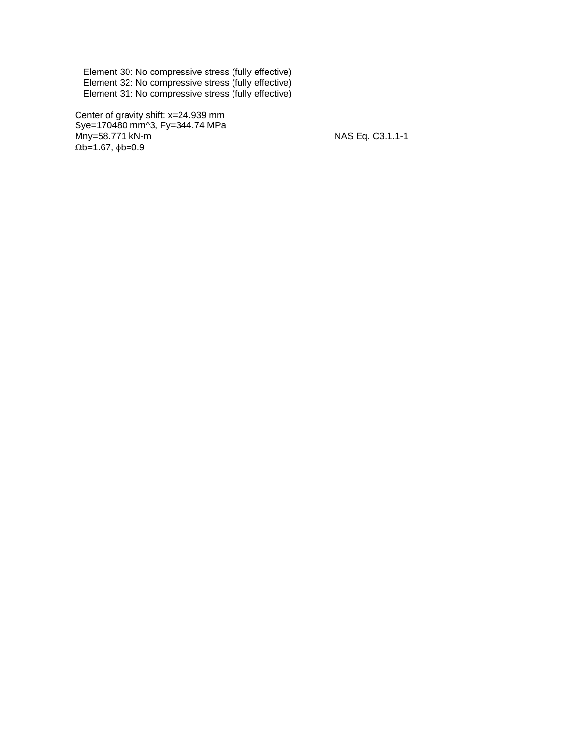Element 30: No compressive stress (fully effective) Element 32: No compressive stress (fully effective) Element 31: No compressive stress (fully effective)

 Center of gravity shift: x=24.939 mm Sye=170480 mm^3, Fy=344.74 MPa Mny=58.771 kN-m NAS Eq. C3.1.1-1  $\Omega$ b=1.67,  $\phi$ b=0.9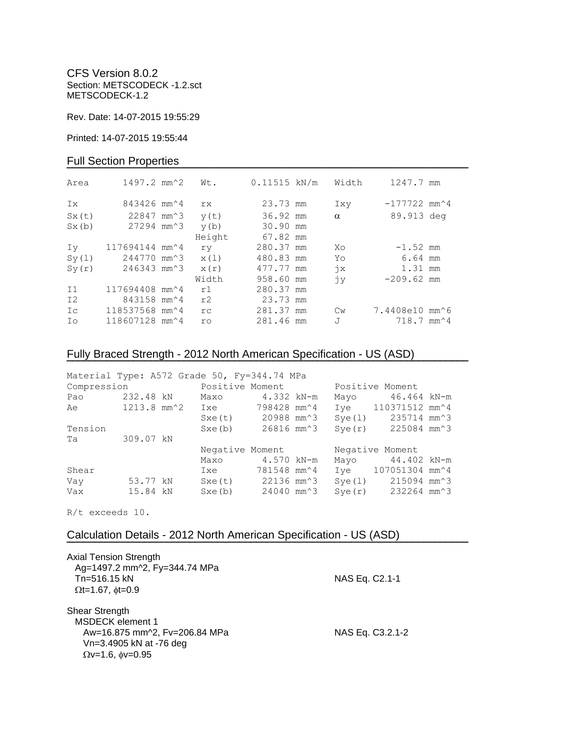CFS Version 8.0.2 Section: METSCODECK -1.2.sct METSCODECK-1.2

Rev. Date: 14-07-2015 19:55:29

Printed: 14-07-2015 19:55:44

### Full Section Properties

| Area           | $1497.2$ mm <sup><math>\textdegree</math>2</sup> | Wt.    | $0.11515$ kN/m | Width                     | 1247.7 mm                                   |  |
|----------------|--------------------------------------------------|--------|----------------|---------------------------|---------------------------------------------|--|
| Ix             | 843426 mm <sup><math>\sim</math></sup> 4         | rx.    | 23.73 mm       | Ixy                       | $-177722$ mm <sup><math>\sim</math></sup> 4 |  |
| Sx(t)          | 22847 mm <sup>2</sup> 3                          | y(t)   | 36.92 mm       | $\alpha$                  | 89.913 deg                                  |  |
| Sx(b)          | 27294 mm <sup>2</sup> 3                          | y(b)   | 30.90 mm       |                           |                                             |  |
|                |                                                  | Height | 67.82 mm       |                           |                                             |  |
| Iv             | 117694144 mm^4                                   | ry     | 280.37 mm      | Xo                        | $-1.52$ mm                                  |  |
| Sy(1)          | 244770 mm <sup>2</sup> 3                         | x(1)   | 480.83 mm      | Yo                        | 6.64 mm                                     |  |
| Sy(r)          | 246343 mm^3                                      | x(r)   | 477.77 mm      | $\dot{7}x$                | 1.31 mm                                     |  |
|                |                                                  | Width  | 958.60 mm      | jу                        | $-209.62$ mm                                |  |
| I <sub>1</sub> | 117694408 mm <sup>2</sup> 4                      | r1     | 280.37 mm      |                           |                                             |  |
| I <sub>2</sub> | 843158 mm <sup><math>4</math></sup>              | r2     | 23.73 mm       |                           |                                             |  |
| Ic             | 118537568 mm^4                                   | rc     | 281.37 mm      | $\mathbb{C}$ <sub>W</sub> | 7.4408e10 mm^6                              |  |
| Ιo             | 118607128 mm^4                                   | ro     | 281.46 mm      | J                         | $718.7$ mm <sup><math>\sim</math>4</sup>    |  |

# Fully Braced Strength - 2012 North American Specification - US (ASD)

| Material Type: A572 Grade 50, Fy=344.74 MPa |           |                                |                          |        |                                              |  |
|---------------------------------------------|-----------|--------------------------------|--------------------------|--------|----------------------------------------------|--|
| Compression                                 |           | Positive Moment                |                          |        | Positive Moment                              |  |
| Pao                                         | 232.48 kN | Maxo                           | 4.332 kN-m               | Mayo   | 46.464 kN-m                                  |  |
| Ae                                          |           | 1213.8 mm^2 Ixe                | 798428 mm <sup>2</sup> 4 |        | Iye 110371512 mm^4                           |  |
|                                             |           | Sxe(t) 20988 mm <sup>2</sup> 3 |                          | Sye(1) | 235714 mm^3                                  |  |
| Tension                                     |           | Sxe(b)                         | 26816 mm^3               | Sye(r) | 225084 mm^3                                  |  |
| Ta                                          | 309.07 kN |                                |                          |        |                                              |  |
|                                             |           | Negative Moment                |                          |        | Negative Moment                              |  |
|                                             |           | Maxo                           | 4.570 kN-m               | Mayo   | 44.402 kN-m                                  |  |
| Shear                                       |           | Ixe                            | 781548 mm^4              |        | Iye 107051304 mm <sup>2</sup> 4              |  |
| Vay                                         | 53.77 kN  | Sxe(t) 22136 mm <sup>2</sup> 3 |                          | Sye(1) | 215094 mm^3                                  |  |
| Vax                                         | 15.84 kN  | Sxe(b)                         | 24040 mm^3               |        | $Sye(r)$ 232264 mm <sup><math>3</math></sup> |  |

**¯¯¯¯¯¯¯¯¯¯¯¯¯¯¯¯¯¯¯¯¯¯¯¯¯¯¯¯¯¯¯¯¯¯¯¯¯¯¯¯¯¯¯¯¯¯¯¯¯¯¯¯¯¯¯¯¯¯¯¯¯¯¯¯¯¯¯¯¯¯¯¯**

R/t exceeds 10.

## Calculation Details - 2012 North American Specification - US (ASD)

| <b>Axial Tension Strength</b><br>Ag=1497.2 mm^2, Fy=344.74 MPa<br>Tn=516.15 kN<br>$\Omega t = 1.67$ , $\phi t = 0.9$                     | NAS Eq. C2.1-1   |
|------------------------------------------------------------------------------------------------------------------------------------------|------------------|
| <b>Shear Strength</b><br><b>MSDECK</b> element 1<br>Aw=16.875 mm^2, Fv=206.84 MPa<br>Vn=3.4905 kN at -76 deg<br>$Qv=1.6$ , $\phi v=0.95$ | NAS Eq. C3.2.1-2 |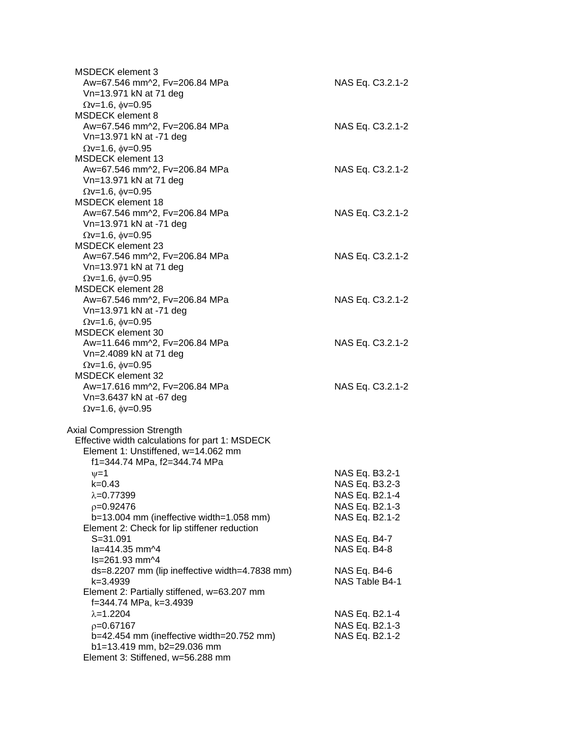| MSDECK element 3<br>Aw=67.546 mm^2, Fv=206.84 MPa<br>Vn=13.971 kN at 71 deg                                                                                                 | NAS Eq. C3.2.1-2                                                                       |
|-----------------------------------------------------------------------------------------------------------------------------------------------------------------------------|----------------------------------------------------------------------------------------|
| $\Omega$ v=1.6, $\phi$ v=0.95<br>MSDECK element 8<br>Aw=67.546 mm^2, Fv=206.84 MPa<br>Vn=13.971 kN at -71 deg                                                               | NAS Eq. C3.2.1-2                                                                       |
| $\Omega$ v=1.6, $\phi$ v=0.95<br><b>MSDECK element 13</b><br>Aw=67.546 mm^2, Fv=206.84 MPa<br>Vn=13.971 kN at 71 deg                                                        | NAS Eq. C3.2.1-2                                                                       |
| $\Omega$ v=1.6, $\phi$ v=0.95<br><b>MSDECK element 18</b><br>Aw=67.546 mm^2, Fv=206.84 MPa<br>Vn=13.971 kN at -71 deg                                                       | NAS Eq. C3.2.1-2                                                                       |
| $\Omega$ v=1.6, $\phi$ v=0.95<br><b>MSDECK element 23</b><br>Aw=67.546 mm^2, Fv=206.84 MPa<br>Vn=13.971 kN at 71 deg                                                        | NAS Eq. C3.2.1-2                                                                       |
| $\Omega$ v=1.6, $\phi$ v=0.95<br>MSDECK element 28<br>Aw=67.546 mm^2, Fv=206.84 MPa<br>Vn=13.971 kN at -71 deg                                                              | NAS Eq. C3.2.1-2                                                                       |
| $\Omega$ v=1.6, $\phi$ v=0.95<br>MSDECK element 30<br>Aw=11.646 mm^2, Fv=206.84 MPa<br>Vn=2.4089 kN at 71 deg                                                               | NAS Eq. C3.2.1-2                                                                       |
| $\Omega$ v=1.6, $\phi$ v=0.95<br><b>MSDECK element 32</b><br>Aw=17.616 mm^2, Fv=206.84 MPa<br>Vn=3.6437 kN at -67 deg                                                       | NAS Eq. C3.2.1-2                                                                       |
| $\Omega$ v=1.6, $\phi$ v=0.95<br><b>Axial Compression Strength</b><br>Effective width calculations for part 1: MSDECK<br>Element 1: Unstiffened, w=14.062 mm                |                                                                                        |
| f1=344.74 MPa, f2=344.74 MPa<br>$\nu = 1$<br>k=0.43<br>$\lambda = 0.77399$<br>$p=0.92476$<br>$b=13.004$ mm (ineffective width=1.058 mm)                                     | NAS Eq. B3.2-1<br>NAS Eq. B3.2-3<br>NAS Eq. B2.1-4<br>NAS Eq. B2.1-3<br>NAS Eq. B2.1-2 |
| Element 2: Check for lip stiffener reduction<br>$S = 31.091$<br>la=414.35 mm^4                                                                                              | NAS Eq. B4-7<br>NAS Eq. B4-8                                                           |
| ls=261.93 mm^4<br>ds=8.2207 mm (lip ineffective width=4.7838 mm)<br>k=3.4939<br>Element 2: Partially stiffened, w=63.207 mm                                                 | NAS Eq. B4-6<br>NAS Table B4-1                                                         |
| f=344.74 MPa, k=3.4939<br>$\lambda = 1.2204$<br>$p=0.67167$<br>b=42.454 mm (ineffective width=20.752 mm)<br>b1=13.419 mm, b2=29.036 mm<br>Element 3: Stiffened, w=56.288 mm | NAS Eq. B2.1-4<br>NAS Eq. B2.1-3<br>NAS Eq. B2.1-2                                     |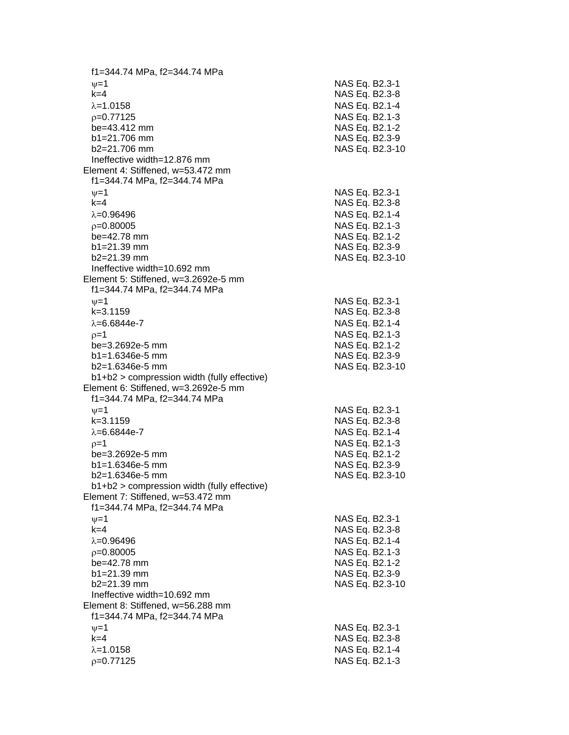f1=344.74 MPa, f2=344.74 MPa  $\psi$ =1 NAS Eq. B2.3-1 k=4 NAS Eq. B2.3 - 8 λ=1.0158 NAS Eq. B2.1-4  $\rho$ =0.77125 NAS Eq. B2.1-3 be=43.412 mm NAS Eq. B2.1-2  $b1 = 21.706$  mm  $b2=21.706$  mm NAS Eq. B2.3-10 Ineffective width=12.876 mm Element 4: Stiffened, w=53.472 mm f1=344.74 MPa, f2=344.74 MPa  $\psi$ =1 NAS Eq. B2.3-1 k=4 NAS Eq. B2.3 - 8 =0.96496 NAS Eq. B2.1 - 4  $\rho$ =0.80005 NAS Eq. B2.1-3 be=42.78 mm NAS Eq. B2.1-2  $b1 = 21.39$  mm b2=21.39 mm NAS Eq. B2.3 -10 Ineffective width=10.692 mm Element 5: Stiffened, w=3.2692e -5 mm f1=344.74 MPa, f2=344.74 MPa  $\nu$  =1 NAS Eq. B2.3-1 k=3.1159 NAS Eq. B2.3 - 8 λ=6.6844e-7 NAS Eq. B2.1 - 4  $\rho=1$  NAS Eq. B2.1-3 be=3.2692e -5 mm NAS Eq. B2.1 - 2  $b1 = 1.6346e-5$  mm -5 mm NAS Eq. B2.3 - 9 b2=1.6346e-5 mm -5 mm NAS Eq. B2.3 -10 b1+b2 > compression width (fully effective) Element 6: Stiffened, w=3.2692e -5 mm f1=344.74 MPa, f2=344.74 MPa  $\psi$ =1 NAS Eq. B2.3-1 k=3.1159 NAS Eq. B2.3 - 8 λ=6.6844e-7 NAS Eq. B2.1 - 4  $\rho$ =1 NAS Eq. B2.1-3 be=3.2692e -5 mm NAS Eq. B2.1 - 2 b1=1.6346e-5 mm -5 mm NAS Eq. B2.3 - 9 b2=1.6346e -5 mm NAS Eq. B2.3 -10 b1+b2 > compression width (fully effective) Element 7: Stiffened, w=53.472 mm f1=344.74 MPa, f2=344.74 MPa  $\psi$ =1 NAS Eq. B2.3-1 k=4 NAS Eq. B2.3 - 8 =0.96496 NAS Eq. B2.1 - 4  $\rho$ =0.80005 NAS Eq. B2.1-3  $be = 42.78$  mm b1=21.39 mm NAS Eq. B2.3-9 b2=21.39 mm NAS Eq. B2.3 -10 Ineffective width=10.692 mm Element 8: Stiffened, w=56.288 mm f1=344.74 MPa, f2=344.74 MPa  $\nu$  =1 NAS Eq. B2.3-1 k=4 NAS Eq. B2.3 - 8 =1.0158 NAS Eq. B2.1 - 4  $\rho$ =0.77125 NAS Eq. B2.1-3

- 9

- 9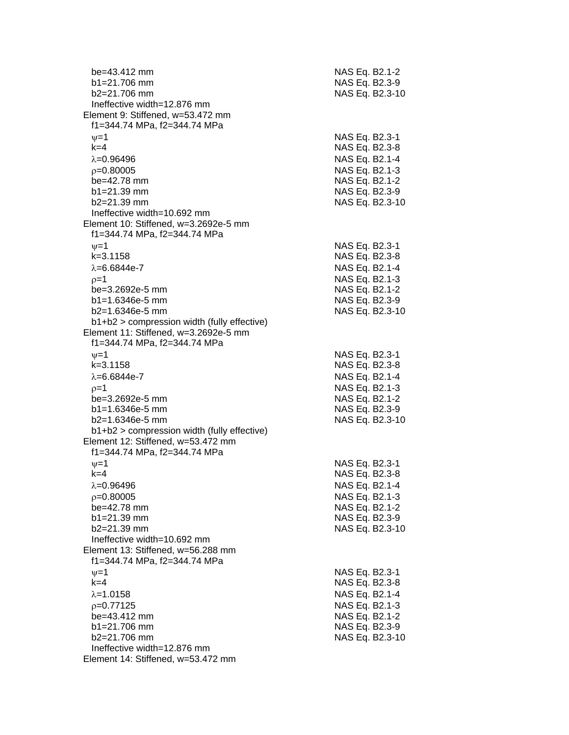| be=43.412 mm<br>$b1 = 21.706$ mm<br>b2=21.706 mm                                     | NAS Eq. B2.1-2<br>NAS Eq. B2.3-9<br>NAS Eq. B2.3-10 |
|--------------------------------------------------------------------------------------|-----------------------------------------------------|
| Ineffective width=12.876 mm                                                          |                                                     |
| Element 9: Stiffened, w=53.472 mm                                                    |                                                     |
| f1=344.74 MPa, f2=344.74 MPa                                                         |                                                     |
| $\nu = 1$                                                                            | NAS Eq. B2.3-1                                      |
| $k=4$                                                                                | NAS Eq. B2.3-8                                      |
| $\lambda = 0.96496$                                                                  | NAS Eq. B2.1-4                                      |
| $p=0.80005$                                                                          | NAS Eq. B2.1-3                                      |
| be=42.78 mm                                                                          | NAS Eq. B2.1-2                                      |
| $b1 = 21.39$ mm                                                                      | NAS Eq. B2.3-9                                      |
| b2=21.39 mm<br>Ineffective width=10.692 mm                                           | NAS Eq. B2.3-10                                     |
| Element 10: Stiffened, w=3.2692e-5 mm<br>f1=344.74 MPa, f2=344.74 MPa                |                                                     |
| $\nu = 1$                                                                            | NAS Eq. B2.3-1                                      |
| $k = 3.1158$                                                                         | NAS Eq. B2.3-8                                      |
| $\lambda = 6.6844e - 7$                                                              | NAS Eq. B2.1-4                                      |
| $p=1$                                                                                | NAS Eq. B2.1-3                                      |
| be=3.2692e-5 mm                                                                      | NAS Eq. B2.1-2                                      |
| $b1 = 1.6346e-5$ mm                                                                  | NAS Eq. B2.3-9                                      |
| $b2=1.6346e-5$ mm                                                                    | NAS Eq. B2.3-10                                     |
| b1+b2 > compression width (fully effective)<br>Element 11: Stiffened, w=3.2692e-5 mm |                                                     |
| f1=344.74 MPa, f2=344.74 MPa                                                         |                                                     |
| $\nu = 1$                                                                            | NAS Eq. B2.3-1                                      |
| $k = 3.1158$                                                                         | NAS Eq. B2.3-8                                      |
| $\lambda = 6.6844e - 7$                                                              | NAS Eq. B2.1-4                                      |
| $p=1$                                                                                | NAS Eq. B2.1-3                                      |
| be=3.2692e-5 mm                                                                      | NAS Eq. B2.1-2                                      |
| $b1 = 1.6346e-5$ mm                                                                  | NAS Eq. B2.3-9                                      |
| $b2=1.6346e-5$ mm                                                                    | NAS Eq. B2.3-10                                     |
| $b1+b2$ > compression width (fully effective)                                        |                                                     |
| Element 12: Stiffened, w=53.472 mm<br>f1=344.74 MPa, f2=344.74 MPa                   |                                                     |
| $\nu = 1$                                                                            | NAS Eq. B2.3-1                                      |
| k=4                                                                                  | NAS Eq. B2.3-8                                      |
| $\lambda = 0.96496$                                                                  | NAS Eq. B2.1-4                                      |
| $p=0.80005$                                                                          | NAS Eq. B2.1-3                                      |
| be=42.78 mm                                                                          | NAS Eq. B2.1-2                                      |
| b1=21.39 mm                                                                          | NAS Eq. B2.3-9                                      |
| b2=21.39 mm                                                                          | NAS Eq. B2.3-10                                     |
| Ineffective width=10.692 mm                                                          |                                                     |
| Element 13: Stiffened, w=56.288 mm                                                   |                                                     |
| f1=344.74 MPa, f2=344.74 MPa                                                         |                                                     |
| $\nu = 1$                                                                            | NAS Eq. B2.3-1                                      |
| $k=4$                                                                                | NAS Eq. B2.3-8                                      |
| $\lambda = 1.0158$<br>$p=0.77125$                                                    | NAS Eq. B2.1-4<br>NAS Eq. B2.1-3                    |
| be=43.412 mm                                                                         | NAS Eq. B2.1-2                                      |
| b1=21.706 mm                                                                         | NAS Eq. B2.3-9                                      |
| b2=21.706 mm                                                                         | NAS Eq. B2.3-10                                     |
| Ineffective width=12.876 mm                                                          |                                                     |
| Element 14: Stiffened, w=53.472 mm                                                   |                                                     |
|                                                                                      |                                                     |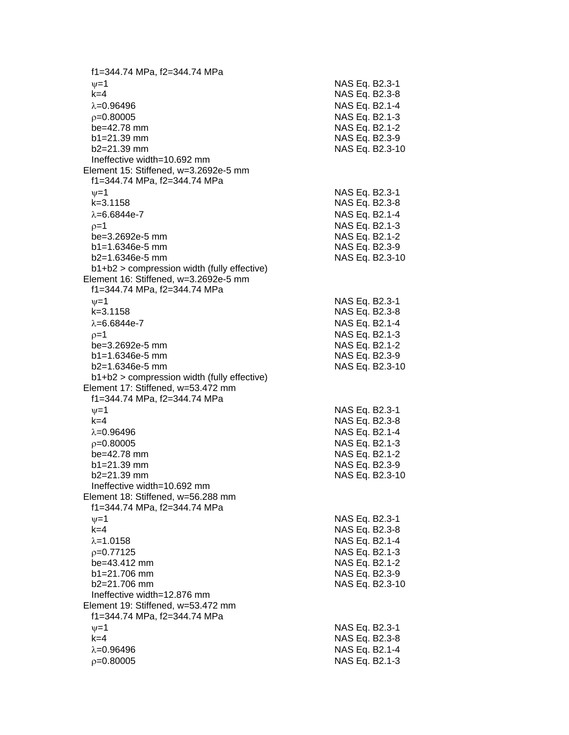f1=344.74 MPa, f2=344.74 MPa  $\psi$ =1 NAS Eq. B2.3-1 k=4 NAS Eq. B2.3 - 8  $\lambda = 0.96496$ 6 NAS Eq. B2.1-4  $\rho$ =0.80005 NAS Eq. B2.1-3 be=42.78 mm NAS Eq. B2.1-2 b1=21.39 mm NAS Eq. B2.3-9 b2=21.39 mm NAS Eq. B2.3 -10 Ineffective width=10.692 mm Element 15: Stiffened, w=3.2692e -5 mm f1=344.74 MPa, f2=344.74 MPa  $\psi$ =1 NAS Eq. B2.3-1 k=3.1158 NAS Eq. B2.3 - 8 λ=6.6844e-7 NAS Eq. B2.1 - 4  $\rho$ =1 NAS Eq. B2.1-3 be=3.2692e -5 mm NAS Eq. B2.1 - 2 b1=1.6346e-5 mm -5 mm NAS Eq. B2.3 - 9 b2=1.6346e -5 mm NAS Eq. B2.3 -10 b1+b2 > compression width (fully effective) Element 16: Stiffened, w=3.2692e -5 mm f1=344.74 MPa, f2=344.74 MPa  $\nu$  =1 NAS Eq. B2.3-1 k=3.1158 NAS Eq. B2.3 - 8 λ=6.6844e-7 NAS Eq. B2.1 - 4  $\rho=1$  NAS Eq. B2.1-3 be=3.2692e -5 mm NAS Eq. B2.1 - 2  $b1 = 1.6346e-5$  mm -5 mm NAS Eq. B2.3 - 9 b2=1.6346e -5 mm NAS Eq. B2.3 -10 b1+b2 > compression width (fully effective) Element 17: Stiffened, w=53.472 mm f1=344.74 MPa, f2=344.74 MPa  $\psi$ =1 NAS Eq. B2.3-1 k=4 NAS Eq. B2.3 - 8 λ=0.96496 NAS Eq. B2.1-4  $\rho$ =0.80005 NAS Eq. B2.1-3 be=42.78 mm NAS Eq. B2.1-2 b1=21.39 mm NAS Eq. B2.3-9 b2=21.39 mm NAS Eq. B2.3 -10 Ineffective width=10.692 mm Element 18: Stiffened, w=56.288 mm f1=344.74 MPa, f2=344.74 MPa  $\psi$ =1 NAS Eq. B2.3-1 k=4 NAS Eq. B2.3 - 8 =1.0158 NAS Eq. B2.1 - 4  $\rho$ =0.77125 NAS Eq. B2.1-3  $be = 43.412$  mm b1=21.706 mm NAS Eq. B2.3-9 b2=21.706 mm NAS Eq. B2.3-10 Ineffective width=12.876 mm Element 19: Stiffened, w=53.472 mm f1=344.74 MPa, f2=344.74 MPa  $\nu$  =1 NAS Eq. B2.3-1 k=4 NAS Eq. B2.3 - 8 =0.96496 NAS Eq. B2.1 - 4  $\rho$ =0.80005 NAS Eq. B2.1-3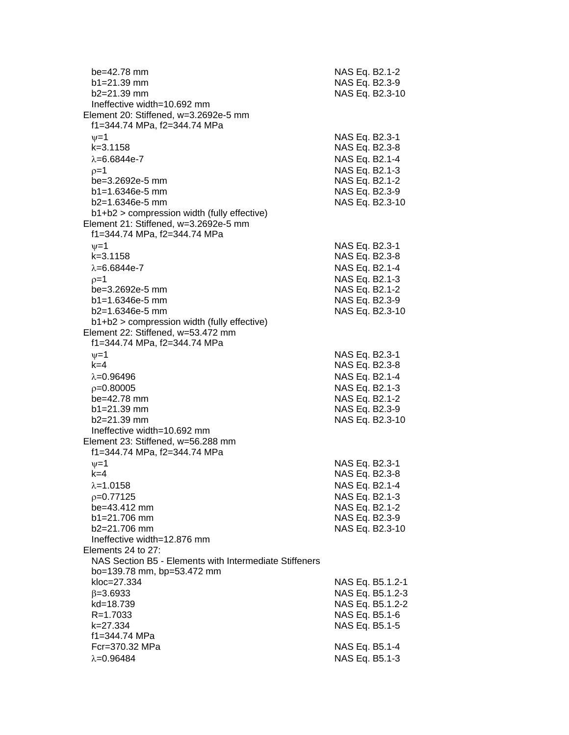| be=42.78 mm<br>b1=21.39 mm<br>$b2 = 21.39$ mm |                                                        | NAS Eq. B2.1-2<br>NAS Eq. B2.3-9 | NAS Eq. B2.3-10  |
|-----------------------------------------------|--------------------------------------------------------|----------------------------------|------------------|
|                                               | Ineffective width=10.692 mm                            |                                  |                  |
|                                               | Element 20: Stiffened, w=3.2692e-5 mm                  |                                  |                  |
|                                               | f1=344.74 MPa, f2=344.74 MPa                           |                                  |                  |
| $\nu = 1$                                     |                                                        | NAS Eq. B2.3-1                   |                  |
| $k = 3.1158$                                  |                                                        | NAS Eq. B2.3-8                   |                  |
| $\lambda = 6.6844e - 7$                       |                                                        | NAS Eq. B2.1-4                   |                  |
| $p=1$                                         |                                                        | NAS Eq. B2.1-3                   |                  |
|                                               | be=3.2692e-5 mm                                        | NAS Eq. B2.1-2                   |                  |
|                                               | $b1 = 1.6346e-5$ mm                                    | NAS Eq. B2.3-9                   |                  |
|                                               | $b2=1.6346e-5$ mm                                      |                                  | NAS Eq. B2.3-10  |
|                                               | b1+b2 > compression width (fully effective)            |                                  |                  |
|                                               | Element 21: Stiffened, w=3.2692e-5 mm                  |                                  |                  |
|                                               | f1=344.74 MPa, f2=344.74 MPa                           |                                  |                  |
| $\nu = 1$                                     |                                                        | NAS Eq. B2.3-1                   |                  |
| $k = 3.1158$                                  |                                                        | NAS Eq. B2.3-8                   |                  |
| $\lambda = 6.6844e - 7$                       |                                                        | NAS Eq. B2.1-4                   |                  |
| $p=1$                                         |                                                        | NAS Eq. B2.1-3                   |                  |
|                                               | be=3.2692e-5 mm                                        | NAS Eq. B2.1-2                   |                  |
|                                               | $b1 = 1.6346e-5$ mm                                    | NAS Eq. B2.3-9                   |                  |
|                                               | $b2=1.6346e-5$ mm                                      | NAS Eq. B2.3-10                  |                  |
|                                               | b1+b2 > compression width (fully effective)            |                                  |                  |
|                                               | Element 22: Stiffened, w=53.472 mm                     |                                  |                  |
|                                               | f1=344.74 MPa, f2=344.74 MPa                           |                                  |                  |
| $\nu = 1$                                     |                                                        | NAS Eq. B2.3-1                   |                  |
| $k=4$                                         |                                                        | NAS Eq. B2.3-8                   |                  |
| $\lambda = 0.96496$                           |                                                        | NAS Eq. B2.1-4                   |                  |
| $p=0.80005$                                   |                                                        | NAS Eq. B2.1-3                   |                  |
| be=42.78 mm                                   |                                                        | NAS Eq. B2.1-2                   |                  |
| b1=21.39 mm                                   |                                                        | NAS Eq. B2.3-9                   |                  |
| b2=21.39 mm                                   |                                                        |                                  | NAS Eq. B2.3-10  |
|                                               | Ineffective width=10.692 mm                            |                                  |                  |
|                                               | Element 23: Stiffened, w=56.288 mm                     |                                  |                  |
|                                               | f1=344.74 MPa, f2=344.74 MPa                           |                                  |                  |
| $v = 1$                                       |                                                        | NAS Eq. B2.3-1                   |                  |
| k=4                                           |                                                        | NAS Eq. B2.3-8                   |                  |
| $\lambda = 1.0158$                            |                                                        | NAS Eq. B2.1-4                   |                  |
| $p=0.77125$                                   |                                                        | NAS Eq. B2.1-3                   |                  |
|                                               | be=43.412 mm                                           | NAS Eq. B2.1-2                   |                  |
|                                               | b1=21.706 mm                                           | NAS Eq. B2.3-9                   |                  |
|                                               | b2=21.706 mm                                           |                                  | NAS Eq. B2.3-10  |
|                                               | Ineffective width=12.876 mm                            |                                  |                  |
|                                               | Elements 24 to 27:                                     |                                  |                  |
|                                               | NAS Section B5 - Elements with Intermediate Stiffeners |                                  |                  |
|                                               | bo=139.78 mm, bp=53.472 mm                             |                                  |                  |
| kloc=27.334                                   |                                                        |                                  | NAS Eq. B5.1.2-1 |
| $\beta = 3.6933$                              |                                                        |                                  | NAS Eq. B5.1.2-3 |
| kd=18.739                                     |                                                        |                                  | NAS Eq. B5.1.2-2 |
| $R = 1.7033$                                  |                                                        | NAS Eq. B5.1-6                   |                  |
| k=27.334                                      |                                                        | NAS Eq. B5.1-5                   |                  |
|                                               | f1=344.74 MPa                                          |                                  |                  |
|                                               | Fcr=370.32 MPa                                         | NAS Eq. B5.1-4                   |                  |
| $\lambda = 0.96484$                           |                                                        | NAS Eq. B5.1-3                   |                  |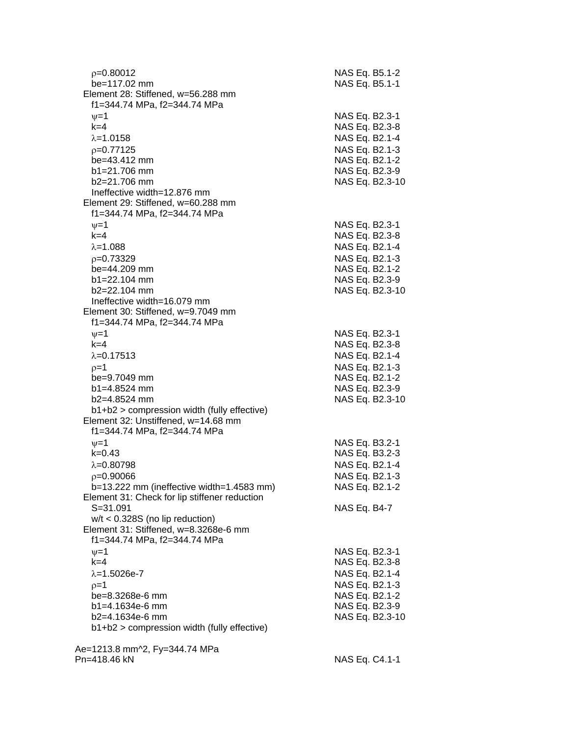| $p=0.80012$<br>be=117.02 mm<br>Element 28: Stiffened, w=56.288 mm                          | NAS Eq. B5.1-2<br>NAS Eq. B5.1-1 |
|--------------------------------------------------------------------------------------------|----------------------------------|
| f1=344.74 MPa, f2=344.74 MPa<br>$\nu = 1$<br>$k=4$                                         | NAS Eq. B2.3-1<br>NAS Eq. B2.3-8 |
| $\lambda = 1.0158$                                                                         | NAS Eq. B2.1-4                   |
| $p=0.77125$                                                                                | NAS Eq. B2.1-3                   |
| be=43.412 mm<br>$b1 = 21.706$ mm                                                           | NAS Eq. B2.1-2<br>NAS Eq. B2.3-9 |
| $b2=21.706$ mm                                                                             | NAS Eq. B2.3-10                  |
| Ineffective width=12.876 mm                                                                |                                  |
| Element 29: Stiffened, w=60.288 mm<br>f1=344.74 MPa, f2=344.74 MPa                         |                                  |
| $\nu = 1$                                                                                  | NAS Eq. B2.3-1                   |
| $k=4$<br>$\lambda = 1.088$                                                                 | NAS Eq. B2.3-8                   |
| $p=0.73329$                                                                                | NAS Eq. B2.1-4<br>NAS Eq. B2.1-3 |
| be=44.209 mm                                                                               | NAS Eq. B2.1-2                   |
| $b1 = 22.104$ mm                                                                           | NAS Eq. B2.3-9                   |
| $b2 = 22.104$ mm                                                                           | NAS Eq. B2.3-10                  |
| Ineffective width=16.079 mm                                                                |                                  |
| Element 30: Stiffened, w=9.7049 mm                                                         |                                  |
| f1=344.74 MPa, f2=344.74 MPa                                                               |                                  |
| $\nu = 1$<br>$k = 4$                                                                       | NAS Eq. B2.3-1                   |
| $\lambda = 0.17513$                                                                        | NAS Eq. B2.3-8<br>NAS Eq. B2.1-4 |
| $p=1$                                                                                      | NAS Eq. B2.1-3                   |
| be=9.7049 mm                                                                               | NAS Eq. B2.1-2                   |
| $b1 = 4.8524$ mm                                                                           | NAS Eq. B2.3-9                   |
| b2=4.8524 mm                                                                               | NAS Eq. B2.3-10                  |
| $b1+b2$ > compression width (fully effective)<br>Element 32: Unstiffened, w=14.68 mm       |                                  |
| f1=344.74 MPa, f2=344.74 MPa                                                               |                                  |
| $\nu = 1$<br>$k = 0.43$                                                                    | NAS Eq. B3.2-1                   |
| $\lambda = 0.80798$                                                                        | NAS Eq. B3.2-3<br>NAS Eq. B2.1-4 |
| $p=0.90066$                                                                                | NAS Eq. B2.1-3                   |
| b=13.222 mm (ineffective width=1.4583 mm)<br>Element 31: Check for lip stiffener reduction | NAS Eq. B2.1-2                   |
| $S = 31.091$                                                                               | NAS Eq. B4-7                     |
| $w/t < 0.328S$ (no lip reduction)                                                          |                                  |
| Element 31: Stiffened, w=8.3268e-6 mm<br>f1=344.74 MPa, f2=344.74 MPa                      |                                  |
| $\nu = 1$                                                                                  | NAS Eq. B2.3-1                   |
| $k=4$<br>$\lambda = 1.5026e - 7$                                                           | NAS Eq. B2.3-8<br>NAS Eq. B2.1-4 |
| $p=1$                                                                                      | NAS Eq. B2.1-3                   |
| be=8.3268e-6 mm                                                                            | NAS Eq. B2.1-2                   |
| $b1 = 4.1634e-6$ mm                                                                        | NAS Eq. B2.3-9                   |
| b2=4.1634e-6 mm                                                                            | NAS Eq. B2.3-10                  |
| b1+b2 > compression width (fully effective)                                                |                                  |
| Ae=1213.8 mm^2, Fy=344.74 MPa                                                              |                                  |
| Pn=418.46 kN                                                                               | NAS Eq. C4.1-1                   |

NAS Eq. C4.1-1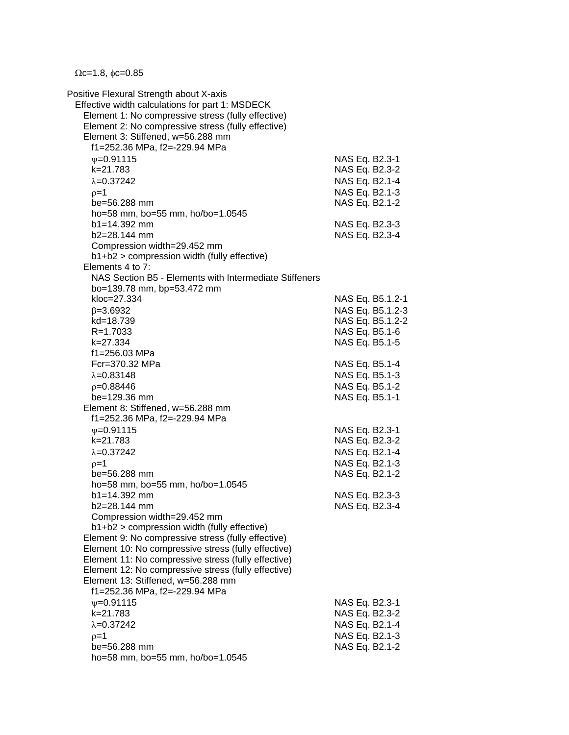$\Omega$ c=1.8,  $\phi$ c=0.85

Positive Flexural Strength about X-axis Effective width calculations for part 1: MSDECK Element 1: No compressive stress (fully effective) Element 2: No compressive stress (fully effective) Element 3: Stiffened, w=56.288 mm f1=252.36 MPa, f2=-229.94 MPa  $v=0.91115$  NAS Eq. B2.3-1 k=21.783 NAS Eq. B2.3-2  $\lambda$ =0.37242 NAS Eq. B2.1-4  $p=1$  NAS Eq. B2.1-3 be=56.288 mm NAS Eq. B2.1-2 ho=58 mm, bo=55 mm, ho/bo=1.0545 b1=14.392 mm NAS Eq. B2.3-3 b2=28.144 mm NAS Eq. B2.3-4 Compression width=29.452 mm b1+b2 > compression width (fully effective) Elements 4 to 7: NAS Section B5 - Elements with Intermediate Stiffeners bo=139.78 mm, bp=53.472 mm kloc=27.334 NAS Eq. B5.1.2-1  $\beta$ =3.6932 NAS Eq. B5.1.2-3 kd=18.739 NAS Eq. B5.1.2-2 R=1.7033 NAS Eq. B5.1-6 k=27.334 NAS Eq. B5.1-5 f1=256.03 MPa Fcr=370.32 MPa NAS Eq. B5.1-4  $\lambda = 0.83148$  NAS Eq. B5.1-3  $p=0.88446$  NAS Eq. B5.1-2 be=129.36 mm NAS Eq. B5.1-1 Element 8: Stiffened, w=56.288 mm f1=252.36 MPa, f2=-229.94 MPa w=0.91115 NAS Eq. B2.3-1 k=21.783 NAS Eq. B2.3-2  $\lambda = 0.37242$  NAS Eq. B2.1-4  $\rho = 1$  NAS Eq. B2.1-3 be=56.288 mm NAS Eq. B2.1-2 ho=58 mm, bo=55 mm, ho/bo=1.0545 b1=14.392 mm NAS Eq. B2.3-3 b2=28.144 mm NAS Eq. B2.3-4 Compression width=29.452 mm b1+b2 > compression width (fully effective) Element 9: No compressive stress (fully effective) Element 10: No compressive stress (fully effective) Element 11: No compressive stress (fully effective) Element 12: No compressive stress (fully effective) Element 13: Stiffened, w=56.288 mm f1=252.36 MPa, f2=-229.94 MPa  $v=0.91115$  NAS Eq. B2.3-1 k=21.783 NAS Eq. B2.3-2  $\lambda$ =0.37242 NAS Eq. B2.1-4  $p=1$  NAS Eq. B2.1-3 be=56.288 mm NAS Eq. B2.1-2 ho=58 mm, bo=55 mm, ho/bo=1.0545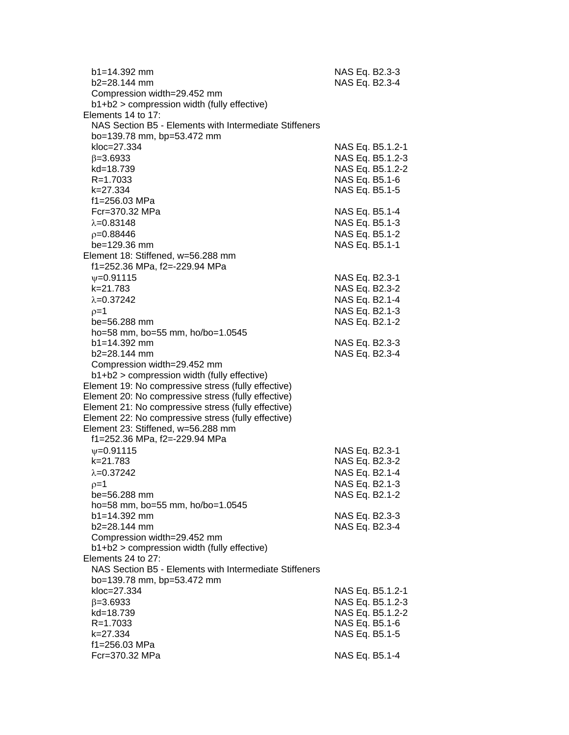| b1=14.392 mm<br>b2=28.144 mm                                                                               | NAS Eq. B2.3-3<br>NAS Eq. B2.3-4 |
|------------------------------------------------------------------------------------------------------------|----------------------------------|
| Compression width=29.452 mm                                                                                |                                  |
| b1+b2 > compression width (fully effective)<br>Elements 14 to 17:                                          |                                  |
| NAS Section B5 - Elements with Intermediate Stiffeners                                                     |                                  |
| bo=139.78 mm, bp=53.472 mm                                                                                 |                                  |
| kloc=27.334                                                                                                | NAS Eq. B5.1.2-1                 |
| $\beta = 3.6933$                                                                                           | NAS Eq. B5.1.2-3                 |
| kd=18.739                                                                                                  | NAS Eq. B5.1.2-2                 |
| R=1.7033                                                                                                   | NAS Eq. B5.1-6                   |
| k=27.334                                                                                                   | NAS Eq. B5.1-5                   |
| f1=256.03 MPa                                                                                              |                                  |
| Fcr=370.32 MPa                                                                                             | NAS Eq. B5.1-4                   |
| $\lambda = 0.83148$                                                                                        | NAS Eq. B5.1-3                   |
| $p=0.88446$                                                                                                | NAS Eq. B5.1-2                   |
| be=129.36 mm                                                                                               | NAS Eq. B5.1-1                   |
| Element 18: Stiffened, w=56.288 mm                                                                         |                                  |
| f1=252.36 MPa, f2=-229.94 MPa                                                                              |                                  |
| $\psi = 0.91115$                                                                                           | NAS Eq. B2.3-1                   |
| k=21.783                                                                                                   | NAS Eq. B2.3-2                   |
| $\lambda = 0.37242$                                                                                        | NAS Eq. B2.1-4                   |
| $p=1$                                                                                                      | NAS Eq. B2.1-3                   |
| be=56.288 mm                                                                                               | NAS Eq. B2.1-2                   |
| ho=58 mm, bo=55 mm, ho/bo=1.0545                                                                           |                                  |
| $b1 = 14.392$ mm                                                                                           | NAS Eq. B2.3-3                   |
| b2=28.144 mm                                                                                               | NAS Eq. B2.3-4                   |
| Compression width=29.452 mm                                                                                |                                  |
| b1+b2 > compression width (fully effective)                                                                |                                  |
| Element 19: No compressive stress (fully effective)<br>Element 20: No compressive stress (fully effective) |                                  |
| Element 21: No compressive stress (fully effective)                                                        |                                  |
| Element 22: No compressive stress (fully effective)                                                        |                                  |
| Element 23: Stiffened, w=56.288 mm                                                                         |                                  |
| f1=252.36 MPa, f2=-229.94 MPa                                                                              |                                  |
| $\psi = 0.91115$                                                                                           | NAS Eq. B2.3-1                   |
| k=21.783                                                                                                   | NAS Eq. B2.3-2                   |
| $\lambda = 0.37242$                                                                                        | NAS Eq. B2.1-4                   |
| $p=1$                                                                                                      | NAS Eq. B2.1-3                   |
| be=56.288 mm                                                                                               | NAS Eq. B2.1-2                   |
| ho=58 mm, bo=55 mm, ho/bo=1.0545                                                                           |                                  |
| $b1 = 14.392$ mm                                                                                           | NAS Eq. B2.3-3                   |
| $b2=28.144$ mm                                                                                             | NAS Eq. B2.3-4                   |
| Compression width=29.452 mm                                                                                |                                  |
| b1+b2 > compression width (fully effective)                                                                |                                  |
| Elements 24 to 27:                                                                                         |                                  |
| NAS Section B5 - Elements with Intermediate Stiffeners<br>bo=139.78 mm, bp=53.472 mm                       |                                  |
| kloc=27.334                                                                                                | NAS Eq. B5.1.2-1                 |
| $\beta = 3.6933$                                                                                           | NAS Eq. B5.1.2-3                 |
| kd=18.739                                                                                                  | NAS Eq. B5.1.2-2                 |
| R=1.7033                                                                                                   | NAS Eq. B5.1-6                   |
| k=27.334                                                                                                   | NAS Eq. B5.1-5                   |
| f1=256.03 MPa                                                                                              |                                  |
| Fcr=370.32 MPa                                                                                             | NAS Eq. B5.1-4                   |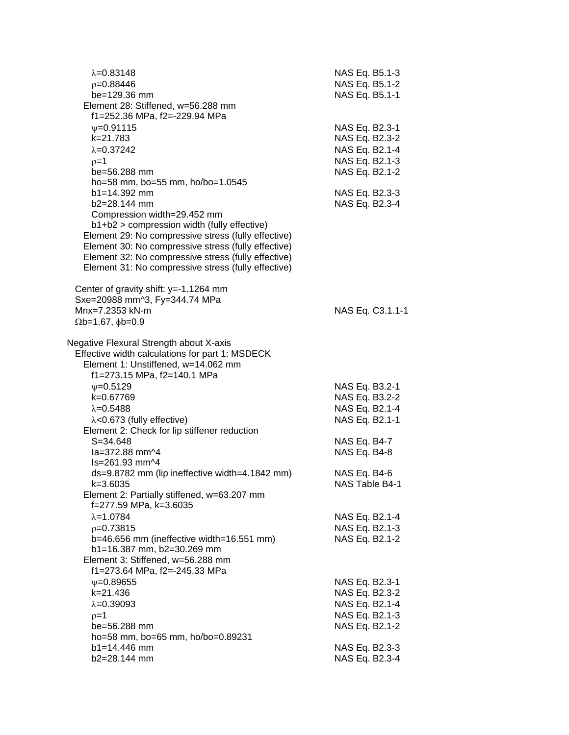| $\lambda = 0.83148$<br>$p=0.88446$<br>be=129.36 mm<br>Element 28: Stiffened, w=56.288 mm<br>f1=252.36 MPa, f2=-229.94 MPa                                                                                                                                                                                                              | NAS Eq. B5.1-3<br>NAS Eq. B5.1-2<br>NAS Eq. B5.1-1                                     |
|----------------------------------------------------------------------------------------------------------------------------------------------------------------------------------------------------------------------------------------------------------------------------------------------------------------------------------------|----------------------------------------------------------------------------------------|
| $V = 0.91115$<br>k=21.783<br>$\lambda = 0.37242$<br>$p=1$<br>be=56.288 mm<br>ho=58 mm, bo=55 mm, ho/bo=1.0545                                                                                                                                                                                                                          | NAS Eq. B2.3-1<br>NAS Eq. B2.3-2<br>NAS Eq. B2.1-4<br>NAS Eq. B2.1-3<br>NAS Eq. B2.1-2 |
| b1=14.392 mm<br>b2=28.144 mm<br>Compression width=29.452 mm<br>b1+b2 > compression width (fully effective)<br>Element 29: No compressive stress (fully effective)<br>Element 30: No compressive stress (fully effective)<br>Element 32: No compressive stress (fully effective)<br>Element 31: No compressive stress (fully effective) | NAS Eq. B2.3-3<br>NAS Eq. B2.3-4                                                       |
| Center of gravity shift: y=-1.1264 mm<br>Sxe=20988 mm^3, Fy=344.74 MPa<br>Mnx=7.2353 kN-m<br>$\Omega$ b=1.67, $\phi$ b=0.9                                                                                                                                                                                                             | NAS Eq. C3.1.1-1                                                                       |
| Negative Flexural Strength about X-axis<br>Effective width calculations for part 1: MSDECK<br>Element 1: Unstiffened, w=14.062 mm<br>f1=273.15 MPa, f2=140.1 MPa                                                                                                                                                                       |                                                                                        |
| $\nu = 0.5129$<br>k=0.67769<br>$\lambda = 0.5488$<br>$\lambda$ <0.673 (fully effective)<br>Element 2: Check for lip stiffener reduction                                                                                                                                                                                                | NAS Eq. B3.2-1<br>NAS Eq. B3.2-2<br>NAS Eq. B2.1-4<br>NAS Eq. B2.1-1                   |
| $S = 34.648$<br>la=372.88 mm^4<br>Is=261.93 mm^4                                                                                                                                                                                                                                                                                       | NAS Eq. B4-7<br>NAS Eq. B4-8                                                           |
| ds=9.8782 mm (lip ineffective width=4.1842 mm)<br>k=3.6035<br>Element 2: Partially stiffened, w=63.207 mm<br>f=277.59 MPa, k=3.6035                                                                                                                                                                                                    | NAS Eq. B4-6<br>NAS Table B4-1                                                         |
| $\lambda = 1.0784$<br>$p=0.73815$<br>b=46.656 mm (ineffective width=16.551 mm)<br>b1=16.387 mm, b2=30.269 mm<br>Element 3: Stiffened, w=56.288 mm                                                                                                                                                                                      | NAS Eq. B2.1-4<br>NAS Eq. B2.1-3<br>NAS Eq. B2.1-2                                     |
| f1=273.64 MPa, f2=-245.33 MPa<br>$\nu = 0.89655$<br>k=21.436<br>$\lambda = 0.39093$<br>$p=1$<br>be=56.288 mm                                                                                                                                                                                                                           | NAS Eq. B2.3-1<br>NAS Eq. B2.3-2<br>NAS Eq. B2.1-4<br>NAS Eq. B2.1-3<br>NAS Eq. B2.1-2 |
| ho=58 mm, bo=65 mm, ho/bo=0.89231<br>$b1 = 14.446$ mm<br>b2=28.144 mm                                                                                                                                                                                                                                                                  | NAS Eq. B2.3-3<br>NAS Eq. B2.3-4                                                       |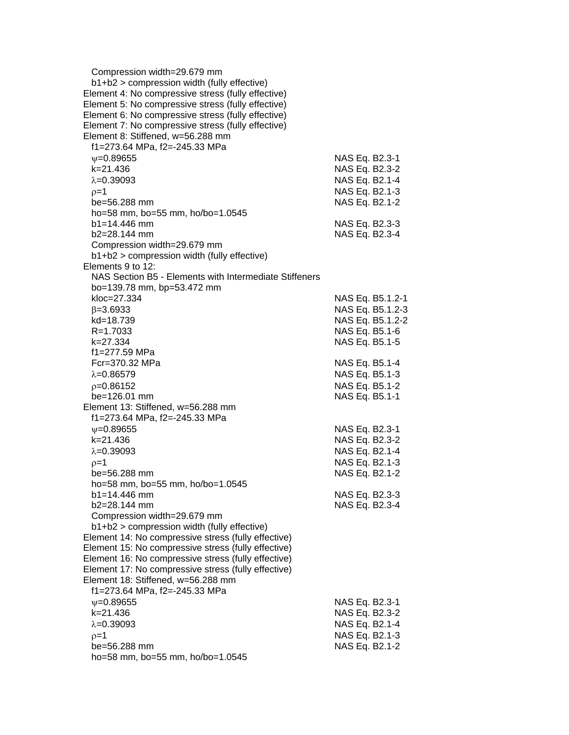| Compression width=29.679 mm                            |                  |
|--------------------------------------------------------|------------------|
| b1+b2 > compression width (fully effective)            |                  |
| Element 4: No compressive stress (fully effective)     |                  |
| Element 5: No compressive stress (fully effective)     |                  |
| Element 6: No compressive stress (fully effective)     |                  |
| Element 7: No compressive stress (fully effective)     |                  |
| Element 8: Stiffened, w=56.288 mm                      |                  |
| f1=273.64 MPa, f2=-245.33 MPa                          |                  |
| $V = 0.89655$                                          | NAS Eq. B2.3-1   |
| $k = 21.436$                                           | NAS Eq. B2.3-2   |
| $\lambda = 0.39093$                                    | NAS Eq. B2.1-4   |
| $p=1$                                                  | NAS Eq. B2.1-3   |
| be=56.288 mm                                           | NAS Eq. B2.1-2   |
| ho=58 mm, bo=55 mm, ho/bo=1.0545                       |                  |
| $b1 = 14.446$ mm                                       | NAS Eq. B2.3-3   |
| b2=28.144 mm                                           | NAS Eq. B2.3-4   |
| Compression width=29.679 mm                            |                  |
| b1+b2 > compression width (fully effective)            |                  |
| Elements 9 to 12:                                      |                  |
| NAS Section B5 - Elements with Intermediate Stiffeners |                  |
| bo=139.78 mm, bp=53.472 mm                             |                  |
| kloc=27.334                                            | NAS Eq. B5.1.2-1 |
| $\beta = 3.6933$                                       | NAS Eq. B5.1.2-3 |
| kd=18.739                                              | NAS Eq. B5.1.2-2 |
| R=1.7033                                               | NAS Eq. B5.1-6   |
| k=27.334                                               | NAS Eq. B5.1-5   |
| f1=277.59 MPa                                          |                  |
| Fcr=370.32 MPa                                         | NAS Eq. B5.1-4   |
| $\lambda = 0.86579$                                    | NAS Eq. B5.1-3   |
| $p=0.86152$                                            | NAS Eq. B5.1-2   |
| $be = 126.01$ mm                                       | NAS Eq. B5.1-1   |
| Element 13: Stiffened, w=56.288 mm                     |                  |
| f1=273.64 MPa, f2=-245.33 MPa                          |                  |
| $\nu = 0.89655$                                        | NAS Eq. B2.3-1   |
| k=21.436                                               | NAS Eq. B2.3-2   |
| $\lambda = 0.39093$                                    | NAS Eq. B2.1-4   |
| $p=1$                                                  | NAS Eq. B2.1-3   |
| be=56.288 mm                                           | NAS Eq. B2.1-2   |
| ho=58 mm, bo=55 mm, ho/bo=1.0545                       |                  |
| $b1 = 14.446$ mm                                       | NAS Eq. B2.3-3   |
| b2=28.144 mm                                           | NAS Eq. B2.3-4   |
| Compression width=29.679 mm                            |                  |
| b1+b2 > compression width (fully effective)            |                  |
| Element 14: No compressive stress (fully effective)    |                  |
| Element 15: No compressive stress (fully effective)    |                  |
| Element 16: No compressive stress (fully effective)    |                  |
| Element 17: No compressive stress (fully effective)    |                  |
| Element 18: Stiffened, w=56.288 mm                     |                  |
| f1=273.64 MPa, f2=-245.33 MPa                          |                  |
|                                                        |                  |
| $V = 0.89655$                                          | NAS Eq. B2.3-1   |
| k=21.436                                               | NAS Eq. B2.3-2   |
| $\lambda = 0.39093$                                    | NAS Eq. B2.1-4   |
| $p=1$                                                  | NAS Eq. B2.1-3   |
| be=56.288 mm                                           | NAS Eq. B2.1-2   |
| ho=58 mm, bo=55 mm, ho/bo=1.0545                       |                  |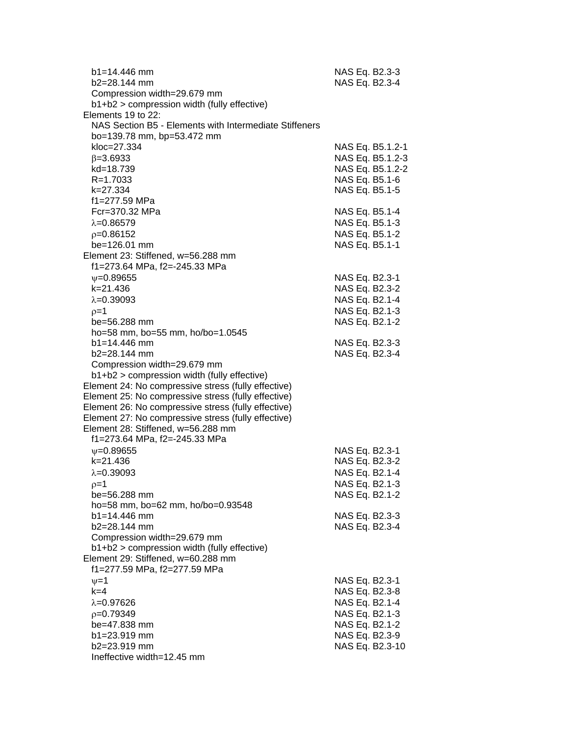| $b1 = 14.446$ mm<br>$b2 = 28.144$ mm                                                                       | NAS Eq. B2.3-3<br>NAS Eq. B2.3-4 |
|------------------------------------------------------------------------------------------------------------|----------------------------------|
| Compression width=29.679 mm                                                                                |                                  |
| b1+b2 > compression width (fully effective)                                                                |                                  |
| Elements 19 to 22:                                                                                         |                                  |
| NAS Section B5 - Elements with Intermediate Stiffeners                                                     |                                  |
| bo=139.78 mm, bp=53.472 mm<br>kloc=27.334                                                                  | NAS Eq. B5.1.2-1                 |
| $\beta = 3.6933$                                                                                           | NAS Eq. B5.1.2-3                 |
| kd=18.739                                                                                                  | NAS Eq. B5.1.2-2                 |
| R=1.7033                                                                                                   | NAS Eq. B5.1-6                   |
| k=27.334                                                                                                   | NAS Eq. B5.1-5                   |
| f1=277.59 MPa                                                                                              |                                  |
| Fcr=370.32 MPa                                                                                             | NAS Eq. B5.1-4                   |
| $\lambda = 0.86579$                                                                                        | NAS Eq. B5.1-3                   |
| $p=0.86152$                                                                                                | NAS Eq. B5.1-2                   |
| be=126.01 mm                                                                                               | NAS Eq. B5.1-1                   |
| Element 23: Stiffened, w=56.288 mm                                                                         |                                  |
| f1=273.64 MPa, f2=-245.33 MPa                                                                              |                                  |
| $\nu = 0.89655$                                                                                            | NAS Eq. B2.3-1                   |
| k=21.436                                                                                                   | NAS Eq. B2.3-2                   |
| $\lambda = 0.39093$                                                                                        | NAS Eq. B2.1-4                   |
| $p=1$                                                                                                      | NAS Eq. B2.1-3                   |
| be=56.288 mm                                                                                               | NAS Eq. B2.1-2                   |
| ho=58 mm, bo=55 mm, ho/bo=1.0545                                                                           |                                  |
| $b1 = 14.446$ mm                                                                                           | NAS Eq. B2.3-3                   |
| b2=28.144 mm                                                                                               | NAS Eq. B2.3-4                   |
| Compression width=29.679 mm                                                                                |                                  |
| b1+b2 > compression width (fully effective)                                                                |                                  |
| Element 24: No compressive stress (fully effective)<br>Element 25: No compressive stress (fully effective) |                                  |
| Element 26: No compressive stress (fully effective)                                                        |                                  |
| Element 27: No compressive stress (fully effective)                                                        |                                  |
| Element 28: Stiffened, w=56.288 mm                                                                         |                                  |
| f1=273.64 MPa, f2=-245.33 MPa                                                                              |                                  |
| $\nu = 0.89655$                                                                                            | NAS Eq. B2.3-1                   |
| k=21.436                                                                                                   | NAS Eq. B2.3-2                   |
| $\lambda = 0.39093$                                                                                        | NAS Eq. B2.1-4                   |
| $p=1$                                                                                                      | NAS Eq. B2.1-3                   |
| be=56.288 mm                                                                                               | NAS Eq. B2.1-2                   |
| ho=58 mm, bo=62 mm, ho/bo=0.93548                                                                          |                                  |
| $b1 = 14.446$ mm                                                                                           | NAS Eq. B2.3-3                   |
| $b2=28.144$ mm                                                                                             | NAS Eq. B2.3-4                   |
| Compression width=29.679 mm                                                                                |                                  |
| b1+b2 > compression width (fully effective)                                                                |                                  |
| Element 29: Stiffened, w=60.288 mm                                                                         |                                  |
| f1=277.59 MPa, f2=277.59 MPa                                                                               |                                  |
| $\nu = 1$                                                                                                  | NAS Eq. B2.3-1                   |
| $k = 4$                                                                                                    | NAS Eq. B2.3-8                   |
| $\lambda = 0.97626$                                                                                        | NAS Eq. B2.1-4                   |
| $p=0.79349$                                                                                                | NAS Eq. B2.1-3                   |
| $be = 47.838$ mm<br>b1=23.919 mm                                                                           | NAS Eq. B2.1-2<br>NAS Eq. B2.3-9 |
| b2=23.919 mm                                                                                               | NAS Eq. B2.3-10                  |
| Ineffective width=12.45 mm                                                                                 |                                  |
|                                                                                                            |                                  |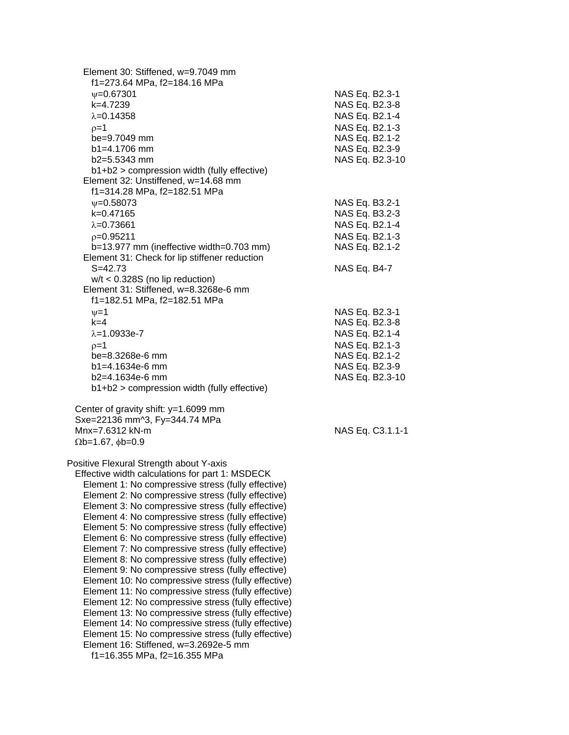| Element 30: Stiffened, w=9.7049 mm<br>f1=273.64 MPa, f2=184.16 MPa |                  |
|--------------------------------------------------------------------|------------------|
| $V = 0.67301$                                                      | NAS Eq. B2.3-1   |
| k=4.7239                                                           | NAS Eq. B2.3-8   |
| $\lambda = 0.14358$                                                | NAS Eq. B2.1-4   |
| $p=1$                                                              | NAS Eq. B2.1-3   |
| be=9.7049 mm                                                       | NAS Eq. B2.1-2   |
| $b1 = 4.1706$ mm                                                   | NAS Eq. B2.3-9   |
| $b2=5.5343$ mm                                                     | NAS Eq. B2.3-10  |
| b1+b2 > compression width (fully effective)                        |                  |
| Element 32: Unstiffened, w=14.68 mm                                |                  |
| f1=314.28 MPa, f2=182.51 MPa                                       |                  |
| $\nu = 0.58073$                                                    | NAS Eq. B3.2-1   |
| k=0.47165                                                          | NAS Eq. B3.2-3   |
| $\lambda = 0.73661$                                                | NAS Eq. B2.1-4   |
| $p=0.95211$                                                        | NAS Eq. B2.1-3   |
|                                                                    |                  |
| b=13.977 mm (ineffective width=0.703 mm)                           | NAS Eq. B2.1-2   |
| Element 31: Check for lip stiffener reduction<br>$S = 42.73$       |                  |
|                                                                    | NAS Eq. B4-7     |
| $w/t < 0.328S$ (no lip reduction)                                  |                  |
| Element 31: Stiffened, w=8.3268e-6 mm                              |                  |
| f1=182.51 MPa, f2=182.51 MPa                                       |                  |
| $\nu = 1$                                                          | NAS Eq. B2.3-1   |
| $k = 4$                                                            | NAS Eq. B2.3-8   |
| $\lambda = 1.0933e-7$                                              | NAS Eq. B2.1-4   |
| $p=1$                                                              | NAS Eq. B2.1-3   |
| be=8.3268e-6 mm                                                    | NAS Eq. B2.1-2   |
| $b1 = 4.1634e-6$ mm                                                | NAS Eq. B2.3-9   |
| b2=4.1634e-6 mm                                                    | NAS Eq. B2.3-10  |
| b1+b2 > compression width (fully effective)                        |                  |
| Center of gravity shift: y=1.6099 mm                               |                  |
| Sxe=22136 mm^3, Fy=344.74 MPa                                      |                  |
| Mnx=7.6312 kN-m                                                    | NAS Eq. C3.1.1-1 |
| $\Omega$ b=1.67, $\phi$ b=0.9                                      |                  |
|                                                                    |                  |
| Positive Flexural Strength about Y-axis                            |                  |
| Effective width calculations for part 1: MSDECK                    |                  |
| Element 1: No compressive stress (fully effective)                 |                  |
| Element 2: No compressive stress (fully effective)                 |                  |
| Element 3: No compressive stress (fully effective)                 |                  |
| Element 4: No compressive stress (fully effective)                 |                  |
| Element 5: No compressive stress (fully effective)                 |                  |
| Element 6: No compressive stress (fully effective)                 |                  |
| Element 7: No compressive stress (fully effective)                 |                  |
| Element 8: No compressive stress (fully effective)                 |                  |
| Element 9: No compressive stress (fully effective)                 |                  |
| Element 10: No compressive stress (fully effective)                |                  |
| Element 11: No compressive stress (fully effective)                |                  |
| Element 12: No compressive stress (fully effective)                |                  |
| Element 13: No compressive stress (fully effective)                |                  |
| Element 14: No compressive stress (fully effective)                |                  |
| Element 15: No compressive stress (fully effective)                |                  |
| Element 16: Stiffened, w=3.2692e-5 mm                              |                  |
| f1=16.355 MPa, f2=16.355 MPa                                       |                  |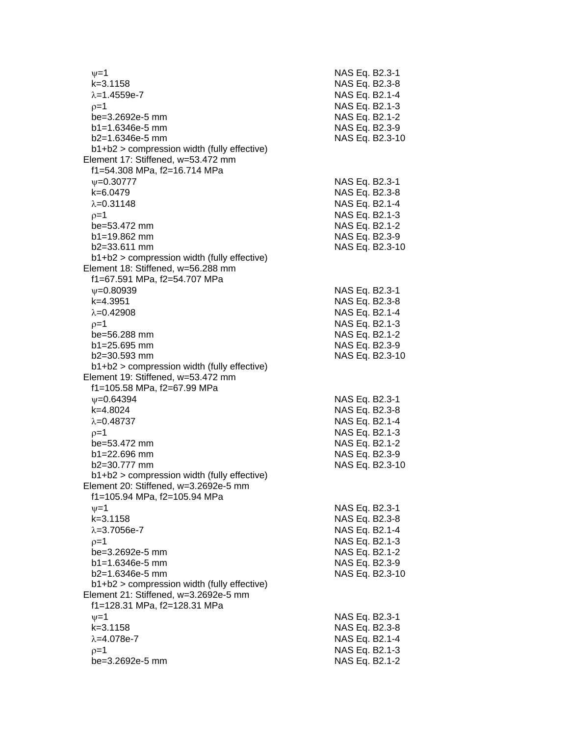| $\nu = 1$                                                                         | NAS Eq. B2.3-1                   |
|-----------------------------------------------------------------------------------|----------------------------------|
| $k = 3.1158$                                                                      | NAS Eq. B2.3-8                   |
| $\lambda = 1.4559e - 7$                                                           | NAS Eq. B2.1-4                   |
| $0=1$                                                                             | NAS Eq. B2.1-3                   |
| be=3.2692e-5 mm                                                                   | NAS Eq. B2.1-2                   |
| $b1 = 1.6346e-5$ mm                                                               | NAS Eq. B2.3-9                   |
| $b2=1.6346e-5$ mm                                                                 | NAS Eq. B2.3-10                  |
| b1+b2 > compression width (fully effective)                                       |                                  |
| Element 17: Stiffened, w=53.472 mm                                                |                                  |
| f1=54.308 MPa, f2=16.714 MPa                                                      |                                  |
| $\psi = 0.30777$                                                                  | NAS Eq. B2.3-1                   |
| k=6.0479                                                                          | NAS Eq. B2.3-8                   |
| $\lambda = 0.31148$                                                               | NAS Eq. B2.1-4                   |
| $p=1$                                                                             | NAS Eq. B2.1-3                   |
| be=53.472 mm                                                                      | NAS Eq. B2.1-2                   |
| $b1 = 19.862$ mm                                                                  | NAS Eq. B2.3-9                   |
| $b2 = 33.611$ mm                                                                  | NAS Eq. B2.3-10                  |
| $b1+b2$ > compression width (fully effective)                                     |                                  |
| Element 18: Stiffened, w=56.288 mm<br>f1=67.591 MPa, f2=54.707 MPa                |                                  |
|                                                                                   |                                  |
| $V = 0.80939$                                                                     | NAS Eq. B2.3-1                   |
| $k=4.3951$                                                                        | NAS Eq. B2.3-8                   |
| $\lambda = 0.42908$                                                               | NAS Eq. B2.1-4                   |
| $p=1$                                                                             | NAS Eq. B2.1-3                   |
| be=56.288 mm                                                                      | NAS Eq. B2.1-2                   |
| $b1 = 25.695$ mm                                                                  | NAS Eq. B2.3-9                   |
| $b2 = 30.593$ mm                                                                  | NAS Eq. B2.3-10                  |
| b1+b2 > compression width (fully effective)<br>Element 19: Stiffened, w=53.472 mm |                                  |
| f1=105.58 MPa, f2=67.99 MPa                                                       |                                  |
| $\nu = 0.64394$                                                                   |                                  |
| k=4.8024                                                                          | NAS Eq. B2.3-1<br>NAS Eq. B2.3-8 |
| $\lambda = 0.48737$                                                               | NAS Eq. B2.1-4                   |
|                                                                                   | NAS Eq. B2.1-3                   |
| $p=1$<br>be=53.472 mm                                                             | NAS Eq. B2.1-2                   |
| $b1 = 22.696$ mm                                                                  | NAS Eq. B2.3-9                   |
| $b2 = 30.777$ mm                                                                  | NAS Eq. B2.3-10                  |
| $b1+b2$ > compression width (fully effective)                                     |                                  |
| Element 20: Stiffened, w=3.2692e-5 mm                                             |                                  |
| f1=105.94 MPa, f2=105.94 MPa                                                      |                                  |
| $v = 1$                                                                           | NAS Eq. B2.3-1                   |
| $k = 3.1158$                                                                      | NAS Eq. B2.3-8                   |
| $\lambda = 3.7056e - 7$                                                           | NAS Eq. B2.1-4                   |
| $p=1$                                                                             | NAS Eq. B2.1-3                   |
| be=3.2692e-5 mm                                                                   | NAS Eq. B2.1-2                   |
| $b1 = 1.6346e-5$ mm                                                               | NAS Eq. B2.3-9                   |
| $b2=1.6346e-5$ mm                                                                 | NAS Eq. B2.3-10                  |
| b1+b2 > compression width (fully effective)                                       |                                  |
| Element 21: Stiffened, w=3.2692e-5 mm                                             |                                  |
| f1=128.31 MPa, f2=128.31 MPa                                                      |                                  |
| $\nu = 1$                                                                         | NAS Eq. B2.3-1                   |
| $k = 3.1158$                                                                      | NAS Eq. B2.3-8                   |
| $\lambda = 4.078e - 7$                                                            | NAS Eq. B2.1-4                   |
| $p=1$                                                                             | NAS Eq. B2.1-3                   |
| be=3.2692e-5 mm                                                                   | NAS Eq. B2.1-2                   |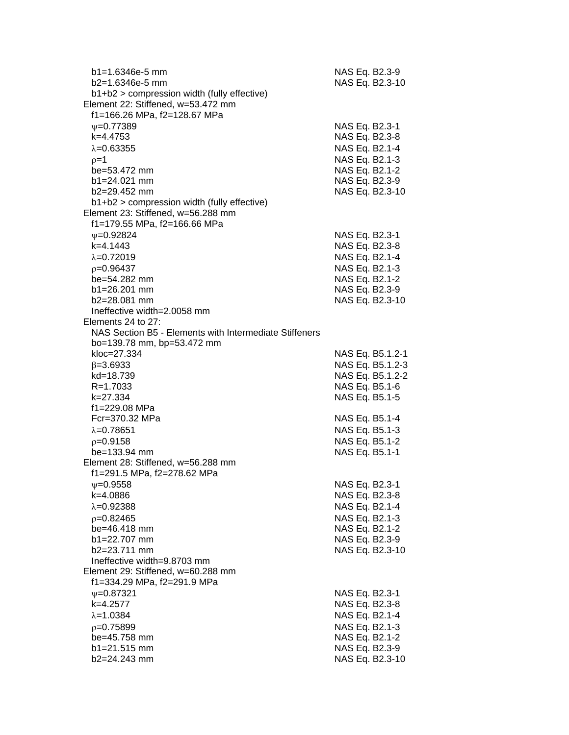| b1=1.6346e-5 mm                                        | NAS Eq. B2.3-9                   |
|--------------------------------------------------------|----------------------------------|
| b2=1.6346e-5 mm                                        | NAS Eq. B2.3-10                  |
| $b1+b2$ > compression width (fully effective)          |                                  |
| Element 22: Stiffened, w=53.472 mm                     |                                  |
| f1=166.26 MPa, f2=128.67 MPa                           |                                  |
| $\psi = 0.77389$                                       | NAS Eq. B2.3-1                   |
| k=4.4753                                               | NAS Eq. B2.3-8                   |
| $\lambda = 0.63355$                                    | NAS Eq. B2.1-4                   |
| $p=1$                                                  | NAS Eq. B2.1-3                   |
| be=53.472 mm                                           | NAS Eq. B2.1-2                   |
| $b1 = 24.021$ mm                                       | NAS Eq. B2.3-9                   |
| b2=29.452 mm                                           | NAS Eq. B2.3-10                  |
| b1+b2 > compression width (fully effective)            |                                  |
| Element 23: Stiffened, w=56.288 mm                     |                                  |
| f1=179.55 MPa, f2=166.66 MPa                           |                                  |
| $V = 0.92824$                                          | NAS Eq. B2.3-1                   |
| $k=4.1443$                                             | NAS Eq. B2.3-8                   |
| $\lambda = 0.72019$                                    | NAS Eq. B2.1-4                   |
| $p=0.96437$                                            | NAS Eq. B2.1-3                   |
| be=54.282 mm                                           | NAS Eq. B2.1-2                   |
| $b1 = 26.201$ mm                                       | NAS Eq. B2.3-9                   |
| b2=28.081 mm                                           | NAS Eq. B2.3-10                  |
| Ineffective width=2.0058 mm                            |                                  |
| Elements 24 to 27:                                     |                                  |
| NAS Section B5 - Elements with Intermediate Stiffeners |                                  |
| bo=139.78 mm, bp=53.472 mm                             |                                  |
| kloc=27.334                                            | NAS Eq. B5.1.2-1                 |
| $\beta = 3.6933$                                       | NAS Eq. B5.1.2-3                 |
| kd=18.739                                              | NAS Eq. B5.1.2-2                 |
| $R = 1.7033$                                           | NAS Eq. B5.1-6                   |
| k=27.334                                               | NAS Eq. B5.1-5                   |
| f1=229.08 MPa                                          |                                  |
| Fcr=370.32 MPa                                         | NAS Eq. B5.1-4                   |
| $\lambda = 0.78651$                                    | NAS Eq. B5.1-3                   |
| $p=0.9158$                                             | NAS Eq. B5.1-2                   |
| $be = 133.94$ mm                                       | NAS Eq. B5.1-1                   |
| Element 28: Stiffened, w=56.288 mm                     |                                  |
| f1=291.5 MPa, f2=278.62 MPa                            |                                  |
| $\psi = 0.9558$                                        | NAS Eq. B2.3-1                   |
| k=4.0886                                               | NAS Eq. B2.3-8                   |
| $\lambda = 0.92388$                                    | NAS Eq. B2.1-4                   |
|                                                        | NAS Eq. B2.1-3                   |
| $p=0.82465$<br>be=46.418 mm                            |                                  |
| b1=22.707 mm                                           | NAS Eq. B2.1-2<br>NAS Eq. B2.3-9 |
|                                                        |                                  |
| b2=23.711 mm<br>Ineffective width=9.8703 mm            | NAS Eq. B2.3-10                  |
|                                                        |                                  |
| Element 29: Stiffened, w=60.288 mm                     |                                  |
| f1=334.29 MPa, f2=291.9 MPa                            |                                  |
| $\psi = 0.87321$                                       | NAS Eq. B2.3-1                   |
| k=4.2577                                               | NAS Eq. B2.3-8                   |
| $\lambda = 1.0384$                                     | NAS Eq. B2.1-4                   |
| $p=0.75899$                                            | NAS Eq. B2.1-3                   |
| be=45.758 mm                                           | NAS Eq. B2.1-2                   |
| b1=21.515 mm                                           | NAS Eq. B2.3-9                   |
| b2=24.243 mm                                           | NAS Eq. B2.3-10                  |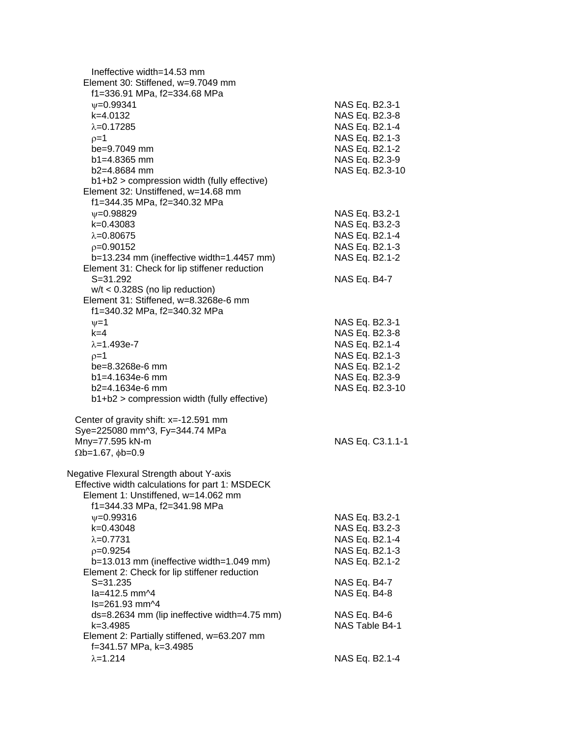| Ineffective width=14.53 mm<br>Element 30: Stiffened, w=9.7049 mm<br>f1=336.91 MPa, f2=334.68 MPa                                                                                                                                                                                                                                                                                                                                                                                                                                                  |                                                                                                                                                                            |
|---------------------------------------------------------------------------------------------------------------------------------------------------------------------------------------------------------------------------------------------------------------------------------------------------------------------------------------------------------------------------------------------------------------------------------------------------------------------------------------------------------------------------------------------------|----------------------------------------------------------------------------------------------------------------------------------------------------------------------------|
| $\psi = 0.99341$<br>k=4.0132<br>$\lambda = 0.17285$<br>$p=1$<br>be=9.7049 mm<br>$b1 = 4.8365$ mm<br>$b2=4.8684$ mm<br>b1+b2 > compression width (fully effective)                                                                                                                                                                                                                                                                                                                                                                                 | NAS Eq. B2.3-1<br>NAS Eq. B2.3-8<br>NAS Eq. B2.1-4<br>NAS Eq. B2.1-3<br>NAS Eq. B2.1-2<br>NAS Eq. B2.3-9<br>NAS Eq. B2.3-10                                                |
| Element 32: Unstiffened, w=14.68 mm<br>f1=344.35 MPa, f2=340.32 MPa<br>$\psi = 0.98829$<br>k=0.43083<br>$\lambda = 0.80675$<br>$p=0.90152$<br>b=13.234 mm (ineffective width=1.4457 mm)<br>Element 31: Check for lip stiffener reduction<br>$S = 31.292$                                                                                                                                                                                                                                                                                          | NAS Eq. B3.2-1<br>NAS Eq. B3.2-3<br>NAS Eq. B2.1-4<br>NAS Eq. B2.1-3<br>NAS Eq. B2.1-2<br>NAS Eq. B4-7                                                                     |
| $w/t < 0.328S$ (no lip reduction)<br>Element 31: Stiffened, w=8.3268e-6 mm<br>f1=340.32 MPa, f2=340.32 MPa<br>$\nu = 1$<br>$k=4$<br>$\lambda = 1.493e - 7$<br>$p=1$<br>be=8.3268e-6 mm<br>b1=4.1634e-6 mm<br>b2=4.1634e-6 mm<br>b1+b2 > compression width (fully effective)                                                                                                                                                                                                                                                                       | NAS Eq. B2.3-1<br>NAS Eq. B2.3-8<br>NAS Eq. B2.1-4<br>NAS Eq. B2.1-3<br>NAS Eq. B2.1-2<br>NAS Eq. B2.3-9<br>NAS Eq. B2.3-10                                                |
| Center of gravity shift: x=-12.591 mm<br>Sye=225080 mm^3, Fy=344.74 MPa<br>Mny=77.595 kN-m<br>$\Omega$ b=1.67, $\phi$ b=0.9                                                                                                                                                                                                                                                                                                                                                                                                                       | NAS Eq. C3.1.1-1                                                                                                                                                           |
| Negative Flexural Strength about Y-axis<br>Effective width calculations for part 1: MSDECK<br>Element 1: Unstiffened, w=14.062 mm<br>f1=344.33 MPa, f2=341.98 MPa<br>$\psi = 0.99316$<br>k=0.43048<br>$\lambda = 0.7731$<br>$p=0.9254$<br>$b=13.013$ mm (ineffective width=1.049 mm)<br>Element 2: Check for lip stiffener reduction<br>$S = 31.235$<br>la=412.5 mm^4<br>Is=261.93 mm^4<br>ds=8.2634 mm (lip ineffective width=4.75 mm)<br>k=3.4985<br>Element 2: Partially stiffened, w=63.207 mm<br>f=341.57 MPa, k=3.4985<br>$\lambda = 1.214$ | NAS Eq. B3.2-1<br>NAS Eq. B3.2-3<br>NAS Eq. B2.1-4<br>NAS Eq. B2.1-3<br>NAS Eq. B2.1-2<br>NAS Eq. B4-7<br>NAS Eq. B4-8<br>NAS Eq. B4-6<br>NAS Table B4-1<br>NAS Eq. B2.1-4 |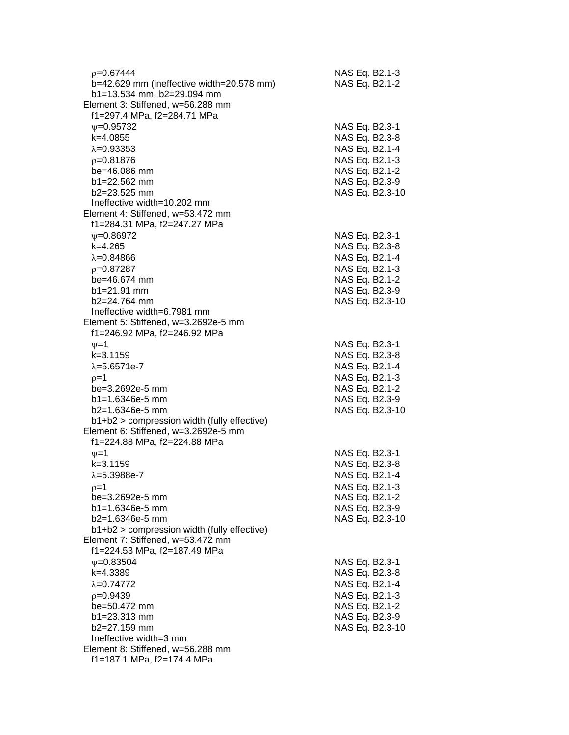| $p=0.67444$                                   | NAS Eq. B2.1-3                   |
|-----------------------------------------------|----------------------------------|
| b=42.629 mm (ineffective width=20.578 mm)     | NAS Eq. B2.1-2                   |
| b1=13.534 mm, b2=29.094 mm                    |                                  |
| Element 3: Stiffened, w=56.288 mm             |                                  |
| f1=297.4 MPa, f2=284.71 MPa                   |                                  |
| $\psi = 0.95732$                              | NAS Eq. B2.3-1                   |
| k=4.0855                                      | NAS Eq. B2.3-8                   |
| $\lambda = 0.93353$                           | NAS Eq. B2.1-4                   |
| $p = 0.81876$                                 | NAS Eq. B2.1-3                   |
| be=46.086 mm                                  | NAS Eq. B2.1-2                   |
| $b1 = 22.562$ mm                              | NAS Eq. B2.3-9                   |
| b2=23.525 mm                                  | NAS Eq. B2.3-10                  |
| Ineffective width=10.202 mm                   |                                  |
| Element 4: Stiffened, w=53.472 mm             |                                  |
| f1=284.31 MPa, f2=247.27 MPa                  |                                  |
| $\psi = 0.86972$                              | NAS Eq. B2.3-1                   |
| $k=4.265$                                     | NAS Eq. B2.3-8                   |
| $\lambda = 0.84866$                           | NAS Eq. B2.1-4                   |
|                                               |                                  |
| $p=0.87287$<br>be=46.674 mm                   | NAS Eq. B2.1-3<br>NAS Eq. B2.1-2 |
|                                               |                                  |
| $b1 = 21.91$ mm<br>$b2 = 24.764$ mm           | NAS Eq. B2.3-9                   |
| Ineffective width=6.7981 mm                   | NAS Eq. B2.3-10                  |
| Element 5: Stiffened, w=3.2692e-5 mm          |                                  |
|                                               |                                  |
| f1=246.92 MPa, f2=246.92 MPa                  |                                  |
| $\nu = 1$                                     | NAS Eq. B2.3-1                   |
| $k = 3.1159$                                  | NAS Eq. B2.3-8                   |
| $\lambda = 5.6571e - 7$                       | NAS Eq. B2.1-4                   |
| $p=1$                                         | NAS Eq. B2.1-3                   |
| be=3.2692e-5 mm                               | NAS Eq. B2.1-2                   |
| $b1 = 1.6346e-5$ mm                           | NAS Eq. B2.3-9                   |
| $b2=1.6346e-5$ mm                             | NAS Eq. B2.3-10                  |
| b1+b2 > compression width (fully effective)   |                                  |
| Element 6: Stiffened, w=3.2692e-5 mm          |                                  |
| f1=224.88 MPa, f2=224.88 MPa                  |                                  |
| $\nu = 1$                                     | NAS Eq. B2.3-1                   |
| $k = 3.1159$                                  | NAS Eq. B2.3-8                   |
| $\lambda = 5.3988e - 7$                       | NAS Eq. B2.1-4                   |
| $p=1$                                         | NAS Eq. B2.1-3                   |
| be=3.2692e-5 mm                               | NAS Eq. B2.1-2                   |
| $b1 = 1.6346e-5$ mm                           | NAS Eq. B2.3-9                   |
| $b2=1.6346e-5$ mm                             | NAS Eq. B2.3-10                  |
| $b1+b2$ > compression width (fully effective) |                                  |
| Element 7: Stiffened, w=53.472 mm             |                                  |
| f1=224.53 MPa, f2=187.49 MPa                  |                                  |
| $\psi = 0.83504$                              | NAS Eq. B2.3-1                   |
| k=4.3389                                      | NAS Eq. B2.3-8                   |
| $\lambda = 0.74772$                           | NAS Eq. B2.1-4                   |
| $p=0.9439$                                    | NAS Eq. B2.1-3                   |
| be=50.472 mm                                  | NAS Eq. B2.1-2                   |
| b1=23.313 mm                                  | NAS Eq. B2.3-9                   |
| b2=27.159 mm                                  | NAS Eq. B2.3-10                  |
| Ineffective width=3 mm                        |                                  |
| Element 8: Stiffened, w=56.288 mm             |                                  |
| f1=187.1 MPa, f2=174.4 MPa                    |                                  |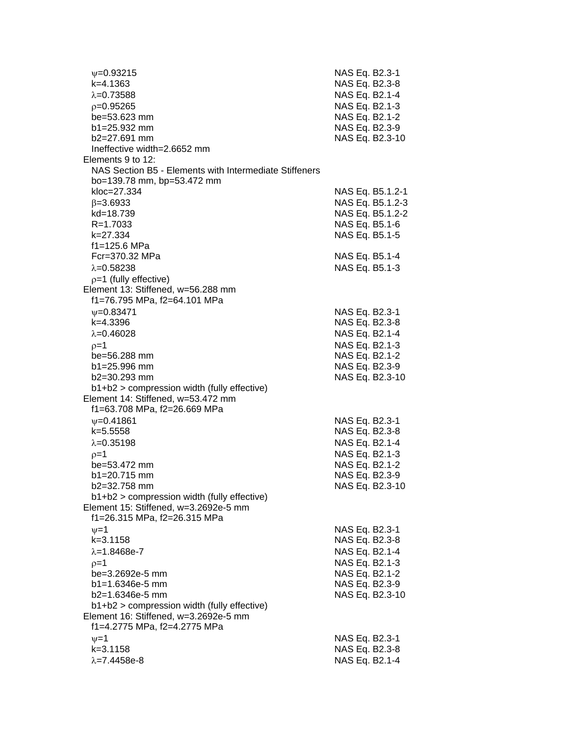| $\psi = 0.93215$                                       | NAS Eq. B2.3-1   |
|--------------------------------------------------------|------------------|
| $k=4.1363$                                             | NAS Eq. B2.3-8   |
| $\lambda = 0.73588$                                    | NAS Eq. B2.1-4   |
| $p=0.95265$                                            | NAS Eq. B2.1-3   |
| be=53.623 mm                                           | NAS Eq. B2.1-2   |
| $b1 = 25.932$ mm                                       | NAS Eq. B2.3-9   |
| $b2=27.691$ mm                                         | NAS Eq. B2.3-10  |
| Ineffective width=2.6652 mm                            |                  |
| Elements 9 to 12:                                      |                  |
| NAS Section B5 - Elements with Intermediate Stiffeners |                  |
| bo=139.78 mm, bp=53.472 mm                             |                  |
| kloc=27.334                                            | NAS Eq. B5.1.2-1 |
|                                                        |                  |
| $\beta = 3.6933$                                       | NAS Eq. B5.1.2-3 |
| kd=18.739                                              | NAS Eq. B5.1.2-2 |
| R=1.7033                                               | NAS Eq. B5.1-6   |
| k=27.334                                               | NAS Eq. B5.1-5   |
| f1=125.6 MPa                                           |                  |
| Fcr=370.32 MPa                                         | NAS Eq. B5.1-4   |
| $\lambda = 0.58238$                                    | NAS Eq. B5.1-3   |
| $p=1$ (fully effective)                                |                  |
| Element 13: Stiffened, w=56.288 mm                     |                  |
| f1=76.795 MPa, f2=64.101 MPa                           |                  |
| $\psi = 0.83471$                                       | NAS Eq. B2.3-1   |
| k=4.3396                                               | NAS Eq. B2.3-8   |
| $\lambda = 0.46028$                                    | NAS Eq. B2.1-4   |
| $p=1$                                                  | NAS Eq. B2.1-3   |
| be=56.288 mm                                           | NAS Eq. B2.1-2   |
| $b1 = 25.996$ mm                                       | NAS Eq. B2.3-9   |
| b2=30.293 mm                                           | NAS Eq. B2.3-10  |
| b1+b2 > compression width (fully effective)            |                  |
| Element 14: Stiffened, w=53.472 mm                     |                  |
| f1=63.708 MPa, f2=26.669 MPa                           |                  |
| $\psi = 0.41861$                                       | NAS Eq. B2.3-1   |
| $k = 5.5558$                                           | NAS Eq. B2.3-8   |
| $\lambda = 0.35198$                                    | NAS Eq. B2.1-4   |
| $p=1$                                                  | NAS Eq. B2.1-3   |
| be=53.472 mm                                           | NAS Eq. B2.1-2   |
| $b1 = 20.715$ mm                                       | NAS Eq. B2.3-9   |
| b2=32.758 mm                                           | NAS Eq. B2.3-10  |
| b1+b2 > compression width (fully effective)            |                  |
| Element 15: Stiffened, w=3.2692e-5 mm                  |                  |
| f1=26.315 MPa, f2=26.315 MPa                           |                  |
| $\nu = 1$                                              | NAS Eq. B2.3-1   |
| $k = 3.1158$                                           | NAS Eq. B2.3-8   |
| $\lambda = 1.8468e - 7$                                | NAS Eq. B2.1-4   |
| $p=1$                                                  | NAS Eq. B2.1-3   |
| be=3.2692e-5 mm                                        | NAS Eq. B2.1-2   |
| $b1 = 1.6346e-5$ mm                                    | NAS Eq. B2.3-9   |
| $b2=1.6346e-5$ mm                                      | NAS Eq. B2.3-10  |
| b1+b2 > compression width (fully effective)            |                  |
| Element 16: Stiffened, w=3.2692e-5 mm                  |                  |
| f1=4.2775 MPa, f2=4.2775 MPa                           |                  |
| $\nu = 1$                                              | NAS Eq. B2.3-1   |
| $k = 3.1158$                                           | NAS Eq. B2.3-8   |
| $\lambda = 7.4458e-8$                                  | NAS Eq. B2.1-4   |
|                                                        |                  |
|                                                        |                  |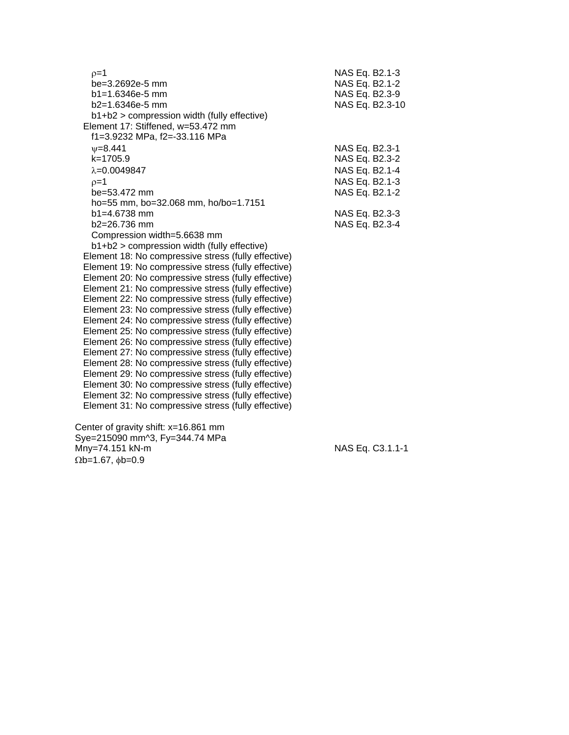| $p=1$                                               | NAS Eq. B2.1-3  |
|-----------------------------------------------------|-----------------|
| be=3.2692e-5 mm                                     | NAS Eq. B2.1-2  |
| $b1 = 1.6346e-5$ mm                                 | NAS Eq. B2.3-9  |
| $b2=1.6346e-5$ mm                                   | NAS Eq. B2.3-10 |
| $b1+b2$ > compression width (fully effective)       |                 |
| Element 17: Stiffened, w=53.472 mm                  |                 |
| f1=3.9232 MPa, f2=-33.116 MPa                       |                 |
| $V = 8.441$                                         | NAS Eq. B2.3-1  |
| $k = 1705.9$                                        | NAS Eq. B2.3-2  |
| $\lambda = 0.0049847$                               | NAS Eq. B2.1-4  |
| $p=1$                                               | NAS Eq. B2.1-3  |
| be=53.472 mm                                        | NAS Eq. B2.1-2  |
| ho=55 mm, bo=32.068 mm, ho/bo=1.7151                |                 |
| $b1 = 4.6738$ mm                                    | NAS Eq. B2.3-3  |
| $b2 = 26.736$ mm                                    | NAS Eq. B2.3-4  |
| Compression width=5.6638 mm                         |                 |
| b1+b2 > compression width (fully effective)         |                 |
| Element 18: No compressive stress (fully effective) |                 |
| Element 19: No compressive stress (fully effective) |                 |
| Element 20: No compressive stress (fully effective) |                 |
| Element 21: No compressive stress (fully effective) |                 |
| Element 22: No compressive stress (fully effective) |                 |
| Element 23: No compressive stress (fully effective) |                 |
| Element 24: No compressive stress (fully effective) |                 |
| Element 25: No compressive stress (fully effective) |                 |
| Element 26: No compressive stress (fully effective) |                 |
| Element 27: No compressive stress (fully effective) |                 |
| Element 28: No compressive stress (fully effective) |                 |
| Element 29: No compressive stress (fully effective) |                 |
| Element 30: No compressive stress (fully effective) |                 |
| Element 32: No compressive stress (fully effective) |                 |
| Element 31: No compressive stress (fully effective) |                 |
|                                                     |                 |

 Center of gravity shift: x=16.861 mm Sye=215090 mm^3, Fy=344.74 MPa Mny=74.151 kN-m NAS Eq. C3.1.1-1  $\Omega$ b=1.67,  $\phi$ b=0.9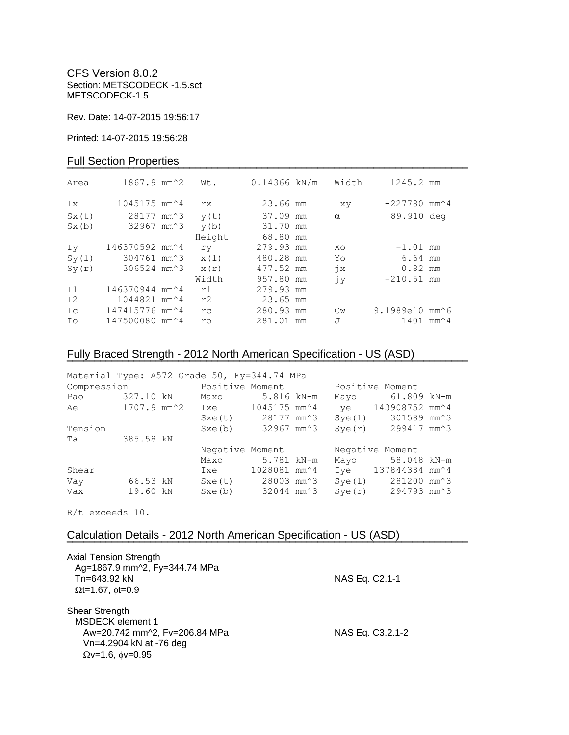CFS Version 8.0.2 Section: METSCODECK -1.5.sct METSCODECK-1.5

Rev. Date: 14-07-2015 19:56:17

Printed: 14-07-2015 19:56:28

### Full Section Properties

| Area  | $1867.9$ mm <sup><math>~2</math></sup>      | Wt.       | $0.14366$ kN/m | Width         | 1245.2 mm                                   |  |
|-------|---------------------------------------------|-----------|----------------|---------------|---------------------------------------------|--|
| Ix    | $1045175$ mm <sup><math>\sim</math></sup> 4 | rx        | 23.66 mm       | Ixy           | $-227780$ mm <sup><math>\sim</math></sup> 4 |  |
| Sx(t) | 28177 mm <sup>2</sup> 3                     | y(t)      | 37.09 mm       | $\alpha$      | 89.910 deg                                  |  |
| Sx(b) | 32967 mm^3                                  | y(b)      | 31.70 mm       |               |                                             |  |
|       |                                             | Height    | 68.80 mm       |               |                                             |  |
| Iv    | 146370592 mm^4                              | ry        | 279.93 mm      | Xo            | $-1.01$ mm                                  |  |
| Sy(1) | 304761 mm^3                                 | x(1)      | 480.28 mm      | Yo            | 6.64 mm                                     |  |
| Sy(r) | 306524 mm^3                                 | x(r)      | 477.52 mm      | $\dot{7}x$    | $0.82$ mm                                   |  |
|       |                                             | Width     | 957.80 mm      | jу            | $-210.51$ mm                                |  |
| I1    | 146370944 mm^4                              | r1        | 279.93 mm      |               |                                             |  |
| I2    | 1044821 mm <sup>2</sup> 4                   | r2        | 23.65 mm       |               |                                             |  |
| Ic    | 147415776 mm^4                              | rc.       | 280.93 mm      | $\mathbb{C}w$ | 9.1989e10 mm^6                              |  |
| Ιo    | 147500080 mm^4                              | <b>ro</b> | 281.01 mm      | J             | $1401$ mm <sup><math>4</math></sup>         |  |
|       |                                             |           |                |               |                                             |  |

## Fully Braced Strength - 2012 North American Specification - US (ASD)

| Material Type: A572 Grade 50, Fy=344.74 MPa |             |  |                                |              |  |        |                                              |  |
|---------------------------------------------|-------------|--|--------------------------------|--------------|--|--------|----------------------------------------------|--|
| Compression                                 |             |  | Positive Moment                |              |  |        | Positive Moment                              |  |
| Pao                                         | 327.10 kN   |  | Maxo                           | 5.816 kN-m   |  | Mayo   | 61.809 kN-m                                  |  |
| Ae                                          | 1707.9 mm^2 |  | Ixe 1045175 mm^4               |              |  |        | Iye 143908752 mm^4                           |  |
|                                             |             |  | Sxe(t) 28177 mm <sup>2</sup> 3 |              |  | Sye(1) | 301589 mm^3                                  |  |
| Tension                                     |             |  | Sxe(b)                         | 32967 mm^3   |  | Sye(r) | 299417 mm^3                                  |  |
| Ta                                          | 385.58 kN   |  |                                |              |  |        |                                              |  |
|                                             |             |  | Negative Moment                |              |  |        | Negative Moment                              |  |
|                                             |             |  | Maxo                           | 5.781 kN-m   |  | Mayo   | 58.048 kN-m                                  |  |
| Shear                                       |             |  | Ixe                            | 1028081 mm^4 |  |        | Iye 137844384 mm <sup>2</sup> 4              |  |
| Vay                                         | 66.53 kN    |  | Sxe(t) 28003 mm <sup>2</sup> 3 |              |  | Sye(1) | 281200 mm^3                                  |  |
| Vax                                         | 19.60 kN    |  | Sxe(b)                         | 32044 mm^3   |  |        | $Sye(r)$ 294793 mm <sup><math>3</math></sup> |  |

**¯¯¯¯¯¯¯¯¯¯¯¯¯¯¯¯¯¯¯¯¯¯¯¯¯¯¯¯¯¯¯¯¯¯¯¯¯¯¯¯¯¯¯¯¯¯¯¯¯¯¯¯¯¯¯¯¯¯¯¯¯¯¯¯¯¯¯¯¯¯¯¯**

R/t exceeds 10.

### Calculation Details - 2012 North American Specification - US (ASD)

| <b>Axial Tension Strength</b><br>Ag=1867.9 mm^2, Fy=344.74 MPa<br>Tn=643.92 kN<br>$\Omega t = 1.67$ , $\phi t = 0.9$                     | NAS Eq. C2.1-1   |  |
|------------------------------------------------------------------------------------------------------------------------------------------|------------------|--|
| <b>Shear Strength</b><br><b>MSDECK</b> element 1<br>Aw=20.742 mm^2, Fv=206.84 MPa<br>Vn=4.2904 kN at -76 deg<br>$Qv=1.6$ , $\phi v=0.95$ | NAS Eq. C3.2.1-2 |  |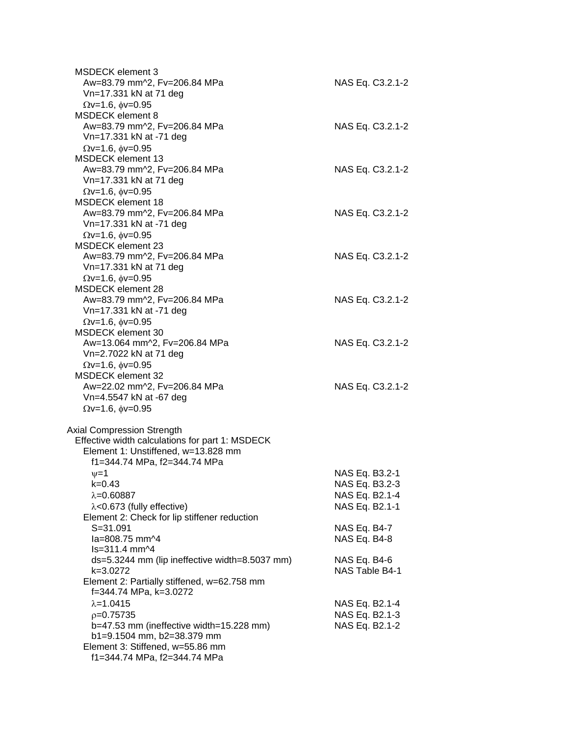| <b>MSDECK</b> element 3<br>Aw=83.79 mm^2, Fv=206.84 MPa<br>Vn=17.331 kN at 71 deg                                                                                                                         | NAS Eq. C3.2.1-2                                                     |
|-----------------------------------------------------------------------------------------------------------------------------------------------------------------------------------------------------------|----------------------------------------------------------------------|
| $\Omega$ v=1.6, $\phi$ v=0.95<br><b>MSDECK</b> element 8<br>Aw=83.79 mm^2, Fv=206.84 MPa<br>Vn=17.331 kN at -71 deg                                                                                       | NAS Eq. C3.2.1-2                                                     |
| $\Omega$ v=1.6, $\phi$ v=0.95<br><b>MSDECK element 13</b><br>Aw=83.79 mm^2, Fv=206.84 MPa<br>Vn=17.331 kN at 71 deg                                                                                       | NAS Eq. C3.2.1-2                                                     |
| $Qv=1.6$ , $\phi v=0.95$<br><b>MSDECK</b> element 18<br>Aw=83.79 mm^2, Fv=206.84 MPa<br>Vn=17.331 kN at -71 deg<br>$Qv=1.6$ , $\phi v=0.95$                                                               | NAS Eq. C3.2.1-2                                                     |
| <b>MSDECK element 23</b><br>Aw=83.79 mm^2, Fv=206.84 MPa<br>Vn=17.331 kN at 71 deg                                                                                                                        | NAS Eq. C3.2.1-2                                                     |
| $Qv=1.6$ , $\phi v=0.95$<br><b>MSDECK</b> element 28<br>Aw=83.79 mm^2, Fv=206.84 MPa<br>Vn=17.331 kN at -71 deg                                                                                           | NAS Eq. C3.2.1-2                                                     |
| $Qv=1.6$ , $\phi v=0.95$<br>MSDECK element 30<br>Aw=13.064 mm^2, Fv=206.84 MPa<br>Vn=2.7022 kN at 71 deg<br>$Qv=1.6$ , $\phi v=0.95$                                                                      | NAS Eq. C3.2.1-2                                                     |
| <b>MSDECK element 32</b><br>Aw=22.02 mm^2, Fv=206.84 MPa<br>Vn=4.5547 kN at -67 deg<br>$\Omega$ v=1.6, $\phi$ v=0.95                                                                                      | NAS Eq. C3.2.1-2                                                     |
| <b>Axial Compression Strength</b><br>Effective width calculations for part 1: MSDECK<br>Element 1: Unstiffened, w=13.828 mm                                                                               |                                                                      |
| f1=344.74 MPa, f2=344.74 MPa<br>$\nu = 1$<br>k=0.43<br>$\lambda = 0.60887$<br>$\lambda$ <0.673 (fully effective)<br>Element 2: Check for lip stiffener reduction                                          | NAS Eq. B3.2-1<br>NAS Eq. B3.2-3<br>NAS Eq. B2.1-4<br>NAS Eq. B2.1-1 |
| $S = 31.091$<br>la=808.75 mm^4<br>ls=311.4 mm^4                                                                                                                                                           | NAS Eq. B4-7<br>NAS Eq. B4-8                                         |
| ds=5.3244 mm (lip ineffective width=8.5037 mm)<br>k=3.0272<br>Element 2: Partially stiffened, w=62.758 mm                                                                                                 | NAS Eq. B4-6<br>NAS Table B4-1                                       |
| f=344.74 MPa, k=3.0272<br>$\lambda = 1.0415$<br>$p=0.75735$<br>b=47.53 mm (ineffective width=15.228 mm)<br>b1=9.1504 mm, b2=38.379 mm<br>Element 3: Stiffened, w=55.86 mm<br>f1=344.74 MPa, f2=344.74 MPa | NAS Eq. B2.1-4<br>NAS Eq. B2.1-3<br>NAS Eq. B2.1-2                   |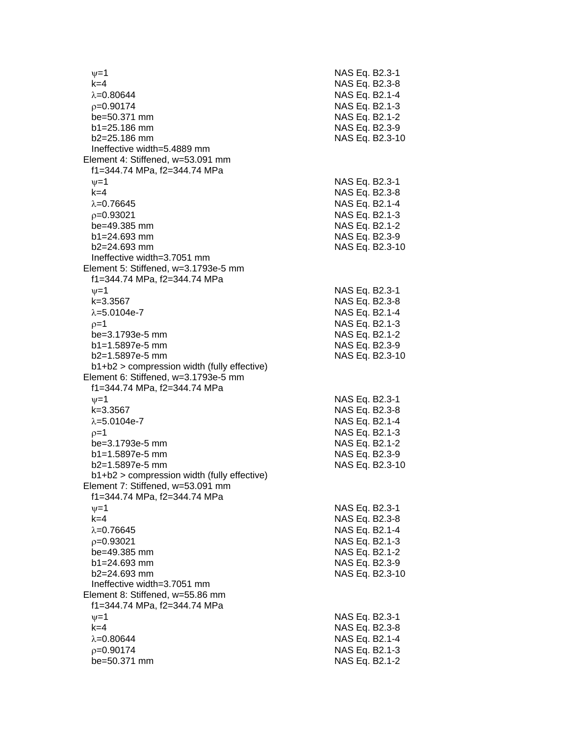$\nu$  =1 NAS Eq. B2.3-1 k=4 NAS Eq. B2.3 - 8 λ=0.80644 NAS Eq. B2.1-4  $\rho$ =0.90174 NAS Eq. B2.1-3 be=50.371 mm b1=25.186 mm NAS Eq. B2.3-9 b2=25.186 mm NAS Eq. B2.3 -10 Ineffective width=5.4889 mm Element 4: Stiffened, w=53.091 mm f1=344.74 MPa, f2=344.74 MPa  $\psi$ =1 NAS Eq. B2.3-1 k=4 NAS Eq. B2.3 - 8 λ=0.76645 NAS Eq. B2.1-4  $\rho$ =0.93021 NAS Eq. B2.1-3 be=49.385 mm  $b1 = 24.693$  mm  $b2=24.693$  mm NAS Eq. B2.3-10 Ineffective width=3.7051 mm Element 5: Stiffened, w=3.1793e -5 mm f1=344.74 MPa, f2=344.74 MPa  $\psi$ =1 NAS Eq. B2.3-1 k=3.3567 NAS Eq. B2.3 - 8 λ=5.0104e-7 NAS Eq. B2.1 - 4  $\rho$ =1 NAS Eq. B2.1-3 be=3.1793e -5 mm NAS Eq. B2.1 - 2 b1=1.5897e-5 mm -5 mm NAS Eq. B2.3 - 9 b2=1.5897e -5 mm NAS Eq. B2.3 -10 b1+b2 > compression width (fully effective) Element 6: Stiffened, w=3.1793e -5 mm f1=344.74 MPa, f2=344.74 MPa  $\nu$  =1 NAS Eq. B2.3-1 k=3.3567 NAS Eq. B2.3 - 8 λ=5.0104e-7 NAS Eq. B2.1 - 4  $\rho=1$  NAS Eq. B2.1-3 be=3.1793e -5 mm NAS Eq. B2.1 - 2 b1=1.5897e-5 mm -5 mm NAS Eq. B2.3 - 9 b2=1.5897e -5 mm NAS Eq. B2.3 -10 b1+b2 > compression width (fully effective) Element 7: Stiffened, w=53.091 mm f1=344.74 MPa, f2=344.74 MPa  $\psi$ =1 NAS Eq. B2.3-1 k=4 NAS Eq. B2.3 - 8 λ=0.76645 NAS Eq. B2.1-4  $\rho$ =0.93021 NAS Eq. B2.1-3 be=49.385 mm  $b1 = 24.693$  mm b2=24.693 mm NAS Eq. B2.3 -10 Ineffective width=3.7051 mm Element 8: Stiffened, w=55.86 mm f1=344.74 MPa, f2=344.74 MPa  $\psi$ =1 NAS Eq. B2.3-1 k=4 NAS Eq. B2.3 - 8 λ=0.80644 NAS Eq. B2.1-4  $\rho$ =0.90174 NAS Eq. B2.1-3 be=50.371 mm NAS Eq. B2.1-2

- 2

- 2

- 9

- 2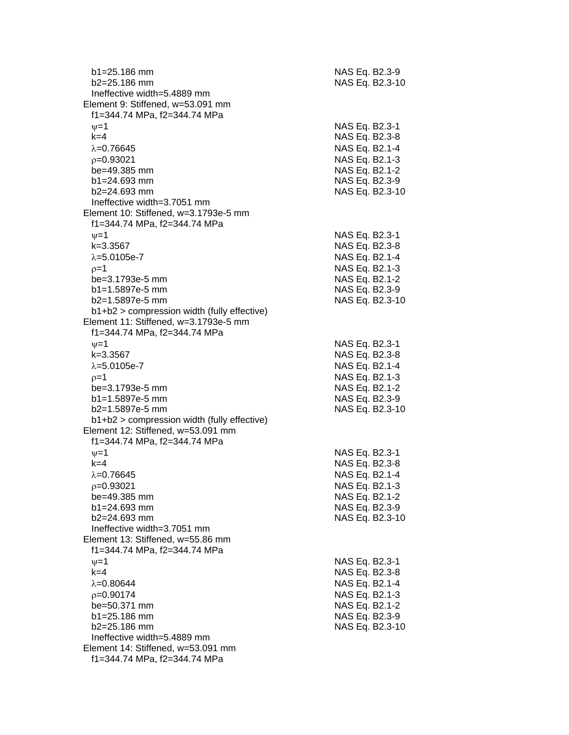| b1=25.186 mm<br>$b2 = 25.186$ mm                                     | NAS Eq. B2.3-9<br>NAS Eq. B2.3-10 |
|----------------------------------------------------------------------|-----------------------------------|
| Ineffective width=5.4889 mm<br>Element 9: Stiffened, w=53.091 mm     |                                   |
| f1=344.74 MPa, f2=344.74 MPa                                         |                                   |
| $\nu = 1$                                                            | NAS Eq. B2.3-1                    |
| $k=4$                                                                | NAS Eq. B2.3-8                    |
| $\lambda = 0.76645$                                                  | NAS Eq. B2.1-4                    |
| $p=0.93021$                                                          | NAS Eq. B2.1-3                    |
| be=49.385 mm                                                         | NAS Eq. B2.1-2                    |
| b1=24.693 mm                                                         | NAS Eq. B2.3-9                    |
| $b2 = 24.693$ mm                                                     | NAS Eq. B2.3-10                   |
| Ineffective width=3.7051 mm<br>Element 10: Stiffened, w=3.1793e-5 mm |                                   |
| f1=344.74 MPa, f2=344.74 MPa                                         |                                   |
| $\nu = 1$                                                            | NAS Eq. B2.3-1                    |
| $k = 3.3567$                                                         | NAS Eq. B2.3-8                    |
| $\lambda = 5.0105e - 7$                                              | NAS Eq. B2.1-4                    |
| $p=1$                                                                | NAS Eq. B2.1-3                    |
| be=3.1793e-5 mm                                                      | NAS Eq. B2.1-2                    |
| b1=1.5897e-5 mm                                                      | NAS Eq. B2.3-9                    |
| b2=1.5897e-5 mm                                                      | NAS Eq. B2.3-10                   |
| b1+b2 > compression width (fully effective)                          |                                   |
| Element 11: Stiffened, w=3.1793e-5 mm                                |                                   |
| f1=344.74 MPa, f2=344.74 MPa                                         |                                   |
| $\nu = 1$                                                            | NAS Eq. B2.3-1                    |
| $k = 3.3567$                                                         | NAS Eq. B2.3-8                    |
| $\lambda = 5.0105e - 7$                                              | NAS Eq. B2.1-4                    |
| $p=1$                                                                | NAS Eq. B2.1-3                    |
| be=3.1793e-5 mm<br>b1=1.5897e-5 mm                                   | NAS Eq. B2.1-2<br>NAS Eq. B2.3-9  |
| b2=1.5897e-5 mm                                                      | NAS Eq. B2.3-10                   |
| b1+b2 > compression width (fully effective)                          |                                   |
| Element 12: Stiffened, w=53.091 mm                                   |                                   |
| f1=344.74 MPa, f2=344.74 MPa                                         |                                   |
| $v = 1$                                                              | NAS Eq. B2.3-1                    |
| $k = 4$                                                              | NAS Eq. B2.3-8                    |
| $\lambda = 0.76645$                                                  | NAS Eq. B2.1-4                    |
| $p=0.93021$                                                          | NAS Eq. B2.1-3                    |
| be=49.385 mm                                                         | NAS Eq. B2.1-2                    |
| $b1 = 24.693$ mm                                                     | NAS Eq. B2.3-9                    |
| $b2 = 24.693$ mm                                                     | NAS Eq. B2.3-10                   |
| Ineffective width=3.7051 mm<br>Element 13: Stiffened, w=55.86 mm     |                                   |
| f1=344.74 MPa, f2=344.74 MPa                                         |                                   |
| $\nu = 1$                                                            | NAS Eq. B2.3-1                    |
| $k=4$                                                                | NAS Eq. B2.3-8                    |
| $\lambda = 0.80644$                                                  | NAS Eq. B2.1-4                    |
| $p=0.90174$                                                          | NAS Eq. B2.1-3                    |
| be=50.371 mm                                                         | NAS Eq. B2.1-2                    |
| $b1 = 25.186$ mm                                                     | NAS Eq. B2.3-9                    |
| b2=25.186 mm                                                         | NAS Eq. B2.3-10                   |
| Ineffective width=5.4889 mm                                          |                                   |
| Element 14: Stiffened, w=53.091 mm                                   |                                   |
| f1=344.74 MPa, f2=344.74 MPa                                         |                                   |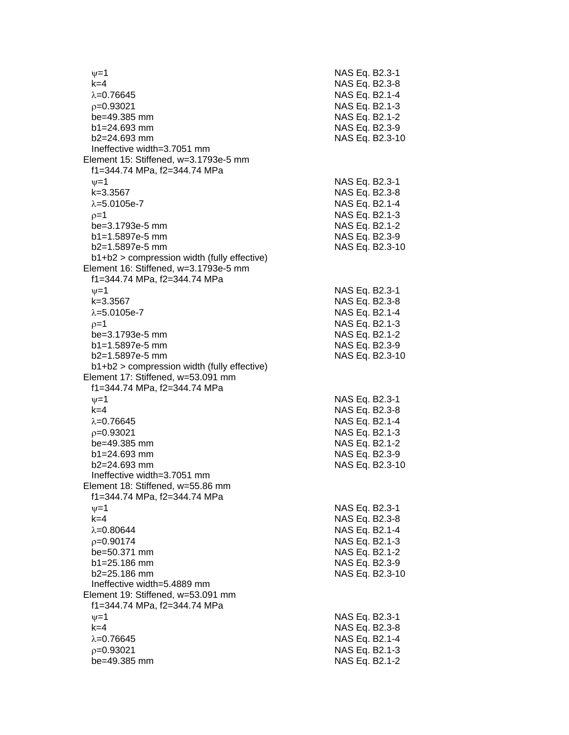$\nu$  =1 NAS Eq. B2.3-1 k=4 NAS Eq. B2.3 - 8 λ=0.76645 NAS Eq. B2.1-4  $\rho$ =0.93021 NAS Eq. B2.1-3 be=49.385 mm b1=24.693 mm NAS Eq. B2.3-9 b2=24.693 mm NAS Eq. B2.3 -10 Ineffective width=3.7051 mm Element 15: Stiffened, w=3.1793e -5 mm f1=344.74 MPa, f2=344.74 MPa  $\psi$ =1 NAS Eq. B2.3-1 k=3.3567 NAS Eq. B2.3 - 8 λ=5.0105e-7 NAS Eq. B2.1 - 4  $\rho$ =1 NAS Eq. B2.1-3 be=3.1793e -5 mm NAS Eq. B2.1 - 2 b1=1.5897e -5 mm NAS Eq. B2.3 - 9 b2=1.5897e -5 mm NAS Eq. B2.3 -10 b1+b2 > compression width (fully effective) Element 16: Stiffened, w=3.1793e -5 mm f1=344.74 MPa, f2=344.74 MPa  $\psi$ =1 NAS Eq. B2.3-1 k=3.3567 NAS Eq. B2.3 - 8 λ=5.0105e-7 NAS Eq. B2.1 - 4  $\rho$ =1 NAS Eq. B2.1-3 be=3.1793e -5 mm NAS Eq. B2.1 - 2 b1=1.5897e-5 mm -5 mm NAS Eq. B2.3 - 9 b2=1.5897e -5 mm NAS Eq. B2.3 -10 b1+b2 > compression width (fully effective) Element 17: Stiffened, w=53.091 mm f1=344.74 MPa, f2=344.74 MPa  $\nu$  =1 NAS Eq. B2.3-1 k=4 NAS Eq. B2.3 - 8 λ=0.76645 NAS Eq. B2.1-4  $\rho$ =0.93021 NAS Eq. B2.1-3 be=49.385 mm b1=24.693 mm NAS Eq. B2.3-9  $b2=24.693$  mm NAS Eq. B2.3-10 Ineffective width=3.7051 mm Element 18: Stiffened, w=55.86 mm f1=344.74 MPa, f2=344.74 MPa  $\psi$ =1 NAS Eq. B2.3-1 k=4 NAS Eq. B2.3 - 8 λ=0.80644 NAS Eq. B2.1-4  $\rho$ =0.90174 NAS Eq. B2.1-3  $be = 50.371$  mm  $b1 = 25.186$  mm b2=25.186 mm NAS Eq. B2.3-10 Ineffective width=5.4889 mm Element 19: Stiffened, w=53.091 mm f1=344.74 MPa, f2=344.74 MPa  $\psi$ =1 NAS Eq. B2.3-1 k=4 NAS Eq. B2.3 - 8 λ=0.76645 NAS Eq. B2.1-4  $\rho$ =0.93021 NAS Eq. B2.1-3 be=49.385 mm NAS Eq. B2.1-2

- 2

- 2

- 2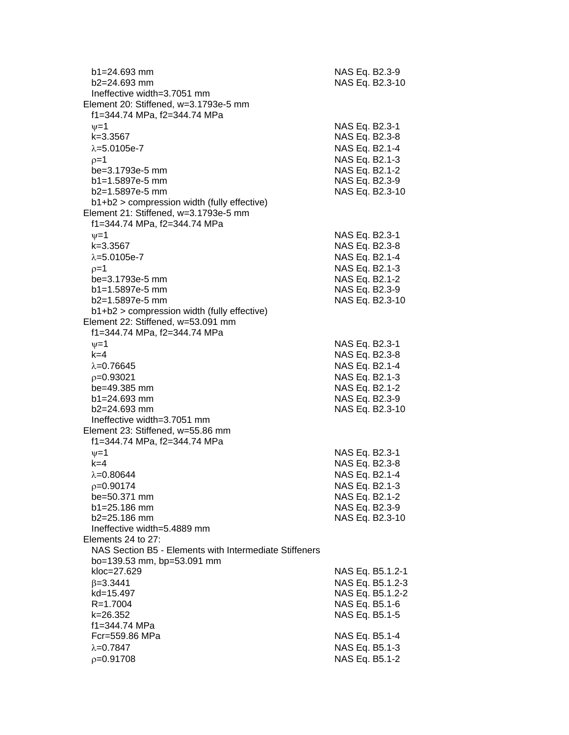| $b1 = 24.693$ mm<br>$b2 = 24.693$ mm<br>Ineffective width=3.7051 mm<br>Element 20: Stiffened, w=3.1793e-5 mm<br>f1=344.74 MPa, f2=344.74 MPa                        | NAS Eq. B2.3-9<br>NAS Eq. B2.3-10                                                                                           |
|---------------------------------------------------------------------------------------------------------------------------------------------------------------------|-----------------------------------------------------------------------------------------------------------------------------|
| $v = 1$<br>k=3.3567<br>$\lambda = 5.0105e - 7$<br>$p=1$<br>be=3.1793e-5 mm<br>$b1 = 1.5897e-5$ mm<br>b2=1.5897e-5 mm<br>b1+b2 > compression width (fully effective) | NAS Eq. B2.3-1<br>NAS Eq. B2.3-8<br>NAS Eq. B2.1-4<br>NAS Eq. B2.1-3<br>NAS Eq. B2.1-2<br>NAS Eq. B2.3-9<br>NAS Eq. B2.3-10 |
| Element 21: Stiffened, w=3.1793e-5 mm<br>f1=344.74 MPa, f2=344.74 MPa<br>$\nu = 1$<br>$k = 3.3567$<br>$\lambda = 5.0105e - 7$<br>$p=1$                              | NAS Eq. B2.3-1<br>NAS Eq. B2.3-8<br>NAS Eq. B2.1-4<br>NAS Eq. B2.1-3                                                        |
| be=3.1793e-5 mm<br>b1=1.5897e-5 mm<br>$b2=1.5897e-5$ mm<br>$b1+b2$ > compression width (fully effective)<br>Element 22: Stiffened, w=53.091 mm                      | NAS Eq. B2.1-2<br>NAS Eq. B2.3-9<br>NAS Eq. B2.3-10                                                                         |
| f1=344.74 MPa, f2=344.74 MPa<br>$\nu = 1$<br>$k=4$<br>$\lambda = 0.76645$<br>$p=0.93021$<br>be=49.385 mm<br>$b1 = 24.693$ mm                                        | NAS Eq. B2.3-1<br>NAS Eq. B2.3-8<br>NAS Eq. B2.1-4<br>NAS Eq. B2.1-3<br>NAS Eq. B2.1-2<br>NAS Eq. B2.3-9                    |
| $b2 = 24.693$ mm<br>Ineffective width=3.7051 mm<br>Element 23: Stiffened, w=55.86 mm<br>f1=344.74 MPa, f2=344.74 MPa<br>$\nu = 1$                                   | NAS Eq. B2.3-10<br>NAS Eq. B2.3-1                                                                                           |
| $k=4$<br>$\lambda = 0.80644$<br>$p=0.90174$<br>be=50.371 mm<br>$b1 = 25.186$ mm<br>$b2 = 25.186$ mm<br>Ineffective width=5.4889 mm<br>Elements 24 to 27:            | NAS Eq. B2.3-8<br>NAS Eq. B2.1-4<br>NAS Eq. B2.1-3<br>NAS Eq. B2.1-2<br>NAS Eq. B2.3-9<br>NAS Eq. B2.3-10                   |
| NAS Section B5 - Elements with Intermediate Stiffeners<br>bo=139.53 mm, bp=53.091 mm<br>kloc=27.629<br>$\beta = 3.3441$<br>kd=15.497<br>$R = 1.7004$<br>k=26.352    | NAS Eq. B5.1.2-1<br>NAS Eq. B5.1.2-3<br>NAS Eq. B5.1.2-2<br>NAS Eq. B5.1-6<br>NAS Eq. B5.1-5                                |
| f1=344.74 MPa<br>Fcr=559.86 MPa<br>$\lambda = 0.7847$<br>$p=0.91708$                                                                                                | NAS Eq. B5.1-4<br>NAS Eq. B5.1-3<br>NAS Eq. B5.1-2                                                                          |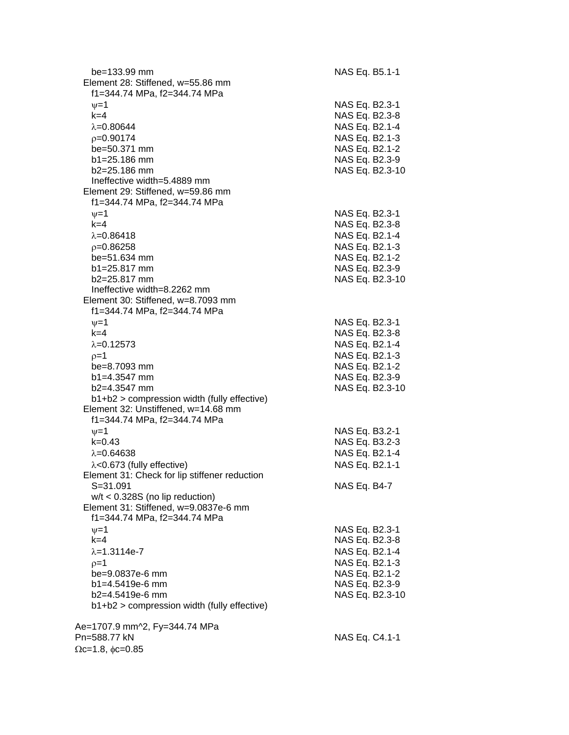| be=133.99 mm<br>Element 28: Stiffened, w=55.86 mm<br>f1=344.74 MPa, f2=344.74 MPa | NAS Eq. B5.1-1                                     |
|-----------------------------------------------------------------------------------|----------------------------------------------------|
| $\nu = 1$<br>$k=4$<br>$\lambda = 0.80644$                                         | NAS Eq. B2.3-1<br>NAS Eq. B2.3-8<br>NAS Eq. B2.1-4 |
| $p=0.90174$                                                                       | NAS Eq. B2.1-3                                     |
| be=50.371 mm                                                                      | NAS Eq. B2.1-2                                     |
| $b1 = 25.186$ mm                                                                  | NAS Eq. B2.3-9                                     |
| $b2 = 25.186$ mm                                                                  | NAS Eq. B2.3-10                                    |
| Ineffective width=5.4889 mm                                                       |                                                    |
| Element 29: Stiffened, w=59.86 mm<br>f1=344.74 MPa, f2=344.74 MPa                 |                                                    |
| $\nu = 1$                                                                         | NAS Eq. B2.3-1                                     |
| $k=4$                                                                             | NAS Eq. B2.3-8                                     |
| $\lambda = 0.86418$                                                               | NAS Eq. B2.1-4                                     |
| $p=0.86258$                                                                       | NAS Eq. B2.1-3                                     |
| be=51.634 mm                                                                      | NAS Eq. B2.1-2                                     |
| b1=25.817 mm                                                                      | NAS Eq. B2.3-9                                     |
| $b2 = 25.817$ mm                                                                  | NAS Eq. B2.3-10                                    |
| Ineffective width=8.2262 mm<br>Element 30: Stiffened, w=8.7093 mm                 |                                                    |
| f1=344.74 MPa, f2=344.74 MPa                                                      |                                                    |
| $\nu = 1$                                                                         | NAS Eq. B2.3-1                                     |
| $k = 4$                                                                           | NAS Eq. B2.3-8                                     |
| $\lambda = 0.12573$                                                               | NAS Eq. B2.1-4                                     |
| $p=1$                                                                             | NAS Eq. B2.1-3                                     |
| be=8.7093 mm                                                                      | NAS Eq. B2.1-2                                     |
| $b1 = 4.3547$ mm                                                                  | NAS Eq. B2.3-9                                     |
| $b2=4.3547$ mm<br>b1+b2 > compression width (fully effective)                     | NAS Eq. B2.3-10                                    |
| Element 32: Unstiffened, w=14.68 mm                                               |                                                    |
| f1=344.74 MPa, f2=344.74 MPa                                                      |                                                    |
| $\nu = 1$                                                                         | NAS Eq. B3.2-1                                     |
| $k = 0.43$                                                                        | NAS Eq. B3.2-3                                     |
| $\lambda = 0.64638$                                                               | NAS Eq. B2.1-4                                     |
| $\lambda$ <0.673 (fully effective)                                                | NAS Eq. B2.1-1                                     |
| Element 31: Check for lip stiffener reduction                                     |                                                    |
| $S = 31.091$<br>$w/t < 0.328S$ (no lip reduction)                                 | NAS Eq. B4-7                                       |
| Element 31: Stiffened, w=9.0837e-6 mm                                             |                                                    |
| f1=344.74 MPa, f2=344.74 MPa                                                      |                                                    |
| $\nu = 1$                                                                         | NAS Eq. B2.3-1                                     |
| $k=4$                                                                             | NAS Eq. B2.3-8                                     |
| $\lambda = 1.3114e - 7$                                                           | NAS Eq. B2.1-4                                     |
| $p=1$                                                                             | NAS Eq. B2.1-3                                     |
| be=9.0837e-6 mm                                                                   | NAS Eq. B2.1-2                                     |
| $b1 = 4.5419e-6$ mm                                                               | NAS Eq. B2.3-9                                     |
| $b2=4.5419e-6$ mm<br>b1+b2 > compression width (fully effective)                  | NAS Eq. B2.3-10                                    |
|                                                                                   |                                                    |
| Ae=1707.9 mm^2, Fy=344.74 MPa                                                     |                                                    |
| Pn=588.77 kN                                                                      | NAS Eq. C4.1-1                                     |
| $\Omega$ c=1.8, $\phi$ c=0.85                                                     |                                                    |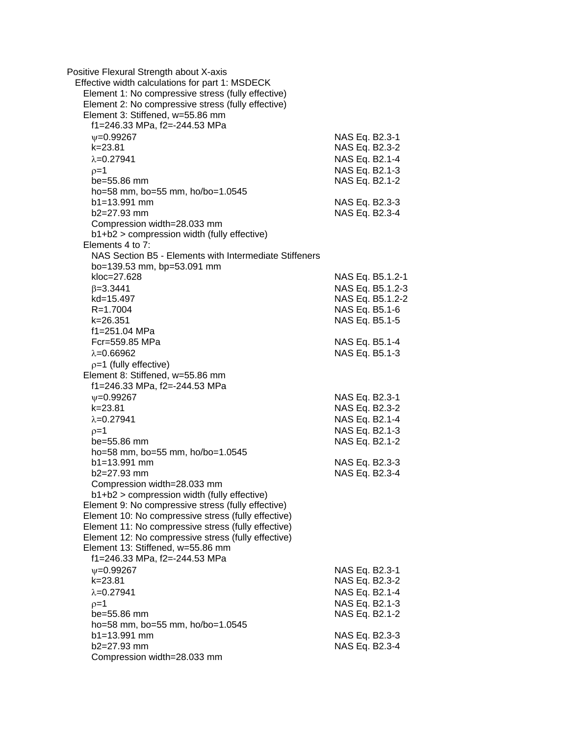| Positive Flexural Strength about X-axis<br>Effective width calculations for part 1: MSDECK<br>Element 1: No compressive stress (fully effective)<br>Element 2: No compressive stress (fully effective)<br>Element 3: Stiffened, w=55.86 mm |                |                  |
|--------------------------------------------------------------------------------------------------------------------------------------------------------------------------------------------------------------------------------------------|----------------|------------------|
| f1=246.33 MPa, f2=-244.53 MPa                                                                                                                                                                                                              |                |                  |
| $\nu = 0.99267$                                                                                                                                                                                                                            | NAS Eq. B2.3-1 |                  |
| $k = 23.81$                                                                                                                                                                                                                                | NAS Eq. B2.3-2 |                  |
| $\lambda = 0.27941$                                                                                                                                                                                                                        | NAS Eq. B2.1-4 |                  |
| $p=1$                                                                                                                                                                                                                                      | NAS Eq. B2.1-3 |                  |
| be=55.86 mm                                                                                                                                                                                                                                | NAS Eq. B2.1-2 |                  |
| ho=58 mm, bo=55 mm, ho/bo=1.0545                                                                                                                                                                                                           |                |                  |
| $b1 = 13.991$ mm                                                                                                                                                                                                                           | NAS Eq. B2.3-3 |                  |
| $b2=27.93$ mm                                                                                                                                                                                                                              | NAS Eq. B2.3-4 |                  |
| Compression width=28.033 mm                                                                                                                                                                                                                |                |                  |
| b1+b2 > compression width (fully effective)                                                                                                                                                                                                |                |                  |
| Elements 4 to 7:                                                                                                                                                                                                                           |                |                  |
| NAS Section B5 - Elements with Intermediate Stiffeners                                                                                                                                                                                     |                |                  |
| bo=139.53 mm, bp=53.091 mm                                                                                                                                                                                                                 |                |                  |
| kloc=27.628                                                                                                                                                                                                                                |                | NAS Eq. B5.1.2-1 |
| $\beta = 3.3441$                                                                                                                                                                                                                           |                | NAS Eq. B5.1.2-3 |
| kd=15.497                                                                                                                                                                                                                                  |                | NAS Eq. B5.1.2-2 |
| R=1.7004                                                                                                                                                                                                                                   |                | NAS Eq. B5.1-6   |
| k=26.351                                                                                                                                                                                                                                   | NAS Eq. B5.1-5 |                  |
| f1=251.04 MPa                                                                                                                                                                                                                              |                |                  |
| Fcr=559.85 MPa                                                                                                                                                                                                                             |                | NAS Eq. B5.1-4   |
| $\lambda = 0.66962$                                                                                                                                                                                                                        |                | NAS Eq. B5.1-3   |
|                                                                                                                                                                                                                                            |                |                  |
| $p=1$ (fully effective)<br>Element 8: Stiffened, w=55.86 mm                                                                                                                                                                                |                |                  |
| f1=246.33 MPa, f2=-244.53 MPa                                                                                                                                                                                                              |                |                  |
|                                                                                                                                                                                                                                            |                |                  |
| $V = 0.99267$                                                                                                                                                                                                                              | NAS Eq. B2.3-1 |                  |
| $k = 23.81$                                                                                                                                                                                                                                | NAS Eq. B2.3-2 |                  |
| $\lambda = 0.27941$                                                                                                                                                                                                                        | NAS Eq. B2.1-4 |                  |
| $p=1$                                                                                                                                                                                                                                      |                | NAS Eq. B2.1-3   |
| be=55.86 mm                                                                                                                                                                                                                                | NAS Eq. B2.1-2 |                  |
| ho=58 mm, bo=55 mm, ho/bo=1.0545                                                                                                                                                                                                           |                |                  |
| $b1 = 13.991$ mm                                                                                                                                                                                                                           | NAS Eq. B2.3-3 |                  |
| b2=27.93 mm                                                                                                                                                                                                                                | NAS Eq. B2.3-4 |                  |
| Compression width=28.033 mm                                                                                                                                                                                                                |                |                  |
| b1+b2 > compression width (fully effective)                                                                                                                                                                                                |                |                  |
| Element 9: No compressive stress (fully effective)                                                                                                                                                                                         |                |                  |
| Element 10: No compressive stress (fully effective)<br>Element 11: No compressive stress (fully effective)                                                                                                                                 |                |                  |
|                                                                                                                                                                                                                                            |                |                  |
| Element 12: No compressive stress (fully effective)<br>Element 13: Stiffened, w=55.86 mm                                                                                                                                                   |                |                  |
| f1=246.33 MPa, f2=-244.53 MPa                                                                                                                                                                                                              |                |                  |
|                                                                                                                                                                                                                                            |                |                  |
| $\nu = 0.99267$<br>$k = 23.81$                                                                                                                                                                                                             | NAS Eq. B2.3-1 |                  |
|                                                                                                                                                                                                                                            | NAS Eq. B2.3-2 |                  |
| $\lambda = 0.27941$                                                                                                                                                                                                                        | NAS Eq. B2.1-4 |                  |
| $p=1$                                                                                                                                                                                                                                      |                | NAS Eq. B2.1-3   |
| be=55.86 mm                                                                                                                                                                                                                                | NAS Eq. B2.1-2 |                  |
| ho=58 mm, bo=55 mm, ho/bo=1.0545                                                                                                                                                                                                           |                |                  |
| $b1 = 13.991$ mm                                                                                                                                                                                                                           | NAS Eq. B2.3-3 |                  |
| $b2=27.93$ mm                                                                                                                                                                                                                              | NAS Eq. B2.3-4 |                  |
| Compression width=28.033 mm                                                                                                                                                                                                                |                |                  |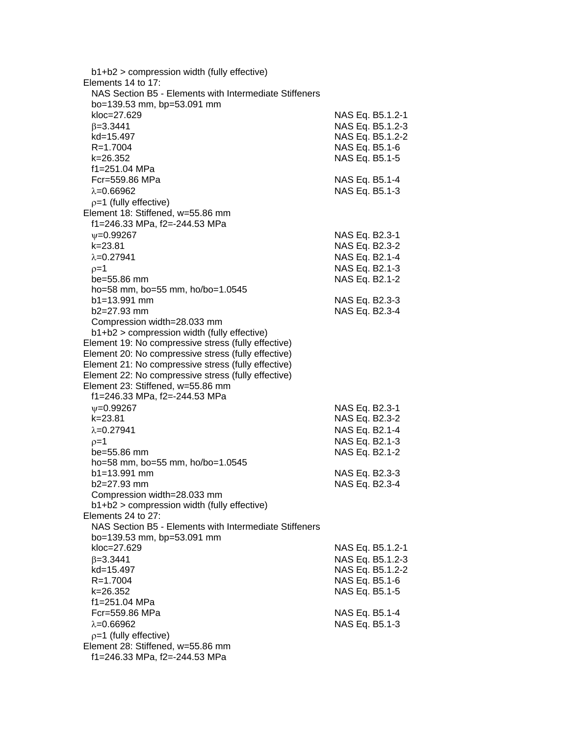| $b1+b2$ > compression width (fully effective)          |                  |
|--------------------------------------------------------|------------------|
| Elements 14 to 17:                                     |                  |
| NAS Section B5 - Elements with Intermediate Stiffeners |                  |
| bo=139.53 mm, bp=53.091 mm                             |                  |
| kloc=27.629                                            | NAS Eq. B5.1.2-1 |
| $\beta = 3.3441$                                       | NAS Eq. B5.1.2-3 |
| kd=15.497                                              | NAS Eq. B5.1.2-2 |
| R=1.7004                                               | NAS Eq. B5.1-6   |
| k=26.352                                               | NAS Eq. B5.1-5   |
| f1=251.04 MPa                                          |                  |
| Fcr=559.86 MPa                                         | NAS Eq. B5.1-4   |
|                                                        |                  |
| $\lambda = 0.66962$                                    | NAS Eq. B5.1-3   |
| $p=1$ (fully effective)                                |                  |
| Element 18: Stiffened, w=55.86 mm                      |                  |
| f1=246.33 MPa, f2=-244.53 MPa                          |                  |
| $\nu = 0.99267$                                        | NAS Eq. B2.3-1   |
| $k = 23.81$                                            | NAS Eq. B2.3-2   |
| $\lambda = 0.27941$                                    | NAS Eq. B2.1-4   |
| $p=1$                                                  | NAS Eq. B2.1-3   |
| be=55.86 mm                                            | NAS Eq. B2.1-2   |
| ho=58 mm, bo=55 mm, ho/bo=1.0545                       |                  |
| $b1 = 13.991$ mm                                       | NAS Eq. B2.3-3   |
| b2=27.93 mm                                            | NAS Eq. B2.3-4   |
| Compression width=28.033 mm                            |                  |
| b1+b2 > compression width (fully effective)            |                  |
| Element 19: No compressive stress (fully effective)    |                  |
| Element 20: No compressive stress (fully effective)    |                  |
| Element 21: No compressive stress (fully effective)    |                  |
|                                                        |                  |
| Element 22: No compressive stress (fully effective)    |                  |
| Element 23: Stiffened, w=55.86 mm                      |                  |
| f1=246.33 MPa, f2=-244.53 MPa                          |                  |
| $\nu = 0.99267$                                        | NAS Eq. B2.3-1   |
| $k = 23.81$                                            | NAS Eq. B2.3-2   |
| $\lambda = 0.27941$                                    | NAS Eq. B2.1-4   |
| $p=1$                                                  | NAS Eq. B2.1-3   |
| $be = 55.86$ mm                                        | NAS Eq. B2.1-2   |
| ho=58 mm, bo=55 mm, ho/bo=1.0545                       |                  |
| $b1 = 13.991$ mm                                       | NAS Eq. B2.3-3   |
| b2=27.93 mm                                            | NAS Eq. B2.3-4   |
| Compression width=28.033 mm                            |                  |
| b1+b2 > compression width (fully effective)            |                  |
| Elements 24 to 27:                                     |                  |
| NAS Section B5 - Elements with Intermediate Stiffeners |                  |
| bo=139.53 mm, bp=53.091 mm                             |                  |
| kloc=27.629                                            | NAS Eq. B5.1.2-1 |
| $\beta = 3.3441$                                       | NAS Eq. B5.1.2-3 |
| kd=15.497                                              | NAS Eq. B5.1.2-2 |
|                                                        |                  |
| R=1.7004                                               | NAS Eq. B5.1-6   |
| k=26.352                                               | NAS Eq. B5.1-5   |
| f1=251.04 MPa                                          |                  |
| Fcr=559.86 MPa                                         | NAS Eq. B5.1-4   |
| $\lambda = 0.66962$                                    | NAS Eq. B5.1-3   |
| $p=1$ (fully effective)                                |                  |
| Element 28: Stiffened, w=55.86 mm                      |                  |
| f1=246.33 MPa, f2=-244.53 MPa                          |                  |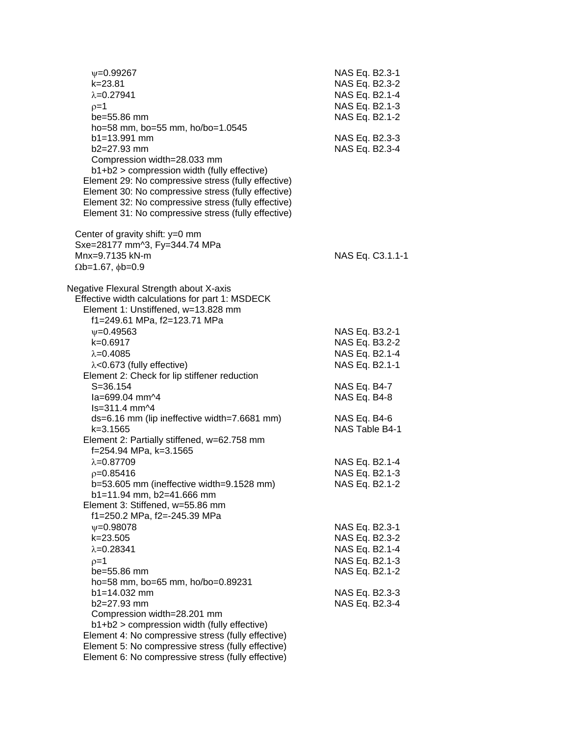| $\nu = 0.99267$                                     | NAS Eq. B2.3-1   |
|-----------------------------------------------------|------------------|
| k=23.81                                             | NAS Eq. B2.3-2   |
| $\lambda = 0.27941$                                 | NAS Eq. B2.1-4   |
| $p=1$                                               | NAS Eq. B2.1-3   |
| be=55.86 mm                                         | NAS Eq. B2.1-2   |
| ho=58 mm, bo=55 mm, ho/bo=1.0545                    |                  |
| b1=13.991 mm                                        | NAS Eq. B2.3-3   |
| b2=27.93 mm                                         | NAS Eq. B2.3-4   |
| Compression width=28.033 mm                         |                  |
| b1+b2 > compression width (fully effective)         |                  |
| Element 29: No compressive stress (fully effective) |                  |
| Element 30: No compressive stress (fully effective) |                  |
| Element 32: No compressive stress (fully effective) |                  |
| Element 31: No compressive stress (fully effective) |                  |
|                                                     |                  |
| Center of gravity shift: $y=0$ mm                   |                  |
| Sxe=28177 mm^3, Fy=344.74 MPa                       |                  |
| Mnx=9.7135 kN-m                                     | NAS Eq. C3.1.1-1 |
| $\Omega$ b=1.67, $\phi$ b=0.9                       |                  |
|                                                     |                  |
| Negative Flexural Strength about X-axis             |                  |
| Effective width calculations for part 1: MSDECK     |                  |
| Element 1: Unstiffened, w=13.828 mm                 |                  |
| f1=249.61 MPa, f2=123.71 MPa                        |                  |
| $V = 0.49563$                                       | NAS Eq. B3.2-1   |
| k=0.6917                                            | NAS Eq. B3.2-2   |
|                                                     | NAS Eq. B2.1-4   |
| $\lambda = 0.4085$                                  |                  |
| $\lambda$ <0.673 (fully effective)                  | NAS Eq. B2.1-1   |
| Element 2: Check for lip stiffener reduction        |                  |
| $S = 36.154$                                        | NAS Eq. B4-7     |
| la=699.04 mm^4                                      | NAS Eq. B4-8     |
| $ls = 311.4$ mm $\frac{1}{4}$                       |                  |
| ds=6.16 mm (lip ineffective width=7.6681 mm)        | NAS Eq. B4-6     |
| k=3.1565                                            | NAS Table B4-1   |
| Element 2: Partially stiffened, w=62.758 mm         |                  |
| f=254.94 MPa, k=3.1565                              |                  |
| $\lambda = 0.87709$                                 | NAS Eq. B2.1-4   |
| $p=0.85416$                                         | NAS Eq. B2.1-3   |
| b=53.605 mm (ineffective width=9.1528 mm)           | NAS Eq. B2.1-2   |
| b1=11.94 mm, b2=41.666 mm                           |                  |
| Element 3: Stiffened, w=55.86 mm                    |                  |
| f1=250.2 MPa, f2=-245.39 MPa                        |                  |
| $\psi = 0.98078$                                    | NAS Eq. B2.3-1   |
| k=23.505                                            | NAS Eq. B2.3-2   |
| $\lambda = 0.28341$                                 | NAS Eq. B2.1-4   |
| $p=1$                                               | NAS Eq. B2.1-3   |
| be=55.86 mm                                         | NAS Eq. B2.1-2   |
| ho=58 mm, bo=65 mm, ho/bo=0.89231                   |                  |
| $b1 = 14.032$ mm                                    | NAS Eq. B2.3-3   |
| b2=27.93 mm                                         | NAS Eq. B2.3-4   |
| Compression width=28.201 mm                         |                  |
| b1+b2 > compression width (fully effective)         |                  |
| Element 4: No compressive stress (fully effective)  |                  |
| Element 5: No compressive stress (fully effective)  |                  |
| Element 6: No compressive stress (fully effective)  |                  |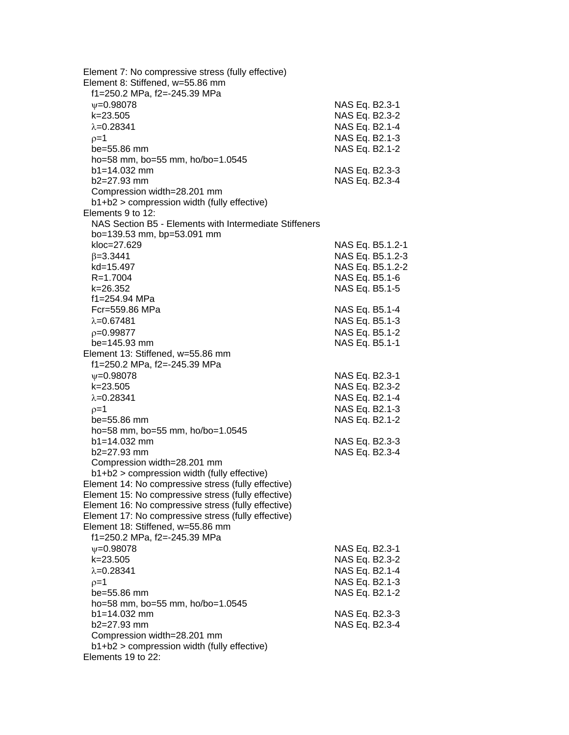| Element 7: No compressive stress (fully effective)<br>Element 8: Stiffened, w=55.86 mm<br>f1=250.2 MPa, f2=-245.39 MPa |                |                  |
|------------------------------------------------------------------------------------------------------------------------|----------------|------------------|
| $\nu = 0.98078$                                                                                                        | NAS Eq. B2.3-1 |                  |
| $k = 23.505$                                                                                                           | NAS Eq. B2.3-2 |                  |
| $\lambda = 0.28341$                                                                                                    | NAS Eq. B2.1-4 |                  |
| $p=1$                                                                                                                  | NAS Eq. B2.1-3 |                  |
| be=55.86 mm                                                                                                            | NAS Eq. B2.1-2 |                  |
| ho=58 mm, bo=55 mm, ho/bo=1.0545                                                                                       |                |                  |
| $b1 = 14.032$ mm                                                                                                       | NAS Eq. B2.3-3 |                  |
| $b2=27.93$ mm                                                                                                          | NAS Eq. B2.3-4 |                  |
| Compression width=28.201 mm                                                                                            |                |                  |
| b1+b2 > compression width (fully effective)                                                                            |                |                  |
| Elements 9 to 12:                                                                                                      |                |                  |
| NAS Section B5 - Elements with Intermediate Stiffeners                                                                 |                |                  |
| bo=139.53 mm, bp=53.091 mm                                                                                             |                |                  |
| kloc=27.629                                                                                                            |                | NAS Eq. B5.1.2-1 |
| $\beta = 3.3441$                                                                                                       |                | NAS Eq. B5.1.2-3 |
| kd=15.497                                                                                                              |                | NAS Eq. B5.1.2-2 |
| R=1.7004                                                                                                               |                | NAS Eq. B5.1-6   |
| k=26.352                                                                                                               | NAS Eq. B5.1-5 |                  |
| f1=254.94 MPa<br>Fcr=559.86 MPa                                                                                        |                |                  |
| $\lambda = 0.67481$                                                                                                    | NAS Eq. B5.1-4 |                  |
|                                                                                                                        | NAS Eq. B5.1-3 |                  |
| $p=0.99877$<br>$be = 145.93$ mm                                                                                        | NAS Eq. B5.1-2 |                  |
| Element 13: Stiffened, w=55.86 mm                                                                                      | NAS Eq. B5.1-1 |                  |
| f1=250.2 MPa, f2=-245.39 MPa                                                                                           |                |                  |
| $\psi = 0.98078$                                                                                                       | NAS Eq. B2.3-1 |                  |
| $k = 23.505$                                                                                                           | NAS Eq. B2.3-2 |                  |
| $\lambda = 0.28341$                                                                                                    | NAS Eq. B2.1-4 |                  |
| $p=1$                                                                                                                  | NAS Eq. B2.1-3 |                  |
| be=55.86 mm                                                                                                            | NAS Eq. B2.1-2 |                  |
| ho=58 mm, bo=55 mm, ho/bo=1.0545                                                                                       |                |                  |
| $b1 = 14.032$ mm                                                                                                       | NAS Eq. B2.3-3 |                  |
| $b2=27.93$ mm                                                                                                          | NAS Eq. B2.3-4 |                  |
| Compression width=28.201 mm                                                                                            |                |                  |
| b1+b2 > compression width (fully effective)                                                                            |                |                  |
| Element 14: No compressive stress (fully effective)                                                                    |                |                  |
| Element 15: No compressive stress (fully effective)                                                                    |                |                  |
| Element 16: No compressive stress (fully effective)                                                                    |                |                  |
| Element 17: No compressive stress (fully effective)                                                                    |                |                  |
| Element 18: Stiffened, w=55.86 mm                                                                                      |                |                  |
| f1=250.2 MPa, f2=-245.39 MPa                                                                                           |                |                  |
| $\psi = 0.98078$                                                                                                       | NAS Eq. B2.3-1 |                  |
| $k = 23.505$                                                                                                           | NAS Eq. B2.3-2 |                  |
| $\lambda = 0.28341$                                                                                                    | NAS Eq. B2.1-4 |                  |
| $p=1$                                                                                                                  | NAS Eq. B2.1-3 |                  |
| be=55.86 mm                                                                                                            | NAS Eq. B2.1-2 |                  |
| ho=58 mm, bo=55 mm, ho/bo=1.0545                                                                                       |                |                  |
| $b1 = 14.032$ mm                                                                                                       | NAS Eq. B2.3-3 |                  |
| b2=27.93 mm                                                                                                            | NAS Eq. B2.3-4 |                  |
| Compression width=28.201 mm                                                                                            |                |                  |
| b1+b2 > compression width (fully effective)                                                                            |                |                  |
| Elements 19 to 22:                                                                                                     |                |                  |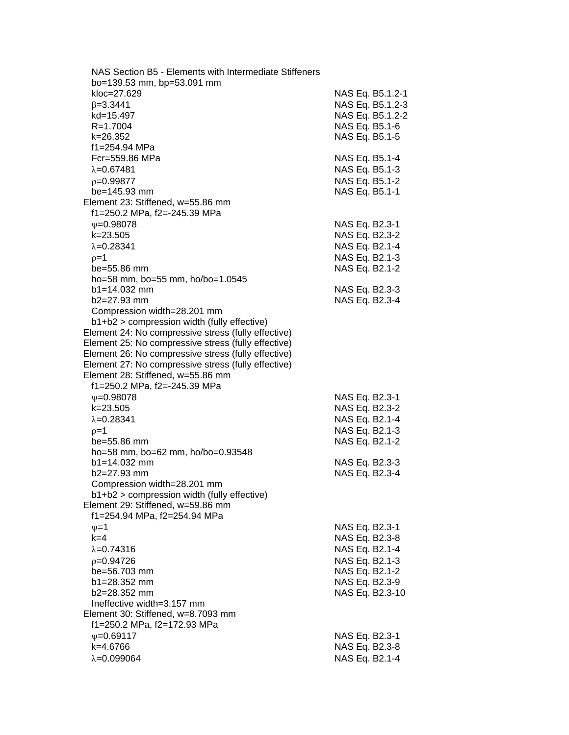| NAS Section B5 - Elements with Intermediate Stiffeners |                  |
|--------------------------------------------------------|------------------|
| bo=139.53 mm, bp=53.091 mm                             |                  |
| kloc=27.629                                            | NAS Eq. B5.1.2-1 |
| $\beta = 3.3441$                                       | NAS Eq. B5.1.2-3 |
| kd=15.497                                              | NAS Eq. B5.1.2-2 |
| R=1.7004                                               | NAS Eq. B5.1-6   |
| k=26.352                                               | NAS Eq. B5.1-5   |
| f1=254.94 MPa                                          |                  |
| Fcr=559.86 MPa                                         | NAS Eq. B5.1-4   |
| $\lambda = 0.67481$                                    | NAS Eq. B5.1-3   |
| $p=0.99877$                                            | NAS Eq. B5.1-2   |
| be=145.93 mm                                           | NAS Eq. B5.1-1   |
| Element 23: Stiffened, w=55.86 mm                      |                  |
|                                                        |                  |
| f1=250.2 MPa, f2=-245.39 MPa                           |                  |
| $\psi = 0.98078$                                       | NAS Eq. B2.3-1   |
| $k = 23.505$                                           | NAS Eq. B2.3-2   |
| $\lambda = 0.28341$                                    | NAS Eq. B2.1-4   |
| $p=1$                                                  | NAS Eq. B2.1-3   |
| be=55.86 mm                                            | NAS Eq. B2.1-2   |
| ho=58 mm, bo=55 mm, ho/bo=1.0545                       |                  |
| $b1 = 14.032$ mm                                       | NAS Eq. B2.3-3   |
| $b2=27.93$ mm                                          | NAS Eq. B2.3-4   |
| Compression width=28.201 mm                            |                  |
| b1+b2 > compression width (fully effective)            |                  |
| Element 24: No compressive stress (fully effective)    |                  |
| Element 25: No compressive stress (fully effective)    |                  |
| Element 26: No compressive stress (fully effective)    |                  |
| Element 27: No compressive stress (fully effective)    |                  |
| Element 28: Stiffened, w=55.86 mm                      |                  |
| f1=250.2 MPa, f2=-245.39 MPa                           |                  |
| $\nu = 0.98078$                                        | NAS Eq. B2.3-1   |
| k=23.505                                               | NAS Eq. B2.3-2   |
| $\lambda = 0.28341$                                    | NAS Eq. B2.1-4   |
| $p=1$                                                  | NAS Eq. B2.1-3   |
| be=55.86 mm                                            | NAS Eq. B2.1-2   |
| ho=58 mm, bo=62 mm, ho/bo=0.93548                      |                  |
| $b1 = 14.032$ mm                                       | NAS Eq. B2.3-3   |
| b2=27.93 mm                                            | NAS Eq. B2.3-4   |
| Compression width=28.201 mm                            |                  |
| b1+b2 > compression width (fully effective)            |                  |
| Element 29: Stiffened, w=59.86 mm                      |                  |
| f1=254.94 MPa, f2=254.94 MPa                           |                  |
|                                                        | NAS Eq. B2.3-1   |
| $\nu = 1$<br>$k=4$                                     | NAS Eq. B2.3-8   |
|                                                        |                  |
| $\lambda = 0.74316$                                    | NAS Eq. B2.1-4   |
| $p=0.94726$                                            | NAS Eq. B2.1-3   |
| be=56.703 mm                                           | NAS Eq. B2.1-2   |
| $b1 = 28.352$ mm                                       | NAS Eq. B2.3-9   |
| $b2 = 28.352$ mm                                       | NAS Eq. B2.3-10  |
| Ineffective width=3.157 mm                             |                  |
| Element 30: Stiffened, w=8.7093 mm                     |                  |
| f1=250.2 MPa, f2=172.93 MPa                            |                  |
| $V = 0.69117$                                          | NAS Eq. B2.3-1   |
| k=4.6766                                               | NAS Eq. B2.3-8   |
| $\lambda = 0.099064$                                   | NAS Eq. B2.1-4   |
|                                                        |                  |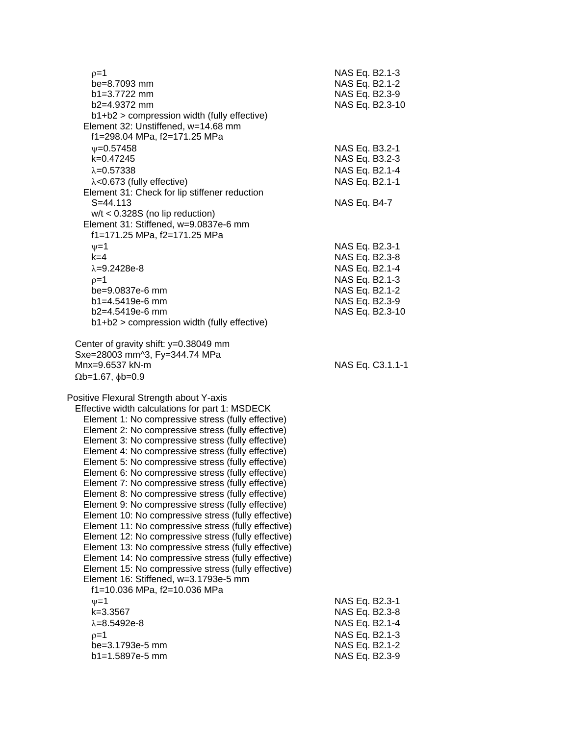| $p=1$<br>be=8.7093 mm<br>$b1 = 3.7722$ mm<br>b2=4.9372 mm<br>b1+b2 > compression width (fully effective)<br>Element 32: Unstiffened, w=14.68 mm                                                                                                                                                                                                                                                                                                                                                                                                                                                                                                                                                                                                                                                                                                                                                                                                                                                                                                                                  | NAS Eq. B2.1-3<br>NAS Eq. B2.1-2<br>NAS Eq. B2.3-9<br>NAS Eq. B2.3-10                                                       |
|----------------------------------------------------------------------------------------------------------------------------------------------------------------------------------------------------------------------------------------------------------------------------------------------------------------------------------------------------------------------------------------------------------------------------------------------------------------------------------------------------------------------------------------------------------------------------------------------------------------------------------------------------------------------------------------------------------------------------------------------------------------------------------------------------------------------------------------------------------------------------------------------------------------------------------------------------------------------------------------------------------------------------------------------------------------------------------|-----------------------------------------------------------------------------------------------------------------------------|
| f1=298.04 MPa, f2=171.25 MPa<br>$\psi = 0.57458$<br>k=0.47245<br>$\lambda = 0.57338$<br>$\lambda$ <0.673 (fully effective)<br>Element 31: Check for lip stiffener reduction<br>$S = 44.113$                                                                                                                                                                                                                                                                                                                                                                                                                                                                                                                                                                                                                                                                                                                                                                                                                                                                                      | NAS Eq. B3.2-1<br>NAS Eq. B3.2-3<br>NAS Eq. B2.1-4<br>NAS Eq. B2.1-1<br>NAS Eq. B4-7                                        |
| $w/t < 0.328S$ (no lip reduction)<br>Element 31: Stiffened, w=9.0837e-6 mm<br>f1=171.25 MPa, f2=171.25 MPa<br>$\nu = 1$<br>$k=4$<br>$\lambda = 9.2428e-8$<br>$p=1$<br>be=9.0837e-6 mm<br>b1=4.5419e-6 mm<br>$b2=4.5419e-6$ mm<br>b1+b2 > compression width (fully effective)                                                                                                                                                                                                                                                                                                                                                                                                                                                                                                                                                                                                                                                                                                                                                                                                     | NAS Eq. B2.3-1<br>NAS Eq. B2.3-8<br>NAS Eq. B2.1-4<br>NAS Eq. B2.1-3<br>NAS Eq. B2.1-2<br>NAS Eq. B2.3-9<br>NAS Eq. B2.3-10 |
| Center of gravity shift: y=0.38049 mm<br>Sxe=28003 mm^3, Fy=344.74 MPa<br>Mnx=9.6537 kN-m<br>$\Omega$ b=1.67, $\phi$ b=0.9                                                                                                                                                                                                                                                                                                                                                                                                                                                                                                                                                                                                                                                                                                                                                                                                                                                                                                                                                       | NAS Eq. C3.1.1-1                                                                                                            |
| Positive Flexural Strength about Y-axis<br>Effective width calculations for part 1: MSDECK<br>Element 1: No compressive stress (fully effective)<br>Element 2: No compressive stress (fully effective)<br>Element 3: No compressive stress (fully effective)<br>Element 4: No compressive stress (fully effective)<br>Element 5: No compressive stress (fully effective)<br>Element 6: No compressive stress (fully effective)<br>Element 7: No compressive stress (fully effective)<br>Element 8: No compressive stress (fully effective)<br>Element 9: No compressive stress (fully effective)<br>Element 10: No compressive stress (fully effective)<br>Element 11: No compressive stress (fully effective)<br>Element 12: No compressive stress (fully effective)<br>Element 13: No compressive stress (fully effective)<br>Element 14: No compressive stress (fully effective)<br>Element 15: No compressive stress (fully effective)<br>Element 16: Stiffened, w=3.1793e-5 mm<br>f1=10.036 MPa, f2=10.036 MPa<br>$v = 1$<br>$k = 3.3567$<br>$\lambda = 8.5492e-8$<br>$p=1$ | NAS Eq. B2.3-1<br>NAS Eq. B2.3-8<br>NAS Eq. B2.1-4<br>NAS Eq. B2.1-3                                                        |
| be=3.1793e-5 mm<br>b1=1.5897e-5 mm                                                                                                                                                                                                                                                                                                                                                                                                                                                                                                                                                                                                                                                                                                                                                                                                                                                                                                                                                                                                                                               | NAS Eq. B2.1-2<br>NAS Eq. B2.3-9                                                                                            |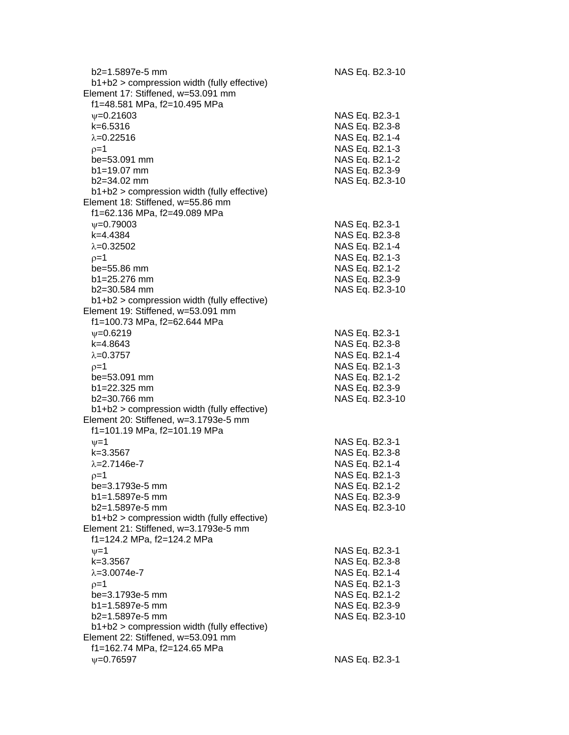| b2=1.5897e-5 mm                               | NAS Eq. B2.3-10 |
|-----------------------------------------------|-----------------|
| b1+b2 > compression width (fully effective)   |                 |
| Element 17: Stiffened, w=53.091 mm            |                 |
| f1=48.581 MPa, f2=10.495 MPa                  |                 |
| $\psi = 0.21603$                              | NAS Eq. B2.3-1  |
| $k = 6.5316$                                  | NAS Eq. B2.3-8  |
| $\lambda = 0.22516$                           | NAS Eq. B2.1-4  |
| $p=1$                                         | NAS Eq. B2.1-3  |
| be=53.091 mm                                  | NAS Eq. B2.1-2  |
| $b1 = 19.07$ mm                               | NAS Eq. B2.3-9  |
| b2=34.02 mm                                   | NAS Eq. B2.3-10 |
| b1+b2 > compression width (fully effective)   |                 |
| Element 18: Stiffened, w=55.86 mm             |                 |
| f1=62.136 MPa, f2=49.089 MPa                  |                 |
| $\psi = 0.79003$                              | NAS Eq. B2.3-1  |
| k=4.4384                                      | NAS Eq. B2.3-8  |
| $\lambda = 0.32502$                           | NAS Eq. B2.1-4  |
| $p=1$                                         | NAS Eq. B2.1-3  |
| be=55.86 mm                                   | NAS Eq. B2.1-2  |
| $b1 = 25.276$ mm                              | NAS Eq. B2.3-9  |
| b2=30.584 mm                                  | NAS Eq. B2.3-10 |
| $b1+b2$ > compression width (fully effective) |                 |
| Element 19: Stiffened, w=53.091 mm            |                 |
| f1=100.73 MPa, f2=62.644 MPa                  |                 |
| $V = 0.6219$                                  | NAS Eq. B2.3-1  |
| $k=4.8643$                                    | NAS Eq. B2.3-8  |
| $\lambda = 0.3757$                            | NAS Eq. B2.1-4  |
| $p=1$                                         | NAS Eq. B2.1-3  |
| be=53.091 mm                                  | NAS Eq. B2.1-2  |
| b1=22.325 mm                                  | NAS Eq. B2.3-9  |
| b2=30.766 mm                                  | NAS Eq. B2.3-10 |
| b1+b2 > compression width (fully effective)   |                 |
| Element 20: Stiffened, w=3.1793e-5 mm         |                 |
| f1=101.19 MPa, f2=101.19 MPa                  |                 |
| $\nu = 1$                                     | NAS Eq. B2.3-1  |
| k=3.3567                                      | NAS Eq. B2.3-8  |
| $\lambda = 2.7146e - 7$                       | NAS Eq. B2.1-4  |
| $p=1$                                         | NAS Eq. B2.1-3  |
| be=3.1793e-5 mm                               | NAS Eq. B2.1-2  |
| b1=1.5897e-5 mm                               | NAS Eq. B2.3-9  |
| b2=1.5897e-5 mm                               | NAS Eq. B2.3-10 |
| b1+b2 > compression width (fully effective)   |                 |
| Element 21: Stiffened, w=3.1793e-5 mm         |                 |
| f1=124.2 MPa, f2=124.2 MPa                    |                 |
|                                               |                 |
| $\nu = 1$                                     | NAS Eq. B2.3-1  |
| k=3.3567                                      | NAS Eq. B2.3-8  |
| $\lambda = 3.0074e-7$                         | NAS Eq. B2.1-4  |
| $p=1$                                         | NAS Eq. B2.1-3  |
| be=3.1793e-5 mm                               | NAS Eq. B2.1-2  |
| b1=1.5897e-5 mm                               | NAS Eq. B2.3-9  |
| b2=1.5897e-5 mm                               | NAS Eq. B2.3-10 |
| b1+b2 > compression width (fully effective)   |                 |
| Element 22: Stiffened, w=53.091 mm            |                 |
| f1=162.74 MPa, f2=124.65 MPa                  |                 |
| $v = 0.76597$                                 | NAS Eq. B2.3-1  |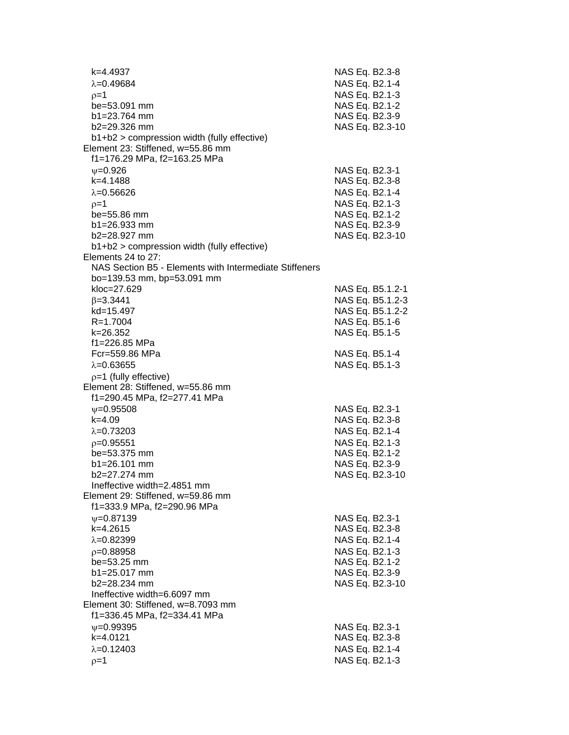| k=4.4937<br>$\lambda = 0.49684$                                                  | NAS Eq. B2.3-8<br>NAS Eq. B2.1-4  |
|----------------------------------------------------------------------------------|-----------------------------------|
|                                                                                  |                                   |
| $0 = 1$                                                                          | NAS Eq. B2.1-3                    |
| be=53.091 mm                                                                     | NAS Eq. B2.1-2                    |
| $b1 = 23.764$ mm                                                                 | NAS Eq. B2.3-9<br>NAS Eq. B2.3-10 |
| b2=29.326 mm                                                                     |                                   |
| b1+b2 > compression width (fully effective)<br>Element 23: Stiffened, w=55.86 mm |                                   |
| f1=176.29 MPa, f2=163.25 MPa                                                     |                                   |
| $V = 0.926$                                                                      |                                   |
| k=4.1488                                                                         | NAS Eq. B2.3-1                    |
|                                                                                  | NAS Eq. B2.3-8                    |
| $\lambda = 0.56626$                                                              | NAS Eq. B2.1-4                    |
| $p=1$                                                                            | NAS Eq. B2.1-3                    |
| be=55.86 mm                                                                      | NAS Eq. B2.1-2                    |
| $b1 = 26.933$ mm<br>$b2 = 28.927$ mm                                             | NAS Eq. B2.3-9                    |
|                                                                                  | NAS Eq. B2.3-10                   |
| $b1+b2$ > compression width (fully effective)<br>Elements 24 to 27:              |                                   |
| NAS Section B5 - Elements with Intermediate Stiffeners                           |                                   |
| bo=139.53 mm, bp=53.091 mm                                                       |                                   |
| kloc=27.629                                                                      | NAS Eq. B5.1.2-1                  |
| $\beta = 3.3441$                                                                 | NAS Eq. B5.1.2-3                  |
| kd=15.497                                                                        | NAS Eq. B5.1.2-2                  |
| R=1.7004                                                                         | NAS Eq. B5.1-6                    |
| k=26.352                                                                         | NAS Eq. B5.1-5                    |
| f1=226.85 MPa                                                                    |                                   |
| Fcr=559.86 MPa                                                                   | NAS Eq. B5.1-4                    |
| $\lambda = 0.63655$                                                              | NAS Eq. B5.1-3                    |
| $p=1$ (fully effective)                                                          |                                   |
| Element 28: Stiffened, w=55.86 mm                                                |                                   |
| f1=290.45 MPa, f2=277.41 MPa                                                     |                                   |
| $\psi = 0.95508$                                                                 | NAS Eq. B2.3-1                    |
| $k = 4.09$                                                                       | NAS Eq. B2.3-8                    |
| $\lambda = 0.73203$                                                              | NAS Eq. B2.1-4                    |
| $p=0.95551$                                                                      | NAS Eq. B2.1-3                    |
| be=53.375 mm                                                                     | NAS Eq. B2.1-2                    |
| $b1 = 26.101$ mm                                                                 | NAS Eq. B2.3-9                    |
| b2=27.274 mm                                                                     | NAS Eq. B2.3-10                   |
| Ineffective width=2.4851 mm                                                      |                                   |
| Element 29: Stiffened, w=59.86 mm                                                |                                   |
| f1=333.9 MPa, f2=290.96 MPa                                                      |                                   |
| $\psi = 0.87139$                                                                 | NAS Eq. B2.3-1                    |
| $k=4.2615$                                                                       | NAS Eq. B2.3-8                    |
| $\lambda = 0.82399$                                                              | NAS Eq. B2.1-4                    |
| $p=0.88958$                                                                      | NAS Eq. B2.1-3                    |
| be=53.25 mm                                                                      | NAS Eq. B2.1-2                    |
| b1=25.017 mm                                                                     | NAS Eq. B2.3-9                    |
| $b2 = 28.234$ mm                                                                 | NAS Eq. B2.3-10                   |
| Ineffective width=6.6097 mm                                                      |                                   |
| Element 30: Stiffened, w=8.7093 mm                                               |                                   |
| f1=336.45 MPa, f2=334.41 MPa                                                     |                                   |
| $\nu = 0.99395$                                                                  | NAS Eq. B2.3-1                    |
| k=4.0121                                                                         | NAS Eq. B2.3-8                    |
| $\lambda = 0.12403$                                                              | NAS Eq. B2.1-4                    |
| $p=1$                                                                            | NAS Eq. B2.1-3                    |
|                                                                                  |                                   |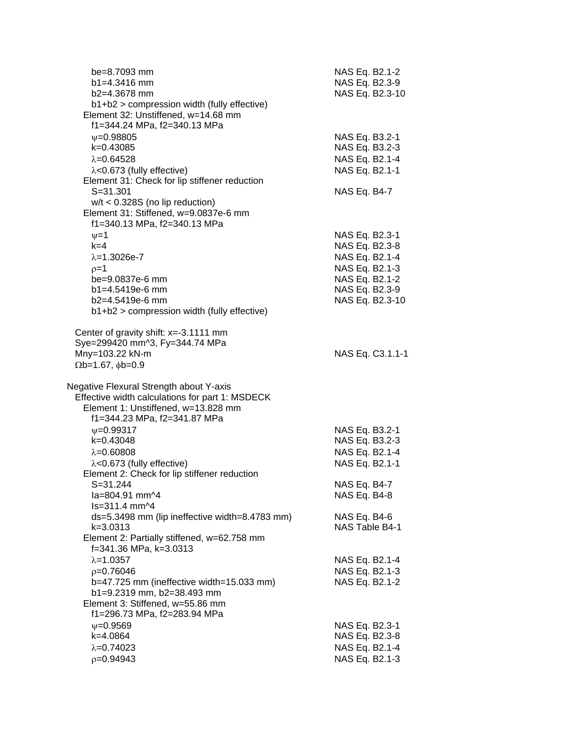| be=8.7093 mm<br>$b1 = 4.3416$ mm<br>$b2=4.3678$ mm                                                                 | NAS Eq. B2.1-2<br>NAS Eq. B2.3-9<br>NAS Eq. B2.3-10 |
|--------------------------------------------------------------------------------------------------------------------|-----------------------------------------------------|
| b1+b2 > compression width (fully effective)<br>Element 32: Unstiffened, w=14.68 mm<br>f1=344.24 MPa, f2=340.13 MPa |                                                     |
| $\nu = 0.98805$                                                                                                    | NAS Eq. B3.2-1                                      |
| k=0.43085                                                                                                          | NAS Eq. B3.2-3                                      |
| $\lambda = 0.64528$                                                                                                | NAS Eq. B2.1-4                                      |
| $\lambda$ <0.673 (fully effective)                                                                                 | NAS Eq. B2.1-1                                      |
| Element 31: Check for lip stiffener reduction                                                                      |                                                     |
| $S = 31.301$                                                                                                       | NAS Eq. B4-7                                        |
| $w/t < 0.328S$ (no lip reduction)<br>Element 31: Stiffened, w=9.0837e-6 mm                                         |                                                     |
| f1=340.13 MPa, f2=340.13 MPa                                                                                       |                                                     |
| $\nu = 1$                                                                                                          | NAS Eq. B2.3-1                                      |
| $k=4$                                                                                                              | NAS Eq. B2.3-8                                      |
| $\lambda = 1.3026e - 7$                                                                                            | NAS Eq. B2.1-4                                      |
| $p=1$                                                                                                              | NAS Eq. B2.1-3                                      |
| be=9.0837e-6 mm                                                                                                    | NAS Eq. B2.1-2                                      |
| b1=4.5419e-6 mm                                                                                                    | NAS Eq. B2.3-9                                      |
| $b2=4.5419e-6$ mm                                                                                                  | NAS Eq. B2.3-10                                     |
| b1+b2 > compression width (fully effective)                                                                        |                                                     |
| Center of gravity shift: x=-3.1111 mm<br>Sye=299420 mm^3, Fy=344.74 MPa                                            |                                                     |
| Mny=103.22 kN-m                                                                                                    | NAS Eq. C3.1.1-1                                    |
| $\Omega$ b=1.67, $\phi$ b=0.9                                                                                      |                                                     |
|                                                                                                                    |                                                     |
| Negative Flexural Strength about Y-axis                                                                            |                                                     |
| Effective width calculations for part 1: MSDECK                                                                    |                                                     |
| Element 1: Unstiffened, w=13.828 mm                                                                                |                                                     |
| f1=344.23 MPa, f2=341.87 MPa                                                                                       |                                                     |
| $\psi = 0.99317$<br>k=0.43048                                                                                      | NAS Eq. B3.2-1                                      |
| $\lambda = 0.60808$                                                                                                | NAS Eq. B3.2-3                                      |
| $\lambda$ <0.673 (fully effective)                                                                                 | NAS Eq. B2.1-4<br>NAS Eq. B2.1-1                    |
| Element 2: Check for lip stiffener reduction                                                                       |                                                     |
| S=31.244                                                                                                           | NAS Eq. B4-7                                        |
| $1a = 804.91$ mm <sup><math>\Delta</math>4</sup>                                                                   | NAS Eq. B4-8                                        |
| ls=311.4 mm^4                                                                                                      |                                                     |
| ds=5.3498 mm (lip ineffective width=8.4783 mm)                                                                     | NAS Eq. B4-6                                        |
| $k = 3.0313$                                                                                                       | NAS Table B4-1                                      |
| Element 2: Partially stiffened, w=62.758 mm                                                                        |                                                     |
| f=341.36 MPa, k=3.0313                                                                                             |                                                     |
| $\lambda = 1.0357$                                                                                                 | NAS Eq. B2.1-4                                      |
| $p=0.76046$                                                                                                        | NAS Eq. B2.1-3                                      |
| b=47.725 mm (ineffective width=15.033 mm)<br>b1=9.2319 mm, b2=38.493 mm                                            | NAS Eq. B2.1-2                                      |
| Element 3: Stiffened, w=55.86 mm                                                                                   |                                                     |
| f1=296.73 MPa, f2=283.94 MPa                                                                                       |                                                     |
| $\nu = 0.9569$                                                                                                     | NAS Eq. B2.3-1                                      |
| k=4.0864                                                                                                           | NAS Eq. B2.3-8                                      |
| $\lambda = 0.74023$                                                                                                | NAS Eq. B2.1-4                                      |
| $p=0.94943$                                                                                                        | NAS Eq. B2.1-3                                      |
|                                                                                                                    |                                                     |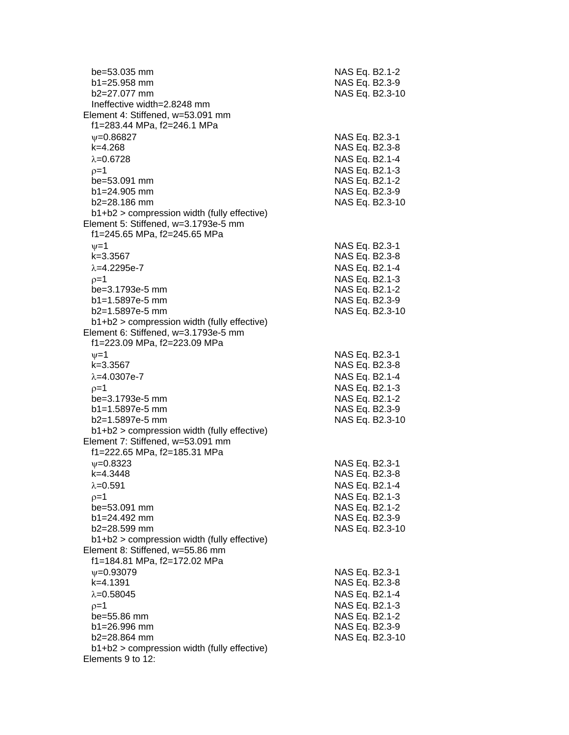| be=53.035 mm<br>$b1 = 25.958$ mm                                 | NAS Eq. B2.1-2<br>NAS Eq. B2.3-9 |
|------------------------------------------------------------------|----------------------------------|
| $b2=27.077$ mm                                                   | NAS Eq. B2.3-10                  |
| Ineffective width=2.8248 mm<br>Element 4: Stiffened, w=53.091 mm |                                  |
| f1=283.44 MPa, f2=246.1 MPa                                      |                                  |
|                                                                  |                                  |
| $\psi = 0.86827$<br>$k=4.268$                                    | NAS Eq. B2.3-1<br>NAS Eq. B2.3-8 |
| $\lambda = 0.6728$                                               | NAS Eq. B2.1-4                   |
| $p=1$                                                            | NAS Eq. B2.1-3                   |
| be=53.091 mm                                                     | NAS Eq. B2.1-2                   |
| $b1 = 24.905$ mm                                                 | NAS Eq. B2.3-9                   |
| $b2 = 28.186$ mm                                                 | NAS Eq. B2.3-10                  |
| $b1+b2$ > compression width (fully effective)                    |                                  |
| Element 5: Stiffened, w=3.1793e-5 mm                             |                                  |
| f1=245.65 MPa, f2=245.65 MPa                                     |                                  |
| $\nu = 1$                                                        | NAS Eq. B2.3-1                   |
| k=3.3567                                                         | NAS Eq. B2.3-8                   |
| $\lambda = 4.2295e - 7$                                          | NAS Eq. B2.1-4                   |
| $p=1$                                                            | NAS Eq. B2.1-3                   |
| be=3.1793e-5 mm                                                  | NAS Eq. B2.1-2                   |
| b1=1.5897e-5 mm                                                  | NAS Eq. B2.3-9                   |
| b2=1.5897e-5 mm                                                  | NAS Eq. B2.3-10                  |
| b1+b2 > compression width (fully effective)                      |                                  |
| Element 6: Stiffened, w=3.1793e-5 mm                             |                                  |
| f1=223.09 MPa, f2=223.09 MPa                                     |                                  |
| $v = 1$                                                          | NAS Eq. B2.3-1                   |
| k=3.3567                                                         | NAS Eq. B2.3-8                   |
| $\lambda = 4.0307e - 7$                                          | NAS Eq. B2.1-4                   |
| $p=1$                                                            | NAS Eq. B2.1-3                   |
| be=3.1793e-5 mm                                                  | NAS Eq. B2.1-2                   |
| $b1 = 1.5897e-5$ mm                                              | NAS Eq. B2.3-9                   |
| b2=1.5897e-5 mm                                                  | NAS Eq. B2.3-10                  |
| b1+b2 > compression width (fully effective)                      |                                  |
| Element 7: Stiffened, w=53.091 mm                                |                                  |
| f1=222.65 MPa, f2=185.31 MPa                                     |                                  |
| $V = 0.8323$                                                     | NAS Eq. B2.3-1                   |
| k=4.3448                                                         | NAS Eq. B2.3-8                   |
| $\lambda = 0.591$                                                | NAS Eq. B2.1-4                   |
| $p=1$                                                            | NAS Eq. B2.1-3                   |
| be=53.091 mm                                                     | NAS Eq. B2.1-2                   |
| b1=24.492 mm                                                     | NAS Eq. B2.3-9                   |
| b2=28.599 mm                                                     | NAS Eq. B2.3-10                  |
| b1+b2 > compression width (fully effective)                      |                                  |
| Element 8: Stiffened, w=55.86 mm                                 |                                  |
| f1=184.81 MPa, f2=172.02 MPa                                     |                                  |
| $\psi = 0.93079$                                                 | NAS Eq. B2.3-1                   |
| k=4.1391                                                         | NAS Eq. B2.3-8                   |
| $\lambda = 0.58045$                                              | NAS Eq. B2.1-4                   |
| $p=1$                                                            | NAS Eq. B2.1-3                   |
| be=55.86 mm                                                      | NAS Eq. B2.1-2                   |
| b1=26.996 mm                                                     | NAS Eq. B2.3-9                   |
| b2=28.864 mm                                                     | NAS Eq. B2.3-10                  |
| $b1+b2$ > compression width (fully effective)                    |                                  |
| Elements 9 to 12:                                                |                                  |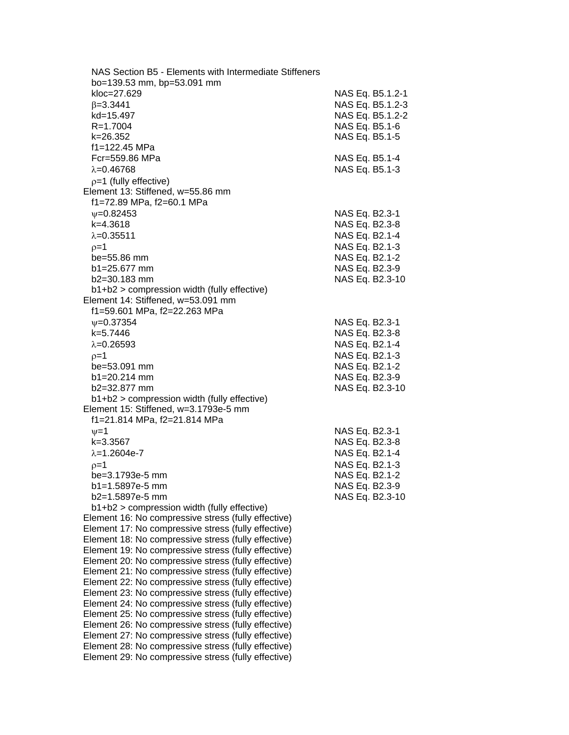| NAS Section B5 - Elements with Intermediate Stiffeners |                  |  |
|--------------------------------------------------------|------------------|--|
| bo=139.53 mm, bp=53.091 mm                             |                  |  |
| kloc=27.629                                            | NAS Eq. B5.1.2-1 |  |
| $\beta = 3.3441$                                       | NAS Eq. B5.1.2-3 |  |
| kd=15.497                                              | NAS Eq. B5.1.2-2 |  |
| R=1.7004                                               | NAS Eq. B5.1-6   |  |
| k=26.352                                               | NAS Eq. B5.1-5   |  |
| f1=122.45 MPa                                          |                  |  |
| Fcr=559.86 MPa                                         | NAS Eq. B5.1-4   |  |
| $\lambda = 0.46768$                                    | NAS Eq. B5.1-3   |  |
| $p=1$ (fully effective)                                |                  |  |
| Element 13: Stiffened, w=55.86 mm                      |                  |  |
| f1=72.89 MPa, f2=60.1 MPa                              |                  |  |
| $\psi = 0.82453$                                       | NAS Eq. B2.3-1   |  |
| $k=4.3618$                                             | NAS Eq. B2.3-8   |  |
| $\lambda = 0.35511$                                    | NAS Eq. B2.1-4   |  |
| $p=1$                                                  | NAS Eq. B2.1-3   |  |
| be=55.86 mm                                            | NAS Eq. B2.1-2   |  |
| b1=25.677 mm                                           | NAS Eq. B2.3-9   |  |
| $b2 = 30.183$ mm                                       | NAS Eq. B2.3-10  |  |
| b1+b2 > compression width (fully effective)            |                  |  |
| Element 14: Stiffened, w=53.091 mm                     |                  |  |
| f1=59.601 MPa, f2=22.263 MPa                           |                  |  |
| $\psi = 0.37354$                                       | NAS Eq. B2.3-1   |  |
| k=5.7446                                               | NAS Eq. B2.3-8   |  |
| $\lambda = 0.26593$                                    | NAS Eq. B2.1-4   |  |
| $p=1$                                                  | NAS Eq. B2.1-3   |  |
| $be = 53.091$ mm                                       | NAS Eq. B2.1-2   |  |
| $b1 = 20.214$ mm                                       | NAS Eq. B2.3-9   |  |
| $b2 = 32.877$ mm                                       | NAS Eq. B2.3-10  |  |
| $b1+b2$ > compression width (fully effective)          |                  |  |
| Element 15: Stiffened, w=3.1793e-5 mm                  |                  |  |
| f1=21.814 MPa, f2=21.814 MPa                           |                  |  |
| $\nu = 1$                                              | NAS Eq. B2.3-1   |  |
| k=3.3567                                               | NAS Eq. B2.3-8   |  |
| $\lambda = 1.2604e - 7$                                | NAS Eq. B2.1-4   |  |
| $p=1$                                                  | NAS Eq. B2.1-3   |  |
| be=3.1793e-5 mm                                        | NAS Eq. B2.1-2   |  |
| b1=1.5897e-5 mm<br>b2=1.5897e-5 mm                     | NAS Eq. B2.3-9   |  |
| b1+b2 > compression width (fully effective)            | NAS Eq. B2.3-10  |  |
| Element 16: No compressive stress (fully effective)    |                  |  |
| Element 17: No compressive stress (fully effective)    |                  |  |
| Element 18: No compressive stress (fully effective)    |                  |  |
| Element 19: No compressive stress (fully effective)    |                  |  |
| Element 20: No compressive stress (fully effective)    |                  |  |
| Element 21: No compressive stress (fully effective)    |                  |  |
| Element 22: No compressive stress (fully effective)    |                  |  |
| Element 23: No compressive stress (fully effective)    |                  |  |
| Element 24: No compressive stress (fully effective)    |                  |  |
| Element 25: No compressive stress (fully effective)    |                  |  |
| Element 26: No compressive stress (fully effective)    |                  |  |
| Element 27: No compressive stress (fully effective)    |                  |  |
| Element 28: No compressive stress (fully effective)    |                  |  |
| Element 29: No compressive stress (fully effective)    |                  |  |
|                                                        |                  |  |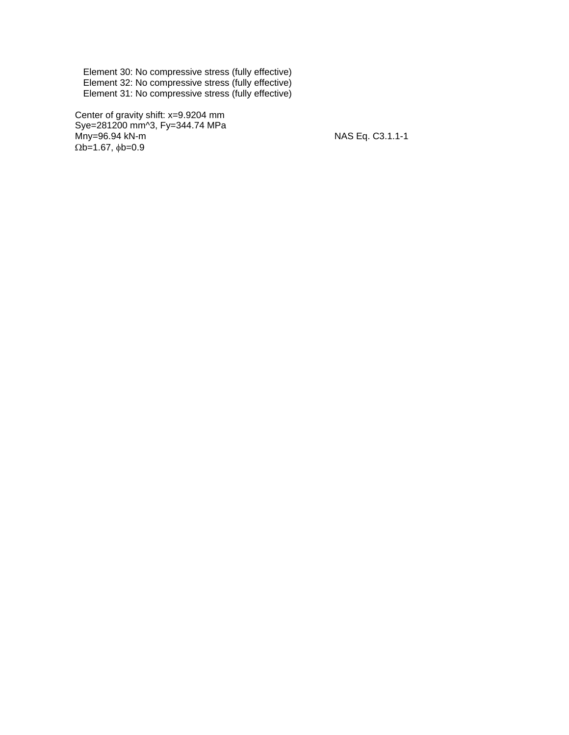Element 30: No compressive stress (fully effective) Element 32: No compressive stress (fully effective) Element 31: No compressive stress (fully effective)

 Center of gravity shift: x=9.9204 mm Sye=281200 mm^3, Fy=344.74 MPa Mny=96.94 kN-m  $\frac{1}{2}$  MAS Eq. C3.1.1-1  $\Omega$ b=1.67,  $\phi$ b=0.9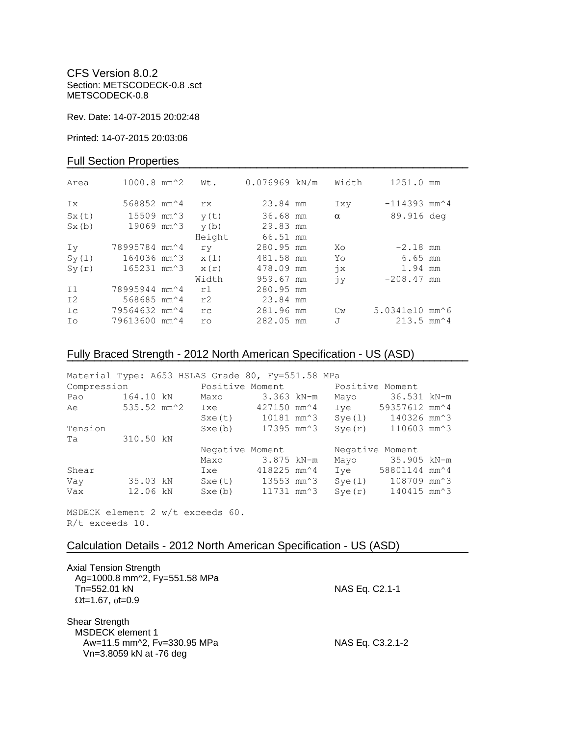CFS Version 8.0.2 Section: METSCODECK-0.8 .sct METSCODECK-0.8

Rev. Date: 14-07-2015 20:02:48

Printed: 14-07-2015 20:03:06

## Full Section Properties

| Area  | $1000.8$ mm <sup><math>2</math></sup>          | Wt.       | $0.076969$ kN/m | Width         | 1251.0 mm                                   |  |
|-------|------------------------------------------------|-----------|-----------------|---------------|---------------------------------------------|--|
| Ix.   | 568852 mm <sup><math>\textdegree</math>4</sup> | rx.       | 23.84 mm        | Ixy           | $-114393$ mm <sup><math>\sim</math></sup> 4 |  |
| Sx(t) | 15509 mm^3                                     | y(t)      | 36.68 mm        | $\alpha$      | 89.916 deg                                  |  |
| Sx(b) | 19069 mm^3                                     | y(b)      | 29.83 mm        |               |                                             |  |
|       |                                                | Height    | 66.51 mm        |               |                                             |  |
| Iv    | 78995784 mm^4                                  | ry        | 280.95 mm       | Xo            | $-2.18$ mm                                  |  |
| Sy(1) | 164036 mm^3                                    | x(1)      | 481.58 mm       | Yo            | 6.65 mm                                     |  |
| Sy(r) | 165231 mm^3                                    | x(r)      | 478.09 mm       | $\dot{7}x$    | 1.94 mm                                     |  |
|       |                                                | Width     | 959.67 mm       | jу            | $-208.47$ mm                                |  |
| I1    | 78995944 mm <sup>2</sup> 4                     | r1        | 280.95 mm       |               |                                             |  |
| I2    | 568685 mm <sup><math>4</math></sup>            | r2        | 23.84 mm        |               |                                             |  |
| Ic    | 79564632 mm^4                                  | rc        | 281.96 mm       | $\mathbb{C}w$ | 5.0341e10 mm^6                              |  |
| Ιo    | 79613600 mm^4                                  | <b>ro</b> | 282.05 mm       | J             | $213.5$ mm <sup><math>4</math></sup>        |  |

# Fully Braced Strength - 2012 North American Specification - US (ASD)

| Material Type: A653 HSLAS Grade 80, Fy=551.58 MPa |             |                                  |                                |             |  |            |        |                                                  |  |
|---------------------------------------------------|-------------|----------------------------------|--------------------------------|-------------|--|------------|--------|--------------------------------------------------|--|
| Compression                                       |             | Positive Moment Monsitive Moment |                                |             |  |            |        |                                                  |  |
| Pao                                               | 164.10 kN   |                                  | Maxo                           |             |  | 3.363 kN-m | Mayo   | 36.531 kN-m                                      |  |
| Ae                                                | 535.52 mm^2 |                                  | Ixe                            | 427150 mm^4 |  |            | Ive    | 59357612 mm^4                                    |  |
|                                                   |             |                                  | Sxe(t)                         |             |  | 10181 mm^3 | Sye(1) | 140326 mm^3                                      |  |
| Tension                                           |             |                                  | Sxe(b)                         |             |  | 17395 mm^3 | Sye(r) | 110603 mm^3                                      |  |
| Ta                                                | 310.50 kN   |                                  |                                |             |  |            |        |                                                  |  |
|                                                   |             |                                  | Negative Moment                |             |  |            |        | Negative Moment                                  |  |
|                                                   |             |                                  | Maxo                           |             |  | 3.875 kN-m |        | Mayo 35.905 kN-m                                 |  |
| Shear                                             |             |                                  | Ixe                            | 418225 mm^4 |  |            | Ive    | 58801144 mm^4                                    |  |
| Vay                                               | 35.03 kN    |                                  | Sxe(t) 13553 mm <sup>2</sup> 3 |             |  |            | Sye(1) | 108709 mm^3                                      |  |
| Vax                                               | 12.06 kN    |                                  | Sxe(b)                         | 11731 mm^3  |  |            | Sye(r) | $140415$ mm <sup><math>\textdegree</math>3</sup> |  |

**¯¯¯¯¯¯¯¯¯¯¯¯¯¯¯¯¯¯¯¯¯¯¯¯¯¯¯¯¯¯¯¯¯¯¯¯¯¯¯¯¯¯¯¯¯¯¯¯¯¯¯¯¯¯¯¯¯¯¯¯¯¯¯¯¯¯¯¯¯¯¯¯**

**¯¯¯¯¯¯¯¯¯¯¯¯¯¯¯¯¯¯¯¯¯¯¯¯¯¯¯¯¯¯¯¯¯¯¯¯¯¯¯¯¯¯¯¯¯¯¯¯¯¯¯¯¯¯¯¯¯¯¯¯¯¯¯¯¯¯¯¯¯¯¯¯**

MSDECK element 2 w/t exceeds 60. R/t exceeds 10.

## Calculation Details - 2012 North American Specification - US (ASD)

| <b>Axial Tension Strength</b><br>Ag=1000.8 mm^2, Fy=551.58 MPa<br>Tn=552.01 kN<br>$\Omega t = 1.67$ , $\phi t = 0.9$ | NAS Eq. C2.1-1   |
|----------------------------------------------------------------------------------------------------------------------|------------------|
| Shear Strength<br>MSDECK element 1<br>Aw=11.5 mm^2, Fv=330.95 MPa<br>Vn=3.8059 kN at -76 deg                         | NAS Eq. C3.2.1-2 |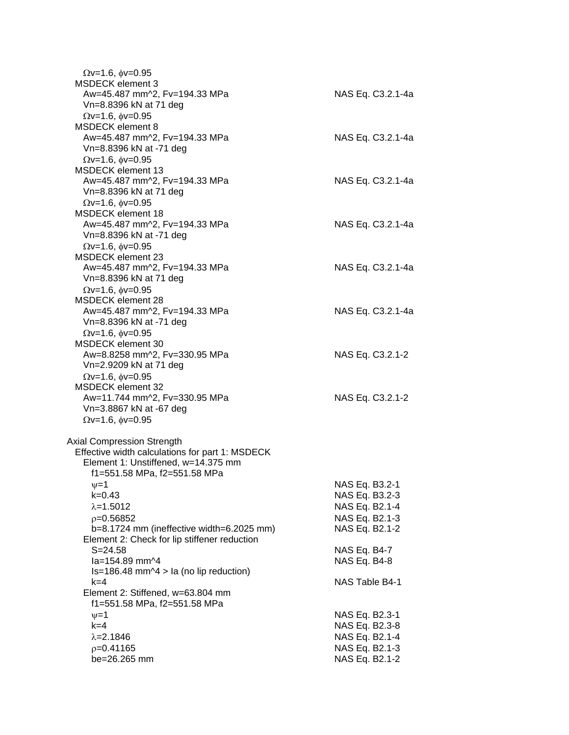| $\Omega$ v=1.6, $\phi$ v=0.95<br><b>MSDECK</b> element 3 |                              |
|----------------------------------------------------------|------------------------------|
| Aw=45.487 mm^2, Fv=194.33 MPa                            | NAS Eq. C3.2.1-4a            |
| Vn=8.8396 kN at 71 deg                                   |                              |
| $\Omega$ v=1.6, $\phi$ v=0.95                            |                              |
| <b>MSDECK</b> element 8                                  |                              |
| Aw=45.487 mm^2, Fv=194.33 MPa                            | NAS Eq. C3.2.1-4a            |
| Vn=8.8396 kN at -71 deg                                  |                              |
| $Qv=1.6$ , $\phi v=0.95$<br><b>MSDECK</b> element 13     |                              |
| Aw=45.487 mm^2, Fv=194.33 MPa                            | NAS Eq. C3.2.1-4a            |
| Vn=8.8396 kN at 71 deg                                   |                              |
| $Qv=1.6$ , $\phi v=0.95$                                 |                              |
| <b>MSDECK element 18</b>                                 |                              |
| Aw=45.487 mm^2, Fv=194.33 MPa                            | NAS Eq. C3.2.1-4a            |
| Vn=8.8396 kN at -71 deg                                  |                              |
| $\Omega$ v=1.6, $\phi$ v=0.95                            |                              |
| MSDECK element 23                                        |                              |
| Aw=45.487 mm^2, Fv=194.33 MPa                            | NAS Eq. C3.2.1-4a            |
| Vn=8.8396 kN at 71 deg                                   |                              |
| $Qv=1.6$ , $\phi v=0.95$<br><b>MSDECK element 28</b>     |                              |
| Aw=45.487 mm^2, Fv=194.33 MPa                            | NAS Eq. C3.2.1-4a            |
| Vn=8.8396 kN at -71 deg                                  |                              |
| $\Omega$ v=1.6, $\phi$ v=0.95                            |                              |
| MSDECK element 30                                        |                              |
| Aw=8.8258 mm^2, Fv=330.95 MPa                            | NAS Eq. C3.2.1-2             |
| Vn=2.9209 kN at 71 deg                                   |                              |
| $Qv=1.6$ , $\phi v=0.95$                                 |                              |
| <b>MSDECK element 32</b>                                 |                              |
| Aw=11.744 mm^2, Fv=330.95 MPa                            | NAS Eq. C3.2.1-2             |
| Vn=3.8867 kN at -67 deg                                  |                              |
| $Qv=1.6$ , $\phi v=0.95$                                 |                              |
| Axial Compression Strength                               |                              |
| Effective width calculations for part 1: MSDECK          |                              |
| Element 1: Unstiffened, w=14.375 mm                      |                              |
| f1=551.58 MPa, f2=551.58 MPa                             |                              |
| ψ=1                                                      | NAS Eq. B3.2-1               |
| $k = 0.43$                                               | NAS Eq. B3.2-3               |
| $\lambda = 1.5012$                                       | NAS Eq. B2.1-4               |
| $p=0.56852$                                              | NAS Eq. B2.1-3               |
| b=8.1724 mm (ineffective width=6.2025 mm)                | NAS Eq. B2.1-2               |
| Element 2: Check for lip stiffener reduction             |                              |
| $S = 24.58$<br>la=154.89 mm^4                            | NAS Eq. B4-7<br>NAS Eq. B4-8 |
| $Is=186.48$ mm $\textdegree$ 4 > la (no lip reduction)   |                              |
| $k = 4$                                                  | NAS Table B4-1               |
| Element 2: Stiffened, w=63.804 mm                        |                              |
| f1=551.58 MPa, f2=551.58 MPa                             |                              |
| $\nu = 1$                                                | NAS Eq. B2.3-1               |
| $k=4$                                                    | NAS Eq. B2.3-8               |
| $\lambda = 2.1846$                                       | NAS Eq. B2.1-4               |
| $p=0.41165$                                              | NAS Eq. B2.1-3               |
| be=26.265 mm                                             | NAS Eq. B2.1-2               |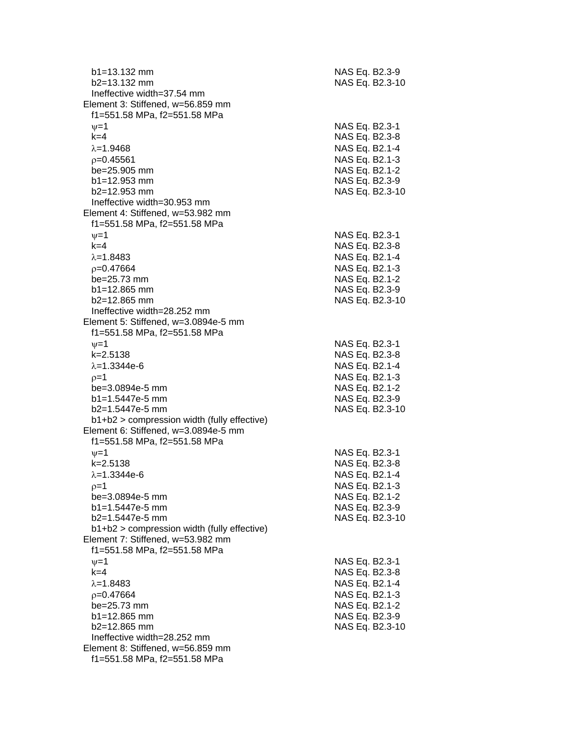| $b1 = 13.132$ mm<br>$b2=13.132$ mm                                                              | NAS Eq. B2.3-9                   | NAS Eq. B2.3-10 |
|-------------------------------------------------------------------------------------------------|----------------------------------|-----------------|
| Ineffective width=37.54 mm<br>Element 3: Stiffened, w=56.859 mm<br>f1=551.58 MPa, f2=551.58 MPa |                                  |                 |
| $\nu=1$                                                                                         | NAS Eq. B2.3-1                   |                 |
| $k=4$                                                                                           | NAS Eq. B2.3-8                   |                 |
| $\lambda = 1.9468$                                                                              | NAS Eq. B2.1-4                   |                 |
| $p=0.45561$                                                                                     | NAS Eq. B2.1-3                   |                 |
| be=25.905 mm                                                                                    | NAS Eq. B2.1-2                   |                 |
| $b1 = 12.953$ mm                                                                                | NAS Eq. B2.3-9                   |                 |
| b2=12.953 mm                                                                                    |                                  | NAS Eq. B2.3-10 |
| Ineffective width=30.953 mm                                                                     |                                  |                 |
| Element 4: Stiffened, w=53.982 mm                                                               |                                  |                 |
| f1=551.58 MPa, f2=551.58 MPa<br>$\nu = 1$                                                       | NAS Eq. B2.3-1                   |                 |
| $k = 4$                                                                                         | NAS Eq. B2.3-8                   |                 |
| $\lambda = 1.8483$                                                                              | NAS Eq. B2.1-4                   |                 |
| $p=0.47664$                                                                                     | NAS Eq. B2.1-3                   |                 |
| be=25.73 mm                                                                                     | NAS Eq. B2.1-2                   |                 |
| $b1 = 12.865$ mm                                                                                | NAS Eq. B2.3-9                   |                 |
| b2=12.865 mm                                                                                    |                                  | NAS Eq. B2.3-10 |
| Ineffective width=28.252 mm                                                                     |                                  |                 |
| Element 5: Stiffened, w=3.0894e-5 mm<br>f1=551.58 MPa, f2=551.58 MPa                            |                                  |                 |
| $\nu=1$                                                                                         | NAS Eq. B2.3-1                   |                 |
| $k = 2.5138$                                                                                    | NAS Eq. B2.3-8                   |                 |
| $\lambda = 1.3344e-6$                                                                           | NAS Eq. B2.1-4                   |                 |
| $p=1$                                                                                           | NAS Eq. B2.1-3                   |                 |
| be=3.0894e-5 mm<br>$b1 = 1.5447e-5$ mm                                                          | NAS Eq. B2.1-2<br>NAS Eq. B2.3-9 |                 |
| b2=1.5447e-5 mm                                                                                 |                                  | NAS Eq. B2.3-10 |
| b1+b2 > compression width (fully effective)                                                     |                                  |                 |
| Element 6: Stiffened, w=3.0894e-5 mm<br>f1=551.58 MPa, f2=551.58 MPa                            |                                  |                 |
| $\nu = 1$                                                                                       | NAS Eq. B2.3-1                   |                 |
| k=2.5138                                                                                        | NAS Eq. B2.3-8                   |                 |
| $\lambda = 1.3344e-6$                                                                           | NAS Eq. B2.1-4                   |                 |
| ρ=1                                                                                             | NAS Eq. B2.1-3                   |                 |
| be=3.0894e-5 mm                                                                                 | NAS Eq. B2.1-2                   |                 |
| $b1 = 1.5447e-5$ mm<br>$b2=1.5447e-5$ mm                                                        | NAS Eq. B2.3-9                   | NAS Eq. B2.3-10 |
| b1+b2 > compression width (fully effective)                                                     |                                  |                 |
| Element 7: Stiffened, w=53.982 mm                                                               |                                  |                 |
| f1=551.58 MPa, f2=551.58 MPa                                                                    |                                  |                 |
| $\nu = 1$                                                                                       | NAS Eq. B2.3-1                   |                 |
| $k=4$                                                                                           | NAS Eq. B2.3-8                   |                 |
| $\lambda = 1.8483$                                                                              | NAS Eq. B2.1-4                   |                 |
| $p=0.47664$                                                                                     | NAS Eq. B2.1-3                   |                 |
| be=25.73 mm                                                                                     | NAS Eq. B2.1-2                   |                 |
| $b1 = 12.865$ mm                                                                                | NAS Eq. B2.3-9                   |                 |
| b2=12.865 mm                                                                                    |                                  | NAS Eq. B2.3-10 |
| Ineffective width=28.252 mm<br>Element 8: Stiffened, w=56.859 mm                                |                                  |                 |
| f1=551.58 MPa, f2=551.58 MPa                                                                    |                                  |                 |
|                                                                                                 |                                  |                 |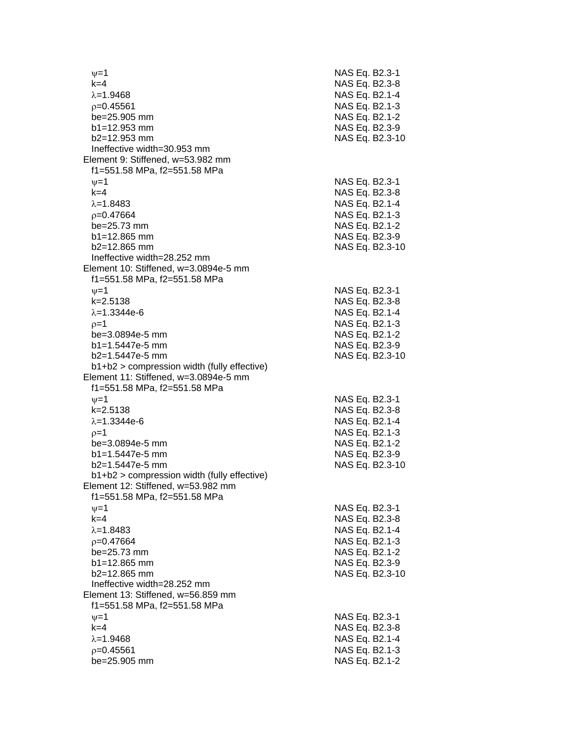$\nu$  =1 NAS Eq. B2.3-1 k=4 NAS Eq. B2.3 - 8 =1.9468 NAS Eq. B2.1 - 4  $\rho$ =0.45561 NAS Eq. B2.1-3 be=25.905 mm b1=12.953 mm NAS Eq. B2.3-9 b2=12.953 mm NAS Eq. B2.3 -10 Ineffective width=30.953 mm Element 9: Stiffened, w=53.982 mm f1=551.58 MPa, f2=551.58 MPa  $\psi$ =1 NAS Eq. B2.3-1 k=4 NAS Eq. B2.3 - 8 λ=1.8483 NAS Eq. B2.1-4  $\rho$ =0.47664 NAS Eq. B2.1-3 be=25.73 mm NAS Eq. B2.1-2  $b1=12.865$  mm  $b2=12.865$  mm Ineffective width=28.252 mm Element 10: Stiffened, w=3.0894e-5 mm f1=551.58 MPa, f2=551.58 MPa  $\psi$ =1 NAS Eq. B2.3-1 k=2.5138 NAS Eq. B2.3 - 8 λ=1.3344e-6 NAS Eq. B2.1 - 4  $\rho$ =1 NAS Eq. B2.1-3 be=3.0894e-5 mm -5 mm NAS Eq. B2.1 - 2 b1=1.5447e-5 mm -5 mm NAS Eq. B2.3 - 9 b2=1.5447e -5 mm NAS Eq. B2.3 -10 b1+b2 > compression width (fully effective) Element 11: Stiffened, w=3.0894e-5 mm f1=551.58 MPa, f2=551.58 MPa  $\nu$  =1 NAS Eq. B2.3-1 k=2.5138 NAS Eq. B2.3 - 8 λ=1.3344e-6 NAS Eq. B2.1 - 4  $\rho=1$  NAS Eq. B2.1-3 be=3.0894e -5 mm NAS Eq. B2.1 - 2 b1=1.5447e-5 mm -5 mm NAS Eq. B2.3 - 9 b2=1.5447e -5 mm NAS Eq. B2.3 -10 b1+b2 > compression width (fully effective) Element 12: Stiffened, w=53.982 mm f1=551.58 MPa, f2=551.58 MPa  $\psi$ =1 NAS Eq. B2.3-1 k=4 NAS Eq. B2.3 - 8 λ=1.8483 NAS Eq. B2.1-4  $\rho$ =0.47664 NAS Eq. B2.1-3 be=25.73 mm NAS Eq. B2.1-2  $b1 = 12.865$  mm b2=12.865 mm NAS Eq. B2.3 -10 Ineffective width=28.252 mm Element 13: Stiffened, w=56.859 mm f1=551.58 MPa, f2=551.58 MPa  $\psi$ =1 NAS Eq. B2.3-1 k=4 NAS Eq. B2.3 - 8 =1.9468 NAS Eq. B2.1 - 4  $\rho$ =0.45561 NAS Eq. B2.1-3 be=25.905 mm NAS Eq. B2.1-2

- 2 - 9 NAS Eq. B2.3-10 - 9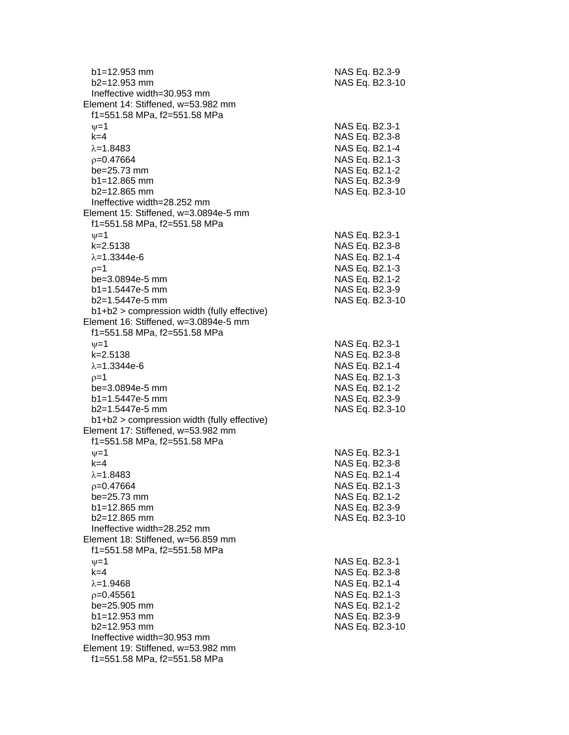| $b1 = 12.953$ mm<br>$b2 = 12.953$ mm          | NAS Eq. B2.3-9<br>NAS Eq. B2.3-10 |
|-----------------------------------------------|-----------------------------------|
| Ineffective width=30.953 mm                   |                                   |
| Element 14: Stiffened, w=53.982 mm            |                                   |
| f1=551.58 MPa, f2=551.58 MPa                  |                                   |
| $\nu = 1$                                     | NAS Eq. B2.3-1                    |
| $k=4$                                         | NAS Eq. B2.3-8                    |
| $\lambda = 1.8483$                            | NAS Eq. B2.1-4                    |
| $p=0.47664$                                   | NAS Eq. B2.1-3                    |
| $be = 25.73$ mm                               | NAS Eq. B2.1-2                    |
| $b1 = 12.865$ mm                              | NAS Eq. B2.3-9                    |
| b2=12.865 mm                                  | NAS Eq. B2.3-10                   |
| Ineffective width=28.252 mm                   |                                   |
| Element 15: Stiffened, w=3.0894e-5 mm         |                                   |
| f1=551.58 MPa, f2=551.58 MPa                  |                                   |
| $\nu = 1$                                     |                                   |
| $k = 2.5138$                                  | NAS Eq. B2.3-1<br>NAS Eq. B2.3-8  |
|                                               |                                   |
| $\lambda = 1.3344e-6$                         | NAS Eq. B2.1-4                    |
| $p=1$                                         | NAS Eq. B2.1-3                    |
| be=3.0894e-5 mm                               | NAS Eq. B2.1-2                    |
| b1=1.5447e-5 mm                               | NAS Eq. B2.3-9                    |
| $b2=1.5447e-5$ mm                             | NAS Eq. B2.3-10                   |
| $b1+b2$ > compression width (fully effective) |                                   |
| Element 16: Stiffened, w=3.0894e-5 mm         |                                   |
| f1=551.58 MPa, f2=551.58 MPa                  |                                   |
| $\nu = 1$                                     | NAS Eq. B2.3-1                    |
| $k = 2.5138$                                  | NAS Eq. B2.3-8                    |
| $\lambda = 1.3344e-6$                         | NAS Eq. B2.1-4                    |
| $p=1$                                         | NAS Eq. B2.1-3                    |
| be=3.0894e-5 mm                               | NAS Eq. B2.1-2                    |
| b1=1.5447e-5 mm                               | NAS Eq. B2.3-9                    |
| b2=1.5447e-5 mm                               | NAS Eq. B2.3-10                   |
| b1+b2 > compression width (fully effective)   |                                   |
| Element 17: Stiffened, w=53.982 mm            |                                   |
| f1=551.58 MPa, f2=551.58 MPa                  |                                   |
| $v = 1$                                       | NAS Eq. B2.3-1                    |
| $k=4$                                         | NAS Eq. B2.3-8                    |
| $\lambda = 1.8483$                            | NAS Eq. B2.1-4                    |
| $p=0.47664$                                   | NAS Eq. B2.1-3                    |
| be=25.73 mm                                   | NAS Eq. B2.1-2                    |
| $b1 = 12.865$ mm                              | NAS Eq. B2.3-9                    |
| $b2=12.865$ mm                                | NAS Eq. B2.3-10                   |
| Ineffective width=28.252 mm                   |                                   |
| Element 18: Stiffened, w=56.859 mm            |                                   |
| f1=551.58 MPa, f2=551.58 MPa                  |                                   |
| $\nu = 1$                                     | NAS Eq. B2.3-1                    |
| $k=4$                                         | NAS Eq. B2.3-8                    |
| $\lambda = 1.9468$                            | NAS Eq. B2.1-4                    |
| $p=0.45561$                                   | NAS Eq. B2.1-3                    |
| be=25.905 mm                                  | NAS Eq. B2.1-2                    |
| $b1 = 12.953$ mm                              | NAS Eq. B2.3-9                    |
| b2=12.953 mm                                  | NAS Eq. B2.3-10                   |
| Ineffective width=30.953 mm                   |                                   |
| Element 19: Stiffened, w=53.982 mm            |                                   |
| f1=551.58 MPa, f2=551.58 MPa                  |                                   |
|                                               |                                   |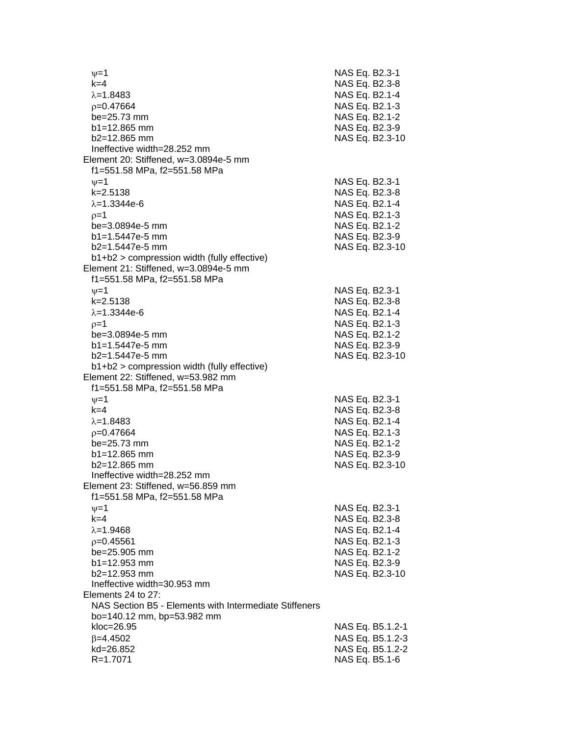$v=1$  NAS Eq. B2.3-1 k=4 NAS Eq. B2.3-8  $\lambda$ =1.8483 NAS Eq. B2.1-4 p=0.47664 NAS Eq. B2.1-3 be=25.73 mm NAS Eq. B2.1-2 b1=12.865 mm NAS Eq. B2.3-9 b2=12.865 mm NAS Eq. B2.3-10 Ineffective width=28.252 mm Element 20: Stiffened, w=3.0894e-5 mm f1=551.58 MPa, f2=551.58 MPa  $\nu$ =1 NAS Eq. B2.3-1 k=2.5138 NAS Eq. B2.3-8  $\lambda = 1.3344e-6$  NAS Eq. B2.1-4  $p=1$  NAS Eq. B2.1-3 be=3.0894e-5 mm NAS Eq. B2.1-2 b1=1.5447e-5 mm NAS Eq. B2.3-9 b2=1.5447e-5 mm NAS Eq. B2.3-10 b1+b2 > compression width (fully effective) Element 21: Stiffened, w=3.0894e-5 mm f1=551.58 MPa, f2=551.58 MPa  $\nu=1$  NAS Eq. B2.3-1 k=2.5138 NAS Eq. B2.3-8  $\lambda$ =1.3344e-6 NAS Eq. B2.1-4  $p=1$  NAS Eq. B2.1-3 be=3.0894e-5 mm NAS Eq. B2.1-2 b1=1.5447e-5 mm NAS Eq. B2.3-9 b2=1.5447e-5 mm NAS Eq. B2.3-10 b1+b2 > compression width (fully effective) Element 22: Stiffened, w=53.982 mm f1=551.58 MPa, f2=551.58 MPa  $v=1$  NAS Eq. B2.3-1 k=4 NAS Eq. B2.3-8  $\lambda$ =1.8483 NAS Eq. B2.1-4  $p=0.47664$  NAS Eq. B2.1-3 be=25.73 mm NAS Eq. B2.1-2 b1=12.865 mm NAS Eq. B2.3-9 b2=12.865 mm NAS Eq. B2.3-10 Ineffective width=28.252 mm Element 23: Stiffened, w=56.859 mm f1=551.58 MPa, f2=551.58 MPa  $\nu = 1$  NAS Eq. B2.3-1 k=4 NAS Eq. B2.3-8  $\lambda = 1.9468$  NAS Eq. B2.1-4  $p=0.45561$  NAS Eq. B2.1-3 be=25.905 mm NAS Eq. B2.1-2 b1=12.953 mm NAS Eq. B2.3-9 b2=12.953 mm NAS Eq. B2.3-10 Ineffective width=30.953 mm Elements 24 to 27: NAS Section B5 - Elements with Intermediate Stiffeners bo=140.12 mm, bp=53.982 mm kloc=26.95 NAS Eq. B5.1.2-1  $\beta$ =4.4502 NAS Eq. B5.1.2-3 kd=26.852 NAS Eq. B5.1.2-2 R=1.7071 NAS Eq. B5.1-6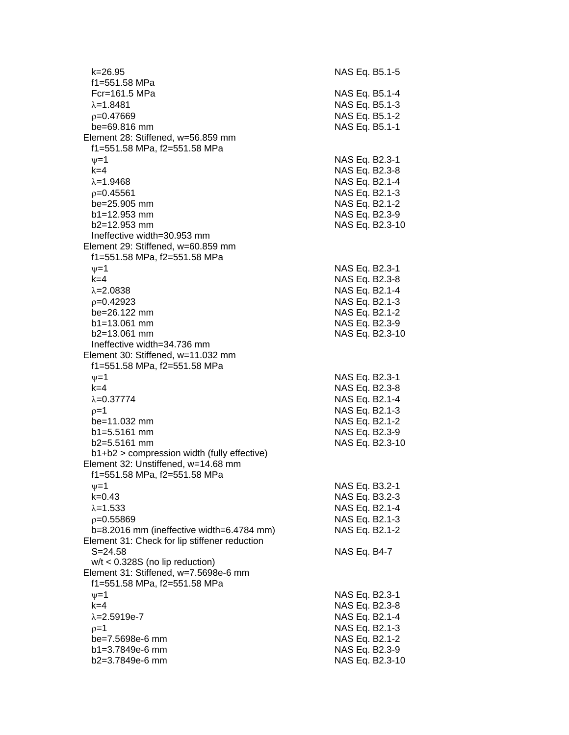k=26.95 NAS Eq. B5.1-5 f1=551.58 MPa Fcr=161.5 MPa NAS Eq. B5.1-4  $\lambda$ =1.8481  $\lambda$  =1.8481  $p=0.47669$  NAS Eq. B5.1-2 be=69.816 mm NAS Eq. B5.1-1 Element 28: Stiffened, w=56.859 mm f1=551.58 MPa, f2=551.58 MPa  $v=1$  NAS Eq. B2.3-1 k=4 NAS Eq. B2.3-8  $\lambda$ =1.9468 NAS Eq. B2.1-4  $p=0.45561$  NAS Eq. B2.1-3 be=25.905 mm NAS Eq. B2.1-2 b1=12.953 mm NAS Eq. B2.3-9 b2=12.953 mm NAS Eq. B2.3-10 Ineffective width=30.953 mm Element 29: Stiffened, w=60.859 mm f1=551.58 MPa, f2=551.58 MPa  $v=1$  NAS Eq. B2.3-1 k=4 NAS Eq. B2.3-8  $\lambda = 2.0838$  NAS Eq. B2.1-4 =0.42923 NAS Eq. B2.1-3 be=26.122 mm NAS Eq. B2.1-2 b1=13.061 mm NAS Eq. B2.3-9 b2=13.061 mm NAS Eq. B2.3-10 Ineffective width=34.736 mm Element 30: Stiffened, w=11.032 mm f1=551.58 MPa, f2=551.58 MPa  $\nu=1$  NAS Eq. B2.3-1 k=4 NAS Eq. B2.3-8  $\lambda$ =0.37774 NAS Eq. B2.1-4  $p=1$  NAS Eq. B2.1-3 be=11.032 mm NAS Eq. B2.1-2 b1=5.5161 mm NAS Eq. B2.3-9 b2=5.5161 mm NAS Eq. B2.3-10 b1+b2 > compression width (fully effective) Element 32: Unstiffened, w=14.68 mm f1=551.58 MPa, f2=551.58 MPa  $v=1$  NAS Eq. B3.2-1 k=0.43 NAS Eq. B3.2-3  $\lambda = 1.533$  NAS Eq. B2.1-4  $p=0.55869$  NAS Eq. B2.1-3 b=8.2016 mm (ineffective width=6.4784 mm) NAS Eq. B2.1-2 Element 31: Check for lip stiffener reduction S=24.58 NAS Eq. B4-7 w/t < 0.328S (no lip reduction) Element 31: Stiffened, w=7.5698e-6 mm f1=551.58 MPa, f2=551.58 MPa  $v=1$  NAS Eq. B2.3-1 k=4 NAS Eq. B2.3-8  $\lambda = 2.5919e-7$  NAS Eq. B2.1-4  $p=1$  NAS Eq. B2.1-3 be=7.5698e-6 mm NAS Eq. B2.1-2 b1=3.7849e-6 mm NAS Eq. B2.3-9 b2=3.7849e-6 mm NAS Eq. B2.3-10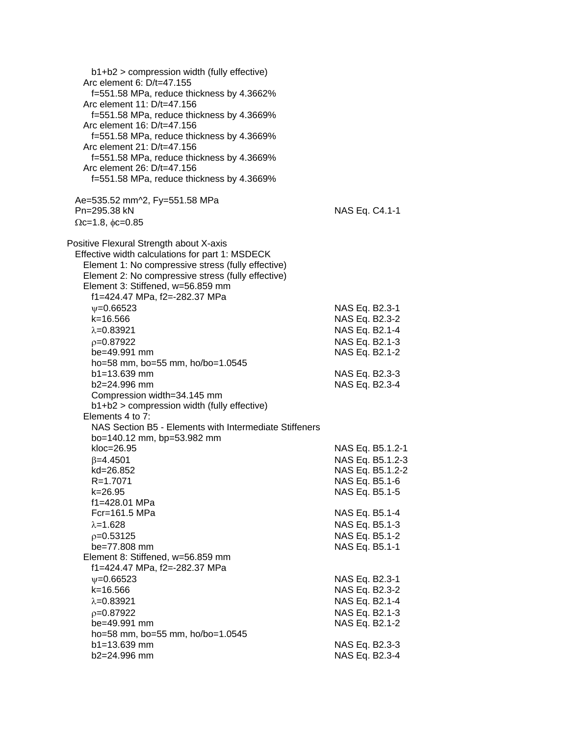| b1+b2 > compression width (fully effective)<br>Arc element 6: D/t=47.155<br>f=551.58 MPa, reduce thickness by 4.3662%<br>Arc element 11: D/t=47.156<br>f=551.58 MPa, reduce thickness by 4.3669%<br>Arc element 16: D/t=47.156<br>f=551.58 MPa, reduce thickness by 4.3669%<br>Arc element 21: D/t=47.156<br>f=551.58 MPa, reduce thickness by 4.3669%<br>Arc element 26: D/t=47.156<br>f=551.58 MPa, reduce thickness by 4.3669% |                  |
|-----------------------------------------------------------------------------------------------------------------------------------------------------------------------------------------------------------------------------------------------------------------------------------------------------------------------------------------------------------------------------------------------------------------------------------|------------------|
| Ae=535.52 mm^2, Fy=551.58 MPa<br>Pn=295.38 kN                                                                                                                                                                                                                                                                                                                                                                                     | NAS Eq. C4.1-1   |
| $\Omega$ c=1.8, $\phi$ c=0.85                                                                                                                                                                                                                                                                                                                                                                                                     |                  |
| Positive Flexural Strength about X-axis<br>Effective width calculations for part 1: MSDECK<br>Element 1: No compressive stress (fully effective)<br>Element 2: No compressive stress (fully effective)<br>Element 3: Stiffened, w=56.859 mm<br>f1=424.47 MPa, f2=-282.37 MPa                                                                                                                                                      |                  |
| $\psi = 0.66523$                                                                                                                                                                                                                                                                                                                                                                                                                  | NAS Eq. B2.3-1   |
| $k = 16.566$                                                                                                                                                                                                                                                                                                                                                                                                                      | NAS Eq. B2.3-2   |
| $\lambda = 0.83921$                                                                                                                                                                                                                                                                                                                                                                                                               | NAS Eq. B2.1-4   |
| $p=0.87922$                                                                                                                                                                                                                                                                                                                                                                                                                       | NAS Eq. B2.1-3   |
| be=49.991 mm                                                                                                                                                                                                                                                                                                                                                                                                                      | NAS Eq. B2.1-2   |
| ho=58 mm, bo=55 mm, ho/bo=1.0545                                                                                                                                                                                                                                                                                                                                                                                                  |                  |
| $b1 = 13.639$ mm                                                                                                                                                                                                                                                                                                                                                                                                                  | NAS Eq. B2.3-3   |
| b2=24.996 mm                                                                                                                                                                                                                                                                                                                                                                                                                      | NAS Eq. B2.3-4   |
| Compression width=34.145 mm<br>b1+b2 > compression width (fully effective)                                                                                                                                                                                                                                                                                                                                                        |                  |
| Elements 4 to 7:                                                                                                                                                                                                                                                                                                                                                                                                                  |                  |
| NAS Section B5 - Elements with Intermediate Stiffeners                                                                                                                                                                                                                                                                                                                                                                            |                  |
| bo=140.12 mm, bp=53.982 mm                                                                                                                                                                                                                                                                                                                                                                                                        |                  |
| kloc=26.95                                                                                                                                                                                                                                                                                                                                                                                                                        | NAS Eq. B5.1.2-1 |
| $\beta = 4.4501$                                                                                                                                                                                                                                                                                                                                                                                                                  | NAS Eq. B5.1.2-3 |
| kd=26.852                                                                                                                                                                                                                                                                                                                                                                                                                         | NAS Eq. B5.1.2-2 |
| R=1.7071                                                                                                                                                                                                                                                                                                                                                                                                                          | NAS Eq. B5.1-6   |
| k=26.95                                                                                                                                                                                                                                                                                                                                                                                                                           | NAS Eq. B5.1-5   |
| f1=428.01 MPa                                                                                                                                                                                                                                                                                                                                                                                                                     |                  |
| Fcr=161.5 MPa                                                                                                                                                                                                                                                                                                                                                                                                                     | NAS Eq. B5.1-4   |
| $\lambda = 1.628$                                                                                                                                                                                                                                                                                                                                                                                                                 | NAS Eq. B5.1-3   |
| $p=0.53125$                                                                                                                                                                                                                                                                                                                                                                                                                       | NAS Eq. B5.1-2   |
| be=77.808 mm                                                                                                                                                                                                                                                                                                                                                                                                                      | NAS Eq. B5.1-1   |
| Element 8: Stiffened, w=56.859 mm                                                                                                                                                                                                                                                                                                                                                                                                 |                  |
| f1=424.47 MPa, f2=-282.37 MPa                                                                                                                                                                                                                                                                                                                                                                                                     |                  |
| $\psi = 0.66523$                                                                                                                                                                                                                                                                                                                                                                                                                  | NAS Eq. B2.3-1   |
| k=16.566                                                                                                                                                                                                                                                                                                                                                                                                                          | NAS Eq. B2.3-2   |
| $\lambda = 0.83921$                                                                                                                                                                                                                                                                                                                                                                                                               | NAS Eq. B2.1-4   |
| $p=0.87922$                                                                                                                                                                                                                                                                                                                                                                                                                       | NAS Eq. B2.1-3   |
| be=49.991 mm                                                                                                                                                                                                                                                                                                                                                                                                                      | NAS Eq. B2.1-2   |
| ho=58 mm, bo=55 mm, ho/bo=1.0545                                                                                                                                                                                                                                                                                                                                                                                                  |                  |
| b1=13.639 mm                                                                                                                                                                                                                                                                                                                                                                                                                      | NAS Eq. B2.3-3   |
| b2=24.996 mm                                                                                                                                                                                                                                                                                                                                                                                                                      | NAS Eq. B2.3-4   |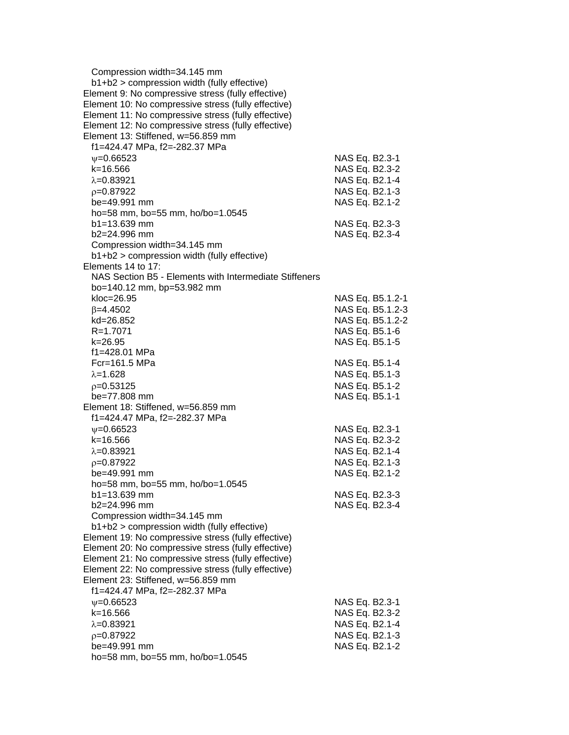| Compression width=34.145 mm<br>b1+b2 > compression width (fully effective)                |                  |  |
|-------------------------------------------------------------------------------------------|------------------|--|
| Element 9: No compressive stress (fully effective)                                        |                  |  |
| Element 10: No compressive stress (fully effective)                                       |                  |  |
| Element 11: No compressive stress (fully effective)                                       |                  |  |
|                                                                                           |                  |  |
| Element 12: No compressive stress (fully effective)<br>Element 13: Stiffened, w=56.859 mm |                  |  |
|                                                                                           |                  |  |
| f1=424.47 MPa, f2=-282.37 MPa                                                             |                  |  |
| $\psi = 0.66523$                                                                          | NAS Eq. B2.3-1   |  |
| $k = 16.566$                                                                              | NAS Eq. B2.3-2   |  |
| $\lambda = 0.83921$                                                                       | NAS Eq. B2.1-4   |  |
| $p=0.87922$                                                                               | NAS Eq. B2.1-3   |  |
| be=49.991 mm                                                                              | NAS Eq. B2.1-2   |  |
| ho=58 mm, bo=55 mm, ho/bo=1.0545                                                          |                  |  |
| $b1 = 13.639$ mm                                                                          | NAS Eq. B2.3-3   |  |
| b2=24.996 mm                                                                              | NAS Eq. B2.3-4   |  |
| Compression width=34.145 mm                                                               |                  |  |
| b1+b2 > compression width (fully effective)                                               |                  |  |
| Elements 14 to 17:                                                                        |                  |  |
| NAS Section B5 - Elements with Intermediate Stiffeners                                    |                  |  |
| bo=140.12 mm, bp=53.982 mm                                                                |                  |  |
| kloc=26.95                                                                                | NAS Eq. B5.1.2-1 |  |
| $\beta = 4.4502$                                                                          | NAS Eq. B5.1.2-3 |  |
| kd=26.852                                                                                 | NAS Eq. B5.1.2-2 |  |
| $R = 1.7071$                                                                              | NAS Eq. B5.1-6   |  |
| k=26.95                                                                                   | NAS Eq. B5.1-5   |  |
| f1=428.01 MPa                                                                             |                  |  |
| $Fc = 161.5 MPa$                                                                          | NAS Eq. B5.1-4   |  |
| $\lambda = 1.628$                                                                         | NAS Eq. B5.1-3   |  |
| $p=0.53125$                                                                               | NAS Eq. B5.1-2   |  |
| be=77.808 mm                                                                              | NAS Eq. B5.1-1   |  |
| Element 18: Stiffened, w=56.859 mm                                                        |                  |  |
| f1=424.47 MPa, f2=-282.37 MPa                                                             |                  |  |
| $\psi = 0.66523$                                                                          | NAS Eq. B2.3-1   |  |
| k=16.566                                                                                  | NAS Eq. B2.3-2   |  |
| $\lambda = 0.83921$                                                                       | NAS Eq. B2.1-4   |  |
| $p=0.87922$                                                                               | NAS Eq. B2.1-3   |  |
| be=49.991 mm                                                                              | NAS Eq. B2.1-2   |  |
| ho=58 mm, bo=55 mm, ho/bo=1.0545                                                          |                  |  |
| $b1 = 13.639$ mm                                                                          | NAS Eq. B2.3-3   |  |
| b2=24.996 mm                                                                              | NAS Eq. B2.3-4   |  |
| Compression width=34.145 mm                                                               |                  |  |
| b1+b2 > compression width (fully effective)                                               |                  |  |
| Element 19: No compressive stress (fully effective)                                       |                  |  |
| Element 20: No compressive stress (fully effective)                                       |                  |  |
| Element 21: No compressive stress (fully effective)                                       |                  |  |
| Element 22: No compressive stress (fully effective)                                       |                  |  |
| Element 23: Stiffened, w=56.859 mm                                                        |                  |  |
| f1=424.47 MPa, f2=-282.37 MPa                                                             |                  |  |
| $\psi = 0.66523$                                                                          | NAS Eq. B2.3-1   |  |
| k=16.566                                                                                  | NAS Eq. B2.3-2   |  |
| $\lambda = 0.83921$                                                                       | NAS Eq. B2.1-4   |  |
| $p=0.87922$                                                                               | NAS Eq. B2.1-3   |  |
| be=49.991 mm                                                                              | NAS Eq. B2.1-2   |  |
| ho=58 mm, bo=55 mm, ho/bo=1.0545                                                          |                  |  |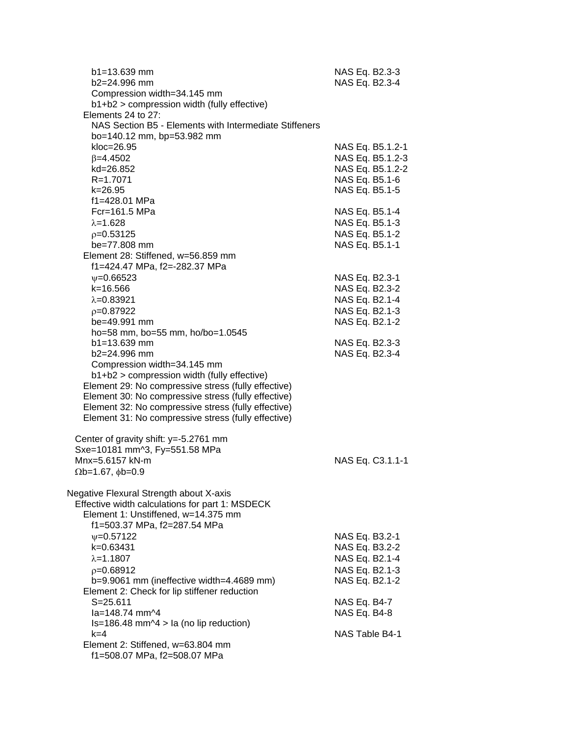| NAS Eq. B2.3-3<br>NAS Eq. B2.3-4                                                                                                         |
|------------------------------------------------------------------------------------------------------------------------------------------|
|                                                                                                                                          |
| NAS Eq. B5.1.2-1<br>NAS Eq. B5.1.2-3<br>NAS Eq. B5.1.2-2<br>NAS Eq. B5.1-6<br>NAS Eq. B5.1-5                                             |
| NAS Eq. B5.1-4<br>NAS Eq. B5.1-3<br>NAS Eq. B5.1-2<br>NAS Eq. B5.1-1                                                                     |
| NAS Eq. B2.3-1<br>NAS Eq. B2.3-2<br>NAS Eq. B2.1-4<br>NAS Eq. B2.1-3<br>NAS Eq. B2.1-2                                                   |
| NAS Eq. B2.3-3<br>NAS Eq. B2.3-4                                                                                                         |
| NAS Eq. C3.1.1-1                                                                                                                         |
| NAS Eq. B3.2-1<br>NAS Eq. B3.2-2<br>NAS Eq. B2.1-4<br>NAS Eq. B2.1-3<br>NAS Eq. B2.1-2<br>NAS Eq. B4-7<br>NAS Eq. B4-8<br>NAS Table B4-1 |
|                                                                                                                                          |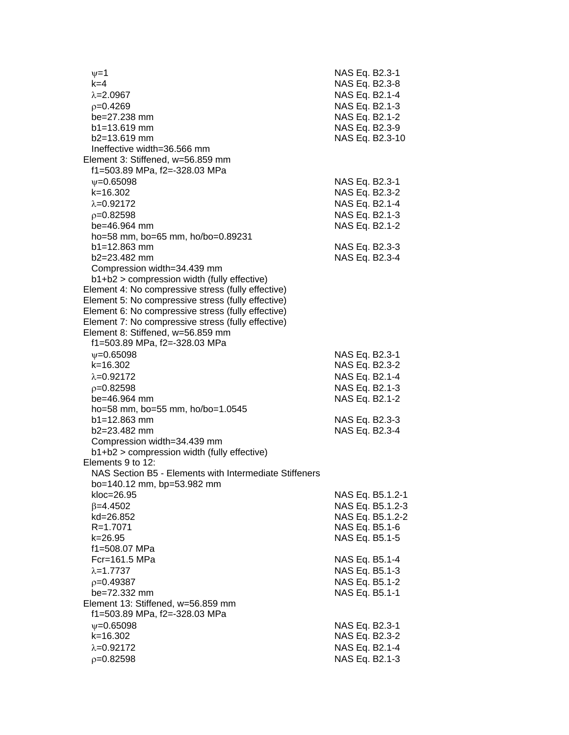| $v=1$<br>$k=4$                                         | NAS Eq. B2.3-1<br>NAS Eq. B2.3-8 |                  |
|--------------------------------------------------------|----------------------------------|------------------|
| $\lambda = 2.0967$                                     | NAS Eq. B2.1-4                   |                  |
| $p=0.4269$                                             | NAS Eq. B2.1-3                   |                  |
| be=27.238 mm                                           | NAS Eq. B2.1-2                   |                  |
| $b1 = 13.619$ mm                                       | NAS Eq. B2.3-9                   |                  |
| $b2 = 13.619$ mm                                       |                                  | NAS Eq. B2.3-10  |
| Ineffective width=36.566 mm                            |                                  |                  |
| Element 3: Stiffened, w=56.859 mm                      |                                  |                  |
| f1=503.89 MPa, f2=-328.03 MPa                          |                                  |                  |
| $\nu = 0.65098$                                        | NAS Eq. B2.3-1                   |                  |
| $k = 16.302$                                           | NAS Eq. B2.3-2                   |                  |
| $\lambda = 0.92172$                                    | NAS Eq. B2.1-4                   |                  |
| $p=0.82598$                                            | NAS Eq. B2.1-3                   |                  |
| be=46.964 mm                                           | NAS Eq. B2.1-2                   |                  |
| ho=58 mm, bo=65 mm, ho/bo=0.89231                      |                                  |                  |
| $b1 = 12.863$ mm                                       | NAS Eq. B2.3-3                   |                  |
| b2=23.482 mm                                           | NAS Eq. B2.3-4                   |                  |
| Compression width=34.439 mm                            |                                  |                  |
| b1+b2 > compression width (fully effective)            |                                  |                  |
| Element 4: No compressive stress (fully effective)     |                                  |                  |
| Element 5: No compressive stress (fully effective)     |                                  |                  |
| Element 6: No compressive stress (fully effective)     |                                  |                  |
| Element 7: No compressive stress (fully effective)     |                                  |                  |
| Element 8: Stiffened, w=56.859 mm                      |                                  |                  |
| f1=503.89 MPa, f2=-328.03 MPa                          |                                  |                  |
| $\psi = 0.65098$                                       | NAS Eq. B2.3-1                   |                  |
| $k = 16.302$                                           | NAS Eq. B2.3-2                   |                  |
| $\lambda = 0.92172$                                    | NAS Eq. B2.1-4                   |                  |
| $p=0.82598$                                            | NAS Eq. B2.1-3                   |                  |
| be=46.964 mm                                           | NAS Eq. B2.1-2                   |                  |
| ho=58 mm, bo=55 mm, ho/bo=1.0545                       |                                  |                  |
| $b1 = 12.863$ mm                                       | NAS Eq. B2.3-3                   |                  |
| b2=23.482 mm                                           | NAS Eq. B2.3-4                   |                  |
| Compression width=34.439 mm                            |                                  |                  |
| b1+b2 > compression width (fully effective)            |                                  |                  |
| Elements 9 to 12:                                      |                                  |                  |
| NAS Section B5 - Elements with Intermediate Stiffeners |                                  |                  |
| bo=140.12 mm, bp=53.982 mm                             |                                  |                  |
| kloc=26.95                                             |                                  | NAS Eq. B5.1.2-1 |
| $\beta = 4.4502$                                       |                                  | NAS Eq. B5.1.2-3 |
| kd=26.852                                              |                                  | NAS Eq. B5.1.2-2 |
| R=1.7071                                               | NAS Eq. B5.1-6                   |                  |
| k=26.95                                                | NAS Eq. B5.1-5                   |                  |
| f1=508.07 MPa                                          |                                  |                  |
| Fcr=161.5 MPa                                          | NAS Eq. B5.1-4                   |                  |
| $\lambda = 1.7737$                                     | NAS Eq. B5.1-3                   |                  |
| $p=0.49387$                                            | NAS Eq. B5.1-2                   |                  |
| be=72.332 mm                                           | NAS Eq. B5.1-1                   |                  |
| Element 13: Stiffened, w=56.859 mm                     |                                  |                  |
| f1=503.89 MPa, f2=-328.03 MPa                          |                                  |                  |
| $\psi = 0.65098$                                       | NAS Eq. B2.3-1                   |                  |
| k=16.302                                               | NAS Eq. B2.3-2                   |                  |
| $\lambda = 0.92172$                                    | NAS Eq. B2.1-4                   |                  |
| $p=0.82598$                                            | NAS Eq. B2.1-3                   |                  |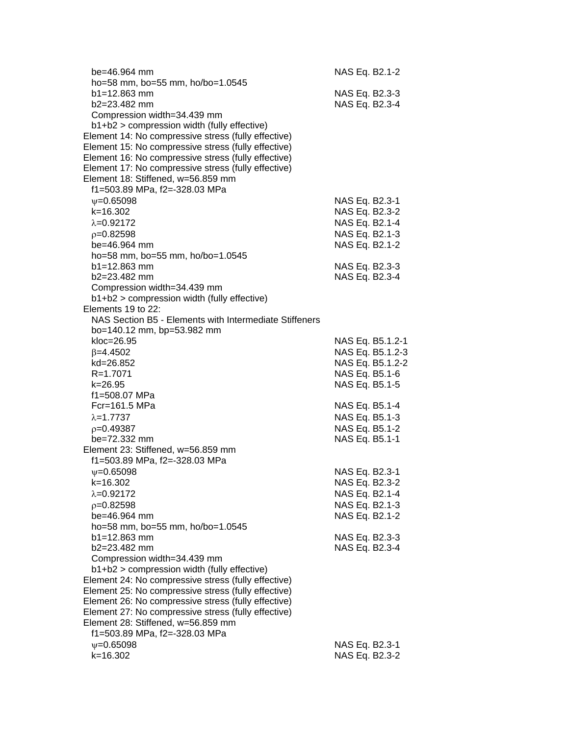| $be = 46.964$ mm<br>ho=58 mm, bo=55 mm, ho/bo=1.0545                                                       | NAS Eq. B2.1-2 |                  |
|------------------------------------------------------------------------------------------------------------|----------------|------------------|
| b1=12.863 mm                                                                                               | NAS Eq. B2.3-3 |                  |
| $b2 = 23.482$ mm                                                                                           | NAS Eq. B2.3-4 |                  |
| Compression width=34.439 mm                                                                                |                |                  |
| b1+b2 > compression width (fully effective)                                                                |                |                  |
| Element 14: No compressive stress (fully effective)                                                        |                |                  |
| Element 15: No compressive stress (fully effective)                                                        |                |                  |
| Element 16: No compressive stress (fully effective)                                                        |                |                  |
| Element 17: No compressive stress (fully effective)                                                        |                |                  |
| Element 18: Stiffened, w=56.859 mm                                                                         |                |                  |
| f1=503.89 MPa, f2=-328.03 MPa                                                                              |                |                  |
| $\psi = 0.65098$                                                                                           | NAS Eq. B2.3-1 |                  |
| $k = 16.302$                                                                                               | NAS Eq. B2.3-2 |                  |
| $\lambda = 0.92172$                                                                                        | NAS Eq. B2.1-4 |                  |
| $p=0.82598$                                                                                                | NAS Eq. B2.1-3 |                  |
| $be = 46.964$ mm                                                                                           | NAS Eq. B2.1-2 |                  |
| ho=58 mm, bo=55 mm, ho/bo=1.0545<br>$b1 = 12.863$ mm                                                       | NAS Eq. B2.3-3 |                  |
| $b2 = 23.482$ mm                                                                                           | NAS Eq. B2.3-4 |                  |
| Compression width=34.439 mm                                                                                |                |                  |
| b1+b2 > compression width (fully effective)                                                                |                |                  |
| Elements 19 to 22:                                                                                         |                |                  |
| NAS Section B5 - Elements with Intermediate Stiffeners                                                     |                |                  |
| bo=140.12 mm, bp=53.982 mm                                                                                 |                |                  |
| kloc=26.95                                                                                                 |                | NAS Eq. B5.1.2-1 |
| $\beta = 4.4502$                                                                                           |                | NAS Eq. B5.1.2-3 |
| kd=26.852                                                                                                  |                | NAS Eq. B5.1.2-2 |
| R=1.7071                                                                                                   | NAS Eq. B5.1-6 |                  |
| $k = 26.95$                                                                                                | NAS Eq. B5.1-5 |                  |
| f1=508.07 MPa                                                                                              |                |                  |
| $Fc = 161.5 MPa$                                                                                           | NAS Eq. B5.1-4 |                  |
| $\lambda = 1.7737$                                                                                         | NAS Eq. B5.1-3 |                  |
| $p=0.49387$                                                                                                | NAS Eq. B5.1-2 |                  |
| be=72.332 mm<br>Element 23: Stiffened, w=56.859 mm                                                         | NAS Eq. B5.1-1 |                  |
| f1=503.89 MPa, f2=-328.03 MPa                                                                              |                |                  |
| $\psi = 0.65098$                                                                                           | NAS Eq. B2.3-1 |                  |
| k=16.302                                                                                                   | NAS Eq. B2.3-2 |                  |
| $\lambda = 0.92172$                                                                                        | NAS Eq. B2.1-4 |                  |
| $p=0.82598$                                                                                                | NAS Eq. B2.1-3 |                  |
| be=46.964 mm                                                                                               | NAS Eq. B2.1-2 |                  |
| ho=58 mm, bo=55 mm, ho/bo=1.0545                                                                           |                |                  |
| $b1 = 12.863$ mm                                                                                           | NAS Eq. B2.3-3 |                  |
| b2=23.482 mm                                                                                               | NAS Eq. B2.3-4 |                  |
| Compression width=34.439 mm                                                                                |                |                  |
| b1+b2 > compression width (fully effective)                                                                |                |                  |
| Element 24: No compressive stress (fully effective)                                                        |                |                  |
| Element 25: No compressive stress (fully effective)                                                        |                |                  |
| Element 26: No compressive stress (fully effective)<br>Element 27: No compressive stress (fully effective) |                |                  |
| Element 28: Stiffened, w=56.859 mm                                                                         |                |                  |
| f1=503.89 MPa, f2=-328.03 MPa                                                                              |                |                  |
| $\nu = 0.65098$                                                                                            | NAS Eq. B2.3-1 |                  |
| $k = 16.302$                                                                                               | NAS Eq. B2.3-2 |                  |
|                                                                                                            |                |                  |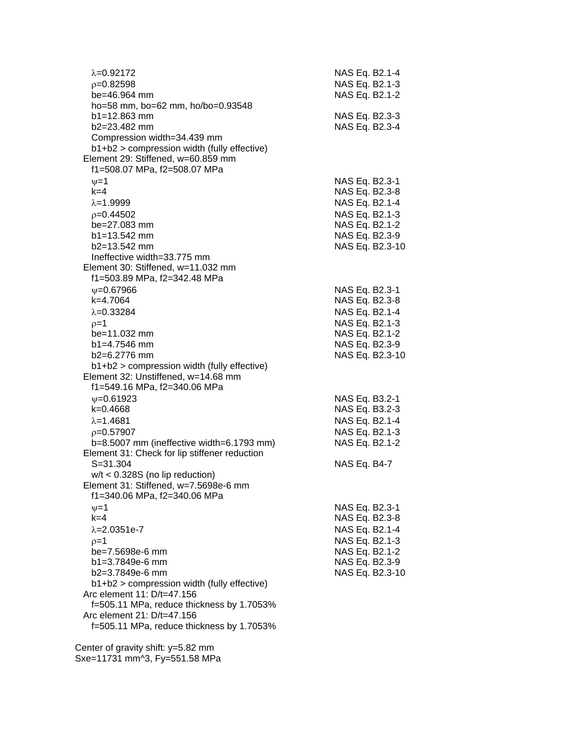| $\lambda = 0.92172$<br>$p=0.82598$<br>be=46.964 mm<br>ho=58 mm, bo=62 mm, ho/bo=0.93548                                                            | NAS Eq. B2.1-4<br>NAS Eq. B2.1-3<br>NAS Eq. B2.1-2                    |  |
|----------------------------------------------------------------------------------------------------------------------------------------------------|-----------------------------------------------------------------------|--|
| b1=12.863 mm<br>$b2 = 23.482$ mm<br>Compression width=34.439 mm                                                                                    | NAS Eq. B2.3-3<br>NAS Eq. B2.3-4                                      |  |
| b1+b2 > compression width (fully effective)<br>Element 29: Stiffened, w=60.859 mm<br>f1=508.07 MPa, f2=508.07 MPa                                  |                                                                       |  |
| $\nu=1$<br>$k=4$<br>$\lambda = 1.9999$<br>$p=0.44502$                                                                                              | NAS Eq. B2.3-1<br>NAS Eq. B2.3-8<br>NAS Eq. B2.1-4<br>NAS Eq. B2.1-3  |  |
| $be = 27.083$ mm<br>$b1 = 13.542$ mm<br>$b2=13.542$ mm<br>Ineffective width=33.775 mm                                                              | NAS Eq. B2.1-2<br>NAS Eq. B2.3-9<br>NAS Eq. B2.3-10                   |  |
| Element 30: Stiffened, w=11.032 mm<br>f1=503.89 MPa, f2=342.48 MPa                                                                                 |                                                                       |  |
| $\psi = 0.67966$<br>k=4.7064<br>$\lambda = 0.33284$                                                                                                | NAS Eq. B2.3-1<br>NAS Eq. B2.3-8<br>NAS Eq. B2.1-4<br>NAS Eq. B2.1-3  |  |
| $p=1$<br>$be = 11.032$ mm<br>$b1 = 4.7546$ mm<br>$b2=6.2776$ mm                                                                                    | NAS Eq. B2.1-2<br>NAS Eq. B2.3-9<br>NAS Eq. B2.3-10                   |  |
| b1+b2 > compression width (fully effective)<br>Element 32: Unstiffened, w=14.68 mm<br>f1=549.16 MPa, f2=340.06 MPa                                 |                                                                       |  |
| $V = 0.61923$<br>$k=0.4668$<br>$\lambda = 1.4681$                                                                                                  | NAS Eq. B3.2-1<br>NAS Eq. B3.2-3<br>NAS Eq. B2.1-4                    |  |
| $p=0.57907$<br>b=8.5007 mm (ineffective width=6.1793 mm)<br>Element 31: Check for lip stiffener reduction                                          | NAS Eq. B2.1-3<br>NAS Eq. B2.1-2                                      |  |
| $S = 31.304$<br>$w/t < 0.328S$ (no lip reduction)<br>Element 31: Stiffened, w=7.5698e-6 mm<br>f1=340.06 MPa, f2=340.06 MPa                         | NAS Eq. B4-7                                                          |  |
| $v = 1$<br>$k=4$<br>$\lambda = 2.0351e-7$                                                                                                          | NAS Eq. B2.3-1<br>NAS Eq. B2.3-8<br>NAS Eq. B2.1-4                    |  |
| $p=1$<br>be=7.5698e-6 mm<br>$b1 = 3.7849e-6$ mm<br>b2=3.7849e-6 mm<br>b1+b2 > compression width (fully effective)                                  | NAS Eq. B2.1-3<br>NAS Eq. B2.1-2<br>NAS Eq. B2.3-9<br>NAS Eq. B2.3-10 |  |
| Arc element 11: D/t=47.156<br>f=505.11 MPa, reduce thickness by 1.7053%<br>Arc element 21: D/t=47.156<br>f=505.11 MPa, reduce thickness by 1.7053% |                                                                       |  |
|                                                                                                                                                    |                                                                       |  |

 Center of gravity shift: y=5.82 mm Sxe=11731 mm^3, Fy=551.58 MPa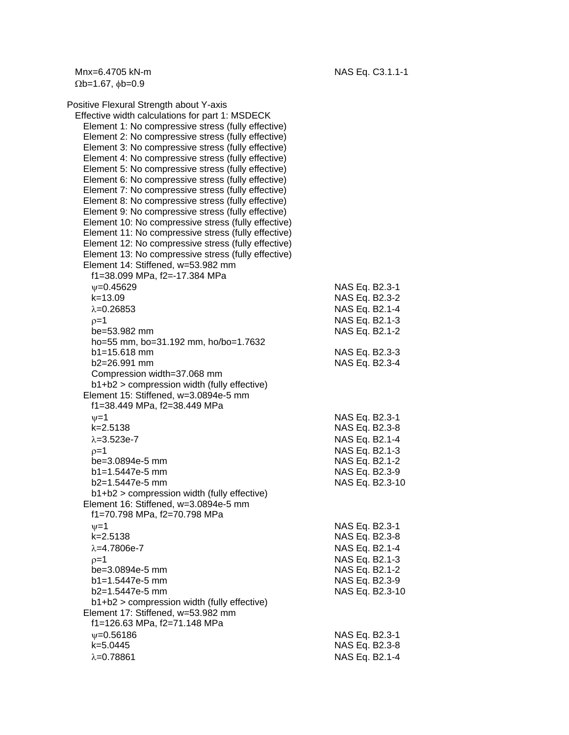$\Omega$ b=1.67,  $\phi$ b=0.9

Positive Flexural Strength about Y-axis Effective width calculations for part 1: MSDECK Element 1: No compressive stress (fully effective) Element 2: No compressive stress (fully effective) Element 3: No compressive stress (fully effective) Element 4: No compressive stress (fully effective) Element 5: No compressive stress (fully effective) Element 6: No compressive stress (fully effective) Element 7: No compressive stress (fully effective) Element 8: No compressive stress (fully effective) Element 9: No compressive stress (fully effective) Element 10: No compressive stress (fully effective) Element 11: No compressive stress (fully effective) Element 12: No compressive stress (fully effective) Element 13: No compressive stress (fully effective) Element 14: Stiffened, w=53.982 mm f1=38.099 MPa, f2=-17.384 MPa  $v=0.45629$  NAS Eq. B2.3-1 k=13.09 NAS Eq. B2.3-2  $\lambda$ =0.26853 NAS Eq. B2.1-4  $p=1$  NAS Eq. B2.1-3 be=53.982 mm NAS Eq. B2.1-2 ho=55 mm, bo=31.192 mm, ho/bo=1.7632 b1=15.618 mm NAS Eq. B2.3-3 b2=26.991 mm NAS Eq. B2.3-4 Compression width=37.068 mm b1+b2 > compression width (fully effective) Element 15: Stiffened, w=3.0894e-5 mm f1=38.449 MPa, f2=38.449 MPa  $v=1$  NAS Eq. B2.3-1 k=2.5138 NAS Eq. B2.3-8  $\lambda = 3.523e-7$  NAS Eq. B2.1-4  $\rho = 1$  NAS Eq. B2.1-3 be=3.0894e-5 mm NAS Eq. B2.1-2 b1=1.5447e-5 mm NAS Eq. B2.3-9 b2=1.5447e-5 mm NAS Eq. B2.3-10 b1+b2 > compression width (fully effective) Element 16: Stiffened, w=3.0894e-5 mm f1=70.798 MPa, f2=70.798 MPa  $v=1$  NAS Eq. B2.3-1 k=2.5138 NAS Eq. B2.3-8  $\lambda = 4.7806e-7$  NAS Eq. B2.1-4  $p=1$  NAS Eq. B2.1-3 be=3.0894e-5 mm NAS Eq. B2.1-2 b1=1.5447e-5 mm NAS Eq. B2.3-9 b2=1.5447e-5 mm NAS Eq. B2.3-10 b1+b2 > compression width (fully effective) Element 17: Stiffened, w=53.982 mm f1=126.63 MPa, f2=71.148 MPa  $\nu$ =0.56186 NAS Eq. B2.3-1 k=5.0445 NAS Eq. B2.3-8  $\lambda$ =0.78861 NAS Eq. B2.1-4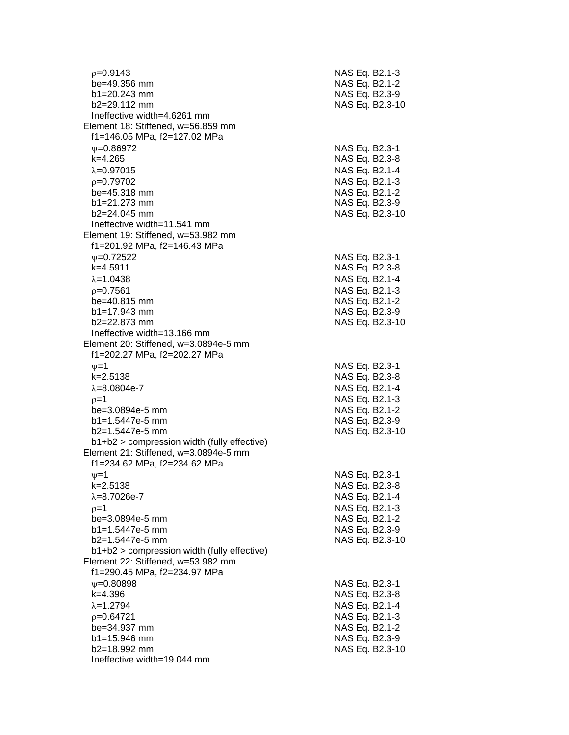| $p=0.9143$<br>be=49.356 mm                                         | NAS Eq. B2.1-3<br>NAS Eq. B2.1-2 |                 |
|--------------------------------------------------------------------|----------------------------------|-----------------|
| $b1 = 20.243$ mm                                                   | NAS Eq. B2.3-9                   |                 |
| $b2 = 29.112$ mm                                                   |                                  | NAS Eq. B2.3-10 |
| Ineffective width=4.6261 mm                                        |                                  |                 |
| Element 18: Stiffened, w=56.859 mm                                 |                                  |                 |
| f1=146.05 MPa, f2=127.02 MPa                                       |                                  |                 |
| $\psi = 0.86972$                                                   | NAS Eq. B2.3-1                   |                 |
| $k=4.265$                                                          |                                  |                 |
|                                                                    | NAS Eq. B2.3-8                   |                 |
| $\lambda = 0.97015$                                                | NAS Eq. B2.1-4                   |                 |
| p=0.79702                                                          | NAS Eq. B2.1-3                   |                 |
| be=45.318 mm                                                       | NAS Eq. B2.1-2                   |                 |
| $b1 = 21.273$ mm                                                   | NAS Eq. B2.3-9                   |                 |
| $b2 = 24.045$ mm                                                   |                                  | NAS Eq. B2.3-10 |
| Ineffective width=11.541 mm                                        |                                  |                 |
| Element 19: Stiffened, w=53.982 mm<br>f1=201.92 MPa, f2=146.43 MPa |                                  |                 |
| $V = 0.72522$                                                      | NAS Eq. B2.3-1                   |                 |
| $k=4.5911$                                                         | NAS Eq. B2.3-8                   |                 |
| $\lambda = 1.0438$                                                 | NAS Eq. B2.1-4                   |                 |
| $p = 0.7561$                                                       | NAS Eq. B2.1-3                   |                 |
| be=40.815 mm                                                       | NAS Eq. B2.1-2                   |                 |
| $b1 = 17.943$ mm                                                   | NAS Eq. B2.3-9                   |                 |
| $b2 = 22.873$ mm                                                   |                                  | NAS Eq. B2.3-10 |
| Ineffective width=13.166 mm                                        |                                  |                 |
| Element 20: Stiffened, w=3.0894e-5 mm                              |                                  |                 |
| f1=202.27 MPa, f2=202.27 MPa                                       |                                  |                 |
| $\nu = 1$                                                          | NAS Eq. B2.3-1                   |                 |
| $k = 2.5138$                                                       | NAS Eq. B2.3-8                   |                 |
| $\lambda = 8.0804e - 7$                                            | NAS Eq. B2.1-4                   |                 |
| $p=1$                                                              | NAS Eq. B2.1-3                   |                 |
| be=3.0894e-5 mm                                                    | NAS Eq. B2.1-2                   |                 |
| $b1 = 1.5447e-5$ mm                                                | NAS Eq. B2.3-9                   |                 |
| $b2=1.5447e-5$ mm                                                  |                                  | NAS Eq. B2.3-10 |
| $b1+b2$ > compression width (fully effective)                      |                                  |                 |
| Element 21: Stiffened, w=3.0894e-5 mm                              |                                  |                 |
| f1=234.62 MPa, f2=234.62 MPa                                       |                                  |                 |
| $\nu = 1$                                                          | NAS Eq. B2.3-1                   |                 |
| k=2.5138                                                           | NAS Eq. B2.3-8                   |                 |
| $\lambda = 8.7026e - 7$                                            | NAS Eq. B2.1-4                   |                 |
| $p=1$                                                              | NAS Eq. B2.1-3                   |                 |
| be=3.0894e-5 mm                                                    | NAS Eq. B2.1-2                   |                 |
| $b1 = 1.5447e-5$ mm                                                | NAS Eq. B2.3-9                   |                 |
| b2=1.5447e-5 mm                                                    |                                  | NAS Eq. B2.3-10 |
| b1+b2 > compression width (fully effective)                        |                                  |                 |
| Element 22: Stiffened, w=53.982 mm                                 |                                  |                 |
| f1=290.45 MPa, f2=234.97 MPa                                       |                                  |                 |
| $\psi = 0.80898$                                                   | NAS Eq. B2.3-1                   |                 |
| $k = 4.396$                                                        | NAS Eq. B2.3-8                   |                 |
| $\lambda = 1.2794$                                                 | NAS Eq. B2.1-4                   |                 |
| $p=0.64721$                                                        | NAS Eq. B2.1-3                   |                 |
| be=34.937 mm                                                       | NAS Eq. B2.1-2                   |                 |
| b1=15.946 mm                                                       | NAS Eq. B2.3-9                   |                 |
| b2=18.992 mm                                                       |                                  | NAS Eq. B2.3-10 |
| Ineffective width=19.044 mm                                        |                                  |                 |
|                                                                    |                                  |                 |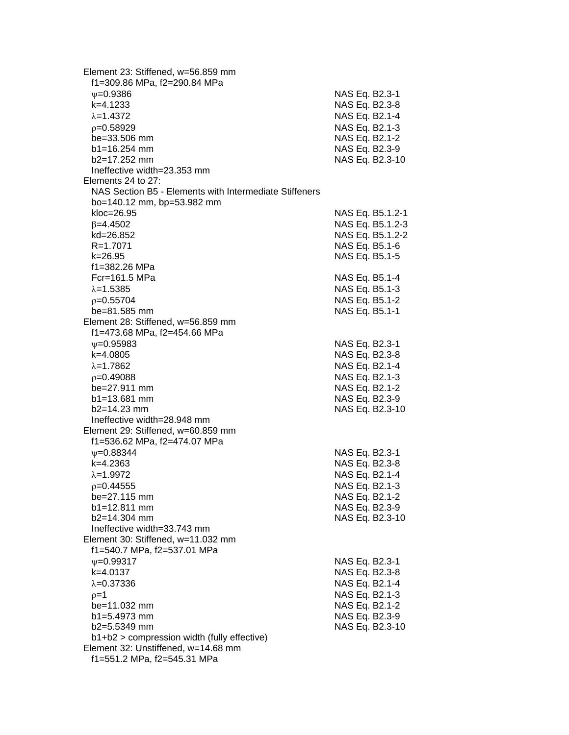| Element 23: Stiffened, w=56.859 mm<br>f1=309.86 MPa, f2=290.84 MPa |                |                  |
|--------------------------------------------------------------------|----------------|------------------|
| $\psi = 0.9386$                                                    | NAS Eq. B2.3-1 |                  |
| k=4.1233                                                           | NAS Eq. B2.3-8 |                  |
| $\lambda = 1.4372$                                                 | NAS Eq. B2.1-4 |                  |
|                                                                    |                |                  |
| $p=0.58929$                                                        | NAS Eq. B2.1-3 |                  |
| be=33.506 mm                                                       | NAS Eq. B2.1-2 |                  |
| $b1 = 16.254$ mm                                                   | NAS Eq. B2.3-9 |                  |
| b2=17.252 mm                                                       |                | NAS Eq. B2.3-10  |
| Ineffective width=23.353 mm                                        |                |                  |
| Elements 24 to 27:                                                 |                |                  |
| NAS Section B5 - Elements with Intermediate Stiffeners             |                |                  |
| bo=140.12 mm, bp=53.982 mm                                         |                |                  |
| kloc=26.95                                                         |                | NAS Eq. B5.1.2-1 |
| $\beta = 4.4502$                                                   |                | NAS Eq. B5.1.2-3 |
| kd=26.852                                                          |                | NAS Eq. B5.1.2-2 |
| R=1.7071                                                           | NAS Eq. B5.1-6 |                  |
| k=26.95                                                            | NAS Eq. B5.1-5 |                  |
| f1=382.26 MPa                                                      |                |                  |
| Fcr=161.5 MPa                                                      | NAS Eq. B5.1-4 |                  |
| $\lambda = 1.5385$                                                 | NAS Eq. B5.1-3 |                  |
| $p=0.55704$                                                        | NAS Eq. B5.1-2 |                  |
| be=81.585 mm                                                       | NAS Eq. B5.1-1 |                  |
| Element 28: Stiffened, w=56.859 mm                                 |                |                  |
| f1=473.68 MPa, f2=454.66 MPa                                       |                |                  |
| $V = 0.95983$                                                      | NAS Eq. B2.3-1 |                  |
| k=4.0805                                                           | NAS Eq. B2.3-8 |                  |
| $\lambda = 1.7862$                                                 |                |                  |
|                                                                    | NAS Eq. B2.1-4 |                  |
| $p=0.49088$                                                        | NAS Eq. B2.1-3 |                  |
| $be = 27.911$ mm                                                   | NAS Eq. B2.1-2 |                  |
| $b1 = 13.681$ mm                                                   | NAS Eq. B2.3-9 |                  |
| $b2 = 14.23$ mm                                                    |                | NAS Eq. B2.3-10  |
| Ineffective width=28.948 mm                                        |                |                  |
| Element 29: Stiffened, w=60.859 mm                                 |                |                  |
| f1=536.62 MPa, f2=474.07 MPa                                       |                |                  |
| $\psi = 0.88344$                                                   | NAS Eq. B2.3-1 |                  |
| k=4.2363                                                           | NAS Eq. B2.3-8 |                  |
| $\lambda = 1.9972$                                                 | NAS Eq. B2.1-4 |                  |
| $p=0.44555$                                                        | NAS Eq. B2.1-3 |                  |
| be=27.115 mm                                                       | NAS Eq. B2.1-2 |                  |
| b1=12.811 mm                                                       | NAS Eq. B2.3-9 |                  |
| $b2 = 14.304$ mm                                                   |                | NAS Eq. B2.3-10  |
| Ineffective width=33.743 mm                                        |                |                  |
| Element 30: Stiffened, w=11.032 mm                                 |                |                  |
| f1=540.7 MPa, f2=537.01 MPa                                        |                |                  |
| $\nu = 0.99317$                                                    | NAS Eq. B2.3-1 |                  |
| k=4.0137                                                           | NAS Eq. B2.3-8 |                  |
| $\lambda = 0.37336$                                                | NAS Eq. B2.1-4 |                  |
| $p=1$                                                              | NAS Eq. B2.1-3 |                  |
| be=11.032 mm                                                       | NAS Eq. B2.1-2 |                  |
| b1=5.4973 mm                                                       | NAS Eq. B2.3-9 |                  |
| $b2=5.5349$ mm                                                     |                | NAS Eq. B2.3-10  |
| b1+b2 > compression width (fully effective)                        |                |                  |
| Element 32: Unstiffened, w=14.68 mm                                |                |                  |
| f1=551.2 MPa, f2=545.31 MPa                                        |                |                  |
|                                                                    |                |                  |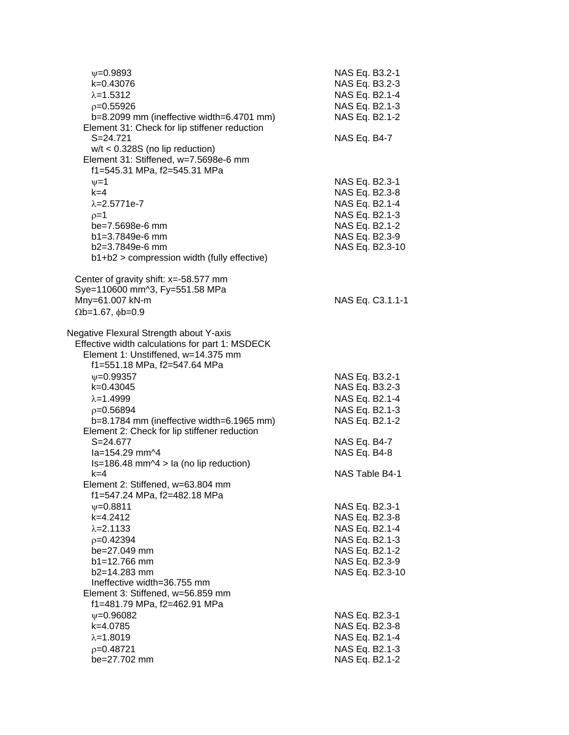| $\nu = 0.9893$<br>k=0.43076<br>$\lambda = 1.5312$<br>$p=0.55926$<br>b=8.2099 mm (ineffective width=6.4701 mm)<br>Element 31: Check for lip stiffener reduction                               | NAS Eq. B3.2-1<br>NAS Eq. B3.2-3<br>NAS Eq. B2.1-4<br>NAS Eq. B2.1-3<br>NAS Eq. B2.1-2                                      |
|----------------------------------------------------------------------------------------------------------------------------------------------------------------------------------------------|-----------------------------------------------------------------------------------------------------------------------------|
| $S = 24.721$<br>$w/t < 0.328S$ (no lip reduction)<br>Element 31: Stiffened, w=7.5698e-6 mm<br>f1=545.31 MPa, f2=545.31 MPa                                                                   | NAS Eq. B4-7                                                                                                                |
| $\nu = 1$<br>$k=4$<br>$\lambda = 2.5771e-7$<br>$p=1$<br>be=7.5698e-6 mm<br>b1=3.7849e-6 mm<br>b2=3.7849e-6 mm<br>b1+b2 > compression width (fully effective)                                 | NAS Eq. B2.3-1<br>NAS Eq. B2.3-8<br>NAS Eq. B2.1-4<br>NAS Eq. B2.1-3<br>NAS Eq. B2.1-2<br>NAS Eq. B2.3-9<br>NAS Eq. B2.3-10 |
| Center of gravity shift: $x = -58.577$ mm<br>Sye=110600 mm^3, Fy=551.58 MPa<br>Mny=61.007 kN-m<br>$\Omega$ b=1.67, $\phi$ b=0.9                                                              | NAS Eq. C3.1.1-1                                                                                                            |
| Negative Flexural Strength about Y-axis<br>Effective width calculations for part 1: MSDECK<br>Element 1: Unstiffened, w=14.375 mm<br>f1=551.18 MPa, f2=547.64 MPa                            |                                                                                                                             |
| $\nu = 0.99357$<br>k=0.43045<br>$\lambda = 1.4999$<br>$p = 0.56894$<br>b=8.1784 mm (ineffective width=6.1965 mm)<br>Element 2: Check for lip stiffener reduction                             | NAS Eq. B3.2-1<br>NAS Eq. B3.2-3<br>NAS Eq. B2.1-4<br>NAS Eq. B2.1-3<br>NAS Eq. B2.1-2                                      |
| $S = 24.677$<br>$1a = 154.29$ mm <sup><math>\Delta</math>4</sup><br>$Is=186.48$ mm $\triangle 4$ > la (no lip reduction)                                                                     | NAS Eq. B4-7<br>NAS Eq. B4-8                                                                                                |
| $k = 4$<br>Element 2: Stiffened, w=63.804 mm<br>f1=547.24 MPa, f2=482.18 MPa                                                                                                                 | NAS Table B4-1                                                                                                              |
| $\psi = 0.8811$<br>k=4.2412<br>$\lambda = 2.1133$<br>$p=0.42394$<br>be=27.049 mm<br>$b1 = 12.766$ mm<br>$b2 = 14.283$ mm<br>Ineffective width=36.755 mm<br>Element 3: Stiffened, w=56.859 mm | NAS Eq. B2.3-1<br>NAS Eq. B2.3-8<br>NAS Eq. B2.1-4<br>NAS Eq. B2.1-3<br>NAS Eq. B2.1-2<br>NAS Eq. B2.3-9<br>NAS Eq. B2.3-10 |
| f1=481.79 MPa, f2=462.91 MPa<br>$\psi = 0.96082$<br>k=4.0785<br>$\lambda = 1.8019$<br>$p=0.48721$<br>be=27.702 mm                                                                            | NAS Eq. B2.3-1<br>NAS Eq. B2.3-8<br>NAS Eq. B2.1-4<br>NAS Eq. B2.1-3<br>NAS Eq. B2.1-2                                      |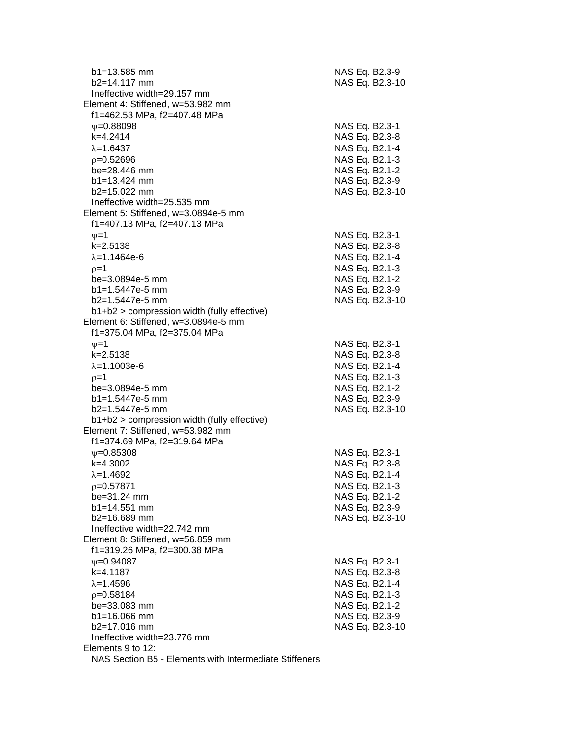| $b1 = 13.585$ mm<br>$b2=14.117$ mm                     | NAS Eq. B2.3-9<br>NAS Eq. B2.3-10 |
|--------------------------------------------------------|-----------------------------------|
| Ineffective width=29.157 mm                            |                                   |
| Element 4: Stiffened, w=53.982 mm                      |                                   |
| f1=462.53 MPa, f2=407.48 MPa                           |                                   |
| $\psi = 0.88098$                                       | NAS Eq. B2.3-1                    |
| k=4.2414                                               | NAS Eq. B2.3-8                    |
| $\lambda = 1.6437$                                     | NAS Eq. B2.1-4                    |
| $p=0.52696$                                            | NAS Eq. B2.1-3                    |
| be=28.446 mm                                           | NAS Eq. B2.1-2                    |
| $b1 = 13.424$ mm                                       | NAS Eq. B2.3-9                    |
| b2=15.022 mm                                           | NAS Eq. B2.3-10                   |
| Ineffective width=25.535 mm                            |                                   |
| Element 5: Stiffened, w=3.0894e-5 mm                   |                                   |
| f1=407.13 MPa, f2=407.13 MPa                           |                                   |
| $\nu=1$                                                | NAS Eq. B2.3-1                    |
| $k = 2.5138$                                           | NAS Eq. B2.3-8                    |
| $\lambda = 1.1464e-6$                                  | NAS Eq. B2.1-4                    |
| $p=1$                                                  | NAS Eq. B2.1-3                    |
| be=3.0894e-5 mm                                        | NAS Eq. B2.1-2                    |
| $b1 = 1.5447e-5$ mm                                    | NAS Eq. B2.3-9                    |
| $b2=1.5447e-5$ mm                                      | NAS Eq. B2.3-10                   |
| $b1+b2$ > compression width (fully effective)          |                                   |
| Element 6: Stiffened, w=3.0894e-5 mm                   |                                   |
| f1=375.04 MPa, f2=375.04 MPa                           |                                   |
| $\nu = 1$                                              | NAS Eq. B2.3-1                    |
| $k = 2.5138$                                           | NAS Eq. B2.3-8                    |
| $\lambda = 1.1003e-6$                                  |                                   |
|                                                        | NAS Eq. B2.1-4                    |
| $p=1$                                                  | NAS Eq. B2.1-3                    |
| be=3.0894e-5 mm                                        | NAS Eq. B2.1-2                    |
| $b1 = 1.5447e-5$ mm                                    | NAS Eq. B2.3-9                    |
| $b2=1.5447e-5$ mm                                      | NAS Eq. B2.3-10                   |
| b1+b2 > compression width (fully effective)            |                                   |
| Element 7: Stiffened, w=53.982 mm                      |                                   |
| f1=374.69 MPa, f2=319.64 MPa                           |                                   |
| $\psi = 0.85308$                                       | NAS Eq. B2.3-1                    |
| k=4.3002                                               | NAS Eq. B2.3-8                    |
| $\lambda = 1.4692$                                     | NAS Eq. B2.1-4                    |
| $p=0.57871$                                            | NAS Eq. B2.1-3                    |
| be=31.24 mm                                            | NAS Eq. B2.1-2                    |
| $b1 = 14.551$ mm                                       | NAS Eq. B2.3-9                    |
| $b2 = 16.689$ mm                                       | NAS Eq. B2.3-10                   |
| Ineffective width=22.742 mm                            |                                   |
| Element 8: Stiffened, w=56.859 mm                      |                                   |
| f1=319.26 MPa, f2=300.38 MPa                           |                                   |
| $V = 0.94087$                                          | NAS Eq. B2.3-1                    |
| k=4.1187                                               | NAS Eq. B2.3-8                    |
| $\lambda = 1.4596$                                     | NAS Eq. B2.1-4                    |
| $p=0.58184$                                            | NAS Eq. B2.1-3                    |
| be=33.083 mm                                           | NAS Eq. B2.1-2                    |
| b1=16.066 mm                                           | NAS Eq. B2.3-9                    |
| b2=17.016 mm                                           | NAS Eq. B2.3-10                   |
| Ineffective width=23.776 mm                            |                                   |
| Elements 9 to 12:                                      |                                   |
| NAS Section B5 - Elements with Intermediate Stiffeners |                                   |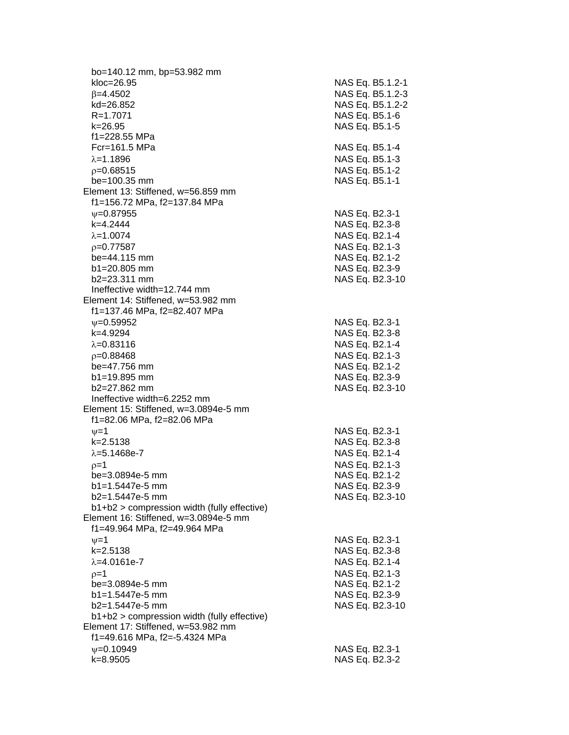bo=140.12 mm, bp=53.982 mm kloc=26.95 NAS Eq. B5.1.2-1  $\beta$ =4.4502 NAS Eq. B5.1.2-3 kd=26.852 NAS Eq. B5.1.2-2 R=1.7071 NAS Eq. B5.1-6 k=26.95 NAS Eq. B5.1-5 f1=228.55 MPa Fcr=161.5 MPa NAS Eq. B5.1-4  $\lambda$ =1.1896  $\lambda$  MAS Eq. B5.1-3  $p=0.68515$  NAS Eq. B5.1-2 be=100.35 mm NAS Eq. B5.1-1 Element 13: Stiffened, w=56.859 mm f1=156.72 MPa, f2=137.84 MPa  $\nu$ =0.87955 NAS Eq. B2.3-1 k=4.2444 NAS Eq. B2.3-8  $\lambda = 1.0074$  NAS Eq. B2.1-4  $\rho$ =0.77587 NAS Eq. B2.1-3 be=44.115 mm NAS Eq. B2.1-2 b1=20.805 mm NAS Eq. B2.3-9 b2=23.311 mm NAS Eq. B2.3-10 Ineffective width=12.744 mm Element 14: Stiffened, w=53.982 mm f1=137.46 MPa, f2=82.407 MPa  $v=0.59952$  NAS Eq. B2.3-1 k=4.9294 NAS Eq. B2.3-8  $\lambda$ =0.83116  $\lambda$  NAS Eq. B2.1-4 =0.88468 NAS Eq. B2.1-3 be=47.756 mm NAS Eq. B2.1-2 b1=19.895 mm NAS Eq. B2.3-9 b2=27.862 mm NAS Eq. B2.3-10 Ineffective width=6.2252 mm Element 15: Stiffened, w=3.0894e-5 mm f1=82.06 MPa, f2=82.06 MPa  $v=1$  NAS Eq. B2.3-1 k=2.5138 NAS Eq. B2.3-8  $\lambda = 5.1468e - 7$  NAS Eq. B2.1-4  $p=1$  NAS Eq. B2.1-3 be=3.0894e-5 mm NAS Eq. B2.1-2 b1=1.5447e-5 mm NAS Eq. B2.3-9 b2=1.5447e-5 mm NAS Eq. B2.3-10 b1+b2 > compression width (fully effective) Element 16: Stiffened, w=3.0894e-5 mm f1=49.964 MPa, f2=49.964 MPa  $\nu=1$  NAS Eq. B2.3-1 k=2.5138 NAS Eq. B2.3-8  $\lambda = 4.0161e-7$  NAS Eq. B2.1-4  $p=1$  NAS Eq. B2.1-3 be=3.0894e-5 mm NAS Eq. B2.1-2 b1=1.5447e-5 mm NAS Eq. B2.3-9 b2=1.5447e-5 mm NAS Eq. B2.3-10 b1+b2 > compression width (fully effective) Element 17: Stiffened, w=53.982 mm f1=49.616 MPa, f2=-5.4324 MPa =0.10949 NAS Eq. B2.3-1 k=8.9505 NAS Eq. B2.3-2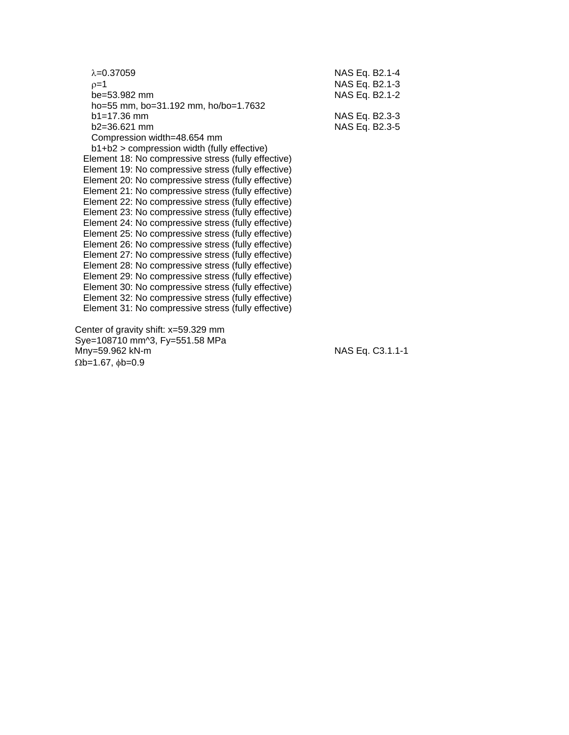| $\lambda = 0.37059$                                 | NAS Eq. B2.1-4 |
|-----------------------------------------------------|----------------|
| $p=1$                                               | NAS Eq. B2.1-3 |
| be=53.982 mm                                        | NAS Eq. B2.1-2 |
| ho=55 mm, bo=31.192 mm, ho/bo=1.7632                |                |
| $b1 = 17.36$ mm                                     | NAS Eq. B2.3-3 |
| $b2 = 36.621$ mm                                    | NAS Eq. B2.3-5 |
| Compression width=48.654 mm                         |                |
| $b1+b2$ > compression width (fully effective)       |                |
| Element 18: No compressive stress (fully effective) |                |
| Element 19: No compressive stress (fully effective) |                |
| Element 20: No compressive stress (fully effective) |                |
| Element 21: No compressive stress (fully effective) |                |
| Element 22: No compressive stress (fully effective) |                |
| Element 23: No compressive stress (fully effective) |                |
| Element 24: No compressive stress (fully effective) |                |
| Element 25: No compressive stress (fully effective) |                |
| Element 26: No compressive stress (fully effective) |                |
| Element 27: No compressive stress (fully effective) |                |
| Element 28: No compressive stress (fully effective) |                |
| Element 29: No compressive stress (fully effective) |                |
| Element 30: No compressive stress (fully effective) |                |
| Element 32: No compressive stress (fully effective) |                |
| Element 31: No compressive stress (fully effective) |                |
|                                                     |                |

 Center of gravity shift: x=59.329 mm Sye=108710 mm^3, Fy=551.58 MPa Mny=59.962 kN-m NAS Eq. C3.1.1-1  $\Omega$ b=1.67,  $\phi$ b=0.9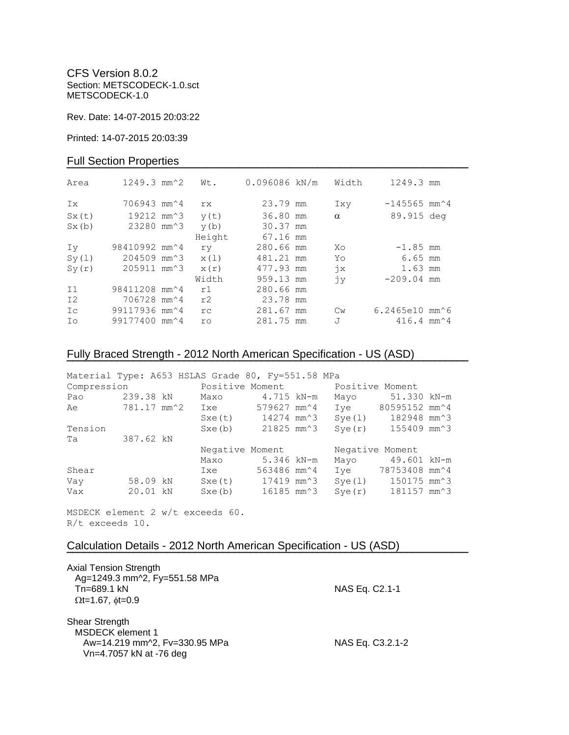CFS Version 8.0.2 Section: METSCODECK-1.0.sct METSCODECK-1.0

Rev. Date: 14-07-2015 20:03:22

Printed: 14-07-2015 20:03:39

## Full Section Properties

| Area           | $1249.3$ mm <sup><math>\textdegree</math>2</sup> | Wt.    | 0.096086 kN/m | Width         | 1249.3 mm                                    |  |
|----------------|--------------------------------------------------|--------|---------------|---------------|----------------------------------------------|--|
| Ix             | 706943 mm <sup><math>\sim</math>4</sup>          | rx.    | 23.79 mm      | Ixy           | $-145565$ mm <sup><math>\land</math></sup> 4 |  |
| Sx(t)          | 19212 mm <sup>2</sup> 3                          | y(t)   | 36.80 mm      | $\alpha$      | 89.915 deg                                   |  |
| Sx(b)          | 23280 mm <sup>2</sup> 3                          | y(b)   | 30.37 mm      |               |                                              |  |
|                |                                                  | Height | 67.16 mm      |               |                                              |  |
| Iv             | 98410992 mm <sup>2</sup> 4                       | ry     | 280.66 mm     | Xo            | $-1.85$ mm                                   |  |
| Sy(1)          | 204509 mm <sup>2</sup> 3                         | x(1)   | 481.21 mm     | Yo            | $6.65$ mm                                    |  |
| Sy(r)          | 205911 mm <sup>2</sup> 3                         | x(r)   | 477.93 mm     | $\dot{7}x$    | 1.63 mm                                      |  |
|                |                                                  | Width  | 959.13 mm     | jу            | $-209.04$ mm                                 |  |
| I <sub>1</sub> | 98411208 mm <sup>2</sup> 4                       | r1     | 280.66 mm     |               |                                              |  |
| I <sub>2</sub> | 706728 mm^4                                      | r2     | 23.78 mm      |               |                                              |  |
| Ic             | 99117936 mm <sup>2</sup> 4                       | rc     | 281.67 mm     | $\mathbb{C}w$ | 6.2465e10 mm^6                               |  |
| Ιo             | 99177400 mm <sup>2</sup> 4                       | ro     | 281.75 mm     | J             | $416.4$ mm <sup><math>\sim</math></sup> 4    |  |

# Fully Braced Strength - 2012 North American Specification - US (ASD)

| Material Type: A653 HSLAS Grade 80, Fy=551.58 MPa |           |  |                                                     |             |            |                 |                                 |  |
|---------------------------------------------------|-----------|--|-----------------------------------------------------|-------------|------------|-----------------|---------------------------------|--|
| Compression                                       |           |  | Positive Moment bositive Moment                     |             |            |                 |                                 |  |
| Pao                                               | 239.38 kN |  | Maxo                                                | 4.715 kN-m  |            | Mayo            | 51.330 kN-m                     |  |
| Ae                                                |           |  | 781.17 mm <sup>2</sup> Ixe 579627 mm <sup>2</sup> 4 |             |            | Ive             | 80595152 mm^4                   |  |
|                                                   |           |  | Sxe(t)                                              | 14274 mm^3  |            | Sye(1)          | 182948 mm^3                     |  |
| Tension                                           |           |  | Sxe(b)                                              | 21825 mm^3  |            | Sye(r)          | 155409 mm^3                     |  |
| Ta                                                | 387.62 kN |  |                                                     |             |            |                 |                                 |  |
|                                                   |           |  | Negative Moment                                     |             |            | Negative Moment |                                 |  |
|                                                   |           |  | Maxo                                                | 5.346 kN-m  |            | Mayo            | 49.601 kN-m                     |  |
| Shear                                             |           |  | Ixe                                                 | 563486 mm^4 |            |                 | Iye 78753408 mm <sup>2</sup> 4  |  |
| Vay                                               | 58.09 kN  |  | Sxe(t) 17419 mm <sup>2</sup> 3                      |             |            |                 | Sye(1) 150175 mm <sup>2</sup> 3 |  |
| Vax                                               | 20.01 kN  |  | Sxe(b)                                              |             | 16185 mm^3 | Sye(r)          | 181157 mm^3                     |  |

**¯¯¯¯¯¯¯¯¯¯¯¯¯¯¯¯¯¯¯¯¯¯¯¯¯¯¯¯¯¯¯¯¯¯¯¯¯¯¯¯¯¯¯¯¯¯¯¯¯¯¯¯¯¯¯¯¯¯¯¯¯¯¯¯¯¯¯¯¯¯¯¯**

MSDECK element 2 w/t exceeds 60. R/t exceeds 10.

## Calculation Details - 2012 North American Specification - US (ASD)

| <b>Axial Tension Strength</b><br>Ag=1249.3 mm^2, Fy=551.58 MPa<br>Tn=689.1 kN<br>$\Omega$ t=1.67, $\phi$ t=0.9 | NAS Eq. C2.1-1   |
|----------------------------------------------------------------------------------------------------------------|------------------|
| Shear Strength<br><b>MSDECK</b> element 1<br>Aw=14.219 mm^2, Fv=330.95 MPa<br>Vn=4.7057 kN at -76 deg          | NAS Eq. C3.2.1-2 |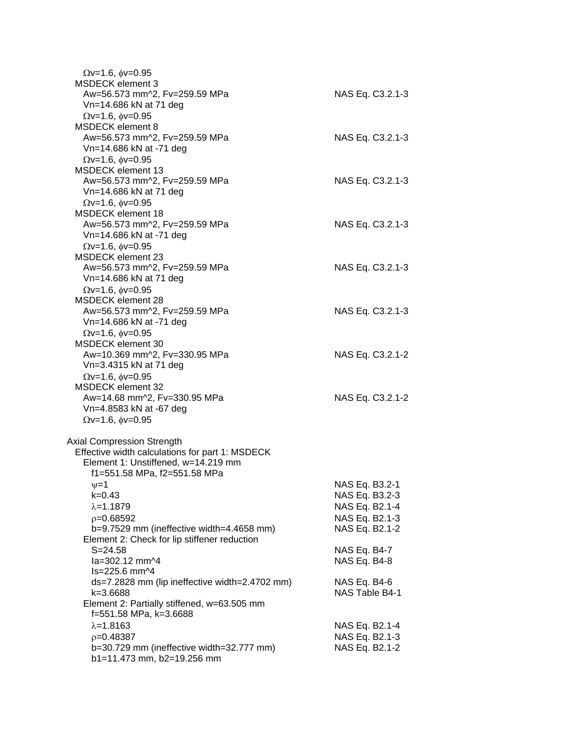| $Qv=1.6$ , $\phi v=0.95$<br>MSDECK element 3            |                  |
|---------------------------------------------------------|------------------|
| Aw=56.573 mm^2, Fv=259.59 MPa                           | NAS Eq. C3.2.1-3 |
| Vn=14.686 kN at 71 deg                                  |                  |
| $\Omega$ v=1.6, $\phi$ v=0.95                           |                  |
| <b>MSDECK</b> element 8                                 |                  |
| Aw=56.573 mm^2, Fv=259.59 MPa                           | NAS Eq. C3.2.1-3 |
| Vn=14.686 kN at -71 deg                                 |                  |
| $\Omega$ v=1.6, $\phi$ v=0.95                           |                  |
| <b>MSDECK</b> element 13                                |                  |
| Aw=56.573 mm^2, Fv=259.59 MPa                           | NAS Eq. C3.2.1-3 |
| Vn=14.686 kN at 71 deg                                  |                  |
| $Qv=1.6$ , $\phi v=0.95$                                |                  |
| <b>MSDECK element 18</b>                                |                  |
| Aw=56.573 mm^2, Fv=259.59 MPa                           | NAS Eq. C3.2.1-3 |
| Vn=14.686 kN at -71 deg                                 |                  |
| $Qv=1.6$ , $\phi v=0.95$                                |                  |
| <b>MSDECK element 23</b>                                |                  |
| Aw=56.573 mm^2, Fv=259.59 MPa                           | NAS Eq. C3.2.1-3 |
| Vn=14.686 kN at 71 deg                                  |                  |
| $\Omega$ v=1.6, $\phi$ v=0.95                           |                  |
| MSDECK element 28                                       |                  |
| Aw=56.573 mm^2, Fv=259.59 MPa                           | NAS Eq. C3.2.1-3 |
| Vn=14.686 kN at -71 deg                                 |                  |
| $Qv=1.6$ , $\phi v=0.95$                                |                  |
| MSDECK element 30                                       |                  |
| Aw=10.369 mm^2, Fv=330.95 MPa                           | NAS Eq. C3.2.1-2 |
| Vn=3.4315 kN at 71 deg                                  |                  |
| $Qv=1.6$ , $\phi v=0.95$                                |                  |
| <b>MSDECK element 32</b>                                |                  |
| Aw=14.68 mm^2, Fv=330.95 MPa<br>Vn=4.8583 kN at -67 deg | NAS Eq. C3.2.1-2 |
|                                                         |                  |
| $\Omega$ v=1.6, $\phi$ v=0.95                           |                  |
| <b>Axial Compression Strength</b>                       |                  |
| Effective width calculations for part 1: MSDECK         |                  |
| Element 1: Unstiffened, w=14.219 mm                     |                  |
| f1=551.58 MPa, f2=551.58 MPa                            |                  |
| ψ=1                                                     | NAS Eq. B3.2-1   |
| k=0.43                                                  | NAS Eq. B3.2-3   |
| $\lambda = 1.1879$                                      | NAS Eq. B2.1-4   |
| $p=0.68592$                                             | NAS Eq. B2.1-3   |
| b=9.7529 mm (ineffective width=4.4658 mm)               | NAS Eq. B2.1-2   |
| Element 2: Check for lip stiffener reduction            |                  |
| $S = 24.58$                                             | NAS Eq. B4-7     |
| la=302.12 mm^4                                          | NAS Eq. B4-8     |
| ls=225.6 mm^4                                           |                  |
| ds=7.2828 mm (lip ineffective width=2.4702 mm)          | NAS Eq. B4-6     |
| k=3.6688                                                | NAS Table B4-1   |
| Element 2: Partially stiffened, w=63.505 mm             |                  |
| f=551.58 MPa, k=3.6688                                  |                  |
| $\lambda = 1.8163$                                      | NAS Eq. B2.1-4   |
| $p=0.48387$                                             | NAS Eq. B2.1-3   |
| b=30.729 mm (ineffective width=32.777 mm)               | NAS Eq. B2.1-2   |
| b1=11.473 mm, b2=19.256 mm                              |                  |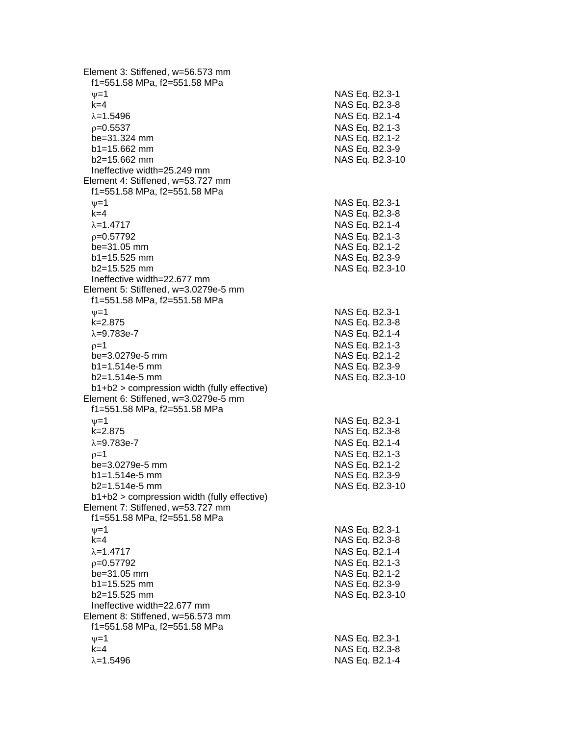Element 3: Stiffened, w=56.573 mm f1=551.58 MPa, f2=551.58 MPa  $\psi$ =1 NAS Eq. B2.3-1 k=4 NAS Eq. B2.3 - 8 =1.5496 NAS Eq. B2.1 - 4  $\rho$ =0.5537 NAS Eq. B2.1-3 be=31.324 mm  $b1 = 15.662$  mm  $b2=15.662$  mm NAS Eq. B2.3-10 Ineffective width=25.249 mm Element 4: Stiffened, w=53.727 mm f1=551.58 MPa, f2=551.58 MPa  $\nu$  =1 NAS Eq. B2.3-1 k=4 NAS Eq. B2.3 - 8 =1.4717 NAS Eq. B2.1 - 4  $\rho$ =0.57792 NAS Eq. B2.1-3  $be = 31.05$  mm b1=15.525 mm NAS Eq. B2.3-9 b2=15.525 mm NAS Eq. B2.3 -10 Ineffective width=22.677 mm Element 5: Stiffened, w=3.0279e -5 mm f1=551.58 MPa, f2=551.58 MPa  $\psi$ =1 NAS Eq. B2.3-1 k=2.875 NAS Eq. B2.3 - 8 λ=9.783e-7 NAS Eq. B2.1 - 4  $\rho$ =1 NAS Eq. B2.1-3 be=3.0279e -5 mm NAS Eq. B2.1 - 2 b1=1.514e-5 mm -5 mm NAS Eq. B2.3 - 9 b2=1.514e -5 mm NAS Eq. B2.3 -10 b1+b2 > compression width (fully effective) Element 6: Stiffened, w=3.0279e -5 mm f1=551.58 MPa, f2=551.58 MPa  $\psi$ =1 NAS Eq. B2.3-1 k=2.875 NAS Eq. B2.3 - 8 λ=9.783e-7 NAS Eq. B2.1 - 4  $\rho$ =1 NAS Eq. B2.1-3 be=3.0279e -5 mm NAS Eq. B2.1 - 2 b1=1.514e-5 mm -5 mm NAS Eq. B2.3 - 9 b2=1.514e -5 mm NAS Eq. B2.3 -10 b1+b2 > compression width (fully effective) Element 7: Stiffened, w=53.727 mm f1=551.58 MPa, f2=551.58 MPa  $\nu$  =1 NAS Eq. B2.3-1 k=4 NAS Eq. B2.3 - 8 =1.4717 NAS Eq. B2.1 - 4  $\rho$ =0.57792 NAS Eq. B2.1-3 be=31.05 mm  $b1 = 15.525$  mm  $b2=15.525$  mm NAS Eq. B2.3-10 Ineffective width=22.677 mm Element 8: Stiffened, w=56.573 mm f1=551.58 MPa, f2=551.58 MPa  $\psi$ =1 NAS Eq. B2.3-1 k=4 NAS Eq. B2.3 - 8 =1.5496 NAS Eq. B2.1 - 4

- 2

- 9

- 2

- 2

- 9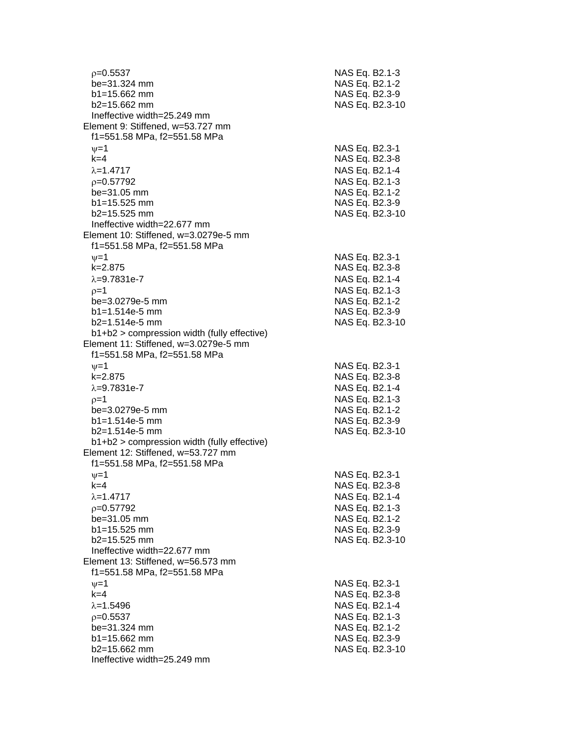| $p=0.5537$                                                        | NAS Eq. B2.1-3  |
|-------------------------------------------------------------------|-----------------|
| be=31.324 mm                                                      | NAS Eq. B2.1-2  |
| $b1 = 15.662$ mm                                                  | NAS Eq. B2.3-9  |
| b2=15.662 mm                                                      | NAS Eq. B2.3-10 |
| Ineffective width=25.249 mm                                       |                 |
| Element 9: Stiffened, w=53.727 mm                                 |                 |
| f1=551.58 MPa, f2=551.58 MPa                                      |                 |
| $\nu = 1$                                                         | NAS Eq. B2.3-1  |
| $k = 4$                                                           | NAS Eq. B2.3-8  |
| $\lambda = 1.4717$                                                | NAS Eq. B2.1-4  |
| $p=0.57792$                                                       | NAS Eq. B2.1-3  |
| be=31.05 mm                                                       | NAS Eq. B2.1-2  |
| $b1 = 15.525$ mm                                                  | NAS Eq. B2.3-9  |
| $b2=15.525$ mm                                                    | NAS Eq. B2.3-10 |
| Ineffective width=22.677 mm                                       |                 |
| Element 10: Stiffened, w=3.0279e-5 mm                             |                 |
| f1=551.58 MPa, f2=551.58 MPa                                      |                 |
| $\nu = 1$                                                         | NAS Eq. B2.3-1  |
| $k = 2.875$                                                       | NAS Eq. B2.3-8  |
| $\lambda = 9.7831e - 7$                                           | NAS Eq. B2.1-4  |
| $p=1$                                                             | NAS Eq. B2.1-3  |
| be=3.0279e-5 mm                                                   | NAS Eq. B2.1-2  |
| $b1 = 1.514e-5$ mm                                                | NAS Eq. B2.3-9  |
| $b2=1.514e-5$ mm<br>$b1+b2$ > compression width (fully effective) | NAS Eq. B2.3-10 |
| Element 11: Stiffened, w=3.0279e-5 mm                             |                 |
| f1=551.58 MPa, f2=551.58 MPa                                      |                 |
| $\nu = 1$                                                         | NAS Eq. B2.3-1  |
| $k = 2.875$                                                       | NAS Eq. B2.3-8  |
| $\lambda = 9.7831e - 7$                                           | NAS Eq. B2.1-4  |
| $p=1$                                                             | NAS Eq. B2.1-3  |
| be=3.0279e-5 mm                                                   | NAS Eq. B2.1-2  |
| $b1 = 1.514e-5$ mm                                                | NAS Eq. B2.3-9  |
| $b2=1.514e-5$ mm                                                  | NAS Eq. B2.3-10 |
| $b1+b2$ > compression width (fully effective)                     |                 |
| Element 12: Stiffened, w=53.727 mm                                |                 |
| f1=551.58 MPa, f2=551.58 MPa                                      |                 |
| $\nu = 1$                                                         | NAS Eq. B2.3-1  |
| $k=4$                                                             | NAS Eq. B2.3-8  |
| $\lambda = 1.4717$                                                | NAS Eq. B2.1-4  |
| $p=0.57792$                                                       | NAS Eq. B2.1-3  |
| be=31.05 mm                                                       | NAS Eq. B2.1-2  |
| $b1 = 15.525$ mm                                                  | NAS Eq. B2.3-9  |
| b2=15.525 mm                                                      | NAS Eq. B2.3-10 |
| Ineffective width=22.677 mm                                       |                 |
| Element 13: Stiffened, w=56.573 mm                                |                 |
| f1=551.58 MPa, f2=551.58 MPa                                      |                 |
| $\nu = 1$                                                         | NAS Eq. B2.3-1  |
| $k=4$                                                             | NAS Eq. B2.3-8  |
| $\lambda = 1.5496$                                                | NAS Eq. B2.1-4  |
| $p=0.5537$                                                        | NAS Eq. B2.1-3  |
| be=31.324 mm                                                      | NAS Eq. B2.1-2  |
| b1=15.662 mm                                                      | NAS Eq. B2.3-9  |
| b2=15.662 mm                                                      | NAS Eq. B2.3-10 |
| Ineffective width=25.249 mm                                       |                 |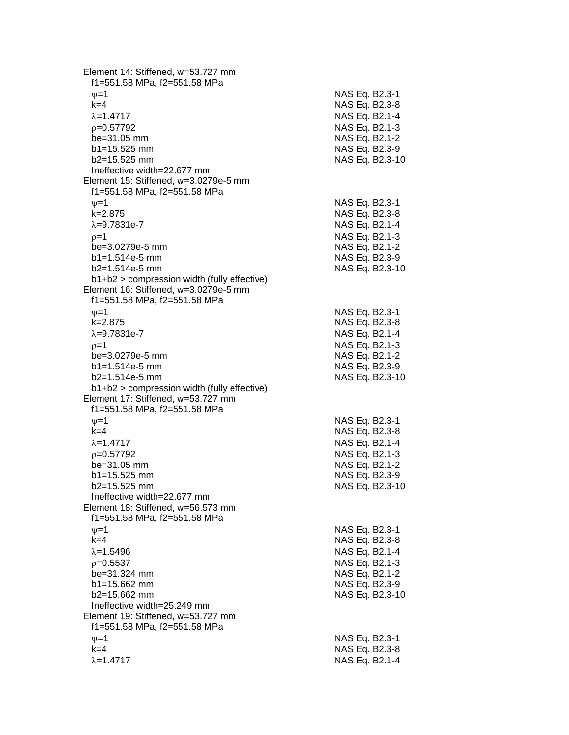Element 14: Stiffened, w=53.727 mm f1=551.58 MPa, f2=551.58 MPa  $\psi$ =1 NAS Eq. B2.3-1 k=4 NAS Eq. B2.3 - 8 =1.4717 NAS Eq. B2.1 - 4  $\rho$ =0.57792 NAS Eq. B2.1-3 be=31.05 mm NAS Eq. B2.1-2  $b1 = 15.525$  mm  $b2=15.525$  mm NAS Eq. B2.3-10 Ineffective width=22.677 mm Element 15: Stiffened, w=3.0279e -5 mm f1=551.58 MPa, f2=551.58 MPa  $\nu$  =1 NAS Eq. B2.3-1 k=2.875 NAS Eq. B2.3 - 8 λ=9.7831e-7 NAS Eq. B2.1 - 4  $\rho=1$  NAS Eq. B2.1-3 be=3.0279e -5 mm NAS Eq. B2.1 - 2  $b1=1.514e-5$  mm -5 mm NAS Eq. B2.3 - 9 b2=1.514e -5 mm NAS Eq. B2.3 -10 b1+b2 > compression width (fully effective) Element 16: Stiffened, w=3.0279e -5 mm f1=551.58 MPa, f2=551.58 MPa  $\psi$ =1 NAS Eq. B2.3-1 k=2.875 NAS Eq. B2.3 - 8 λ=9.7831e-7 NAS Eq. B2.1 - 4  $\rho$ =1 NAS Eq. B2.1-3 be=3.0279e -5 mm NAS Eq. B2.1 - 2 b1=1.514e-5 mm -5 mm NAS Eq. B2.3 - 9 b2=1.514e -5 mm NAS Eq. B2.3 -10 b1+b2 > compression width (fully effective) Element 17: Stiffened, w=53.727 mm f1=551.58 MPa, f2=551.58 MPa  $\psi$ =1 NAS Eq. B2.3-1 k=4 NAS Eq. B2.3 - 8 =1.4717 NAS Eq. B2.1 - 4  $\rho$ =0.57792 NAS Eq. B2.1-3 be=31.05 mm NAS Eq. B2.1-2  $b1 = 15.525$  mm  $b2=15.525$  mm NAS Eq. B2.3-10 Ineffective width=22.677 mm Element 18: Stiffened, w=56.573 mm f1=551.58 MPa, f2=551.58 MPa  $\nu$  =1 NAS Eq. B2.3-1 k=4 NAS Eq. B2.3 - 8 =1.5496 NAS Eq. B2.1 - 4  $\rho$ =0.5537 NAS Eq. B2.1-3 be=31.324 mm  $b1 = 15.662$  mm b2=15.662 m m NAS Eq. B2.3-10 Ineffective width=25.249 mm Element 19: Stiffened, w=53.727 mm f1=551.58 MPa, f2=551.58 MPa  $\psi$ =1 NAS Eq. B2.3-1 k=4 NAS Eq. B2.3 - 8 λ=1.4717 NAS Eq. B2.1-4

- 9

- 9

- 2

- 9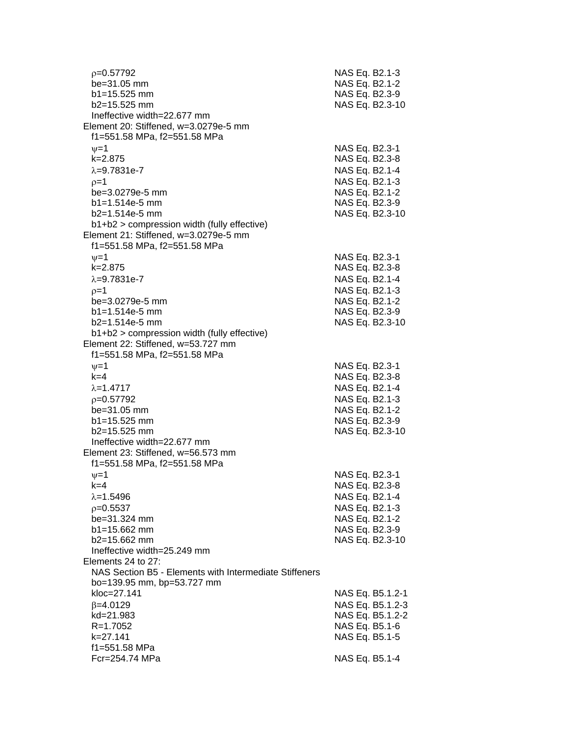| $p=0.57792$<br>be=31.05 mm<br>$b1 = 15.525$ mm<br>b2=15.525 mm                       | NAS Eq. B2.1-3<br>NAS Eq. B2.1-2<br>NAS Eq. B2.3-9<br>NAS Eq. B2.3-10 |
|--------------------------------------------------------------------------------------|-----------------------------------------------------------------------|
| Ineffective width=22.677 mm<br>Element 20: Stiffened, w=3.0279e-5 mm                 |                                                                       |
| f1=551.58 MPa, f2=551.58 MPa                                                         |                                                                       |
| $\nu = 1$                                                                            | NAS Eq. B2.3-1                                                        |
| $k = 2.875$                                                                          | NAS Eq. B2.3-8                                                        |
| $\lambda = 9.7831e - 7$                                                              | NAS Eq. B2.1-4                                                        |
| $p=1$                                                                                | NAS Eq. B2.1-3                                                        |
| be=3.0279e-5 mm                                                                      | NAS Eq. B2.1-2                                                        |
| $b1 = 1.514e-5$ mm                                                                   | NAS Eq. B2.3-9                                                        |
| $b2=1.514e-5$ mm                                                                     | NAS Eq. B2.3-10                                                       |
| b1+b2 > compression width (fully effective)<br>Element 21: Stiffened, w=3.0279e-5 mm |                                                                       |
| f1=551.58 MPa, f2=551.58 MPa                                                         |                                                                       |
| $\nu = 1$                                                                            | NAS Eq. B2.3-1                                                        |
| $k = 2.875$                                                                          | NAS Eq. B2.3-8                                                        |
| $\lambda = 9.7831e - 7$                                                              | NAS Eq. B2.1-4                                                        |
| $p=1$                                                                                | NAS Eq. B2.1-3                                                        |
| be=3.0279e-5 mm                                                                      | NAS Eq. B2.1-2                                                        |
| $b1 = 1.514e-5$ mm                                                                   | NAS Eq. B2.3-9                                                        |
| $b2=1.514e-5$ mm                                                                     | NAS Eq. B2.3-10                                                       |
| b1+b2 > compression width (fully effective)                                          |                                                                       |
| Element 22: Stiffened, w=53.727 mm<br>f1=551.58 MPa, f2=551.58 MPa                   |                                                                       |
| $\nu = 1$                                                                            | NAS Eq. B2.3-1                                                        |
| $k=4$                                                                                | NAS Eq. B2.3-8                                                        |
| $\lambda = 1.4717$                                                                   | NAS Eq. B2.1-4                                                        |
| $p=0.57792$                                                                          | NAS Eq. B2.1-3                                                        |
| be=31.05 mm                                                                          | NAS Eq. B2.1-2                                                        |
| $b1 = 15.525$ mm                                                                     | NAS Eq. B2.3-9                                                        |
| $b2 = 15.525$ mm                                                                     | NAS Eq. B2.3-10                                                       |
| Ineffective width=22.677 mm                                                          |                                                                       |
| Element 23: Stiffened, w=56.573 mm<br>f1=551.58 MPa, f2=551.58 MPa                   |                                                                       |
| $\nu = 1$                                                                            | NAS Eq. B2.3-1                                                        |
| k=4                                                                                  | NAS Eq. B2.3-8                                                        |
| $\lambda = 1.5496$                                                                   | NAS Eq. B2.1-4                                                        |
| $p=0.5537$                                                                           | NAS Eq. B2.1-3                                                        |
| be=31.324 mm                                                                         | NAS Eq. B2.1-2                                                        |
| b1=15.662 mm                                                                         | NAS Eq. B2.3-9                                                        |
| b2=15.662 mm                                                                         | NAS Eq. B2.3-10                                                       |
| Ineffective width=25.249 mm                                                          |                                                                       |
| Elements 24 to 27:<br>NAS Section B5 - Elements with Intermediate Stiffeners         |                                                                       |
| bo=139.95 mm, bp=53.727 mm                                                           |                                                                       |
| kloc=27.141                                                                          | NAS Eq. B5.1.2-1                                                      |
| $\beta = 4.0129$                                                                     | NAS Eq. B5.1.2-3                                                      |
| kd=21.983                                                                            | NAS Eq. B5.1.2-2                                                      |
| $R = 1.7052$                                                                         | NAS Eq. B5.1-6                                                        |
| $k = 27.141$                                                                         | NAS Eq. B5.1-5                                                        |
| f1=551.58 MPa                                                                        |                                                                       |
| Fcr=254.74 MPa                                                                       | NAS Eq. B5.1-4                                                        |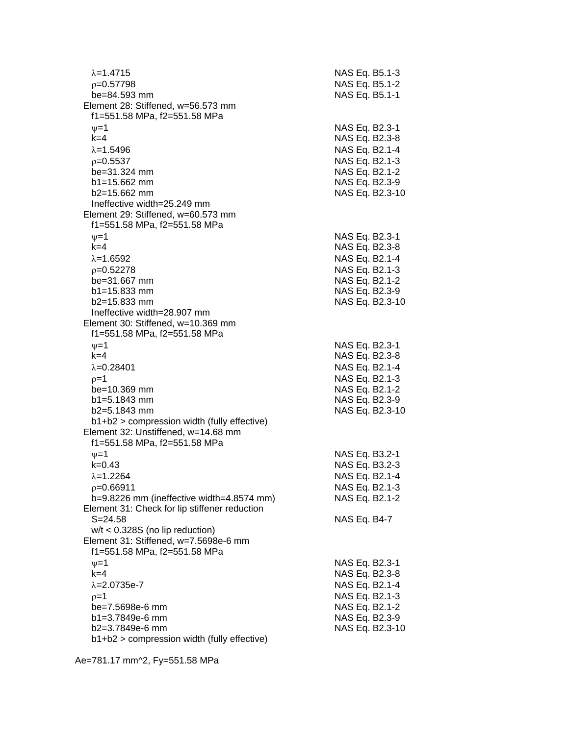| $\lambda = 1.4715$                            | NAS Eq. B5.1-3                   |
|-----------------------------------------------|----------------------------------|
| $p=0.57798$                                   | NAS Eq. B5.1-2                   |
| be=84.593 mm                                  | NAS Eq. B5.1-1                   |
| Element 28: Stiffened, w=56.573 mm            |                                  |
| f1=551.58 MPa, f2=551.58 MPa                  |                                  |
| $\nu = 1$                                     | NAS Eq. B2.3-1                   |
| $k=4$                                         | NAS Eq. B2.3-8                   |
| $\lambda = 1.5496$                            | NAS Eq. B2.1-4                   |
| $p=0.5537$                                    | NAS Eq. B2.1-3                   |
| be=31.324 mm                                  | NAS Eq. B2.1-2                   |
| $b1 = 15.662$ mm                              | NAS Eq. B2.3-9                   |
| $b2 = 15.662$ mm                              | NAS Eq. B2.3-10                  |
| Ineffective width=25.249 mm                   |                                  |
| Element 29: Stiffened, w=60.573 mm            |                                  |
| f1=551.58 MPa, f2=551.58 MPa                  |                                  |
| $\nu = 1$                                     | NAS Eq. B2.3-1                   |
| $k=4$                                         | NAS Eq. B2.3-8                   |
| $\lambda = 1.6592$                            | NAS Eq. B2.1-4                   |
| $p=0.52278$                                   | NAS Eq. B2.1-3                   |
| be=31.667 mm                                  | NAS Eq. B2.1-2                   |
| $b1 = 15.833$ mm                              | NAS Eq. B2.3-9                   |
| $b2 = 15.833$ mm                              | NAS Eq. B2.3-10                  |
| Ineffective width=28.907 mm                   |                                  |
| Element 30: Stiffened, w=10.369 mm            |                                  |
| f1=551.58 MPa, f2=551.58 MPa                  |                                  |
| $\nu = 1$                                     | NAS Eq. B2.3-1                   |
| $k=4$                                         | NAS Eq. B2.3-8                   |
| $\lambda = 0.28401$                           | NAS Eq. B2.1-4                   |
| $p=1$                                         | NAS Eq. B2.1-3                   |
| be=10.369 mm                                  | NAS Eq. B2.1-2                   |
| b1=5.1843 mm                                  | NAS Eq. B2.3-9                   |
| $b2=5.1843$ mm                                | NAS Eq. B2.3-10                  |
| b1+b2 > compression width (fully effective)   |                                  |
| Element 32: Unstiffened, w=14.68 mm           |                                  |
| f1=551.58 MPa, f2=551.58 MPa                  |                                  |
| $\nu = 1$                                     | NAS Eq. B3.2-1                   |
| $k = 0.43$                                    | NAS Eq. B3.2-3                   |
| $\lambda = 1.2264$                            | NAS Eq. B2.1-4                   |
| $p=0.66911$                                   | NAS Eq. B2.1-3                   |
| b=9.8226 mm (ineffective width=4.8574 mm)     | NAS Eq. B2.1-2                   |
| Element 31: Check for lip stiffener reduction |                                  |
| $S = 24.58$                                   | NAS Eq. B4-7                     |
| $w/t < 0.328S$ (no lip reduction)             |                                  |
| Element 31: Stiffened, w=7.5698e-6 mm         |                                  |
| f1=551.58 MPa, f2=551.58 MPa                  |                                  |
| $\nu = 1$                                     | NAS Eq. B2.3-1                   |
| $k=4$                                         | NAS Eq. B2.3-8                   |
| $\lambda = 2.0735e - 7$                       | NAS Eq. B2.1-4                   |
|                                               |                                  |
| $p=1$<br>be=7.5698e-6 mm                      | NAS Eq. B2.1-3<br>NAS Eq. B2.1-2 |
| b1=3.7849e-6 mm                               | NAS Eq. B2.3-9                   |
| b2=3.7849e-6 mm                               | NAS Eq. B2.3-10                  |
| b1+b2 > compression width (fully effective)   |                                  |
|                                               |                                  |

Ae=781.17 mm^2, Fy=551.58 MPa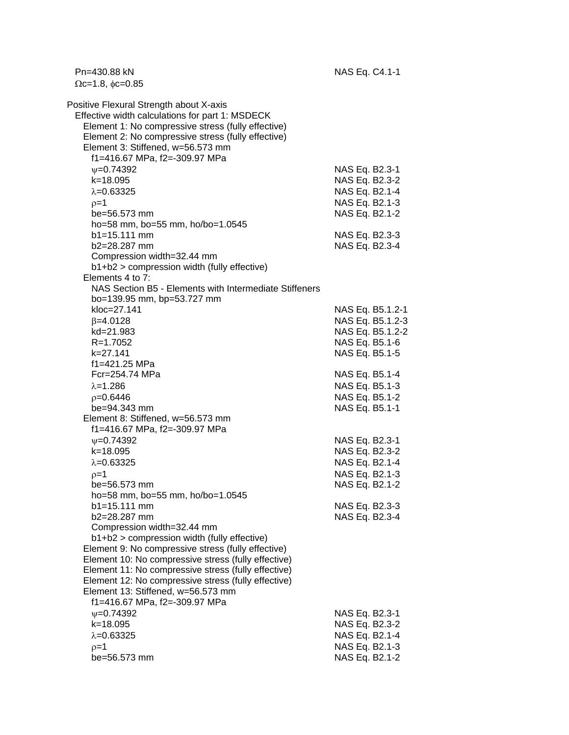Pn=430.88 kN NAS Eq. C4.1-1  $\Omega$ c=1.8,  $\phi$ c=0.85 Positive Flexural Strength about X-axis Effective width calculations for part 1: MSDECK Element 1: No compressive stress (fully effective) Element 2: No compressive stress (fully effective) Element 3: Stiffened, w=56.573 mm f1=416.67 MPa, f2=-309.97 MPa w=0.74392 NAS Eq. B2.3-1 k=18.095 NAS Eq. B2.3-2  $\lambda$ =0.63325 NAS Eq. B2.1-4  $\rho = 1$  NAS Eq. B2.1-3 be=56.573 mm NAS Eq. B2.1-2 ho=58 mm, bo=55 mm, ho/bo=1.0545 b1=15.111 mm NAS Eq. B2.3-3 b2=28.287 mm NAS Eq. B2.3-4 Compression width=32.44 mm b1+b2 > compression width (fully effective) Elements 4 to 7: NAS Section B5 - Elements with Intermediate Stiffeners bo=139.95 mm, bp=53.727 mm kloc=27.141 NAS Eq. B5.1.2-1  $\beta$ =4.0128 NAS Eq. B5.1.2-3 kd=21.983 NAS Eq. B5.1.2-2 R=1.7052 NAS Eq. B5.1-6 k=27.141 NAS Eq. B5.1-5 f1=421.25 MPa Fcr=254.74 MPa NAS Eq. B5.1-4  $\lambda$ =1.286 NAS Eq. B5.1-3  $p=0.6446$  NAS Eq. B5.1-2 be=94.343 mm NAS Eq. B5.1-1 Element 8: Stiffened, w=56.573 mm f1=416.67 MPa, f2=-309.97 MPa =0.74392 NAS Eq. B2.3-1 k=18.095 NAS Eq. B2.3-2  $\lambda$ =0.63325 NAS Eq. B2.1-4  $p=1$  NAS Eq. B2.1-3 be=56.573 mm NAS Eq. B2.1-2 ho=58 mm, bo=55 mm, ho/bo=1.0545 b1=15.111 mm NAS Eq. B2.3-3 b2=28.287 mm NAS Eq. B2.3-4 Compression width=32.44 mm b1+b2 > compression width (fully effective) Element 9: No compressive stress (fully effective) Element 10: No compressive stress (fully effective) Element 11: No compressive stress (fully effective) Element 12: No compressive stress (fully effective) Element 13: Stiffened, w=56.573 mm f1=416.67 MPa, f2=-309.97 MPa w=0.74392 NAS Eq. B2.3-1 k=18.095 NAS Eq. B2.3-2  $\lambda = 0.63325$  NAS Eq. B2.1-4  $\rho = 1$  NAS Eq. B2.1-3 be=56.573 mm NAS Eq. B2.1-2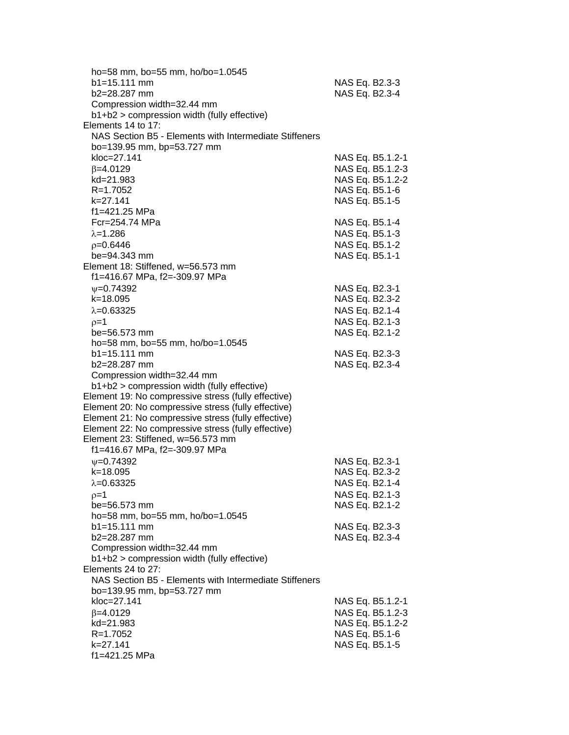| ho=58 mm, bo=55 mm, ho/bo=1.0545                                  |                  |
|-------------------------------------------------------------------|------------------|
| $b1 = 15.111$ mm                                                  | NAS Eq. B2.3-3   |
| b2=28.287 mm                                                      | NAS Eq. B2.3-4   |
| Compression width=32.44 mm                                        |                  |
| b1+b2 > compression width (fully effective)                       |                  |
| Elements 14 to 17:                                                |                  |
| NAS Section B5 - Elements with Intermediate Stiffeners            |                  |
| bo=139.95 mm, bp=53.727 mm                                        |                  |
| kloc=27.141                                                       | NAS Eq. B5.1.2-1 |
| $\beta = 4.0129$                                                  | NAS Eq. B5.1.2-3 |
| kd=21.983                                                         | NAS Eq. B5.1.2-2 |
| $R = 1.7052$                                                      | NAS Eq. B5.1-6   |
| k=27.141                                                          | NAS Eq. B5.1-5   |
| f1=421.25 MPa                                                     |                  |
| Fcr=254.74 MPa                                                    | NAS Eq. B5.1-4   |
| $\lambda = 1.286$                                                 | NAS Eq. B5.1-3   |
| $p=0.6446$                                                        | NAS Eq. B5.1-2   |
| be=94.343 mm                                                      | NAS Eq. B5.1-1   |
| Element 18: Stiffened, w=56.573 mm                                |                  |
| f1=416.67 MPa, f2=-309.97 MPa                                     |                  |
| $\nu = 0.74392$                                                   | NAS Eq. B2.3-1   |
| $k = 18.095$                                                      | NAS Eq. B2.3-2   |
| $\lambda = 0.63325$                                               | NAS Eq. B2.1-4   |
| $p=1$                                                             | NAS Eq. B2.1-3   |
| be=56.573 mm                                                      | NAS Eq. B2.1-2   |
| ho=58 mm, bo=55 mm, ho/bo=1.0545                                  |                  |
| $b1 = 15.111$ mm                                                  | NAS Eq. B2.3-3   |
| b2=28.287 mm                                                      | NAS Eq. B2.3-4   |
| Compression width=32.44 mm                                        |                  |
| b1+b2 > compression width (fully effective)                       |                  |
| Element 19: No compressive stress (fully effective)               |                  |
| Element 20: No compressive stress (fully effective)               |                  |
| Element 21: No compressive stress (fully effective)               |                  |
| Element 22: No compressive stress (fully effective)               |                  |
| Element 23: Stiffened, w=56.573 mm                                |                  |
| f1=416.67 MPa, f2=-309.97 MPa                                     |                  |
| $\nu = 0.74392$                                                   | NAS Eq. B2.3-1   |
| k=18.095                                                          | NAS Eq. B2.3-2   |
| $\lambda = 0.63325$                                               | NAS Eq. B2.1-4   |
| $p=1$                                                             | NAS Eq. B2.1-3   |
| be=56.573 mm                                                      | NAS Eq. B2.1-2   |
| ho=58 mm, bo=55 mm, ho/bo=1.0545                                  |                  |
| $b1 = 15.111$ mm                                                  | NAS Eq. B2.3-3   |
| b2=28.287 mm                                                      | NAS Eq. B2.3-4   |
| Compression width=32.44 mm                                        |                  |
| b1+b2 > compression width (fully effective)<br>Elements 24 to 27: |                  |
| NAS Section B5 - Elements with Intermediate Stiffeners            |                  |
| bo=139.95 mm, bp=53.727 mm                                        |                  |
| kloc=27.141                                                       | NAS Eq. B5.1.2-1 |
| $\beta = 4.0129$                                                  | NAS Eq. B5.1.2-3 |
| kd=21.983                                                         | NAS Eq. B5.1.2-2 |
| R=1.7052                                                          | NAS Eq. B5.1-6   |
| k=27.141                                                          | NAS Eq. B5.1-5   |
| f1=421.25 MPa                                                     |                  |
|                                                                   |                  |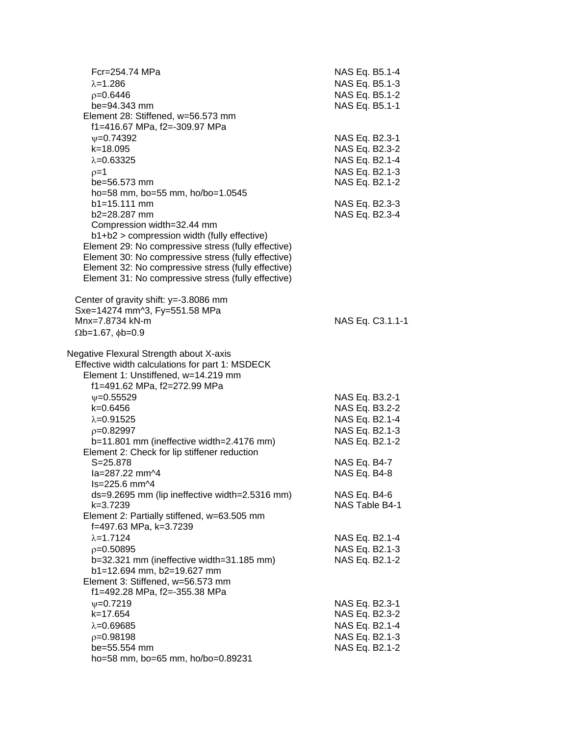| Fcr=254.74 MPa<br>$\lambda = 1.286$<br>$p=0.6446$<br>be=94.343 mm<br>Element 28: Stiffened, w=56.573 mm<br>f1=416.67 MPa, f2=-309.97 MPa                                                                                                                                                                                                                                                                                                                                                                                                                                                                                                                                                                                         | NAS Eq. B5.1-4<br>NAS Eq. B5.1-3<br>NAS Eq. B5.1-2<br>NAS Eq. B5.1-1                                                                                                                                           |
|----------------------------------------------------------------------------------------------------------------------------------------------------------------------------------------------------------------------------------------------------------------------------------------------------------------------------------------------------------------------------------------------------------------------------------------------------------------------------------------------------------------------------------------------------------------------------------------------------------------------------------------------------------------------------------------------------------------------------------|----------------------------------------------------------------------------------------------------------------------------------------------------------------------------------------------------------------|
| $V = 0.74392$<br>$k = 18.095$<br>$\lambda = 0.63325$<br>$p=1$<br>be=56.573 mm<br>ho=58 mm, bo=55 mm, ho/bo=1.0545<br>$b1 = 15.111$ mm<br>b2=28.287 mm<br>Compression width=32.44 mm<br>b1+b2 > compression width (fully effective)<br>Element 29: No compressive stress (fully effective)<br>Element 30: No compressive stress (fully effective)<br>Element 32: No compressive stress (fully effective)<br>Element 31: No compressive stress (fully effective)                                                                                                                                                                                                                                                                   | NAS Eq. B2.3-1<br>NAS Eq. B2.3-2<br>NAS Eq. B2.1-4<br>NAS Eq. B2.1-3<br>NAS Eq. B2.1-2<br>NAS Eq. B2.3-3<br>NAS Eq. B2.3-4                                                                                     |
| Center of gravity shift: y=-3.8086 mm<br>Sxe=14274 mm^3, Fy=551.58 MPa<br>Mnx=7.8734 kN-m<br>$\Omega$ b=1.67, $\phi$ b=0.9                                                                                                                                                                                                                                                                                                                                                                                                                                                                                                                                                                                                       | NAS Eq. C3.1.1-1                                                                                                                                                                                               |
| Negative Flexural Strength about X-axis<br>Effective width calculations for part 1: MSDECK<br>Element 1: Unstiffened, w=14.219 mm<br>f1=491.62 MPa, f2=272.99 MPa<br>$\nu = 0.55529$<br>$k=0.6456$<br>$\lambda = 0.91525$<br>$p=0.82997$<br>b=11.801 mm (ineffective width=2.4176 mm)<br>Element 2: Check for lip stiffener reduction<br>$S = 25.878$<br>la=287.22 mm^4<br>$Is = 225.6$ mm $\sim 4$<br>ds=9.2695 mm (lip ineffective width=2.5316 mm)<br>k=3.7239<br>Element 2: Partially stiffened, w=63.505 mm<br>f=497.63 MPa, k=3.7239<br>$\lambda = 1.7124$<br>$p=0.50895$<br>b=32.321 mm (ineffective width=31.185 mm)<br>b1=12.694 mm, b2=19.627 mm<br>Element 3: Stiffened, w=56.573 mm<br>f1=492.28 MPa, f2=-355.38 MPa | NAS Eq. B3.2-1<br>NAS Eq. B3.2-2<br>NAS Eq. B2.1-4<br>NAS Eq. B2.1-3<br>NAS Eq. B2.1-2<br>NAS Eq. B4-7<br>NAS Eq. B4-8<br>NAS Eq. B4-6<br>NAS Table B4-1<br>NAS Eq. B2.1-4<br>NAS Eq. B2.1-3<br>NAS Eq. B2.1-2 |
| $V = 0.7219$<br>k=17.654<br>$\lambda = 0.69685$<br>$p=0.98198$<br>be=55.554 mm<br>ho=58 mm, bo=65 mm, ho/bo=0.89231                                                                                                                                                                                                                                                                                                                                                                                                                                                                                                                                                                                                              | NAS Eq. B2.3-1<br>NAS Eq. B2.3-2<br>NAS Eq. B2.1-4<br>NAS Eq. B2.1-3<br>NAS Eq. B2.1-2                                                                                                                         |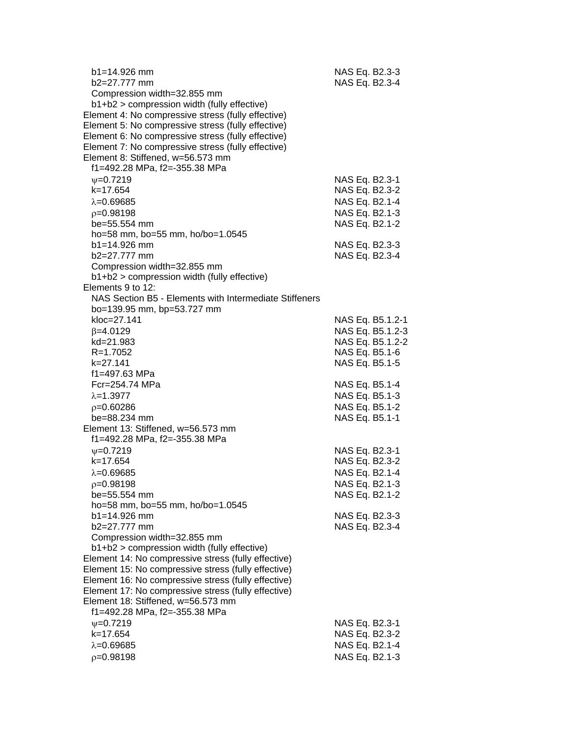| $b1 = 14.926$ mm<br>$b2=27.777$ mm                     | NAS Eq. B2.3-3<br>NAS Eq. B2.3-4 |                  |
|--------------------------------------------------------|----------------------------------|------------------|
| Compression width=32.855 mm                            |                                  |                  |
| b1+b2 > compression width (fully effective)            |                                  |                  |
| Element 4: No compressive stress (fully effective)     |                                  |                  |
| Element 5: No compressive stress (fully effective)     |                                  |                  |
| Element 6: No compressive stress (fully effective)     |                                  |                  |
| Element 7: No compressive stress (fully effective)     |                                  |                  |
| Element 8: Stiffened, w=56.573 mm                      |                                  |                  |
| f1=492.28 MPa, f2=-355.38 MPa                          |                                  |                  |
| $V = 0.7219$                                           | NAS Eq. B2.3-1                   |                  |
| $k = 17.654$                                           | NAS Eq. B2.3-2                   |                  |
| $\lambda = 0.69685$                                    | NAS Eq. B2.1-4                   |                  |
| $p=0.98198$                                            | NAS Eq. B2.1-3                   |                  |
| be=55.554 mm                                           | NAS Eq. B2.1-2                   |                  |
| ho=58 mm, bo=55 mm, ho/bo=1.0545                       |                                  |                  |
| $b1 = 14.926$ mm                                       | NAS Eq. B2.3-3                   |                  |
| $b2=27.777$ mm                                         | NAS Eq. B2.3-4                   |                  |
| Compression width=32.855 mm                            |                                  |                  |
| b1+b2 > compression width (fully effective)            |                                  |                  |
| Elements 9 to 12:                                      |                                  |                  |
| NAS Section B5 - Elements with Intermediate Stiffeners |                                  |                  |
| bo=139.95 mm, bp=53.727 mm                             |                                  |                  |
| kloc=27.141                                            |                                  | NAS Eq. B5.1.2-1 |
| $\beta = 4.0129$                                       |                                  | NAS Eq. B5.1.2-3 |
| kd=21.983                                              |                                  | NAS Eq. B5.1.2-2 |
| R=1.7052                                               | NAS Eq. B5.1-6                   |                  |
| $k = 27.141$                                           | NAS Eq. B5.1-5                   |                  |
| f1=497.63 MPa                                          |                                  |                  |
| Fcr=254.74 MPa                                         | NAS Eq. B5.1-4                   |                  |
| $\lambda = 1.3977$                                     | NAS Eq. B5.1-3                   |                  |
| $p=0.60286$                                            | NAS Eq. B5.1-2                   |                  |
| be=88.234 mm                                           | NAS Eq. B5.1-1                   |                  |
| Element 13: Stiffened, w=56.573 mm                     |                                  |                  |
| f1=492.28 MPa, f2=-355.38 MPa                          |                                  |                  |
| $\Psi$ =0.7219                                         | NAS Eq. B2.3-1                   |                  |
| k=17.654                                               | NAS Eq. B2.3-2                   |                  |
| $\lambda = 0.69685$                                    | NAS Eq. B2.1-4                   |                  |
| $p=0.98198$                                            | NAS Eq. B2.1-3                   |                  |
| be=55.554 mm                                           | NAS Eq. B2.1-2                   |                  |
| ho=58 mm, bo=55 mm, ho/bo=1.0545                       |                                  |                  |
| b1=14.926 mm                                           | NAS Eq. B2.3-3                   |                  |
| b2=27.777 mm                                           | NAS Eq. B2.3-4                   |                  |
| Compression width=32.855 mm                            |                                  |                  |
| b1+b2 > compression width (fully effective)            |                                  |                  |
| Element 14: No compressive stress (fully effective)    |                                  |                  |
| Element 15: No compressive stress (fully effective)    |                                  |                  |
| Element 16: No compressive stress (fully effective)    |                                  |                  |
| Element 17: No compressive stress (fully effective)    |                                  |                  |
| Element 18: Stiffened, w=56.573 mm                     |                                  |                  |
| f1=492.28 MPa, f2=-355.38 MPa                          |                                  |                  |
| $V = 0.7219$                                           | NAS Eq. B2.3-1                   |                  |
| k=17.654                                               | NAS Eq. B2.3-2                   |                  |
| $\lambda = 0.69685$                                    | NAS Eq. B2.1-4                   |                  |
| $p=0.98198$                                            | NAS Eq. B2.1-3                   |                  |
|                                                        |                                  |                  |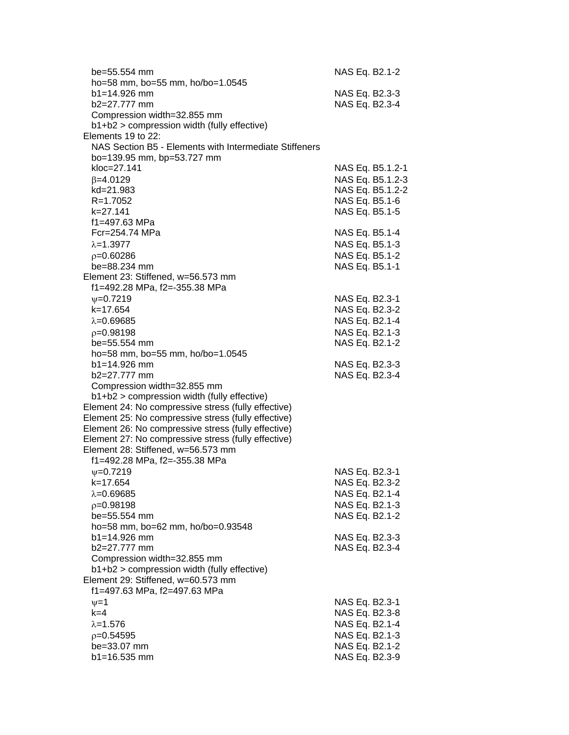| be=55.554 mm                                           | NAS Eq. B2.1-2   |
|--------------------------------------------------------|------------------|
| ho=58 mm, bo=55 mm, ho/bo=1.0545                       |                  |
| b1=14.926 mm                                           | NAS Eq. B2.3-3   |
| b2=27.777 mm                                           | NAS Eq. B2.3-4   |
| Compression width=32.855 mm                            |                  |
| b1+b2 > compression width (fully effective)            |                  |
| Elements 19 to 22:                                     |                  |
| NAS Section B5 - Elements with Intermediate Stiffeners |                  |
| bo=139.95 mm, bp=53.727 mm                             |                  |
| kloc=27.141                                            | NAS Eq. B5.1.2-1 |
| $\beta = 4.0129$                                       | NAS Eq. B5.1.2-3 |
| kd=21.983                                              | NAS Eq. B5.1.2-2 |
| R=1.7052                                               | NAS Eq. B5.1-6   |
| k=27.141                                               | NAS Eq. B5.1-5   |
| f1=497.63 MPa                                          |                  |
| Fcr=254.74 MPa                                         | NAS Eq. B5.1-4   |
| $\lambda = 1.3977$                                     | NAS Eq. B5.1-3   |
| $p=0.60286$                                            | NAS Eq. B5.1-2   |
| be=88.234 mm                                           | NAS Eq. B5.1-1   |
| Element 23: Stiffened, w=56.573 mm                     |                  |
| f1=492.28 MPa, f2=-355.38 MPa                          |                  |
| $V = 0.7219$                                           | NAS Eq. B2.3-1   |
| $k = 17.654$                                           | NAS Eq. B2.3-2   |
| $\lambda = 0.69685$                                    | NAS Eq. B2.1-4   |
| $p=0.98198$                                            | NAS Eq. B2.1-3   |
| be=55.554 mm                                           | NAS Eq. B2.1-2   |
| ho=58 mm, bo=55 mm, ho/bo=1.0545                       |                  |
| $b1 = 14.926$ mm<br>b2=27.777 mm                       | NAS Eq. B2.3-3   |
| Compression width=32.855 mm                            | NAS Eq. B2.3-4   |
| b1+b2 > compression width (fully effective)            |                  |
| Element 24: No compressive stress (fully effective)    |                  |
| Element 25: No compressive stress (fully effective)    |                  |
| Element 26: No compressive stress (fully effective)    |                  |
| Element 27: No compressive stress (fully effective)    |                  |
| Element 28: Stiffened, w=56.573 mm                     |                  |
| f1=492.28 MPa, f2=-355.38 MPa                          |                  |
| $V = 0.7219$                                           | NAS Eq. B2.3-1   |
| k=17.654                                               | NAS Eq. B2.3-2   |
| $\lambda = 0.69685$                                    | NAS Eq. B2.1-4   |
| $p=0.98198$                                            | NAS Eq. B2.1-3   |
| be=55.554 mm                                           | NAS Eq. B2.1-2   |
| ho=58 mm, bo=62 mm, ho/bo=0.93548                      |                  |
| $b1 = 14.926$ mm                                       | NAS Eq. B2.3-3   |
| b2=27.777 mm                                           | NAS Eq. B2.3-4   |
| Compression width=32.855 mm                            |                  |
| b1+b2 > compression width (fully effective)            |                  |
| Element 29: Stiffened, w=60.573 mm                     |                  |
| f1=497.63 MPa, f2=497.63 MPa                           |                  |
| $\nu = 1$                                              | NAS Eq. B2.3-1   |
| $k=4$                                                  | NAS Eq. B2.3-8   |
| $\lambda = 1.576$                                      | NAS Eq. B2.1-4   |
| $p=0.54595$                                            | NAS Eq. B2.1-3   |
| be=33.07 mm                                            | NAS Eq. B2.1-2   |
| b1=16.535 mm                                           | NAS Eq. B2.3-9   |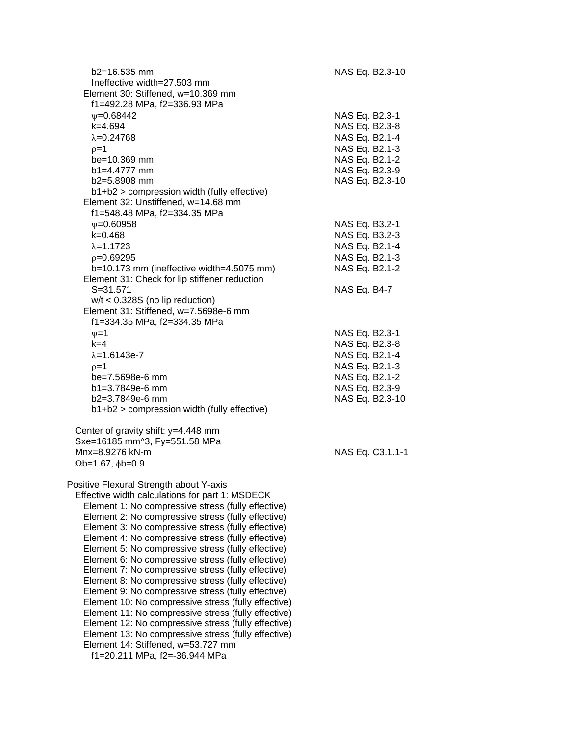| $b2 = 16.535$ mm<br>Ineffective width=27.503 mm<br>Element 30: Stiffened, w=10.369 mm                                                                                                                                                                                                                                                                                                                                                                                                                                                                                                                                                                                                                                                                                                                                                                                                               | NAS Eq. B2.3-10                                                                                                             |
|-----------------------------------------------------------------------------------------------------------------------------------------------------------------------------------------------------------------------------------------------------------------------------------------------------------------------------------------------------------------------------------------------------------------------------------------------------------------------------------------------------------------------------------------------------------------------------------------------------------------------------------------------------------------------------------------------------------------------------------------------------------------------------------------------------------------------------------------------------------------------------------------------------|-----------------------------------------------------------------------------------------------------------------------------|
| f1=492.28 MPa, f2=336.93 MPa<br>$\psi = 0.68442$<br>$k = 4.694$<br>$\lambda = 0.24768$<br>$p=1$<br>$be = 10.369$ mm<br>$b1 = 4.4777$ mm<br>$b2=5.8908$ mm<br>b1+b2 > compression width (fully effective)                                                                                                                                                                                                                                                                                                                                                                                                                                                                                                                                                                                                                                                                                            | NAS Eq. B2.3-1<br>NAS Eq. B2.3-8<br>NAS Eq. B2.1-4<br>NAS Eq. B2.1-3<br>NAS Eq. B2.1-2<br>NAS Eq. B2.3-9<br>NAS Eq. B2.3-10 |
| Element 32: Unstiffened, w=14.68 mm<br>f1=548.48 MPa, f2=334.35 MPa<br>$\psi = 0.60958$<br>$k = 0.468$<br>$\lambda = 1.1723$                                                                                                                                                                                                                                                                                                                                                                                                                                                                                                                                                                                                                                                                                                                                                                        | NAS Eq. B3.2-1<br>NAS Eq. B3.2-3<br>NAS Eq. B2.1-4                                                                          |
| $p=0.69295$<br>b=10.173 mm (ineffective width=4.5075 mm)<br>Element 31: Check for lip stiffener reduction<br>$S = 31.571$                                                                                                                                                                                                                                                                                                                                                                                                                                                                                                                                                                                                                                                                                                                                                                           | NAS Eq. B2.1-3<br>NAS Eq. B2.1-2<br>NAS Eq. B4-7                                                                            |
| $w/t < 0.328S$ (no lip reduction)<br>Element 31: Stiffened, w=7.5698e-6 mm<br>f1=334.35 MPa, f2=334.35 MPa                                                                                                                                                                                                                                                                                                                                                                                                                                                                                                                                                                                                                                                                                                                                                                                          |                                                                                                                             |
| $v = 1$<br>$k=4$<br>$\lambda = 1.6143e - 7$<br>$p=1$<br>be=7.5698e-6 mm<br>b1=3.7849e-6 mm<br>$b2=3.7849e-6$ mm<br>b1+b2 > compression width (fully effective)                                                                                                                                                                                                                                                                                                                                                                                                                                                                                                                                                                                                                                                                                                                                      | NAS Eq. B2.3-1<br>NAS Eq. B2.3-8<br>NAS Eq. B2.1-4<br>NAS Eq. B2.1-3<br>NAS Eq. B2.1-2<br>NAS Eq. B2.3-9<br>NAS Eq. B2.3-10 |
| Center of gravity shift: y=4.448 mm<br>Sxe=16185 mm^3, Fy=551.58 MPa<br>Mnx=8.9276 kN-m<br>$\Omega$ b=1.67, $\phi$ b=0.9                                                                                                                                                                                                                                                                                                                                                                                                                                                                                                                                                                                                                                                                                                                                                                            | NAS Eq. C3.1.1-1                                                                                                            |
| Positive Flexural Strength about Y-axis<br>Effective width calculations for part 1: MSDECK<br>Element 1: No compressive stress (fully effective)<br>Element 2: No compressive stress (fully effective)<br>Element 3: No compressive stress (fully effective)<br>Element 4: No compressive stress (fully effective)<br>Element 5: No compressive stress (fully effective)<br>Element 6: No compressive stress (fully effective)<br>Element 7: No compressive stress (fully effective)<br>Element 8: No compressive stress (fully effective)<br>Element 9: No compressive stress (fully effective)<br>Element 10: No compressive stress (fully effective)<br>Element 11: No compressive stress (fully effective)<br>Element 12: No compressive stress (fully effective)<br>Element 13: No compressive stress (fully effective)<br>Element 14: Stiffened, w=53.727 mm<br>f1=20.211 MPa, f2=-36.944 MPa |                                                                                                                             |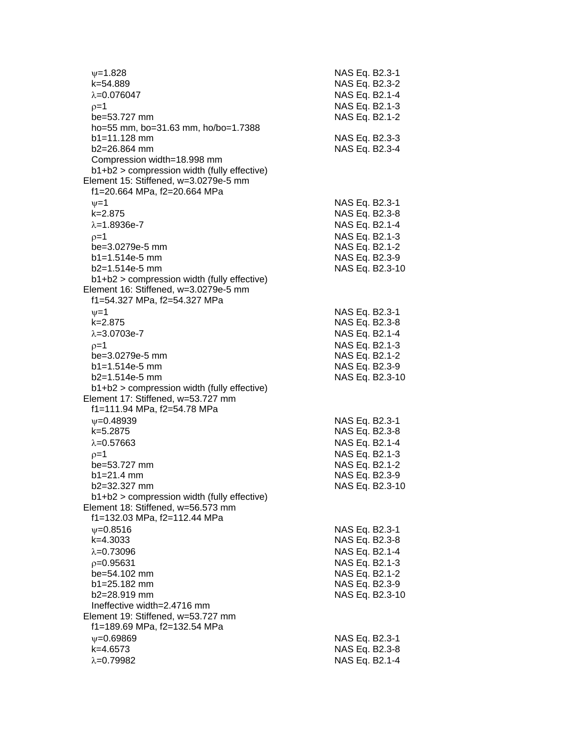| $\psi = 1.828$<br>k=54.889                    | NAS Eq. B2.3-1<br>NAS Eq. B2.3-2 |
|-----------------------------------------------|----------------------------------|
| $\lambda = 0.076047$                          | NAS Eq. B2.1-4                   |
| $p=1$                                         | NAS Eq. B2.1-3                   |
| be=53.727 mm                                  | NAS Eq. B2.1-2                   |
| ho=55 mm, bo=31.63 mm, ho/bo=1.7388           |                                  |
| $b1 = 11.128$ mm                              | NAS Eq. B2.3-3                   |
| $b2 = 26.864$ mm                              | NAS Eq. B2.3-4                   |
| Compression width=18.998 mm                   |                                  |
| b1+b2 > compression width (fully effective)   |                                  |
| Element 15: Stiffened, w=3.0279e-5 mm         |                                  |
|                                               |                                  |
| f1=20.664 MPa, f2=20.664 MPa                  |                                  |
| $\nu = 1$                                     | NAS Eq. B2.3-1                   |
| $k = 2.875$                                   | NAS Eq. B2.3-8                   |
| $\lambda = 1.8936e - 7$                       | NAS Eq. B2.1-4                   |
| $p=1$                                         | NAS Eq. B2.1-3                   |
| be=3.0279e-5 mm                               | NAS Eq. B2.1-2                   |
| $b1 = 1.514e-5$ mm                            | NAS Eq. B2.3-9                   |
| $b2=1.514e-5$ mm                              | NAS Eq. B2.3-10                  |
| $b1+b2$ > compression width (fully effective) |                                  |
| Element 16: Stiffened, w=3.0279e-5 mm         |                                  |
| f1=54.327 MPa, f2=54.327 MPa                  |                                  |
| $\nu = 1$                                     | NAS Eq. B2.3-1                   |
| k=2.875                                       | NAS Eq. B2.3-8                   |
| $\lambda = 3.0703e-7$                         | NAS Eq. B2.1-4                   |
| $p=1$                                         | NAS Eq. B2.1-3                   |
| be=3.0279e-5 mm                               | NAS Eq. B2.1-2                   |
| $b1 = 1.514e-5$ mm                            | NAS Eq. B2.3-9                   |
| $b2=1.514e-5$ mm                              | NAS Eq. B2.3-10                  |
| b1+b2 > compression width (fully effective)   |                                  |
| Element 17: Stiffened, w=53.727 mm            |                                  |
| f1=111.94 MPa, f2=54.78 MPa                   |                                  |
| $V = 0.48939$                                 | NAS Eq. B2.3-1                   |
| k=5.2875                                      | NAS Eq. B2.3-8                   |
| $\lambda = 0.57663$                           |                                  |
|                                               | NAS Eq. B2.1-4                   |
| $p=1$                                         | NAS Eq. B2.1-3                   |
| be=53.727 mm                                  | NAS Eq. B2.1-2                   |
| $b1 = 21.4$ mm                                | NAS Eq. B2.3-9                   |
| b2=32.327 mm                                  | NAS Eq. B2.3-10                  |
| $b1+b2$ > compression width (fully effective) |                                  |
| Element 18: Stiffened, w=56.573 mm            |                                  |
| f1=132.03 MPa, f2=112.44 MPa                  |                                  |
| $\psi = 0.8516$                               | NAS Eq. B2.3-1                   |
| k=4.3033                                      | NAS Eq. B2.3-8                   |
| $\lambda = 0.73096$                           | NAS Eq. B2.1-4                   |
| $p=0.95631$                                   | NAS Eq. B2.1-3                   |
| be=54.102 mm                                  | NAS Eq. B2.1-2                   |
| b1=25.182 mm                                  | NAS Eq. B2.3-9                   |
| b2=28.919 mm                                  | NAS Eq. B2.3-10                  |
| Ineffective width=2.4716 mm                   |                                  |
| Element 19: Stiffened, w=53.727 mm            |                                  |
| f1=189.69 MPa, f2=132.54 MPa                  |                                  |
| $\psi = 0.69869$                              | NAS Eq. B2.3-1                   |
| k=4.6573                                      | NAS Eq. B2.3-8                   |
| $\lambda = 0.79982$                           | NAS Eq. B2.1-4                   |
|                                               |                                  |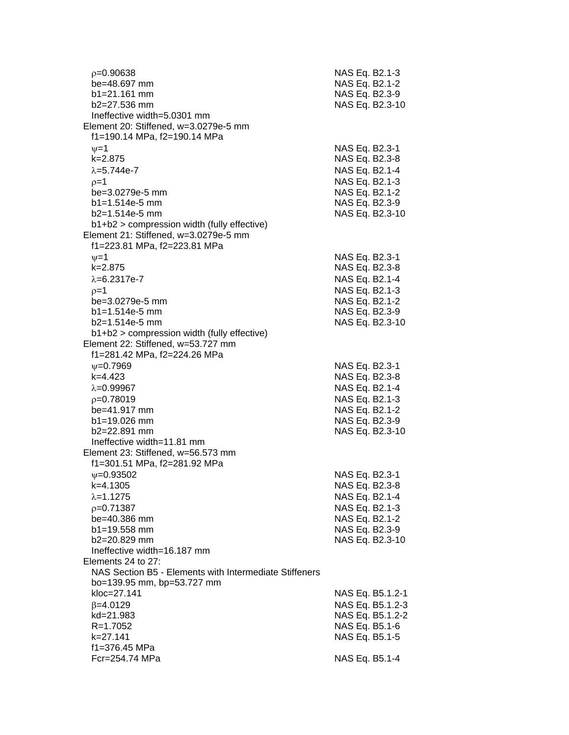| $p=0.90638$                                                                                                       | NAS Eq. B2.1-3                                     |
|-------------------------------------------------------------------------------------------------------------------|----------------------------------------------------|
| be=48.697 mm                                                                                                      | NAS Eq. B2.1-2                                     |
| $b1 = 21.161$ mm                                                                                                  | NAS Eq. B2.3-9                                     |
| $b2 = 27.536$ mm                                                                                                  | NAS Eq. B2.3-10                                    |
| Ineffective width=5,0301 mm<br>Element 20: Stiffened, w=3.0279e-5 mm                                              |                                                    |
| f1=190.14 MPa, f2=190.14 MPa<br>$\nu = 1$<br>$k = 2.875$<br>$\lambda = 5.744e - 7$                                | NAS Eq. B2.3-1<br>NAS Eq. B2.3-8<br>NAS Eq. B2.1-4 |
| $p=1$                                                                                                             | NAS Eq. B2.1-3                                     |
| be=3.0279e-5 mm                                                                                                   | NAS Eq. B2.1-2                                     |
| $b1 = 1.514e-5$ mm<br>b2=1.514e-5 mm<br>b1+b2 > compression width (fully effective)                               | NAS Eq. B2.3-9<br>NAS Eq. B2.3-10                  |
| Element 21: Stiffened, w=3.0279e-5 mm<br>f1=223.81 MPa, f2=223.81 MPa<br>$\nu = 1$                                | NAS Eq. B2.3-1                                     |
| $k = 2.875$                                                                                                       | NAS Eq. B2.3-8                                     |
| $\lambda = 6.2317e - 7$                                                                                           | NAS Eq. B2.1-4                                     |
| $p=1$                                                                                                             | NAS Eq. B2.1-3                                     |
| be=3.0279e-5 mm                                                                                                   | NAS Eq. B2.1-2                                     |
| $b1 = 1.514e-5$ mm                                                                                                | NAS Eq. B2.3-9                                     |
| $b2=1.514e-5$ mm                                                                                                  | NAS Eq. B2.3-10                                    |
| b1+b2 > compression width (fully effective)<br>Element 22: Stiffened, w=53.727 mm<br>f1=281.42 MPa, f2=224.26 MPa |                                                    |
| $V = 0.7969$                                                                                                      | NAS Eq. B2.3-1                                     |
| $k=4.423$                                                                                                         | NAS Eq. B2.3-8                                     |
| $\lambda = 0.99967$                                                                                               | NAS Eq. B2.1-4                                     |
| $p=0.78019$                                                                                                       | NAS Eq. B2.1-3                                     |
| be=41.917 mm                                                                                                      | NAS Eq. B2.1-2                                     |
| b1=19.026 mm                                                                                                      | NAS Eq. B2.3-9                                     |
| $b2 = 22.891$ mm                                                                                                  | NAS Eq. B2.3-10                                    |
| Ineffective width=11.81 mm<br>Element 23: Stiffened, w=56.573 mm<br>f1=301.51 MPa, f2=281.92 MPa                  |                                                    |
| $\nu = 0.93502$                                                                                                   | NAS Eq. B2.3-1                                     |
| k=4.1305                                                                                                          | NAS Eq. B2.3-8                                     |
| $\lambda = 1.1275$                                                                                                | NAS Eq. B2.1-4                                     |
| $p=0.71387$                                                                                                       | NAS Eq. B2.1-3                                     |
| be=40.386 mm                                                                                                      | NAS Eq. B2.1-2                                     |
| $b1 = 19.558$ mm                                                                                                  | NAS Eq. B2.3-9                                     |
| b2=20.829 mm                                                                                                      | NAS Eq. B2.3-10                                    |
| Ineffective width=16.187 mm<br>Elements 24 to 27:<br>NAS Section B5 - Elements with Intermediate Stiffeners       |                                                    |
| bo=139.95 mm, bp=53.727 mm<br>kloc=27.141<br>$\beta = 4.0129$                                                     | NAS Eq. B5.1.2-1<br>NAS Eq. B5.1.2-3               |
| kd=21.983                                                                                                         | NAS Eq. B5.1.2-2                                   |
| $R = 1.7052$                                                                                                      | NAS Eq. B5.1-6                                     |
| k=27.141                                                                                                          | NAS Eq. B5.1-5                                     |
| f1=376.45 MPa<br>Fcr=254.74 MPa                                                                                   | NAS Eq. B5.1-4                                     |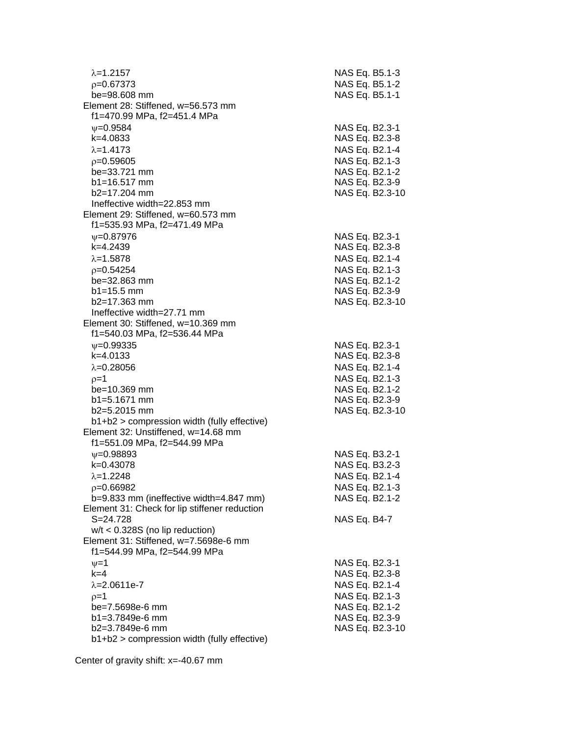| $\lambda = 1.2157$                            | NAS Eq. B5.1-3                    |
|-----------------------------------------------|-----------------------------------|
| $p=0.67373$                                   | NAS Eq. B5.1-2                    |
| be=98.608 mm                                  | NAS Eq. B5.1-1                    |
| Element 28: Stiffened, w=56.573 mm            |                                   |
| f1=470.99 MPa, f2=451.4 MPa                   |                                   |
| $\nu = 0.9584$                                | NAS Eq. B2.3-1                    |
| k=4.0833                                      | NAS Eq. B2.3-8                    |
| $\lambda = 1.4173$                            | NAS Eq. B2.1-4                    |
| $p=0.59605$                                   | NAS Eq. B2.1-3                    |
| be=33.721 mm                                  | NAS Eq. B2.1-2                    |
| $b1 = 16.517$ mm                              | NAS Eq. B2.3-9                    |
| b2=17.204 mm                                  | NAS Eq. B2.3-10                   |
| Ineffective width=22.853 mm                   |                                   |
| Element 29: Stiffened, w=60.573 mm            |                                   |
| f1=535.93 MPa, f2=471.49 MPa                  |                                   |
| $V = 0.87976$                                 | NAS Eq. B2.3-1                    |
| k=4.2439                                      | NAS Eq. B2.3-8                    |
| $\lambda = 1.5878$                            | NAS Eq. B2.1-4                    |
| $p=0.54254$                                   | NAS Eq. B2.1-3                    |
| be=32.863 mm                                  | NAS Eq. B2.1-2                    |
| $b1 = 15.5$ mm                                | NAS Eq. B2.3-9                    |
| $b2 = 17.363$ mm                              | NAS Eq. B2.3-10                   |
| Ineffective width=27.71 mm                    |                                   |
| Element 30: Stiffened, w=10.369 mm            |                                   |
| f1=540.03 MPa, f2=536.44 MPa                  |                                   |
| $\nu = 0.99335$                               | NAS Eq. B2.3-1                    |
| $k=4.0133$                                    | NAS Eq. B2.3-8                    |
| $\lambda = 0.28056$                           | NAS Eq. B2.1-4                    |
|                                               |                                   |
| $p=1$                                         | NAS Eq. B2.1-3                    |
| be=10.369 mm<br>$b1 = 5.1671$ mm              | NAS Eq. B2.1-2                    |
| b2=5.2015 mm                                  | NAS Eq. B2.3-9<br>NAS Eq. B2.3-10 |
| b1+b2 > compression width (fully effective)   |                                   |
| Element 32: Unstiffened, w=14.68 mm           |                                   |
| f1=551.09 MPa, f2=544.99 MPa                  |                                   |
| $V = 0.98893$                                 |                                   |
| k=0.43078                                     | NAS Eq. B3.2-1                    |
|                                               | NAS Eq. B3.2-3                    |
| $\lambda = 1.2248$                            | NAS Eq. B2.1-4                    |
| $p=0.66982$                                   | NAS Eq. B2.1-3                    |
| b=9.833 mm (ineffective width=4.847 mm)       | NAS Eq. B2.1-2                    |
| Element 31: Check for lip stiffener reduction |                                   |
| S=24.728                                      | <b>NAS Eq. B4-7</b>               |
| $w/t < 0.328S$ (no lip reduction)             |                                   |
| Element 31: Stiffened, w=7.5698e-6 mm         |                                   |
| f1=544.99 MPa, f2=544.99 MPa                  |                                   |
| $\nu = 1$                                     | NAS Eq. B2.3-1                    |
| $k=4$                                         | NAS Eq. B2.3-8                    |
| $\lambda = 2.0611e-7$                         | NAS Eq. B2.1-4                    |
| $p=1$                                         | NAS Eq. B2.1-3                    |
| be=7.5698e-6 mm                               | NAS Eq. B2.1-2                    |
| $b1 = 3.7849e-6$ mm                           | NAS Eq. B2.3-9                    |
| b2=3.7849e-6 mm                               | NAS Eq. B2.3-10                   |
| b1+b2 > compression width (fully effective)   |                                   |

Center of gravity shift: x=-40.67 mm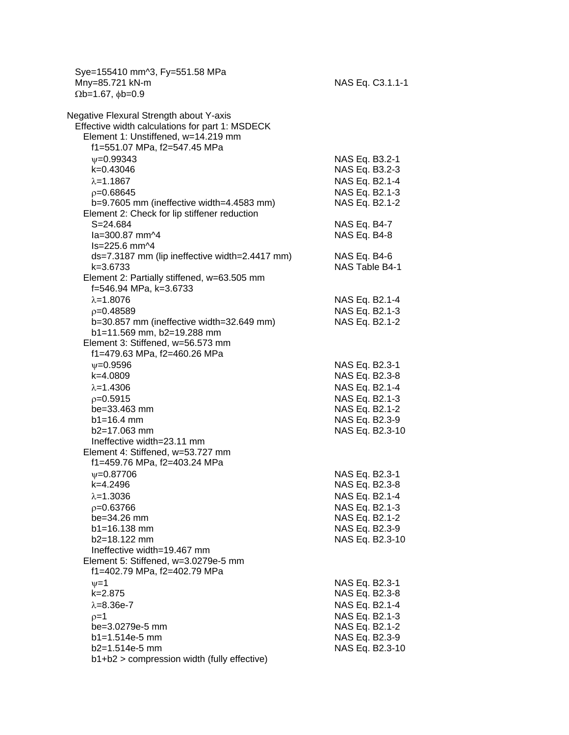Sye=155410 mm^3, Fy=551.58 MPa  $Mny=85.721 kN-m$   $MN=85.721 kN-m$  $\Omega$ b=1.67,  $\phi$ b=0.9

| Negative Flexural Strength about Y-axis<br>Effective width calculations for part 1: MSDECK |                                |
|--------------------------------------------------------------------------------------------|--------------------------------|
| Element 1: Unstiffened, w=14.219 mm                                                        |                                |
| f1=551.07 MPa, f2=547.45 MPa                                                               |                                |
| $\nu = 0.99343$                                                                            | NAS Eq. B3.2-1                 |
| k=0.43046                                                                                  | NAS Eq. B3.2-3                 |
|                                                                                            |                                |
| $\lambda = 1.1867$                                                                         | NAS Eq. B2.1-4                 |
| $p=0.68645$                                                                                | NAS Eq. B2.1-3                 |
| b=9.7605 mm (ineffective width=4.4583 mm)                                                  | NAS Eq. B2.1-2                 |
| Element 2: Check for lip stiffener reduction                                               |                                |
| $S = 24.684$                                                                               | NAS Eq. B4-7                   |
| la=300.87 mm^4                                                                             | NAS Eq. B4-8                   |
| $Is = 225.6$ mm $\sim 4$                                                                   |                                |
| ds=7.3187 mm (lip ineffective width=2.4417 mm)                                             | NAS Eq. B4-6<br>NAS Table B4-1 |
| k=3.6733<br>Element 2: Partially stiffened, w=63.505 mm                                    |                                |
|                                                                                            |                                |
| f=546.94 MPa, k=3.6733                                                                     |                                |
| $\lambda = 1.8076$                                                                         | NAS Eq. B2.1-4                 |
| $p=0.48589$                                                                                | NAS Eq. B2.1-3                 |
| b=30.857 mm (ineffective width=32.649 mm)                                                  | NAS Eq. B2.1-2                 |
| b1=11.569 mm, b2=19.288 mm                                                                 |                                |
| Element 3: Stiffened, w=56.573 mm                                                          |                                |
| f1=479.63 MPa, f2=460.26 MPa                                                               |                                |
| $\nu = 0.9596$                                                                             | NAS Eq. B2.3-1                 |
| k=4.0809                                                                                   | NAS Eq. B2.3-8                 |
| $\lambda = 1.4306$                                                                         | NAS Eq. B2.1-4                 |
| $p=0.5915$                                                                                 | NAS Eq. B2.1-3                 |
| be=33.463 mm                                                                               | NAS Eq. B2.1-2                 |
| $b1 = 16.4$ mm                                                                             | NAS Eq. B2.3-9                 |
| b2=17.063 mm                                                                               | NAS Eq. B2.3-10                |
| Ineffective width=23.11 mm                                                                 |                                |
| Element 4: Stiffened, w=53.727 mm                                                          |                                |
| f1=459.76 MPa, f2=403.24 MPa                                                               |                                |
| $\nu = 0.87706$                                                                            | NAS Eq. B2.3-1                 |
| k=4.2496                                                                                   | NAS Eq. B2.3-8                 |
| $\lambda = 1.3036$                                                                         | NAS Eq. B2.1-4                 |
| $p=0.63766$                                                                                | NAS Eq. B2.1-3                 |
| be=34.26 mm                                                                                | NAS Eq. B2.1-2                 |
| b1=16.138 mm                                                                               | NAS Eq. B2.3-9                 |
| $b2=18.122$ mm                                                                             | NAS Eq. B2.3-10                |
| Ineffective width=19.467 mm                                                                |                                |
| Element 5: Stiffened, w=3.0279e-5 mm                                                       |                                |
| f1=402.79 MPa, f2=402.79 MPa                                                               |                                |
| $\nu = 1$                                                                                  | NAS Eq. B2.3-1                 |
| k=2.875                                                                                    | NAS Eq. B2.3-8                 |
| $\lambda = 8.36e - 7$                                                                      | NAS Eq. B2.1-4                 |
| $p=1$                                                                                      | NAS Eq. B2.1-3                 |
| be=3.0279e-5 mm                                                                            | NAS Eq. B2.1-2                 |
| $b1 = 1.514e-5$ mm                                                                         | NAS Eq. B2.3-9                 |
| b2=1.514e-5 mm                                                                             | NAS Eq. B2.3-10                |
| b1+b2 > compression width (fully effective)                                                |                                |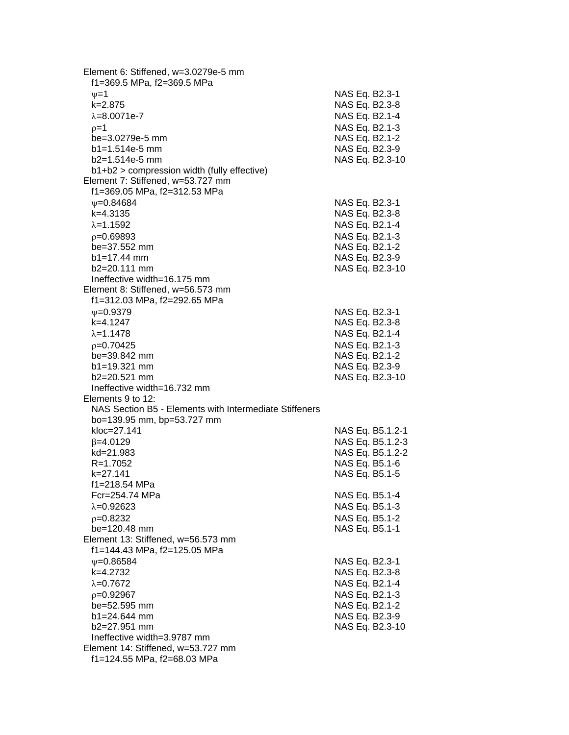Element 6: Stiffened, w=3.0279e-5 mm f1=369.5 MPa, f2=369.5 MPa  $v=1$  NAS Eq. B2.3-1 k=2.875 NAS Eq. B2.3-8  $\lambda = 8.0071$ e-7 NAS Eq. B2.1-4  $p=1$  NAS Eq. B2.1-3 be=3.0279e-5 mm NAS Eq. B2.1-2 b1=1.514e-5 mm NAS Eq. B2.3-9 b2=1.514e-5 mm NAS Eq. B2.3-10 b1+b2 > compression width (fully effective) Element 7: Stiffened, w=53.727 mm f1=369.05 MPa, f2=312.53 MPa =0.84684 NAS Eq. B2.3-1 k=4.3135 NAS Eq. B2.3-8  $\lambda = 1.1592$  NAS Eq. B2.1-4 =0.69893 NAS Eq. B2.1-3 be=37.552 mm NAS Eq. B2.1-2 b1=17.44 mm NAS Eq. B2.3-9 b2=20.111 mm NAS Eq. B2.3-10 Ineffective width=16.175 mm Element 8: Stiffened, w=56.573 mm f1=312.03 MPa, f2=292.65 MPa  $\nu$ =0.9379 NAS Eq. B2.3-1 k=4.1247 NAS Eq. B2.3-8  $\lambda = 1.1478$  NAS Eq. B2.1-4  $p=0.70425$  NAS Eq. B2.1-3 be=39.842 mm NAS Eq. B2.1-2 b1=19.321 mm NAS Eq. B2.3-9 b2=20.521 mm NAS Eq. B2.3-10 Ineffective width=16.732 mm Elements 9 to 12: NAS Section B5 - Elements with Intermediate Stiffeners bo=139.95 mm, bp=53.727 mm kloc=27.141 NAS Eq. B5.1.2-1  $\beta$ =4.0129 NAS Eq. B5.1.2-3 kd=21.983 NAS Eq. B5.1.2-2 R=1.7052 NAS Eq. B5.1-6 k=27.141 NAS Eq. B5.1-5 f1=218.54 MPa NAS Eq. B5.1-4  $\lambda$ =0.92623 NAS Eq. B5.1-3 =0.8232 NAS Eq. B5.1-2 be=120.48 mm NAS Eq. B5.1-1 Element 13: Stiffened, w=56.573 mm f1=144.43 MPa, f2=125.05 MPa  $\nu$ =0.86584 NAS Eq. B2.3-1 k=4.2732 NAS Eq. B2.3-8  $\lambda$ =0.7672 NAS Eq. B2.1-4  $p=0.92967$  NAS Eq. B2.1-3 be=52.595 mm NAS Eq. B2.1-2 b1=24.644 mm NAS Eq. B2.3-9 b2=27.951 mm NAS Eq. B2.3-10 Ineffective width=3.9787 mm Element 14: Stiffened, w=53.727 mm f1=124.55 MPa, f2=68.03 MPa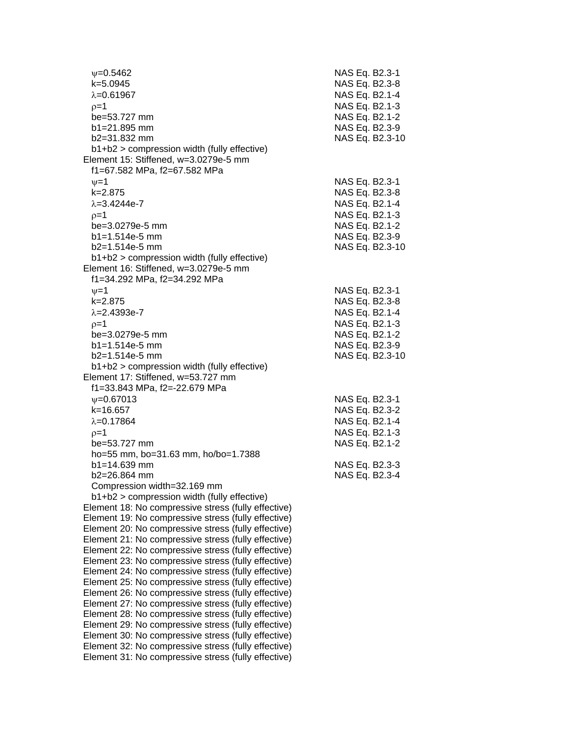=0.5462 NAS Eq. B2.3-1 k=5.0945 NAS Eq. B2.3-8  $\lambda$ =0.61967  $\lambda$  =0.61967  $p=1$  NAS Eq. B2.1-3 be=53.727 mm NAS Eq. B2.1-2 b1=21.895 mm NAS Eq. B2.3-9 b2=31.832 mm NAS Eq. B2.3-10 b1+b2 > compression width (fully effective) Element 15: Stiffened, w=3.0279e-5 mm f1=67.582 MPa, f2=67.582 MPa  $\nu=1$  NAS Eq. B2.3-1 k=2.875 NAS Eq. B2.3-8  $\lambda = 3.4244e-7$  NAS Eq. B2.1-4  $p=1$  NAS Eq. B2.1-3 be=3.0279e-5 mm NAS Eq. B2.1-2 b1=1.514e-5 mm NAS Eq. B2.3-9 b2=1.514e-5 mm NAS Eq. B2.3-10 b1+b2 > compression width (fully effective) Element 16: Stiffened, w=3.0279e-5 mm f1=34.292 MPa, f2=34.292 MPa  $v=1$  NAS Eq. B2.3-1 k=2.875 NAS Eq. B2.3-8  $\lambda$ =2.4393e-7 NAS Eq. B2.1-4  $\rho = 1$  NAS Eq. B2.1-3 be=3.0279e-5 mm NAS Eq. B2.1-2 b1=1.514e-5 mm NAS Eq. B2.3-9 b2=1.514e-5 mm NAS Eq. B2.3-10 b1+b2 > compression width (fully effective) Element 17: Stiffened, w=53.727 mm f1=33.843 MPa, f2=-22.679 MPa =0.67013 NAS Eq. B2.3-1 k=16.657 NAS Eq. B2.3-2  $\lambda$ =0.17864  $NAS$  Eq. B2.1-4  $p=1$  NAS Eq. B2.1-3 be=53.727 mm NAS Eq. B2.1-2 ho=55 mm, bo=31.63 mm, ho/bo=1.7388 b1=14.639 mm NAS Eq. B2.3-3 b2=26.864 mm NAS Eq. B2.3-4 Compression width=32.169 mm b1+b2 > compression width (fully effective) Element 18: No compressive stress (fully effective) Element 19: No compressive stress (fully effective) Element 20: No compressive stress (fully effective) Element 21: No compressive stress (fully effective) Element 22: No compressive stress (fully effective) Element 23: No compressive stress (fully effective) Element 24: No compressive stress (fully effective) Element 25: No compressive stress (fully effective) Element 26: No compressive stress (fully effective) Element 27: No compressive stress (fully effective) Element 28: No compressive stress (fully effective) Element 29: No compressive stress (fully effective) Element 30: No compressive stress (fully effective) Element 32: No compressive stress (fully effective) Element 31: No compressive stress (fully effective)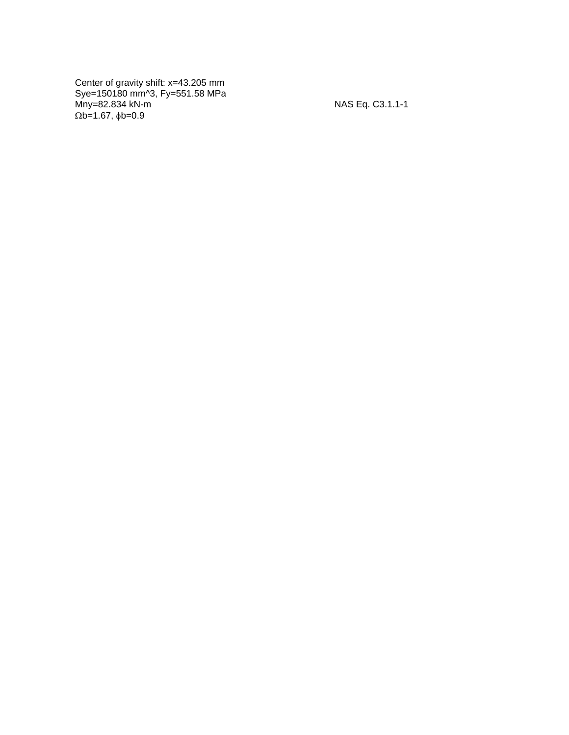Center of gravity shift: x=43.205 mm Sye=150180 mm^3, Fy=551.58 MPa Mny=82.834 kN - m NAS Eq. C3.1.1  $\Omega$ b=1.67,  $\phi$ b=0.9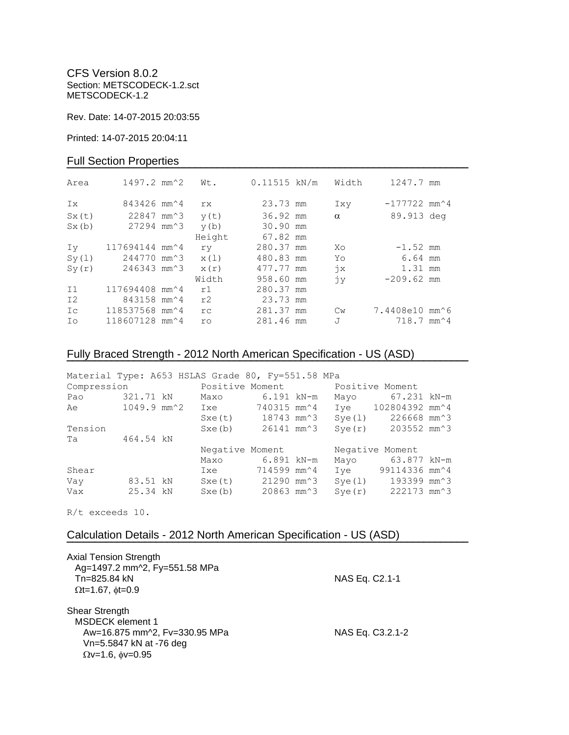CFS Version 8.0.2 Section: METSCODECK-1.2.sct METSCODECK-1.2

Rev. Date: 14-07-2015 20:03:55

Printed: 14-07-2015 20:04:11

### Full Section Properties

| Area           | $1497.2$ mm <sup><math>2</math></sup>    | Wt.    | $0.11515$ kN/m | Width         | 1247.7 mm                                |  |
|----------------|------------------------------------------|--------|----------------|---------------|------------------------------------------|--|
| Ix             | 843426 mm <sup><math>\sim</math></sup> 4 | rx     | 23.73 mm       | Ixy           | $-177722$ mm <sup><math>4</math></sup>   |  |
| Sx(t)          | 22847 mm <sup>2</sup> 3                  | y(t)   | 36.92 mm       | $\alpha$      | 89.913 deg                               |  |
| Sx(b)          | 27294 mm <sup>2</sup> 3                  | y(b)   | 30.90 mm       |               |                                          |  |
|                |                                          | Height | 67.82 mm       |               |                                          |  |
| Iv             | 117694144 mm^4                           | ry     | 280.37 mm      | Xo            | $-1.52$ mm                               |  |
| Sy(1)          | 244770 mm <sup>2</sup> 3                 | x(1)   | 480.83 mm      | Yo            | 6.64 mm                                  |  |
| Sy(r)          | 246343 mm^3                              | x(r)   | 477.77 mm      | $\dot{7}x$    | 1.31 mm                                  |  |
|                |                                          | Width  | 958.60 mm      | jу            | $-209.62$ mm                             |  |
| I <sub>1</sub> | 117694408 mm <sup>2</sup> 4              | r1     | 280.37 mm      |               |                                          |  |
| I <sub>2</sub> | 843158 mm <sup><math>4</math></sup>      | r2     | 23.73 mm       |               |                                          |  |
| Ic             | 118537568 mm^4                           | rc     | 281.37 mm      | $\mathbb{C}w$ | 7.4408e10 mm^6                           |  |
| Ιo             | 118607128 mm^4                           | ro     | 281.46 mm      | J             | $718.7$ mm <sup><math>\sim</math>4</sup> |  |

# Fully Braced Strength - 2012 North American Specification - US (ASD)

| Material Type: A653 HSLAS Grade 80, Fy=551.58 MPa |           |  |                                             |                                |        |                                              |  |
|---------------------------------------------------|-----------|--|---------------------------------------------|--------------------------------|--------|----------------------------------------------|--|
| Positive Moment<br>Compression                    |           |  |                                             |                                |        | Positive Moment                              |  |
| Pao                                               | 321.71 kN |  | Maxo                                        | 6.191 kN-m                     | Mayo   | 67.231 kN-m                                  |  |
| Ae                                                |           |  | $1049.9$ mm $^2$ Ixe                        | 740315 mm^4                    |        | Iye 102804392 mm^4                           |  |
|                                                   |           |  |                                             | Sxe(t) 18743 mm <sup>2</sup> 3 | Sye(1) | 226668 mm^3                                  |  |
| Tension                                           |           |  | Sxe(b)                                      | 26141 mm^3                     |        | $Sye(r)$ 203552 mm <sup><math>3</math></sup> |  |
| Ta                                                | 464.54 kN |  |                                             |                                |        |                                              |  |
|                                                   |           |  | Negative Moment                             |                                |        | Negative Moment                              |  |
|                                                   |           |  | Maxo                                        | 6.891 kN-m                     | Mayo   | 63.877 kN-m                                  |  |
| Shear                                             |           |  | Ixe                                         | 714599 mm^4                    | Ive    | 99114336 mm^4                                |  |
| Vay                                               | 83.51 kN  |  | $Sxe(t)$ 21290 mm <sup><math>3</math></sup> |                                | Sye(1) | 193399 mm^3                                  |  |
| Vax                                               | 25.34 kN  |  | Sxe(b)                                      | 20863 mm^3                     | Sve(r) | 222173 mm^3                                  |  |

**¯¯¯¯¯¯¯¯¯¯¯¯¯¯¯¯¯¯¯¯¯¯¯¯¯¯¯¯¯¯¯¯¯¯¯¯¯¯¯¯¯¯¯¯¯¯¯¯¯¯¯¯¯¯¯¯¯¯¯¯¯¯¯¯¯¯¯¯¯¯¯¯**

R/t exceeds 10.

## Calculation Details - 2012 North American Specification - US (ASD)

| Axial Tension Strength<br>Ag=1497.2 mm^2, Fy=551.58 MPa                              |                  |
|--------------------------------------------------------------------------------------|------------------|
| Tn=825.84 kN<br>$\Omega t = 1.67$ , $\phi t = 0.9$                                   | NAS Eq. C2.1-1   |
| Shear Strength<br><b>MSDECK</b> element 1                                            |                  |
| Aw=16.875 mm^2, Fv=330.95 MPa<br>Vn=5.5847 kN at -76 deg<br>$Qv=1.6$ , $\phi v=0.95$ | NAS Eq. C3.2.1-2 |
|                                                                                      |                  |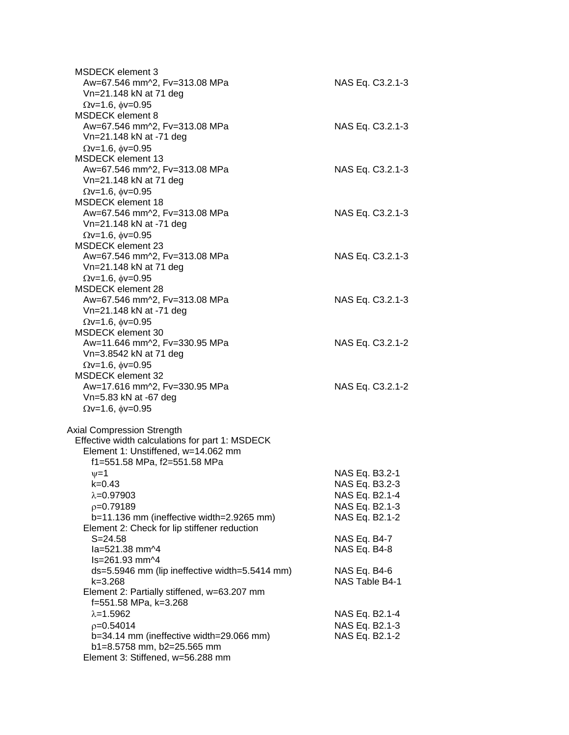| MSDECK element 3<br>Aw=67.546 mm^2, Fv=313.08 MPa<br>Vn=21.148 kN at 71 deg                                                                                               | NAS Eq. C3.2.1-3                                                                       |
|---------------------------------------------------------------------------------------------------------------------------------------------------------------------------|----------------------------------------------------------------------------------------|
| $\Omega$ v=1.6, $\phi$ v=0.95<br><b>MSDECK</b> element 8<br>Aw=67.546 mm^2, Fv=313.08 MPa<br>Vn=21.148 kN at -71 deg                                                      | NAS Eq. C3.2.1-3                                                                       |
| $\Omega$ v=1.6, $\phi$ v=0.95<br><b>MSDECK</b> element 13<br>Aw=67.546 mm^2, Fv=313.08 MPa<br>Vn=21.148 kN at 71 deg                                                      | NAS Eq. C3.2.1-3                                                                       |
| $\Omega$ v=1.6, $\phi$ v=0.95<br><b>MSDECK</b> element 18<br>Aw=67.546 mm^2, Fv=313.08 MPa<br>Vn=21.148 kN at -71 deg<br>$\Omega$ v=1.6, $\phi$ v=0.95                    | NAS Eq. C3.2.1-3                                                                       |
| <b>MSDECK</b> element 23<br>Aw=67.546 mm^2, Fv=313.08 MPa<br>Vn=21.148 kN at 71 deg<br>$\Omega$ v=1.6, $\phi$ v=0.95                                                      | NAS Eq. C3.2.1-3                                                                       |
| <b>MSDECK element 28</b><br>Aw=67.546 mm^2, Fv=313.08 MPa<br>Vn=21.148 kN at -71 deg<br>$\Omega$ v=1.6, $\phi$ v=0.95                                                     | NAS Eq. C3.2.1-3                                                                       |
| MSDECK element 30<br>Aw=11.646 mm^2, Fv=330.95 MPa<br>Vn=3.8542 kN at 71 deg<br>$\Omega$ v=1.6, $\phi$ v=0.95                                                             | NAS Eq. C3.2.1-2                                                                       |
| <b>MSDECK element 32</b><br>Aw=17.616 mm^2, Fv=330.95 MPa<br>Vn=5.83 kN at -67 deg<br>$\Omega$ v=1.6, $\phi$ v=0.95                                                       | NAS Eq. C3.2.1-2                                                                       |
| <b>Axial Compression Strength</b><br>Effective width calculations for part 1: MSDECK<br>Element 1: Unstiffened, w=14.062 mm                                               |                                                                                        |
| f1=551.58 MPa, f2=551.58 MPa<br>$\nu = 1$<br>k=0.43<br>$\lambda = 0.97903$<br>$p=0.79189$<br>b=11.136 mm (ineffective width=2.9265 mm)                                    | NAS Eq. B3.2-1<br>NAS Eq. B3.2-3<br>NAS Eq. B2.1-4<br>NAS Eq. B2.1-3<br>NAS Eq. B2.1-2 |
| Element 2: Check for lip stiffener reduction<br>$S = 24.58$<br>la=521.38 mm^4                                                                                             | NAS Eq. B4-7<br><b>NAS Eq. B4-8</b>                                                    |
| ls=261.93 mm^4<br>ds=5.5946 mm (lip ineffective width=5.5414 mm)<br>k=3.268<br>Element 2: Partially stiffened, w=63.207 mm                                                | NAS Eq. B4-6<br>NAS Table B4-1                                                         |
| f=551.58 MPa, k=3.268<br>$\lambda = 1.5962$<br>$p=0.54014$<br>b=34.14 mm (ineffective width=29.066 mm)<br>b1=8.5758 mm, b2=25.565 mm<br>Element 3: Stiffened, w=56.288 mm | NAS Eq. B2.1-4<br>NAS Eq. B2.1-3<br>NAS Eq. B2.1-2                                     |
|                                                                                                                                                                           |                                                                                        |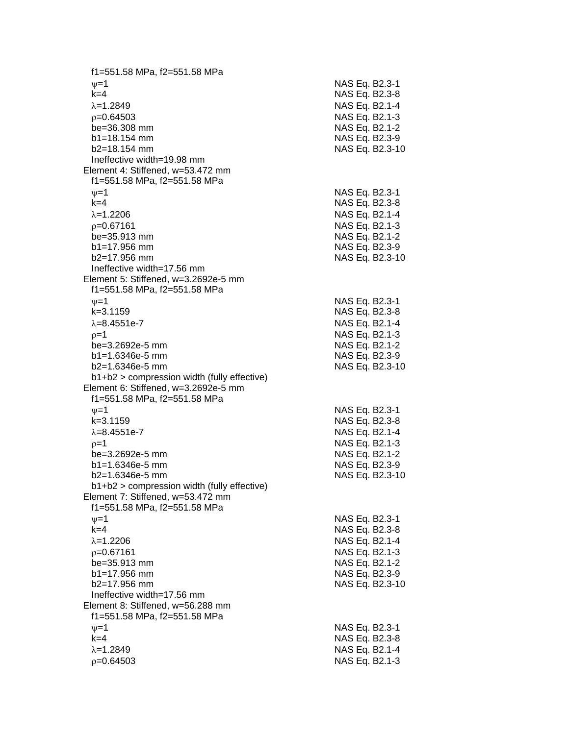f1=551.58 MPa, f2=551.58 MPa  $\psi$ =1 NAS Eq. B2.3-1 k=4 NAS Eq. B2.3 - 8 λ=1.2849 NAS Eq. B2.1-4  $\rho$ =0.64503 NAS Eq. B2.1-3 be=36.308 mm NAS Eq. B2.1-2 b1=18.154 mm NAS Eq. B2.3-9  $b2=18.154$  mm NAS Eq. B2.3-10 Ineffective width=19.98 mm Element 4: Stiffened, w=53.472 mm f1=551.58 MPa, f2=551.58 MPa  $\psi$ =1 NAS Eq. B2.3-1 k=4 NAS Eq. B2.3 - 8 =1.2206 NAS Eq. B2.1 - 4  $\rho$ =0.67161 NAS Eq. B2.1-3  $be = 35.913$  mm  $b1 = 17.956$  mm b2=17.956 mm NAS Eq. B2.3 -10 Ineffective width=17.56 mm Element 5: Stiffened, w=3.2692e -5 mm f1=551.58 MPa, f2=551.58 MPa  $\nu$  =1 NAS Eq. B2.3-1 k=3.1159 NAS Eq. B2.3 - 8 λ=8.4551e-7 NAS Eq. B2.1 - 4  $\rho=1$  NAS Eq. B2.1-3 be=3.2692e -5 mm NAS Eq. B2.1 - 2  $b1 = 1.6346e-5$  mm -5 mm NAS Eq. B2.3 - 9 b2=1.6346e-5 mm -5 mm NAS Eq. B2.3 -10 b1+b2 > compression width (fully effective) Element 6: Stiffened, w=3.2692e -5 mm f1=551.58 MPa, f2=551.58 MPa  $\psi$ =1 NAS Eq. B2.3-1 k=3.1159 NAS Eq. B2.3 - 8 λ=8.4551e-7 NAS Eq. B2.1 - 4  $\rho$ =1 NAS Eq. B2.1-3 be=3.2692e -5 mm NAS Eq. B2.1 - 2 b1=1.6346e-5 mm -5 mm NAS Eq. B2.3 - 9 b2=1.6346e -5 mm NAS Eq. B2.3 -10 b1+b2 > compression width (fully effective) Element 7: Stiffened, w=53.472 mm f1=551.58 MPa, f2=551.58 MPa  $\psi$ =1 NAS Eq. B2.3-1 k=4 NAS Eq. B2.3 - 8 =1.2206 NAS Eq. B2.1 - 4  $p = 0.67161$ =0.67161 NAS Eq. B2.1 - 3 be=35.913 mm b1=17.956 mm NAS Eq. B2.3-9 b2=17.956 mm NAS Eq. B2.3 -10 Ineffective width=17.56 mm Element 8: Stiffened, w=56.288 mm f1=551.58 MPa, f2=551.58 MPa  $\nu$  =1 NAS Eq. B2.3-1 k=4 NAS Eq. B2.3 - 8 =1.2849 NAS Eq. B2.1 - 4  $\rho$ =0.64503 NAS Eq. B2.1-3

- 2

- 9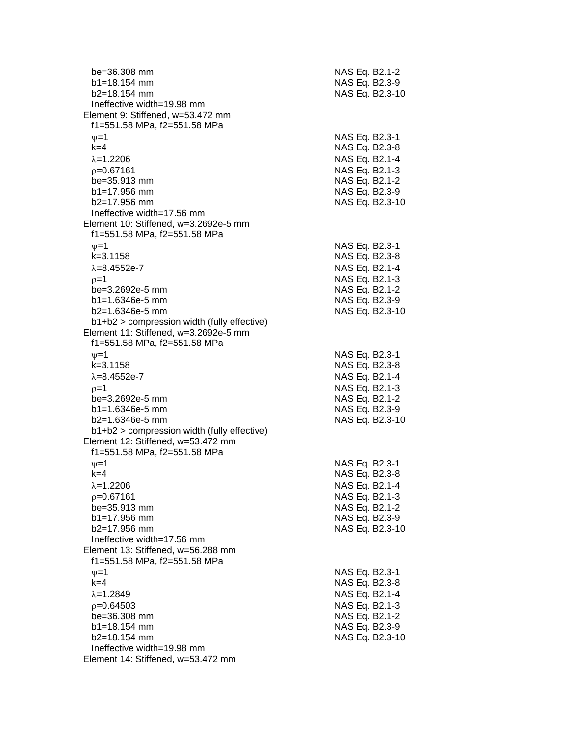| be=36.308 mm<br>$b1 = 18.154$ mm                                                    | NAS Eq. B2.1-2<br>NAS Eq. B2.3-9 |
|-------------------------------------------------------------------------------------|----------------------------------|
| b2=18.154 mm                                                                        | NAS Eq. B2.3-10                  |
| Ineffective width=19.98 mm                                                          |                                  |
| Element 9: Stiffened, w=53.472 mm                                                   |                                  |
| f1=551.58 MPa, f2=551.58 MPa                                                        |                                  |
| $\nu = 1$                                                                           | NAS Eq. B2.3-1                   |
| $k=4$                                                                               | NAS Eq. B2.3-8                   |
| $\lambda = 1.2206$                                                                  | NAS Eq. B2.1-4                   |
| $p = 0.67161$                                                                       | NAS Eq. B2.1-3                   |
| be=35.913 mm                                                                        | NAS Eq. B2.1-2                   |
| $b1 = 17.956$ mm                                                                    | NAS Eq. B2.3-9                   |
| b2=17.956 mm                                                                        | NAS Eq. B2.3-10                  |
| Ineffective width=17.56 mm                                                          |                                  |
| Element 10: Stiffened, w=3.2692e-5 mm<br>f1=551.58 MPa, f2=551.58 MPa               |                                  |
| $\nu = 1$                                                                           | NAS Eq. B2.3-1                   |
| $k = 3.1158$                                                                        | NAS Eq. B2.3-8                   |
| $\lambda = 8.4552e - 7$                                                             | NAS Eq. B2.1-4                   |
|                                                                                     | NAS Eq. B2.1-3                   |
| $p=1$                                                                               |                                  |
| be=3.2692e-5 mm<br>$b1 = 1.6346e-5$ mm                                              | NAS Eq. B2.1-2                   |
| $b2=1.6346e-5$ mm                                                                   | NAS Eq. B2.3-9                   |
| b1+b2 > compression width (fully effective)                                         | NAS Eq. B2.3-10                  |
| Element 11: Stiffened, w=3.2692e-5 mm                                               |                                  |
| f1=551.58 MPa, f2=551.58 MPa                                                        |                                  |
|                                                                                     |                                  |
| $\nu = 1$<br>$k = 3.1158$                                                           | NAS Eq. B2.3-1                   |
| $\lambda = 8.4552e - 7$                                                             | NAS Eq. B2.3-8                   |
|                                                                                     | NAS Eq. B2.1-4                   |
| $p=1$                                                                               | NAS Eq. B2.1-3                   |
| be=3.2692e-5 mm                                                                     | NAS Eq. B2.1-2                   |
| $b1 = 1.6346e-5$ mm<br>$b2=1.6346e-5$ mm                                            | NAS Eq. B2.3-9                   |
|                                                                                     | NAS Eq. B2.3-10                  |
| $b1+b2$ > compression width (fully effective)<br>Element 12: Stiffened, w=53.472 mm |                                  |
| f1=551.58 MPa, f2=551.58 MPa                                                        |                                  |
|                                                                                     |                                  |
| $v = 1$                                                                             | NAS Eq. B2.3-1                   |
| k=4                                                                                 | NAS Eq. B2.3-8                   |
| $\lambda = 1.2206$                                                                  | NAS Eq. B2.1-4                   |
| $p=0.67161$                                                                         | NAS Eq. B2.1-3                   |
| be=35.913 mm<br>$b1 = 17.956$ mm                                                    | NAS Eq. B2.1-2                   |
|                                                                                     | NAS Eq. B2.3-9                   |
| b2=17.956 mm<br>Ineffective width=17.56 mm                                          | NAS Eq. B2.3-10                  |
| Element 13: Stiffened, w=56.288 mm                                                  |                                  |
| f1=551.58 MPa, f2=551.58 MPa                                                        |                                  |
|                                                                                     |                                  |
| $\nu = 1$<br>$k=4$                                                                  | NAS Eq. B2.3-1                   |
|                                                                                     | NAS Eq. B2.3-8                   |
| $\lambda = 1.2849$                                                                  | NAS Eq. B2.1-4                   |
| $p=0.64503$                                                                         | NAS Eq. B2.1-3                   |
| be=36.308 mm                                                                        | NAS Eq. B2.1-2                   |
| b1=18.154 mm<br>$b2 = 18.154$ mm                                                    | NAS Eq. B2.3-9                   |
| Ineffective width=19.98 mm                                                          | NAS Eq. B2.3-10                  |
| Element 14: Stiffened, w=53.472 mm                                                  |                                  |
|                                                                                     |                                  |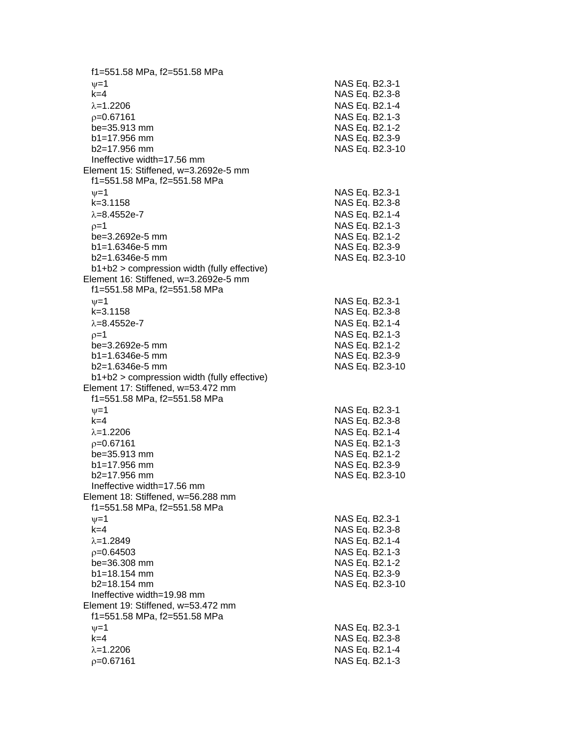f1=551.58 MPa, f2=551.58 MPa  $\psi$ =1 NAS Eq. B2.3-1 k=4 NAS Eq. B2.3 - 8 =1.2206 NAS Eq. B2.1 - 4  $\rho$ =0.67161 NAS Eq. B2.1-3 be=35.913 mm NAS Eq. B2.1-2  $b1=17.956$  mm  $b2=17.956$  mm NAS Eq. B2.3-10 Ineffective width=17.56 mm Element 15: Stiffened, w=3.2692e -5 mm f1=551.58 MPa, f2=551.58 MPa  $\psi$ =1 NAS Eq. B2.3-1 k=3.1158 NAS Eq. B2.3 - 8 λ=8.4552e-7 NAS Eq. B2.1 - 4  $\rho$ =1 NAS Eq. B2.1-3 be=3.2692e -5 mm NAS Eq. B2.1 - 2 b1=1.6346e-5 mm -5 mm NAS Eq. B2.3 - 9 b2=1.6346e -5 mm NAS Eq. B2.3 -10 b1+b2 > compression width (fully effective) Element 16: Stiffened, w=3.2692e -5 mm f1=551.58 MPa, f2=551.58 MPa  $\nu$  =1 NAS Eq. B2.3-1 k=3.1158 NAS Eq. B2.3 - 8 λ=8.4552e-7 NAS Eq. B2.1 - 4  $\rho=1$  NAS Eq. B2.1-3 be=3.2692e -5 mm NAS Eq. B2.1 - 2  $b1 = 1.6346e-5$  mm -5 mm NAS Eq. B2.3 - 9 b2=1.6346e -5 mm NAS Eq. B2.3 -10 b1+b2 > compression width (fully effective) Element 17: Stiffened, w=53.472 mm f1=551.58 MPa, f2=551.58 MPa  $\psi$ =1 NAS Eq. B2.3-1 k=4 NAS Eq. B2.3 - 8 =1.2206 NAS Eq. B2.1 - 4  $\rho$ =0.67161 NAS Eq. B2.1-3 be=35.913 mm NAS Eq. B2.1-2  $b1 = 17.956$  mm  $b2=17.956$  mm NAS Eq. B2.3-10 Ineffective width=17.56 mm Element 18: Stiffened, w=56.288 mm f1=551.58 MPa, f2=551.58 MPa  $\psi$ =1 NAS Eq. B2.3-1 k=4 NAS Eq. B2.3 - 8 =1.2849 NAS Eq. B2.1 - 4  $\rho$ =0.64503 NAS Eq. B2.1-3 be=36.308 mm b1=18.154 mm NAS Eq. B2.3-9 b2=18.154 mm NAS Eq. B2.3 -10 Ineffective width=19.98 mm Element 19: Stiffened, w=53.472 mm f1=551.58 MPa, f2=551.58 MPa  $\nu$  =1 NAS Eq. B2.3-1 k=4 NAS Eq. B2.3 - 8 =1.2206 NAS Eq. B2.1 - 4  $\rho$ =0.67161 NAS Eq. B2.1-3

- 9

- 9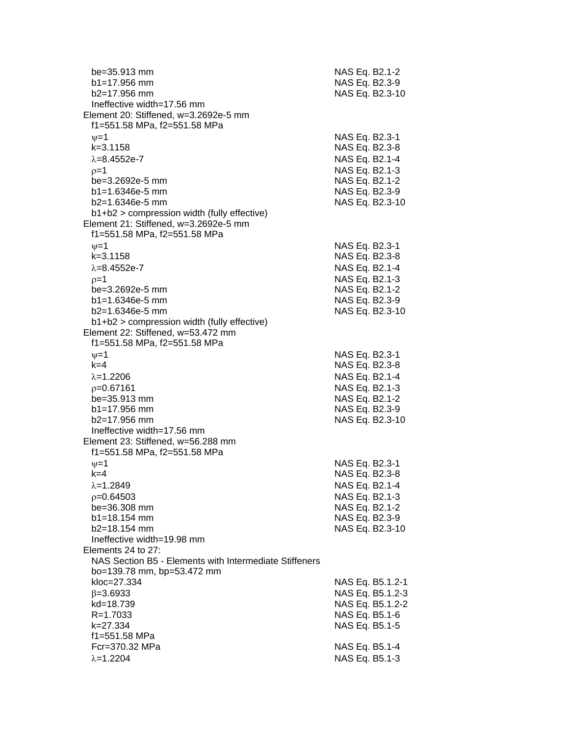| be=35.913 mm<br>$b1 = 17.956$ mm<br>$b2=17.956$ mm<br>Ineffective width=17.56 mm | NAS Eq. B2.1-2<br>NAS Eq. B2.3-9<br>NAS Eq. B2.3-10 |
|----------------------------------------------------------------------------------|-----------------------------------------------------|
| Element 20: Stiffened, w=3.2692e-5 mm                                            |                                                     |
| f1=551.58 MPa, f2=551.58 MPa                                                     |                                                     |
| $\nu = 1$                                                                        | NAS Eq. B2.3-1                                      |
| $k = 3.1158$<br>$\lambda = 8.4552e - 7$                                          | NAS Eq. B2.3-8                                      |
| $p=1$                                                                            | NAS Eq. B2.1-4<br>NAS Eq. B2.1-3                    |
| be=3.2692e-5 mm                                                                  | NAS Eq. B2.1-2                                      |
| $b1 = 1.6346e-5$ mm                                                              | NAS Eq. B2.3-9                                      |
| $b2=1.6346e-5$ mm                                                                | NAS Eq. B2.3-10                                     |
| b1+b2 > compression width (fully effective)                                      |                                                     |
| Element 21: Stiffened, w=3.2692e-5 mm                                            |                                                     |
| f1=551.58 MPa, f2=551.58 MPa                                                     |                                                     |
| $\nu = 1$                                                                        | NAS Eq. B2.3-1                                      |
| $k = 3.1158$                                                                     | NAS Eq. B2.3-8                                      |
| $\lambda = 8.4552e - 7$                                                          | NAS Eq. B2.1-4                                      |
| $p=1$                                                                            | NAS Eq. B2.1-3                                      |
| be=3.2692e-5 mm<br>$b1 = 1.6346e-5$ mm                                           | NAS Eq. B2.1-2                                      |
| b2=1.6346e-5 mm                                                                  | NAS Eq. B2.3-9<br>NAS Eq. B2.3-10                   |
| b1+b2 > compression width (fully effective)                                      |                                                     |
| Element 22: Stiffened, w=53.472 mm                                               |                                                     |
| f1=551.58 MPa, f2=551.58 MPa                                                     |                                                     |
| $\nu = 1$                                                                        | NAS Eq. B2.3-1                                      |
| $k=4$                                                                            | NAS Eq. B2.3-8                                      |
| $\lambda = 1.2206$                                                               | NAS Eq. B2.1-4                                      |
| $p=0.67161$                                                                      | NAS Eq. B2.1-3                                      |
| be=35.913 mm                                                                     | NAS Eq. B2.1-2                                      |
| b1=17.956 mm                                                                     | NAS Eq. B2.3-9                                      |
| b2=17.956 mm<br>Ineffective width=17.56 mm                                       | NAS Eq. B2.3-10                                     |
| Element 23: Stiffened, w=56.288 mm                                               |                                                     |
| f1=551.58 MPa, f2=551.58 MPa                                                     |                                                     |
| $v = 1$                                                                          | NAS Eq. B2.3-1                                      |
| k=4                                                                              | NAS Eq. B2.3-8                                      |
| $\lambda = 1.2849$                                                               | NAS Eq. B2.1-4                                      |
| $p=0.64503$                                                                      | NAS Eq. B2.1-3                                      |
| be=36.308 mm                                                                     | NAS Eq. B2.1-2                                      |
| b1=18.154 mm                                                                     | NAS Eq. B2.3-9                                      |
| b2=18.154 mm                                                                     | NAS Eq. B2.3-10                                     |
| Ineffective width=19.98 mm<br>Elements 24 to 27:                                 |                                                     |
| NAS Section B5 - Elements with Intermediate Stiffeners                           |                                                     |
| bo=139.78 mm, bp=53.472 mm                                                       |                                                     |
| kloc=27.334                                                                      | NAS Eq. B5.1.2-1                                    |
| $\beta = 3.6933$                                                                 | NAS Eq. B5.1.2-3                                    |
| kd=18.739                                                                        | NAS Eq. B5.1.2-2                                    |
| $R = 1.7033$                                                                     | NAS Eq. B5.1-6                                      |
| k=27.334                                                                         | NAS Eq. B5.1-5                                      |
| f1=551.58 MPa                                                                    |                                                     |
| Fcr=370.32 MPa                                                                   | NAS Eq. B5.1-4                                      |
| $\lambda = 1.2204$                                                               | NAS Eq. B5.1-3                                      |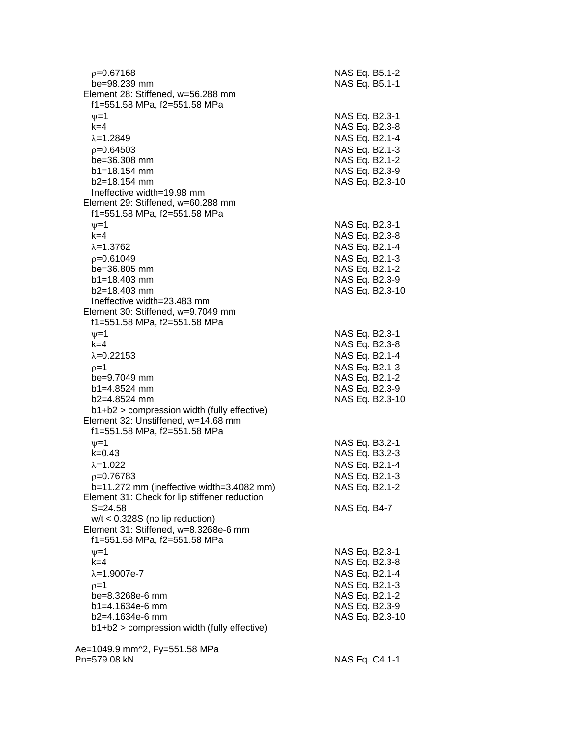| p=0.67168<br>be=98.239 mm<br>Element 28: Stiffened, w=56.288 mm<br>f1=551.58 MPa, f2=551.58 MPa | NAS Eq. B5.1-2<br>NAS Eq. B5.1-1 |
|-------------------------------------------------------------------------------------------------|----------------------------------|
| $\nu = 1$                                                                                       | NAS Eq. B2.3-1                   |
| $k=4$                                                                                           | NAS Eq. B2.3-8                   |
| $\lambda = 1.2849$                                                                              | NAS Eq. B2.1-4                   |
| $p=0.64503$                                                                                     | NAS Eq. B2.1-3                   |
| be=36.308 mm                                                                                    | NAS Eq. B2.1-2                   |
| $b1 = 18.154$ mm                                                                                | NAS Eq. B2.3-9                   |
| $b2 = 18.154$ mm                                                                                | NAS Eq. B2.3-10                  |
| Ineffective width=19.98 mm                                                                      |                                  |
| Element 29: Stiffened, w=60.288 mm                                                              |                                  |
| f1=551.58 MPa, f2=551.58 MPa                                                                    |                                  |
| $\nu = 1$                                                                                       | NAS Eq. B2.3-1                   |
| $k=4$                                                                                           | NAS Eq. B2.3-8                   |
| $\lambda = 1.3762$                                                                              | NAS Eq. B2.1-4                   |
| $p=0.61049$                                                                                     | NAS Eq. B2.1-3                   |
| be=36.805 mm                                                                                    | NAS Eq. B2.1-2                   |
| $b1 = 18.403$ mm                                                                                | NAS Eq. B2.3-9                   |
| $b2 = 18.403$ mm<br>Ineffective width=23.483 mm                                                 | NAS Eq. B2.3-10                  |
| Element 30: Stiffened, w=9.7049 mm                                                              |                                  |
| f1=551.58 MPa, f2=551.58 MPa                                                                    |                                  |
| $\nu = 1$                                                                                       | NAS Eq. B2.3-1                   |
| $k = 4$                                                                                         | NAS Eq. B2.3-8                   |
| $\lambda = 0.22153$                                                                             | NAS Eq. B2.1-4                   |
| $p=1$                                                                                           | NAS Eq. B2.1-3                   |
| be=9.7049 mm                                                                                    | NAS Eq. B2.1-2                   |
| $b1 = 4.8524$ mm                                                                                | NAS Eq. B2.3-9                   |
| b2=4.8524 mm                                                                                    | NAS Eq. B2.3-10                  |
| b1+b2 > compression width (fully effective)                                                     |                                  |
| Element 32: Unstiffened, w=14.68 mm                                                             |                                  |
| f1=551.58 MPa, f2=551.58 MPa                                                                    |                                  |
| $v = 1$                                                                                         | NAS Eq. B3.2-1                   |
| $k = 0.43$                                                                                      | NAS Eq. B3.2-3                   |
| $\lambda = 1.022$                                                                               | NAS Eq. B2.1-4                   |
| $p=0.76783$<br>b=11.272 mm (ineffective width=3.4082 mm)                                        | NAS Eq. B2.1-3<br>NAS Eq. B2.1-2 |
| Element 31: Check for lip stiffener reduction                                                   |                                  |
| $S = 24.58$                                                                                     | NAS Eq. B4-7                     |
| $w/t < 0.328S$ (no lip reduction)                                                               |                                  |
| Element 31: Stiffened, w=8.3268e-6 mm                                                           |                                  |
| f1=551.58 MPa, f2=551.58 MPa                                                                    |                                  |
| $\nu = 1$                                                                                       | NAS Eq. B2.3-1                   |
| $k=4$                                                                                           | NAS Eq. B2.3-8                   |
| $\lambda = 1.9007e - 7$                                                                         | NAS Eq. B2.1-4                   |
| $p=1$                                                                                           | NAS Eq. B2.1-3                   |
| be=8.3268e-6 mm                                                                                 | NAS Eq. B2.1-2                   |
| $b1 = 4.1634e-6$ mm                                                                             | NAS Eq. B2.3-9                   |
| b2=4.1634e-6 mm                                                                                 | NAS Eq. B2.3-10                  |
| b1+b2 > compression width (fully effective)                                                     |                                  |
| Ae=1049.9 mm^2, Fy=551.58 MPa                                                                   |                                  |
| Pn=579.08 kN                                                                                    | NAS Eq. C4.1-1                   |
|                                                                                                 |                                  |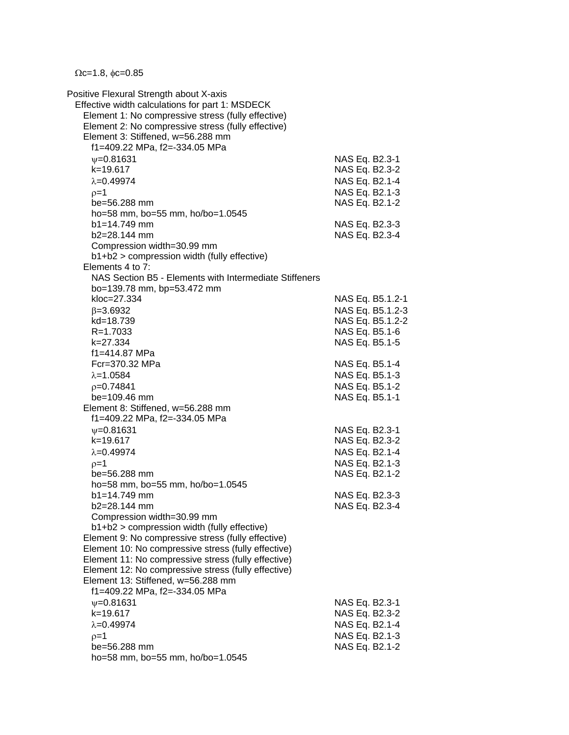$\Omega$ c=1.8,  $\phi$ c=0.85

Positive Flexural Strength about X-axis Effective width calculations for part 1: MSDECK Element 1: No compressive stress (fully effective) Element 2: No compressive stress (fully effective) Element 3: Stiffened, w=56.288 mm f1=409.22 MPa, f2=-334.05 MPa  $v=0.81631$  NAS Eq. B2.3-1 k=19.617 NAS Eq. B2.3-2  $\lambda$ =0.49974  $\lambda$ =0.49974  $p=1$  NAS Eq. B2.1-3 be=56.288 mm NAS Eq. B2.1-2 ho=58 mm, bo=55 mm, ho/bo=1.0545 b1=14.749 mm NAS Eq. B2.3-3 b2=28.144 mm NAS Eq. B2.3-4 Compression width=30.99 mm b1+b2 > compression width (fully effective) Elements 4 to 7: NAS Section B5 - Elements with Intermediate Stiffeners bo=139.78 mm, bp=53.472 mm kloc=27.334 NAS Eq. B5.1.2-1  $\beta$ =3.6932 NAS Eq. B5.1.2-3 kd=18.739 NAS Eq. B5.1.2-2 R=1.7033 NAS Eq. B5.1-6 k=27.334 NAS Eq. B5.1-5 f1=414.87 MPa Fcr=370.32 MPa NAS Eq. B5.1-4  $\lambda = 1.0584$  NAS Eq. B5.1-3  $p=0.74841$  NAS Eq. B5.1-2 be=109.46 mm NAS Eq. B5.1-1 Element 8: Stiffened, w=56.288 mm f1=409.22 MPa, f2=-334.05 MPa w=0.81631 NAS Eq. B2.3-1 k=19.617 NAS Eq. B2.3-2  $\lambda = 0.49974$  NAS Eq. B2.1-4  $\rho = 1$  NAS Eq. B2.1-3 be=56.288 mm NAS Eq. B2.1-2 ho=58 mm, bo=55 mm, ho/bo=1.0545 b1=14.749 mm NAS Eq. B2.3-3 b2=28.144 mm NAS Eq. B2.3-4 Compression width=30.99 mm b1+b2 > compression width (fully effective) Element 9: No compressive stress (fully effective) Element 10: No compressive stress (fully effective) Element 11: No compressive stress (fully effective) Element 12: No compressive stress (fully effective) Element 13: Stiffened, w=56.288 mm f1=409.22 MPa, f2=-334.05 MPa  $\nu$ =0.81631 NAS Eq. B2.3-1 k=19.617 NAS Eq. B2.3-2  $\lambda$ =0.49974 NAS Eq. B2.1-4  $p=1$  NAS Eq. B2.1-3 be=56.288 mm NAS Eq. B2.1-2 ho=58 mm, bo=55 mm, ho/bo=1.0545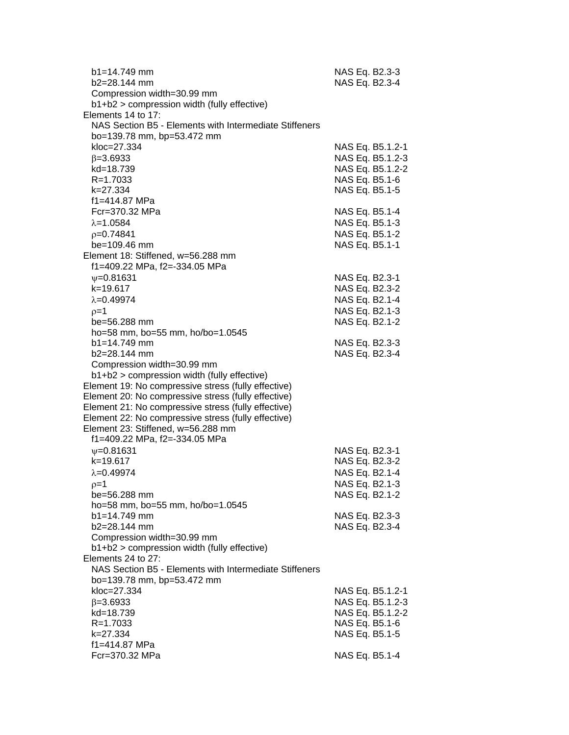| b1=14.749 mm<br>$b2=28.144$ mm<br>Compression width=30.99 mm        | NAS Eq. B2.3-3<br>NAS Eq. B2.3-4   |
|---------------------------------------------------------------------|------------------------------------|
| b1+b2 > compression width (fully effective)                         |                                    |
| Elements 14 to 17:                                                  |                                    |
| NAS Section B5 - Elements with Intermediate Stiffeners              |                                    |
| bo=139.78 mm, bp=53.472 mm                                          |                                    |
| kloc=27.334                                                         | NAS Eq. B5.1.2-1                   |
| $\beta = 3.6933$                                                    | NAS Eq. B5.1.2-3                   |
| kd=18.739                                                           | NAS Eq. B5.1.2-2                   |
| R=1.7033                                                            | NAS Eq. B5.1-6                     |
| k=27.334                                                            | NAS Eq. B5.1-5                     |
| f1=414.87 MPa                                                       |                                    |
| Fcr=370.32 MPa                                                      | NAS Eq. B5.1-4                     |
| $\lambda = 1.0584$                                                  | NAS Eq. B5.1-3                     |
| $p=0.74841$                                                         | NAS Eq. B5.1-2                     |
| $be = 109.46$ mm                                                    | NAS Eq. B5.1-1                     |
| Element 18: Stiffened, w=56.288 mm<br>f1=409.22 MPa, f2=-334.05 MPa |                                    |
| $\psi = 0.81631$                                                    | NAS Eq. B2.3-1                     |
| $k = 19.617$                                                        | NAS Eq. B2.3-2                     |
| $\lambda = 0.49974$                                                 | NAS Eq. B2.1-4                     |
| $p=1$                                                               | NAS Eq. B2.1-3                     |
| be=56.288 mm                                                        | NAS Eq. B2.1-2                     |
| ho=58 mm, bo=55 mm, ho/bo=1.0545                                    |                                    |
| $b1 = 14.749$ mm                                                    | NAS Eq. B2.3-3                     |
| b2=28.144 mm                                                        | NAS Eq. B2.3-4                     |
| Compression width=30.99 mm                                          |                                    |
| b1+b2 > compression width (fully effective)                         |                                    |
| Element 19: No compressive stress (fully effective)                 |                                    |
| Element 20: No compressive stress (fully effective)                 |                                    |
| Element 21: No compressive stress (fully effective)                 |                                    |
| Element 22: No compressive stress (fully effective)                 |                                    |
| Element 23: Stiffened, w=56.288 mm                                  |                                    |
| f1=409.22 MPa, f2=-334.05 MPa<br>$V = 0.81631$                      |                                    |
| k=19.617                                                            | NAS Eq. B2.3-1<br>NAS Eq. B2.3-2   |
| $\lambda = 0.49974$                                                 | NAS Eq. B2.1-4                     |
| $p=1$                                                               | NAS Eq. B2.1-3                     |
| be=56.288 mm                                                        | NAS Eq. B2.1-2                     |
| ho=58 mm, bo=55 mm, ho/bo=1.0545                                    |                                    |
| b1=14.749 mm                                                        | NAS Eq. B2.3-3                     |
| b2=28.144 mm                                                        | NAS Eq. B2.3-4                     |
| Compression width=30.99 mm                                          |                                    |
| b1+b2 > compression width (fully effective)                         |                                    |
| Elements 24 to 27:                                                  |                                    |
| NAS Section B5 - Elements with Intermediate Stiffeners              |                                    |
| bo=139.78 mm, bp=53.472 mm                                          |                                    |
| kloc=27.334                                                         | NAS Eq. B5.1.2-1                   |
| $\beta = 3.6933$                                                    | NAS Eq. B5.1.2-3                   |
| kd=18.739<br>R=1.7033                                               | NAS Eq. B5.1.2-2<br>NAS Eq. B5.1-6 |
| k=27.334                                                            | NAS Eq. B5.1-5                     |
| f1=414.87 MPa                                                       |                                    |
| Fcr=370.32 MPa                                                      | NAS Eq. B5.1-4                     |
|                                                                     |                                    |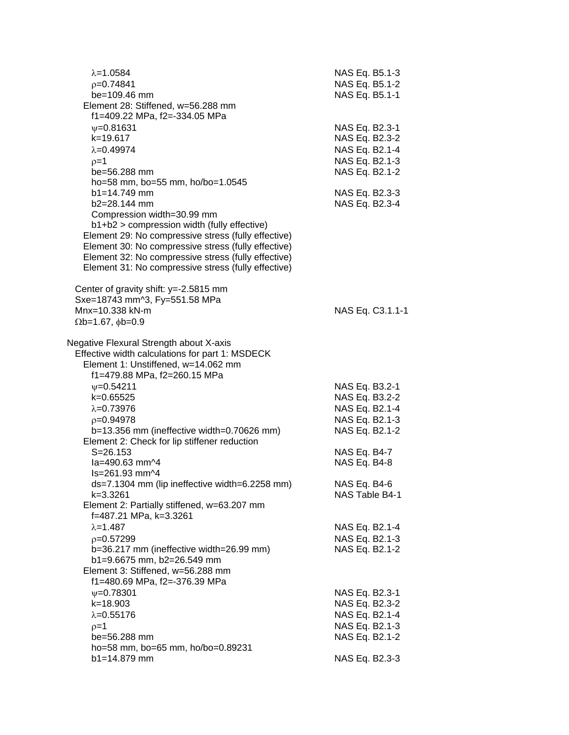| $\lambda = 1.0584$<br>$p=0.74841$<br>be=109.46 mm<br>Element 28: Stiffened, w=56.288 mm<br>f1=409.22 MPa, f2=-334.05 MPa                                                                                                                                                                                                                  | NAS Eq. B5.1-3<br>NAS Eq. B5.1-2<br>NAS Eq. B5.1-1                                     |
|-------------------------------------------------------------------------------------------------------------------------------------------------------------------------------------------------------------------------------------------------------------------------------------------------------------------------------------------|----------------------------------------------------------------------------------------|
| $V = 0.81631$<br>k=19.617<br>$\lambda = 0.49974$<br>$p=1$<br>be=56.288 mm<br>ho=58 mm, bo=55 mm, ho/bo=1.0545                                                                                                                                                                                                                             | NAS Eq. B2.3-1<br>NAS Eq. B2.3-2<br>NAS Eq. B2.1-4<br>NAS Eq. B2.1-3<br>NAS Eq. B2.1-2 |
| $b1 = 14.749$ mm<br>b2=28.144 mm<br>Compression width=30.99 mm<br>b1+b2 > compression width (fully effective)<br>Element 29: No compressive stress (fully effective)<br>Element 30: No compressive stress (fully effective)<br>Element 32: No compressive stress (fully effective)<br>Element 31: No compressive stress (fully effective) | NAS Eq. B2.3-3<br>NAS Eq. B2.3-4                                                       |
| Center of gravity shift: y=-2.5815 mm<br>Sxe=18743 mm^3, Fy=551.58 MPa<br>Mnx=10.338 kN-m<br>$\Omega$ b=1.67, $\phi$ b=0.9                                                                                                                                                                                                                | NAS Eq. C3.1.1-1                                                                       |
| Negative Flexural Strength about X-axis<br>Effective width calculations for part 1: MSDECK<br>Element 1: Unstiffened, w=14.062 mm<br>f1=479.88 MPa, f2=260.15 MPa                                                                                                                                                                         |                                                                                        |
| $V = 0.54211$<br>k=0.65525<br>$\lambda = 0.73976$<br>$p=0.94978$<br>$b=13.356$ mm (ineffective width=0.70626 mm)<br>Element 2: Check for lip stiffener reduction                                                                                                                                                                          | NAS Eq. B3.2-1<br>NAS Eq. B3.2-2<br>NAS Eq. B2.1-4<br>NAS Eq. B2.1-3<br>NAS Eq. B2.1-2 |
| $S = 26.153$<br>la=490.63 mm^4<br>Is=261.93 mm^4                                                                                                                                                                                                                                                                                          | NAS Eq. B4-7<br>NAS Eq. B4-8                                                           |
| ds=7.1304 mm (lip ineffective width=6.2258 mm)<br>k=3.3261<br>Element 2: Partially stiffened, w=63.207 mm<br>f=487.21 MPa, k=3.3261                                                                                                                                                                                                       | NAS Eq. B4-6<br>NAS Table B4-1                                                         |
| $\lambda = 1.487$<br>$p=0.57299$<br>b=36.217 mm (ineffective width=26.99 mm)<br>b1=9.6675 mm, b2=26.549 mm                                                                                                                                                                                                                                | NAS Eq. B2.1-4<br>NAS Eq. B2.1-3<br>NAS Eq. B2.1-2                                     |
| Element 3: Stiffened, w=56.288 mm<br>f1=480.69 MPa, f2=-376.39 MPa                                                                                                                                                                                                                                                                        |                                                                                        |
| $\psi = 0.78301$<br>k=18.903<br>$\lambda = 0.55176$<br>$p=1$<br>be=56.288 mm                                                                                                                                                                                                                                                              | NAS Eq. B2.3-1<br>NAS Eq. B2.3-2<br>NAS Eq. B2.1-4<br>NAS Eq. B2.1-3<br>NAS Eq. B2.1-2 |
| ho=58 mm, bo=65 mm, ho/bo=0.89231<br>b1=14.879 mm                                                                                                                                                                                                                                                                                         | NAS Eq. B2.3-3                                                                         |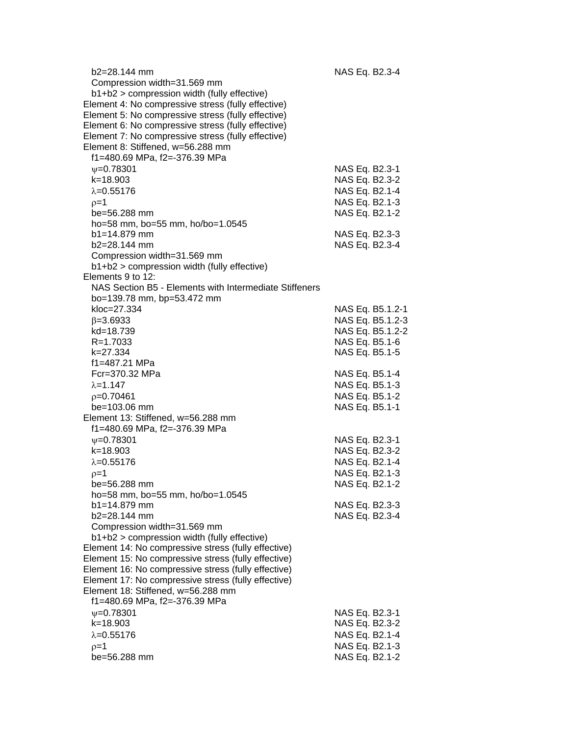| $b2 = 28.144$ mm<br>Compression width=31.569 mm<br>b1+b2 > compression width (fully effective) | NAS Eq. B2.3-4   |
|------------------------------------------------------------------------------------------------|------------------|
| Element 4: No compressive stress (fully effective)                                             |                  |
| Element 5: No compressive stress (fully effective)                                             |                  |
| Element 6: No compressive stress (fully effective)                                             |                  |
| Element 7: No compressive stress (fully effective)                                             |                  |
| Element 8: Stiffened, w=56.288 mm                                                              |                  |
| f1=480.69 MPa, f2=-376.39 MPa                                                                  |                  |
| $\Psi$ =0.78301                                                                                | NAS Eq. B2.3-1   |
| $k = 18.903$                                                                                   | NAS Eq. B2.3-2   |
| $\lambda = 0.55176$                                                                            | NAS Eq. B2.1-4   |
| $p=1$                                                                                          | NAS Eq. B2.1-3   |
| be=56.288 mm                                                                                   | NAS Eq. B2.1-2   |
| ho=58 mm, bo=55 mm, ho/bo=1.0545                                                               |                  |
| $b1 = 14.879$ mm                                                                               | NAS Eq. B2.3-3   |
| $b2 = 28.144$ mm                                                                               | NAS Eq. B2.3-4   |
| Compression width=31.569 mm                                                                    |                  |
| b1+b2 > compression width (fully effective)                                                    |                  |
| Elements 9 to 12:                                                                              |                  |
| NAS Section B5 - Elements with Intermediate Stiffeners                                         |                  |
| bo=139.78 mm, bp=53.472 mm                                                                     |                  |
| kloc=27.334                                                                                    | NAS Eq. B5.1.2-1 |
| $\beta = 3.6933$                                                                               | NAS Eq. B5.1.2-3 |
| kd=18.739                                                                                      | NAS Eq. B5.1.2-2 |
| $R = 1.7033$                                                                                   | NAS Eq. B5.1-6   |
| k=27.334                                                                                       | NAS Eq. B5.1-5   |
| f1=487.21 MPa                                                                                  |                  |
| Fcr=370.32 MPa                                                                                 | NAS Eq. B5.1-4   |
| $\lambda = 1.147$                                                                              | NAS Eq. B5.1-3   |
| $p=0.70461$                                                                                    | NAS Eq. B5.1-2   |
| $be = 103.06$ mm                                                                               | NAS Eq. B5.1-1   |
| Element 13: Stiffened, w=56.288 mm                                                             |                  |
| f1=480.69 MPa, f2=-376.39 MPa                                                                  |                  |
| $\psi = 0.78301$                                                                               | NAS Eq. B2.3-1   |
| k=18.903                                                                                       | NAS Eq. B2.3-2   |
| $\lambda = 0.55176$                                                                            | NAS Eq. B2.1-4   |
|                                                                                                | NAS Eq. B2.1-3   |
| $p=1$<br>be=56.288 mm                                                                          |                  |
|                                                                                                | NAS Eq. B2.1-2   |
| ho=58 mm, bo=55 mm, ho/bo=1.0545<br>b1=14.879 mm                                               | NAS Eq. B2.3-3   |
| $b2=28.144$ mm                                                                                 | NAS Eq. B2.3-4   |
| Compression width=31.569 mm                                                                    |                  |
| b1+b2 > compression width (fully effective)                                                    |                  |
| Element 14: No compressive stress (fully effective)                                            |                  |
| Element 15: No compressive stress (fully effective)                                            |                  |
| Element 16: No compressive stress (fully effective)                                            |                  |
| Element 17: No compressive stress (fully effective)                                            |                  |
| Element 18: Stiffened, w=56.288 mm                                                             |                  |
| f1=480.69 MPa, f2=-376.39 MPa                                                                  |                  |
| $\psi = 0.78301$                                                                               | NAS Eq. B2.3-1   |
| $k = 18.903$                                                                                   | NAS Eq. B2.3-2   |
| $\lambda = 0.55176$                                                                            | NAS Eq. B2.1-4   |
| $p=1$                                                                                          | NAS Eq. B2.1-3   |
| be=56.288 mm                                                                                   | NAS Eq. B2.1-2   |
|                                                                                                |                  |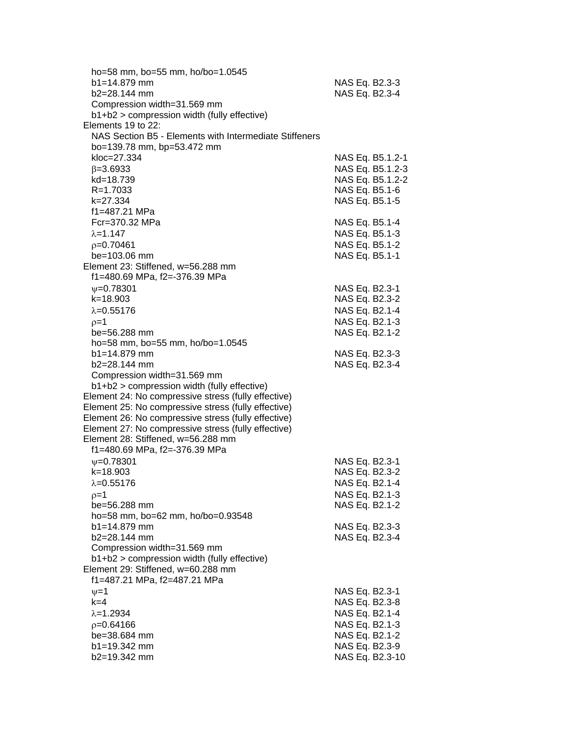| ho=58 mm, bo=55 mm, ho/bo=1.0545                       |                  |
|--------------------------------------------------------|------------------|
| b1=14.879 mm                                           | NAS Eq. B2.3-3   |
| b2=28.144 mm                                           | NAS Eq. B2.3-4   |
| Compression width=31.569 mm                            |                  |
| b1+b2 > compression width (fully effective)            |                  |
| Elements 19 to 22:                                     |                  |
| NAS Section B5 - Elements with Intermediate Stiffeners |                  |
| bo=139.78 mm, bp=53.472 mm                             |                  |
| kloc=27.334                                            | NAS Eq. B5.1.2-1 |
| $\beta = 3.6933$                                       | NAS Eq. B5.1.2-3 |
| kd=18.739                                              | NAS Eq. B5.1.2-2 |
| $R = 1.7033$                                           | NAS Eq. B5.1-6   |
| k=27.334                                               | NAS Eq. B5.1-5   |
| f1=487.21 MPa                                          |                  |
| Fcr=370.32 MPa                                         | NAS Eq. B5.1-4   |
| $\lambda = 1.147$                                      | NAS Eq. B5.1-3   |
| $p=0.70461$                                            | NAS Eq. B5.1-2   |
| be=103.06 mm                                           | NAS Eq. B5.1-1   |
| Element 23: Stiffened, w=56.288 mm                     |                  |
| f1=480.69 MPa, f2=-376.39 MPa                          |                  |
| $\psi = 0.78301$                                       | NAS Eq. B2.3-1   |
| k=18.903                                               | NAS Eq. B2.3-2   |
| $\lambda = 0.55176$                                    | NAS Eq. B2.1-4   |
| $p=1$                                                  | NAS Eq. B2.1-3   |
| be=56.288 mm                                           | NAS Eq. B2.1-2   |
| ho=58 mm, bo=55 mm, ho/bo=1.0545                       |                  |
| $b1 = 14.879$ mm                                       | NAS Eq. B2.3-3   |
| b2=28.144 mm                                           | NAS Eq. B2.3-4   |
| Compression width=31.569 mm                            |                  |
| b1+b2 > compression width (fully effective)            |                  |
| Element 24: No compressive stress (fully effective)    |                  |
| Element 25: No compressive stress (fully effective)    |                  |
| Element 26: No compressive stress (fully effective)    |                  |
| Element 27: No compressive stress (fully effective)    |                  |
| Element 28: Stiffened, w=56.288 mm                     |                  |
| f1=480.69 MPa, f2=-376.39 MPa                          |                  |
| $V = 0.78301$                                          | NAS Eq. B2.3-1   |
| k=18.903                                               | NAS Eq. B2.3-2   |
| $\lambda = 0.55176$                                    | NAS Eq. B2.1-4   |
| $p=1$                                                  | NAS Eq. B2.1-3   |
| be=56.288 mm                                           | NAS Eq. B2.1-2   |
| ho=58 mm, bo=62 mm, ho/bo=0.93548                      |                  |
| $b1 = 14.879$ mm                                       | NAS Eq. B2.3-3   |
| b2=28.144 mm                                           | NAS Eq. B2.3-4   |
| Compression width=31.569 mm                            |                  |
| b1+b2 > compression width (fully effective)            |                  |
| Element 29: Stiffened, w=60.288 mm                     |                  |
| f1=487.21 MPa, f2=487.21 MPa                           |                  |
|                                                        | NAS Eq. B2.3-1   |
| $\nu = 1$<br>$k=4$                                     |                  |
|                                                        | NAS Eq. B2.3-8   |
| $\lambda = 1.2934$                                     | NAS Eq. B2.1-4   |
| $p=0.64166$                                            | NAS Eq. B2.1-3   |
| be=38.684 mm                                           | NAS Eq. B2.1-2   |
| b1=19.342 mm                                           | NAS Eq. B2.3-9   |
| b2=19.342 mm                                           | NAS Eq. B2.3-10  |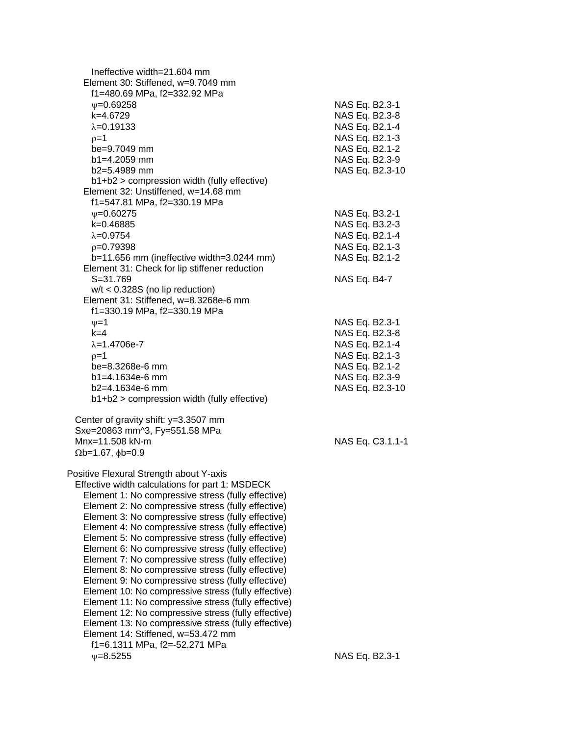Ineffective width=21.604 mm Element 30: Stiffened, w=9.7049 mm f1=480.69 MPa, f2=332.92 MPa =0.69258 NAS Eq. B2.3-1 k=4.6729 NAS Eq. B2.3-8  $\lambda = 0.19133$  NAS Eq. B2.1-4  $p=1$  NAS Eq. B2.1-3 be=9.7049 mm NAS Eq. B2.1-2 b1=4.2059 mm NAS Eq. B2.3-9 b2=5.4989 mm NAS Eq. B2.3-10 b1+b2 > compression width (fully effective) Element 32: Unstiffened, w=14.68 mm f1=547.81 MPa, f2=330.19 MPa  $ψ=0.60275$ <br>  $k=0.46885$ <br>
NAS Eq. B3.2-3 NAS Eq. B3.2-3  $\lambda = 0.9754$  NAS Eq. B2.1-4  $p=0.79398$  NAS Eq. B2.1-3 b=11.656 mm (ineffective width=3.0244 mm) NAS Eq. B2.1-2 Element 31: Check for lip stiffener reduction S=31.769 NAS Eq. B4-7 w/t < 0.328S (no lip reduction) Element 31: Stiffened, w=8.3268e-6 mm f1=330.19 MPa, f2=330.19 MPa  $v=1$  NAS Eq. B2.3-1 k=4 NAS Eq. B2.3-8  $\lambda$ =1.4706e-7 NAS Eq. B2.1-4  $p=1$  NAS Eq. B2.1-3 be=8.3268e-6 mm NAS Eq. B2.1-2 b1=4.1634e-6 mm NAS Eq. B2.3-9 b2=4.1634e-6 mm NAS Eq. B2.3-10 b1+b2 > compression width (fully effective) Center of gravity shift: y=3.3507 mm Sxe=20863 mm^3, Fy=551.58 MPa Mnx=11.508 kN-m NAS Eq. C3.1.1-1  $\Omega$ b=1.67,  $\phi$ b=0.9 Positive Flexural Strength about Y-axis Effective width calculations for part 1: MSDECK Element 1: No compressive stress (fully effective) Element 2: No compressive stress (fully effective) Element 3: No compressive stress (fully effective) Element 4: No compressive stress (fully effective) Element 5: No compressive stress (fully effective) Element 6: No compressive stress (fully effective) Element 7: No compressive stress (fully effective) Element 8: No compressive stress (fully effective) Element 9: No compressive stress (fully effective) Element 10: No compressive stress (fully effective) Element 11: No compressive stress (fully effective) Element 12: No compressive stress (fully effective) Element 13: No compressive stress (fully effective) Element 14: Stiffened, w=53.472 mm f1=6.1311 MPa, f2=-52.271 MPa =8.5255 NAS Eq. B2.3-1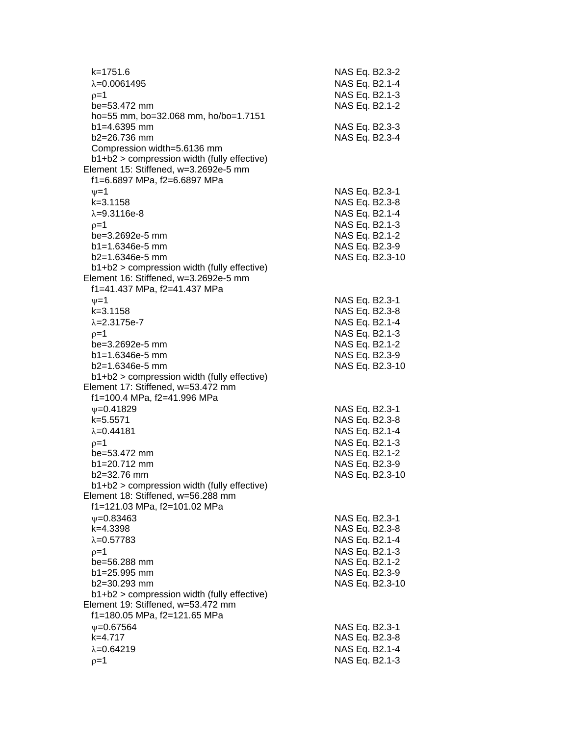| k=1751.6<br>$\lambda = 0.0061495$<br>$p=1$<br>be=53.472 mm                                                                                                                                      | NAS Eq. B2.3-2<br>NAS Eq. B2.1-4<br>NAS Eq. B2.1-3<br>NAS Eq. B2.1-2 |
|-------------------------------------------------------------------------------------------------------------------------------------------------------------------------------------------------|----------------------------------------------------------------------|
| ho=55 mm, bo=32.068 mm, ho/bo=1.7151<br>b1=4.6395 mm<br>$b2 = 26.736$ mm<br>Compression width=5.6136 mm<br>b1+b2 > compression width (fully effective)<br>Element 15: Stiffened, w=3.2692e-5 mm | NAS Eq. B2.3-3<br>NAS Eq. B2.3-4                                     |
| f1=6.6897 MPa, f2=6.6897 MPa                                                                                                                                                                    |                                                                      |
| $\nu=1$                                                                                                                                                                                         | NAS Eq. B2.3-1                                                       |
| $k = 3.1158$<br>$\lambda = 9.3116e-8$                                                                                                                                                           | NAS Eq. B2.3-8                                                       |
| $p=1$                                                                                                                                                                                           | NAS Eq. B2.1-4<br>NAS Eq. B2.1-3                                     |
| be=3.2692e-5 mm                                                                                                                                                                                 | NAS Eq. B2.1-2                                                       |
| $b1 = 1.6346e-5$ mm                                                                                                                                                                             | NAS Eq. B2.3-9                                                       |
| $b2=1.6346e-5$ mm                                                                                                                                                                               | NAS Eq. B2.3-10                                                      |
| b1+b2 > compression width (fully effective)                                                                                                                                                     |                                                                      |
| Element 16: Stiffened, w=3.2692e-5 mm<br>f1=41.437 MPa, f2=41.437 MPa                                                                                                                           |                                                                      |
| $\nu = 1$                                                                                                                                                                                       | NAS Eq. B2.3-1                                                       |
| $k = 3.1158$                                                                                                                                                                                    | NAS Eq. B2.3-8                                                       |
| $\lambda = 2.3175e - 7$                                                                                                                                                                         | NAS Eq. B2.1-4                                                       |
| $p=1$                                                                                                                                                                                           | NAS Eq. B2.1-3                                                       |
| be=3.2692e-5 mm                                                                                                                                                                                 | NAS Eq. B2.1-2                                                       |
| $b1 = 1.6346e-5$ mm                                                                                                                                                                             | NAS Eq. B2.3-9                                                       |
| $b2=1.6346e-5$ mm<br>$b1+b2$ > compression width (fully effective)                                                                                                                              | NAS Eq. B2.3-10                                                      |
| Element 17: Stiffened, w=53.472 mm                                                                                                                                                              |                                                                      |
| f1=100.4 MPa, f2=41.996 MPa                                                                                                                                                                     |                                                                      |
| $V = 0.41829$                                                                                                                                                                                   | NAS Eq. B2.3-1                                                       |
| k=5.5571                                                                                                                                                                                        | NAS Eq. B2.3-8                                                       |
| $\lambda = 0.44181$                                                                                                                                                                             | NAS Eq. B2.1-4                                                       |
| $p=1$<br>be=53.472 mm                                                                                                                                                                           | NAS Eq. B2.1-3<br>NAS Eq. B2.1-2                                     |
| b1=20.712 mm                                                                                                                                                                                    | NAS Eq. B2.3-9                                                       |
| b2=32.76 mm                                                                                                                                                                                     | NAS Eq. B2.3-10                                                      |
| b1+b2 > compression width (fully effective)                                                                                                                                                     |                                                                      |
| Element 18: Stiffened, w=56.288 mm                                                                                                                                                              |                                                                      |
| f1=121.03 MPa, f2=101.02 MPa                                                                                                                                                                    |                                                                      |
| $\psi = 0.83463$<br>k=4.3398                                                                                                                                                                    | NAS Eq. B2.3-1<br>NAS Eq. B2.3-8                                     |
| $\lambda = 0.57783$                                                                                                                                                                             | NAS Eq. B2.1-4                                                       |
| $0=1$                                                                                                                                                                                           | NAS Eq. B2.1-3                                                       |
| be=56.288 mm                                                                                                                                                                                    | NAS Eq. B2.1-2                                                       |
| $b1 = 25.995$ mm                                                                                                                                                                                | NAS Eq. B2.3-9                                                       |
| b2=30.293 mm                                                                                                                                                                                    | NAS Eq. B2.3-10                                                      |
| b1+b2 > compression width (fully effective)<br>Element 19: Stiffened, w=53.472 mm                                                                                                               |                                                                      |
| f1=180.05 MPa, f2=121.65 MPa                                                                                                                                                                    |                                                                      |
| $\psi = 0.67564$                                                                                                                                                                                | NAS Eq. B2.3-1                                                       |
| $k=4.717$                                                                                                                                                                                       | NAS Eq. B2.3-8                                                       |
| $\lambda = 0.64219$                                                                                                                                                                             | NAS Eq. B2.1-4                                                       |
| $p=1$                                                                                                                                                                                           | NAS Eq. B2.1-3                                                       |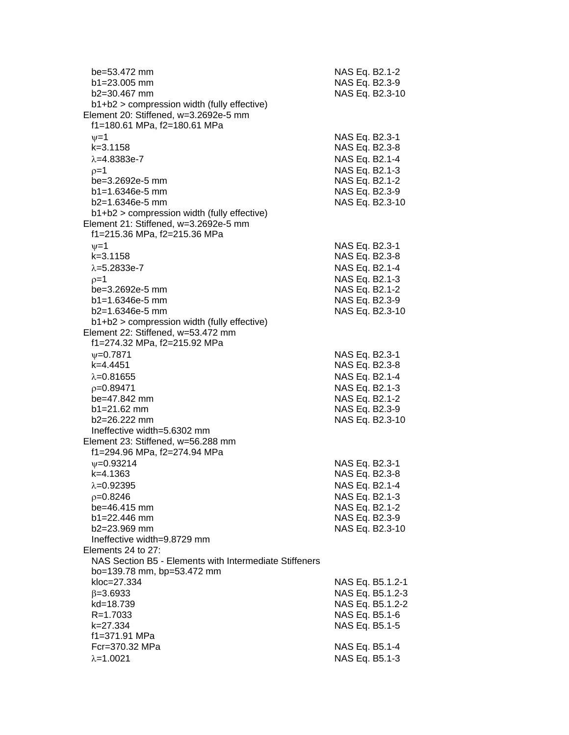| be=53.472 mm<br>$b1 = 23.005$ mm<br>b2=30.467 mm<br>b1+b2 > compression width (fully effective)<br>Element 20: Stiffened, w=3.2692e-5 mm | NAS Eq. B2.1-2<br>NAS Eq. B2.3-9<br>NAS Eq. B2.3-10 |
|------------------------------------------------------------------------------------------------------------------------------------------|-----------------------------------------------------|
| f1=180.61 MPa, f2=180.61 MPa                                                                                                             |                                                     |
|                                                                                                                                          |                                                     |
| $\nu = 1$                                                                                                                                | NAS Eq. B2.3-1                                      |
| $k = 3.1158$                                                                                                                             | NAS Eq. B2.3-8                                      |
| $\lambda = 4.8383e - 7$                                                                                                                  | NAS Eq. B2.1-4                                      |
| $p=1$                                                                                                                                    | NAS Eq. B2.1-3                                      |
| be=3.2692e-5 mm                                                                                                                          | NAS Eq. B2.1-2                                      |
| $b1 = 1.6346e-5$ mm                                                                                                                      | NAS Eq. B2.3-9                                      |
| $b2=1.6346e-5$ mm                                                                                                                        | NAS Eq. B2.3-10                                     |
| b1+b2 > compression width (fully effective)                                                                                              |                                                     |
| Element 21: Stiffened, w=3.2692e-5 mm                                                                                                    |                                                     |
| f1=215.36 MPa, f2=215.36 MPa                                                                                                             |                                                     |
| $\nu = 1$                                                                                                                                | NAS Eq. B2.3-1                                      |
| $k = 3.1158$                                                                                                                             | NAS Eq. B2.3-8                                      |
| $\lambda = 5.2833e-7$                                                                                                                    | NAS Eq. B2.1-4                                      |
| $p=1$                                                                                                                                    | NAS Eq. B2.1-3                                      |
| be=3.2692e-5 mm                                                                                                                          | NAS Eq. B2.1-2                                      |
| $b1 = 1.6346e-5$ mm                                                                                                                      | NAS Eq. B2.3-9                                      |
| b2=1.6346e-5 mm                                                                                                                          | NAS Eq. B2.3-10                                     |
| $b1+b2$ > compression width (fully effective)                                                                                            |                                                     |
| Element 22: Stiffened, w=53.472 mm                                                                                                       |                                                     |
| f1=274.32 MPa, f2=215.92 MPa                                                                                                             |                                                     |
| $V = 0.7871$                                                                                                                             | NAS Eq. B2.3-1                                      |
| $k=4.4451$                                                                                                                               | NAS Eq. B2.3-8                                      |
| $\lambda = 0.81655$                                                                                                                      | NAS Eq. B2.1-4                                      |
| $p=0.89471$                                                                                                                              | NAS Eq. B2.1-3                                      |
| be=47.842 mm                                                                                                                             | NAS Eq. B2.1-2                                      |
| $b1 = 21.62$ mm                                                                                                                          | NAS Eq. B2.3-9                                      |
| b2=26.222 mm                                                                                                                             | NAS Eq. B2.3-10                                     |
| Ineffective width=5.6302 mm                                                                                                              |                                                     |
| Element 23: Stiffened, w=56.288 mm                                                                                                       |                                                     |
| f1=294.96 MPa, f2=274.94 MPa                                                                                                             |                                                     |
| $\psi = 0.93214$                                                                                                                         | NAS Eq. B2.3-1                                      |
| k=4.1363                                                                                                                                 | NAS Eq. B2.3-8                                      |
| $\lambda = 0.92395$                                                                                                                      | NAS Eq. B2.1-4                                      |
| $p=0.8246$                                                                                                                               | NAS Eq. B2.1-3                                      |
| be=46.415 mm                                                                                                                             | NAS Eq. B2.1-2                                      |
| $b1 = 22.446$ mm                                                                                                                         | NAS Eq. B2.3-9                                      |
| b2=23.969 mm                                                                                                                             | NAS Eq. B2.3-10                                     |
| Ineffective width=9.8729 mm                                                                                                              |                                                     |
| Elements 24 to 27:                                                                                                                       |                                                     |
| NAS Section B5 - Elements with Intermediate Stiffeners                                                                                   |                                                     |
| bo=139.78 mm, bp=53.472 mm<br>kloc=27.334                                                                                                |                                                     |
|                                                                                                                                          | NAS Eq. B5.1.2-1                                    |
| $\beta = 3.6933$<br>kd=18.739                                                                                                            | NAS Eq. B5.1.2-3<br>NAS Eq. B5.1.2-2                |
| $R = 1.7033$                                                                                                                             | NAS Eq. B5.1-6                                      |
| k=27.334                                                                                                                                 | NAS Eq. B5.1-5                                      |
| f1=371.91 MPa                                                                                                                            |                                                     |
| Fcr=370.32 MPa                                                                                                                           | NAS Eq. B5.1-4                                      |
| $\lambda = 1.0021$                                                                                                                       | NAS Eq. B5.1-3                                      |
|                                                                                                                                          |                                                     |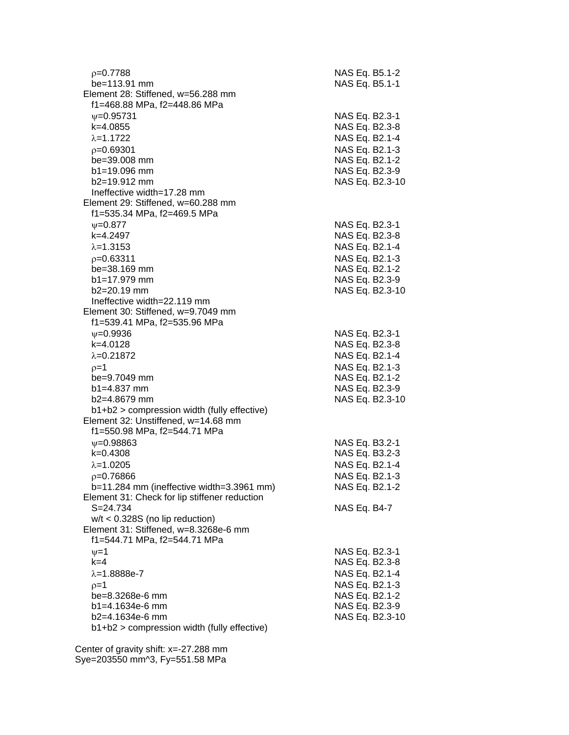| $p=0.7788$<br>be=113.91 mm                                         | NAS Eq. B5.1-2<br>NAS Eq. B5.1-1 |
|--------------------------------------------------------------------|----------------------------------|
| Element 28: Stiffened, w=56.288 mm<br>f1=468.88 MPa, f2=448.86 MPa |                                  |
| $V = 0.95731$                                                      | NAS Eq. B2.3-1                   |
| k=4.0855                                                           | NAS Eq. B2.3-8                   |
| $\lambda = 1.1722$                                                 | NAS Eq. B2.1-4                   |
| $p=0.69301$                                                        | NAS Eq. B2.1-3                   |
| be=39.008 mm                                                       | NAS Eq. B2.1-2                   |
| $b1 = 19.096$ mm                                                   | NAS Eq. B2.3-9                   |
| $b2=19.912$ mm                                                     | NAS Eq. B2.3-10                  |
| Ineffective width=17.28 mm                                         |                                  |
| Element 29: Stiffened, w=60.288 mm                                 |                                  |
| f1=535.34 MPa, f2=469.5 MPa                                        |                                  |
| $V = 0.877$                                                        | NAS Eq. B2.3-1                   |
| k=4.2497                                                           | NAS Eq. B2.3-8                   |
| $\lambda = 1.3153$                                                 | NAS Eq. B2.1-4                   |
| $p=0.63311$                                                        | NAS Eq. B2.1-3                   |
| be=38.169 mm                                                       | NAS Eq. B2.1-2                   |
| $b1 = 17.979$ mm                                                   | NAS Eq. B2.3-9                   |
| $b2=20.19$ mm                                                      | NAS Eq. B2.3-10                  |
| Ineffective width=22.119 mm                                        |                                  |
| Element 30: Stiffened, w=9.7049 mm                                 |                                  |
| f1=539.41 MPa, f2=535.96 MPa                                       |                                  |
| $\nu = 0.9936$                                                     | NAS Eq. B2.3-1                   |
| k=4.0128                                                           | NAS Eq. B2.3-8                   |
| $\lambda = 0.21872$                                                | NAS Eq. B2.1-4                   |
| $p=1$                                                              | NAS Eq. B2.1-3                   |
| be=9.7049 mm                                                       | NAS Eq. B2.1-2                   |
| $b1 = 4.837$ mm                                                    | NAS Eq. B2.3-9                   |
| b2=4.8679 mm                                                       | NAS Eq. B2.3-10                  |
| b1+b2 > compression width (fully effective)                        |                                  |
| Element 32: Unstiffened, w=14.68 mm                                |                                  |
| f1=550.98 MPa, f2=544.71 MPa                                       |                                  |
| $\psi = 0.98863$<br>$k=0.4308$                                     | NAS Eq. B3.2-1<br>NAS Eq. B3.2-3 |
| $\lambda = 1.0205$                                                 | NAS Eq. B2.1-4                   |
| $p = 0.76866$                                                      | NAS Eq. B2.1-3                   |
| b=11.284 mm (ineffective width=3.3961 mm)                          | NAS Eq. B2.1-2                   |
| Element 31: Check for lip stiffener reduction                      |                                  |
| $S = 24.734$                                                       | NAS Eq. B4-7                     |
| $w/t < 0.328S$ (no lip reduction)                                  |                                  |
| Element 31: Stiffened, w=8.3268e-6 mm                              |                                  |
| f1=544.71 MPa, f2=544.71 MPa                                       |                                  |
| $\nu = 1$                                                          | NAS Eq. B2.3-1                   |
| $k=4$                                                              | NAS Eq. B2.3-8                   |
| $\lambda = 1.8888e-7$                                              | NAS Eq. B2.1-4                   |
| $p=1$                                                              | NAS Eq. B2.1-3                   |
| be=8.3268e-6 mm                                                    | NAS Eq. B2.1-2                   |
| $b1 = 4.1634e-6$ mm                                                | NAS Eq. B2.3-9                   |
| b2=4.1634e-6 mm                                                    | NAS Eq. B2.3-10                  |
| b1+b2 > compression width (fully effective)                        |                                  |
|                                                                    |                                  |

 Center of gravity shift: x=-27.288 mm Sye=203550 mm^3, Fy=551.58 MPa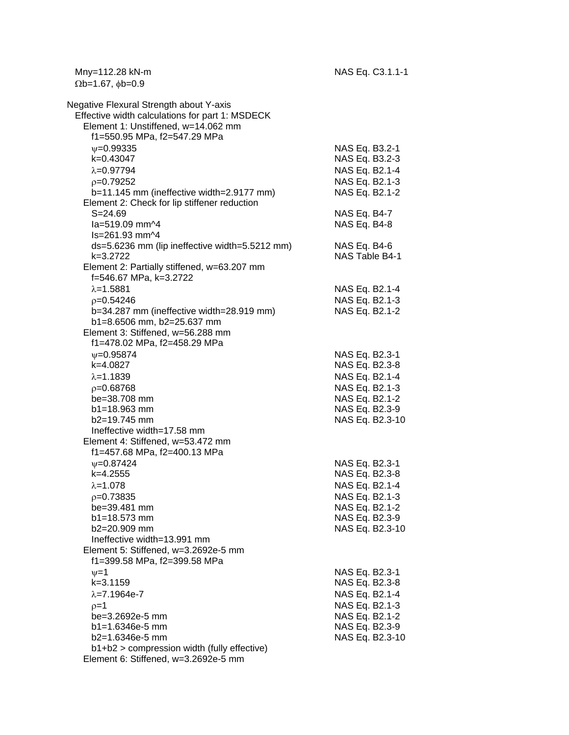Mny=112.28 kN-m NAS Eq. C3.1.1-1  $\Omega b = 1.67, \phi b = 0.9$ 

| Negative Flexural Strength about Y-axis<br>Effective width calculations for part 1: MSDECK<br>Element 1: Unstiffened, w=14.062 mm |                                  |
|-----------------------------------------------------------------------------------------------------------------------------------|----------------------------------|
| f1=550.95 MPa, f2=547.29 MPa                                                                                                      |                                  |
| $\nu = 0.99335$                                                                                                                   | NAS Eq. B3.2-1                   |
| k=0.43047                                                                                                                         | NAS Eq. B3.2-3                   |
| $\lambda = 0.97794$                                                                                                               | NAS Eq. B2.1-4                   |
| $p=0.79252$                                                                                                                       | NAS Eq. B2.1-3                   |
| b=11.145 mm (ineffective width=2.9177 mm)                                                                                         | NAS Eq. B2.1-2                   |
| Element 2: Check for lip stiffener reduction                                                                                      |                                  |
| $S = 24.69$                                                                                                                       | NAS Eq. B4-7                     |
| la=519.09 mm^4                                                                                                                    | NAS Eq. B4-8                     |
| Is=261.93 mm^4                                                                                                                    |                                  |
| ds=5.6236 mm (lip ineffective width=5.5212 mm)                                                                                    | NAS Eq. B4-6                     |
| $k = 3.2722$                                                                                                                      | NAS Table B4-1                   |
| Element 2: Partially stiffened, w=63.207 mm                                                                                       |                                  |
| f=546.67 MPa, k=3.2722                                                                                                            |                                  |
| $\lambda = 1.5881$                                                                                                                | NAS Eq. B2.1-4                   |
| $p=0.54246$                                                                                                                       | NAS Eq. B2.1-3                   |
| b=34.287 mm (ineffective width=28.919 mm)                                                                                         | NAS Eq. B2.1-2                   |
| b1=8.6506 mm, b2=25.637 mm                                                                                                        |                                  |
| Element 3: Stiffened, w=56.288 mm                                                                                                 |                                  |
| f1=478.02 MPa, f2=458.29 MPa                                                                                                      |                                  |
| $\psi = 0.95874$                                                                                                                  | NAS Eq. B2.3-1                   |
| k=4.0827                                                                                                                          | NAS Eq. B2.3-8                   |
| $\lambda = 1.1839$                                                                                                                | NAS Eq. B2.1-4                   |
| $p=0.68768$                                                                                                                       | NAS Eq. B2.1-3                   |
| be=38.708 mm                                                                                                                      | NAS Eq. B2.1-2                   |
| $b1 = 18.963$ mm                                                                                                                  | NAS Eq. B2.3-9                   |
| b2=19.745 mm                                                                                                                      | NAS Eq. B2.3-10                  |
| Ineffective width=17.58 mm                                                                                                        |                                  |
| Element 4: Stiffened, w=53.472 mm                                                                                                 |                                  |
| f1=457.68 MPa, f2=400.13 MPa                                                                                                      |                                  |
| $V = 0.87424$                                                                                                                     | NAS Eq. B2.3-1                   |
| k=4.2555                                                                                                                          | NAS Eq. B2.3-8                   |
| $\lambda = 1.078$                                                                                                                 | NAS Eq. B2.1-4                   |
| $p=0.73835$                                                                                                                       | NAS Eq. B2.1-3                   |
| be=39.481 mm                                                                                                                      | NAS Eq. B2.1-2                   |
| b1=18.573 mm                                                                                                                      | NAS Eq. B2.3-9                   |
| b2=20.909 mm<br>Ineffective width=13.991 mm                                                                                       | NAS Eq. B2.3-10                  |
| Element 5: Stiffened, w=3.2692e-5 mm                                                                                              |                                  |
| f1=399.58 MPa, f2=399.58 MPa                                                                                                      |                                  |
| $\nu = 1$                                                                                                                         | NAS Eq. B2.3-1                   |
| $k = 3.1159$                                                                                                                      | NAS Eq. B2.3-8                   |
| $\lambda = 7.1964e-7$                                                                                                             | NAS Eq. B2.1-4                   |
|                                                                                                                                   |                                  |
| $p=1$<br>be=3.2692e-5 mm                                                                                                          | NAS Eq. B2.1-3<br>NAS Eq. B2.1-2 |
| b1=1.6346e-5 mm                                                                                                                   | NAS Eq. B2.3-9                   |
| b2=1.6346e-5 mm                                                                                                                   | NAS Eq. B2.3-10                  |
| b1+b2 > compression width (fully effective)                                                                                       |                                  |
| Element 6: Stiffened, w=3.2692e-5 mm                                                                                              |                                  |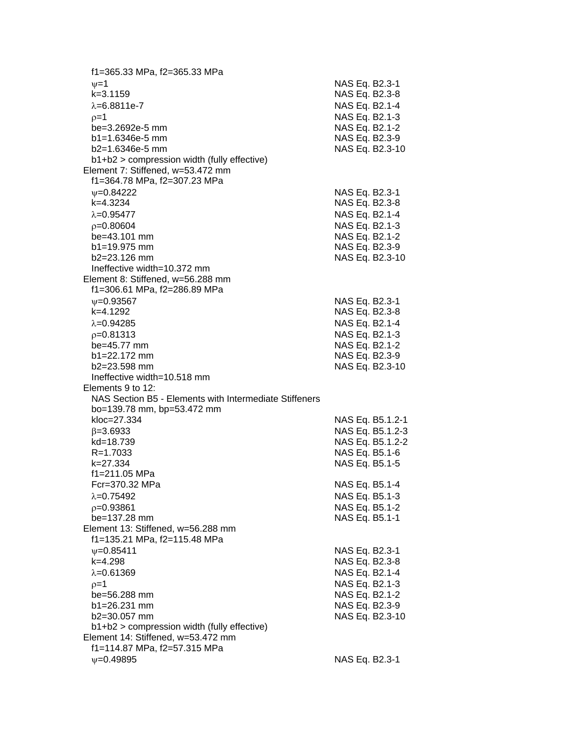f1=365.33 MPa, f2=365.33 MPa  $\nu=1$  NAS Eq. B2.3-1 k=3.1159 NAS Eq. B2.3-8  $\lambda$ =6.8811e-7 NAS Eq. B2.1-4  $p=1$  NAS Eq. B2.1-3 be=3.2692e-5 mm NAS Eq. B2.1-2 b1=1.6346e-5 mm NAS Eq. B2.3-9 b2=1.6346e-5 mm NAS Eq. B2.3-10 b1+b2 > compression width (fully effective) Element 7: Stiffened, w=53.472 mm f1=364.78 MPa, f2=307.23 MPa =0.84222 NAS Eq. B2.3-1 k=4.3234 NAS Eq. B2.3-8  $\lambda = 0.95477$  NAS Eq. B2.1-4 p=0.80604 NAS Eq. B2.1-3 be=43.101 mm NAS Eq. B2.1-2 b1=19.975 mm NAS Eq. B2.3-9 b2=23.126 mm NAS Eq. B2.3-10 Ineffective width=10.372 mm Element 8: Stiffened, w=56.288 mm f1=306.61 MPa, f2=286.89 MPa w=0.93567 NAS Eq. B2.3-1 k=4.1292 NAS Eq. B2.3-8  $\lambda$ =0.94285 NAS Eq. B2.1-4 =0.81313 NAS Eq. B2.1-3 be=45.77 mm NAS Eq. B2.1-2 b1=22.172 mm NAS Eq. B2.3-9 b2=23.598 mm NAS Eq. B2.3-10 Ineffective width=10.518 mm Elements 9 to 12: NAS Section B5 - Elements with Intermediate Stiffeners bo=139.78 mm, bp=53.472 mm kloc=27.334 NAS Eq. B5.1.2-1  $\beta$ =3.6933 NAS Eq. B5.1.2-3 kd=18.739 NAS Eq. B5.1.2-2 R=1.7033 NAS Eq. B5.1-6 k=27.334 NAS Eq. B5.1-5 f1=211.05 MPa Fcr=370.32 MPa NAS Eq. B5.1-4  $\lambda = 0.75492$  NAS Eq. B5.1-3 p=0.93861 NAS Eq. B5.1-2 be=137.28 mm NAS Eq. B5.1-1 Element 13: Stiffened, w=56.288 mm f1=135.21 MPa, f2=115.48 MPa  $v=0.85411$  NAS Eq. B2.3-1 k=4.298 NAS Eq. B2.3-8  $\lambda$ =0.61369 NAS Eq. B2.1-4  $p=1$  NAS Eq. B2.1-3 be=56.288 mm NAS Eq. B2.1-2 b1=26.231 mm NAS Eq. B2.3-9 b2=30.057 mm NAS Eq. B2.3-10 b1+b2 > compression width (fully effective) Element 14: Stiffened, w=53.472 mm f1=114.87 MPa, f2=57.315 MPa w=0.49895 NAS Eq. B2.3-1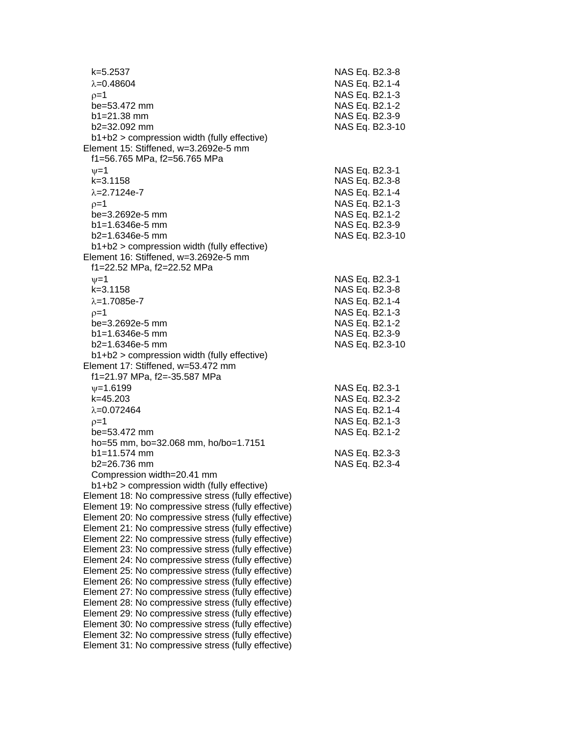| k=5.2537<br>$\lambda = 0.48604$                                                   | NAS Eq. B2.3-8<br>NAS Eq. B2.1-4 |
|-----------------------------------------------------------------------------------|----------------------------------|
| $p=1$                                                                             | NAS Eq. B2.1-3                   |
| be=53.472 mm                                                                      | NAS Eq. B2.1-2                   |
| $b1 = 21.38$ mm                                                                   | NAS Eq. B2.3-9                   |
| b2=32.092 mm                                                                      | NAS Eq. B2.3-10                  |
| b1+b2 > compression width (fully effective)                                       |                                  |
| Element 15: Stiffened, w=3.2692e-5 mm                                             |                                  |
| f1=56.765 MPa, f2=56.765 MPa                                                      |                                  |
| $v = 1$                                                                           | NAS Eq. B2.3-1                   |
| $k = 3.1158$                                                                      | NAS Eq. B2.3-8                   |
| $\lambda = 2.7124e - 7$                                                           | NAS Eq. B2.1-4                   |
| $p=1$                                                                             | NAS Eq. B2.1-3                   |
| be=3.2692e-5 mm                                                                   | NAS Eq. B2.1-2                   |
| $b1 = 1.6346e-5$ mm                                                               | NAS Eq. B2.3-9                   |
| $b2=1.6346e-5$ mm                                                                 | NAS Eq. B2.3-10                  |
| b1+b2 > compression width (fully effective)                                       |                                  |
| Element 16: Stiffened, w=3.2692e-5 mm                                             |                                  |
| f1=22.52 MPa, f2=22.52 MPa                                                        |                                  |
|                                                                                   |                                  |
| $\nu = 1$<br>$k = 3.1158$                                                         | NAS Eq. B2.3-1<br>NAS Eq. B2.3-8 |
| $\lambda = 1.7085e - 7$                                                           | NAS Eq. B2.1-4                   |
|                                                                                   |                                  |
| $p=1$<br>be=3.2692e-5 mm                                                          | NAS Eq. B2.1-3                   |
|                                                                                   | NAS Eq. B2.1-2                   |
| $b1 = 1.6346e-5$ mm                                                               | NAS Eq. B2.3-9                   |
| $b2=1.6346e-5$ mm                                                                 | NAS Eq. B2.3-10                  |
| b1+b2 > compression width (fully effective)<br>Element 17: Stiffened, w=53.472 mm |                                  |
| f1=21.97 MPa, f2=-35.587 MPa                                                      |                                  |
| $\psi = 1.6199$                                                                   |                                  |
| k=45.203                                                                          | NAS Eq. B2.3-1<br>NAS Eq. B2.3-2 |
| $\lambda = 0.072464$                                                              |                                  |
|                                                                                   | NAS Eq. B2.1-4                   |
| $p=1$                                                                             | NAS Eq. B2.1-3                   |
| be=53.472 mm                                                                      | NAS Eq. B2.1-2                   |
| ho=55 mm, bo=32.068 mm, ho/bo=1.7151<br>$b1 = 11.574$ mm                          |                                  |
|                                                                                   | NAS Eq. B2.3-3                   |
| $b2 = 26.736$ mm                                                                  | NAS Eq. B2.3-4                   |
| Compression width=20.41 mm<br>$b1+b2$ > compression width (fully effective)       |                                  |
| Element 18: No compressive stress (fully effective)                               |                                  |
| Element 19: No compressive stress (fully effective)                               |                                  |
| Element 20: No compressive stress (fully effective)                               |                                  |
| Element 21: No compressive stress (fully effective)                               |                                  |
| Element 22: No compressive stress (fully effective)                               |                                  |
| Element 23: No compressive stress (fully effective)                               |                                  |
| Element 24: No compressive stress (fully effective)                               |                                  |
| Element 25: No compressive stress (fully effective)                               |                                  |
| Element 26: No compressive stress (fully effective)                               |                                  |
| Element 27: No compressive stress (fully effective)                               |                                  |
| Element 28: No compressive stress (fully effective)                               |                                  |
| Element 29: No compressive stress (fully effective)                               |                                  |
| Element 30: No compressive stress (fully effective)                               |                                  |
| Element 32: No compressive stress (fully effective)                               |                                  |
| Element 31: No compressive stress (fully effective)                               |                                  |
|                                                                                   |                                  |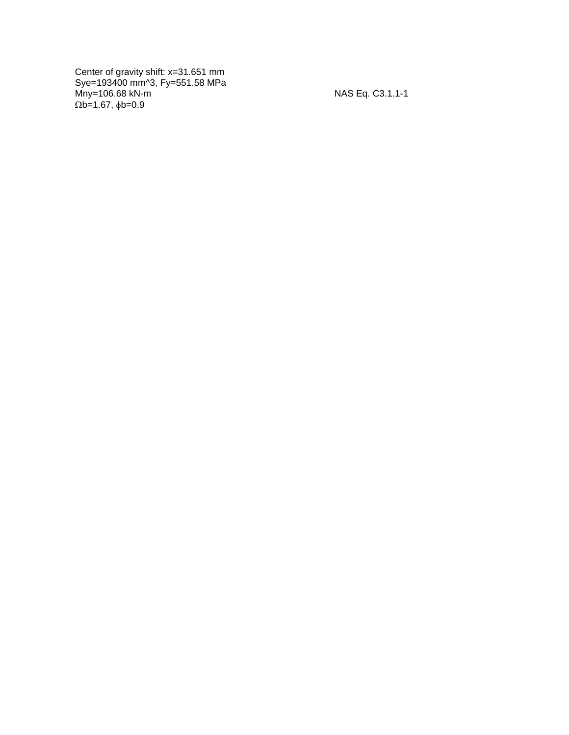Center of gravity shift: x=31.651 mm Sye=193400 mm^3, Fy=551.58 MPa Mny=106.68 kN - m NAS Eq. C3.1.1  $\Omega$ b=1.67,  $\phi$ b=0.9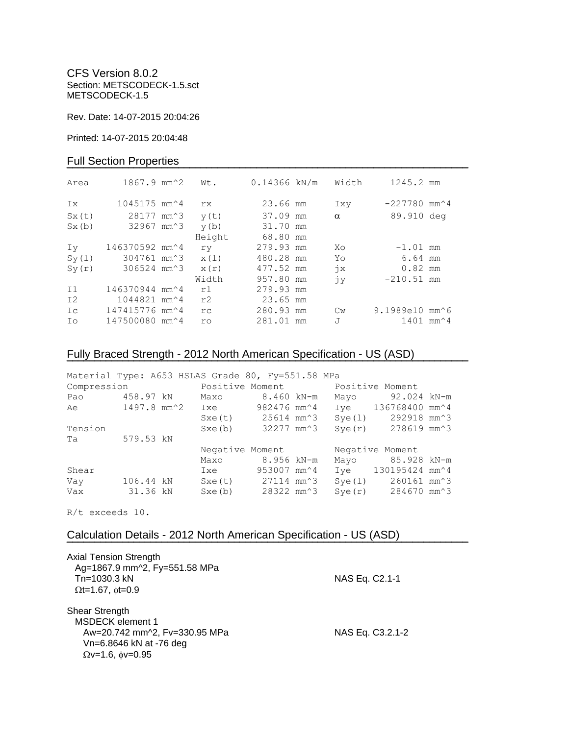CFS Version 8.0.2 Section: METSCODECK-1.5.sct METSCODECK-1.5

Rev. Date: 14-07-2015 20:04:26

Printed: 14-07-2015 20:04:48

### Full Section Properties

| Area  | $1867.9$ mm <sup><math>\textdegree</math>2</sup> | Wt.       | $0.14366$ kN/m | Width         | 1245.2 mm                                   |  |
|-------|--------------------------------------------------|-----------|----------------|---------------|---------------------------------------------|--|
| Ix    | $1045175$ mm <sup><math>\sim</math></sup> 4      | rx        | 23.66 mm       | Ixy           | $-227780$ mm <sup><math>\sim</math></sup> 4 |  |
| Sx(t) | 28177 mm <sup>2</sup> 3                          | y(t)      | 37.09 mm       | $\alpha$      | 89.910 deg                                  |  |
| Sx(b) | 32967 mm^3                                       | y(b)      | 31.70 mm       |               |                                             |  |
|       |                                                  | Height    | 68.80 mm       |               |                                             |  |
| Iv    | 146370592 mm^4                                   | ry        | 279.93 mm      | Xo            | $-1.01$ mm                                  |  |
| Sy(1) | 304761 mm^3                                      | x(1)      | 480.28 mm      | Yo            | 6.64 mm                                     |  |
| Sy(r) | 306524 mm^3                                      | x(r)      | 477.52 mm      | $\dot{7}x$    | $0.82$ mm                                   |  |
|       |                                                  | Width     | 957.80 mm      | jу            | $-210.51$ mm                                |  |
| I1    | 146370944 mm^4                                   | r1        | 279.93 mm      |               |                                             |  |
| I2    | 1044821 mm <sup><math>4</math></sup>             | r2        | 23.65 mm       |               |                                             |  |
| Ic    | 147415776 mm^4                                   | rc.       | 280.93 mm      | $\mathbb{C}w$ | 9.1989e10 mm^6                              |  |
| Ιo    | 147500080 mm^4                                   | <b>ro</b> | 281.01 mm      | J             | $1401$ mm <sup><math>4</math></sup>         |  |
|       |                                                  |           |                |               |                                             |  |

# Fully Braced Strength - 2012 North American Specification - US (ASD)

| Material Type: A653 HSLAS Grade 80, Fy=551.58 MPa      |           |                 |                                                                     |                                             |                 |        |                                              |  |
|--------------------------------------------------------|-----------|-----------------|---------------------------------------------------------------------|---------------------------------------------|-----------------|--------|----------------------------------------------|--|
|                                                        |           |                 | Compression <b>Example 2</b> Positive Moment <b>Positive Moment</b> |                                             |                 |        |                                              |  |
| Pao                                                    |           |                 | 458.97 kN Maxo                                                      | 8.460 kN-m                                  |                 | Mayo   | 92.024 kN-m                                  |  |
| Ae 1497.8 mm <sup>2</sup> Ixe 982476 mm <sup>2</sup> 4 |           |                 |                                                                     |                                             |                 |        | Iye 136768400 mm^4                           |  |
|                                                        |           |                 |                                                                     | $Sxe(t)$ 25614 mm <sup><math>3</math></sup> |                 | Sye(l) | 292918 mm^3                                  |  |
| Tension                                                |           |                 |                                                                     | Sxe(b) 32277 mm <sup>3</sup>                |                 |        | $Sye(r)$ 278619 mm <sup><math>3</math></sup> |  |
| Ta                                                     | 579.53 kN |                 |                                                                     |                                             |                 |        |                                              |  |
|                                                        |           | Negative Moment |                                                                     |                                             | Negative Moment |        |                                              |  |
|                                                        |           |                 | Maxo                                                                | 8.956 kN-m                                  |                 |        | Mayo 85.928 kN-m                             |  |
| Shear                                                  |           |                 | Ixe                                                                 | 953007 mm^4                                 |                 |        | Iye 130195424 mm <sup>2</sup> 4              |  |
| Vay                                                    | 106.44 kN |                 |                                                                     | $Sxe(t)$ 27114 mm <sup><math>3</math></sup> |                 | Sye(1) | 260161 mm^3                                  |  |
| Vax                                                    | 31.36 kN  |                 | Sxe(b)                                                              | 28322 mm^3                                  |                 |        | $Sye(r)$ 284670 mm <sup><math>3</math></sup> |  |

**¯¯¯¯¯¯¯¯¯¯¯¯¯¯¯¯¯¯¯¯¯¯¯¯¯¯¯¯¯¯¯¯¯¯¯¯¯¯¯¯¯¯¯¯¯¯¯¯¯¯¯¯¯¯¯¯¯¯¯¯¯¯¯¯¯¯¯¯¯¯¯¯**

R/t exceeds 10.

## Calculation Details - 2012 North American Specification - US (ASD)

| <b>Axial Tension Strength</b>                            |                  |
|----------------------------------------------------------|------------------|
| Ag=1867.9 mm^2, Fy=551.58 MPa<br>$Tn = 1030.3$ kN        | NAS Eq. C2.1-1   |
| $\Omega t = 1.67$ , $\phi t = 0.9$                       |                  |
| Shear Strength<br><b>MSDECK</b> element 1                |                  |
| Aw=20.742 mm^2, Fv=330.95 MPa<br>Vn=6.8646 kN at -76 deg | NAS Eq. C3.2.1-2 |
| $Qv=1.6$ , $\phi v=0.95$                                 |                  |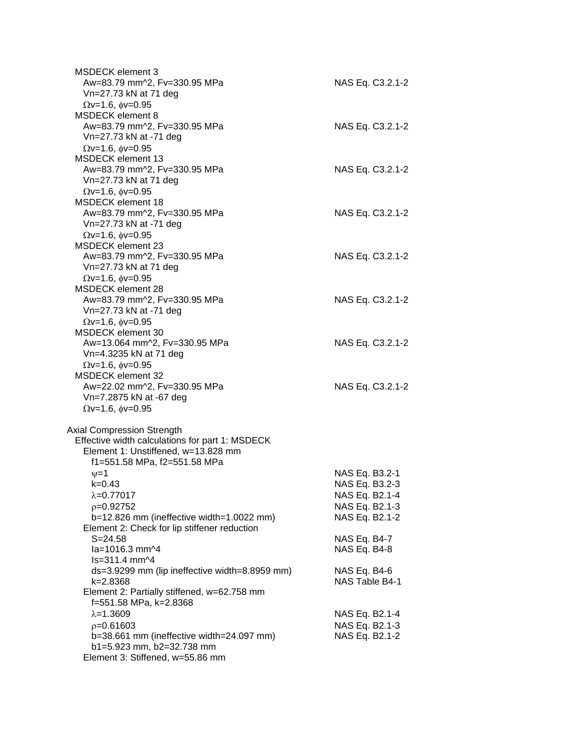| <b>MSDECK element 3</b><br>Aw=83.79 mm^2, Fv=330.95 MPa<br>Vn=27.73 kN at 71 deg                                                                                          | NAS Eq. C3.2.1-2                                                                       |
|---------------------------------------------------------------------------------------------------------------------------------------------------------------------------|----------------------------------------------------------------------------------------|
| $\Omega$ v=1.6, $\phi$ v=0.95<br><b>MSDECK element 8</b><br>Aw=83.79 mm^2, Fv=330.95 MPa<br>Vn=27.73 kN at -71 deg                                                        | NAS Eq. C3.2.1-2                                                                       |
| $\Omega$ v=1.6, $\phi$ v=0.95<br><b>MSDECK element 13</b><br>Aw=83.79 mm^2, Fv=330.95 MPa<br>Vn=27.73 kN at 71 deg                                                        | NAS Eq. C3.2.1-2                                                                       |
| $\Omega$ v=1.6, $\phi$ v=0.95<br><b>MSDECK</b> element 18<br>Aw=83.79 mm^2, Fv=330.95 MPa<br>Vn=27.73 kN at -71 deg                                                       | NAS Eq. C3.2.1-2                                                                       |
| $\Omega$ v=1.6, $\phi$ v=0.95<br><b>MSDECK element 23</b><br>Aw=83.79 mm^2, Fv=330.95 MPa<br>Vn=27.73 kN at 71 deg                                                        | NAS Eq. C3.2.1-2                                                                       |
| $\Omega$ v=1.6, $\phi$ v=0.95<br>MSDECK element 28<br>Aw=83.79 mm^2, Fv=330.95 MPa<br>Vn=27.73 kN at -71 deg                                                              | NAS Eq. C3.2.1-2                                                                       |
| $\Omega$ v=1.6, $\phi$ v=0.95<br><b>MSDECK</b> element 30<br>Aw=13.064 mm^2, Fv=330.95 MPa<br>Vn=4.3235 kN at 71 deg                                                      | NAS Eq. C3.2.1-2                                                                       |
| $\Omega$ v=1.6, $\phi$ v=0.95<br><b>MSDECK element 32</b><br>Aw=22.02 mm^2, Fv=330.95 MPa<br>Vn=7.2875 kN at -67 deg<br>$\Omega$ v=1.6, $\phi$ v=0.95                     | NAS Eq. C3.2.1-2                                                                       |
| <b>Axial Compression Strength</b><br>Effective width calculations for part 1: MSDECK<br>Element 1: Unstiffened, w=13.828 mm                                               |                                                                                        |
| f1=551.58 MPa, f2=551.58 MPa<br>$\nu = 1$<br>k=0.43<br>$\lambda = 0.77017$<br>$p=0.92752$<br>b=12.826 mm (ineffective width=1.0022 mm)                                    | NAS Eq. B3.2-1<br>NAS Eq. B3.2-3<br>NAS Eq. B2.1-4<br>NAS Eq. B2.1-3<br>NAS Eq. B2.1-2 |
| Element 2: Check for lip stiffener reduction<br>$S = 24.58$<br>la=1016.3 mm^4                                                                                             | NAS Eq. B4-7<br>NAS Eq. B4-8                                                           |
| ls=311.4 mm^4<br>ds=3.9299 mm (lip ineffective width=8.8959 mm)<br>k=2.8368<br>Element 2: Partially stiffened, w=62.758 mm                                                | NAS Eq. B4-6<br>NAS Table B4-1                                                         |
| f=551.58 MPa, k=2.8368<br>$\lambda = 1.3609$<br>$p=0.61603$<br>b=38.661 mm (ineffective width=24.097 mm)<br>b1=5.923 mm, b2=32.738 mm<br>Element 3: Stiffened, w=55.86 mm | NAS Eq. B2.1-4<br>NAS Eq. B2.1-3<br>NAS Eq. B2.1-2                                     |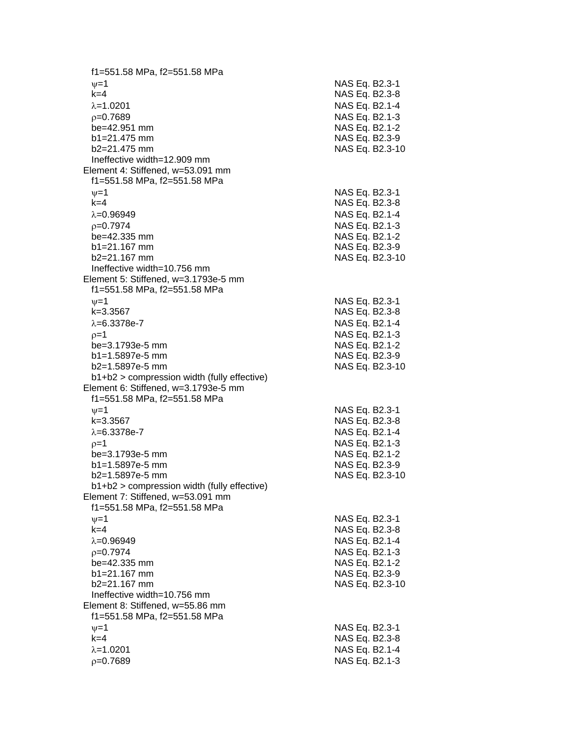f1=551.58 MPa, f2=551.58 MPa  $\psi$ =1 NAS Eq. B2.3-1 k=4 NAS Eq. B2.3 - 8 λ=1.0201 NAS Eq. B2.1-4  $\rho$ =0.7689 NAS Eq. B2.1-3 be=42.951 mm NAS Eq. B2.1-2  $b1 = 21.475$  mm  $b2=21.475$  mm NAS Eq. B2.3-10 Ineffective width=12.909 mm Element 4: Stiffened, w=53.091 mm f1=551.58 MPa, f2=551.58 MPa  $\psi$ =1 NAS Eq. B2.3-1 k=4 NAS Eq. B2.3 - 8 =0.96949 NAS Eq. B2.1 - 4  $\rho$ =0.7974 NAS Eq. B2.1-3  $be = 42.335$  mm  $b1 = 21.167$  mm b2=21.167 mm NAS Eq. B2.3 -10 Ineffective width=10.756 mm Element 5: Stiffened, w=3.1793e -5 mm f1=551.58 MPa, f2=551.58 MPa  $\nu$  =1 NAS Eq. B2.3-1 k=3.3567 NAS Eq. B2.3 - 8 λ=6.3378e-7 NAS Eq. B2.1 - 4  $\rho=1$  NAS Eq. B2.1-3 be=3.1793e -5 mm NAS Eq. B2.1 - 2 b1=1.5897e-5 mm -5 mm NAS Eq. B2.3 - 9 b2=1.5897e -5 mm NAS Eq. B2.3 -10 b1+b2 > compression width (fully effective) Element 6: Stiffened, w=3.1793e -5 mm f1=551.58 MPa, f2=551.58 MPa  $\psi$ =1 NAS Eq. B2.3-1 k=3.3567 NAS Eq. B2.3 - 8 λ=6.3378e-7 NAS Eq. B2.1 - 4  $\rho$ =1 NAS Eq. B2.1-3 be=3.1793e -5 mm NAS Eq. B2.1 - 2 b1=1.5897e-5 mm -5 mm NAS Eq. B2.3 - 9 b2=1.5897e -5 mm NAS Eq. B2.3 -10 b1+b2 > compression width (fully effective) Element 7: Stiffened, w=53.091 mm f1=551.58 MPa, f2=551.58 MPa  $\psi$ =1 NAS Eq. B2.3-1 k=4 NAS Eq. B2.3 - 8 =0.96949 NAS Eq. B2.1 - 4  $\rho$ =0.7974 NAS Eq. B2.1-3 be=42.335 mm b1=21.167 mm NAS Eq. B2.3-9 b2=21.167 mm NAS Eq. B2.3 -10 Ineffective width=10.756 mm Element 8: Stiffened, w=55.86 mm f1=551.58 MPa, f2=551.58 MPa  $\nu$  =1 NAS Eq. B2.3-1 k=4 NAS Eq. B2.3 - 8 =1.0201 NAS Eq. B2.1 - 4  $\rho$ =0.7689 NAS Eq. B2.1-3

- 9

- 2

- 9

- 2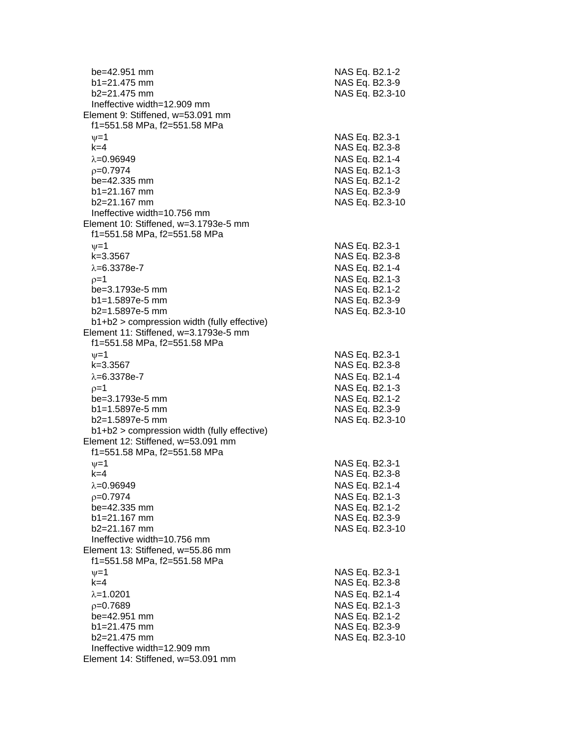| be=42.951 mm<br>$b1 = 21.475$ mm<br>b2=21.475 mm                                     | NAS Eq. B2.1-2<br>NAS Eq. B2.3-9<br>NAS Eq. B2.3-10 |
|--------------------------------------------------------------------------------------|-----------------------------------------------------|
| Ineffective width=12.909 mm                                                          |                                                     |
| Element 9: Stiffened, w=53.091 mm                                                    |                                                     |
| f1=551.58 MPa, f2=551.58 MPa                                                         |                                                     |
| $\nu = 1$                                                                            | NAS Eq. B2.3-1                                      |
| $k = 4$                                                                              | NAS Eq. B2.3-8                                      |
| $\lambda = 0.96949$                                                                  | NAS Eq. B2.1-4                                      |
| $p=0.7974$                                                                           | NAS Eq. B2.1-3                                      |
| be=42.335 mm                                                                         | NAS Eq. B2.1-2                                      |
| $b1 = 21.167$ mm                                                                     | NAS Eq. B2.3-9                                      |
| $b2 = 21.167$ mm                                                                     | NAS Eq. B2.3-10                                     |
| Ineffective width=10.756 mm                                                          |                                                     |
| Element 10: Stiffened, w=3.1793e-5 mm                                                |                                                     |
| f1=551.58 MPa, f2=551.58 MPa                                                         |                                                     |
| $\nu = 1$                                                                            | NAS Eq. B2.3-1                                      |
| $k = 3.3567$                                                                         | NAS Eq. B2.3-8                                      |
| $\lambda = 6.3378e - 7$                                                              | NAS Eq. B2.1-4                                      |
| $p=1$                                                                                | NAS Eq. B2.1-3                                      |
| be=3.1793e-5 mm                                                                      | NAS Eq. B2.1-2                                      |
| b1=1.5897e-5 mm                                                                      | NAS Eq. B2.3-9                                      |
| b2=1.5897e-5 mm                                                                      | NAS Eq. B2.3-10                                     |
| b1+b2 > compression width (fully effective)<br>Element 11: Stiffened, w=3.1793e-5 mm |                                                     |
| f1=551.58 MPa, f2=551.58 MPa                                                         |                                                     |
| $\nu = 1$                                                                            | NAS Eq. B2.3-1                                      |
| $k = 3.3567$                                                                         | NAS Eq. B2.3-8                                      |
| $\lambda = 6.3378e - 7$                                                              | NAS Eq. B2.1-4                                      |
| $p=1$                                                                                | NAS Eq. B2.1-3                                      |
| be=3.1793e-5 mm                                                                      | NAS Eq. B2.1-2                                      |
| b1=1.5897e-5 mm                                                                      | NAS Eq. B2.3-9                                      |
| b2=1.5897e-5 mm                                                                      | NAS Eq. B2.3-10                                     |
| b1+b2 > compression width (fully effective)                                          |                                                     |
| Element 12: Stiffened, w=53.091 mm                                                   |                                                     |
| f1=551.58 MPa, f2=551.58 MPa                                                         |                                                     |
| $\nu = 1$                                                                            | NAS Eq. B2.3-1                                      |
| $k = 4$                                                                              | NAS Eq. B2.3-8                                      |
| $\lambda = 0.96949$                                                                  | NAS Eq. B2.1-4                                      |
| $p=0.7974$                                                                           | NAS Eq. B2.1-3                                      |
| be=42.335 mm                                                                         | NAS Eq. B2.1-2                                      |
| b1=21.167 mm                                                                         | NAS Eq. B2.3-9                                      |
| b2=21.167 mm                                                                         | NAS Eq. B2.3-10                                     |
| Ineffective width=10.756 mm                                                          |                                                     |
| Element 13: Stiffened, w=55.86 mm                                                    |                                                     |
| f1=551.58 MPa, f2=551.58 MPa                                                         |                                                     |
| $\nu = 1$<br>$k=4$                                                                   | NAS Eq. B2.3-1<br>NAS Eq. B2.3-8                    |
| $\lambda = 1.0201$                                                                   | NAS Eq. B2.1-4                                      |
| $p=0.7689$                                                                           | NAS Eq. B2.1-3                                      |
| be=42.951 mm                                                                         | NAS Eq. B2.1-2                                      |
| $b1 = 21.475$ mm                                                                     | NAS Eq. B2.3-9                                      |
| $b2 = 21.475$ mm                                                                     | NAS Eq. B2.3-10                                     |
| Ineffective width=12.909 mm                                                          |                                                     |
| Element 14: Stiffened, w=53.091 mm                                                   |                                                     |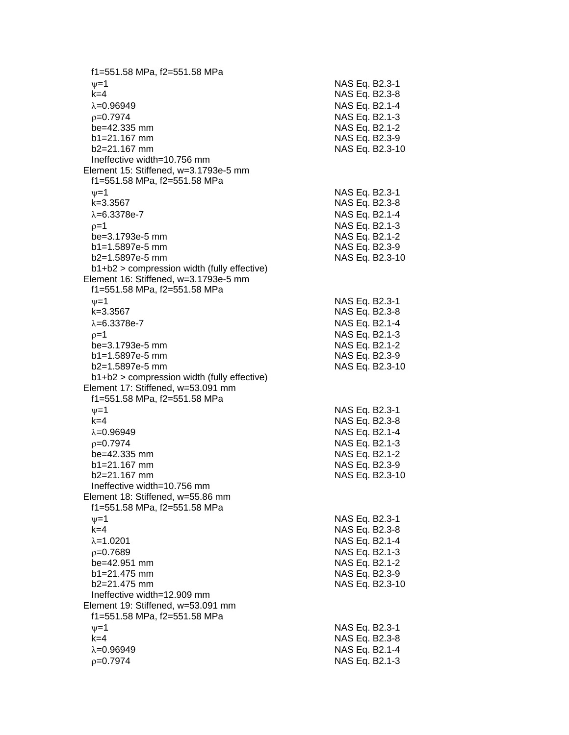f1=551.58 MPa, f2=551.58 MPa  $\psi$ =1 NAS Eq. B2.3-1 k=4 NAS Eq. B2.3 - 8  $\lambda = 0.96949$ 9 NAS Eq. B2.1 - 4  $\rho$ =0.7974 NAS Eq. B2.1-3 be=42.335 mm NAS Eq. B2.1-2  $b1 = 21.167$  mm  $b2=21.167$  mm NAS Eq. B2.3-10 Ineffective width=10.756 mm Element 15: Stiffened, w=3.1793e -5 mm f1=551.58 MPa, f2=551.58 MPa  $\psi$ =1 NAS Eq. B2.3-1 k=3.3567 NAS Eq. B2.3 - 8 λ=6.3378e-7 NAS Eq. B2.1 - 4  $\rho$ =1 NAS Eq. B2.1-3 be=3.1793e -5 mm NAS Eq. B2.1 - 2 b1=1.5897e-5 mm -5 mm NAS Eq. B2.3 - 9 b2=1.5897e -5 mm NAS Eq. B2.3 -10 b1+b2 > compression width (fully effective) Element 16: Stiffened, w=3.1793e -5 mm f1=551.58 MPa, f2=551.58 MPa  $\nu$  =1 NAS Eq. B2.3-1 k=3.3567 NAS Eq. B2.3 - 8 λ=6.3378e-7 NAS Eq. B2.1 - 4  $\rho=1$  NAS Eq. B2.1-3 be=3.1793e -5 mm NAS Eq. B2.1 - 2 b1=1.5897e-5 mm -5 mm NAS Eq. B2.3 - 9 b2=1.5897e -5 mm NAS Eq. B2.3 -10 b1+b2 > compression width (fully effective) Element 17: Stiffened, w=53.091 mm f1=551.58 MPa, f2=551.58 MPa  $\psi$ =1 NAS Eq. B2.3-1 k=4 NAS Eq. B2.3 - 8 λ=0.96949 NAS Eq. B2.1-4  $\rho$ =0.7974 NAS Eq. B2.1-3 be=42.335 mm NAS Eq. B2.1-2  $b1 = 21.167$  mm  $b2=21.167$  mm NAS Eq. B2.3-10 Ineffective width=10.756 mm Element 18: Stiffened, w=55.86 mm f1=551.58 MPa, f2=551.58 MPa  $\psi$ =1 NAS Eq. B2.3-1 k=4 NAS Eq. B2.3 - 8 =1.0201 NAS Eq. B2.1 - 4  $\rho$ =0.7689 NAS Eq. B2.1-3 be=42.951 mm b1=21.475 mm NAS Eq. B2.3-9 b2=21.475 mm NAS Eq. B2.3 -10 Ineffective width=12.909 mm Element 19: Stiffened, w=53.091 mm f1=551.58 MPa, f2=551.58 MPa  $\nu$  =1 NAS Eq. B2.3-1 k=4 NAS Eq. B2.3 - 8 =0.96949 NAS Eq. B2.1 - 4  $\rho$ =0.7974 NAS Eq. B2.1-3

- 9

- 9

- 2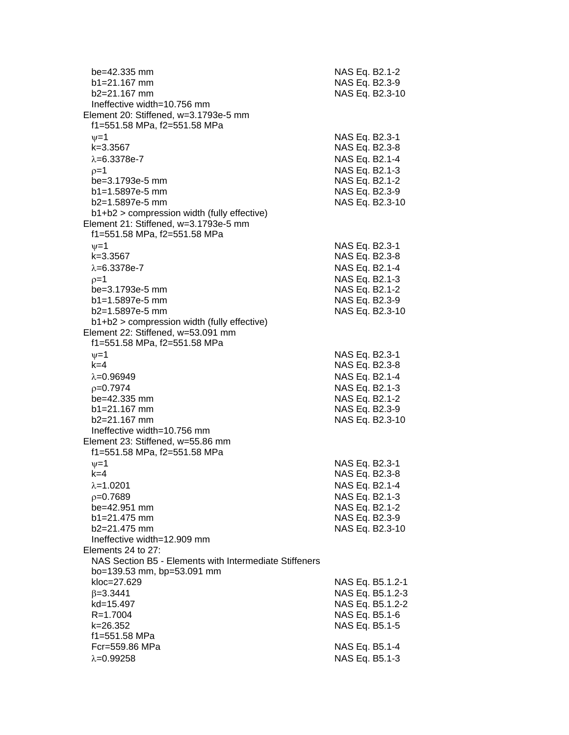| be=42.335 mm<br>b1=21.167 mm<br>$b2 = 21.167$ mm       | NAS Eq. B2.1-2<br>NAS Eq. B2.3-9<br>NAS Eq. B2.3-10 |
|--------------------------------------------------------|-----------------------------------------------------|
| Ineffective width=10.756 mm                            |                                                     |
| Element 20: Stiffened, w=3.1793e-5 mm                  |                                                     |
| f1=551.58 MPa, f2=551.58 MPa                           |                                                     |
| $\nu = 1$                                              | NAS Eq. B2.3-1                                      |
| k=3.3567                                               | NAS Eq. B2.3-8                                      |
| $\lambda = 6.3378e - 7$                                | NAS Eq. B2.1-4                                      |
| $p=1$                                                  | NAS Eq. B2.1-3                                      |
| be=3.1793e-5 mm                                        | NAS Eq. B2.1-2                                      |
| b1=1.5897e-5 mm                                        | NAS Eq. B2.3-9                                      |
| b2=1.5897e-5 mm                                        | NAS Eq. B2.3-10                                     |
| b1+b2 > compression width (fully effective)            |                                                     |
| Element 21: Stiffened, w=3.1793e-5 mm                  |                                                     |
| f1=551.58 MPa, f2=551.58 MPa                           |                                                     |
| $\nu = 1$                                              | NAS Eq. B2.3-1                                      |
| $k = 3.3567$                                           | NAS Eq. B2.3-8                                      |
| $\lambda = 6.3378e - 7$                                | NAS Eq. B2.1-4                                      |
| $p=1$                                                  | NAS Eq. B2.1-3                                      |
| be=3.1793e-5 mm                                        | NAS Eq. B2.1-2                                      |
| b1=1.5897e-5 mm                                        | NAS Eq. B2.3-9                                      |
| b2=1.5897e-5 mm                                        | NAS Eq. B2.3-10                                     |
| b1+b2 > compression width (fully effective)            |                                                     |
| Element 22: Stiffened, w=53.091 mm                     |                                                     |
| f1=551.58 MPa, f2=551.58 MPa                           |                                                     |
| $\nu = 1$<br>$k=4$                                     | NAS Eq. B2.3-1                                      |
| $\lambda = 0.96949$                                    | NAS Eq. B2.3-8<br>NAS Eq. B2.1-4                    |
|                                                        |                                                     |
| $p=0.7974$<br>be=42.335 mm                             | NAS Eq. B2.1-3<br>NAS Eq. B2.1-2                    |
| b1=21.167 mm                                           | NAS Eq. B2.3-9                                      |
| b2=21.167 mm                                           | NAS Eq. B2.3-10                                     |
| Ineffective width=10.756 mm                            |                                                     |
| Element 23: Stiffened, w=55.86 mm                      |                                                     |
| f1=551.58 MPa, f2=551.58 MPa                           |                                                     |
| $v = 1$                                                | NAS Eq. B2.3-1                                      |
| k=4                                                    | NAS Eq. B2.3-8                                      |
| $\lambda = 1.0201$                                     | NAS Eq. B2.1-4                                      |
| $p=0.7689$                                             | NAS Eq. B2.1-3                                      |
| be=42.951 mm                                           | NAS Eq. B2.1-2                                      |
| b1=21.475 mm                                           | NAS Eq. B2.3-9                                      |
| b2=21.475 mm                                           | NAS Eq. B2.3-10                                     |
| Ineffective width=12.909 mm                            |                                                     |
| Elements 24 to 27:                                     |                                                     |
| NAS Section B5 - Elements with Intermediate Stiffeners |                                                     |
| bo=139.53 mm, bp=53.091 mm                             |                                                     |
| kloc=27.629                                            | NAS Eq. B5.1.2-1                                    |
| $\beta = 3.3441$                                       | NAS Eq. B5.1.2-3                                    |
| kd=15.497                                              | NAS Eq. B5.1.2-2                                    |
| $R = 1.7004$<br>k=26.352                               | NAS Eq. B5.1-6<br>NAS Eq. B5.1-5                    |
| f1=551.58 MPa                                          |                                                     |
| Fcr=559.86 MPa                                         | NAS Eq. B5.1-4                                      |
| $\lambda = 0.99258$                                    | NAS Eq. B5.1-3                                      |
|                                                        |                                                     |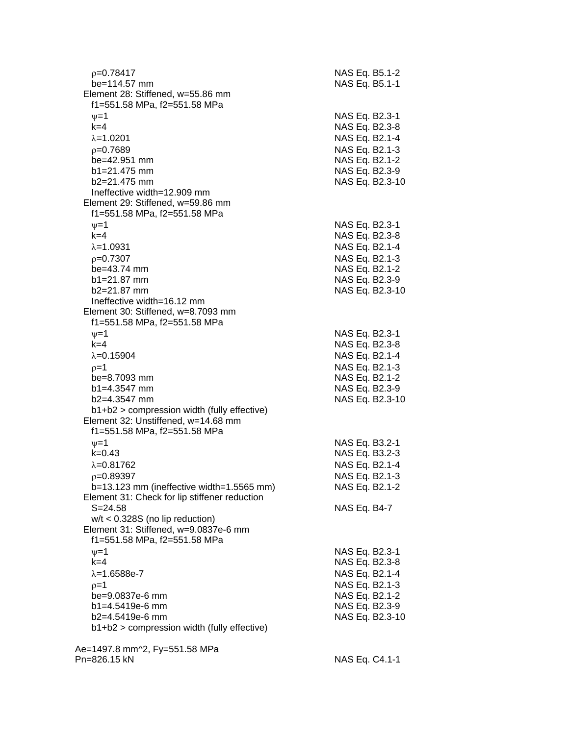| $p=0.78417$<br>be=114.57 mm                                       | NAS Eq. B5.1-2<br>NAS Eq. B5.1-1 |
|-------------------------------------------------------------------|----------------------------------|
| Element 28: Stiffened, w=55.86 mm<br>f1=551.58 MPa, f2=551.58 MPa |                                  |
| $\nu = 1$                                                         | NAS Eq. B2.3-1                   |
| $k=4$                                                             | NAS Eq. B2.3-8                   |
| $\lambda = 1.0201$                                                | NAS Eq. B2.1-4                   |
| $p=0.7689$                                                        | NAS Eq. B2.1-3                   |
| be=42.951 mm                                                      | NAS Eq. B2.1-2                   |
| $b1 = 21.475$ mm                                                  | NAS Eq. B2.3-9                   |
| $b2=21.475$ mm                                                    | NAS Eq. B2.3-10                  |
| Ineffective width=12.909 mm                                       |                                  |
| Element 29: Stiffened, w=59.86 mm                                 |                                  |
| f1=551.58 MPa, f2=551.58 MPa                                      |                                  |
| $\nu = 1$                                                         | NAS Eq. B2.3-1                   |
| $k=4$                                                             | NAS Eq. B2.3-8                   |
| $\lambda = 1.0931$                                                | NAS Eq. B2.1-4                   |
| $p=0.7307$                                                        | NAS Eq. B2.1-3                   |
| be=43.74 mm                                                       | NAS Eq. B2.1-2                   |
| $b1 = 21.87$ mm                                                   | NAS Eq. B2.3-9                   |
| $b2 = 21.87$ mm                                                   | NAS Eq. B2.3-10                  |
| Ineffective width=16.12 mm                                        |                                  |
| Element 30: Stiffened, w=8.7093 mm                                |                                  |
| f1=551.58 MPa, f2=551.58 MPa                                      |                                  |
| $\nu = 1$                                                         | NAS Eq. B2.3-1                   |
| $k = 4$                                                           | NAS Eq. B2.3-8                   |
| $\lambda = 0.15904$                                               | NAS Eq. B2.1-4                   |
| $p=1$                                                             | NAS Eq. B2.1-3                   |
| be=8.7093 mm                                                      | NAS Eq. B2.1-2                   |
| $b1 = 4.3547$ mm                                                  | NAS Eq. B2.3-9                   |
| b2=4.3547 mm                                                      | NAS Eq. B2.3-10                  |
| $b1+b2$ > compression width (fully effective)                     |                                  |
| Element 32: Unstiffened, w=14.68 mm                               |                                  |
| f1=551.58 MPa, f2=551.58 MPa                                      |                                  |
| $\nu = 1$                                                         | NAS Eq. B3.2-1                   |
| $k = 0.43$                                                        | NAS Eq. B3.2-3                   |
| $\lambda = 0.81762$                                               | NAS Eq. B2.1-4                   |
| $p=0.89397$                                                       | NAS Eq. B2.1-3                   |
| $b=13.123$ mm (ineffective width=1.5565 mm)                       | NAS Eq. B2.1-2                   |
| Element 31: Check for lip stiffener reduction                     |                                  |
| $S = 24.58$                                                       | NAS Eq. B4-7                     |
| $w/t < 0.328S$ (no lip reduction)                                 |                                  |
| Element 31: Stiffened, w=9.0837e-6 mm                             |                                  |
| f1=551.58 MPa, f2=551.58 MPa                                      |                                  |
| $\nu = 1$                                                         | NAS Eq. B2.3-1                   |
| $k=4$                                                             | NAS Eq. B2.3-8                   |
| $\lambda = 1.6588e - 7$                                           | NAS Eq. B2.1-4                   |
| $p=1$                                                             | NAS Eq. B2.1-3                   |
| be=9.0837e-6 mm                                                   | NAS Eq. B2.1-2                   |
| b1=4.5419e-6 mm                                                   | NAS Eq. B2.3-9                   |
| $b2=4.5419e-6$ mm                                                 | NAS Eq. B2.3-10                  |
| b1+b2 > compression width (fully effective)                       |                                  |
|                                                                   |                                  |
| Ae=1497.8 mm^2, Fy=551.58 MPa                                     |                                  |
| Pn=826.15 kN                                                      | NAS Eq. C4.1-1                   |
|                                                                   |                                  |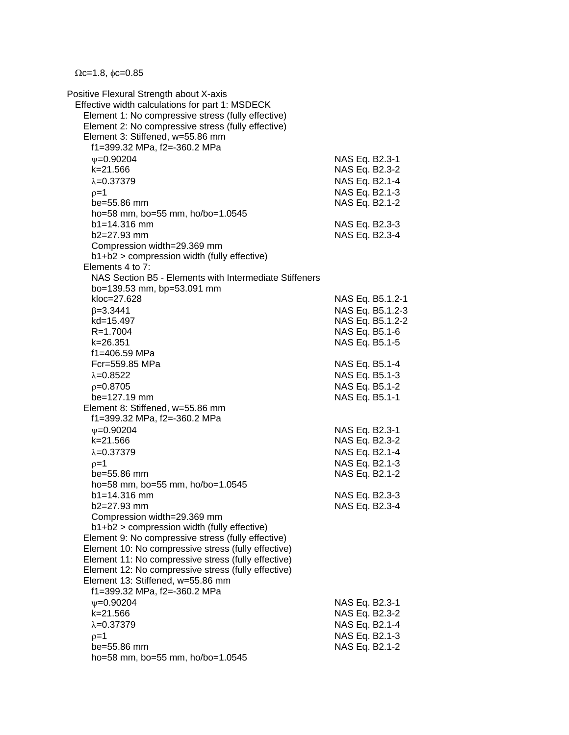$\Omega$ c=1.8,  $\phi$ c=0.85

Positive Flexural Strength about X-axis Effective width calculations for part 1: MSDECK Element 1: No compressive stress (fully effective) Element 2: No compressive stress (fully effective) Element 3: Stiffened, w=55.86 mm f1=399.32 MPa, f2=-360.2 MPa  $v=0.90204$  NAS Eq. B2.3-1 k=21.566 NAS Eq. B2.3-2  $\lambda$ =0.37379 NAS Eq. B2.1-4  $p=1$  NAS Eq. B2.1-3 be=55.86 mm NAS Eq. B2.1-2 ho=58 mm, bo=55 mm, ho/bo=1.0545 b1=14.316 mm NAS Eq. B2.3-3 b2=27.93 mm NAS Eq. B2.3-4 Compression width=29.369 mm b1+b2 > compression width (fully effective) Elements 4 to 7: NAS Section B5 - Elements with Intermediate Stiffeners bo=139.53 mm, bp=53.091 mm kloc=27.628 NAS Eq. B5.1.2-1  $\beta$ =3.3441 NAS Eq. B5.1.2-3 kd=15.497 NAS Eq. B5.1.2-2 R=1.7004 NAS Eq. B5.1-6 k=26.351 NAS Eq. B5.1-5 f1=406.59 MPa Fcr=559.85 MPa NAS Eq. B5.1-4  $\lambda = 0.8522$  NAS Eq. B5.1-3  $p=0.8705$  NAS Eq. B5.1-2 be=127.19 mm NAS Eq. B5.1-1 Element 8: Stiffened, w=55.86 mm f1=399.32 MPa, f2=-360.2 MPa =0.90204 NAS Eq. B2.3-1 k=21.566 NAS Eq. B2.3-2  $\lambda = 0.37379$  NAS Eq. B2.1-4  $\rho = 1$  NAS Eq. B2.1-3 be=55.86 mm NAS Eq. B2.1-2 ho=58 mm, bo=55 mm, ho/bo=1.0545 b1=14.316 mm NAS Eq. B2.3-3 b2=27.93 mm NAS Eq. B2.3-4 Compression width=29.369 mm b1+b2 > compression width (fully effective) Element 9: No compressive stress (fully effective) Element 10: No compressive stress (fully effective) Element 11: No compressive stress (fully effective) Element 12: No compressive stress (fully effective) Element 13: Stiffened, w=55.86 mm f1=399.32 MPa, f2=-360.2 MPa  $\nu$ =0.90204 NAS Eq. B2.3-1 k=21.566 NAS Eq. B2.3-2  $\lambda$ =0.37379 NAS Eq. B2.1-4  $p=1$  NAS Eq. B2.1-3 be=55.86 mm NAS Eq. B2.1-2 ho=58 mm, bo=55 mm, ho/bo=1.0545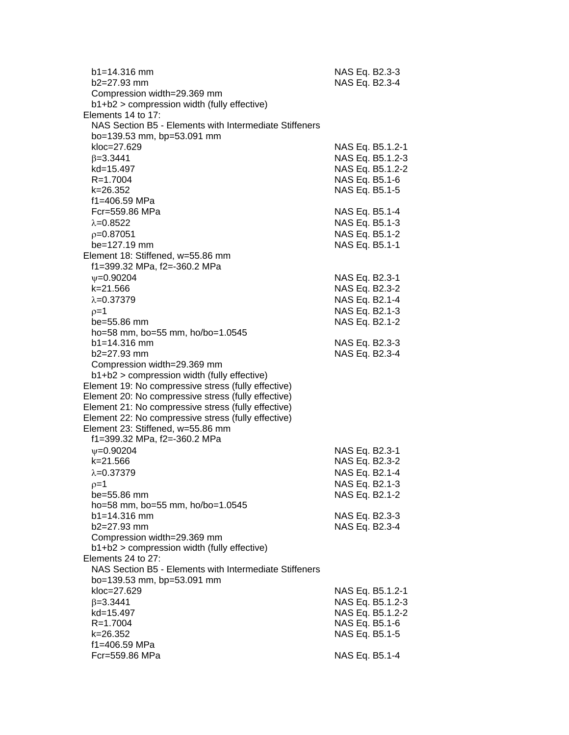| $b1 = 14.316$ mm<br>b2=27.93 mm                                            | NAS Eq. B2.3-3<br>NAS Eq. B2.3-4     |
|----------------------------------------------------------------------------|--------------------------------------|
| Compression width=29.369 mm<br>b1+b2 > compression width (fully effective) |                                      |
| Elements 14 to 17:                                                         |                                      |
| NAS Section B5 - Elements with Intermediate Stiffeners                     |                                      |
| bo=139.53 mm, bp=53.091 mm                                                 |                                      |
| kloc=27.629                                                                | NAS Eq. B5.1.2-1                     |
| $\beta = 3.3441$                                                           | NAS Eq. B5.1.2-3                     |
| kd=15.497                                                                  | NAS Eq. B5.1.2-2                     |
| R=1.7004                                                                   | NAS Eq. B5.1-6                       |
| k=26.352                                                                   | NAS Eq. B5.1-5                       |
| f1=406.59 MPa                                                              |                                      |
| Fcr=559.86 MPa                                                             | NAS Eq. B5.1-4                       |
| $\lambda = 0.8522$                                                         | NAS Eq. B5.1-3                       |
| $p=0.87051$                                                                | NAS Eq. B5.1-2                       |
| be=127.19 mm                                                               | NAS Eq. B5.1-1                       |
| Element 18: Stiffened, w=55.86 mm                                          |                                      |
| f1=399.32 MPa, f2=-360.2 MPa                                               |                                      |
| $\psi = 0.90204$                                                           | NAS Eq. B2.3-1                       |
| k=21.566                                                                   | NAS Eq. B2.3-2                       |
| $\lambda = 0.37379$                                                        | NAS Eq. B2.1-4                       |
| $p=1$                                                                      | NAS Eq. B2.1-3                       |
| be=55.86 mm                                                                | NAS Eq. B2.1-2                       |
| ho=58 mm, bo=55 mm, ho/bo=1.0545                                           |                                      |
| $b1 = 14.316$ mm                                                           | NAS Eq. B2.3-3                       |
| b2=27.93 mm                                                                | NAS Eq. B2.3-4                       |
| Compression width=29.369 mm<br>b1+b2 > compression width (fully effective) |                                      |
| Element 19: No compressive stress (fully effective)                        |                                      |
| Element 20: No compressive stress (fully effective)                        |                                      |
| Element 21: No compressive stress (fully effective)                        |                                      |
| Element 22: No compressive stress (fully effective)                        |                                      |
| Element 23: Stiffened, w=55.86 mm                                          |                                      |
| f1=399.32 MPa, f2=-360.2 MPa                                               |                                      |
| $\nu = 0.90204$                                                            | NAS Eq. B2.3-1                       |
| k=21.566                                                                   | NAS Eq. B2.3-2                       |
| $\lambda = 0.37379$                                                        | NAS Eq. B2.1-4                       |
| ρ=1                                                                        | NAS Eq. B2.1-3                       |
| $be = 55.86$ mm                                                            | NAS Eq. B2.1-2                       |
| ho=58 mm, bo=55 mm, ho/bo=1.0545                                           |                                      |
| $b1 = 14.316$ mm                                                           | NAS Eq. B2.3-3                       |
| b2=27.93 mm                                                                | NAS Eq. B2.3-4                       |
| Compression width=29.369 mm                                                |                                      |
| b1+b2 > compression width (fully effective)                                |                                      |
| Elements 24 to 27:                                                         |                                      |
| NAS Section B5 - Elements with Intermediate Stiffeners                     |                                      |
| bo=139.53 mm, bp=53.091 mm<br>kloc=27.629                                  |                                      |
| $\beta = 3.3441$                                                           | NAS Eq. B5.1.2-1<br>NAS Eq. B5.1.2-3 |
| kd=15.497                                                                  | NAS Eq. B5.1.2-2                     |
| $R = 1.7004$                                                               | NAS Eq. B5.1-6                       |
| k=26.352                                                                   | NAS Eq. B5.1-5                       |
| f1=406.59 MPa                                                              |                                      |
| Fcr=559.86 MPa                                                             | NAS Eq. B5.1-4                       |
|                                                                            |                                      |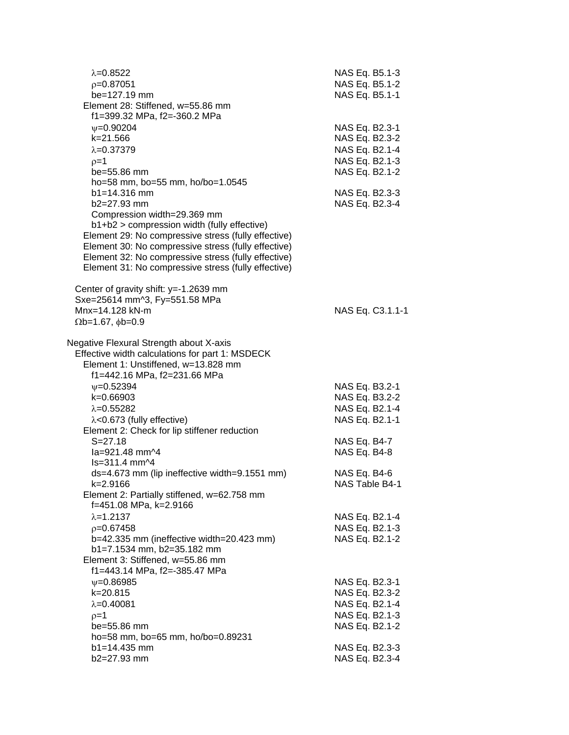| $\lambda = 0.8522$<br>$p=0.87051$<br>be=127.19 mm<br>Element 28: Stiffened, w=55.86 mm<br>f1=399.32 MPa, f2=-360.2 MPa                                                                                                                                                                                                                | NAS Eq. B5.1-3<br>NAS Eq. B5.1-2<br>NAS Eq. B5.1-1                                     |
|---------------------------------------------------------------------------------------------------------------------------------------------------------------------------------------------------------------------------------------------------------------------------------------------------------------------------------------|----------------------------------------------------------------------------------------|
| $\psi = 0.90204$<br>k=21.566<br>$\lambda = 0.37379$<br>$p=1$<br>be=55.86 mm<br>ho=58 mm, bo=55 mm, ho/bo=1.0545                                                                                                                                                                                                                       | NAS Eq. B2.3-1<br>NAS Eq. B2.3-2<br>NAS Eq. B2.1-4<br>NAS Eq. B2.1-3<br>NAS Eq. B2.1-2 |
| b1=14.316 mm<br>b2=27.93 mm<br>Compression width=29.369 mm<br>b1+b2 > compression width (fully effective)<br>Element 29: No compressive stress (fully effective)<br>Element 30: No compressive stress (fully effective)<br>Element 32: No compressive stress (fully effective)<br>Element 31: No compressive stress (fully effective) | NAS Eq. B2.3-3<br>NAS Eq. B2.3-4                                                       |
| Center of gravity shift: y=-1.2639 mm<br>Sxe=25614 mm^3, Fy=551.58 MPa<br>Mnx=14.128 kN-m<br>$\Omega$ b=1.67, $\phi$ b=0.9                                                                                                                                                                                                            | NAS Eq. C3.1.1-1                                                                       |
| Negative Flexural Strength about X-axis<br>Effective width calculations for part 1: MSDECK<br>Element 1: Unstiffened, w=13.828 mm<br>f1=442.16 MPa, f2=231.66 MPa                                                                                                                                                                     |                                                                                        |
| $\nu = 0.52394$<br>k=0.66903<br>$\lambda = 0.55282$<br>$\lambda$ <0.673 (fully effective)<br>Element 2: Check for lip stiffener reduction                                                                                                                                                                                             | NAS Eq. B3.2-1<br>NAS Eq. B3.2-2<br>NAS Eq. B2.1-4<br>NAS Eq. B2.1-1                   |
| $S = 27.18$<br>la=921.48 mm^4<br>ls=311.4 mm^4                                                                                                                                                                                                                                                                                        | NAS Eq. B4-7<br>NAS Eq. B4-8                                                           |
| ds=4.673 mm (lip ineffective width=9.1551 mm)<br>k=2.9166<br>Element 2: Partially stiffened, w=62.758 mm<br>f=451.08 MPa, k=2.9166                                                                                                                                                                                                    | NAS Eq. B4-6<br>NAS Table B4-1                                                         |
| $\lambda = 1.2137$<br>$p=0.67458$<br>b=42.335 mm (ineffective width=20.423 mm)<br>b1=7.1534 mm, b2=35.182 mm<br>Element 3: Stiffened, w=55.86 mm                                                                                                                                                                                      | NAS Eq. B2.1-4<br>NAS Eq. B2.1-3<br>NAS Eq. B2.1-2                                     |
| f1=443.14 MPa, f2=-385.47 MPa<br>$\psi = 0.86985$<br>k=20.815<br>$\lambda = 0.40081$<br>$p=1$<br>$be = 55.86$ mm                                                                                                                                                                                                                      | NAS Eq. B2.3-1<br>NAS Eq. B2.3-2<br>NAS Eq. B2.1-4<br>NAS Eq. B2.1-3<br>NAS Eq. B2.1-2 |
| ho=58 mm, bo=65 mm, ho/bo=0.89231<br>$b1 = 14.435$ mm<br>b2=27.93 mm                                                                                                                                                                                                                                                                  | NAS Eq. B2.3-3<br>NAS Eq. B2.3-4                                                       |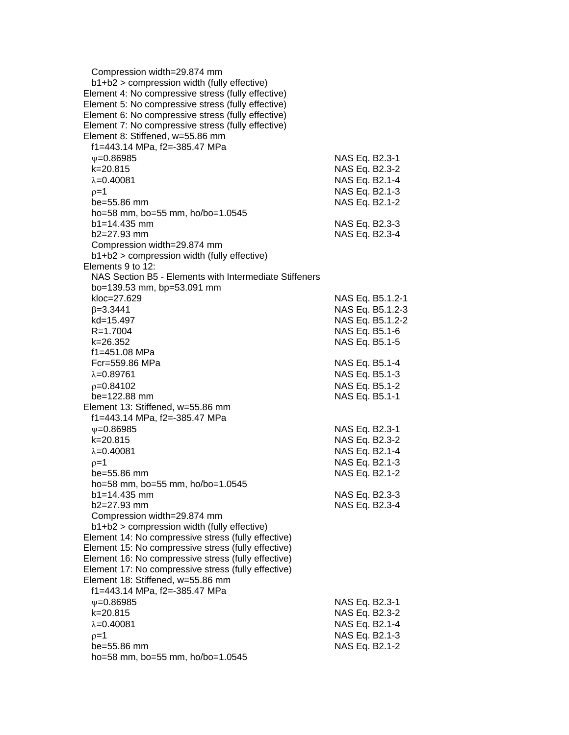| Compression width=29.874 mm                                                                       |                  |
|---------------------------------------------------------------------------------------------------|------------------|
| b1+b2 > compression width (fully effective)<br>Element 4: No compressive stress (fully effective) |                  |
| Element 5: No compressive stress (fully effective)                                                |                  |
|                                                                                                   |                  |
| Element 6: No compressive stress (fully effective)                                                |                  |
| Element 7: No compressive stress (fully effective)                                                |                  |
| Element 8: Stiffened, w=55.86 mm                                                                  |                  |
| f1=443.14 MPa, f2=-385.47 MPa                                                                     |                  |
| $\psi = 0.86985$                                                                                  | NAS Eq. B2.3-1   |
| k=20.815                                                                                          | NAS Eq. B2.3-2   |
| $\lambda = 0.40081$                                                                               | NAS Eq. B2.1-4   |
| $p=1$                                                                                             | NAS Eq. B2.1-3   |
| be=55.86 mm                                                                                       | NAS Eq. B2.1-2   |
| ho=58 mm, bo=55 mm, ho/bo=1.0545                                                                  |                  |
| $b1 = 14.435$ mm                                                                                  | NAS Eq. B2.3-3   |
| b2=27.93 mm                                                                                       | NAS Eq. B2.3-4   |
| Compression width=29.874 mm                                                                       |                  |
| b1+b2 > compression width (fully effective)                                                       |                  |
| Elements 9 to 12:                                                                                 |                  |
| NAS Section B5 - Elements with Intermediate Stiffeners                                            |                  |
| bo=139.53 mm, bp=53.091 mm                                                                        |                  |
| kloc=27.629                                                                                       | NAS Eq. B5.1.2-1 |
| $\beta = 3.3441$                                                                                  | NAS Eq. B5.1.2-3 |
| kd=15.497                                                                                         | NAS Eq. B5.1.2-2 |
| R=1.7004                                                                                          | NAS Eq. B5.1-6   |
| k=26.352                                                                                          | NAS Eq. B5.1-5   |
| f1=451.08 MPa                                                                                     |                  |
| Fcr=559.86 MPa                                                                                    | NAS Eq. B5.1-4   |
| $\lambda = 0.89761$                                                                               | NAS Eq. B5.1-3   |
| $p=0.84102$                                                                                       | NAS Eq. B5.1-2   |
| $be = 122.88$ mm                                                                                  | NAS Eq. B5.1-1   |
| Element 13: Stiffened, w=55.86 mm                                                                 |                  |
| f1=443.14 MPa, f2=-385.47 MPa                                                                     |                  |
| $\psi = 0.86985$                                                                                  | NAS Eq. B2.3-1   |
| k=20.815                                                                                          | NAS Eq. B2.3-2   |
| $\lambda = 0.40081$                                                                               | NAS Eq. B2.1-4   |
|                                                                                                   |                  |
| $p=1$                                                                                             | NAS Eq. B2.1-3   |
| be=55.86 mm                                                                                       | NAS Eq. B2.1-2   |
| ho=58 mm, bo=55 mm, ho/bo=1.0545                                                                  |                  |
| $b1 = 14.435$ mm<br>b2=27.93 mm                                                                   | NAS Eq. B2.3-3   |
|                                                                                                   | NAS Eq. B2.3-4   |
| Compression width=29.874 mm                                                                       |                  |
| b1+b2 > compression width (fully effective)                                                       |                  |
| Element 14: No compressive stress (fully effective)                                               |                  |
| Element 15: No compressive stress (fully effective)                                               |                  |
| Element 16: No compressive stress (fully effective)                                               |                  |
| Element 17: No compressive stress (fully effective)                                               |                  |
| Element 18: Stiffened, w=55.86 mm                                                                 |                  |
| f1=443.14 MPa, f2=-385.47 MPa                                                                     |                  |
| $\psi = 0.86985$                                                                                  | NAS Eq. B2.3-1   |
| k=20.815                                                                                          | NAS Eq. B2.3-2   |
| $\lambda = 0.40081$                                                                               | NAS Eq. B2.1-4   |
| $\rho = 1$                                                                                        | NAS Eq. B2.1-3   |
| be=55.86 mm                                                                                       | NAS Eq. B2.1-2   |
| ho=58 mm, bo=55 mm, ho/bo=1.0545                                                                  |                  |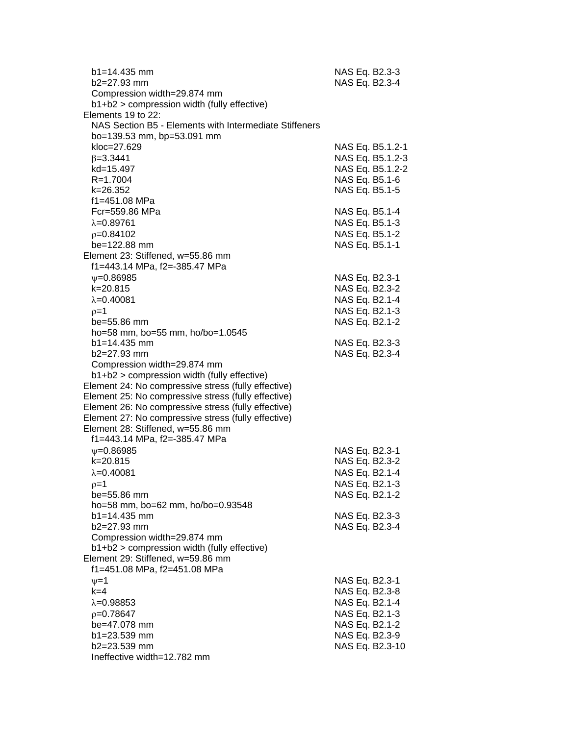| $b1 = 14.435$ mm<br>b2=27.93 mm                                                                            | NAS Eq. B2.3-3<br>NAS Eq. B2.3-4 |
|------------------------------------------------------------------------------------------------------------|----------------------------------|
| Compression width=29.874 mm                                                                                |                                  |
| b1+b2 > compression width (fully effective)                                                                |                                  |
| Elements 19 to 22:                                                                                         |                                  |
| NAS Section B5 - Elements with Intermediate Stiffeners                                                     |                                  |
| bo=139.53 mm, bp=53.091 mm                                                                                 |                                  |
| kloc=27.629                                                                                                | NAS Eq. B5.1.2-1                 |
| $\beta = 3.3441$                                                                                           | NAS Eq. B5.1.2-3                 |
| kd=15.497                                                                                                  | NAS Eq. B5.1.2-2                 |
| R=1.7004                                                                                                   | NAS Eq. B5.1-6                   |
| k=26.352                                                                                                   | NAS Eq. B5.1-5                   |
| f1=451.08 MPa                                                                                              |                                  |
| Fcr=559.86 MPa                                                                                             | NAS Eq. B5.1-4                   |
| $\lambda = 0.89761$                                                                                        | NAS Eq. B5.1-3                   |
|                                                                                                            | NAS Eq. B5.1-2                   |
| $p=0.84102$                                                                                                |                                  |
| be=122.88 mm                                                                                               | NAS Eq. B5.1-1                   |
| Element 23: Stiffened, w=55.86 mm                                                                          |                                  |
| f1=443.14 MPa, f2=-385.47 MPa                                                                              |                                  |
| $\nu = 0.86985$                                                                                            | NAS Eq. B2.3-1                   |
| k=20.815                                                                                                   | NAS Eq. B2.3-2                   |
| $\lambda = 0.40081$                                                                                        | NAS Eq. B2.1-4                   |
| $p=1$                                                                                                      | NAS Eq. B2.1-3                   |
| be=55.86 mm                                                                                                | NAS Eq. B2.1-2                   |
| ho=58 mm, bo=55 mm, ho/bo=1.0545                                                                           |                                  |
| $b1 = 14.435$ mm                                                                                           | NAS Eq. B2.3-3                   |
| b2=27.93 mm                                                                                                | NAS Eq. B2.3-4                   |
| Compression width=29.874 mm                                                                                |                                  |
| b1+b2 > compression width (fully effective)                                                                |                                  |
| Element 24: No compressive stress (fully effective)                                                        |                                  |
| Element 25: No compressive stress (fully effective)                                                        |                                  |
| Element 26: No compressive stress (fully effective)<br>Element 27: No compressive stress (fully effective) |                                  |
| Element 28: Stiffened, w=55.86 mm                                                                          |                                  |
| f1=443.14 MPa, f2=-385.47 MPa                                                                              |                                  |
|                                                                                                            |                                  |
| $\nu = 0.86985$                                                                                            | NAS Eq. B2.3-1                   |
| k=20.815                                                                                                   | NAS Eq. B2.3-2                   |
| $\lambda = 0.40081$                                                                                        | NAS Eq. B2.1-4                   |
| $p=1$                                                                                                      | NAS Eq. B2.1-3                   |
| be=55.86 mm                                                                                                | NAS Eq. B2.1-2                   |
| ho=58 mm, bo=62 mm, ho/bo=0.93548                                                                          |                                  |
| $b1 = 14.435$ mm<br>b2=27.93 mm                                                                            | NAS Eq. B2.3-3                   |
|                                                                                                            | NAS Eq. B2.3-4                   |
| Compression width=29.874 mm<br>b1+b2 > compression width (fully effective)                                 |                                  |
| Element 29: Stiffened, w=59.86 mm                                                                          |                                  |
| f1=451.08 MPa, f2=451.08 MPa                                                                               |                                  |
|                                                                                                            |                                  |
| $\nu = 1$<br>$k = 4$                                                                                       | NAS Eq. B2.3-1<br>NAS Eq. B2.3-8 |
|                                                                                                            |                                  |
| $\lambda = 0.98853$                                                                                        | NAS Eq. B2.1-4                   |
| $p=0.78647$                                                                                                | NAS Eq. B2.1-3                   |
| be=47.078 mm                                                                                               | NAS Eq. B2.1-2                   |
| b1=23.539 mm                                                                                               | NAS Eq. B2.3-9                   |
| b2=23.539 mm                                                                                               | NAS Eq. B2.3-10                  |
| Ineffective width=12.782 mm                                                                                |                                  |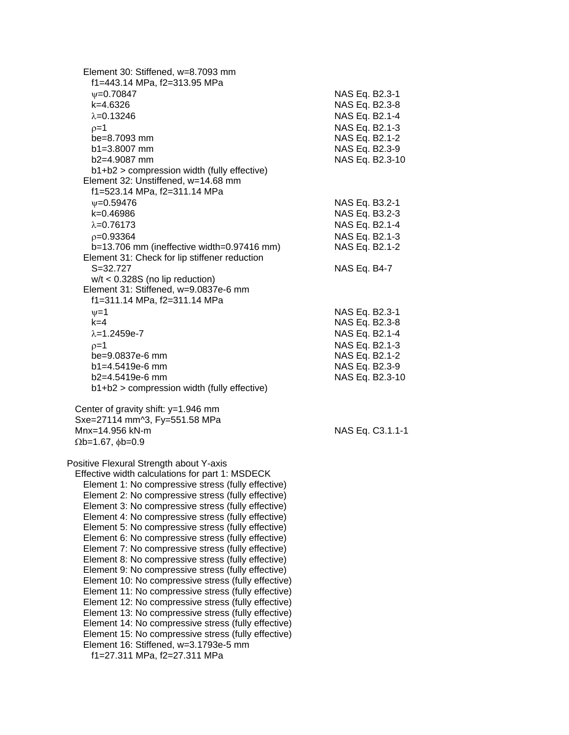| Element 30: Stiffened, w=8.7093 mm<br>f1=443.14 MPa, f2=313.95 MPa |                  |
|--------------------------------------------------------------------|------------------|
| $\nu = 0.70847$                                                    | NAS Eq. B2.3-1   |
| k=4.6326                                                           | NAS Eq. B2.3-8   |
| $\lambda = 0.13246$                                                | NAS Eq. B2.1-4   |
| $0=1$                                                              | NAS Eq. B2.1-3   |
| be=8.7093 mm                                                       | NAS Eq. B2.1-2   |
| $b1 = 3.8007$ mm                                                   | NAS Eq. B2.3-9   |
| b2=4.9087 mm                                                       | NAS Eq. B2.3-10  |
| b1+b2 > compression width (fully effective)                        |                  |
| Element 32: Unstiffened, w=14.68 mm                                |                  |
| f1=523.14 MPa, f2=311.14 MPa                                       |                  |
| $\nu = 0.59476$                                                    | NAS Eq. B3.2-1   |
| k=0.46986                                                          | NAS Eq. B3.2-3   |
| $\lambda = 0.76173$                                                | NAS Eq. B2.1-4   |
| $p = 0.93364$                                                      | NAS Eq. B2.1-3   |
| $b=13.706$ mm (ineffective width=0.97416 mm)                       | NAS Eq. B2.1-2   |
| Element 31: Check for lip stiffener reduction                      |                  |
| $S = 32.727$                                                       | NAS Eq. B4-7     |
| $w/t < 0.328S$ (no lip reduction)                                  |                  |
| Element 31: Stiffened, w=9.0837e-6 mm                              |                  |
| f1=311.14 MPa, f2=311.14 MPa                                       |                  |
| $v = 1$                                                            | NAS Eq. B2.3-1   |
| $k=4$                                                              | NAS Eq. B2.3-8   |
| $\lambda = 1.2459e - 7$                                            | NAS Eq. B2.1-4   |
| $p=1$                                                              | NAS Eq. B2.1-3   |
| be=9.0837e-6 mm                                                    | NAS Eq. B2.1-2   |
| b1=4.5419e-6 mm                                                    | NAS Eq. B2.3-9   |
| $b2=4.5419e-6$ mm                                                  | NAS Eq. B2.3-10  |
| b1+b2 > compression width (fully effective)                        |                  |
|                                                                    |                  |
| Center of gravity shift: y=1.946 mm                                |                  |
| Sxe=27114 mm^3, Fy=551.58 MPa                                      |                  |
| Mnx=14.956 kN-m                                                    | NAS Eq. C3.1.1-1 |
| $\Omega$ b=1.67, $\phi$ b=0.9                                      |                  |
| Positive Flexural Strength about Y-axis                            |                  |
| Effective width calculations for part 1: MSDECK                    |                  |
| Element 1: No compressive stress (fully effective)                 |                  |
| Element 2: No compressive stress (fully effective)                 |                  |
| Element 3: No compressive stress (fully effective)                 |                  |
| Element 4: No compressive stress (fully effective)                 |                  |
| Element 5: No compressive stress (fully effective)                 |                  |
| Element 6: No compressive stress (fully effective)                 |                  |
| Element 7: No compressive stress (fully effective)                 |                  |
| Element 8: No compressive stress (fully effective)                 |                  |
| Element 9: No compressive stress (fully effective)                 |                  |
| Element 10: No compressive stress (fully effective)                |                  |
| Element 11: No compressive stress (fully effective)                |                  |
| Element 12: No compressive stress (fully effective)                |                  |
| Element 13: No compressive stress (fully effective)                |                  |
| Element 14: No compressive stress (fully effective)                |                  |
| Element 15: No compressive stress (fully effective)                |                  |
| Element 16: Stiffened, w=3.1793e-5 mm                              |                  |
| f1=27.311 MPa, f2=27.311 MPa                                       |                  |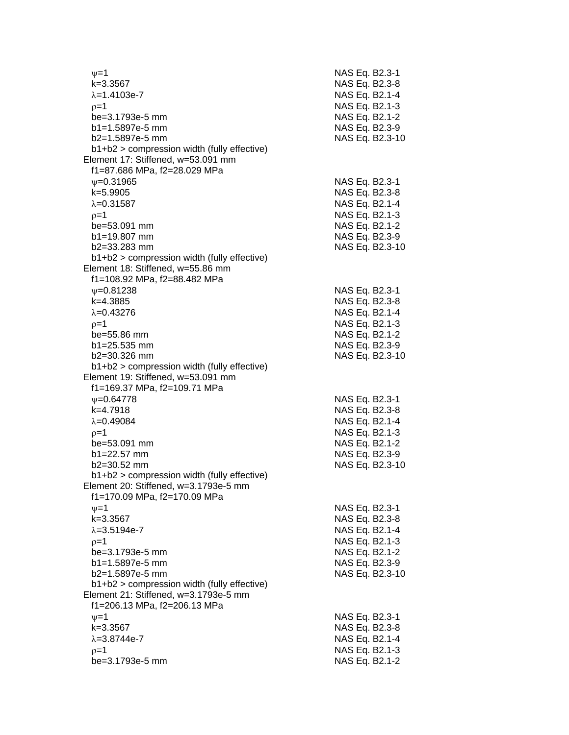| $\nu = 1$                                     | NAS Eq. B2.3-1  |
|-----------------------------------------------|-----------------|
| k=3.3567                                      | NAS Eq. B2.3-8  |
| $\lambda = 1.4103e-7$                         | NAS Eq. B2.1-4  |
| $0=1$                                         | NAS Eq. B2.1-3  |
| be=3.1793e-5 mm                               | NAS Eq. B2.1-2  |
| $b1 = 1.5897e-5$ mm                           | NAS Eq. B2.3-9  |
| b2=1.5897e-5 mm                               | NAS Eq. B2.3-10 |
| b1+b2 > compression width (fully effective)   |                 |
| Element 17: Stiffened, w=53.091 mm            |                 |
| f1=87.686 MPa, f2=28.029 MPa                  |                 |
| $V = 0.31965$                                 | NAS Eq. B2.3-1  |
| k=5.9905                                      | NAS Eq. B2.3-8  |
| $\lambda = 0.31587$                           | NAS Eq. B2.1-4  |
| $p=1$                                         | NAS Eq. B2.1-3  |
| be=53.091 mm                                  | NAS Eq. B2.1-2  |
| b1=19.807 mm                                  | NAS Eq. B2.3-9  |
| $b2 = 33.283$ mm                              | NAS Eq. B2.3-10 |
| $b1+b2$ > compression width (fully effective) |                 |
| Element 18: Stiffened, w=55.86 mm             |                 |
| f1=108.92 MPa, f2=88.482 MPa                  |                 |
| $V = 0.81238$                                 | NAS Eq. B2.3-1  |
| k=4.3885                                      | NAS Eq. B2.3-8  |
| $\lambda = 0.43276$                           | NAS Eq. B2.1-4  |
| $p=1$                                         | NAS Eq. B2.1-3  |
| be=55.86 mm                                   | NAS Eq. B2.1-2  |
| $b1 = 25.535$ mm                              | NAS Eq. B2.3-9  |
| b2=30.326 mm                                  | NAS Eq. B2.3-10 |
| b1+b2 > compression width (fully effective)   |                 |
| Element 19: Stiffened, w=53.091 mm            |                 |
| f1=169.37 MPa, f2=109.71 MPa                  |                 |
| $\psi = 0.64778$                              | NAS Eq. B2.3-1  |
| k=4.7918                                      | NAS Eq. B2.3-8  |
| $\lambda = 0.49084$                           | NAS Eq. B2.1-4  |
| $p=1$                                         | NAS Eq. B2.1-3  |
| be=53.091 mm                                  | NAS Eq. B2.1-2  |
| b1=22.57 mm                                   | NAS Eq. B2.3-9  |
| $b2 = 30.52$ mm                               | NAS Eq. B2.3-10 |
| $b1+b2$ > compression width (fully effective) |                 |
| Element 20: Stiffened, w=3.1793e-5 mm         |                 |
| f1=170.09 MPa, f2=170.09 MPa                  |                 |
| $\nu = 1$                                     | NAS Eq. B2.3-1  |
| k=3.3567                                      | NAS Eq. B2.3-8  |
| $\lambda = 3.5194e - 7$                       | NAS Eq. B2.1-4  |
| $p=1$                                         | NAS Eq. B2.1-3  |
| be=3.1793e-5 mm                               | NAS Eq. B2.1-2  |
| b1=1.5897e-5 mm                               | NAS Eq. B2.3-9  |
| b2=1.5897e-5 mm                               | NAS Eq. B2.3-10 |
| b1+b2 > compression width (fully effective)   |                 |
| Element 21: Stiffened, w=3.1793e-5 mm         |                 |
| f1=206.13 MPa, f2=206.13 MPa                  |                 |
| $\nu = 1$                                     | NAS Eq. B2.3-1  |
| $k = 3.3567$                                  | NAS Eq. B2.3-8  |
| $\lambda = 3.8744e - 7$                       | NAS Eq. B2.1-4  |
| $p=1$                                         | NAS Eq. B2.1-3  |
| be=3.1793e-5 mm                               | NAS Eq. B2.1-2  |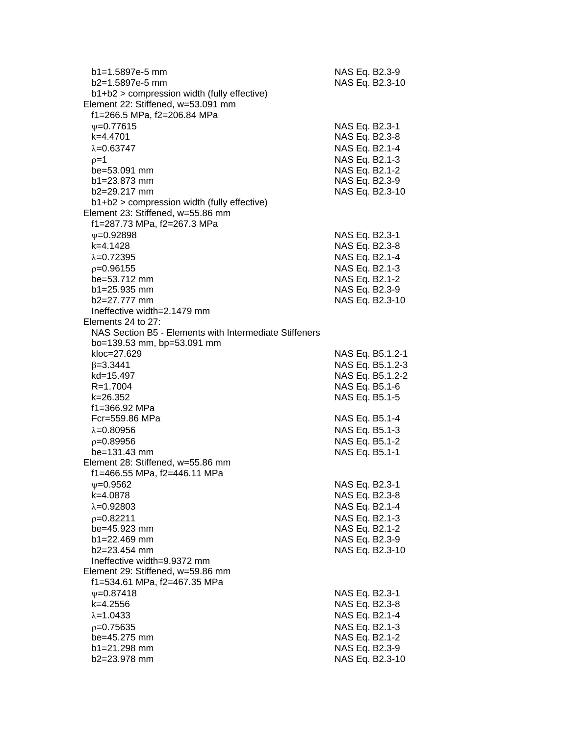| b1=1.5897e-5 mm<br>b2=1.5897e-5 mm<br>$b1+b2$ > compression width (fully effective) | NAS Eq. B2.3-9                   | NAS Eq. B2.3-10  |
|-------------------------------------------------------------------------------------|----------------------------------|------------------|
| Element 22: Stiffened, w=53.091 mm                                                  |                                  |                  |
| f1=266.5 MPa, f2=206.84 MPa                                                         |                                  |                  |
| $\psi = 0.77615$                                                                    | NAS Eq. B2.3-1                   |                  |
| k=4.4701                                                                            | NAS Eq. B2.3-8                   |                  |
| $\lambda = 0.63747$                                                                 | NAS Eq. B2.1-4                   |                  |
| $p=1$                                                                               | NAS Eq. B2.1-3                   |                  |
| be=53.091 mm                                                                        | NAS Eq. B2.1-2                   |                  |
| b1=23.873 mm                                                                        | NAS Eq. B2.3-9                   |                  |
| b2=29.217 mm                                                                        |                                  | NAS Eq. B2.3-10  |
| b1+b2 > compression width (fully effective)                                         |                                  |                  |
| Element 23: Stiffened, w=55.86 mm                                                   |                                  |                  |
| f1=287.73 MPa, f2=267.3 MPa                                                         |                                  |                  |
| $\psi = 0.92898$                                                                    | NAS Eq. B2.3-1                   |                  |
| k=4.1428                                                                            | NAS Eq. B2.3-8                   |                  |
| $\lambda = 0.72395$                                                                 | NAS Eq. B2.1-4                   |                  |
| $p=0.96155$                                                                         | NAS Eq. B2.1-3                   |                  |
| be=53.712 mm                                                                        | NAS Eq. B2.1-2                   |                  |
| $b1 = 25.935$ mm                                                                    | NAS Eq. B2.3-9                   |                  |
| b2=27.777 mm<br>Ineffective width=2.1479 mm                                         |                                  | NAS Eq. B2.3-10  |
| Elements 24 to 27:                                                                  |                                  |                  |
| NAS Section B5 - Elements with Intermediate Stiffeners                              |                                  |                  |
| bo=139.53 mm, bp=53.091 mm                                                          |                                  |                  |
| kloc=27.629                                                                         |                                  | NAS Eq. B5.1.2-1 |
| $\beta = 3.3441$                                                                    |                                  | NAS Eq. B5.1.2-3 |
| kd=15.497                                                                           |                                  | NAS Eq. B5.1.2-2 |
| $R = 1.7004$                                                                        | NAS Eq. B5.1-6                   |                  |
| k=26.352                                                                            | NAS Eq. B5.1-5                   |                  |
| f1=366.92 MPa                                                                       |                                  |                  |
| Fcr=559.86 MPa                                                                      | NAS Eq. B5.1-4                   |                  |
| $\lambda = 0.80956$                                                                 | NAS Eq. B5.1-3                   |                  |
| $p=0.89956$                                                                         | NAS Eq. B5.1-2                   |                  |
| $be = 131.43$ mm                                                                    | NAS Eq. B5.1-1                   |                  |
| Element 28: Stiffened, w=55.86 mm                                                   |                                  |                  |
| f1=466.55 MPa, f2=446.11 MPa                                                        |                                  |                  |
| $\psi = 0.9562$                                                                     | NAS Eq. B2.3-1                   |                  |
| k=4.0878                                                                            | NAS Eq. B2.3-8                   |                  |
| $\lambda = 0.92803$                                                                 | NAS Eq. B2.1-4                   |                  |
| $p=0.82211$                                                                         | NAS Eq. B2.1-3                   |                  |
| be=45.923 mm                                                                        | NAS Eq. B2.1-2                   |                  |
| $b1 = 22.469$ mm                                                                    | NAS Eq. B2.3-9                   |                  |
| $b2 = 23.454$ mm                                                                    |                                  | NAS Eq. B2.3-10  |
| Ineffective width=9.9372 mm                                                         |                                  |                  |
| Element 29: Stiffened, w=59.86 mm                                                   |                                  |                  |
| f1=534.61 MPa, f2=467.35 MPa                                                        |                                  |                  |
| $\psi = 0.87418$<br>k=4.2556                                                        | NAS Eq. B2.3-1                   |                  |
| $\lambda = 1.0433$                                                                  | NAS Eq. B2.3-8                   |                  |
|                                                                                     | NAS Eq. B2.1-4                   |                  |
| $p=0.75635$<br>be=45.275 mm                                                         | NAS Eq. B2.1-3                   |                  |
| b1=21.298 mm                                                                        | NAS Eq. B2.1-2<br>NAS Eq. B2.3-9 |                  |
| b2=23.978 mm                                                                        |                                  | NAS Eq. B2.3-10  |
|                                                                                     |                                  |                  |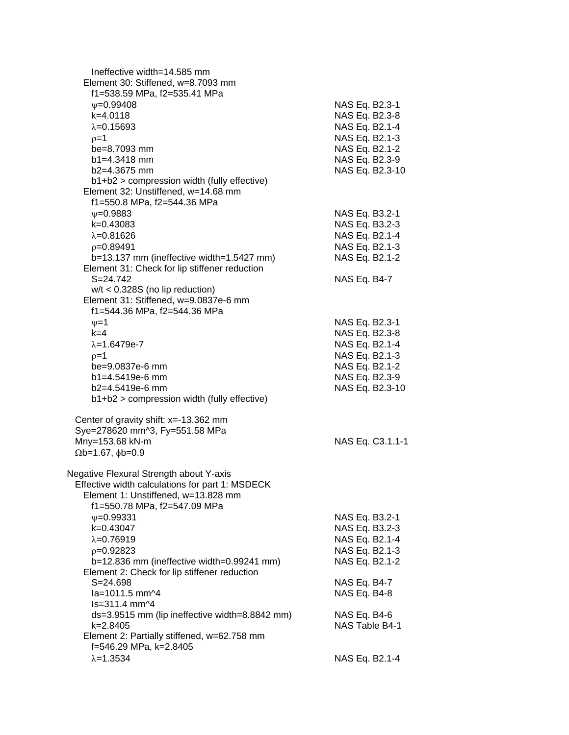| Ineffective width=14.585 mm<br>Element 30: Stiffened, w=8.7093 mm<br>f1=538.59 MPa, f2=535.41 MPa |                                  |
|---------------------------------------------------------------------------------------------------|----------------------------------|
| $\psi = 0.99408$<br>$k=4.0118$                                                                    | NAS Eq. B2.3-1<br>NAS Eq. B2.3-8 |
| $\lambda = 0.15693$                                                                               | NAS Eq. B2.1-4                   |
| $p=1$                                                                                             | NAS Eq. B2.1-3                   |
| be=8.7093 mm<br>$b1 = 4.3418$ mm                                                                  | NAS Eq. B2.1-2<br>NAS Eq. B2.3-9 |
| b2=4.3675 mm                                                                                      | NAS Eq. B2.3-10                  |
| b1+b2 > compression width (fully effective)                                                       |                                  |
| Element 32: Unstiffened, w=14.68 mm                                                               |                                  |
| f1=550.8 MPa, f2=544.36 MPa                                                                       |                                  |
| $\psi = 0.9883$                                                                                   | NAS Eq. B3.2-1                   |
| k=0.43083                                                                                         | NAS Eq. B3.2-3                   |
| $\lambda = 0.81626$                                                                               | NAS Eq. B2.1-4                   |
| $p=0.89491$                                                                                       | NAS Eq. B2.1-3                   |
| b=13.137 mm (ineffective width=1.5427 mm)                                                         | NAS Eq. B2.1-2                   |
| Element 31: Check for lip stiffener reduction                                                     |                                  |
| S=24.742                                                                                          | NAS Eq. B4-7                     |
| $w/t < 0.328S$ (no lip reduction)                                                                 |                                  |
| Element 31: Stiffened, w=9.0837e-6 mm<br>f1=544.36 MPa, f2=544.36 MPa                             |                                  |
| $v = 1$                                                                                           | NAS Eq. B2.3-1                   |
| $k = 4$                                                                                           | NAS Eq. B2.3-8                   |
| $\lambda = 1.6479e - 7$                                                                           | NAS Eq. B2.1-4                   |
| $p=1$                                                                                             | NAS Eq. B2.1-3                   |
| be=9.0837e-6 mm                                                                                   | NAS Eq. B2.1-2                   |
| $b1 = 4.5419e-6$ mm                                                                               | NAS Eq. B2.3-9                   |
| $b2=4.5419e-6$ mm                                                                                 | NAS Eq. B2.3-10                  |
| b1+b2 > compression width (fully effective)                                                       |                                  |
| Center of gravity shift: $x = -13.362$ mm                                                         |                                  |
| Sye=278620 mm^3, Fy=551.58 MPa                                                                    |                                  |
| Mny=153.68 kN-m                                                                                   | NAS Eq. C3.1.1-1                 |
| $\Omega$ b=1.67, $\phi$ b=0.9                                                                     |                                  |
| Negative Flexural Strength about Y-axis                                                           |                                  |
| Effective width calculations for part 1: MSDECK                                                   |                                  |
| Element 1: Unstiffened, w=13.828 mm                                                               |                                  |
| f1=550.78 MPa, f2=547.09 MPa                                                                      |                                  |
| $\psi = 0.99331$                                                                                  | NAS Eq. B3.2-1                   |
| k=0.43047                                                                                         | NAS Eq. B3.2-3                   |
| $\lambda = 0.76919$                                                                               | NAS Eq. B2.1-4                   |
| $p=0.92823$<br>$b=12.836$ mm (ineffective width=0.99241 mm)                                       | NAS Eq. B2.1-3<br>NAS Eq. B2.1-2 |
| Element 2: Check for lip stiffener reduction                                                      |                                  |
| $S = 24.698$                                                                                      | NAS Eq. B4-7                     |
| la=1011.5 mm^4                                                                                    | NAS Eq. B4-8                     |
| ls=311.4 mm^4                                                                                     |                                  |
| ds=3.9515 mm (lip ineffective width=8.8842 mm)                                                    | NAS Eq. B4-6                     |
| k=2.8405                                                                                          | NAS Table B4-1                   |
| Element 2: Partially stiffened, w=62.758 mm                                                       |                                  |
| f=546.29 MPa, k=2.8405                                                                            |                                  |
| $\lambda = 1.3534$                                                                                | NAS Eq. B2.1-4                   |
|                                                                                                   |                                  |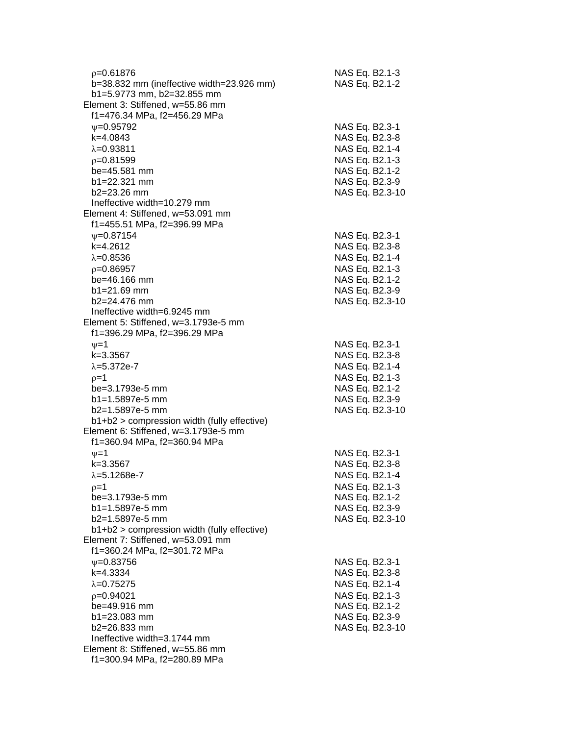| $p=0.61876$<br>b=38.832 mm (ineffective width=23.926 mm)<br>b1=5.9773 mm, b2=32.855 mm | NAS Eq. B2.1-3<br>NAS Eq. B2.1-2  |
|----------------------------------------------------------------------------------------|-----------------------------------|
| Element 3: Stiffened, w=55.86 mm<br>f1=476.34 MPa, f2=456.29 MPa                       |                                   |
| $\nu = 0.95792$                                                                        | NAS Eq. B2.3-1                    |
| k=4.0843                                                                               | NAS Eq. B2.3-8                    |
| $\lambda = 0.93811$                                                                    | NAS Eq. B2.1-4                    |
| $p=0.81599$                                                                            | NAS Eq. B2.1-3                    |
| be=45.581 mm                                                                           | NAS Eq. B2.1-2                    |
| $b1 = 22.321$ mm<br>$b2 = 23.26$ mm                                                    | NAS Eq. B2.3-9                    |
| Ineffective width=10.279 mm                                                            | NAS Eq. B2.3-10                   |
| Element 4: Stiffened, w=53.091 mm                                                      |                                   |
| f1=455.51 MPa, f2=396.99 MPa                                                           |                                   |
| $\psi = 0.87154$                                                                       | NAS Eq. B2.3-1                    |
| k=4.2612                                                                               | NAS Eq. B2.3-8                    |
| $\lambda = 0.8536$                                                                     | NAS Eq. B2.1-4                    |
| $p=0.86957$                                                                            | NAS Eq. B2.1-3                    |
| $be = 46.166$ mm                                                                       | NAS Eq. B2.1-2                    |
| $b1 = 21.69$ mm                                                                        | NAS Eq. B2.3-9                    |
| b2=24.476 mm                                                                           | NAS Eq. B2.3-10                   |
| Ineffective width=6.9245 mm                                                            |                                   |
| Element 5: Stiffened, w=3.1793e-5 mm<br>f1=396.29 MPa, f2=396.29 MPa                   |                                   |
| $\nu = 1$                                                                              | NAS Eq. B2.3-1                    |
| k=3.3567<br>$\lambda = 5.372e - 7$                                                     | NAS Eq. B2.3-8                    |
| $p=1$                                                                                  | NAS Eq. B2.1-4<br>NAS Eq. B2.1-3  |
| be=3.1793e-5 mm                                                                        | NAS Eq. B2.1-2                    |
| b1=1.5897e-5 mm                                                                        | NAS Eq. B2.3-9                    |
| b2=1.5897e-5 mm                                                                        | NAS Eq. B2.3-10                   |
| b1+b2 > compression width (fully effective)                                            |                                   |
| Element 6: Stiffened, w=3.1793e-5 mm<br>f1=360.94 MPa, f2=360.94 MPa                   |                                   |
| $\nu = 1$                                                                              | NAS Eq. B2.3-1                    |
| k=3.3567                                                                               | NAS Eq. B2.3-8                    |
| $\lambda = 5.1268e - 7$                                                                | NAS Eq. B2.1-4                    |
| $p=1$                                                                                  | NAS Eq. B2.1-3                    |
| be=3.1793e-5 mm                                                                        | NAS Eq. B2.1-2                    |
| b1=1.5897e-5 mm<br>b2=1.5897e-5 mm                                                     | NAS Eq. B2.3-9<br>NAS Eq. B2.3-10 |
| b1+b2 > compression width (fully effective)                                            |                                   |
| Element 7: Stiffened, w=53.091 mm                                                      |                                   |
| f1=360.24 MPa, f2=301.72 MPa                                                           |                                   |
| $\psi = 0.83756$                                                                       | NAS Eq. B2.3-1                    |
| k=4.3334                                                                               | NAS Eq. B2.3-8                    |
| $\lambda = 0.75275$                                                                    | NAS Eq. B2.1-4                    |
| $p=0.94021$                                                                            | NAS Eq. B2.1-3                    |
| be=49.916 mm                                                                           | NAS Eq. B2.1-2                    |
| b1=23.083 mm                                                                           | NAS Eq. B2.3-9                    |
| b2=26.833 mm                                                                           | NAS Eq. B2.3-10                   |
| Ineffective width=3.1744 mm                                                            |                                   |
| Element 8: Stiffened, w=55.86 mm                                                       |                                   |
| f1=300.94 MPa, f2=280.89 MPa                                                           |                                   |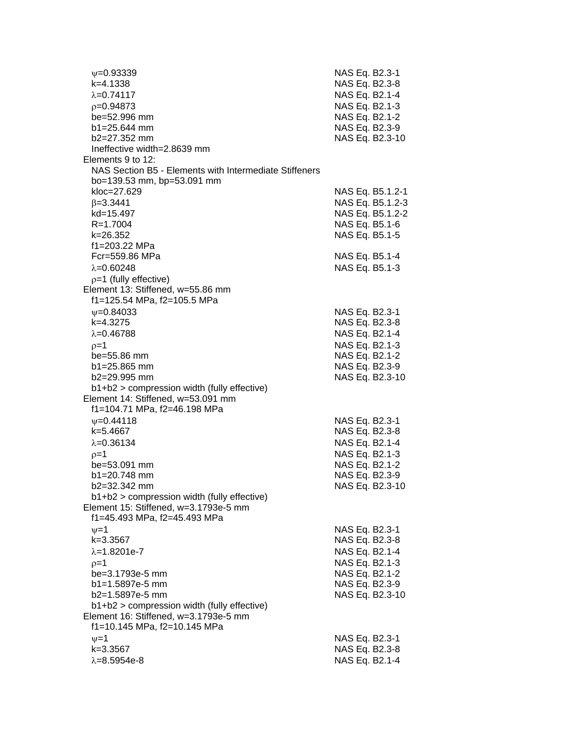| $\psi = 0.93339$                                       | NAS Eq. B2.3-1   |
|--------------------------------------------------------|------------------|
| k=4.1338                                               | NAS Eq. B2.3-8   |
| $\lambda = 0.74117$                                    | NAS Eq. B2.1-4   |
| $p=0.94873$                                            | NAS Eq. B2.1-3   |
| be=52.996 mm                                           | NAS Eq. B2.1-2   |
| $b1 = 25.644$ mm                                       | NAS Eq. B2.3-9   |
| $b2=27.352$ mm                                         | NAS Eq. B2.3-10  |
| Ineffective width=2.8639 mm                            |                  |
| Elements 9 to 12:                                      |                  |
| NAS Section B5 - Elements with Intermediate Stiffeners |                  |
| bo=139.53 mm, bp=53.091 mm                             |                  |
| kloc=27.629                                            | NAS Eq. B5.1.2-1 |
| $\beta = 3.3441$                                       | NAS Eq. B5.1.2-3 |
| kd=15.497                                              | NAS Eq. B5.1.2-2 |
| R=1.7004                                               | NAS Eq. B5.1-6   |
| k=26.352                                               | NAS Eq. B5.1-5   |
| f1=203.22 MPa<br>Fcr=559.86 MPa                        |                  |
|                                                        | NAS Eq. B5.1-4   |
| $\lambda = 0.60248$                                    | NAS Eq. B5.1-3   |
| $p=1$ (fully effective)                                |                  |
| Element 13: Stiffened, w=55.86 mm                      |                  |
| f1=125.54 MPa, f2=105.5 MPa                            |                  |
| $\psi = 0.84033$                                       | NAS Eq. B2.3-1   |
| $k=4.3275$                                             | NAS Eq. B2.3-8   |
| $\lambda = 0.46788$                                    | NAS Eq. B2.1-4   |
| $p=1$                                                  | NAS Eq. B2.1-3   |
| be=55.86 mm                                            | NAS Eq. B2.1-2   |
| $b1 = 25.865$ mm<br>b2=29.995 mm                       | NAS Eq. B2.3-9   |
| $b1+b2$ > compression width (fully effective)          | NAS Eq. B2.3-10  |
| Element 14: Stiffened, w=53.091 mm                     |                  |
| f1=104.71 MPa, f2=46.198 MPa                           |                  |
| $\psi = 0.44118$                                       | NAS Eq. B2.3-1   |
| k=5.4667                                               | NAS Eq. B2.3-8   |
| $\lambda = 0.36134$                                    | NAS Eq. B2.1-4   |
| $p=1$                                                  | NAS Eq. B2.1-3   |
| $be = 53.091$ mm                                       | NAS Eq. B2.1-2   |
| $b1 = 20.748$ mm                                       | NAS Eq. B2.3-9   |
| b2=32.342 mm                                           | NAS Eq. B2.3-10  |
| b1+b2 > compression width (fully effective)            |                  |
| Element 15: Stiffened, w=3.1793e-5 mm                  |                  |
| f1=45.493 MPa, f2=45.493 MPa                           |                  |
| $\nu = 1$                                              | NAS Eq. B2.3-1   |
| $k = 3.3567$                                           | NAS Eq. B2.3-8   |
| $\lambda = 1.8201e-7$                                  | NAS Eq. B2.1-4   |
| $p=1$                                                  | NAS Eq. B2.1-3   |
| be=3.1793e-5 mm                                        | NAS Eq. B2.1-2   |
| $b1 = 1.5897e-5$ mm                                    | NAS Eq. B2.3-9   |
| b2=1.5897e-5 mm                                        | NAS Eq. B2.3-10  |
| b1+b2 > compression width (fully effective)            |                  |
| Element 16: Stiffened, w=3.1793e-5 mm                  |                  |
| f1=10.145 MPa, f2=10.145 MPa                           |                  |
| $v = 1$                                                | NAS Eq. B2.3-1   |
| k=3.3567                                               | NAS Eq. B2.3-8   |
| $\lambda = 8.5954e-8$                                  | NAS Eq. B2.1-4   |
|                                                        |                  |